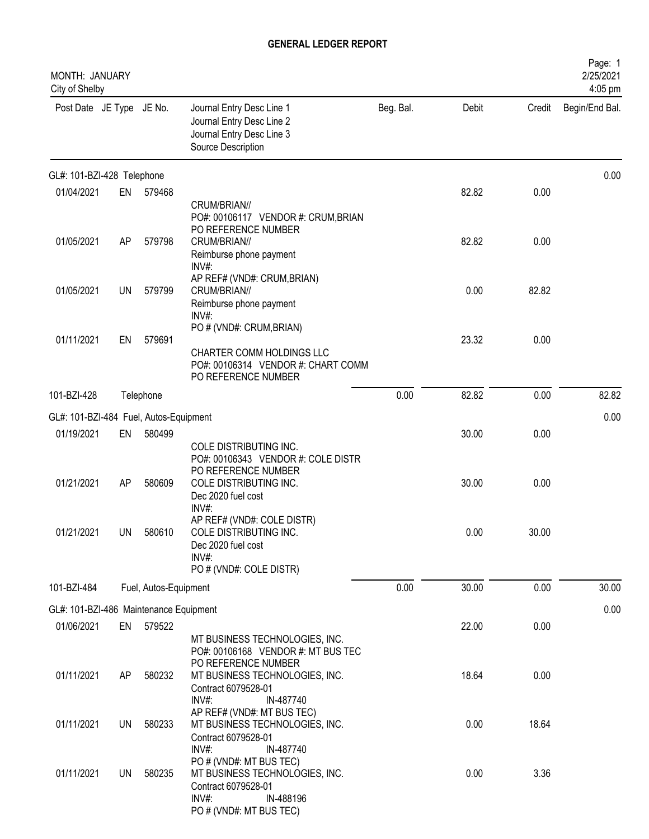| MONTH: JANUARY<br>City of Shelby       |           |                       |                                                                                                                                          |           |       |        | Page: 1<br>2/25/2021<br>4:05 pm |
|----------------------------------------|-----------|-----------------------|------------------------------------------------------------------------------------------------------------------------------------------|-----------|-------|--------|---------------------------------|
| Post Date JE Type JE No.               |           |                       | Journal Entry Desc Line 1<br>Journal Entry Desc Line 2<br>Journal Entry Desc Line 3<br>Source Description                                | Beg. Bal. | Debit | Credit | Begin/End Bal.                  |
| GL#: 101-BZI-428 Telephone             |           |                       |                                                                                                                                          |           |       |        | 0.00                            |
| 01/04/2021                             | EN        | 579468                | CRUM/BRIAN//<br>PO#: 00106117 VENDOR #: CRUM, BRIAN                                                                                      |           | 82.82 | 0.00   |                                 |
| 01/05/2021                             | AP        | 579798                | PO REFERENCE NUMBER<br>CRUM/BRIAN//<br>Reimburse phone payment<br>INV#:                                                                  |           | 82.82 | 0.00   |                                 |
| 01/05/2021                             | UN        | 579799                | AP REF# (VND#: CRUM, BRIAN)<br>CRUM/BRIAN//<br>Reimburse phone payment<br>INV#:                                                          |           | 0.00  | 82.82  |                                 |
| 01/11/2021                             | EN        | 579691                | PO # (VND#: CRUM, BRIAN)<br>CHARTER COMM HOLDINGS LLC<br>PO#: 00106314 VENDOR #: CHART COMM<br>PO REFERENCE NUMBER                       |           | 23.32 | 0.00   |                                 |
| 101-BZI-428                            |           | Telephone             |                                                                                                                                          | 0.00      | 82.82 | 0.00   | 82.82                           |
| GL#: 101-BZI-484 Fuel, Autos-Equipment |           |                       |                                                                                                                                          |           |       |        | 0.00                            |
| 01/19/2021                             | EN        | 580499                | COLE DISTRIBUTING INC.                                                                                                                   |           | 30.00 | 0.00   |                                 |
| 01/21/2021                             | AP        | 580609                | PO#: 00106343 VENDOR #: COLE DISTR<br>PO REFERENCE NUMBER<br>COLE DISTRIBUTING INC.<br>Dec 2020 fuel cost                                |           | 30.00 | 0.00   |                                 |
| 01/21/2021                             | UN        | 580610                | INV#:<br>AP REF# (VND#: COLE DISTR)<br>COLE DISTRIBUTING INC.<br>Dec 2020 fuel cost<br>INV#:<br>PO # (VND#: COLE DISTR)                  |           | 0.00  | 30.00  |                                 |
| 101-BZI-484                            |           | Fuel, Autos-Equipment |                                                                                                                                          | 0.00      | 30.00 | 0.00   | 30.00                           |
| GL#: 101-BZI-486 Maintenance Equipment |           |                       |                                                                                                                                          |           |       |        | 0.00                            |
| 01/06/2021                             |           | EN 579522             | MT BUSINESS TECHNOLOGIES, INC.                                                                                                           |           | 22.00 | 0.00   |                                 |
| 01/11/2021                             | AP        | 580232                | PO#: 00106168 VENDOR #: MT BUS TEC<br>PO REFERENCE NUMBER<br>MT BUSINESS TECHNOLOGIES, INC.<br>Contract 6079528-01<br>INV#:<br>IN-487740 |           | 18.64 | 0.00   |                                 |
| 01/11/2021                             | UN        | 580233                | AP REF# (VND#: MT BUS TEC)<br>MT BUSINESS TECHNOLOGIES, INC.<br>Contract 6079528-01<br>INV#:<br>IN-487740                                |           | 0.00  | 18.64  |                                 |
| 01/11/2021                             | <b>UN</b> | 580235                | PO # (VND#: MT BUS TEC)<br>MT BUSINESS TECHNOLOGIES, INC.<br>Contract 6079528-01<br>INV#:<br>IN-488196<br>PO # (VND#: MT BUS TEC)        |           | 0.00  | 3.36   |                                 |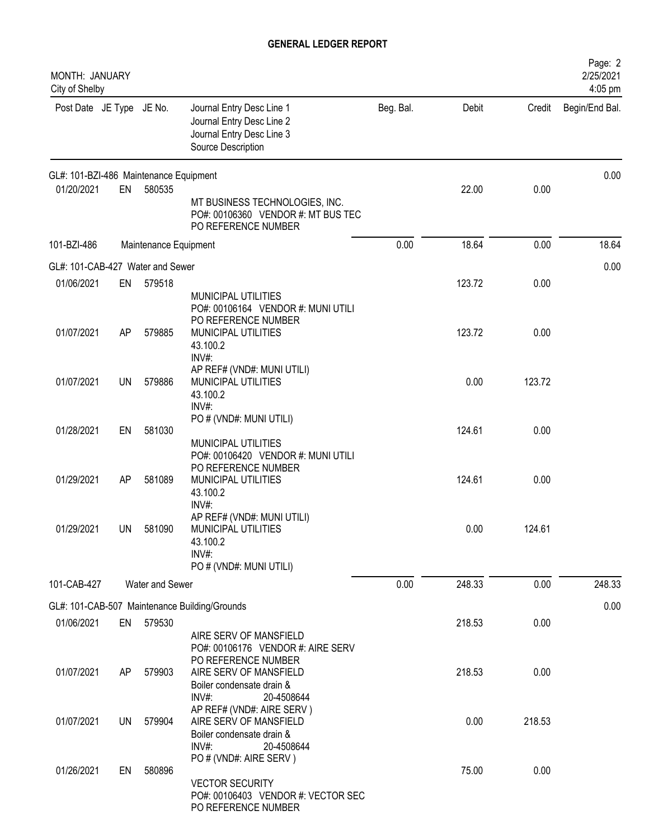| MONTH: JANUARY<br>City of Shelby       |           |                       |                                                                                                               |           |        |        | Page: 2<br>2/25/2021<br>4:05 pm |
|----------------------------------------|-----------|-----------------------|---------------------------------------------------------------------------------------------------------------|-----------|--------|--------|---------------------------------|
| Post Date JE Type JE No.               |           |                       | Journal Entry Desc Line 1<br>Journal Entry Desc Line 2<br>Journal Entry Desc Line 3<br>Source Description     | Beg. Bal. | Debit  | Credit | Begin/End Bal.                  |
| GL#: 101-BZI-486 Maintenance Equipment |           |                       |                                                                                                               |           |        |        | 0.00                            |
| 01/20/2021                             | EN        | 580535                | MT BUSINESS TECHNOLOGIES, INC.<br>PO#: 00106360 VENDOR #: MT BUS TEC<br>PO REFERENCE NUMBER                   |           | 22.00  | 0.00   |                                 |
| 101-BZI-486                            |           | Maintenance Equipment |                                                                                                               | 0.00      | 18.64  | 0.00   | 18.64                           |
| GL#: 101-CAB-427 Water and Sewer       |           |                       |                                                                                                               |           |        |        | 0.00                            |
| 01/06/2021                             | EN        | 579518                | MUNICIPAL UTILITIES<br>PO#: 00106164 VENDOR #: MUNI UTILI<br>PO REFERENCE NUMBER                              |           | 123.72 | 0.00   |                                 |
| 01/07/2021                             | AP        | 579885                | MUNICIPAL UTILITIES<br>43.100.2<br>INV#:                                                                      |           | 123.72 | 0.00   |                                 |
| 01/07/2021                             | <b>UN</b> | 579886                | AP REF# (VND#: MUNI UTILI)<br>MUNICIPAL UTILITIES<br>43.100.2<br>INV#:                                        |           | 0.00   | 123.72 |                                 |
| 01/28/2021                             | EN        | 581030                | PO # (VND#: MUNI UTILI)<br>MUNICIPAL UTILITIES<br>PO#: 00106420 VENDOR #: MUNI UTILI                          |           | 124.61 | 0.00   |                                 |
| 01/29/2021                             | AP        | 581089                | PO REFERENCE NUMBER<br>MUNICIPAL UTILITIES<br>43.100.2<br>INV#:                                               |           | 124.61 | 0.00   |                                 |
| 01/29/2021                             | <b>UN</b> | 581090                | AP REF# (VND#: MUNI UTILI)<br>MUNICIPAL UTILITIES<br>43.100.2<br>INV#:<br>PO # (VND#: MUNI UTILI)             |           | 0.00   | 124.61 |                                 |
| 101-CAB-427                            |           | Water and Sewer       |                                                                                                               | 0.00      | 248.33 | 0.00   | 248.33                          |
|                                        |           |                       | GL#: 101-CAB-507 Maintenance Building/Grounds                                                                 |           |        |        | 0.00                            |
| 01/06/2021                             |           | EN 579530             | AIRE SERV OF MANSFIELD<br>PO#: 00106176 VENDOR #: AIRE SERV                                                   |           | 218.53 | 0.00   |                                 |
| 01/07/2021                             | AP.       | 579903                | PO REFERENCE NUMBER<br>AIRE SERV OF MANSFIELD<br>Boiler condensate drain &<br>$INV#$ :<br>20-4508644          |           | 218.53 | 0.00   |                                 |
| 01/07/2021                             | UN        | 579904                | AP REF# (VND#: AIRE SERV)<br>AIRE SERV OF MANSFIELD<br>Boiler condensate drain &<br>$INV#$ :<br>20-4508644    |           | 0.00   | 218.53 |                                 |
| 01/26/2021                             | EN        | 580896                | PO # (VND#: AIRE SERV)<br><b>VECTOR SECURITY</b><br>PO#: 00106403 VENDOR #: VECTOR SEC<br>PO REFERENCE NUMBER |           | 75.00  | 0.00   |                                 |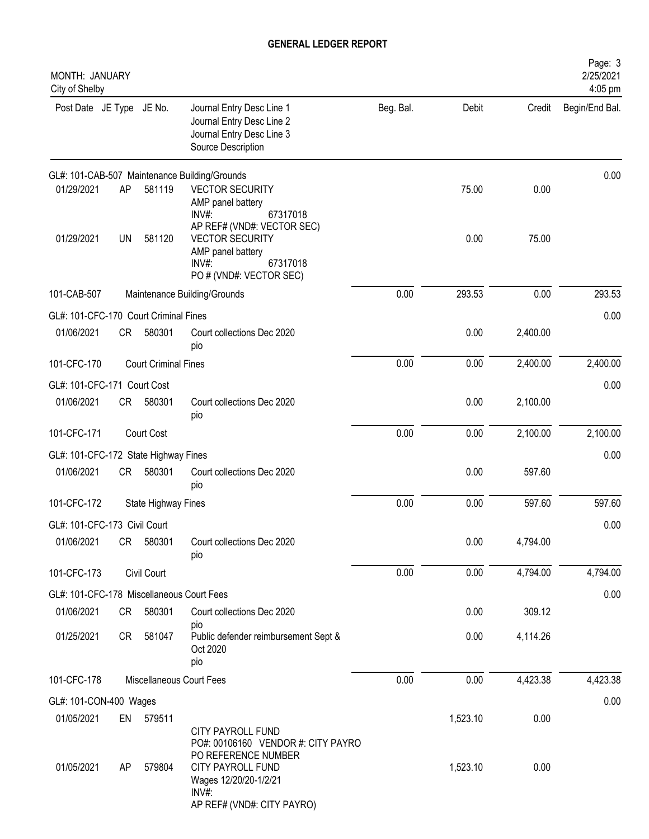| MONTH: JANUARY<br>City of Shelby          |           |                             |                                                                                                                                                   |           |          |          | Page: 3<br>2/25/2021<br>4:05 pm |
|-------------------------------------------|-----------|-----------------------------|---------------------------------------------------------------------------------------------------------------------------------------------------|-----------|----------|----------|---------------------------------|
| Post Date JE Type JE No.                  |           |                             | Journal Entry Desc Line 1<br>Journal Entry Desc Line 2<br>Journal Entry Desc Line 3<br>Source Description                                         | Beg. Bal. | Debit    | Credit   | Begin/End Bal.                  |
|                                           |           |                             | GL#: 101-CAB-507 Maintenance Building/Grounds                                                                                                     |           |          |          | 0.00                            |
| 01/29/2021                                | AP        | 581119                      | <b>VECTOR SECURITY</b><br>AMP panel battery<br>67317018<br>$INV#$ :<br>AP REF# (VND#: VECTOR SEC)                                                 |           | 75.00    | 0.00     |                                 |
| 01/29/2021                                | <b>UN</b> | 581120                      | <b>VECTOR SECURITY</b><br>AMP panel battery<br>67317018<br>$INV#$ :<br>PO # (VND#: VECTOR SEC)                                                    |           | 0.00     | 75.00    |                                 |
| 101-CAB-507                               |           |                             | Maintenance Building/Grounds                                                                                                                      | 0.00      | 293.53   | 0.00     | 293.53                          |
| GL#: 101-CFC-170 Court Criminal Fines     |           |                             |                                                                                                                                                   |           |          |          | 0.00                            |
| 01/06/2021                                | CR        | 580301                      | Court collections Dec 2020<br>pio                                                                                                                 |           | 0.00     | 2,400.00 |                                 |
| 101-CFC-170                               |           | <b>Court Criminal Fines</b> |                                                                                                                                                   | 0.00      | 0.00     | 2,400.00 | 2,400.00                        |
| GL#: 101-CFC-171 Court Cost               |           |                             |                                                                                                                                                   |           |          |          | 0.00                            |
| 01/06/2021                                | <b>CR</b> | 580301                      | Court collections Dec 2020<br>pio                                                                                                                 |           | 0.00     | 2,100.00 |                                 |
| 101-CFC-171                               |           | Court Cost                  |                                                                                                                                                   | 0.00      | 0.00     | 2,100.00 | 2,100.00                        |
| GL#: 101-CFC-172 State Highway Fines      |           |                             |                                                                                                                                                   |           |          |          | 0.00                            |
| 01/06/2021                                | CR        | 580301                      | Court collections Dec 2020<br>pio                                                                                                                 |           | 0.00     | 597.60   |                                 |
| 101-CFC-172                               |           | State Highway Fines         |                                                                                                                                                   | 0.00      | 0.00     | 597.60   | 597.60                          |
| GL#: 101-CFC-173 Civil Court              |           |                             |                                                                                                                                                   |           |          |          | 0.00                            |
| 01/06/2021                                | CR        | 580301                      | Court collections Dec 2020<br>pio                                                                                                                 |           | 0.00     | 4,794.00 |                                 |
| 101-CFC-173                               |           | Civil Court                 |                                                                                                                                                   | 0.00      | 0.00     | 4,794.00 | 4,794.00                        |
| GL#: 101-CFC-178 Miscellaneous Court Fees |           |                             |                                                                                                                                                   |           |          |          | 0.00                            |
| 01/06/2021                                | CR        | 580301                      | Court collections Dec 2020                                                                                                                        |           | 0.00     | 309.12   |                                 |
| 01/25/2021                                | CR        | 581047                      | pio<br>Public defender reimbursement Sept &<br>Oct 2020<br>pio                                                                                    |           | 0.00     | 4,114.26 |                                 |
| 101-CFC-178                               |           |                             | Miscellaneous Court Fees                                                                                                                          | 0.00      | 0.00     | 4,423.38 | 4,423.38                        |
| GL#: 101-CON-400 Wages                    |           |                             |                                                                                                                                                   |           |          |          | 0.00                            |
| 01/05/2021                                | EN        | 579511                      | CITY PAYROLL FUND                                                                                                                                 |           | 1,523.10 | 0.00     |                                 |
| 01/05/2021                                | AP        | 579804                      | PO#: 00106160 VENDOR #: CITY PAYRO<br>PO REFERENCE NUMBER<br>CITY PAYROLL FUND<br>Wages 12/20/20-1/2/21<br>$INV#$ :<br>AP REF# (VND#: CITY PAYRO) |           | 1,523.10 | 0.00     |                                 |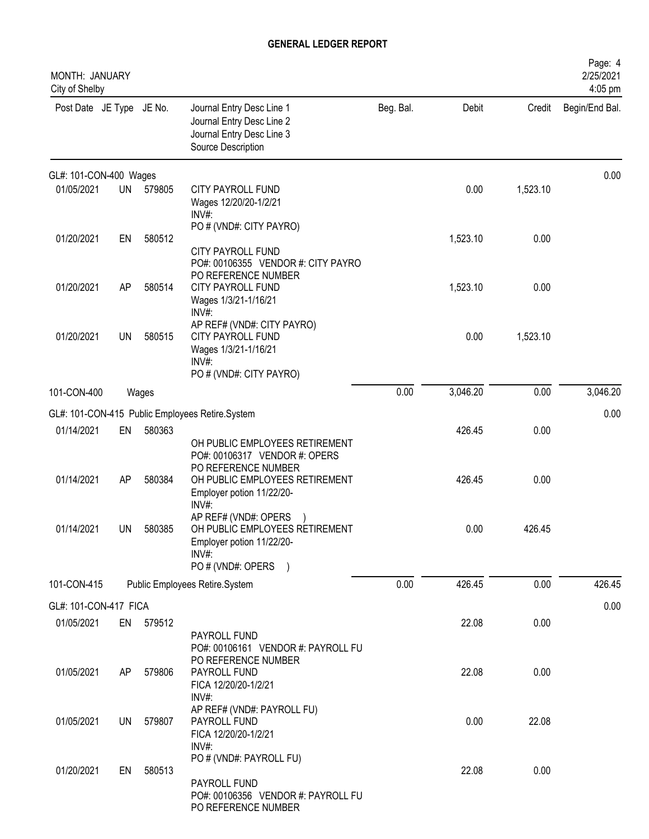| MONTH: JANUARY<br>City of Shelby |           |           |                                                                                                                                    |           |          |          | Page: 4<br>2/25/2021<br>4:05 pm |
|----------------------------------|-----------|-----------|------------------------------------------------------------------------------------------------------------------------------------|-----------|----------|----------|---------------------------------|
| Post Date JE Type JE No.         |           |           | Journal Entry Desc Line 1<br>Journal Entry Desc Line 2<br>Journal Entry Desc Line 3<br>Source Description                          | Beg. Bal. | Debit    | Credit   | Begin/End Bal.                  |
| GL#: 101-CON-400 Wages           |           |           |                                                                                                                                    |           |          |          | 0.00                            |
| 01/05/2021                       | <b>UN</b> | 579805    | <b>CITY PAYROLL FUND</b><br>Wages 12/20/20-1/2/21<br>$INV#$ :                                                                      |           | 0.00     | 1,523.10 |                                 |
| 01/20/2021                       | EN        | 580512    | PO # (VND#: CITY PAYRO)<br><b>CITY PAYROLL FUND</b><br>PO#: 00106355 VENDOR #: CITY PAYRO                                          |           | 1,523.10 | 0.00     |                                 |
| 01/20/2021                       | AP        | 580514    | PO REFERENCE NUMBER<br>CITY PAYROLL FUND<br>Wages 1/3/21-1/16/21<br>INV#:                                                          |           | 1,523.10 | 0.00     |                                 |
| 01/20/2021                       | <b>UN</b> | 580515    | AP REF# (VND#: CITY PAYRO)<br><b>CITY PAYROLL FUND</b><br>Wages 1/3/21-1/16/21<br>INV#:<br>PO # (VND#: CITY PAYRO)                 |           | 0.00     | 1,523.10 |                                 |
| 101-CON-400                      |           | Wages     |                                                                                                                                    | 0.00      | 3,046.20 | 0.00     | 3,046.20                        |
|                                  |           |           | GL#: 101-CON-415 Public Employees Retire.System                                                                                    |           |          |          | 0.00                            |
| 01/14/2021                       | EN        | 580363    | OH PUBLIC EMPLOYEES RETIREMENT<br>PO#: 00106317 VENDOR #: OPERS                                                                    |           | 426.45   | 0.00     |                                 |
| 01/14/2021                       | AP        | 580384    | PO REFERENCE NUMBER<br>OH PUBLIC EMPLOYEES RETIREMENT<br>Employer potion 11/22/20-<br>INV#:                                        |           | 426.45   | 0.00     |                                 |
| 01/14/2021                       | UN        | 580385    | AP REF# (VND#: OPERS<br>OH PUBLIC EMPLOYEES RETIREMENT<br>Employer potion 11/22/20-<br>INV#:<br>PO # (VND#: OPERS<br>$\rightarrow$ |           | 0.00     | 426.45   |                                 |
| 101-CON-415                      |           |           | Public Employees Retire.System                                                                                                     | 0.00      | 426.45   | 0.00     | 426.45                          |
| GL#: 101-CON-417 FICA            |           |           |                                                                                                                                    |           |          |          | 0.00                            |
| 01/05/2021                       |           | EN 579512 | PAYROLL FUND<br>PO#: 00106161 VENDOR #: PAYROLL FU                                                                                 |           | 22.08    | 0.00     |                                 |
| 01/05/2021                       | AP        | 579806    | PO REFERENCE NUMBER<br>PAYROLL FUND<br>FICA 12/20/20-1/2/21<br>$INV#$ :                                                            |           | 22.08    | 0.00     |                                 |
| 01/05/2021                       | UN        | 579807    | AP REF# (VND#: PAYROLL FU)<br>PAYROLL FUND<br>FICA 12/20/20-1/2/21<br>$INV#$ :                                                     |           | 0.00     | 22.08    |                                 |
| 01/20/2021                       | EN        | 580513    | PO # (VND#: PAYROLL FU)<br>PAYROLL FUND<br>PO#: 00106356 VENDOR #: PAYROLL FU<br>PO REFERENCE NUMBER                               |           | 22.08    | 0.00     |                                 |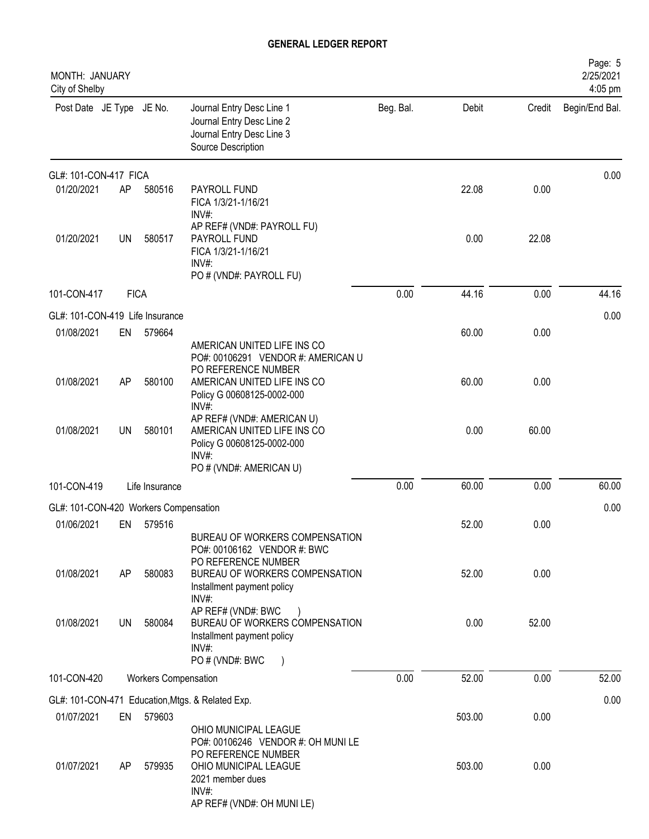| MONTH: JANUARY<br>City of Shelby      |             |                             |                                                                                                                                                                         |           |        |        | Page: 5<br>2/25/2021<br>4:05 pm |
|---------------------------------------|-------------|-----------------------------|-------------------------------------------------------------------------------------------------------------------------------------------------------------------------|-----------|--------|--------|---------------------------------|
| Post Date JE Type JE No.              |             |                             | Journal Entry Desc Line 1<br>Journal Entry Desc Line 2<br>Journal Entry Desc Line 3<br>Source Description                                                               | Beg. Bal. | Debit  | Credit | Begin/End Bal.                  |
| GL#: 101-CON-417 FICA                 |             |                             |                                                                                                                                                                         |           |        |        | 0.00                            |
| 01/20/2021                            | AP          | 580516                      | PAYROLL FUND<br>FICA 1/3/21-1/16/21<br>INV#                                                                                                                             |           | 22.08  | 0.00   |                                 |
| 01/20/2021                            | UN          | 580517                      | AP REF# (VND#: PAYROLL FU)<br>PAYROLL FUND<br>FICA 1/3/21-1/16/21<br>INV#:<br>PO # (VND#: PAYROLL FU)                                                                   |           | 0.00   | 22.08  |                                 |
| 101-CON-417                           | <b>FICA</b> |                             |                                                                                                                                                                         | 0.00      | 44.16  | 0.00   | 44.16                           |
| GL#: 101-CON-419 Life Insurance       |             |                             |                                                                                                                                                                         |           |        |        | 0.00                            |
| 01/08/2021                            | EN          | 579664                      | AMERICAN UNITED LIFE INS CO<br>PO#: 00106291 VENDOR #: AMERICAN U                                                                                                       |           | 60.00  | 0.00   |                                 |
| 01/08/2021                            | AP          | 580100                      | PO REFERENCE NUMBER<br>AMERICAN UNITED LIFE INS CO<br>Policy G 00608125-0002-000<br>INV#:                                                                               |           | 60.00  | 0.00   |                                 |
| 01/08/2021                            | <b>UN</b>   | 580101                      | AP REF# (VND#: AMERICAN U)<br>AMERICAN UNITED LIFE INS CO<br>Policy G 00608125-0002-000<br>INV#:<br>PO # (VND#: AMERICAN U)                                             |           | 0.00   | 60.00  |                                 |
| 101-CON-419                           |             | Life Insurance              |                                                                                                                                                                         | 0.00      | 60.00  | 0.00   | 60.00                           |
| GL#: 101-CON-420 Workers Compensation |             |                             |                                                                                                                                                                         |           |        |        | 0.00                            |
| 01/06/2021                            | EN          | 579516                      | BUREAU OF WORKERS COMPENSATION                                                                                                                                          |           | 52.00  | 0.00   |                                 |
| 01/08/2021                            | AP          | 580083                      | PO#: 00106162 VENDOR #: BWC<br>PO REFERENCE NUMBER<br>BUREAU OF WORKERS COMPENSATION<br>Installment payment policy                                                      |           | 52.00  | 0.00   |                                 |
| 01/08/2021                            | UN          | 580084                      | INV#:<br>AP REF# (VND#: BWC<br>BUREAU OF WORKERS COMPENSATION<br>Installment payment policy<br>$INV#$ :<br>PO # (VND#: BWC                                              |           | 0.00   | 52.00  |                                 |
| 101-CON-420                           |             | <b>Workers Compensation</b> |                                                                                                                                                                         | 0.00      | 52.00  | 0.00   | 52.00                           |
|                                       |             |                             | GL#: 101-CON-471 Education, Mtgs. & Related Exp.                                                                                                                        |           |        |        | 0.00                            |
| 01/07/2021                            | EN          | 579603                      |                                                                                                                                                                         |           | 503.00 | 0.00   |                                 |
| 01/07/2021                            | AP.         | 579935                      | OHIO MUNICIPAL LEAGUE<br>PO#: 00106246 VENDOR #: OH MUNILE<br>PO REFERENCE NUMBER<br>OHIO MUNICIPAL LEAGUE<br>2021 member dues<br>$INV#$ :<br>AP REF# (VND#: OH MUNILE) |           | 503.00 | 0.00   |                                 |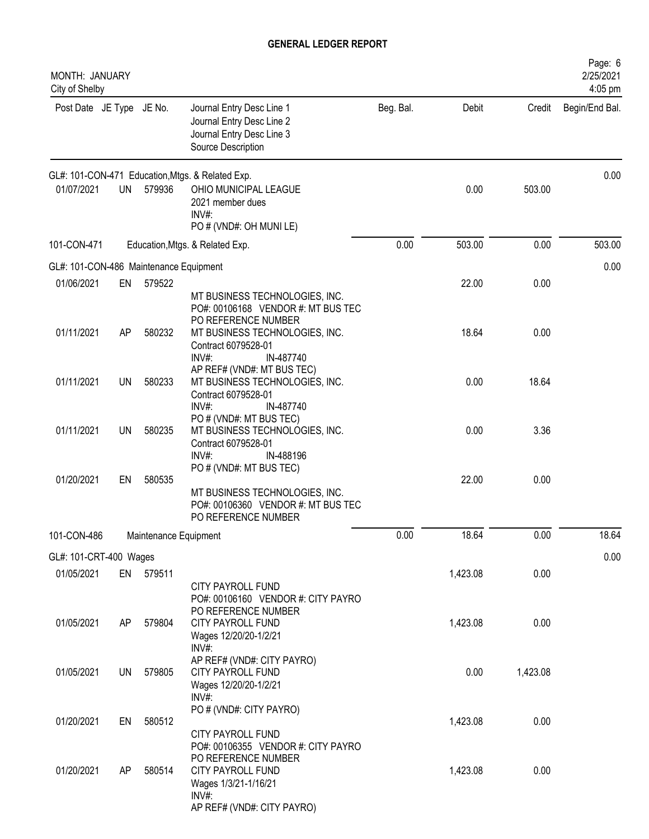| MONTH: JANUARY<br>City of Shelby       |           |                       |                                                                                                                                                         |           |          |          | Page: 6<br>2/25/2021<br>4:05 pm |
|----------------------------------------|-----------|-----------------------|---------------------------------------------------------------------------------------------------------------------------------------------------------|-----------|----------|----------|---------------------------------|
| Post Date JE Type JE No.               |           |                       | Journal Entry Desc Line 1<br>Journal Entry Desc Line 2<br>Journal Entry Desc Line 3<br>Source Description                                               | Beg. Bal. | Debit    |          | Credit Begin/End Bal.           |
|                                        |           |                       | GL#: 101-CON-471 Education, Mtgs. & Related Exp.                                                                                                        |           |          |          | 0.00                            |
| 01/07/2021                             | <b>UN</b> | 579936                | OHIO MUNICIPAL LEAGUE<br>2021 member dues<br>$INV#$ :<br>PO # (VND#: OH MUNI LE)                                                                        |           | 0.00     | 503.00   |                                 |
| 101-CON-471                            |           |                       | Education, Mtgs. & Related Exp.                                                                                                                         | 0.00      | 503.00   | 0.00     | 503.00                          |
| GL#: 101-CON-486 Maintenance Equipment |           |                       |                                                                                                                                                         |           |          |          | 0.00                            |
| 01/06/2021                             | EN        | 579522                | MT BUSINESS TECHNOLOGIES, INC.<br>PO#: 00106168 VENDOR #: MT BUS TEC<br>PO REFERENCE NUMBER                                                             |           | 22.00    | 0.00     |                                 |
| 01/11/2021                             | AP        | 580232                | MT BUSINESS TECHNOLOGIES, INC.<br>Contract 6079528-01<br>$INV#$ :<br>IN-487740                                                                          |           | 18.64    | 0.00     |                                 |
| 01/11/2021                             | <b>UN</b> | 580233                | AP REF# (VND#: MT BUS TEC)<br>MT BUSINESS TECHNOLOGIES, INC.<br>Contract 6079528-01<br>$INV#$ :<br>IN-487740                                            |           | 0.00     | 18.64    |                                 |
| 01/11/2021                             | <b>UN</b> | 580235                | PO # (VND#: MT BUS TEC)<br>MT BUSINESS TECHNOLOGIES, INC.<br>Contract 6079528-01<br>IN-488196<br>$INV#$ :                                               |           | 0.00     | 3.36     |                                 |
| 01/20/2021                             | EN        | 580535                | PO # (VND#: MT BUS TEC)<br>MT BUSINESS TECHNOLOGIES, INC.<br>PO#: 00106360 VENDOR #: MT BUS TEC<br>PO REFERENCE NUMBER                                  |           | 22.00    | 0.00     |                                 |
| 101-CON-486                            |           | Maintenance Equipment |                                                                                                                                                         | 0.00      | 18.64    | 0.00     | 18.64                           |
| GL#: 101-CRT-400 Wages                 |           |                       |                                                                                                                                                         |           |          |          | 0.00                            |
| 01/05/2021                             |           | EN 579511             | <b>CITY PAYROLL FUND</b><br>PO#: 00106160 VENDOR #: CITY PAYRO                                                                                          |           | 1,423.08 | 0.00     |                                 |
| 01/05/2021                             | AP        | 579804                | PO REFERENCE NUMBER<br>CITY PAYROLL FUND<br>Wages 12/20/20-1/2/21<br>$INV#$ :                                                                           |           | 1,423.08 | 0.00     |                                 |
| 01/05/2021                             | UN        | 579805                | AP REF# (VND#: CITY PAYRO)<br>CITY PAYROLL FUND<br>Wages 12/20/20-1/2/21<br>$INV#$ :                                                                    |           | 0.00     | 1,423.08 |                                 |
| 01/20/2021                             | EN        | 580512                | PO # (VND#: CITY PAYRO)<br>CITY PAYROLL FUND                                                                                                            |           | 1,423.08 | 0.00     |                                 |
| 01/20/2021                             | AP        | 580514                | PO#: 00106355 VENDOR #: CITY PAYRO<br>PO REFERENCE NUMBER<br><b>CITY PAYROLL FUND</b><br>Wages 1/3/21-1/16/21<br>$INV#$ :<br>AP REF# (VND#: CITY PAYRO) |           | 1,423.08 | 0.00     |                                 |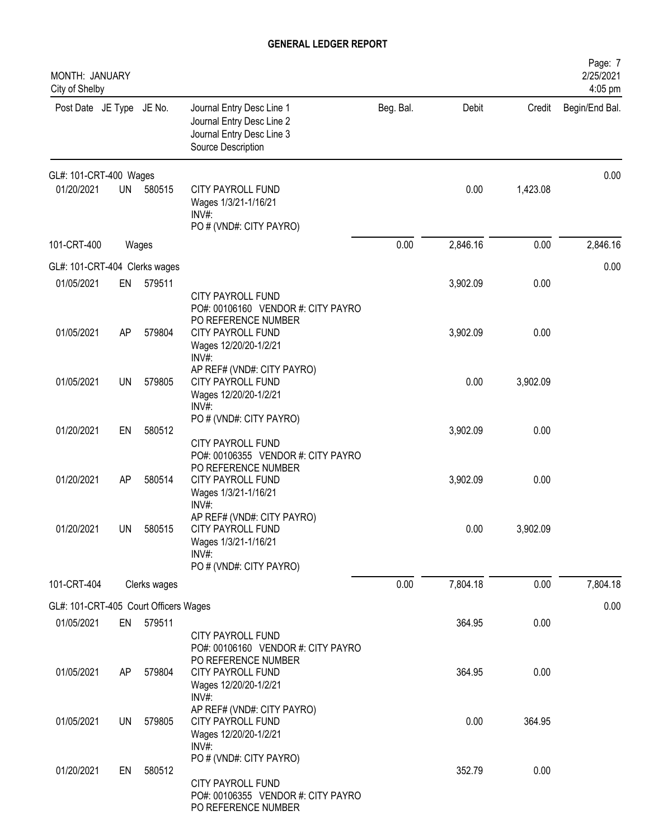| Page: 7<br>2/25/2021<br>4:05 pm |          |          |           |                                                                                                             |              |           | MONTH: JANUARY<br>City of Shelby      |
|---------------------------------|----------|----------|-----------|-------------------------------------------------------------------------------------------------------------|--------------|-----------|---------------------------------------|
| Begin/End Bal.                  | Credit   | Debit    | Beg. Bal. | Journal Entry Desc Line 1<br>Journal Entry Desc Line 2<br>Journal Entry Desc Line 3<br>Source Description   |              |           | Post Date JE Type JE No.              |
| 0.00                            |          |          |           |                                                                                                             |              |           | GL#: 101-CRT-400 Wages                |
|                                 | 1,423.08 | 0.00     |           | <b>CITY PAYROLL FUND</b><br>Wages 1/3/21-1/16/21<br>$INV#$ :<br>PO # (VND#: CITY PAYRO)                     | 580515       | <b>UN</b> | 01/20/2021                            |
| 2,846.16                        | 0.00     | 2,846.16 | 0.00      |                                                                                                             |              | Wages     | 101-CRT-400                           |
| 0.00                            |          |          |           |                                                                                                             |              |           | GL#: 101-CRT-404 Clerks wages         |
|                                 | 0.00     | 3,902.09 |           | <b>CITY PAYROLL FUND</b><br>PO#: 00106160 VENDOR #: CITY PAYRO<br>PO REFERENCE NUMBER                       | 579511       | EN        | 01/05/2021                            |
|                                 | 0.00     | 3,902.09 |           | <b>CITY PAYROLL FUND</b><br>Wages 12/20/20-1/2/21<br>INV#:                                                  | 579804       | AP        | 01/05/2021                            |
|                                 | 3,902.09 | 0.00     |           | AP REF# (VND#: CITY PAYRO)<br><b>CITY PAYROLL FUND</b><br>Wages 12/20/20-1/2/21<br>INV#:                    | 579805       | <b>UN</b> | 01/05/2021                            |
|                                 | 0.00     | 3,902.09 |           | PO # (VND#: CITY PAYRO)<br><b>CITY PAYROLL FUND</b><br>PO#: 00106355 VENDOR #: CITY PAYRO                   | 580512       | EN        | 01/20/2021                            |
|                                 | 0.00     | 3,902.09 |           | PO REFERENCE NUMBER<br><b>CITY PAYROLL FUND</b><br>Wages 1/3/21-1/16/21<br>INV#                             | 580514       | AP        | 01/20/2021                            |
|                                 | 3,902.09 | 0.00     |           | AP REF# (VND#: CITY PAYRO)<br>CITY PAYROLL FUND<br>Wages 1/3/21-1/16/21<br>INV#:<br>PO # (VND#: CITY PAYRO) | 580515       | <b>UN</b> | 01/20/2021                            |
| 7,804.18                        | 0.00     | 7,804.18 | 0.00      |                                                                                                             | Clerks wages |           | 101-CRT-404                           |
| 0.00                            |          |          |           |                                                                                                             |              |           | GL#: 101-CRT-405 Court Officers Wages |
|                                 | 0.00     | 364.95   |           | <b>CITY PAYROLL FUND</b><br>PO#: 00106160 VENDOR #: CITY PAYRO                                              | 579511       | EN        | 01/05/2021                            |
|                                 | 0.00     | 364.95   |           | PO REFERENCE NUMBER<br><b>CITY PAYROLL FUND</b><br>Wages 12/20/20-1/2/21<br>INV#:                           | 579804       | AP        | 01/05/2021                            |
|                                 | 364.95   | 0.00     |           | AP REF# (VND#: CITY PAYRO)<br><b>CITY PAYROLL FUND</b><br>Wages 12/20/20-1/2/21<br>INV#:                    | 579805       | UN        | 01/05/2021                            |
|                                 | 0.00     | 352.79   |           | PO # (VND#: CITY PAYRO)<br>CITY PAYROLL FUND<br>PO#: 00106355 VENDOR #: CITY PAYRO<br>PO REFERENCE NUMBER   | 580512       | EN        | 01/20/2021                            |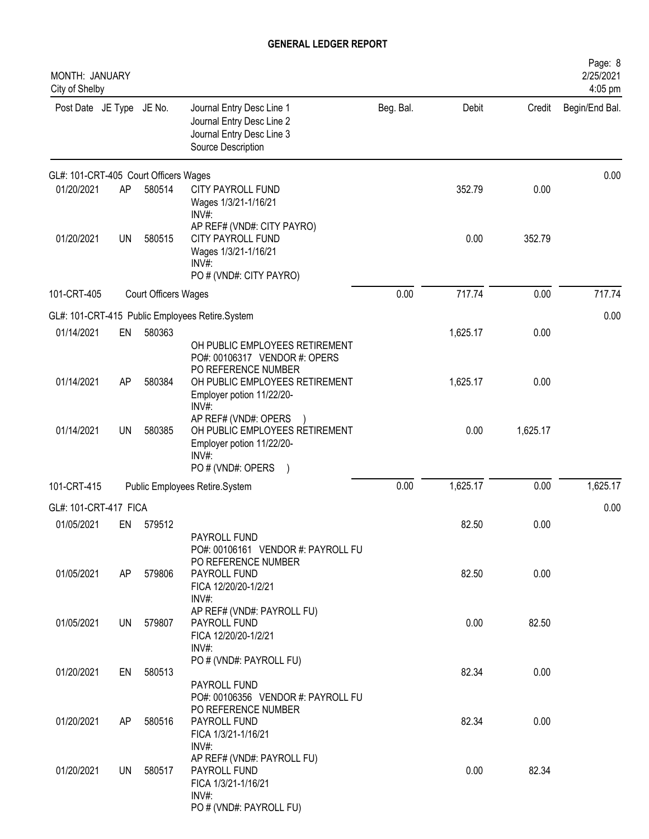| MONTH: JANUARY<br>City of Shelby      |           |                             |                                                                                                                       |           |          |          | Page: 8<br>2/25/2021<br>4:05 pm |
|---------------------------------------|-----------|-----------------------------|-----------------------------------------------------------------------------------------------------------------------|-----------|----------|----------|---------------------------------|
| Post Date JE Type JE No.              |           |                             | Journal Entry Desc Line 1<br>Journal Entry Desc Line 2<br>Journal Entry Desc Line 3<br>Source Description             | Beg. Bal. | Debit    | Credit   | Begin/End Bal.                  |
| GL#: 101-CRT-405 Court Officers Wages |           |                             |                                                                                                                       |           |          |          | 0.00                            |
| 01/20/2021                            | AP        | 580514                      | CITY PAYROLL FUND<br>Wages 1/3/21-1/16/21<br>$INV#$ :                                                                 |           | 352.79   | 0.00     |                                 |
| 01/20/2021                            | <b>UN</b> | 580515                      | AP REF# (VND#: CITY PAYRO)<br><b>CITY PAYROLL FUND</b><br>Wages 1/3/21-1/16/21<br>$INV#$ :<br>PO # (VND#: CITY PAYRO) |           | 0.00     | 352.79   |                                 |
| 101-CRT-405                           |           | <b>Court Officers Wages</b> |                                                                                                                       | 0.00      | 717.74   | 0.00     | 717.74                          |
|                                       |           |                             | GL#: 101-CRT-415 Public Employees Retire.System                                                                       |           |          |          | 0.00                            |
| 01/14/2021                            | EN        | 580363                      | OH PUBLIC EMPLOYEES RETIREMENT<br>PO#: 00106317 VENDOR #: OPERS                                                       |           | 1,625.17 | 0.00     |                                 |
| 01/14/2021                            | AP        | 580384                      | PO REFERENCE NUMBER<br>OH PUBLIC EMPLOYEES RETIREMENT<br>Employer potion 11/22/20-<br>INV#:                           |           | 1,625.17 | 0.00     |                                 |
| 01/14/2021                            | <b>UN</b> | 580385                      | AP REF# (VND#: OPERS<br>OH PUBLIC EMPLOYEES RETIREMENT<br>Employer potion 11/22/20-<br>$INV#$ :                       |           | 0.00     | 1,625.17 |                                 |
| 101-CRT-415                           |           |                             | PO # (VND#: OPERS<br>Public Employees Retire.System                                                                   | 0.00      | 1,625.17 | 0.00     | 1,625.17                        |
|                                       |           |                             |                                                                                                                       |           |          |          |                                 |
| GL#: 101-CRT-417 FICA<br>01/05/2021   |           | 579512                      |                                                                                                                       |           | 82.50    | 0.00     | 0.00                            |
|                                       | EN        |                             | PAYROLL FUND<br>PO#: 00106161 VENDOR #: PAYROLL FU<br>PO REFERENCE NUMBER                                             |           |          |          |                                 |
| 01/05/2021                            | AP        | 579806                      | PAYROLL FUND<br>FICA 12/20/20-1/2/21<br>INV#:                                                                         |           | 82.50    | 0.00     |                                 |
| 01/05/2021                            | UN        | 579807                      | AP REF# (VND#: PAYROLL FU)<br>PAYROLL FUND<br>FICA 12/20/20-1/2/21<br>$INV#$ :                                        |           | 0.00     | 82.50    |                                 |
| 01/20/2021                            | EN        | 580513                      | PO # (VND#: PAYROLL FU)<br>PAYROLL FUND                                                                               |           | 82.34    | 0.00     |                                 |
| 01/20/2021                            | AP        | 580516                      | PO#: 00106356 VENDOR #: PAYROLL FU<br>PO REFERENCE NUMBER<br>PAYROLL FUND<br>FICA 1/3/21-1/16/21                      |           | 82.34    | 0.00     |                                 |
| 01/20/2021                            | UN        | 580517                      | INV#:<br>AP REF# (VND#: PAYROLL FU)<br>PAYROLL FUND<br>FICA 1/3/21-1/16/21                                            |           | 0.00     | 82.34    |                                 |
|                                       |           |                             | $INV#$ :<br>PO # (VND#: PAYROLL FU)                                                                                   |           |          |          |                                 |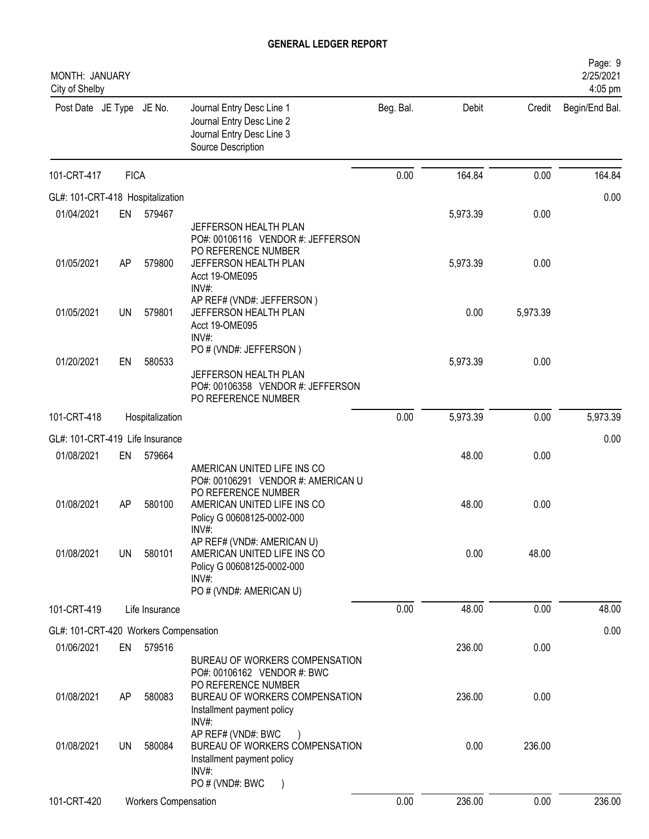| MONTH: JANUARY<br>City of Shelby      |             |                             |                                                                                                                                                              |           |          |          | Page: 9<br>2/25/2021<br>4:05 pm |
|---------------------------------------|-------------|-----------------------------|--------------------------------------------------------------------------------------------------------------------------------------------------------------|-----------|----------|----------|---------------------------------|
| Post Date JE Type JE No.              |             |                             | Journal Entry Desc Line 1<br>Journal Entry Desc Line 2<br>Journal Entry Desc Line 3<br>Source Description                                                    | Beg. Bal. | Debit    | Credit   | Begin/End Bal.                  |
| 101-CRT-417                           | <b>FICA</b> |                             |                                                                                                                                                              | 0.00      | 164.84   | 0.00     | 164.84                          |
| GL#: 101-CRT-418 Hospitalization      |             |                             |                                                                                                                                                              |           |          |          | 0.00                            |
| 01/04/2021                            | EN          | 579467                      |                                                                                                                                                              |           | 5,973.39 | 0.00     |                                 |
| 01/05/2021                            | AP          | 579800                      | JEFFERSON HEALTH PLAN<br>PO#: 00106116 VENDOR #: JEFFERSON<br>PO REFERENCE NUMBER<br>JEFFERSON HEALTH PLAN<br>Acct 19-OME095                                 |           | 5,973.39 | 0.00     |                                 |
| 01/05/2021                            | UN          | 579801                      | INV#:<br>AP REF# (VND#: JEFFERSON)<br>JEFFERSON HEALTH PLAN<br>Acct 19-OME095<br>INV#:                                                                       |           | 0.00     | 5,973.39 |                                 |
| 01/20/2021                            | EN          | 580533                      | PO # (VND#: JEFFERSON)<br>JEFFERSON HEALTH PLAN<br>PO#: 00106358 VENDOR #: JEFFERSON<br>PO REFERENCE NUMBER                                                  |           | 5,973.39 | 0.00     |                                 |
| 101-CRT-418                           |             | Hospitalization             |                                                                                                                                                              | 0.00      | 5,973.39 | 0.00     | 5,973.39                        |
| GL#: 101-CRT-419 Life Insurance       |             |                             |                                                                                                                                                              |           |          |          | 0.00                            |
| 01/08/2021                            | EN          | 579664                      |                                                                                                                                                              |           | 48.00    | 0.00     |                                 |
| 01/08/2021                            | AP          | 580100                      | AMERICAN UNITED LIFE INS CO<br>PO#: 00106291 VENDOR #: AMERICAN U<br>PO REFERENCE NUMBER<br>AMERICAN UNITED LIFE INS CO<br>Policy G 00608125-0002-000        |           | 48.00    | 0.00     |                                 |
| 01/08/2021                            | UN          | 580101                      | INV#:<br>AP REF# (VND#: AMERICAN U)<br>AMERICAN UNITED LIFE INS CO<br>Policy G 00608125-0002-000<br>INV#:<br>PO # (VND#: AMERICAN U)                         |           | 0.00     | 48.00    |                                 |
| 101-CRT-419                           |             | Life Insurance              |                                                                                                                                                              | 0.00      | 48.00    | 0.00     | 48.00                           |
| GL#: 101-CRT-420 Workers Compensation |             |                             |                                                                                                                                                              |           |          |          | 0.00                            |
| 01/06/2021                            | EN          | 579516                      |                                                                                                                                                              |           | 236.00   | 0.00     |                                 |
| 01/08/2021                            | AP          | 580083                      | BUREAU OF WORKERS COMPENSATION<br>PO#: 00106162 VENDOR #: BWC<br>PO REFERENCE NUMBER<br>BUREAU OF WORKERS COMPENSATION<br>Installment payment policy<br>INV# |           | 236.00   | 0.00     |                                 |
| 01/08/2021                            | UN          | 580084                      | AP REF# (VND#: BWC<br>BUREAU OF WORKERS COMPENSATION<br>Installment payment policy<br>INV#:<br>PO # (VND#: BWC                                               |           | 0.00     | 236.00   |                                 |
| 101-CRT-420                           |             | <b>Workers Compensation</b> |                                                                                                                                                              | 0.00      | 236.00   | 0.00     | 236.00                          |
|                                       |             |                             |                                                                                                                                                              |           |          |          |                                 |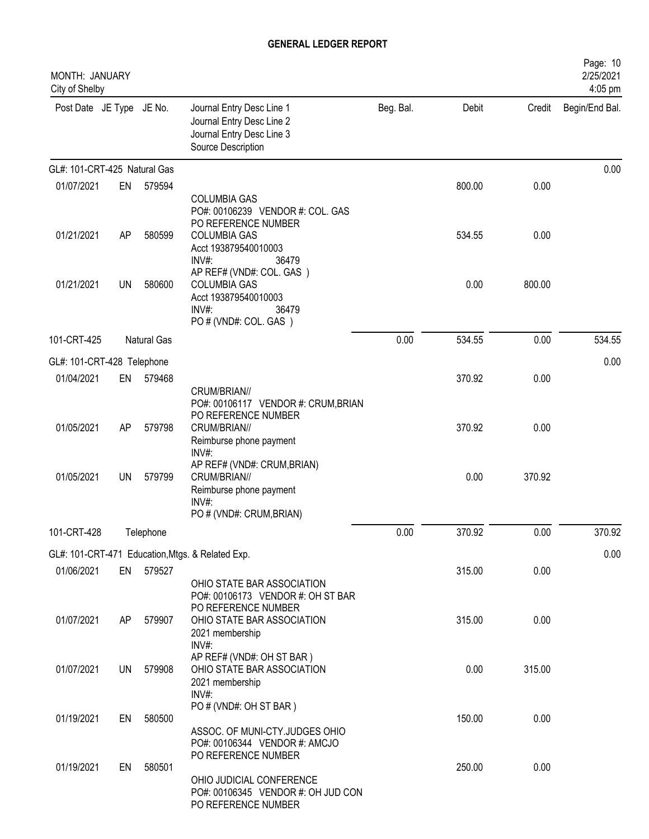| MONTH: JANUARY<br>City of Shelby |     |             |                                                                                                                      |           |        |        | Page: 10<br>2/25/2021<br>4:05 pm |
|----------------------------------|-----|-------------|----------------------------------------------------------------------------------------------------------------------|-----------|--------|--------|----------------------------------|
| Post Date JE Type JE No.         |     |             | Journal Entry Desc Line 1<br>Journal Entry Desc Line 2<br>Journal Entry Desc Line 3<br>Source Description            | Beg. Bal. | Debit  | Credit | Begin/End Bal.                   |
| GL#: 101-CRT-425 Natural Gas     |     |             |                                                                                                                      |           |        |        | 0.00                             |
| 01/07/2021                       | EN  | 579594      | <b>COLUMBIA GAS</b><br>PO#: 00106239 VENDOR #: COL. GAS                                                              |           | 800.00 | 0.00   |                                  |
| 01/21/2021                       | AP  | 580599      | PO REFERENCE NUMBER<br><b>COLUMBIA GAS</b><br>Acct 193879540010003<br>INV#:<br>36479                                 |           | 534.55 | 0.00   |                                  |
| 01/21/2021                       | UN  | 580600      | AP REF# (VND#: COL. GAS)<br><b>COLUMBIA GAS</b><br>Acct 193879540010003<br>INV#:<br>36479<br>PO # (VND#: COL. GAS)   |           | 0.00   | 800.00 |                                  |
| 101-CRT-425                      |     | Natural Gas |                                                                                                                      | 0.00      | 534.55 | 0.00   | 534.55                           |
| GL#: 101-CRT-428 Telephone       |     |             |                                                                                                                      |           |        |        | 0.00                             |
| 01/04/2021                       | EN  | 579468      | CRUM/BRIAN//                                                                                                         |           | 370.92 | 0.00   |                                  |
| 01/05/2021                       | AP  | 579798      | PO#: 00106117 VENDOR #: CRUM, BRIAN<br>PO REFERENCE NUMBER<br>CRUM/BRIAN//<br>Reimburse phone payment                |           | 370.92 | 0.00   |                                  |
| 01/05/2021                       | UN  | 579799      | INV#:<br>AP REF# (VND#: CRUM, BRIAN)<br>CRUM/BRIAN//<br>Reimburse phone payment<br>INV#:<br>PO # (VND#: CRUM, BRIAN) |           | 0.00   | 370.92 |                                  |
| 101-CRT-428                      |     | Telephone   |                                                                                                                      | 0.00      | 370.92 | 0.00   | 370.92                           |
|                                  |     |             | GL#: 101-CRT-471 Education, Mtgs. & Related Exp.                                                                     |           |        |        | 0.00                             |
| 01/06/2021                       |     | EN 579527   | OHIO STATE BAR ASSOCIATION<br>PO#: 00106173 VENDOR #: OH ST BAR                                                      |           | 315.00 | 0.00   |                                  |
| 01/07/2021                       | AP. | 579907      | PO REFERENCE NUMBER<br>OHIO STATE BAR ASSOCIATION<br>2021 membership<br>INV#:                                        |           | 315.00 | 0.00   |                                  |
| 01/07/2021                       |     | UN 579908   | AP REF# (VND#: OH ST BAR)<br>OHIO STATE BAR ASSOCIATION<br>2021 membership<br>INV#:                                  |           | 0.00   | 315.00 |                                  |
| 01/19/2021                       | EN  | 580500      | PO # (VND#: OH ST BAR)<br>ASSOC. OF MUNI-CTY.JUDGES OHIO<br>PO#: 00106344 VENDOR #: AMCJO                            |           | 150.00 | 0.00   |                                  |
| 01/19/2021                       | EN  | 580501      | PO REFERENCE NUMBER<br>OHIO JUDICIAL CONFERENCE<br>PO#: 00106345 VENDOR #: OH JUD CON<br>PO REFERENCE NUMBER         |           | 250.00 | 0.00   |                                  |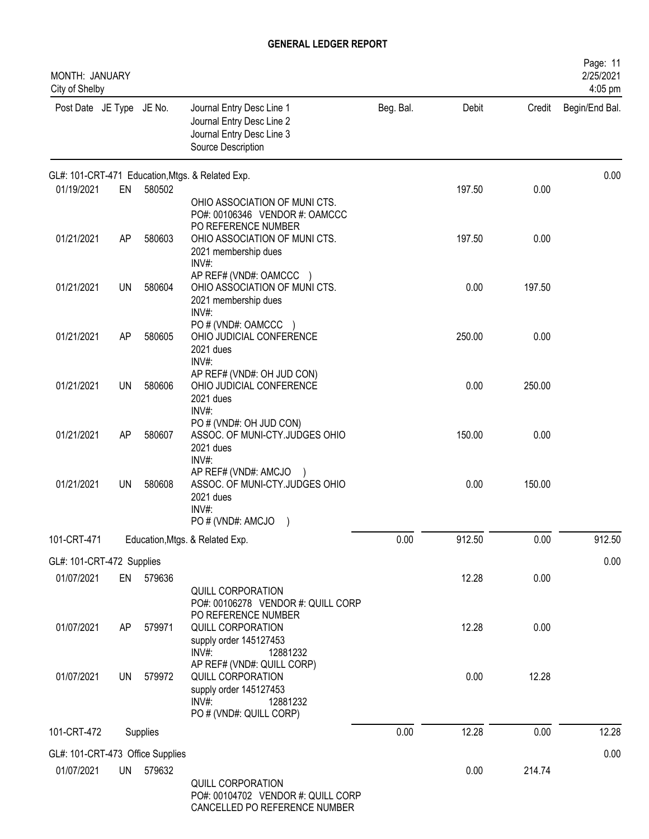| MONTH: JANUARY<br>City of Shelby |           |           |                                                                                                                              |           |        |        | Page: 11<br>2/25/2021<br>4:05 pm |
|----------------------------------|-----------|-----------|------------------------------------------------------------------------------------------------------------------------------|-----------|--------|--------|----------------------------------|
| Post Date JE Type JE No.         |           |           | Journal Entry Desc Line 1<br>Journal Entry Desc Line 2<br>Journal Entry Desc Line 3<br>Source Description                    | Beg. Bal. | Debit  | Credit | Begin/End Bal.                   |
|                                  |           |           | GL#: 101-CRT-471 Education, Mtgs. & Related Exp.                                                                             |           |        |        | 0.00                             |
| 01/19/2021                       | EN        | 580502    | OHIO ASSOCIATION OF MUNICTS.<br>PO#: 00106346 VENDOR #: OAMCCC<br>PO REFERENCE NUMBER                                        |           | 197.50 | 0.00   |                                  |
| 01/21/2021                       | AP        | 580603    | OHIO ASSOCIATION OF MUNICTS.<br>2021 membership dues<br>INV#:                                                                |           | 197.50 | 0.00   |                                  |
| 01/21/2021                       | <b>UN</b> | 580604    | AP REF# (VND#: OAMCCC )<br>OHIO ASSOCIATION OF MUNICTS.<br>2021 membership dues<br>INV#:                                     |           | 0.00   | 197.50 |                                  |
| 01/21/2021                       | AP        | 580605    | PO # (VND#: OAMCCC )<br>OHIO JUDICIAL CONFERENCE<br>2021 dues<br>INV#:                                                       |           | 250.00 | 0.00   |                                  |
| 01/21/2021                       | UN        | 580606    | AP REF# (VND#: OH JUD CON)<br>OHIO JUDICIAL CONFERENCE<br>2021 dues<br>$INV#$ :                                              |           | 0.00   | 250.00 |                                  |
| 01/21/2021                       | AP        | 580607    | PO # (VND#: OH JUD CON)<br>ASSOC. OF MUNI-CTY.JUDGES OHIO<br>2021 dues<br>INV#:                                              |           | 150.00 | 0.00   |                                  |
| 01/21/2021                       | <b>UN</b> | 580608    | AP REF# (VND#: AMCJO )<br>ASSOC. OF MUNI-CTY.JUDGES OHIO<br>2021 dues<br>$INV#$ :<br>PO # (VND#: AMCJO                       |           | 0.00   | 150.00 |                                  |
| 101-CRT-471                      |           |           | Education, Mtgs. & Related Exp.                                                                                              | 0.00      | 912.50 | 0.00   | 912.50                           |
| GL#: 101-CRT-472 Supplies        |           |           |                                                                                                                              |           |        |        | 0.00                             |
| 01/07/2021                       |           | EN 579636 | QUILL CORPORATION<br>PO#: 00106278 VENDOR #: QUILL CORP                                                                      |           | 12.28  | 0.00   |                                  |
| 01/07/2021                       | AP        | 579971    | PO REFERENCE NUMBER<br>QUILL CORPORATION<br>supply order 145127453<br>$INV#$ :<br>12881232                                   |           | 12.28  | 0.00   |                                  |
| 01/07/2021                       | UN        | 579972    | AP REF# (VND#: QUILL CORP)<br>QUILL CORPORATION<br>supply order 145127453<br>$INV#$ :<br>12881232<br>PO # (VND#: QUILL CORP) |           | 0.00   | 12.28  |                                  |
| 101-CRT-472                      |           | Supplies  |                                                                                                                              | 0.00      | 12.28  | 0.00   | 12.28                            |
| GL#: 101-CRT-473 Office Supplies |           |           |                                                                                                                              |           |        |        | 0.00                             |
| 01/07/2021                       |           | UN 579632 | QUILL CORPORATION<br>PO#: 00104702 VENDOR #: QUILL CORP<br>CANCELLED PO REFERENCE NUMBER                                     |           | 0.00   | 214.74 |                                  |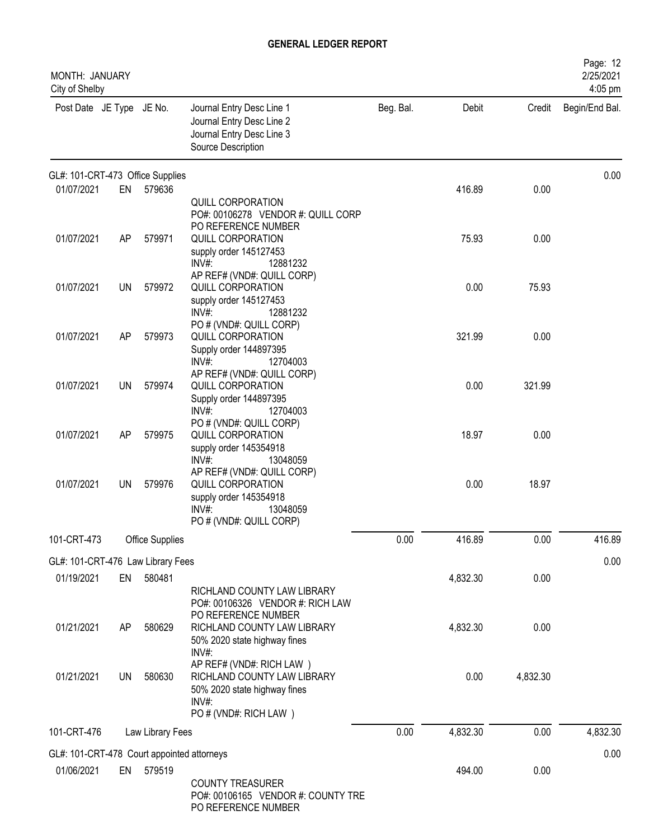| <b>MONTH: JANUARY</b><br>City of Shelby    |           |                  |                                                                                                                              |           |          |          | Page: 12<br>2/25/2021<br>4:05 pm |
|--------------------------------------------|-----------|------------------|------------------------------------------------------------------------------------------------------------------------------|-----------|----------|----------|----------------------------------|
| Post Date JE Type JE No.                   |           |                  | Journal Entry Desc Line 1<br>Journal Entry Desc Line 2<br>Journal Entry Desc Line 3<br>Source Description                    | Beg. Bal. | Debit    | Credit   | Begin/End Bal.                   |
| GL#: 101-CRT-473 Office Supplies           |           |                  |                                                                                                                              |           |          |          | 0.00                             |
| 01/07/2021                                 | EN        | 579636           | QUILL CORPORATION<br>PO#: 00106278 VENDOR #: QUILL CORP                                                                      |           | 416.89   | 0.00     |                                  |
| 01/07/2021                                 | AP        | 579971           | PO REFERENCE NUMBER<br>QUILL CORPORATION<br>supply order 145127453<br>$INV#$ :<br>12881232                                   |           | 75.93    | 0.00     |                                  |
| 01/07/2021                                 | <b>UN</b> | 579972           | AP REF# (VND#: QUILL CORP)<br>QUILL CORPORATION<br>supply order 145127453<br>12881232<br>INV#                                |           | 0.00     | 75.93    |                                  |
| 01/07/2021                                 | AP        | 579973           | PO # (VND#: QUILL CORP)<br>QUILL CORPORATION<br>Supply order 144897395<br>INV#:<br>12704003                                  |           | 321.99   | 0.00     |                                  |
| 01/07/2021                                 | UN        | 579974           | AP REF# (VND#: QUILL CORP)<br>QUILL CORPORATION<br>Supply order 144897395<br>$INV#$ :<br>12704003                            |           | 0.00     | 321.99   |                                  |
| 01/07/2021                                 | AP        | 579975           | PO # (VND#: QUILL CORP)<br><b>QUILL CORPORATION</b><br>supply order 145354918<br>INV#<br>13048059                            |           | 18.97    | 0.00     |                                  |
| 01/07/2021                                 | UN.       | 579976           | AP REF# (VND#: QUILL CORP)<br>QUILL CORPORATION<br>supply order 145354918<br>$INV#$ :<br>13048059<br>PO # (VND#: QUILL CORP) |           | 0.00     | 18.97    |                                  |
| 101-CRT-473                                |           | Office Supplies  |                                                                                                                              | 0.00      | 416.89   | 0.00     | 416.89                           |
| GL#: 101-CRT-476 Law Library Fees          |           |                  |                                                                                                                              |           |          |          | 0.00                             |
| 01/19/2021                                 | EN        | 580481           | RICHLAND COUNTY LAW LIBRARY<br>PO#: 00106326 VENDOR #: RICH LAW                                                              |           | 4,832.30 | 0.00     |                                  |
| 01/21/2021                                 | AP        | 580629           | PO REFERENCE NUMBER<br>RICHLAND COUNTY LAW LIBRARY<br>50% 2020 state highway fines<br>INV#:                                  |           | 4,832.30 | 0.00     |                                  |
| 01/21/2021                                 | <b>UN</b> | 580630           | AP REF# (VND#: RICH LAW)<br>RICHLAND COUNTY LAW LIBRARY<br>50% 2020 state highway fines<br>INV#:<br>PO # (VND#: RICH LAW)    |           | 0.00     | 4,832.30 |                                  |
| 101-CRT-476                                |           | Law Library Fees |                                                                                                                              | 0.00      | 4,832.30 | 0.00     | 4,832.30                         |
| GL#: 101-CRT-478 Court appointed attorneys |           |                  |                                                                                                                              |           |          |          | 0.00                             |
| 01/06/2021                                 |           | EN 579519        | <b>COUNTY TREASURER</b><br>PO#: 00106165 VENDOR #: COUNTY TRE<br>PO REFERENCE NUMBER                                         |           | 494.00   | 0.00     |                                  |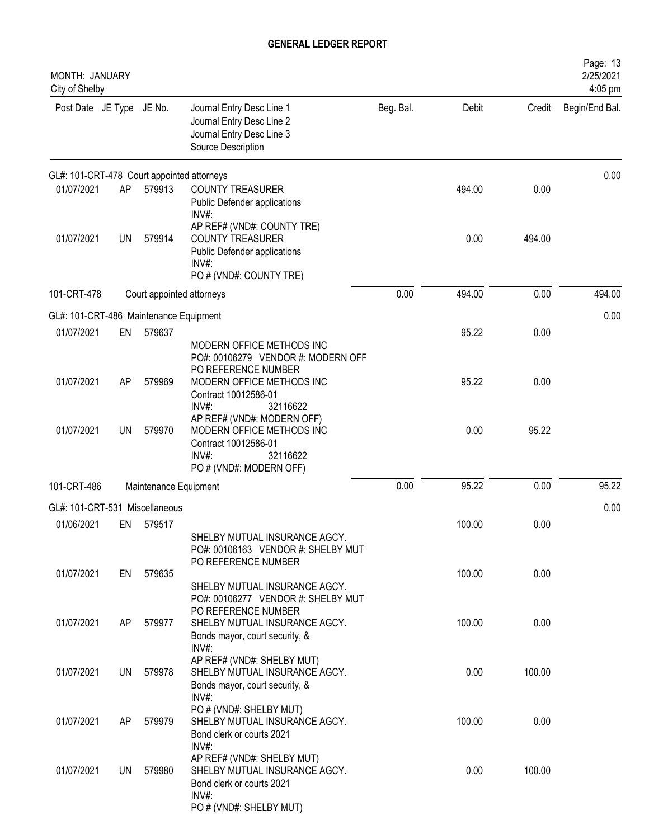| MONTH: JANUARY<br>City of Shelby           |           |                       |                                                                                                                              |           |        |        | Page: 13<br>2/25/2021<br>4:05 pm |
|--------------------------------------------|-----------|-----------------------|------------------------------------------------------------------------------------------------------------------------------|-----------|--------|--------|----------------------------------|
| Post Date JE Type JE No.                   |           |                       | Journal Entry Desc Line 1<br>Journal Entry Desc Line 2<br>Journal Entry Desc Line 3<br>Source Description                    | Beg. Bal. | Debit  | Credit | Begin/End Bal.                   |
| GL#: 101-CRT-478 Court appointed attorneys |           |                       |                                                                                                                              |           |        |        | 0.00                             |
| 01/07/2021                                 | AP        | 579913                | <b>COUNTY TREASURER</b><br>Public Defender applications<br>INV#:                                                             |           | 494.00 | 0.00   |                                  |
| 01/07/2021                                 | UN        | 579914                | AP REF# (VND#: COUNTY TRE)<br><b>COUNTY TREASURER</b><br>Public Defender applications<br>$INV#$ :<br>PO # (VND#: COUNTY TRE) |           | 0.00   | 494.00 |                                  |
| 101-CRT-478                                |           |                       | Court appointed attorneys                                                                                                    | 0.00      | 494.00 | 0.00   | 494.00                           |
| GL#: 101-CRT-486 Maintenance Equipment     |           |                       |                                                                                                                              |           |        |        | 0.00                             |
| 01/07/2021                                 | EN        | 579637                |                                                                                                                              |           | 95.22  | 0.00   |                                  |
|                                            |           |                       | MODERN OFFICE METHODS INC<br>PO#: 00106279 VENDOR #: MODERN OFF<br>PO REFERENCE NUMBER                                       |           |        |        |                                  |
| 01/07/2021                                 | AP        | 579969                | MODERN OFFICE METHODS INC<br>Contract 10012586-01<br>$INV#$ :<br>32116622                                                    |           | 95.22  | 0.00   |                                  |
| 01/07/2021                                 | <b>UN</b> | 579970                | AP REF# (VND#: MODERN OFF)<br>MODERN OFFICE METHODS INC<br>Contract 10012586-01<br>INV#:<br>32116622                         |           | 0.00   | 95.22  |                                  |
|                                            |           |                       | PO # (VND#: MODERN OFF)                                                                                                      |           |        |        |                                  |
| 101-CRT-486                                |           | Maintenance Equipment |                                                                                                                              | 0.00      | 95.22  | 0.00   | 95.22                            |
| GL#: 101-CRT-531 Miscellaneous             |           |                       |                                                                                                                              |           |        |        | 0.00                             |
| 01/06/2021                                 | EN        | 579517                | SHELBY MUTUAL INSURANCE AGCY.<br>PO#: 00106163 VENDOR #: SHELBY MUT<br>PO REFERENCE NUMBER                                   |           | 100.00 | 0.00   |                                  |
| 01/07/2021                                 | EN        | 579635                | SHELBY MUTUAL INSURANCE AGCY.<br>PO#: 00106277 VENDOR #: SHELBY MUT                                                          |           | 100.00 | 0.00   |                                  |
| 01/07/2021                                 | AP.       | 579977                | PO REFERENCE NUMBER<br>SHELBY MUTUAL INSURANCE AGCY.<br>Bonds mayor, court security, &<br>$INV#$ :                           |           | 100.00 | 0.00   |                                  |
| 01/07/2021                                 | UN        | 579978                | AP REF# (VND#: SHELBY MUT)<br>SHELBY MUTUAL INSURANCE AGCY.<br>Bonds mayor, court security, &                                |           | 0.00   | 100.00 |                                  |
| 01/07/2021                                 | AP.       | 579979                | $INV#$ :<br>PO # (VND#: SHELBY MUT)<br>SHELBY MUTUAL INSURANCE AGCY.<br>Bond clerk or courts 2021                            |           | 100.00 | 0.00   |                                  |
| 01/07/2021                                 | UN        | 579980                | $INV#$ :<br>AP REF# (VND#: SHELBY MUT)<br>SHELBY MUTUAL INSURANCE AGCY.<br>Bond clerk or courts 2021<br>INV#:                |           | 0.00   | 100.00 |                                  |
|                                            |           |                       | PO # (VND#: SHELBY MUT)                                                                                                      |           |        |        |                                  |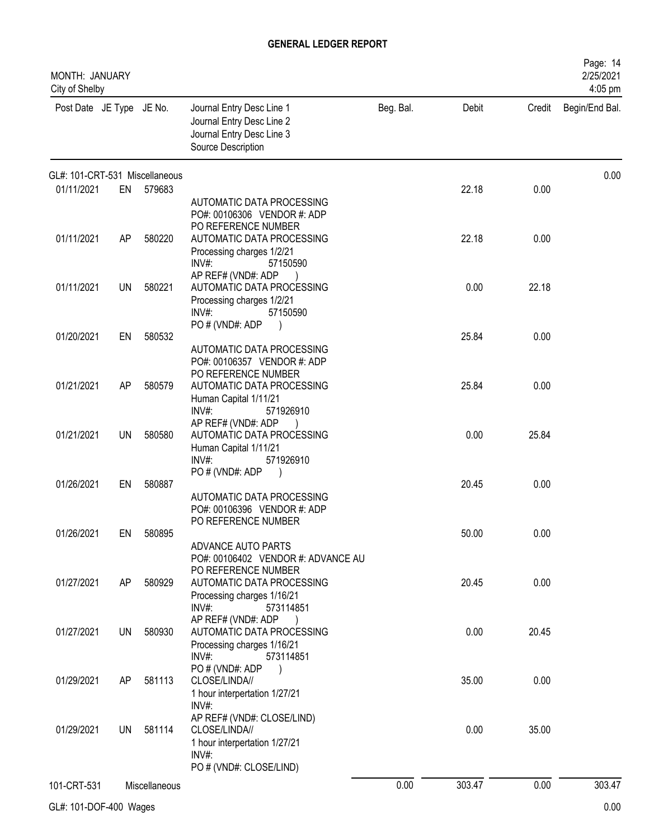| MONTH: JANUARY<br>City of Shelby |           |               |                                                                                                                                 |           |        |        | Page: 14<br>2/25/2021<br>4:05 pm |
|----------------------------------|-----------|---------------|---------------------------------------------------------------------------------------------------------------------------------|-----------|--------|--------|----------------------------------|
| Post Date JE Type JE No.         |           |               | Journal Entry Desc Line 1<br>Journal Entry Desc Line 2<br>Journal Entry Desc Line 3<br>Source Description                       | Beg. Bal. | Debit  | Credit | Begin/End Bal.                   |
| GL#: 101-CRT-531 Miscellaneous   |           |               |                                                                                                                                 |           |        |        | 0.00                             |
| 01/11/2021                       | EN        | 579683        | AUTOMATIC DATA PROCESSING<br>PO#: 00106306 VENDOR #: ADP<br>PO REFERENCE NUMBER                                                 |           | 22.18  | 0.00   |                                  |
| 01/11/2021                       | AP        | 580220        | AUTOMATIC DATA PROCESSING<br>Processing charges 1/2/21<br>$INV#$ :<br>57150590                                                  |           | 22.18  | 0.00   |                                  |
| 01/11/2021                       | <b>UN</b> | 580221        | AP REF# (VND#: ADP<br>AUTOMATIC DATA PROCESSING<br>Processing charges 1/2/21<br>$INV#$ :<br>57150590                            |           | 0.00   | 22.18  |                                  |
| 01/20/2021                       | EN        | 580532        | PO # (VND#: ADP<br>$\overline{\phantom{a}}$<br>AUTOMATIC DATA PROCESSING<br>PO#: 00106357 VENDOR #: ADP                         |           | 25.84  | 0.00   |                                  |
| 01/21/2021                       | AP        | 580579        | PO REFERENCE NUMBER<br>AUTOMATIC DATA PROCESSING<br>Human Capital 1/11/21<br>$INV#$ :<br>571926910                              |           | 25.84  | 0.00   |                                  |
| 01/21/2021                       | UN        | 580580        | AP REF# (VND#: ADP<br>AUTOMATIC DATA PROCESSING<br>Human Capital 1/11/21<br>$INV#$ :<br>571926910                               |           | 0.00   | 25.84  |                                  |
| 01/26/2021                       | EN        | 580887        | PO#(VND#: ADP<br>AUTOMATIC DATA PROCESSING<br>PO#: 00106396 VENDOR #: ADP                                                       |           | 20.45  | 0.00   |                                  |
| 01/26/2021                       | EN        | 580895        | PO REFERENCE NUMBER<br>ADVANCE AUTO PARTS<br>PO#: 00106402 VENDOR #: ADVANCE AU                                                 |           | 50.00  | 0.00   |                                  |
| 01/27/2021                       | AP        | 580929        | PO REFERENCE NUMBER<br>AUTOMATIC DATA PROCESSING<br>Processing charges 1/16/21<br>INV#:<br>573114851                            |           | 20.45  | 0.00   |                                  |
| 01/27/2021                       | UN        | 580930        | AP REF# (VND#: ADP<br>$\overline{\phantom{a}}$<br>AUTOMATIC DATA PROCESSING<br>Processing charges 1/16/21<br>INV#:<br>573114851 |           | 0.00   | 20.45  |                                  |
| 01/29/2021                       | AP        | 581113        | PO#(VND#: ADP<br>CLOSE/LINDA//<br>1 hour interpertation 1/27/21<br>INV#:                                                        |           | 35.00  | 0.00   |                                  |
| 01/29/2021                       | UN        | 581114        | AP REF# (VND#: CLOSE/LIND)<br>CLOSE/LINDA//<br>1 hour interpertation 1/27/21<br>$INV#$ :                                        |           | 0.00   | 35.00  |                                  |
| 101-CRT-531                      |           | Miscellaneous | PO # (VND#: CLOSE/LIND)                                                                                                         | 0.00      | 303.47 | 0.00   | 303.47                           |
|                                  |           |               |                                                                                                                                 |           |        |        |                                  |

GL#: 101-DOF-400 Wages 0.00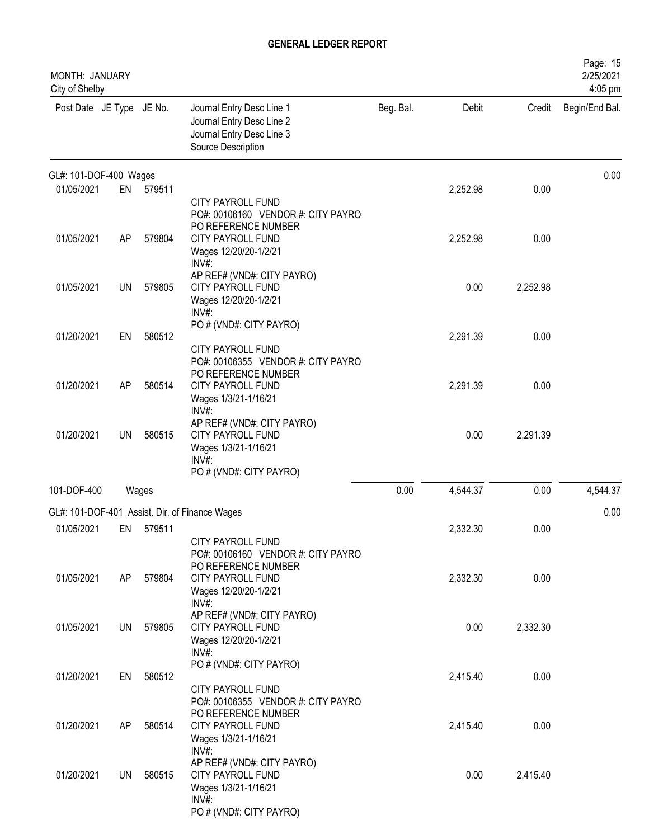| MONTH: JANUARY<br>City of Shelby |           |           |                                                                                                                             |           |          |          | Page: 15<br>2/25/2021<br>4:05 pm |
|----------------------------------|-----------|-----------|-----------------------------------------------------------------------------------------------------------------------------|-----------|----------|----------|----------------------------------|
| Post Date JE Type JE No.         |           |           | Journal Entry Desc Line 1<br>Journal Entry Desc Line 2<br>Journal Entry Desc Line 3<br>Source Description                   | Beg. Bal. | Debit    | Credit   | Begin/End Bal.                   |
| GL#: 101-DOF-400 Wages           |           |           |                                                                                                                             |           |          |          | 0.00                             |
| 01/05/2021                       | EN        | 579511    | <b>CITY PAYROLL FUND</b><br>PO#: 00106160 VENDOR #: CITY PAYRO<br>PO REFERENCE NUMBER                                       |           | 2,252.98 | 0.00     |                                  |
| 01/05/2021                       | AP        | 579804    | CITY PAYROLL FUND<br>Wages 12/20/20-1/2/21<br>INV#:                                                                         |           | 2,252.98 | 0.00     |                                  |
| 01/05/2021                       | <b>UN</b> | 579805    | AP REF# (VND#: CITY PAYRO)<br><b>CITY PAYROLL FUND</b><br>Wages 12/20/20-1/2/21<br>$INV#$ :                                 |           | 0.00     | 2,252.98 |                                  |
| 01/20/2021                       | EN        | 580512    | PO # (VND#: CITY PAYRO)<br>CITY PAYROLL FUND<br>PO#: 00106355 VENDOR #: CITY PAYRO                                          |           | 2,291.39 | 0.00     |                                  |
| 01/20/2021                       | AP        | 580514    | PO REFERENCE NUMBER<br>CITY PAYROLL FUND<br>Wages 1/3/21-1/16/21                                                            |           | 2,291.39 | 0.00     |                                  |
| 01/20/2021                       | UN        | 580515    | INV#:<br>AP REF# (VND#: CITY PAYRO)<br><b>CITY PAYROLL FUND</b><br>Wages 1/3/21-1/16/21<br>INV#:<br>PO # (VND#: CITY PAYRO) |           | 0.00     | 2,291.39 |                                  |
| 101-DOF-400                      |           | Wages     |                                                                                                                             | 0.00      | 4,544.37 | 0.00     | 4,544.37                         |
|                                  |           |           | GL#: 101-DOF-401 Assist. Dir. of Finance Wages                                                                              |           |          |          | 0.00                             |
| 01/05/2021                       |           | EN 579511 | CITY PAYROLL FUND<br>PO#: 00106160 VENDOR #: CITY PAYRO                                                                     |           | 2,332.30 | 0.00     |                                  |
| 01/05/2021                       | AP        | 579804    | PO REFERENCE NUMBER<br>CITY PAYROLL FUND<br>Wages 12/20/20-1/2/21<br>INV#:                                                  |           | 2,332.30 | 0.00     |                                  |
| 01/05/2021                       | <b>UN</b> | 579805    | AP REF# (VND#: CITY PAYRO)<br>CITY PAYROLL FUND<br>Wages 12/20/20-1/2/21<br>INV#:                                           |           | 0.00     | 2,332.30 |                                  |
| 01/20/2021                       | EN        | 580512    | PO # (VND#: CITY PAYRO)<br>CITY PAYROLL FUND                                                                                |           | 2,415.40 | 0.00     |                                  |
| 01/20/2021                       | AP        | 580514    | PO#: 00106355 VENDOR #: CITY PAYRO<br>PO REFERENCE NUMBER<br><b>CITY PAYROLL FUND</b><br>Wages 1/3/21-1/16/21               |           | 2,415.40 | 0.00     |                                  |
| 01/20/2021                       | <b>UN</b> | 580515    | INV#<br>AP REF# (VND#: CITY PAYRO)<br>CITY PAYROLL FUND<br>Wages 1/3/21-1/16/21<br>INV#:<br>PO # (VND#: CITY PAYRO)         |           | 0.00     | 2,415.40 |                                  |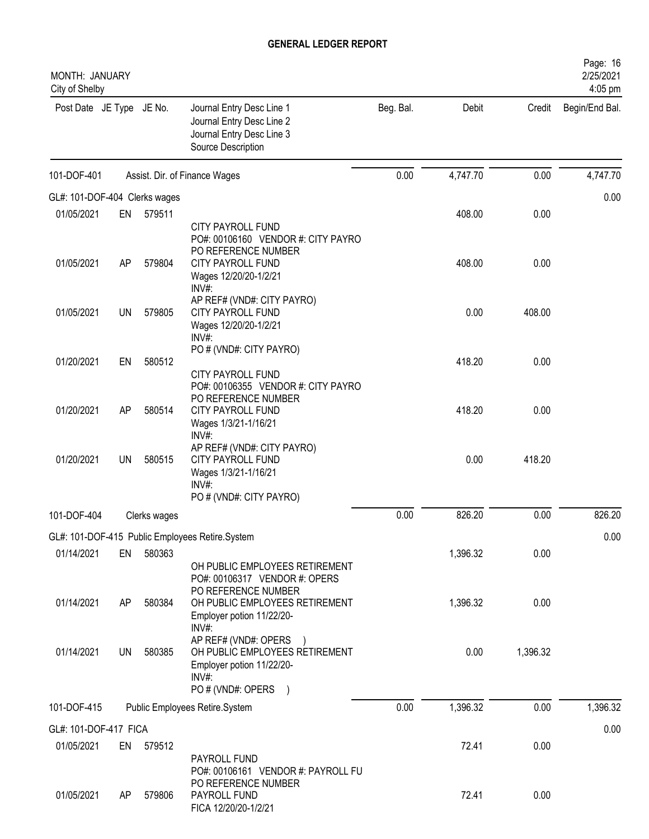| MONTH: JANUARY<br>City of Shelby |     |              |                                                                                                                                       |           |          |          | Page: 16<br>2/25/2021<br>4:05 pm |
|----------------------------------|-----|--------------|---------------------------------------------------------------------------------------------------------------------------------------|-----------|----------|----------|----------------------------------|
| Post Date JE Type JE No.         |     |              | Journal Entry Desc Line 1<br>Journal Entry Desc Line 2<br>Journal Entry Desc Line 3<br>Source Description                             | Beg. Bal. | Debit    |          | Credit Begin/End Bal.            |
| 101-DOF-401                      |     |              | Assist. Dir. of Finance Wages                                                                                                         | 0.00      | 4,747.70 | 0.00     | 4,747.70                         |
| GL#: 101-DOF-404 Clerks wages    |     |              |                                                                                                                                       |           |          |          | 0.00                             |
| 01/05/2021                       | EN  | 579511       |                                                                                                                                       |           | 408.00   | 0.00     |                                  |
| 01/05/2021                       | AP  | 579804       | <b>CITY PAYROLL FUND</b><br>PO#: 00106160 VENDOR #: CITY PAYRO<br>PO REFERENCE NUMBER<br>CITY PAYROLL FUND<br>Wages 12/20/20-1/2/21   |           | 408.00   | 0.00     |                                  |
| 01/05/2021                       | UN  | 579805       | INV#:<br>AP REF# (VND#: CITY PAYRO)<br><b>CITY PAYROLL FUND</b><br>Wages 12/20/20-1/2/21<br>INV#:                                     |           | 0.00     | 408.00   |                                  |
| 01/20/2021                       | EN  | 580512       | PO # (VND#: CITY PAYRO)<br><b>CITY PAYROLL FUND</b>                                                                                   |           | 418.20   | 0.00     |                                  |
| 01/20/2021                       | AP  | 580514       | PO#: 00106355 VENDOR #: CITY PAYRO<br>PO REFERENCE NUMBER<br><b>CITY PAYROLL FUND</b><br>Wages 1/3/21-1/16/21<br>INV#                 |           | 418.20   | 0.00     |                                  |
| 01/20/2021                       | UN  | 580515       | AP REF# (VND#: CITY PAYRO)<br><b>CITY PAYROLL FUND</b><br>Wages 1/3/21-1/16/21<br>$INV#$ :                                            |           | 0.00     | 418.20   |                                  |
| 101-DOF-404                      |     | Clerks wages | PO # (VND#: CITY PAYRO)                                                                                                               | 0.00      | 826.20   | 0.00     | 826.20                           |
|                                  |     |              |                                                                                                                                       |           |          |          |                                  |
| 01/14/2021                       | EN  | 580363       | GL#: 101-DOF-415 Public Employees Retire.System                                                                                       |           | 1,396.32 | 0.00     | 0.00                             |
|                                  |     |              | OH PUBLIC EMPLOYEES RETIREMENT<br>PO#: 00106317 VENDOR #: OPERS<br>PO REFERENCE NUMBER                                                |           |          |          |                                  |
| 01/14/2021                       | AP  | 580384       | OH PUBLIC EMPLOYEES RETIREMENT<br>Employer potion 11/22/20-<br>INV#:                                                                  |           | 1,396.32 | 0.00     |                                  |
| 01/14/2021                       | UN  | 580385       | AP REF# (VND#: OPERS<br>OH PUBLIC EMPLOYEES RETIREMENT<br>Employer potion 11/22/20-<br>$INV#$ :<br>PO # (VND#: OPERS<br>$\rightarrow$ |           | 0.00     | 1,396.32 |                                  |
| 101-DOF-415                      |     |              | Public Employees Retire.System                                                                                                        | 0.00      | 1,396.32 | 0.00     | 1,396.32                         |
| GL#: 101-DOF-417 FICA            |     |              |                                                                                                                                       |           |          |          | 0.00                             |
| 01/05/2021                       |     | EN 579512    |                                                                                                                                       |           | 72.41    | 0.00     |                                  |
|                                  |     |              | PAYROLL FUND<br>PO#: 00106161 VENDOR #: PAYROLL FU<br>PO REFERENCE NUMBER                                                             |           |          |          |                                  |
| 01/05/2021                       | AP. | 579806       | PAYROLL FUND<br>FICA 12/20/20-1/2/21                                                                                                  |           | 72.41    | 0.00     |                                  |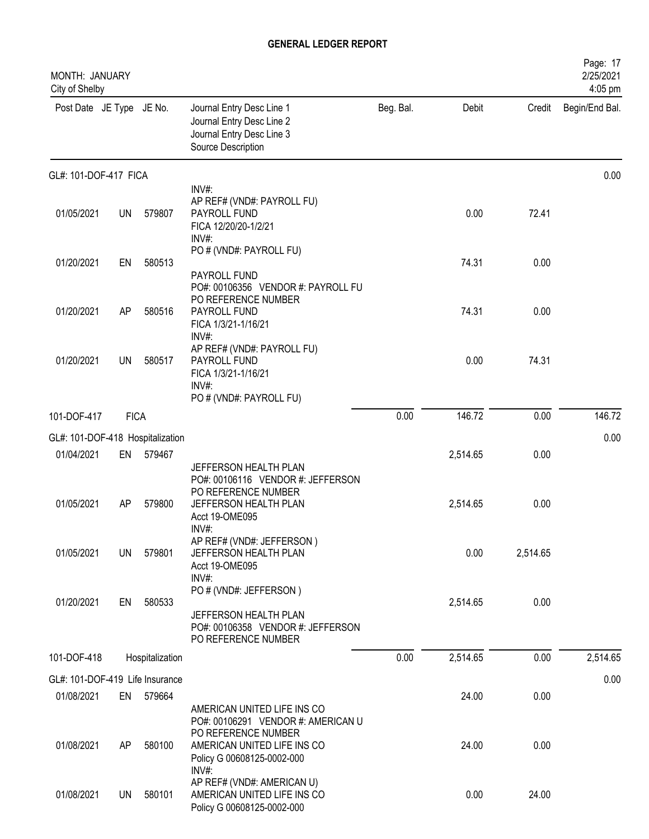| MONTH: JANUARY<br>City of Shelby |             |                 |                                                                                                              |           |          |          | Page: 17<br>2/25/2021<br>4:05 pm |
|----------------------------------|-------------|-----------------|--------------------------------------------------------------------------------------------------------------|-----------|----------|----------|----------------------------------|
| Post Date JE Type JE No.         |             |                 | Journal Entry Desc Line 1<br>Journal Entry Desc Line 2<br>Journal Entry Desc Line 3<br>Source Description    | Beg. Bal. | Debit    | Credit   | Begin/End Bal.                   |
| GL#: 101-DOF-417 FICA            |             |                 |                                                                                                              |           |          |          | 0.00                             |
| 01/05/2021                       | <b>UN</b>   | 579807          | INV#:<br>AP REF# (VND#: PAYROLL FU)<br>PAYROLL FUND<br>FICA 12/20/20-1/2/21<br>INV#:                         |           | 0.00     | 72.41    |                                  |
| 01/20/2021                       | EN          | 580513          | PO # (VND#: PAYROLL FU)<br>PAYROLL FUND                                                                      |           | 74.31    | 0.00     |                                  |
| 01/20/2021                       | AP          | 580516          | PO#: 00106356 VENDOR #: PAYROLL FU<br>PO REFERENCE NUMBER<br>PAYROLL FUND<br>FICA 1/3/21-1/16/21<br>INV#:    |           | 74.31    | 0.00     |                                  |
| 01/20/2021                       | UN          | 580517          | AP REF# (VND#: PAYROLL FU)<br>PAYROLL FUND<br>FICA 1/3/21-1/16/21<br>INV#:                                   |           | 0.00     | 74.31    |                                  |
| 101-DOF-417                      | <b>FICA</b> |                 | PO # (VND#: PAYROLL FU)                                                                                      | 0.00      | 146.72   | 0.00     | 146.72                           |
| GL#: 101-DOF-418 Hospitalization |             |                 |                                                                                                              |           |          |          | 0.00                             |
| 01/04/2021                       | EN          | 579467          | JEFFERSON HEALTH PLAN                                                                                        |           | 2,514.65 | 0.00     |                                  |
| 01/05/2021                       | AP          | 579800          | PO#: 00106116 VENDOR #: JEFFERSON<br>PO REFERENCE NUMBER<br>JEFFERSON HEALTH PLAN<br>Acct 19-OME095<br>INV#: |           | 2,514.65 | 0.00     |                                  |
| 01/05/2021                       | UN          | 579801          | AP REF# (VND#: JEFFERSON)<br>JEFFERSON HEALTH PLAN<br>Acct 19-OME095<br>INV#:                                |           | 0.00     | 2,514.65 |                                  |
| 01/20/2021                       | EN          | 580533          | PO # (VND#: JEFFERSON)<br>JEFFERSON HEALTH PLAN<br>PO#: 00106358 VENDOR #: JEFFERSON<br>PO REFERENCE NUMBER  |           | 2,514.65 | 0.00     |                                  |
| 101-DOF-418                      |             | Hospitalization |                                                                                                              | 0.00      | 2,514.65 | 0.00     | 2,514.65                         |
| GL#: 101-DOF-419 Life Insurance  |             |                 |                                                                                                              |           |          |          | 0.00                             |
| 01/08/2021                       | EN          | 579664          | AMERICAN UNITED LIFE INS CO<br>PO#: 00106291 VENDOR #: AMERICAN U                                            |           | 24.00    | 0.00     |                                  |
| 01/08/2021                       | AP          | 580100          | PO REFERENCE NUMBER<br>AMERICAN UNITED LIFE INS CO<br>Policy G 00608125-0002-000                             |           | 24.00    | 0.00     |                                  |
| 01/08/2021                       | UN          | 580101          | INV#:<br>AP REF# (VND#: AMERICAN U)<br>AMERICAN UNITED LIFE INS CO<br>Policy G 00608125-0002-000             |           | 0.00     | 24.00    |                                  |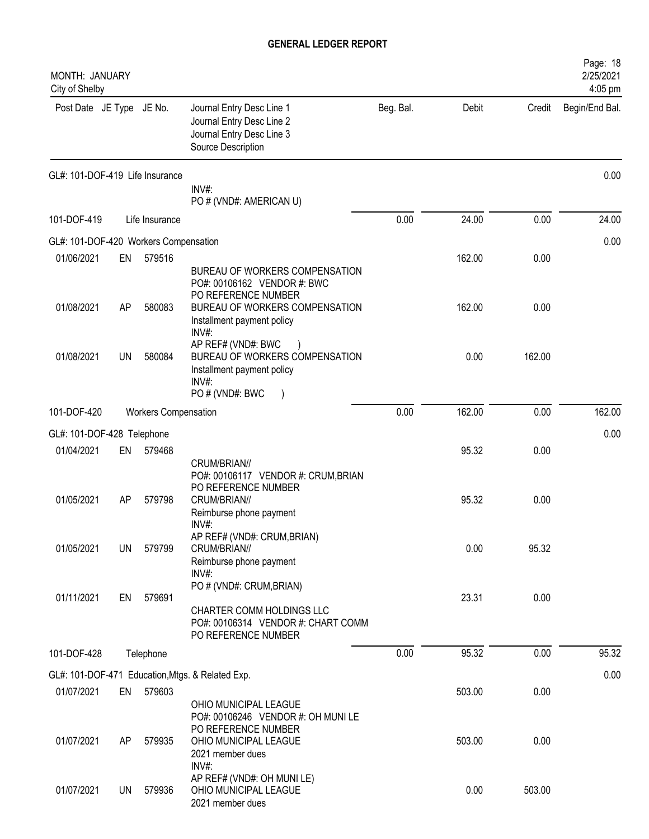| MONTH: JANUARY<br>City of Shelby      |           |                             |                                                                                                                       |           |        |        | Page: 18<br>2/25/2021<br>4:05 pm |
|---------------------------------------|-----------|-----------------------------|-----------------------------------------------------------------------------------------------------------------------|-----------|--------|--------|----------------------------------|
| Post Date JE Type JE No.              |           |                             | Journal Entry Desc Line 1<br>Journal Entry Desc Line 2<br>Journal Entry Desc Line 3<br>Source Description             | Beg. Bal. | Debit  | Credit | Begin/End Bal.                   |
| GL#: 101-DOF-419 Life Insurance       |           |                             | INV#:<br>PO # (VND#: AMERICAN U)                                                                                      |           |        |        | 0.00                             |
| 101-DOF-419                           |           | Life Insurance              |                                                                                                                       | 0.00      | 24.00  | 0.00   | 24.00                            |
| GL#: 101-DOF-420 Workers Compensation |           |                             |                                                                                                                       |           |        |        | 0.00                             |
| 01/06/2021                            | EN        | 579516                      |                                                                                                                       |           | 162.00 | 0.00   |                                  |
|                                       |           |                             | BUREAU OF WORKERS COMPENSATION<br>PO#: 00106162 VENDOR #: BWC<br>PO REFERENCE NUMBER                                  |           |        |        |                                  |
| 01/08/2021                            | AP        | 580083                      | BUREAU OF WORKERS COMPENSATION<br>Installment payment policy<br>INV#                                                  |           | 162.00 | 0.00   |                                  |
| 01/08/2021                            | UN        | 580084                      | AP REF# (VND#: BWC<br>BUREAU OF WORKERS COMPENSATION<br>Installment payment policy<br>INV#:<br>PO # (VND#: BWC        |           | 0.00   | 162.00 |                                  |
| 101-DOF-420                           |           | <b>Workers Compensation</b> |                                                                                                                       | 0.00      | 162.00 | 0.00   | 162.00                           |
| GL#: 101-DOF-428 Telephone            |           |                             |                                                                                                                       |           |        |        | 0.00                             |
| 01/04/2021                            | EN        | 579468                      |                                                                                                                       |           | 95.32  | 0.00   |                                  |
| 01/05/2021                            | AP        | 579798                      | CRUM/BRIAN//<br>PO#: 00106117 VENDOR #: CRUM, BRIAN<br>PO REFERENCE NUMBER<br>CRUM/BRIAN//<br>Reimburse phone payment |           | 95.32  | 0.00   |                                  |
| 01/05/2021                            | <b>UN</b> | 579799                      | INV#:<br>AP REF# (VND#: CRUM, BRIAN)<br>CRUM/BRIAN//<br>Reimburse phone payment                                       |           | 0.00   | 95.32  |                                  |
| 01/11/2021                            | EN        | 579691                      | $INV#$ :<br>PO # (VND#: CRUM, BRIAN)<br>CHARTER COMM HOLDINGS LLC<br>PO#: 00106314 VENDOR #: CHART COMM               |           | 23.31  | 0.00   |                                  |
|                                       |           |                             | PO REFERENCE NUMBER                                                                                                   |           |        |        |                                  |
| 101-DOF-428                           |           | Telephone                   |                                                                                                                       | 0.00      | 95.32  | 0.00   | 95.32                            |
|                                       |           |                             | GL#: 101-DOF-471 Education, Mtgs. & Related Exp.                                                                      |           |        |        | 0.00                             |
| 01/07/2021                            | EN        | 579603                      | OHIO MUNICIPAL LEAGUE<br>PO#: 00106246 VENDOR #: OH MUNILE<br>PO REFERENCE NUMBER                                     |           | 503.00 | 0.00   |                                  |
| 01/07/2021                            | AP        | 579935                      | OHIO MUNICIPAL LEAGUE<br>2021 member dues<br>INV#:                                                                    |           | 503.00 | 0.00   |                                  |
| 01/07/2021                            | UN        | 579936                      | AP REF# (VND#: OH MUNILE)<br>OHIO MUNICIPAL LEAGUE<br>2021 member dues                                                |           | 0.00   | 503.00 |                                  |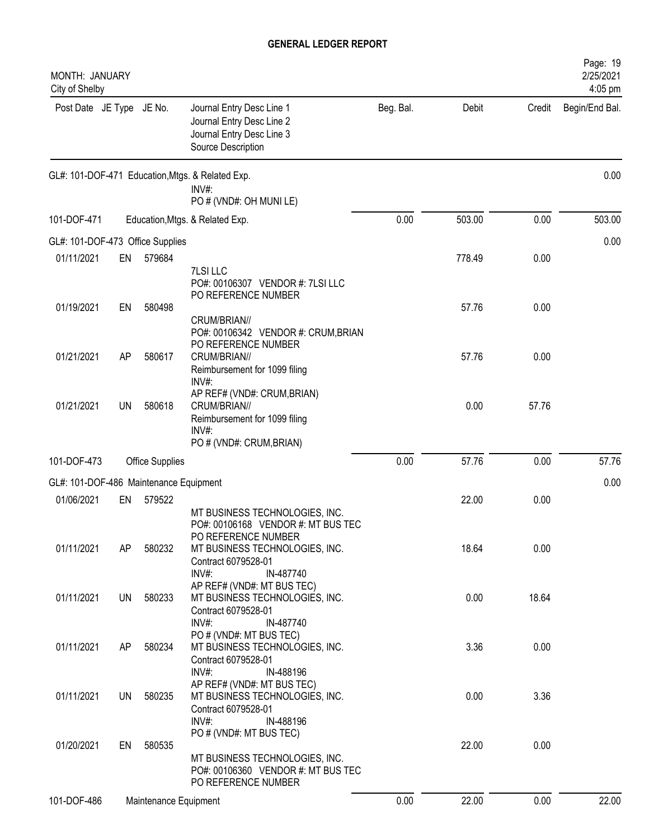| MONTH: JANUARY<br>City of Shelby       |           |                        |                                                                                                                                                                            |           |        |        | Page: 19<br>2/25/2021<br>4:05 pm |
|----------------------------------------|-----------|------------------------|----------------------------------------------------------------------------------------------------------------------------------------------------------------------------|-----------|--------|--------|----------------------------------|
| Post Date JE Type JE No.               |           |                        | Journal Entry Desc Line 1<br>Journal Entry Desc Line 2<br>Journal Entry Desc Line 3<br>Source Description                                                                  | Beg. Bal. | Debit  | Credit | Begin/End Bal.                   |
|                                        |           |                        | GL#: 101-DOF-471 Education, Mtgs. & Related Exp.<br>INV#:<br>PO # (VND#: OH MUNI LE)                                                                                       |           |        |        | 0.00                             |
| 101-DOF-471                            |           |                        | Education, Mtgs. & Related Exp.                                                                                                                                            | 0.00      | 503.00 | 0.00   | 503.00                           |
| GL#: 101-DOF-473 Office Supplies       |           |                        |                                                                                                                                                                            |           |        |        | 0.00                             |
| 01/11/2021                             | EN        | 579684                 | 7LSI LLC<br>PO#: 00106307 VENDOR #: 7LSI LLC                                                                                                                               |           | 778.49 | 0.00   |                                  |
| 01/19/2021                             | EN        | 580498                 | PO REFERENCE NUMBER<br>CRUM/BRIAN//                                                                                                                                        |           | 57.76  | 0.00   |                                  |
| 01/21/2021                             | AP        | 580617                 | PO#: 00106342 VENDOR #: CRUM, BRIAN<br>PO REFERENCE NUMBER<br>CRUM/BRIAN//<br>Reimbursement for 1099 filing                                                                |           | 57.76  | 0.00   |                                  |
| 01/21/2021                             | <b>UN</b> | 580618                 | INV#:<br>AP REF# (VND#: CRUM, BRIAN)<br>CRUM/BRIAN//<br>Reimbursement for 1099 filing<br>INV#:                                                                             |           | 0.00   | 57.76  |                                  |
|                                        |           |                        | PO # (VND#: CRUM, BRIAN)                                                                                                                                                   |           |        |        |                                  |
| 101-DOF-473                            |           | <b>Office Supplies</b> |                                                                                                                                                                            | 0.00      | 57.76  | 0.00   | 57.76                            |
| GL#: 101-DOF-486 Maintenance Equipment |           |                        |                                                                                                                                                                            |           |        |        | 0.00                             |
| 01/06/2021                             | EN        | 579522                 |                                                                                                                                                                            |           | 22.00  | 0.00   |                                  |
| 01/11/2021                             | AP        | 580232                 | MT BUSINESS TECHNOLOGIES, INC.<br>PO#: 00106168 VENDOR #: MT BUS TEC<br>PO REFERENCE NUMBER<br>MT BUSINESS TECHNOLOGIES, INC.<br>Contract 6079528-01<br>INV#:<br>IN-487740 |           | 18.64  | 0.00   |                                  |
| 01/11/2021                             | <b>UN</b> | 580233                 | AP REF# (VND#: MT BUS TEC)<br>MT BUSINESS TECHNOLOGIES, INC.<br>Contract 6079528-01<br>$INV#$ :<br>IN-487740                                                               |           | 0.00   | 18.64  |                                  |
| 01/11/2021                             | AP        | 580234                 | PO # (VND#: MT BUS TEC)<br>MT BUSINESS TECHNOLOGIES, INC.<br>Contract 6079528-01<br>INV#:<br>IN-488196                                                                     |           | 3.36   | 0.00   |                                  |
| 01/11/2021                             | UN        | 580235                 | AP REF# (VND#: MT BUS TEC)<br>MT BUSINESS TECHNOLOGIES, INC.<br>Contract 6079528-01                                                                                        |           | 0.00   | 3.36   |                                  |
| 01/20/2021                             | EN        | 580535                 | $INV#$ :<br>IN-488196<br>PO # (VND#: MT BUS TEC)<br>MT BUSINESS TECHNOLOGIES, INC.<br>PO#: 00106360 VENDOR #: MT BUS TEC                                                   |           | 22.00  | 0.00   |                                  |
| 101-DOF-486                            |           | Maintenance Equipment  | PO REFERENCE NUMBER                                                                                                                                                        | 0.00      | 22.00  | 0.00   | 22.00                            |
|                                        |           |                        |                                                                                                                                                                            |           |        |        |                                  |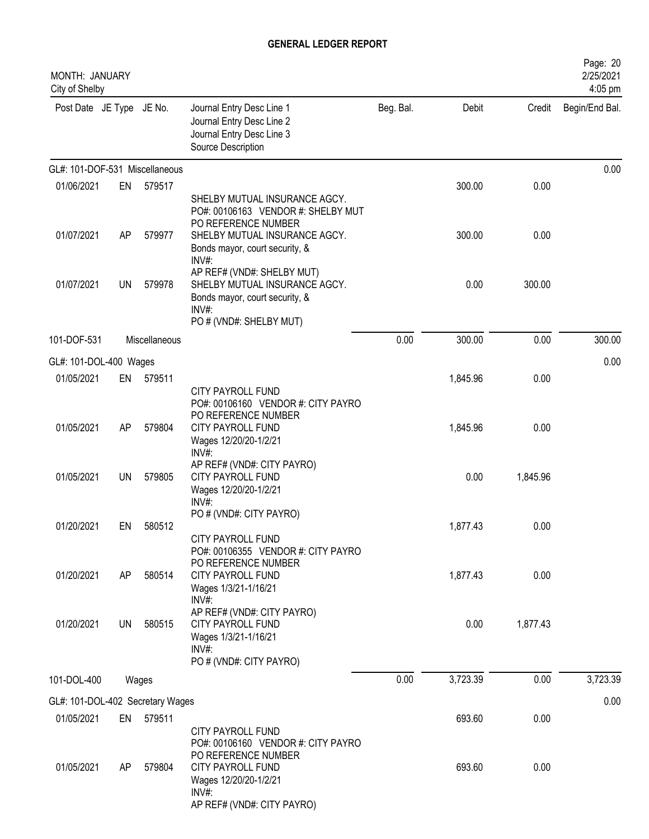| MONTH: JANUARY<br>City of Shelby |    |               |                                                                                                                                                                       |           |          |          | Page: 20<br>2/25/2021<br>4:05 pm |
|----------------------------------|----|---------------|-----------------------------------------------------------------------------------------------------------------------------------------------------------------------|-----------|----------|----------|----------------------------------|
| Post Date JE Type JE No.         |    |               | Journal Entry Desc Line 1<br>Journal Entry Desc Line 2<br>Journal Entry Desc Line 3<br>Source Description                                                             | Beg. Bal. | Debit    | Credit   | Begin/End Bal.                   |
| GL#: 101-DOF-531 Miscellaneous   |    |               |                                                                                                                                                                       |           |          |          | 0.00                             |
| 01/06/2021                       | EN | 579517        |                                                                                                                                                                       |           | 300.00   | 0.00     |                                  |
| 01/07/2021                       | AP | 579977        | SHELBY MUTUAL INSURANCE AGCY.<br>PO#: 00106163 VENDOR #: SHELBY MUT<br>PO REFERENCE NUMBER<br>SHELBY MUTUAL INSURANCE AGCY.<br>Bonds mayor, court security, &<br>INV# |           | 300.00   | 0.00     |                                  |
| 01/07/2021                       | UN | 579978        | AP REF# (VND#: SHELBY MUT)<br>SHELBY MUTUAL INSURANCE AGCY.<br>Bonds mayor, court security, &<br>$INV#$ :<br>PO # (VND#: SHELBY MUT)                                  |           | 0.00     | 300.00   |                                  |
| 101-DOF-531                      |    | Miscellaneous |                                                                                                                                                                       | 0.00      | 300.00   | 0.00     | 300.00                           |
| GL#: 101-DOL-400 Wages           |    |               |                                                                                                                                                                       |           |          |          | 0.00                             |
| 01/05/2021                       | EN | 579511        |                                                                                                                                                                       |           | 1,845.96 | 0.00     |                                  |
|                                  |    |               | <b>CITY PAYROLL FUND</b><br>PO#: 00106160 VENDOR #: CITY PAYRO<br>PO REFERENCE NUMBER                                                                                 |           |          |          |                                  |
| 01/05/2021                       | AP | 579804        | CITY PAYROLL FUND<br>Wages 12/20/20-1/2/21<br>INV#:                                                                                                                   |           | 1,845.96 | 0.00     |                                  |
| 01/05/2021                       | UN | 579805        | AP REF# (VND#: CITY PAYRO)<br>CITY PAYROLL FUND<br>Wages 12/20/20-1/2/21<br>$INV#$ :                                                                                  |           | 0.00     | 1,845.96 |                                  |
| 01/20/2021                       | EN | 580512        | PO # (VND#: CITY PAYRO)                                                                                                                                               |           | 1,877.43 | 0.00     |                                  |
| 01/20/2021                       | AP | 580514        | CITY PAYROLL FUND<br>PO#: 00106355 VENDOR #: CITY PAYRO<br>PO REFERENCE NUMBER<br><b>CITY PAYROLL FUND</b>                                                            |           | 1,877.43 | 0.00     |                                  |
|                                  |    |               | Wages 1/3/21-1/16/21<br>$INV#$ :                                                                                                                                      |           |          |          |                                  |
| 01/20/2021                       | UN | 580515        | AP REF# (VND#: CITY PAYRO)<br><b>CITY PAYROLL FUND</b><br>Wages 1/3/21-1/16/21<br>INV#:<br>PO # (VND#: CITY PAYRO)                                                    |           | 0.00     | 1,877.43 |                                  |
| 101-DOL-400                      |    | Wages         |                                                                                                                                                                       | 0.00      | 3,723.39 | 0.00     | 3,723.39                         |
| GL#: 101-DOL-402 Secretary Wages |    |               |                                                                                                                                                                       |           |          |          | 0.00                             |
| 01/05/2021                       | EN | 579511        |                                                                                                                                                                       |           | 693.60   | 0.00     |                                  |
| 01/05/2021                       | AP | 579804        | <b>CITY PAYROLL FUND</b><br>PO#: 00106160 VENDOR #: CITY PAYRO<br>PO REFERENCE NUMBER<br>CITY PAYROLL FUND<br>Wages 12/20/20-1/2/21<br>$INV#$ :                       |           | 693.60   | 0.00     |                                  |
|                                  |    |               | AP REF# (VND#: CITY PAYRO)                                                                                                                                            |           |          |          |                                  |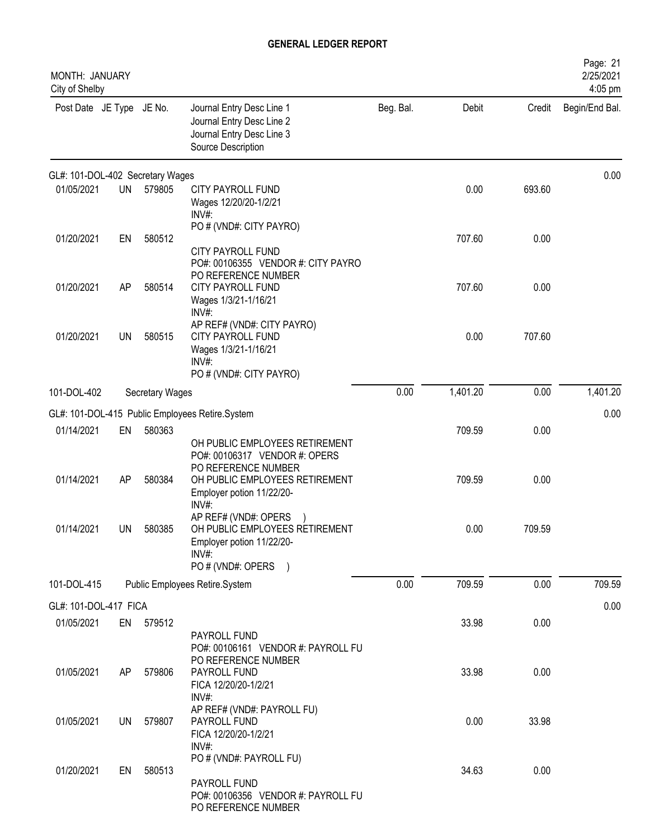| MONTH: JANUARY<br>City of Shelby |           |                        |                                                                                                                        |           |          |        | Page: 21<br>2/25/2021<br>4:05 pm |
|----------------------------------|-----------|------------------------|------------------------------------------------------------------------------------------------------------------------|-----------|----------|--------|----------------------------------|
| Post Date JE Type JE No.         |           |                        | Journal Entry Desc Line 1<br>Journal Entry Desc Line 2<br>Journal Entry Desc Line 3<br>Source Description              | Beg. Bal. | Debit    | Credit | Begin/End Bal.                   |
| GL#: 101-DOL-402 Secretary Wages |           |                        |                                                                                                                        |           |          |        | 0.00                             |
| 01/05/2021                       | <b>UN</b> | 579805                 | <b>CITY PAYROLL FUND</b><br>Wages 12/20/20-1/2/21<br>$INV#$ :                                                          |           | 0.00     | 693.60 |                                  |
| 01/20/2021                       | EN        | 580512                 | PO # (VND#: CITY PAYRO)<br>CITY PAYROLL FUND<br>PO#: 00106355 VENDOR #: CITY PAYRO                                     |           | 707.60   | 0.00   |                                  |
| 01/20/2021                       | AP        | 580514                 | PO REFERENCE NUMBER<br>CITY PAYROLL FUND<br>Wages 1/3/21-1/16/21<br>INV#:                                              |           | 707.60   | 0.00   |                                  |
| 01/20/2021                       | <b>UN</b> | 580515                 | AP REF# (VND#: CITY PAYRO)<br>CITY PAYROLL FUND<br>Wages 1/3/21-1/16/21<br>$INV#$ :<br>PO # (VND#: CITY PAYRO)         |           | 0.00     | 707.60 |                                  |
| 101-DOL-402                      |           | <b>Secretary Wages</b> |                                                                                                                        | 0.00      | 1,401.20 | 0.00   | 1,401.20                         |
|                                  |           |                        | GL#: 101-DOL-415 Public Employees Retire.System                                                                        |           |          |        | 0.00                             |
| 01/14/2021                       | EN        | 580363                 | OH PUBLIC EMPLOYEES RETIREMENT<br>PO#: 00106317 VENDOR #: OPERS                                                        |           | 709.59   | 0.00   |                                  |
| 01/14/2021                       | AP        | 580384                 | PO REFERENCE NUMBER<br>OH PUBLIC EMPLOYEES RETIREMENT<br>Employer potion 11/22/20-<br>INV#                             |           | 709.59   | 0.00   |                                  |
| 01/14/2021                       | <b>UN</b> | 580385                 | AP REF# (VND#: OPERS<br>OH PUBLIC EMPLOYEES RETIREMENT<br>Employer potion 11/22/20-<br>$INV#$ :<br>PO # (VND#: OPERS ) |           | 0.00     | 709.59 |                                  |
| 101-DOL-415                      |           |                        | Public Employees Retire.System                                                                                         | 0.00      | 709.59   | 0.00   | 709.59                           |
| GL#: 101-DOL-417 FICA            |           |                        |                                                                                                                        |           |          |        | 0.00                             |
| 01/05/2021                       |           | EN 579512              | PAYROLL FUND<br>PO#: 00106161 VENDOR #: PAYROLL FU                                                                     |           | 33.98    | 0.00   |                                  |
| 01/05/2021                       | AP        | 579806                 | PO REFERENCE NUMBER<br>PAYROLL FUND<br>FICA 12/20/20-1/2/21<br>INV#:                                                   |           | 33.98    | 0.00   |                                  |
| 01/05/2021                       | UN        | 579807                 | AP REF# (VND#: PAYROLL FU)<br>PAYROLL FUND<br>FICA 12/20/20-1/2/21<br>$INV#$ :                                         |           | 0.00     | 33.98  |                                  |
| 01/20/2021                       | EN        | 580513                 | PO # (VND#: PAYROLL FU)<br>PAYROLL FUND<br>PO#: 00106356 VENDOR #: PAYROLL FU<br>PO REFERENCE NUMBER                   |           | 34.63    | 0.00   |                                  |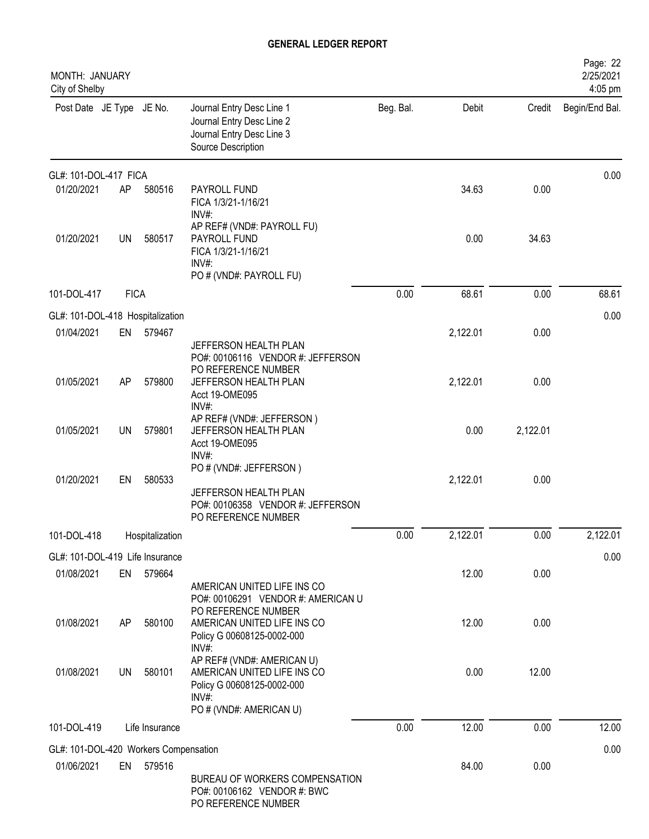| MONTH: JANUARY<br>City of Shelby                    |             |                 |                                                                                                                                    |           |          |          | Page: 22<br>2/25/2021<br>4:05 pm |
|-----------------------------------------------------|-------------|-----------------|------------------------------------------------------------------------------------------------------------------------------------|-----------|----------|----------|----------------------------------|
| Post Date JE Type JE No.                            |             |                 | Journal Entry Desc Line 1<br>Journal Entry Desc Line 2<br>Journal Entry Desc Line 3<br>Source Description                          | Beg. Bal. | Debit    | Credit   | Begin/End Bal.                   |
| GL#: 101-DOL-417 FICA                               |             |                 |                                                                                                                                    |           |          |          | 0.00                             |
| 01/20/2021                                          | AP          | 580516          | PAYROLL FUND<br>FICA 1/3/21-1/16/21<br>INV#:                                                                                       |           | 34.63    | 0.00     |                                  |
| 01/20/2021                                          | <b>UN</b>   | 580517          | AP REF# (VND#: PAYROLL FU)<br>PAYROLL FUND<br>FICA 1/3/21-1/16/21<br>INV#<br>PO # (VND#: PAYROLL FU)                               |           | 0.00     | 34.63    |                                  |
| 101-DOL-417                                         | <b>FICA</b> |                 |                                                                                                                                    | 0.00      | 68.61    | 0.00     | 68.61                            |
| GL#: 101-DOL-418 Hospitalization                    |             |                 |                                                                                                                                    |           |          |          | 0.00                             |
| 01/04/2021                                          | EN          | 579467          | JEFFERSON HEALTH PLAN<br>PO#: 00106116 VENDOR #: JEFFERSON                                                                         |           | 2,122.01 | 0.00     |                                  |
| 01/05/2021                                          | AP          | 579800          | PO REFERENCE NUMBER<br>JEFFERSON HEALTH PLAN<br>Acct 19-OME095<br>INV#:                                                            |           | 2,122.01 | 0.00     |                                  |
| 01/05/2021                                          | <b>UN</b>   | 579801          | AP REF# (VND#: JEFFERSON)<br>JEFFERSON HEALTH PLAN<br>Acct 19-OME095<br>INV#:                                                      |           | 0.00     | 2,122.01 |                                  |
| 01/20/2021                                          | EN          | 580533          | PO # (VND#: JEFFERSON)<br>JEFFERSON HEALTH PLAN<br>PO#: 00106358 VENDOR #: JEFFERSON<br>PO REFERENCE NUMBER                        |           | 2,122.01 | 0.00     |                                  |
| 101-DOL-418                                         |             | Hospitalization |                                                                                                                                    | 0.00      | 2,122.01 | 0.00     | 2,122.01                         |
| GL#: 101-DOL-419 Life Insurance                     |             |                 |                                                                                                                                    |           |          |          | 0.00                             |
| 01/08/2021                                          | EN          | 579664          | AMERICAN UNITED LIFE INS CO                                                                                                        |           | 12.00    | 0.00     |                                  |
| 01/08/2021                                          | AP          | 580100          | PO#: 00106291 VENDOR #: AMERICAN U<br>PO REFERENCE NUMBER<br>AMERICAN UNITED LIFE INS CO<br>Policy G 00608125-0002-000<br>$INV#$ : |           | 12.00    | 0.00     |                                  |
| 01/08/2021                                          | UN          | 580101          | AP REF# (VND#: AMERICAN U)<br>AMERICAN UNITED LIFE INS CO<br>Policy G 00608125-0002-000<br>$INV#$ :<br>PO # (VND#: AMERICAN U)     |           | 0.00     | 12.00    |                                  |
| 101-DOL-419                                         |             | Life Insurance  |                                                                                                                                    | 0.00      | 12.00    | 0.00     | 12.00                            |
|                                                     |             |                 |                                                                                                                                    |           |          |          |                                  |
| GL#: 101-DOL-420 Workers Compensation<br>01/06/2021 | EN          | 579516          | BUREAU OF WORKERS COMPENSATION<br>PO#: 00106162 VENDOR #: BWC<br>PO REFERENCE NUMBER                                               |           | 84.00    | 0.00     | 0.00                             |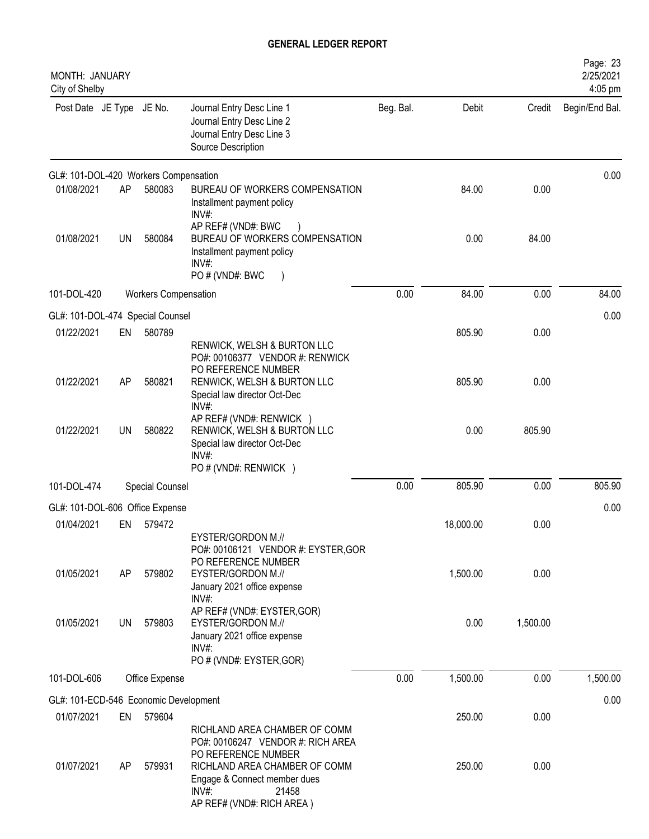| MONTH: JANUARY<br>City of Shelby      |           |                             |                                                                                                                                                                                                              |           |           |          | Page: 23<br>2/25/2021<br>4:05 pm |
|---------------------------------------|-----------|-----------------------------|--------------------------------------------------------------------------------------------------------------------------------------------------------------------------------------------------------------|-----------|-----------|----------|----------------------------------|
| Post Date JE Type JE No.              |           |                             | Journal Entry Desc Line 1<br>Journal Entry Desc Line 2<br>Journal Entry Desc Line 3<br>Source Description                                                                                                    | Beg. Bal. | Debit     | Credit   | Begin/End Bal.                   |
| GL#: 101-DOL-420 Workers Compensation |           |                             |                                                                                                                                                                                                              |           |           |          | 0.00                             |
| 01/08/2021                            | AP        | 580083                      | BUREAU OF WORKERS COMPENSATION<br>Installment payment policy<br>INV#:                                                                                                                                        |           | 84.00     | 0.00     |                                  |
| 01/08/2021                            | <b>UN</b> | 580084                      | AP REF# (VND#: BWC<br>BUREAU OF WORKERS COMPENSATION<br>Installment payment policy<br>INV#:<br>PO # (VND#: BWC                                                                                               |           | 0.00      | 84.00    |                                  |
| 101-DOL-420                           |           | <b>Workers Compensation</b> |                                                                                                                                                                                                              | 0.00      | 84.00     | 0.00     | 84.00                            |
| GL#: 101-DOL-474 Special Counsel      |           |                             |                                                                                                                                                                                                              |           |           |          | 0.00                             |
| 01/22/2021                            | EN        | 580789                      | RENWICK, WELSH & BURTON LLC<br>PO#: 00106377 VENDOR #: RENWICK                                                                                                                                               |           | 805.90    | 0.00     |                                  |
| 01/22/2021                            | AP        | 580821                      | PO REFERENCE NUMBER<br>RENWICK, WELSH & BURTON LLC<br>Special law director Oct-Dec<br>INV#:                                                                                                                  |           | 805.90    | 0.00     |                                  |
| 01/22/2021                            | <b>UN</b> | 580822                      | AP REF# (VND#: RENWICK )<br>RENWICK, WELSH & BURTON LLC<br>Special law director Oct-Dec<br>INV#:<br>PO # (VND#: RENWICK )                                                                                    |           | 0.00      | 805.90   |                                  |
| 101-DOL-474                           |           | Special Counsel             |                                                                                                                                                                                                              | 0.00      | 805.90    | 0.00     | 805.90                           |
| GL#: 101-DOL-606 Office Expense       |           |                             |                                                                                                                                                                                                              |           |           |          | 0.00                             |
| 01/04/2021                            | EN        | 579472                      |                                                                                                                                                                                                              |           | 18,000.00 | 0.00     |                                  |
| 01/05/2021                            | AP        | 579802                      | EYSTER/GORDON M.//<br>PO#: 00106121 VENDOR #: EYSTER, GOR<br>PO REFERENCE NUMBER<br>EYSTER/GORDON M.//<br>January 2021 office expense                                                                        |           | 1,500.00  | 0.00     |                                  |
| 01/05/2021                            | <b>UN</b> | 579803                      | $INV#$ :<br>AP REF# (VND#: EYSTER, GOR)<br>EYSTER/GORDON M.//<br>January 2021 office expense<br>$INV#$ :<br>PO # (VND#: EYSTER, GOR)                                                                         |           | 0.00      | 1,500.00 |                                  |
| 101-DOL-606                           |           | Office Expense              |                                                                                                                                                                                                              | 0.00      | 1,500.00  | 0.00     | 1,500.00                         |
| GL#: 101-ECD-546 Economic Development |           |                             |                                                                                                                                                                                                              |           |           |          | 0.00                             |
| 01/07/2021                            | EN        | 579604                      |                                                                                                                                                                                                              |           | 250.00    | 0.00     |                                  |
| 01/07/2021                            | AP        | 579931                      | RICHLAND AREA CHAMBER OF COMM<br>PO#: 00106247 VENDOR #: RICH AREA<br>PO REFERENCE NUMBER<br>RICHLAND AREA CHAMBER OF COMM<br>Engage & Connect member dues<br>$INV#$ :<br>21458<br>AP REF# (VND#: RICH AREA) |           | 250.00    | 0.00     |                                  |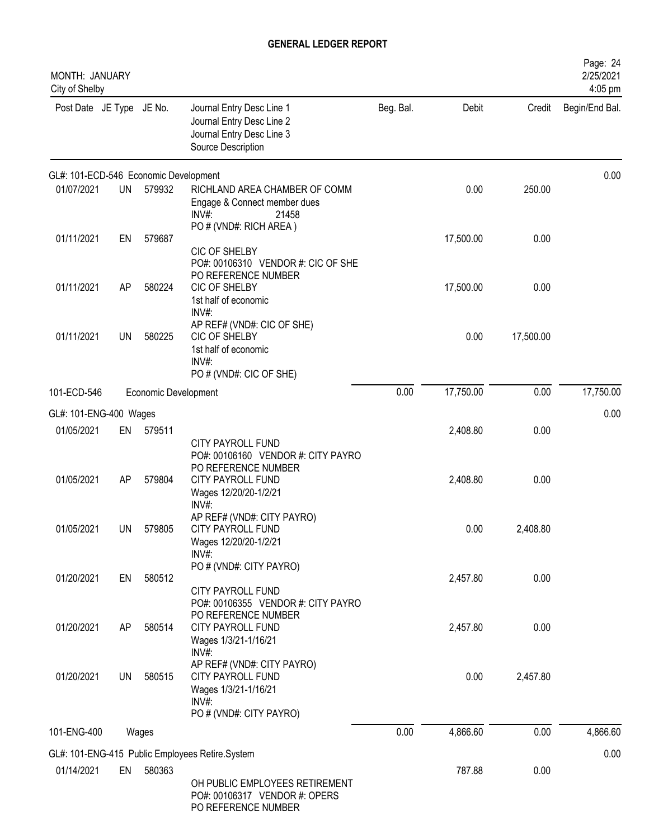| MONTH: JANUARY<br>City of Shelby      |           |                      |                                                                                                                |           |           |           | Page: 24<br>2/25/2021<br>4:05 pm |
|---------------------------------------|-----------|----------------------|----------------------------------------------------------------------------------------------------------------|-----------|-----------|-----------|----------------------------------|
| Post Date JE Type JE No.              |           |                      | Journal Entry Desc Line 1<br>Journal Entry Desc Line 2<br>Journal Entry Desc Line 3<br>Source Description      | Beg. Bal. | Debit     | Credit    | Begin/End Bal.                   |
| GL#: 101-ECD-546 Economic Development |           |                      |                                                                                                                |           |           |           | 0.00                             |
| 01/07/2021                            | <b>UN</b> | 579932               | RICHLAND AREA CHAMBER OF COMM<br>Engage & Connect member dues<br>INV#<br>21458<br>PO # (VND#: RICH AREA)       |           | 0.00      | 250.00    |                                  |
| 01/11/2021                            | EN        | 579687               | CIC OF SHELBY<br>PO#: 00106310 VENDOR #: CIC OF SHE<br>PO REFERENCE NUMBER                                     |           | 17,500.00 | 0.00      |                                  |
| 01/11/2021                            | AP        | 580224               | CIC OF SHELBY<br>1st half of economic<br>$INV#$ :<br>AP REF# (VND#: CIC OF SHE)                                |           | 17,500.00 | 0.00      |                                  |
| 01/11/2021                            | <b>UN</b> | 580225               | CIC OF SHELBY<br>1st half of economic<br>INV#:<br>PO# (VND#: CIC OF SHE)                                       |           | 0.00      | 17,500.00 |                                  |
| 101-ECD-546                           |           | Economic Development |                                                                                                                | 0.00      | 17,750.00 | 0.00      | 17,750.00                        |
| GL#: 101-ENG-400 Wages                |           |                      |                                                                                                                |           |           |           | 0.00                             |
| 01/05/2021                            | EN        | 579511               | CITY PAYROLL FUND<br>PO#: 00106160 VENDOR #: CITY PAYRO                                                        |           | 2,408.80  | 0.00      |                                  |
| 01/05/2021                            | AP        | 579804               | PO REFERENCE NUMBER<br>CITY PAYROLL FUND<br>Wages 12/20/20-1/2/21<br>INV#:                                     |           | 2,408.80  | 0.00      |                                  |
| 01/05/2021                            | <b>UN</b> | 579805               | AP REF# (VND#: CITY PAYRO)<br><b>CITY PAYROLL FUND</b><br>Wages 12/20/20-1/2/21<br>$INV#$ :                    |           | 0.00      | 2,408.80  |                                  |
| 01/20/2021                            | EN        | 580512               | PO # (VND#: CITY PAYRO)<br>CITY PAYROLL FUND<br>PO#: 00106355 VENDOR #: CITY PAYRO                             |           | 2,457.80  | 0.00      |                                  |
| 01/20/2021                            | AP        | 580514               | PO REFERENCE NUMBER<br><b>CITY PAYROLL FUND</b><br>Wages 1/3/21-1/16/21<br>INV#:                               |           | 2,457.80  | 0.00      |                                  |
| 01/20/2021                            | UN        | 580515               | AP REF# (VND#: CITY PAYRO)<br>CITY PAYROLL FUND<br>Wages 1/3/21-1/16/21<br>$INV#$ :<br>PO # (VND#: CITY PAYRO) |           | 0.00      | 2,457.80  |                                  |
| 101-ENG-400                           |           | Wages                |                                                                                                                | 0.00      | 4,866.60  | 0.00      | 4,866.60                         |
|                                       |           |                      | GL#: 101-ENG-415 Public Employees Retire.System                                                                |           |           |           | 0.00                             |
| 01/14/2021                            | EN        | 580363               | OH PUBLIC EMPLOYEES RETIREMENT<br>PO#: 00106317 VENDOR #: OPERS<br>PO REFERENCE NUMBER                         |           | 787.88    | 0.00      |                                  |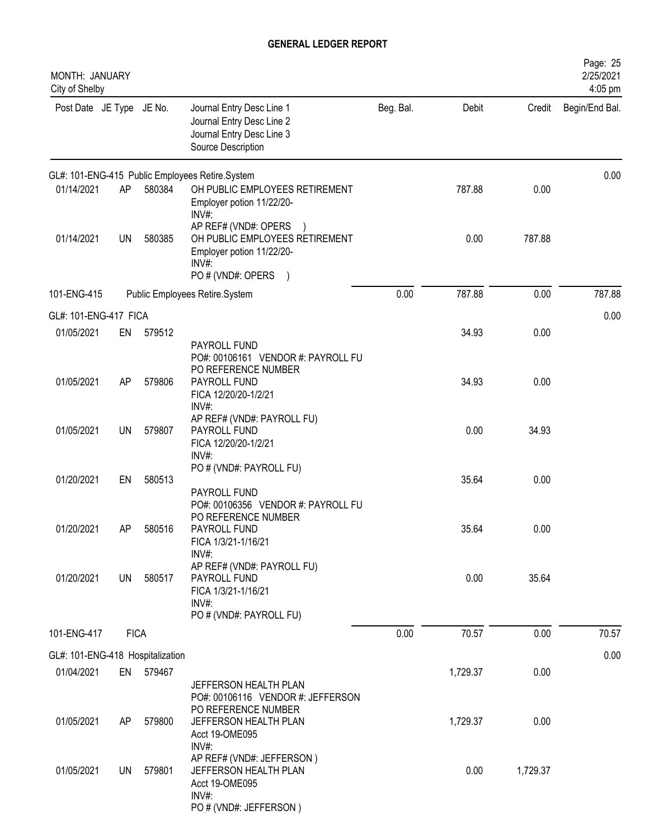| MONTH: JANUARY<br>City of Shelby               |             |           |                                                                                                                                       |           |          |          | Page: 25<br>2/25/2021<br>4:05 pm |
|------------------------------------------------|-------------|-----------|---------------------------------------------------------------------------------------------------------------------------------------|-----------|----------|----------|----------------------------------|
| Post Date JE Type JE No.                       |             |           | Journal Entry Desc Line 1<br>Journal Entry Desc Line 2<br>Journal Entry Desc Line 3<br>Source Description                             | Beg. Bal. | Debit    | Credit   | Begin/End Bal.                   |
|                                                |             |           | GL#: 101-ENG-415 Public Employees Retire.System                                                                                       |           |          |          | 0.00                             |
| 01/14/2021                                     | AP          | 580384    | OH PUBLIC EMPLOYEES RETIREMENT<br>Employer potion 11/22/20-<br>INV#:                                                                  |           | 787.88   | 0.00     |                                  |
| 01/14/2021                                     | UN          | 580385    | AP REF# (VND#: OPERS<br>OH PUBLIC EMPLOYEES RETIREMENT<br>Employer potion 11/22/20-<br>INV#<br>PO # (VND#: OPERS<br>$\left( \right)$  |           | 0.00     | 787.88   |                                  |
| 101-ENG-415                                    |             |           | Public Employees Retire.System                                                                                                        | 0.00      | 787.88   | 0.00     | 787.88                           |
| GL#: 101-ENG-417 FICA                          |             |           |                                                                                                                                       |           |          |          | 0.00                             |
| 01/05/2021                                     | EN          | 579512    | PAYROLL FUND                                                                                                                          |           | 34.93    | 0.00     |                                  |
| 01/05/2021                                     | AP          | 579806    | PO#: 00106161 VENDOR #: PAYROLL FU<br>PO REFERENCE NUMBER<br>PAYROLL FUND<br>FICA 12/20/20-1/2/21                                     |           | 34.93    | 0.00     |                                  |
| 01/05/2021                                     | UN          | 579807    | INV#:<br>AP REF# (VND#: PAYROLL FU)<br>PAYROLL FUND<br>FICA 12/20/20-1/2/21<br>INV#:                                                  |           | 0.00     | 34.93    |                                  |
| 01/20/2021                                     | EN          | 580513    | PO # (VND#: PAYROLL FU)<br>PAYROLL FUND                                                                                               |           | 35.64    | 0.00     |                                  |
| 01/20/2021                                     | AΡ          | 580516    | PO#: 00106356 VENDOR #: PAYROLL FU<br>PO REFERENCE NUMBER<br>PAYROLL FUND<br>FICA 1/3/21-1/16/21<br>INV#:                             |           | 35.64    | 0.00     |                                  |
| 01/20/2021                                     | UN          | 580517    | AP REF# (VND#: PAYROLL FU)<br>PAYROLL FUND<br>FICA 1/3/21-1/16/21<br>INV#:                                                            |           | 0.00     | 35.64    |                                  |
| 101-ENG-417                                    | <b>FICA</b> |           | PO # (VND#: PAYROLL FU)                                                                                                               | 0.00      | 70.57    | 0.00     | 70.57                            |
|                                                |             |           |                                                                                                                                       |           |          |          | 0.00                             |
| GL#: 101-ENG-418 Hospitalization<br>01/04/2021 |             | EN 579467 |                                                                                                                                       |           | 1,729.37 | 0.00     |                                  |
| 01/05/2021                                     | AP          | 579800    | JEFFERSON HEALTH PLAN<br>PO#: 00106116 VENDOR #: JEFFERSON<br>PO REFERENCE NUMBER<br>JEFFERSON HEALTH PLAN<br>Acct 19-OME095<br>INV#: |           | 1,729.37 | 0.00     |                                  |
| 01/05/2021                                     | UN          | 579801    | AP REF# (VND#: JEFFERSON)<br>JEFFERSON HEALTH PLAN<br>Acct 19-OME095<br>INV#:                                                         |           | 0.00     | 1,729.37 |                                  |
|                                                |             |           | PO # (VND#: JEFFERSON)                                                                                                                |           |          |          |                                  |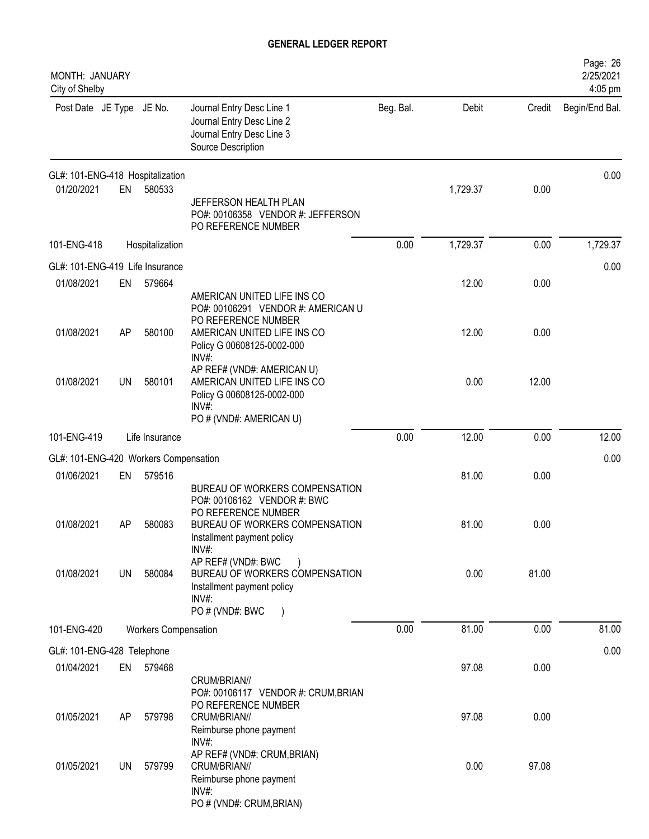| MONTH: JANUARY<br>City of Shelby      |    |                             |                                                                                                                             |           |          |        | Page: 26<br>2/25/2021<br>4:05 pm |
|---------------------------------------|----|-----------------------------|-----------------------------------------------------------------------------------------------------------------------------|-----------|----------|--------|----------------------------------|
| Post Date JE Type JE No.              |    |                             | Journal Entry Desc Line 1<br>Journal Entry Desc Line 2<br>Journal Entry Desc Line 3<br>Source Description                   | Beg. Bal. | Debit    | Credit | Begin/End Bal.                   |
| GL#: 101-ENG-418 Hospitalization      |    |                             |                                                                                                                             |           |          |        | 0.00                             |
| 01/20/2021                            | EN | 580533                      | JEFFERSON HEALTH PLAN<br>PO#: 00106358 VENDOR #: JEFFERSON<br>PO REFERENCE NUMBER                                           |           | 1,729.37 | 0.00   |                                  |
| 101-ENG-418                           |    | Hospitalization             |                                                                                                                             | 0.00      | 1,729.37 | 0.00   | 1,729.37                         |
| GL#: 101-ENG-419 Life Insurance       |    |                             |                                                                                                                             |           |          |        | 0.00                             |
| 01/08/2021                            | EN | 579664                      | AMERICAN UNITED LIFE INS CO<br>PO#: 00106291 VENDOR #: AMERICAN U<br>PO REFERENCE NUMBER                                    |           | 12.00    | 0.00   |                                  |
| 01/08/2021                            | AP | 580100                      | AMERICAN UNITED LIFE INS CO<br>Policy G 00608125-0002-000<br>INV#:                                                          |           | 12.00    | 0.00   |                                  |
| 01/08/2021                            | UN | 580101                      | AP REF# (VND#: AMERICAN U)<br>AMERICAN UNITED LIFE INS CO<br>Policy G 00608125-0002-000<br>INV#:<br>PO # (VND#: AMERICAN U) |           | 0.00     | 12.00  |                                  |
| 101-ENG-419                           |    | Life Insurance              |                                                                                                                             | 0.00      | 12.00    | 0.00   | 12.00                            |
| GL#: 101-ENG-420 Workers Compensation |    |                             |                                                                                                                             |           |          |        | 0.00                             |
| 01/06/2021                            | EN | 579516                      | BUREAU OF WORKERS COMPENSATION<br>PO#: 00106162 VENDOR #: BWC<br>PO REFERENCE NUMBER                                        |           | 81.00    | 0.00   |                                  |
| 01/08/2021                            | AP | 580083                      | BUREAU OF WORKERS COMPENSATION<br>Installment payment policy<br>INV#                                                        |           | 81.00    | 0.00   |                                  |
| 01/08/2021                            | UN | 580084                      | AP REF# (VND#: BWC<br>BUREAU OF WORKERS COMPENSATION<br>Installment payment policy<br>INV#:<br>PO # (VND#: BWC              |           | 0.00     | 81.00  |                                  |
| 101-ENG-420                           |    | <b>Workers Compensation</b> |                                                                                                                             | 0.00      | 81.00    | 0.00   | 81.00                            |
| GL#: 101-ENG-428 Telephone            |    |                             |                                                                                                                             |           |          |        | 0.00                             |
| 01/04/2021                            | EN | 579468                      | CRUM/BRIAN//<br>PO#: 00106117 VENDOR #: CRUM, BRIAN                                                                         |           | 97.08    | 0.00   |                                  |
| 01/05/2021                            | AP | 579798                      | PO REFERENCE NUMBER<br>CRUM/BRIAN//<br>Reimburse phone payment<br>INV#:                                                     |           | 97.08    | 0.00   |                                  |
| 01/05/2021                            | UN | 579799                      | AP REF# (VND#: CRUM, BRIAN)<br>CRUM/BRIAN//<br>Reimburse phone payment<br>INV#<br>PO # (VND#: CRUM, BRIAN)                  |           | 0.00     | 97.08  |                                  |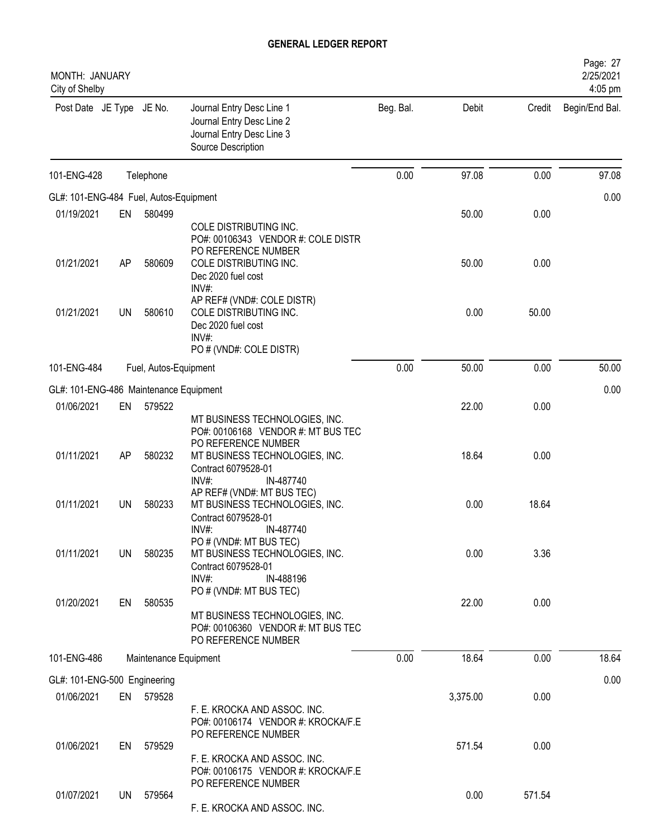| MONTH: JANUARY<br>City of Shelby       |           |                       |                                                                                                                        |           |          |        | Page: 27<br>2/25/2021<br>4:05 pm |
|----------------------------------------|-----------|-----------------------|------------------------------------------------------------------------------------------------------------------------|-----------|----------|--------|----------------------------------|
| Post Date JE Type JE No.               |           |                       | Journal Entry Desc Line 1<br>Journal Entry Desc Line 2<br>Journal Entry Desc Line 3<br>Source Description              | Beg. Bal. | Debit    | Credit | Begin/End Bal.                   |
| 101-ENG-428                            |           | Telephone             |                                                                                                                        | 0.00      | 97.08    | 0.00   | 97.08                            |
| GL#: 101-ENG-484 Fuel, Autos-Equipment |           |                       |                                                                                                                        |           |          |        | 0.00                             |
| 01/19/2021                             | EN        | 580499                |                                                                                                                        |           | 50.00    | 0.00   |                                  |
| 01/21/2021                             | AP        | 580609                | COLE DISTRIBUTING INC.<br>PO#: 00106343 VENDOR #: COLE DISTR<br>PO REFERENCE NUMBER<br>COLE DISTRIBUTING INC.          |           | 50.00    | 0.00   |                                  |
|                                        |           |                       | Dec 2020 fuel cost<br>INV#:<br>AP REF# (VND#: COLE DISTR)                                                              |           |          |        |                                  |
| 01/21/2021                             | UN        | 580610                | COLE DISTRIBUTING INC.<br>Dec 2020 fuel cost<br>INV#:<br>PO # (VND#: COLE DISTR)                                       |           | 0.00     | 50.00  |                                  |
| 101-ENG-484                            |           | Fuel, Autos-Equipment |                                                                                                                        | 0.00      | 50.00    | 0.00   | 50.00                            |
| GL#: 101-ENG-486 Maintenance Equipment |           |                       |                                                                                                                        |           |          |        | 0.00                             |
| 01/06/2021                             | EN        | 579522                |                                                                                                                        |           | 22.00    | 0.00   |                                  |
|                                        |           |                       | MT BUSINESS TECHNOLOGIES, INC.<br>PO#: 00106168 VENDOR #: MT BUS TEC<br>PO REFERENCE NUMBER                            |           |          |        |                                  |
| 01/11/2021                             | AP        | 580232                | MT BUSINESS TECHNOLOGIES, INC.<br>Contract 6079528-01<br>IN-487740<br>INV#<br>AP REF# (VND#: MT BUS TEC)               |           | 18.64    | 0.00   |                                  |
| 01/11/2021                             | UN        | 580233                | MT BUSINESS TECHNOLOGIES, INC.<br>Contract 6079528-01<br>IN-487740<br>INV#:                                            |           | 0.00     | 18.64  |                                  |
| 01/11/2021                             | <b>UN</b> | 580235                | PO # (VND#: MT BUS TEC)<br>MT BUSINESS TECHNOLOGIES, INC.<br>Contract 6079528-01<br>INV#:<br>IN-488196                 |           | 0.00     | 3.36   |                                  |
| 01/20/2021                             | EN        | 580535                | PO # (VND#: MT BUS TEC)<br>MT BUSINESS TECHNOLOGIES, INC.<br>PO#: 00106360 VENDOR #: MT BUS TEC<br>PO REFERENCE NUMBER |           | 22.00    | 0.00   |                                  |
| 101-ENG-486                            |           | Maintenance Equipment |                                                                                                                        | 0.00      | 18.64    | 0.00   | 18.64                            |
| GL#: 101-ENG-500 Engineering           |           |                       |                                                                                                                        |           |          |        | 0.00                             |
| 01/06/2021                             |           | EN 579528             | F. E. KROCKA AND ASSOC. INC.<br>PO#: 00106174 VENDOR #: KROCKA/F.E<br>PO REFERENCE NUMBER                              |           | 3,375.00 | 0.00   |                                  |
| 01/06/2021                             | EN        | 579529                | F. E. KROCKA AND ASSOC. INC.<br>PO#: 00106175 VENDOR #: KROCKA/F.E                                                     |           | 571.54   | 0.00   |                                  |
| 01/07/2021                             | UN        | 579564                | PO REFERENCE NUMBER<br>F. E. KROCKA AND ASSOC. INC.                                                                    |           | 0.00     | 571.54 |                                  |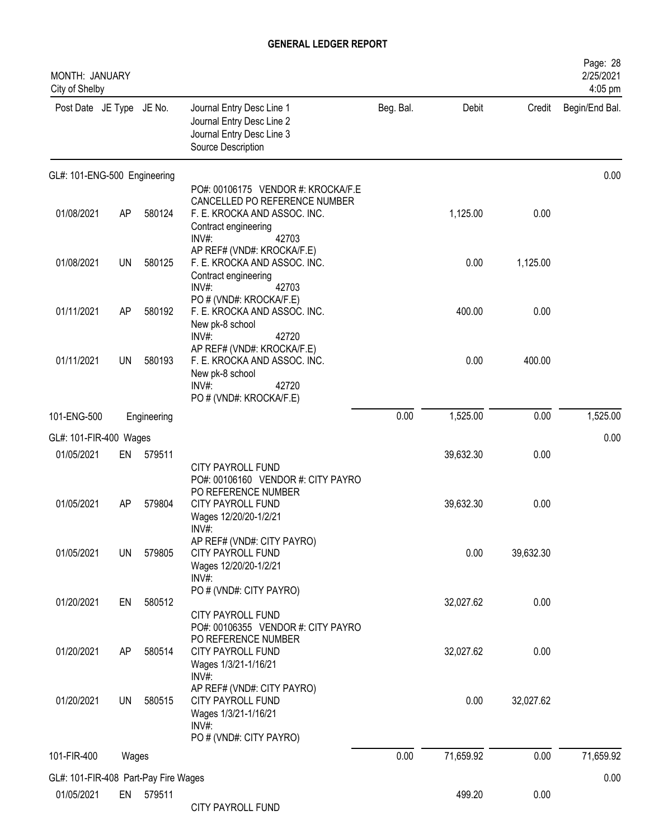| <b>MONTH: JANUARY</b><br>City of Shelby |           |             |                                                                                                                                               |           |           |           | Page: 28<br>2/25/2021<br>4:05 pm |
|-----------------------------------------|-----------|-------------|-----------------------------------------------------------------------------------------------------------------------------------------------|-----------|-----------|-----------|----------------------------------|
| Post Date JE Type JE No.                |           |             | Journal Entry Desc Line 1<br>Journal Entry Desc Line 2<br>Journal Entry Desc Line 3<br>Source Description                                     | Beg. Bal. | Debit     | Credit    | Begin/End Bal.                   |
| GL#: 101-ENG-500 Engineering            |           |             |                                                                                                                                               |           |           |           | 0.00                             |
| 01/08/2021                              | AP        | 580124      | PO#: 00106175 VENDOR #: KROCKA/F.E<br>CANCELLED PO REFERENCE NUMBER<br>F. E. KROCKA AND ASSOC. INC.<br>Contract engineering<br>INV#:<br>42703 |           | 1,125.00  | 0.00      |                                  |
| 01/08/2021                              | <b>UN</b> | 580125      | AP REF# (VND#: KROCKA/F.E)<br>F. E. KROCKA AND ASSOC. INC.<br>Contract engineering<br>INV#:<br>42703                                          |           | 0.00      | 1,125.00  |                                  |
| 01/11/2021                              | AP        | 580192      | PO # (VND#: KROCKA/F.E)<br>F. E. KROCKA AND ASSOC. INC.<br>New pk-8 school                                                                    |           | 400.00    | 0.00      |                                  |
| 01/11/2021                              | <b>UN</b> | 580193      | INV#:<br>42720<br>AP REF# (VND#: KROCKA/F.E)<br>F. E. KROCKA AND ASSOC. INC.<br>New pk-8 school<br>INV#:<br>42720<br>PO # (VND#: KROCKA/F.E)  |           | 0.00      | 400.00    |                                  |
| 101-ENG-500                             |           | Engineering |                                                                                                                                               | 0.00      | 1,525.00  | 0.00      | 1,525.00                         |
| GL#: 101-FIR-400 Wages                  |           |             |                                                                                                                                               |           |           |           | 0.00                             |
| 01/05/2021                              | EN        | 579511      |                                                                                                                                               |           | 39,632.30 | 0.00      |                                  |
| 01/05/2021                              | AP        | 579804      | <b>CITY PAYROLL FUND</b><br>PO#: 00106160 VENDOR #: CITY PAYRO<br>PO REFERENCE NUMBER<br>CITY PAYROLL FUND<br>Wages 12/20/20-1/2/21<br>INV#:  |           | 39,632.30 | 0.00      |                                  |
| 01/05/2021                              | UN        | 579805      | AP REF# (VND#: CITY PAYRO)<br><b>CITY PAYROLL FUND</b><br>Wages 12/20/20-1/2/21<br>$INV#$ :                                                   |           | 0.00      | 39,632.30 |                                  |
| 01/20/2021                              | EN        | 580512      | PO # (VND#: CITY PAYRO)<br><b>CITY PAYROLL FUND</b><br>PO#: 00106355 VENDOR #: CITY PAYRO                                                     |           | 32,027.62 | 0.00      |                                  |
| 01/20/2021                              | AP        | 580514      | PO REFERENCE NUMBER<br><b>CITY PAYROLL FUND</b><br>Wages 1/3/21-1/16/21<br>$INV#$ :                                                           |           | 32,027.62 | 0.00      |                                  |
| 01/20/2021                              | UN        | 580515      | AP REF# (VND#: CITY PAYRO)<br><b>CITY PAYROLL FUND</b><br>Wages 1/3/21-1/16/21<br>$INV#$ :                                                    |           | 0.00      | 32,027.62 |                                  |
| 101-FIR-400                             | Wages     |             | PO # (VND#: CITY PAYRO)                                                                                                                       | 0.00      | 71,659.92 | 0.00      | 71,659.92                        |
| GL#: 101-FIR-408 Part-Pay Fire Wages    |           |             |                                                                                                                                               |           |           |           | 0.00                             |
| 01/05/2021                              | EN        | 579511      | CITY PAYROLL FUND                                                                                                                             |           | 499.20    | 0.00      |                                  |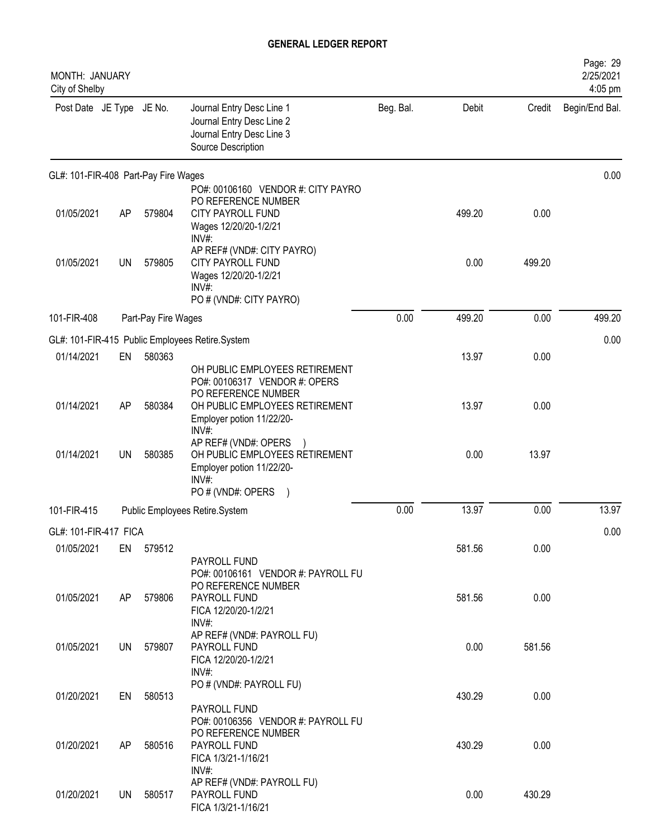| MONTH: JANUARY<br>City of Shelby     |           |                     |                                                                                                                                    |           |        |        | Page: 29<br>2/25/2021<br>4:05 pm |
|--------------------------------------|-----------|---------------------|------------------------------------------------------------------------------------------------------------------------------------|-----------|--------|--------|----------------------------------|
| Post Date JE Type JE No.             |           |                     | Journal Entry Desc Line 1<br>Journal Entry Desc Line 2<br>Journal Entry Desc Line 3<br>Source Description                          | Beg. Bal. | Debit  | Credit | Begin/End Bal.                   |
| GL#: 101-FIR-408 Part-Pay Fire Wages |           |                     |                                                                                                                                    |           |        |        | 0.00                             |
| 01/05/2021                           | AP        | 579804              | PO#: 00106160 VENDOR #: CITY PAYRO<br>PO REFERENCE NUMBER<br>CITY PAYROLL FUND<br>Wages 12/20/20-1/2/21<br>INV#:                   |           | 499.20 | 0.00   |                                  |
| 01/05/2021                           | <b>UN</b> | 579805              | AP REF# (VND#: CITY PAYRO)<br><b>CITY PAYROLL FUND</b><br>Wages 12/20/20-1/2/21<br>INV#<br>PO # (VND#: CITY PAYRO)                 |           | 0.00   | 499.20 |                                  |
| 101-FIR-408                          |           | Part-Pay Fire Wages |                                                                                                                                    | 0.00      | 499.20 | 0.00   | 499.20                           |
|                                      |           |                     | GL#: 101-FIR-415 Public Employees Retire.System                                                                                    |           |        |        | 0.00                             |
| 01/14/2021                           | EN        | 580363              | OH PUBLIC EMPLOYEES RETIREMENT                                                                                                     |           | 13.97  | 0.00   |                                  |
| 01/14/2021                           | AP        | 580384              | PO#: 00106317 VENDOR #: OPERS<br>PO REFERENCE NUMBER<br>OH PUBLIC EMPLOYEES RETIREMENT<br>Employer potion 11/22/20-<br>INV#:       |           | 13.97  | 0.00   |                                  |
| 01/14/2021                           | <b>UN</b> | 580385              | AP REF# (VND#: OPERS<br>OH PUBLIC EMPLOYEES RETIREMENT<br>Employer potion 11/22/20-<br>INV#:<br>PO # (VND#: OPERS<br>$\rightarrow$ |           | 0.00   | 13.97  |                                  |
| 101-FIR-415                          |           |                     | Public Employees Retire.System                                                                                                     | 0.00      | 13.97  | 0.00   | 13.97                            |
| GL#: 101-FIR-417 FICA                |           |                     |                                                                                                                                    |           |        |        | 0.00                             |
| 01/05/2021                           |           | EN 579512           |                                                                                                                                    |           | 581.56 | 0.00   |                                  |
| 01/05/2021                           | AP        | 579806              | PAYROLL FUND<br>PO#: 00106161 VENDOR #: PAYROLL FU<br>PO REFERENCE NUMBER<br>PAYROLL FUND<br>FICA 12/20/20-1/2/21                  |           | 581.56 | 0.00   |                                  |
| 01/05/2021                           | UN        | 579807              | INV#:<br>AP REF# (VND#: PAYROLL FU)<br>PAYROLL FUND<br>FICA 12/20/20-1/2/21<br>INV#:                                               |           | 0.00   | 581.56 |                                  |
| 01/20/2021                           | EN        | 580513              | PO # (VND#: PAYROLL FU)<br>PAYROLL FUND                                                                                            |           | 430.29 | 0.00   |                                  |
| 01/20/2021                           | AP        | 580516              | PO#: 00106356 VENDOR #: PAYROLL FU<br>PO REFERENCE NUMBER<br>PAYROLL FUND<br>FICA 1/3/21-1/16/21<br>$INV#$ :                       |           | 430.29 | 0.00   |                                  |
| 01/20/2021                           | UN        | 580517              | AP REF# (VND#: PAYROLL FU)<br>PAYROLL FUND<br>FICA 1/3/21-1/16/21                                                                  |           | 0.00   | 430.29 |                                  |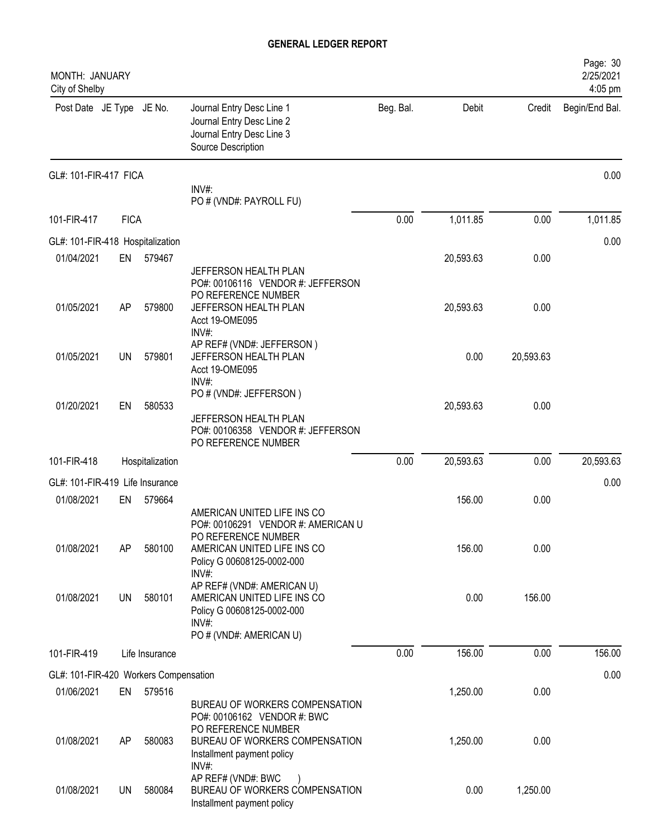| Page: 30<br>2/25/2021<br>4:05 pm |              |                       |           |                                                                                                                        |                           |             | MONTH: JANUARY<br>City of Shelby                                   |
|----------------------------------|--------------|-----------------------|-----------|------------------------------------------------------------------------------------------------------------------------|---------------------------|-------------|--------------------------------------------------------------------|
| Begin/End Bal.                   | Credit       | Debit                 | Beg. Bal. | Journal Entry Desc Line 1<br>Journal Entry Desc Line 2<br>Journal Entry Desc Line 3<br>Source Description              |                           |             | Post Date JE Type JE No.                                           |
| 0.00                             |              |                       |           | INV#:<br>PO # (VND#: PAYROLL FU)                                                                                       |                           |             | GL#: 101-FIR-417 FICA                                              |
| 1,011.85                         | 0.00         | 1,011.85              | 0.00      |                                                                                                                        |                           | <b>FICA</b> | 101-FIR-417                                                        |
| 0.00                             |              |                       |           |                                                                                                                        |                           |             | GL#: 101-FIR-418 Hospitalization                                   |
|                                  | 0.00         | 20,593.63             |           |                                                                                                                        | 579467                    | EN          | 01/04/2021                                                         |
|                                  |              |                       |           | JEFFERSON HEALTH PLAN<br>PO#: 00106116 VENDOR #: JEFFERSON<br>PO REFERENCE NUMBER                                      |                           |             |                                                                    |
|                                  | 0.00         | 20,593.63             |           | JEFFERSON HEALTH PLAN<br>Acct 19-OME095<br>INV#:                                                                       | 579800                    | AP          | 01/05/2021                                                         |
|                                  | 20,593.63    | 0.00                  |           | AP REF# (VND#: JEFFERSON)<br>JEFFERSON HEALTH PLAN<br>Acct 19-OME095<br>INV#:                                          | 579801                    | UN          | 01/05/2021                                                         |
|                                  | 0.00         | 20,593.63             |           | PO # (VND#: JEFFERSON)<br>JEFFERSON HEALTH PLAN<br>PO#: 00106358 VENDOR #: JEFFERSON                                   | 580533                    | EN          | 01/20/2021                                                         |
|                                  |              |                       |           | PO REFERENCE NUMBER                                                                                                    |                           |             |                                                                    |
| 20,593.63                        |              |                       |           |                                                                                                                        |                           |             |                                                                    |
| 0.00                             |              |                       |           |                                                                                                                        |                           |             | GL#: 101-FIR-419 Life Insurance                                    |
|                                  | 0.00         | 156.00                |           |                                                                                                                        | 579664                    | EN          | 01/08/2021                                                         |
|                                  | 0.00         | 156.00                |           | PO#: 00106291 VENDOR #: AMERICAN U<br>PO REFERENCE NUMBER<br>AMERICAN UNITED LIFE INS CO<br>Policy G 00608125-0002-000 | 580100                    | AP          | 01/08/2021                                                         |
|                                  | 156.00       | 0.00                  |           | AP REF# (VND#: AMERICAN U)<br>AMERICAN UNITED LIFE INS CO<br>Policy G 00608125-0002-000<br>$INV#$ :                    | 580101                    | <b>UN</b>   | 01/08/2021                                                         |
| 156.00                           | 0.00         | 156.00                | 0.00      |                                                                                                                        | Life Insurance            |             | 101-FIR-419                                                        |
| 0.00                             |              |                       |           |                                                                                                                        |                           |             |                                                                    |
|                                  |              |                       |           |                                                                                                                        |                           |             |                                                                    |
|                                  | 0.00         | 1,250.00              |           | BUREAU OF WORKERS COMPENSATION<br>PO#: 00106162 VENDOR #: BWC<br>PO REFERENCE NUMBER<br>BUREAU OF WORKERS COMPENSATION | 580083                    | AP          | 01/08/2021                                                         |
|                                  | 1,250.00     | 0.00                  |           | INV#:<br>AP REF# (VND#: BWC<br>BUREAU OF WORKERS COMPENSATION<br>Installment payment policy                            | 580084                    | UN          | 01/08/2021                                                         |
|                                  | 0.00<br>0.00 | 20,593.63<br>1,250.00 | 0.00      | AMERICAN UNITED LIFE INS CO<br>INV#:<br>PO # (VND#: AMERICAN U)<br>Installment payment policy                          | Hospitalization<br>579516 | EN          | 101-FIR-418<br>GL#: 101-FIR-420 Workers Compensation<br>01/06/2021 |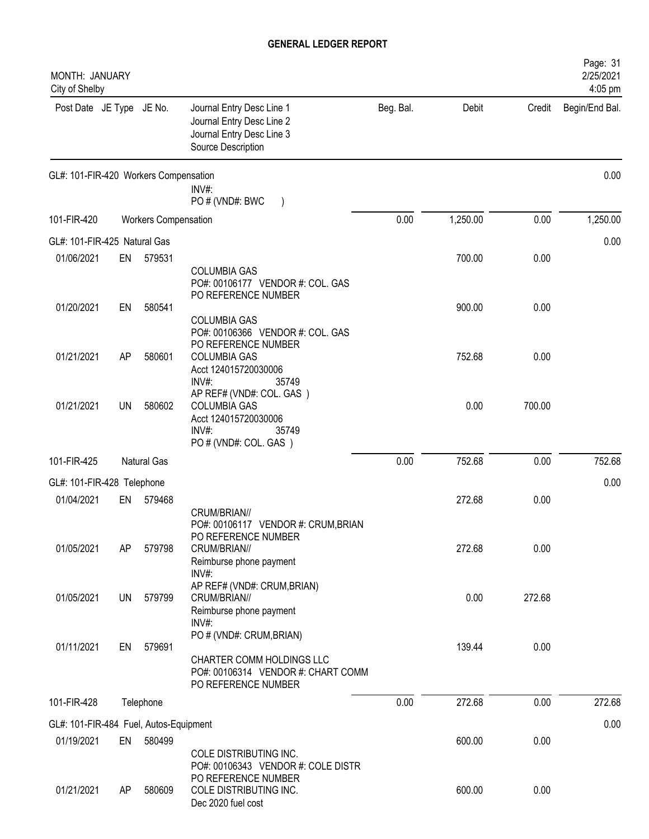| MONTH: JANUARY<br>City of Shelby       |           |                             |                                                                                                                    |           |          |        | Page: 31<br>2/25/2021<br>4:05 pm |
|----------------------------------------|-----------|-----------------------------|--------------------------------------------------------------------------------------------------------------------|-----------|----------|--------|----------------------------------|
| Post Date JE Type JE No.               |           |                             | Journal Entry Desc Line 1<br>Journal Entry Desc Line 2<br>Journal Entry Desc Line 3<br>Source Description          | Beg. Bal. | Debit    | Credit | Begin/End Bal.                   |
| GL#: 101-FIR-420 Workers Compensation  |           |                             | INV#:<br>PO # (VND#: BWC                                                                                           |           |          |        | 0.00                             |
| 101-FIR-420                            |           | <b>Workers Compensation</b> |                                                                                                                    | 0.00      | 1,250.00 | 0.00   | 1,250.00                         |
| GL#: 101-FIR-425 Natural Gas           |           |                             |                                                                                                                    |           |          |        | 0.00                             |
| 01/06/2021                             | EN        | 579531                      |                                                                                                                    |           | 700.00   | 0.00   |                                  |
| 01/20/2021                             | EN        | 580541                      | <b>COLUMBIA GAS</b><br>PO#: 00106177 VENDOR #: COL. GAS<br>PO REFERENCE NUMBER                                     |           | 900.00   | 0.00   |                                  |
|                                        |           |                             | <b>COLUMBIA GAS</b><br>PO#: 00106366 VENDOR #: COL. GAS<br>PO REFERENCE NUMBER                                     |           |          |        |                                  |
| 01/21/2021                             | AP        | 580601                      | <b>COLUMBIA GAS</b><br>Acct 124015720030006<br>INV#:<br>35749                                                      |           | 752.68   | 0.00   |                                  |
| 01/21/2021                             | UN        | 580602                      | AP REF# (VND#: COL. GAS)<br><b>COLUMBIA GAS</b><br>Acct 124015720030006<br>INV#:<br>35749<br>PO # (VND#: COL. GAS) |           | 0.00     | 700.00 |                                  |
| 101-FIR-425                            |           | <b>Natural Gas</b>          |                                                                                                                    | 0.00      | 752.68   | 0.00   | 752.68                           |
| GL#: 101-FIR-428 Telephone             |           |                             |                                                                                                                    |           |          |        | 0.00                             |
| 01/04/2021                             | EN        | 579468                      |                                                                                                                    |           | 272.68   | 0.00   |                                  |
|                                        |           |                             | CRUM/BRIAN//<br>PO#: 00106117 VENDOR #: CRUM, BRIAN<br>PO REFERENCE NUMBER                                         |           |          |        |                                  |
| 01/05/2021                             | AP        | 579798                      | CRUM/BRIAN//<br>Reimburse phone payment<br>INV#:                                                                   |           | 272.68   | 0.00   |                                  |
| 01/05/2021                             | <b>UN</b> | 579799                      | AP REF# (VND#: CRUM, BRIAN)<br>CRUM/BRIAN//<br>Reimburse phone payment<br>INV#                                     |           | 0.00     | 272.68 |                                  |
| 01/11/2021                             | EN        | 579691                      | PO # (VND#: CRUM, BRIAN)<br>CHARTER COMM HOLDINGS LLC<br>PO#: 00106314 VENDOR #: CHART COMM<br>PO REFERENCE NUMBER |           | 139.44   | 0.00   |                                  |
| 101-FIR-428                            |           | Telephone                   |                                                                                                                    | 0.00      | 272.68   | 0.00   | 272.68                           |
| GL#: 101-FIR-484 Fuel, Autos-Equipment |           |                             |                                                                                                                    |           |          |        | 0.00                             |
| 01/19/2021                             | EN        | 580499                      |                                                                                                                    |           | 600.00   | 0.00   |                                  |
|                                        |           |                             | COLE DISTRIBUTING INC.<br>PO#: 00106343 VENDOR #: COLE DISTR<br>PO REFERENCE NUMBER                                |           |          |        |                                  |
| 01/21/2021                             | AP        | 580609                      | COLE DISTRIBUTING INC.<br>Dec 2020 fuel cost                                                                       |           | 600.00   | 0.00   |                                  |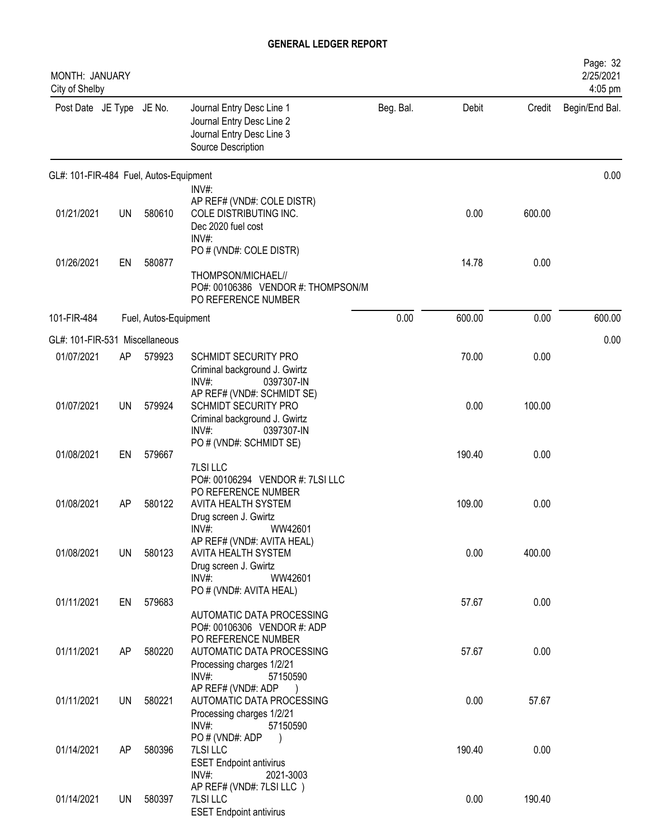| <b>MONTH: JANUARY</b><br>City of Shelby |           |                       |                                                                                                                                                |           |        |        | Page: 32<br>2/25/2021<br>4:05 pm |
|-----------------------------------------|-----------|-----------------------|------------------------------------------------------------------------------------------------------------------------------------------------|-----------|--------|--------|----------------------------------|
| Post Date JE Type JE No.                |           |                       | Journal Entry Desc Line 1<br>Journal Entry Desc Line 2<br>Journal Entry Desc Line 3<br>Source Description                                      | Beg. Bal. | Debit  | Credit | Begin/End Bal.                   |
| GL#: 101-FIR-484 Fuel, Autos-Equipment  |           |                       |                                                                                                                                                |           |        |        | 0.00                             |
| 01/21/2021                              | <b>UN</b> | 580610                | $INV#$ :<br>AP REF# (VND#: COLE DISTR)<br>COLE DISTRIBUTING INC.<br>Dec 2020 fuel cost<br>$INV#$ :                                             |           | 0.00   | 600.00 |                                  |
| 01/26/2021                              | EN        | 580877                | PO # (VND#: COLE DISTR)<br>THOMPSON/MICHAEL//<br>PO#: 00106386 VENDOR #: THOMPSON/M<br>PO REFERENCE NUMBER                                     |           | 14.78  | 0.00   |                                  |
| 101-FIR-484                             |           | Fuel, Autos-Equipment |                                                                                                                                                | 0.00      | 600.00 | 0.00   | 600.00                           |
| GL#: 101-FIR-531 Miscellaneous          |           |                       |                                                                                                                                                |           |        |        | 0.00                             |
| 01/07/2021                              | AP        | 579923                | SCHMIDT SECURITY PRO<br>Criminal background J. Gwirtz<br>INV#:<br>0397307-IN                                                                   |           | 70.00  | 0.00   |                                  |
| 01/07/2021                              | <b>UN</b> | 579924                | AP REF# (VND#: SCHMIDT SE)<br>SCHMIDT SECURITY PRO<br>Criminal background J. Gwirtz<br>$INV#$ :<br>0397307-IN                                  |           | 0.00   | 100.00 |                                  |
| 01/08/2021                              | EN        | 579667                | PO # (VND#: SCHMIDT SE)                                                                                                                        |           | 190.40 | 0.00   |                                  |
| 01/08/2021                              | AP        | 580122                | <b>7LSI LLC</b><br>PO#: 00106294 VENDOR #: 7LSI LLC<br>PO REFERENCE NUMBER<br>AVITA HEALTH SYSTEM<br>Drug screen J. Gwirtz<br>INV#:<br>WW42601 |           | 109.00 | 0.00   |                                  |
| 01/08/2021                              | UN.       | 580123                | AP REF# (VND#: AVITA HEAL)<br>AVITA HEALTH SYSTEM<br>Drug screen J. Gwirtz<br>INV#:<br>WW42601                                                 |           | 0.00   | 400.00 |                                  |
| 01/11/2021                              | EN        | 579683                | PO # (VND#: AVITA HEAL)<br>AUTOMATIC DATA PROCESSING<br>PO#: 00106306 VENDOR #: ADP                                                            |           | 57.67  | 0.00   |                                  |
| 01/11/2021                              | AP        | 580220                | PO REFERENCE NUMBER<br>AUTOMATIC DATA PROCESSING<br>Processing charges 1/2/21<br>INV#:<br>57150590                                             |           | 57.67  | 0.00   |                                  |
| 01/11/2021                              | <b>UN</b> | 580221                | AP REF# (VND#: ADP<br>AUTOMATIC DATA PROCESSING<br>Processing charges 1/2/21<br>INV#:<br>57150590                                              |           | 0.00   | 57.67  |                                  |
| 01/14/2021                              | AP        | 580396                | PO#(VND#: ADP<br>7LSI LLC<br><b>ESET Endpoint antivirus</b><br>INV#:<br>2021-3003                                                              |           | 190.40 | 0.00   |                                  |
| 01/14/2021                              | UN        | 580397                | AP REF# (VND#: 7LSI LLC)<br>7LSI LLC<br><b>ESET Endpoint antivirus</b>                                                                         |           | 0.00   | 190.40 |                                  |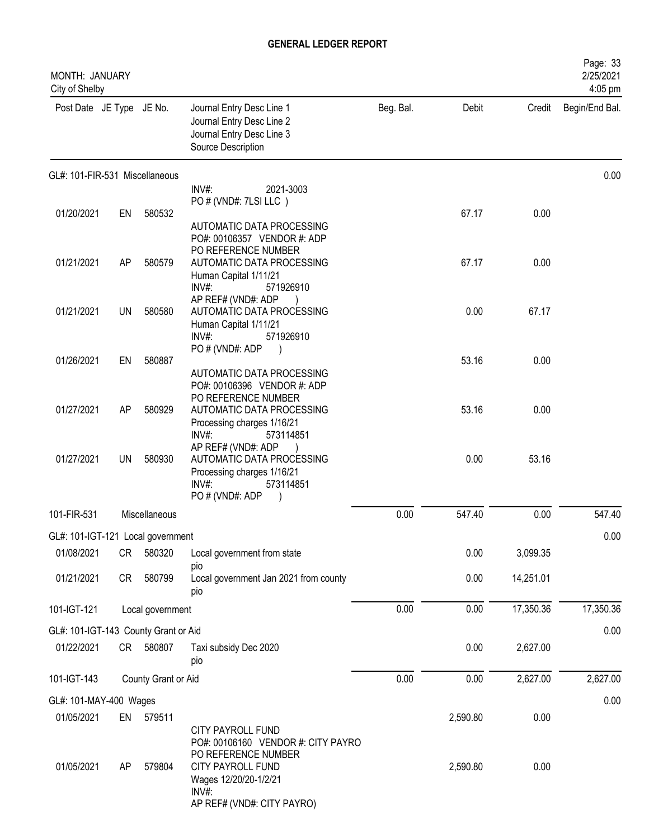| <b>MONTH: JANUARY</b><br>City of Shelby |    |                     |                                                                                                                                              |           |          |           | Page: 33<br>2/25/2021<br>4:05 pm |
|-----------------------------------------|----|---------------------|----------------------------------------------------------------------------------------------------------------------------------------------|-----------|----------|-----------|----------------------------------|
| Post Date JE Type JE No.                |    |                     | Journal Entry Desc Line 1<br>Journal Entry Desc Line 2<br>Journal Entry Desc Line 3<br>Source Description                                    | Beg. Bal. | Debit    |           | Credit Begin/End Bal.            |
| GL#: 101-FIR-531 Miscellaneous          |    |                     |                                                                                                                                              |           |          |           | 0.00                             |
|                                         |    |                     | $INV#$ :<br>2021-3003<br>PO # (VND#: 7LSI LLC)                                                                                               |           |          |           |                                  |
| 01/20/2021                              | EN | 580532              |                                                                                                                                              |           | 67.17    | 0.00      |                                  |
|                                         |    |                     | AUTOMATIC DATA PROCESSING<br>PO#: 00106357 VENDOR #: ADP<br>PO REFERENCE NUMBER                                                              |           |          |           |                                  |
| 01/21/2021                              | AP | 580579              | AUTOMATIC DATA PROCESSING                                                                                                                    |           | 67.17    | 0.00      |                                  |
|                                         |    |                     | Human Capital 1/11/21<br>$INV#$ :<br>571926910<br>AP REF# (VND#: ADP                                                                         |           |          |           |                                  |
| 01/21/2021                              | UN | 580580              | AUTOMATIC DATA PROCESSING<br>Human Capital 1/11/21<br>$INV#$ :<br>571926910                                                                  |           | 0.00     | 67.17     |                                  |
| 01/26/2021                              | EN | 580887              | PO # (VND#: ADP                                                                                                                              |           | 53.16    | 0.00      |                                  |
|                                         |    |                     | AUTOMATIC DATA PROCESSING<br>PO#: 00106396 VENDOR #: ADP<br>PO REFERENCE NUMBER                                                              |           |          |           |                                  |
| 01/27/2021                              | AP | 580929              | AUTOMATIC DATA PROCESSING<br>Processing charges 1/16/21<br>$INV#$ :<br>573114851                                                             |           | 53.16    | 0.00      |                                  |
| 01/27/2021                              | UN | 580930              | AP REF# (VND#: ADP<br>AUTOMATIC DATA PROCESSING<br>Processing charges 1/16/21<br>INV#:<br>573114851<br>PO#(VND#: ADP                         |           | 0.00     | 53.16     |                                  |
| 101-FIR-531                             |    | Miscellaneous       |                                                                                                                                              | 0.00      | 547.40   | 0.00      | 547.40                           |
| GL#: 101-IGT-121 Local government       |    |                     |                                                                                                                                              |           |          |           | 0.00                             |
| 01/08/2021                              | CR | 580320              | Local government from state                                                                                                                  |           | 0.00     | 3,099.35  |                                  |
|                                         |    |                     | pio                                                                                                                                          |           |          |           |                                  |
| 01/21/2021                              | CR | 580799              | Local government Jan 2021 from county<br>pio                                                                                                 |           | 0.00     | 14,251.01 |                                  |
| 101-IGT-121                             |    | Local government    |                                                                                                                                              | 0.00      | 0.00     | 17,350.36 | 17,350.36                        |
| GL#: 101-IGT-143 County Grant or Aid    |    |                     |                                                                                                                                              |           |          |           | 0.00                             |
| 01/22/2021                              | CR | 580807              | Taxi subsidy Dec 2020<br>pio                                                                                                                 |           | 0.00     | 2,627.00  |                                  |
| 101-IGT-143                             |    | County Grant or Aid |                                                                                                                                              | 0.00      | 0.00     | 2,627.00  | 2,627.00                         |
| GL#: 101-MAY-400 Wages                  |    |                     |                                                                                                                                              |           |          |           | 0.00                             |
| 01/05/2021                              | EN | 579511              |                                                                                                                                              |           | 2,590.80 | 0.00      |                                  |
| 01/05/2021                              | AP | 579804              | <b>CITY PAYROLL FUND</b><br>PO#: 00106160 VENDOR #: CITY PAYRO<br>PO REFERENCE NUMBER<br>CITY PAYROLL FUND<br>Wages 12/20/20-1/2/21<br>INV#: |           | 2,590.80 | 0.00      |                                  |
|                                         |    |                     | AP REF# (VND#: CITY PAYRO)                                                                                                                   |           |          |           |                                  |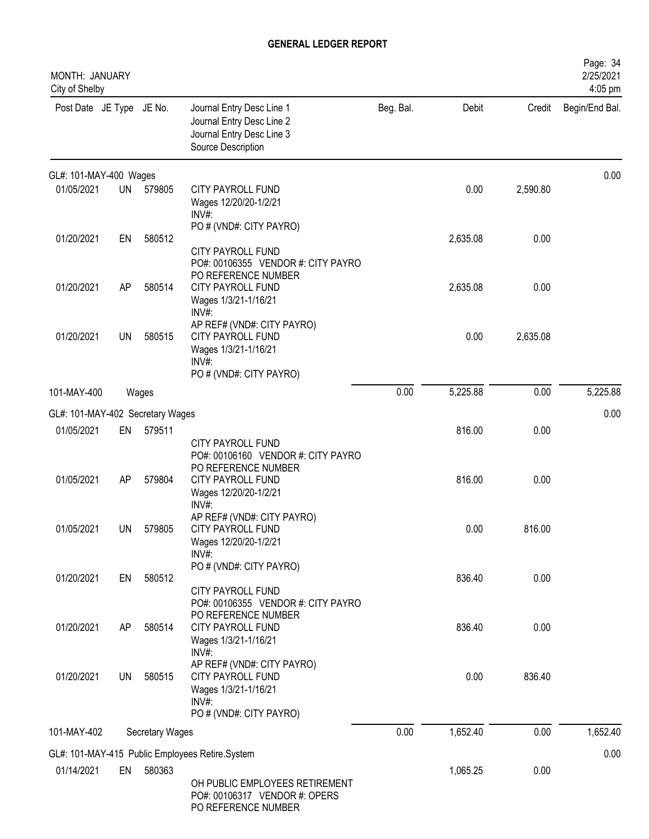| MONTH: JANUARY<br>City of Shelby |           |                 |                                                                                                                |           |          |          | Page: 34<br>2/25/2021<br>4:05 pm |
|----------------------------------|-----------|-----------------|----------------------------------------------------------------------------------------------------------------|-----------|----------|----------|----------------------------------|
| Post Date JE Type JE No.         |           |                 | Journal Entry Desc Line 1<br>Journal Entry Desc Line 2<br>Journal Entry Desc Line 3<br>Source Description      | Beg. Bal. | Debit    | Credit   | Begin/End Bal.                   |
| GL#: 101-MAY-400 Wages           |           |                 |                                                                                                                |           |          |          | 0.00                             |
| 01/05/2021                       | <b>UN</b> | 579805          | CITY PAYROLL FUND<br>Wages 12/20/20-1/2/21<br>INV#                                                             |           | 0.00     | 2,590.80 |                                  |
| 01/20/2021                       | EN        | 580512          | PO # (VND#: CITY PAYRO)<br>CITY PAYROLL FUND<br>PO#: 00106355 VENDOR #: CITY PAYRO<br>PO REFERENCE NUMBER      |           | 2,635.08 | 0.00     |                                  |
| 01/20/2021                       | AP        | 580514          | CITY PAYROLL FUND<br>Wages 1/3/21-1/16/21<br>INV#:<br>AP REF# (VND#: CITY PAYRO)                               |           | 2,635.08 | 0.00     |                                  |
| 01/20/2021                       | <b>UN</b> | 580515          | CITY PAYROLL FUND<br>Wages 1/3/21-1/16/21<br>$INV#$ :<br>PO # (VND#: CITY PAYRO)                               |           | 0.00     | 2,635.08 |                                  |
| 101-MAY-400                      |           | Wages           |                                                                                                                | 0.00      | 5,225.88 | 0.00     | 5,225.88                         |
| GL#: 101-MAY-402 Secretary Wages |           |                 |                                                                                                                |           |          |          | 0.00                             |
| 01/05/2021                       | EN        | 579511          | CITY PAYROLL FUND<br>PO#: 00106160 VENDOR #: CITY PAYRO<br>PO REFERENCE NUMBER                                 |           | 816.00   | 0.00     |                                  |
| 01/05/2021                       | AP        | 579804          | CITY PAYROLL FUND<br>Wages 12/20/20-1/2/21<br>INV#:                                                            |           | 816.00   | 0.00     |                                  |
| 01/05/2021                       | UN        | 579805          | AP REF# (VND#: CITY PAYRO)<br>CITY PAYROLL FUND<br>Wages 12/20/20-1/2/21<br>$INV#$ :                           |           | 0.00     | 816.00   |                                  |
| 01/20/2021                       | EN        | 580512          | PO # (VND#: CITY PAYRO)<br><b>CITY PAYROLL FUND</b><br>PO#: 00106355 VENDOR #: CITY PAYRO                      |           | 836.40   | 0.00     |                                  |
| 01/20/2021                       | AP        | 580514          | PO REFERENCE NUMBER<br>CITY PAYROLL FUND<br>Wages 1/3/21-1/16/21<br>$INV#$ :                                   |           | 836.40   | 0.00     |                                  |
| 01/20/2021                       | <b>UN</b> | 580515          | AP REF# (VND#: CITY PAYRO)<br>CITY PAYROLL FUND<br>Wages 1/3/21-1/16/21<br>$INV#$ :<br>PO # (VND#: CITY PAYRO) |           | 0.00     | 836.40   |                                  |
| 101-MAY-402                      |           | Secretary Wages |                                                                                                                | 0.00      | 1,652.40 | 0.00     | 1,652.40                         |
|                                  |           |                 | GL#: 101-MAY-415 Public Employees Retire.System                                                                |           |          |          | 0.00                             |
| 01/14/2021                       | EN        | 580363          | OH PUBLIC EMPLOYEES RETIREMENT<br>PO#: 00106317 VENDOR #: OPERS<br>PO REFERENCE NUMBER                         |           | 1,065.25 | 0.00     |                                  |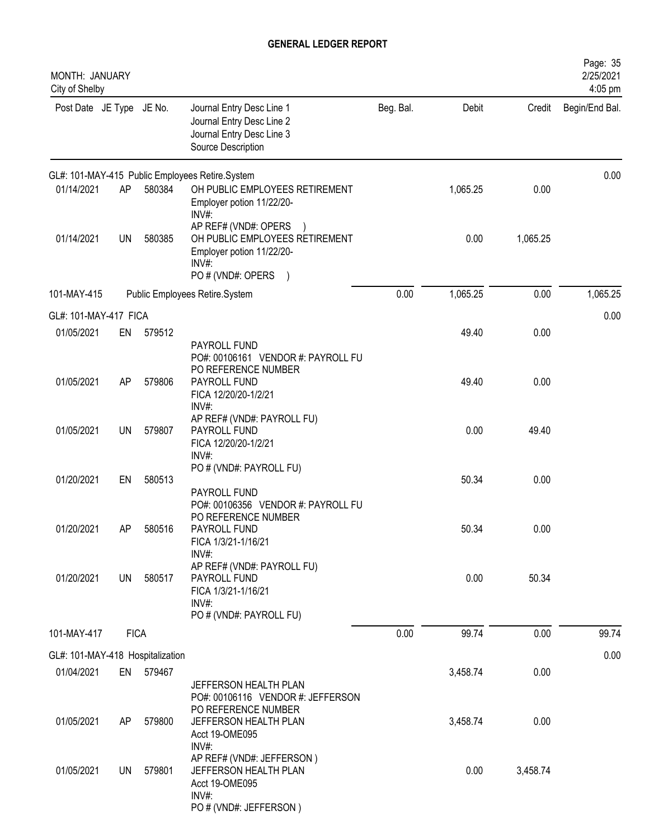| MONTH: JANUARY<br>City of Shelby |             |           |                                                                                                                                   |           |          |          | Page: 35<br>2/25/2021<br>4:05 pm |
|----------------------------------|-------------|-----------|-----------------------------------------------------------------------------------------------------------------------------------|-----------|----------|----------|----------------------------------|
| Post Date JE Type JE No.         |             |           | Journal Entry Desc Line 1<br>Journal Entry Desc Line 2<br>Journal Entry Desc Line 3<br>Source Description                         | Beg. Bal. | Debit    | Credit   | Begin/End Bal.                   |
|                                  |             |           | GL#: 101-MAY-415 Public Employees Retire.System                                                                                   |           |          |          | 0.00                             |
| 01/14/2021                       | AP          | 580384    | OH PUBLIC EMPLOYEES RETIREMENT<br>Employer potion 11/22/20-<br>INV#                                                               |           | 1,065.25 | 0.00     |                                  |
| 01/14/2021                       | <b>UN</b>   | 580385    | AP REF# (VND#: OPERS<br>OH PUBLIC EMPLOYEES RETIREMENT<br>Employer potion 11/22/20-<br>$INV#$ :<br>PO # (VND#: OPERS<br>$\lambda$ |           | 0.00     | 1,065.25 |                                  |
| 101-MAY-415                      |             |           | Public Employees Retire.System                                                                                                    | 0.00      | 1,065.25 | 0.00     | 1,065.25                         |
| GL#: 101-MAY-417 FICA            |             |           |                                                                                                                                   |           |          |          | 0.00                             |
| 01/05/2021                       | EN          | 579512    |                                                                                                                                   |           | 49.40    | 0.00     |                                  |
|                                  |             |           | PAYROLL FUND<br>PO#: 00106161 VENDOR #: PAYROLL FU<br>PO REFERENCE NUMBER                                                         |           |          |          |                                  |
| 01/05/2021                       | AP          | 579806    | PAYROLL FUND<br>FICA 12/20/20-1/2/21<br>INV#:                                                                                     |           | 49.40    | 0.00     |                                  |
| 01/05/2021                       | <b>UN</b>   | 579807    | AP REF# (VND#: PAYROLL FU)<br>PAYROLL FUND<br>FICA 12/20/20-1/2/21<br>$INV#$ :                                                    |           | 0.00     | 49.40    |                                  |
| 01/20/2021                       | EN          | 580513    | PO # (VND#: PAYROLL FU)                                                                                                           |           | 50.34    | 0.00     |                                  |
|                                  |             |           | PAYROLL FUND<br>PO#: 00106356 VENDOR #: PAYROLL FU<br>PO REFERENCE NUMBER                                                         |           |          |          |                                  |
| 01/20/2021                       | AP          | 580516    | PAYROLL FUND<br>FICA 1/3/21-1/16/21<br>$INV#$ :                                                                                   |           | 50.34    | 0.00     |                                  |
| 01/20/2021                       | UN          | 580517    | AP REF# (VND#: PAYROLL FU)<br>PAYROLL FUND<br>FICA 1/3/21-1/16/21<br>$INV#$ :<br>PO # (VND#: PAYROLL FU)                          |           | 0.00     | 50.34    |                                  |
| 101-MAY-417                      | <b>FICA</b> |           |                                                                                                                                   | 0.00      | 99.74    | 0.00     | 99.74                            |
| GL#: 101-MAY-418 Hospitalization |             |           |                                                                                                                                   |           |          |          | 0.00                             |
| 01/04/2021                       |             | EN 579467 | JEFFERSON HEALTH PLAN                                                                                                             |           | 3,458.74 | 0.00     |                                  |
| 01/05/2021                       | AP          | 579800    | PO#: 00106116 VENDOR #: JEFFERSON<br>PO REFERENCE NUMBER<br>JEFFERSON HEALTH PLAN<br>Acct 19-OME095<br>$INV#$ :                   |           | 3,458.74 | 0.00     |                                  |
| 01/05/2021                       | UN          | 579801    | AP REF# (VND#: JEFFERSON)<br>JEFFERSON HEALTH PLAN<br>Acct 19-OME095<br>$INV#$ :                                                  |           | 0.00     | 3,458.74 |                                  |
|                                  |             |           | PO # (VND#: JEFFERSON)                                                                                                            |           |          |          |                                  |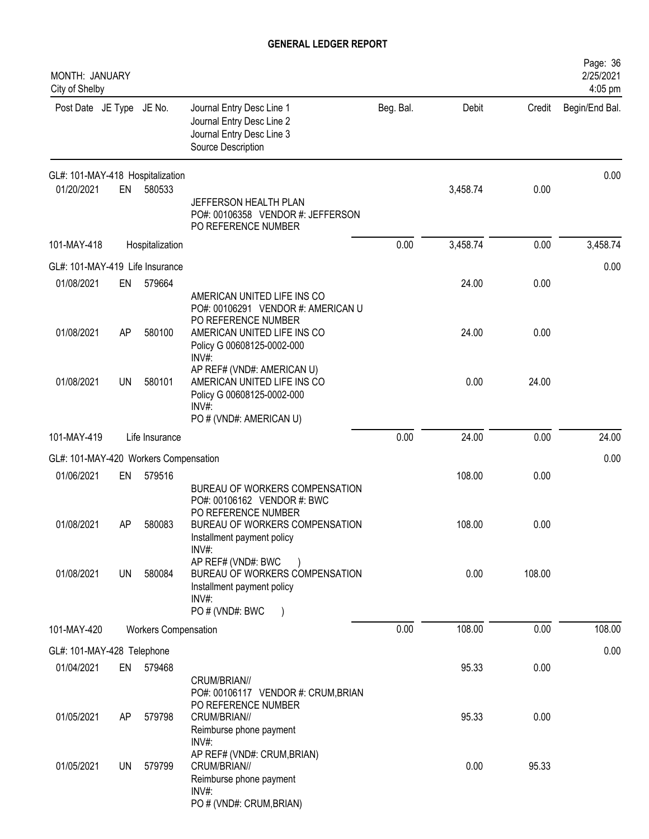| MONTH: JANUARY<br>City of Shelby      |    |                             |                                                                                                                             |           |          |        | Page: 36<br>2/25/2021<br>4:05 pm |
|---------------------------------------|----|-----------------------------|-----------------------------------------------------------------------------------------------------------------------------|-----------|----------|--------|----------------------------------|
| Post Date JE Type JE No.              |    |                             | Journal Entry Desc Line 1<br>Journal Entry Desc Line 2<br>Journal Entry Desc Line 3<br>Source Description                   | Beg. Bal. | Debit    | Credit | Begin/End Bal.                   |
| GL#: 101-MAY-418 Hospitalization      |    |                             |                                                                                                                             |           |          |        | 0.00                             |
| 01/20/2021                            | EN | 580533                      | JEFFERSON HEALTH PLAN<br>PO#: 00106358 VENDOR #: JEFFERSON<br>PO REFERENCE NUMBER                                           |           | 3,458.74 | 0.00   |                                  |
| 101-MAY-418                           |    | Hospitalization             |                                                                                                                             | 0.00      | 3,458.74 | 0.00   | 3,458.74                         |
| GL#: 101-MAY-419 Life Insurance       |    |                             |                                                                                                                             |           |          |        | 0.00                             |
| 01/08/2021                            | EN | 579664                      | AMERICAN UNITED LIFE INS CO<br>PO#: 00106291 VENDOR #: AMERICAN U<br>PO REFERENCE NUMBER                                    |           | 24.00    | 0.00   |                                  |
| 01/08/2021                            | AP | 580100                      | AMERICAN UNITED LIFE INS CO<br>Policy G 00608125-0002-000<br>INV#:                                                          |           | 24.00    | 0.00   |                                  |
| 01/08/2021                            | UN | 580101                      | AP REF# (VND#: AMERICAN U)<br>AMERICAN UNITED LIFE INS CO<br>Policy G 00608125-0002-000<br>INV#:<br>PO # (VND#: AMERICAN U) |           | 0.00     | 24.00  |                                  |
| 101-MAY-419                           |    | Life Insurance              |                                                                                                                             | 0.00      | 24.00    | 0.00   | 24.00                            |
| GL#: 101-MAY-420 Workers Compensation |    |                             |                                                                                                                             |           |          |        | 0.00                             |
| 01/06/2021                            | EN | 579516                      | BUREAU OF WORKERS COMPENSATION<br>PO#: 00106162 VENDOR #: BWC                                                               |           | 108.00   | 0.00   |                                  |
| 01/08/2021                            | AP | 580083                      | PO REFERENCE NUMBER<br>BUREAU OF WORKERS COMPENSATION<br>Installment payment policy<br>INV#:                                |           | 108.00   | 0.00   |                                  |
| 01/08/2021                            | UN | 580084                      | AP REF# (VND#: BWC<br>BUREAU OF WORKERS COMPENSATION<br>Installment payment policy<br>$INV#$ :<br>PO # (VND#: BWC           |           | 0.00     | 108.00 |                                  |
| 101-MAY-420                           |    | <b>Workers Compensation</b> |                                                                                                                             | 0.00      | 108.00   | 0.00   | 108.00                           |
| GL#: 101-MAY-428 Telephone            |    |                             |                                                                                                                             |           |          |        | 0.00                             |
| 01/04/2021                            | EN | 579468                      | CRUM/BRIAN//<br>PO#: 00106117 VENDOR #: CRUM, BRIAN                                                                         |           | 95.33    | 0.00   |                                  |
| 01/05/2021                            | AP | 579798                      | PO REFERENCE NUMBER<br>CRUM/BRIAN//<br>Reimburse phone payment<br>$INV#$ :                                                  |           | 95.33    | 0.00   |                                  |
| 01/05/2021                            | UN | 579799                      | AP REF# (VND#: CRUM, BRIAN)<br>CRUM/BRIAN//<br>Reimburse phone payment<br>$INV#$ :<br>PO # (VND#: CRUM, BRIAN)              |           | 0.00     | 95.33  |                                  |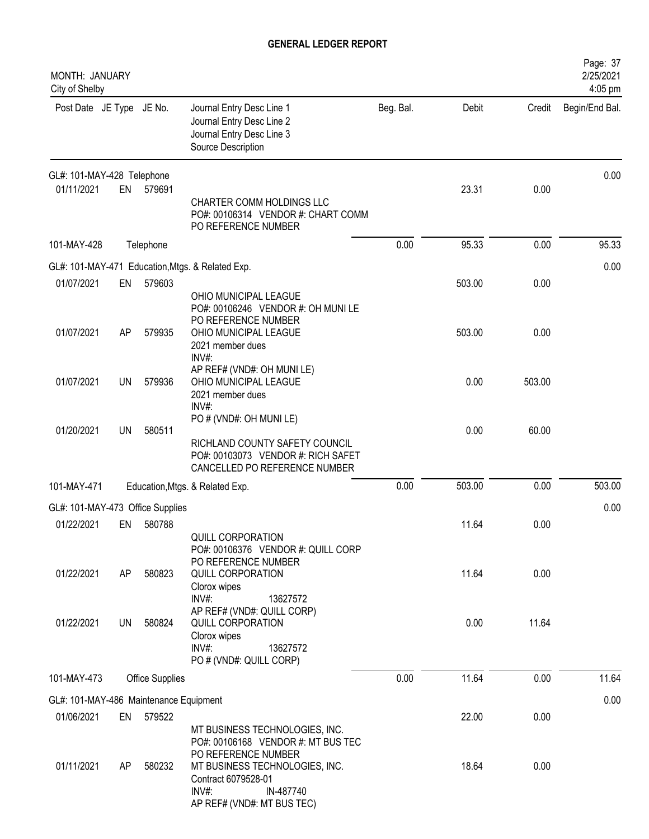| MONTH: JANUARY<br>City of Shelby       |           |                        |                                                                                                                                                                                                             |           |        |        | Page: 37<br>2/25/2021<br>4:05 pm |
|----------------------------------------|-----------|------------------------|-------------------------------------------------------------------------------------------------------------------------------------------------------------------------------------------------------------|-----------|--------|--------|----------------------------------|
| Post Date JE Type JE No.               |           |                        | Journal Entry Desc Line 1<br>Journal Entry Desc Line 2<br>Journal Entry Desc Line 3<br>Source Description                                                                                                   | Beg. Bal. | Debit  | Credit | Begin/End Bal.                   |
| GL#: 101-MAY-428 Telephone             |           |                        |                                                                                                                                                                                                             |           |        |        | 0.00                             |
| 01/11/2021                             | EN        | 579691                 | CHARTER COMM HOLDINGS LLC<br>PO#: 00106314 VENDOR #: CHART COMM<br>PO REFERENCE NUMBER                                                                                                                      |           | 23.31  | 0.00   |                                  |
| 101-MAY-428                            |           | Telephone              |                                                                                                                                                                                                             | 0.00      | 95.33  | 0.00   | 95.33                            |
|                                        |           |                        | GL#: 101-MAY-471 Education, Mtgs. & Related Exp.                                                                                                                                                            |           |        |        | 0.00                             |
| 01/07/2021                             | EN        | 579603                 | OHIO MUNICIPAL LEAGUE<br>PO#: 00106246 VENDOR #: OH MUNILE<br>PO REFERENCE NUMBER                                                                                                                           |           | 503.00 | 0.00   |                                  |
| 01/07/2021                             | AP        | 579935                 | OHIO MUNICIPAL LEAGUE<br>2021 member dues<br>INV#:                                                                                                                                                          |           | 503.00 | 0.00   |                                  |
| 01/07/2021                             | <b>UN</b> | 579936                 | AP REF# (VND#: OH MUNILE)<br>OHIO MUNICIPAL LEAGUE<br>2021 member dues<br>$INV#$ :                                                                                                                          |           | 0.00   | 503.00 |                                  |
| 01/20/2021                             | <b>UN</b> | 580511                 | PO # (VND#: OH MUNI LE)<br>RICHLAND COUNTY SAFETY COUNCIL<br>PO#: 00103073 VENDOR #: RICH SAFET<br>CANCELLED PO REFERENCE NUMBER                                                                            |           | 0.00   | 60.00  |                                  |
| 101-MAY-471                            |           |                        | Education, Mtgs. & Related Exp.                                                                                                                                                                             | 0.00      | 503.00 | 0.00   | 503.00                           |
| GL#: 101-MAY-473 Office Supplies       |           |                        |                                                                                                                                                                                                             |           |        |        | 0.00                             |
| 01/22/2021                             | EN        | 580788                 |                                                                                                                                                                                                             |           | 11.64  | 0.00   |                                  |
| 01/22/2021                             | AP        | 580823                 | QUILL CORPORATION<br>PO#: 00106376 VENDOR #: QUILL CORP<br>PO REFERENCE NUMBER<br>QUILL CORPORATION<br>Clorox wipes<br>INV#:<br>13627572                                                                    |           | 11.64  | 0.00   |                                  |
| 01/22/2021                             | UN        | 580824                 | AP REF# (VND#: QUILL CORP)<br>QUILL CORPORATION<br>Clorox wipes<br>$INV#$ :<br>13627572<br>PO # (VND#: QUILL CORP)                                                                                          |           | 0.00   | 11.64  |                                  |
| 101-MAY-473                            |           | <b>Office Supplies</b> |                                                                                                                                                                                                             | 0.00      | 11.64  | 0.00   | 11.64                            |
| GL#: 101-MAY-486 Maintenance Equipment |           |                        |                                                                                                                                                                                                             |           |        |        | 0.00                             |
| 01/06/2021                             | EN        | 579522                 |                                                                                                                                                                                                             |           | 22.00  | 0.00   |                                  |
| 01/11/2021                             | AP        | 580232                 | MT BUSINESS TECHNOLOGIES, INC.<br>PO#: 00106168 VENDOR #: MT BUS TEC<br>PO REFERENCE NUMBER<br>MT BUSINESS TECHNOLOGIES, INC.<br>Contract 6079528-01<br>$INV#$ :<br>IN-487740<br>AP REF# (VND#: MT BUS TEC) |           | 18.64  | 0.00   |                                  |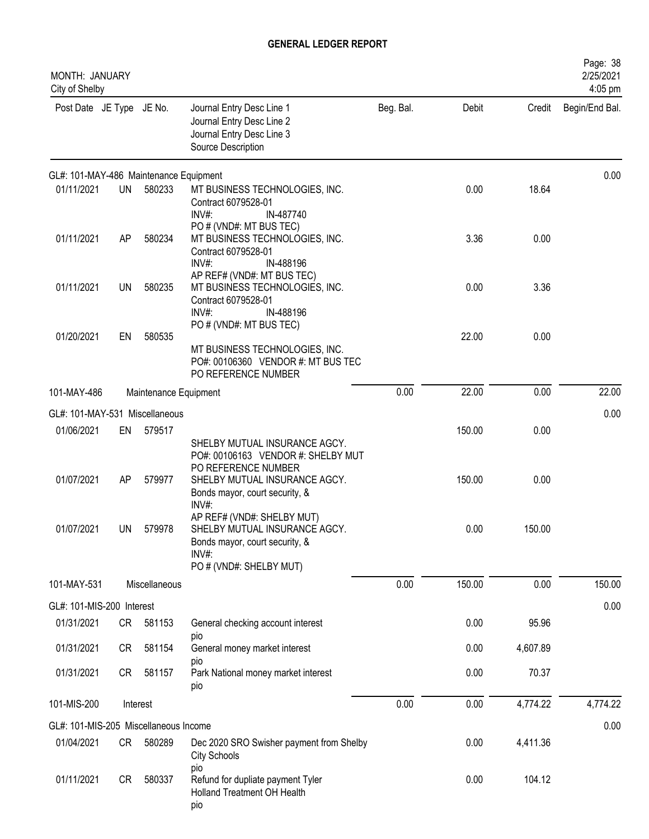| <b>MONTH: JANUARY</b><br>City of Shelby |           |                       |                                                                                                                                       |           |        |          | Page: 38<br>2/25/2021<br>4:05 pm |
|-----------------------------------------|-----------|-----------------------|---------------------------------------------------------------------------------------------------------------------------------------|-----------|--------|----------|----------------------------------|
| Post Date JE Type JE No.                |           |                       | Journal Entry Desc Line 1<br>Journal Entry Desc Line 2<br>Journal Entry Desc Line 3<br>Source Description                             | Beg. Bal. | Debit  | Credit   | Begin/End Bal.                   |
| GL#: 101-MAY-486 Maintenance Equipment  |           |                       |                                                                                                                                       |           |        |          | 0.00                             |
| 01/11/2021                              | <b>UN</b> | 580233                | MT BUSINESS TECHNOLOGIES, INC.<br>Contract 6079528-01<br>INV#:<br>IN-487740                                                           |           | 0.00   | 18.64    |                                  |
| 01/11/2021                              | AP        | 580234                | PO # (VND#: MT BUS TEC)<br>MT BUSINESS TECHNOLOGIES, INC.<br>Contract 6079528-01<br>IN-488196<br>INV#                                 |           | 3.36   | 0.00     |                                  |
| 01/11/2021                              | UN        | 580235                | AP REF# (VND#: MT BUS TEC)<br>MT BUSINESS TECHNOLOGIES, INC.<br>Contract 6079528-01<br>INV#:<br>IN-488196                             |           | 0.00   | 3.36     |                                  |
| 01/20/2021                              | EN        | 580535                | PO # (VND#: MT BUS TEC)<br>MT BUSINESS TECHNOLOGIES, INC.<br>PO#: 00106360 VENDOR #: MT BUS TEC<br>PO REFERENCE NUMBER                |           | 22.00  | 0.00     |                                  |
| 101-MAY-486                             |           | Maintenance Equipment |                                                                                                                                       | 0.00      | 22.00  | 0.00     | 22.00                            |
| GL#: 101-MAY-531 Miscellaneous          |           |                       |                                                                                                                                       |           |        |          | 0.00                             |
| 01/06/2021                              | EN        | 579517                | SHELBY MUTUAL INSURANCE AGCY.                                                                                                         |           | 150.00 | 0.00     |                                  |
| 01/07/2021                              | AP        | 579977                | PO#: 00106163 VENDOR #: SHELBY MUT<br>PO REFERENCE NUMBER<br>SHELBY MUTUAL INSURANCE AGCY.<br>Bonds mayor, court security, &<br>INV#: |           | 150.00 | 0.00     |                                  |
| 01/07/2021                              | UN        | 579978                | AP REF# (VND#: SHELBY MUT)<br>SHELBY MUTUAL INSURANCE AGCY.<br>Bonds mayor, court security, &<br>$INV#$ :<br>PO # (VND#: SHELBY MUT)  |           | 0.00   | 150.00   |                                  |
| 101-MAY-531                             |           | Miscellaneous         |                                                                                                                                       | 0.00      | 150.00 | 0.00     | 150.00                           |
| GL#: 101-MIS-200 Interest               |           |                       |                                                                                                                                       |           |        |          | 0.00                             |
| 01/31/2021                              | CR        | 581153                | General checking account interest<br>pio                                                                                              |           | 0.00   | 95.96    |                                  |
| 01/31/2021                              | <b>CR</b> | 581154                | General money market interest                                                                                                         |           | 0.00   | 4,607.89 |                                  |
| 01/31/2021                              | CR        | 581157                | pio<br>Park National money market interest<br>pio                                                                                     |           | 0.00   | 70.37    |                                  |
| 101-MIS-200                             |           | Interest              |                                                                                                                                       | 0.00      | 0.00   | 4,774.22 | 4,774.22                         |
| GL#: 101-MIS-205 Miscellaneous Income   |           |                       |                                                                                                                                       |           |        |          | 0.00                             |
| 01/04/2021                              | CR        | 580289                | Dec 2020 SRO Swisher payment from Shelby<br>City Schools                                                                              |           | 0.00   | 4,411.36 |                                  |
| 01/11/2021                              | CR        | 580337                | pio<br>Refund for dupliate payment Tyler<br>Holland Treatment OH Health<br>pio                                                        |           | 0.00   | 104.12   |                                  |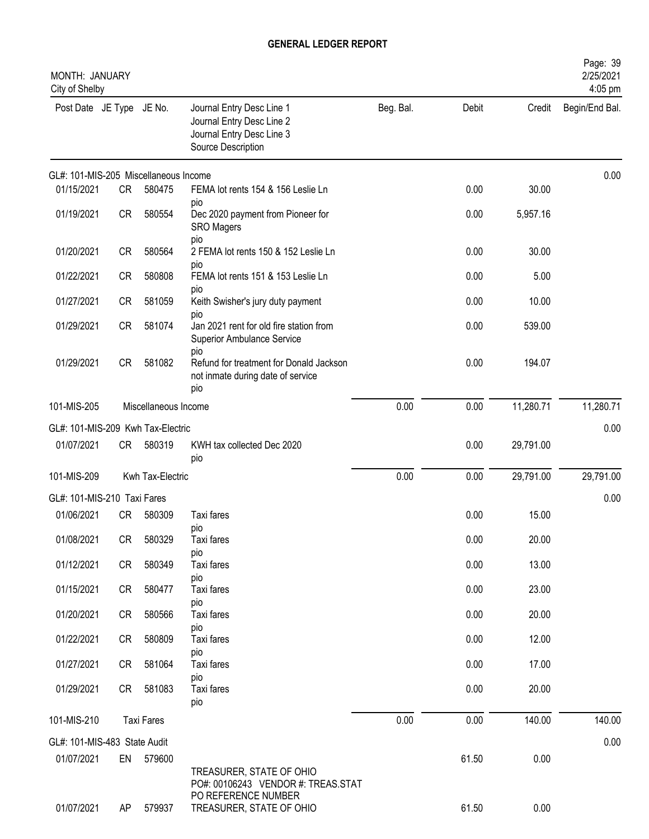| MONTH: JANUARY<br>City of Shelby      |           |                      |                                                                                                           |           |       |           | Page: 39<br>2/25/2021<br>4:05 pm |
|---------------------------------------|-----------|----------------------|-----------------------------------------------------------------------------------------------------------|-----------|-------|-----------|----------------------------------|
| Post Date JE Type JE No.              |           |                      | Journal Entry Desc Line 1<br>Journal Entry Desc Line 2<br>Journal Entry Desc Line 3<br>Source Description | Beg. Bal. | Debit | Credit    | Begin/End Bal.                   |
| GL#: 101-MIS-205 Miscellaneous Income |           |                      |                                                                                                           |           |       |           | 0.00                             |
| 01/15/2021                            | CR        | 580475               | FEMA lot rents 154 & 156 Leslie Ln<br>pio                                                                 |           | 0.00  | 30.00     |                                  |
| 01/19/2021                            | CR        | 580554               | Dec 2020 payment from Pioneer for<br><b>SRO Magers</b><br>pio                                             |           | 0.00  | 5,957.16  |                                  |
| 01/20/2021                            | <b>CR</b> | 580564               | 2 FEMA lot rents 150 & 152 Leslie Ln                                                                      |           | 0.00  | 30.00     |                                  |
| 01/22/2021                            | <b>CR</b> | 580808               | pio<br>FEMA lot rents 151 & 153 Leslie Ln<br>pio                                                          |           | 0.00  | 5.00      |                                  |
| 01/27/2021                            | <b>CR</b> | 581059               | Keith Swisher's jury duty payment                                                                         |           | 0.00  | 10.00     |                                  |
| 01/29/2021                            | CR        | 581074               | pio<br>Jan 2021 rent for old fire station from<br>Superior Ambulance Service                              |           | 0.00  | 539.00    |                                  |
| 01/29/2021                            | CR        | 581082               | pio<br>Refund for treatment for Donald Jackson<br>not inmate during date of service<br>pio                |           | 0.00  | 194.07    |                                  |
| 101-MIS-205                           |           | Miscellaneous Income |                                                                                                           | 0.00      | 0.00  | 11,280.71 | 11,280.71                        |
| GL#: 101-MIS-209 Kwh Tax-Electric     |           |                      |                                                                                                           |           |       |           | 0.00                             |
| 01/07/2021                            | CR        | 580319               | KWH tax collected Dec 2020<br>pio                                                                         |           | 0.00  | 29,791.00 |                                  |
| 101-MIS-209                           |           | Kwh Tax-Electric     |                                                                                                           | 0.00      | 0.00  | 29,791.00 | 29,791.00                        |
| GL#: 101-MIS-210 Taxi Fares           |           |                      |                                                                                                           |           |       |           | 0.00                             |
| 01/06/2021                            | <b>CR</b> | 580309               | Taxi fares<br>pio                                                                                         |           | 0.00  | 15.00     |                                  |
| 01/08/2021                            | CR        | 580329               | Taxi fares                                                                                                |           | 0.00  | 20.00     |                                  |
| 01/12/2021                            | CR        | 580349               | pio<br>Taxi fares                                                                                         |           | 0.00  | 13.00     |                                  |
| 01/15/2021                            | CR        | 580477               | pio<br>Taxi fares                                                                                         |           | 0.00  | 23.00     |                                  |
| 01/20/2021                            | CR        | 580566               | pio<br>Taxi fares                                                                                         |           | 0.00  | 20.00     |                                  |
| 01/22/2021                            | CR        | 580809               | pio<br>Taxi fares                                                                                         |           | 0.00  | 12.00     |                                  |
| 01/27/2021                            | CR        | 581064               | pio<br>Taxi fares                                                                                         |           | 0.00  | 17.00     |                                  |
| 01/29/2021                            | CR        | 581083               | pio<br>Taxi fares<br>pio                                                                                  |           | 0.00  | 20.00     |                                  |
| 101-MIS-210                           |           | <b>Taxi Fares</b>    |                                                                                                           | 0.00      | 0.00  | 140.00    | 140.00                           |
| GL#: 101-MIS-483 State Audit          |           |                      |                                                                                                           |           |       |           | 0.00                             |
| 01/07/2021                            |           | EN 579600            | TREASURER, STATE OF OHIO<br>PO#: 00106243 VENDOR #: TREAS.STAT                                            |           | 61.50 | 0.00      |                                  |
| 01/07/2021                            | AP        | 579937               | PO REFERENCE NUMBER<br>TREASURER, STATE OF OHIO                                                           |           | 61.50 | 0.00      |                                  |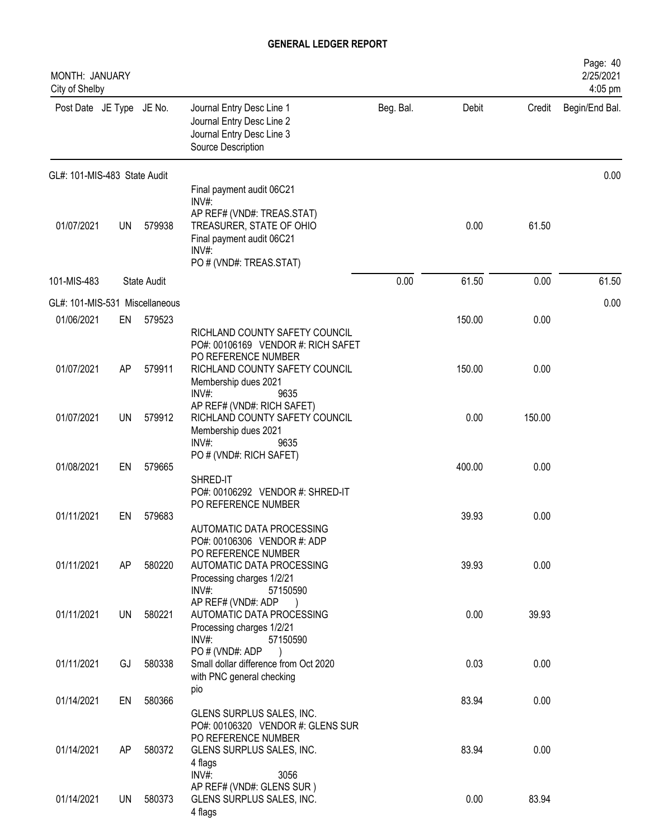| MONTH: JANUARY<br>City of Shelby |           |             |                                                                                                                                                              |           |        |        | Page: 40<br>2/25/2021<br>4:05 pm |
|----------------------------------|-----------|-------------|--------------------------------------------------------------------------------------------------------------------------------------------------------------|-----------|--------|--------|----------------------------------|
| Post Date JE Type JE No.         |           |             | Journal Entry Desc Line 1<br>Journal Entry Desc Line 2<br>Journal Entry Desc Line 3<br>Source Description                                                    | Beg. Bal. | Debit  | Credit | Begin/End Bal.                   |
| GL#: 101-MIS-483 State Audit     |           |             |                                                                                                                                                              |           |        |        | 0.00                             |
| 01/07/2021                       | UN        | 579938      | Final payment audit 06C21<br>INV#:<br>AP REF# (VND#: TREAS.STAT)<br>TREASURER, STATE OF OHIO<br>Final payment audit 06C21<br>INV#<br>PO # (VND#: TREAS.STAT) |           | 0.00   | 61.50  |                                  |
| 101-MIS-483                      |           | State Audit |                                                                                                                                                              | 0.00      | 61.50  | 0.00   | 61.50                            |
| GL#: 101-MIS-531 Miscellaneous   |           |             |                                                                                                                                                              |           |        |        | 0.00                             |
| 01/06/2021                       | EN        | 579523      | RICHLAND COUNTY SAFETY COUNCIL<br>PO#: 00106169 VENDOR #: RICH SAFET                                                                                         |           | 150.00 | 0.00   |                                  |
| 01/07/2021                       | AP        | 579911      | PO REFERENCE NUMBER<br>RICHLAND COUNTY SAFETY COUNCIL<br>Membership dues 2021<br>INV#:<br>9635                                                               |           | 150.00 | 0.00   |                                  |
| 01/07/2021                       | <b>UN</b> | 579912      | AP REF# (VND#: RICH SAFET)<br>RICHLAND COUNTY SAFETY COUNCIL<br>Membership dues 2021<br>INV#:<br>9635                                                        |           | 0.00   | 150.00 |                                  |
| 01/08/2021                       | EN        | 579665      | PO # (VND#: RICH SAFET)<br>SHRED-IT                                                                                                                          |           | 400.00 | 0.00   |                                  |
| 01/11/2021                       | EN        | 579683      | PO#: 00106292 VENDOR #: SHRED-IT<br>PO REFERENCE NUMBER<br>AUTOMATIC DATA PROCESSING                                                                         |           | 39.93  | 0.00   |                                  |
| 01/11/2021                       | AP        | 580220      | PO#: 00106306 VENDOR #: ADP<br>PO REFERENCE NUMBER<br>AUTOMATIC DATA PROCESSING<br>Processing charges 1/2/21<br>INV#:<br>57150590                            |           | 39.93  | 0.00   |                                  |
| 01/11/2021                       | UN        | 580221      | AP REF# (VND#: ADP<br>AUTOMATIC DATA PROCESSING<br>Processing charges 1/2/21<br>$INV#$ :<br>57150590                                                         |           | 0.00   | 39.93  |                                  |
| 01/11/2021                       | GJ        | 580338      | PO # (VND#: ADP<br>Small dollar difference from Oct 2020<br>with PNC general checking                                                                        |           | 0.03   | 0.00   |                                  |
| 01/14/2021                       | EN        | 580366      | pio<br>GLENS SURPLUS SALES, INC.<br>PO#: 00106320 VENDOR #: GLENS SUR                                                                                        |           | 83.94  | 0.00   |                                  |
| 01/14/2021                       | AP        | 580372      | PO REFERENCE NUMBER<br>GLENS SURPLUS SALES, INC.<br>4 flags<br>INV#:<br>3056                                                                                 |           | 83.94  | 0.00   |                                  |
| 01/14/2021                       | UN        | 580373      | AP REF# (VND#: GLENS SUR)<br>GLENS SURPLUS SALES, INC.<br>4 flags                                                                                            |           | 0.00   | 83.94  |                                  |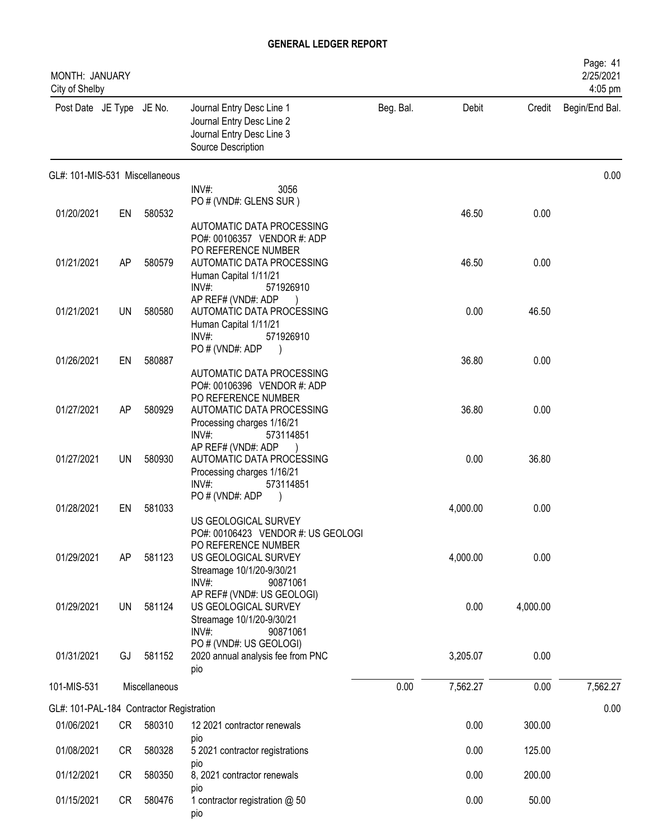| MONTH: JANUARY<br>City of Shelby         |           |               |                                                                                                           |           |          |          | Page: 41<br>2/25/2021<br>4:05 pm |
|------------------------------------------|-----------|---------------|-----------------------------------------------------------------------------------------------------------|-----------|----------|----------|----------------------------------|
| Post Date JE Type JE No.                 |           |               | Journal Entry Desc Line 1<br>Journal Entry Desc Line 2<br>Journal Entry Desc Line 3<br>Source Description | Beg. Bal. | Debit    | Credit   | Begin/End Bal.                   |
| GL#: 101-MIS-531 Miscellaneous           |           |               |                                                                                                           |           |          |          | 0.00                             |
|                                          |           |               | INV#:<br>3056<br>PO # (VND#: GLENS SUR)                                                                   |           |          |          |                                  |
| 01/20/2021                               | EN        | 580532        |                                                                                                           |           | 46.50    | 0.00     |                                  |
|                                          |           |               | AUTOMATIC DATA PROCESSING<br>PO#: 00106357 VENDOR #: ADP                                                  |           |          |          |                                  |
|                                          |           |               | PO REFERENCE NUMBER                                                                                       |           |          |          |                                  |
| 01/21/2021                               | AP        | 580579        | AUTOMATIC DATA PROCESSING<br>Human Capital 1/11/21                                                        |           | 46.50    | 0.00     |                                  |
|                                          |           |               | INV#<br>571926910                                                                                         |           |          |          |                                  |
|                                          |           |               | AP REF# (VND#: ADP                                                                                        |           |          |          |                                  |
| 01/21/2021                               | <b>UN</b> | 580580        | AUTOMATIC DATA PROCESSING<br>Human Capital 1/11/21                                                        |           | 0.00     | 46.50    |                                  |
|                                          |           |               | $INV#$ :<br>571926910                                                                                     |           |          |          |                                  |
| 01/26/2021                               | EN        | 580887        | PO # (VND#: ADP                                                                                           |           | 36.80    | 0.00     |                                  |
|                                          |           |               | AUTOMATIC DATA PROCESSING                                                                                 |           |          |          |                                  |
|                                          |           |               | PO#: 00106396 VENDOR #: ADP                                                                               |           |          |          |                                  |
| 01/27/2021                               | AP        | 580929        | PO REFERENCE NUMBER<br>AUTOMATIC DATA PROCESSING                                                          |           | 36.80    | 0.00     |                                  |
|                                          |           |               | Processing charges 1/16/21                                                                                |           |          |          |                                  |
|                                          |           |               | $INV#$ :<br>573114851                                                                                     |           |          |          |                                  |
| 01/27/2021                               | UN        | 580930        | AP REF# (VND#: ADP<br>AUTOMATIC DATA PROCESSING                                                           |           | 0.00     | 36.80    |                                  |
|                                          |           |               | Processing charges 1/16/21                                                                                |           |          |          |                                  |
|                                          |           |               | INV#:<br>573114851<br>PO # (VND#: ADP                                                                     |           |          |          |                                  |
| 01/28/2021                               | EN        | 581033        |                                                                                                           |           | 4,000.00 | 0.00     |                                  |
|                                          |           |               | US GEOLOGICAL SURVEY                                                                                      |           |          |          |                                  |
|                                          |           |               | PO#: 00106423 VENDOR #: US GEOLOGI<br>PO REFERENCE NUMBER                                                 |           |          |          |                                  |
| 01/29/2021                               | AP        | 581123        | US GEOLOGICAL SURVEY                                                                                      |           | 4,000.00 | 0.00     |                                  |
|                                          |           |               | Streamage 10/1/20-9/30/21<br>$INV#$ :<br>90871061                                                         |           |          |          |                                  |
|                                          |           |               | AP REF# (VND#: US GEOLOGI)                                                                                |           |          |          |                                  |
| 01/29/2021                               | <b>UN</b> | 581124        | US GEOLOGICAL SURVEY                                                                                      |           | 0.00     | 4,000.00 |                                  |
|                                          |           |               | Streamage 10/1/20-9/30/21<br>$INV#$ :<br>90871061                                                         |           |          |          |                                  |
|                                          |           |               | PO # (VND#: US GEOLOGI)                                                                                   |           |          |          |                                  |
| 01/31/2021                               | GJ        | 581152        | 2020 annual analysis fee from PNC                                                                         |           | 3,205.07 | 0.00     |                                  |
|                                          |           |               | pio                                                                                                       |           |          |          |                                  |
| 101-MIS-531                              |           | Miscellaneous |                                                                                                           | 0.00      | 7,562.27 | 0.00     | 7,562.27                         |
| GL#: 101-PAL-184 Contractor Registration |           |               |                                                                                                           |           |          |          | 0.00                             |
| 01/06/2021                               | <b>CR</b> | 580310        | 12 2021 contractor renewals                                                                               |           | 0.00     | 300.00   |                                  |
| 01/08/2021                               | <b>CR</b> | 580328        | pio<br>5 2021 contractor registrations                                                                    |           | 0.00     | 125.00   |                                  |
|                                          |           |               | pio                                                                                                       |           |          |          |                                  |
| 01/12/2021                               | <b>CR</b> | 580350        | 8, 2021 contractor renewals<br>pio                                                                        |           | 0.00     | 200.00   |                                  |
| 01/15/2021                               | CR        | 580476        | 1 contractor registration @ 50<br>pio                                                                     |           | 0.00     | 50.00    |                                  |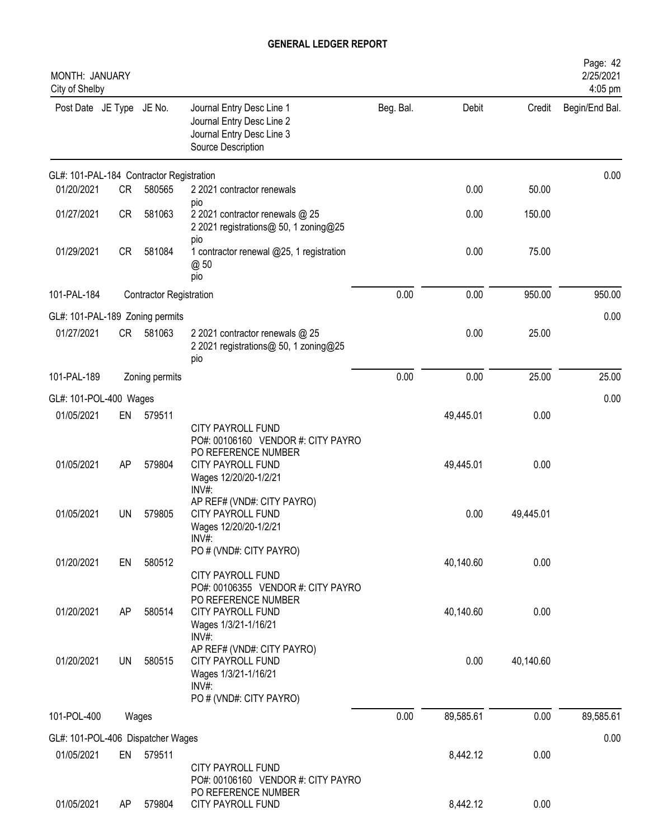| MONTH: JANUARY<br>City of Shelby         |           |                                |                                                                                                                                              |           |           |           | Page: 42<br>2/25/2021<br>4:05 pm |
|------------------------------------------|-----------|--------------------------------|----------------------------------------------------------------------------------------------------------------------------------------------|-----------|-----------|-----------|----------------------------------|
| Post Date JE Type JE No.                 |           |                                | Journal Entry Desc Line 1<br>Journal Entry Desc Line 2<br>Journal Entry Desc Line 3<br>Source Description                                    | Beg. Bal. | Debit     | Credit    | Begin/End Bal.                   |
| GL#: 101-PAL-184 Contractor Registration |           |                                |                                                                                                                                              |           |           |           | 0.00                             |
| 01/20/2021                               | <b>CR</b> | 580565                         | 2 2021 contractor renewals                                                                                                                   |           | 0.00      | 50.00     |                                  |
| 01/27/2021                               | CR        | 581063                         | pio<br>2 2021 contractor renewals @ 25<br>2 2021 registrations@ 50, 1 zoning@25                                                              |           | 0.00      | 150.00    |                                  |
| 01/29/2021                               | <b>CR</b> | 581084                         | pio<br>1 contractor renewal @25, 1 registration<br>@ 50<br>pio                                                                               |           | 0.00      | 75.00     |                                  |
| 101-PAL-184                              |           | <b>Contractor Registration</b> |                                                                                                                                              | 0.00      | 0.00      | 950.00    | 950.00                           |
| GL#: 101-PAL-189 Zoning permits          |           |                                |                                                                                                                                              |           |           |           | 0.00                             |
| 01/27/2021                               | CR        | 581063                         | 2 2021 contractor renewals @ 25<br>2 2021 registrations@ 50, 1 zoning@25<br>pio                                                              |           | 0.00      | 25.00     |                                  |
| 101-PAL-189                              |           | Zoning permits                 |                                                                                                                                              | 0.00      | 0.00      | 25.00     | 25.00                            |
| GL#: 101-POL-400 Wages                   |           |                                |                                                                                                                                              |           |           |           | 0.00                             |
| 01/05/2021                               | EN        | 579511                         |                                                                                                                                              |           | 49,445.01 | 0.00      |                                  |
| 01/05/2021                               | AP        | 579804                         | <b>CITY PAYROLL FUND</b><br>PO#: 00106160 VENDOR #: CITY PAYRO<br>PO REFERENCE NUMBER<br>CITY PAYROLL FUND<br>Wages 12/20/20-1/2/21<br>INV#: |           | 49,445.01 | 0.00      |                                  |
| 01/05/2021                               | <b>UN</b> | 579805                         | AP REF# (VND#: CITY PAYRO)<br>CITY PAYROLL FUND<br>Wages 12/20/20-1/2/21<br>INV#:                                                            |           | 0.00      | 49,445.01 |                                  |
| 01/20/2021                               | EN        | 580512                         | PO # (VND#: CITY PAYRO)<br><b>CITY PAYROLL FUND</b>                                                                                          |           | 40,140.60 | 0.00      |                                  |
| 01/20/2021                               | AP        | 580514                         | PO#: 00106355 VENDOR #: CITY PAYRO<br>PO REFERENCE NUMBER<br><b>CITY PAYROLL FUND</b><br>Wages 1/3/21-1/16/21<br>INV#:                       |           | 40,140.60 | 0.00      |                                  |
| 01/20/2021                               | <b>UN</b> | 580515                         | AP REF# (VND#: CITY PAYRO)<br><b>CITY PAYROLL FUND</b><br>Wages 1/3/21-1/16/21<br>$INV#$ :<br>PO # (VND#: CITY PAYRO)                        |           | 0.00      | 40,140.60 |                                  |
| 101-POL-400                              |           | Wages                          |                                                                                                                                              | 0.00      | 89,585.61 | 0.00      | 89,585.61                        |
| GL#: 101-POL-406 Dispatcher Wages        |           |                                |                                                                                                                                              |           |           |           | 0.00                             |
| 01/05/2021                               | EN        | 579511                         | <b>CITY PAYROLL FUND</b>                                                                                                                     |           | 8,442.12  | 0.00      |                                  |
| 01/05/2021                               | AP        | 579804                         | PO#: 00106160 VENDOR #: CITY PAYRO<br>PO REFERENCE NUMBER<br>CITY PAYROLL FUND                                                               |           | 8,442.12  | 0.00      |                                  |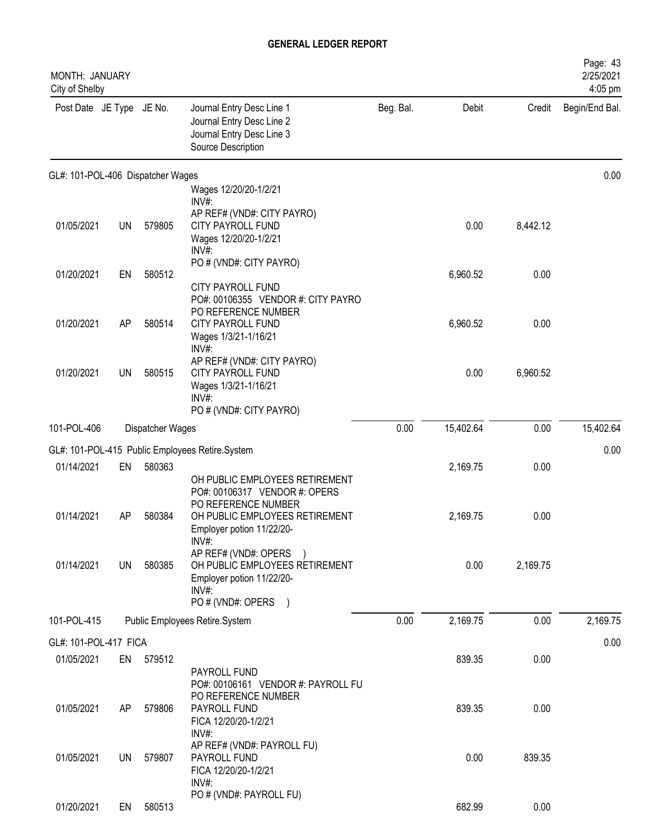| MONTH: JANUARY<br>City of Shelby  |    |                  |                                                                                                                              |           |           |          | Page: 43<br>2/25/2021<br>4:05 pm |
|-----------------------------------|----|------------------|------------------------------------------------------------------------------------------------------------------------------|-----------|-----------|----------|----------------------------------|
| Post Date JE Type JE No.          |    |                  | Journal Entry Desc Line 1<br>Journal Entry Desc Line 2<br>Journal Entry Desc Line 3<br>Source Description                    | Beg. Bal. | Debit     | Credit   | Begin/End Bal.                   |
| GL#: 101-POL-406 Dispatcher Wages |    |                  |                                                                                                                              |           |           |          | 0.00                             |
|                                   |    |                  | Wages 12/20/20-1/2/21<br>INV#:                                                                                               |           |           |          |                                  |
| 01/05/2021                        | UN | 579805           | AP REF# (VND#: CITY PAYRO)<br><b>CITY PAYROLL FUND</b><br>Wages 12/20/20-1/2/21<br>INV#                                      |           | 0.00      | 8,442.12 |                                  |
| 01/20/2021                        | EN | 580512           | PO # (VND#: CITY PAYRO)                                                                                                      |           | 6,960.52  | 0.00     |                                  |
|                                   |    |                  | CITY PAYROLL FUND<br>PO#: 00106355 VENDOR #: CITY PAYRO<br>PO REFERENCE NUMBER                                               |           |           |          |                                  |
| 01/20/2021                        | AP | 580514           | <b>CITY PAYROLL FUND</b><br>Wages 1/3/21-1/16/21<br>INV#:                                                                    |           | 6,960.52  | 0.00     |                                  |
| 01/20/2021                        | UN | 580515           | AP REF# (VND#: CITY PAYRO)<br><b>CITY PAYROLL FUND</b><br>Wages 1/3/21-1/16/21<br>INV#:                                      |           | 0.00      | 6,960.52 |                                  |
| 101-POL-406                       |    | Dispatcher Wages | PO # (VND#: CITY PAYRO)                                                                                                      | 0.00      | 15,402.64 | 0.00     | 15,402.64                        |
|                                   |    |                  |                                                                                                                              |           |           |          |                                  |
|                                   |    |                  | GL#: 101-POL-415 Public Employees Retire.System                                                                              |           |           |          | 0.00                             |
| 01/14/2021                        | EN | 580363           | OH PUBLIC EMPLOYEES RETIREMENT                                                                                               |           | 2,169.75  | 0.00     |                                  |
| 01/14/2021                        | AP | 580384           | PO#: 00106317 VENDOR #: OPERS<br>PO REFERENCE NUMBER<br>OH PUBLIC EMPLOYEES RETIREMENT<br>Employer potion 11/22/20-<br>INV#: |           | 2,169.75  | 0.00     |                                  |
| 01/14/2021                        | UN | 580385           | AP REF# (VND#: OPERS )<br>OH PUBLIC EMPLOYEES RETIREMENT<br>Employer potion 11/22/20-<br>INV#:<br>PO # (VND#: OPERS          |           | 0.00      | 2,169.75 |                                  |
| 101-POL-415                       |    |                  | Public Employees Retire.System                                                                                               | 0.00      | 2,169.75  | 0.00     | 2,169.75                         |
| GL#: 101-POL-417 FICA             |    |                  |                                                                                                                              |           |           |          | 0.00                             |
| 01/05/2021                        | EN | 579512           |                                                                                                                              |           | 839.35    | 0.00     |                                  |
|                                   |    |                  | PAYROLL FUND<br>PO#: 00106161 VENDOR #: PAYROLL FU<br>PO REFERENCE NUMBER                                                    |           |           |          |                                  |
| 01/05/2021                        | AP | 579806           | PAYROLL FUND<br>FICA 12/20/20-1/2/21<br>INV#:                                                                                |           | 839.35    | 0.00     |                                  |
| 01/05/2021                        | UN | 579807           | AP REF# (VND#: PAYROLL FU)<br>PAYROLL FUND<br>FICA 12/20/20-1/2/21<br>INV#:                                                  |           | 0.00      | 839.35   |                                  |
| 01/20/2021                        | EN | 580513           | PO # (VND#: PAYROLL FU)                                                                                                      |           | 682.99    | 0.00     |                                  |
|                                   |    |                  |                                                                                                                              |           |           |          |                                  |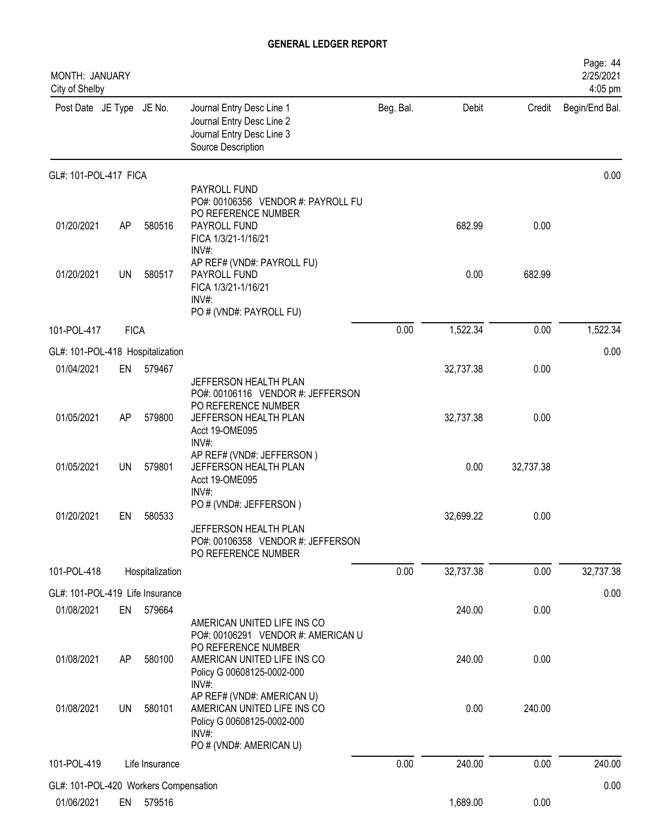| MONTH: JANUARY<br>City of Shelby                    |             |                 |                                                                                                                                                                |           |           |           | Page: 44<br>2/25/2021<br>4:05 pm |
|-----------------------------------------------------|-------------|-----------------|----------------------------------------------------------------------------------------------------------------------------------------------------------------|-----------|-----------|-----------|----------------------------------|
| Post Date JE Type JE No.                            |             |                 | Journal Entry Desc Line 1<br>Journal Entry Desc Line 2<br>Journal Entry Desc Line 3<br>Source Description                                                      | Beg. Bal. | Debit     | Credit    | Begin/End Bal.                   |
| GL#: 101-POL-417 FICA                               |             |                 |                                                                                                                                                                |           |           |           | 0.00                             |
| 01/20/2021                                          | AP          | 580516          | PAYROLL FUND<br>PO#: 00106356 VENDOR #: PAYROLL FU<br>PO REFERENCE NUMBER<br>PAYROLL FUND<br>FICA 1/3/21-1/16/21                                               |           | 682.99    | 0.00      |                                  |
| 01/20/2021                                          | UN          | 580517          | INV#:<br>AP REF# (VND#: PAYROLL FU)<br>PAYROLL FUND<br>FICA 1/3/21-1/16/21<br>$INV#$ :<br>PO # (VND#: PAYROLL FU)                                              |           | 0.00      | 682.99    |                                  |
| 101-POL-417                                         | <b>FICA</b> |                 |                                                                                                                                                                | 0.00      | 1,522.34  | 0.00      | 1,522.34                         |
| GL#: 101-POL-418 Hospitalization                    |             |                 |                                                                                                                                                                |           |           |           | 0.00                             |
| 01/04/2021                                          | EN          | 579467          |                                                                                                                                                                |           | 32,737.38 | 0.00      |                                  |
| 01/05/2021                                          | AP          | 579800          | JEFFERSON HEALTH PLAN<br>PO#: 00106116 VENDOR #: JEFFERSON<br>PO REFERENCE NUMBER<br>JEFFERSON HEALTH PLAN<br>Acct 19-OME095<br>INV#:                          |           | 32,737.38 | 0.00      |                                  |
| 01/05/2021                                          | <b>UN</b>   | 579801          | AP REF# (VND#: JEFFERSON)<br>JEFFERSON HEALTH PLAN<br>Acct 19-OME095<br>$INV#$ :                                                                               |           | 0.00      | 32,737.38 |                                  |
| 01/20/2021                                          | EN          | 580533          | PO # (VND#: JEFFERSON)<br>JEFFERSON HEALTH PLAN<br>PO#: 00106358 VENDOR #: JEFFERSON<br>PO REFERENCE NUMBER                                                    |           | 32,699.22 | 0.00      |                                  |
| 101-POL-418                                         |             | Hospitalization |                                                                                                                                                                | 0.00      | 32,737.38 | 0.00      | 32,737.38                        |
| GL#: 101-POL-419 Life Insurance                     |             |                 |                                                                                                                                                                |           |           |           | 0.00                             |
| 01/08/2021                                          | EN          | 579664          |                                                                                                                                                                |           | 240.00    | 0.00      |                                  |
| 01/08/2021                                          | AP          | 580100          | AMERICAN UNITED LIFE INS CO<br>PO#: 00106291 VENDOR #: AMERICAN U<br>PO REFERENCE NUMBER<br>AMERICAN UNITED LIFE INS CO<br>Policy G 00608125-0002-000<br>INV#: |           | 240.00    | 0.00      |                                  |
| 01/08/2021                                          | <b>UN</b>   | 580101          | AP REF# (VND#: AMERICAN U)<br>AMERICAN UNITED LIFE INS CO<br>Policy G 00608125-0002-000<br>INV#:                                                               |           | 0.00      | 240.00    |                                  |
| 101-POL-419                                         |             | Life Insurance  | PO # (VND#: AMERICAN U)                                                                                                                                        | 0.00      | 240.00    | 0.00      | 240.00                           |
|                                                     |             |                 |                                                                                                                                                                |           |           |           |                                  |
| GL#: 101-POL-420 Workers Compensation<br>01/06/2021 | EN          | 579516          |                                                                                                                                                                |           | 1,689.00  | 0.00      | 0.00                             |
|                                                     |             |                 |                                                                                                                                                                |           |           |           |                                  |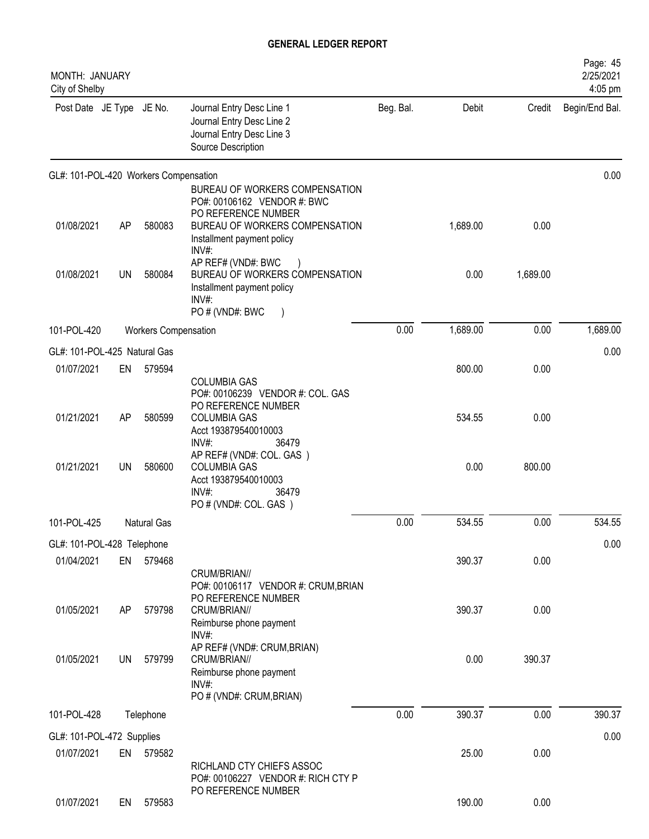| MONTH: JANUARY<br>City of Shelby      |           |                             |                                                                                                                                                                  |           |          |          | Page: 45<br>2/25/2021<br>4:05 pm |
|---------------------------------------|-----------|-----------------------------|------------------------------------------------------------------------------------------------------------------------------------------------------------------|-----------|----------|----------|----------------------------------|
| Post Date JE Type JE No.              |           |                             | Journal Entry Desc Line 1<br>Journal Entry Desc Line 2<br>Journal Entry Desc Line 3<br>Source Description                                                        | Beg. Bal. | Debit    | Credit   | Begin/End Bal.                   |
| GL#: 101-POL-420 Workers Compensation |           |                             |                                                                                                                                                                  |           |          |          | 0.00                             |
| 01/08/2021                            | AP        | 580083                      | BUREAU OF WORKERS COMPENSATION<br>PO#: 00106162 VENDOR #: BWC<br>PO REFERENCE NUMBER<br>BUREAU OF WORKERS COMPENSATION<br>Installment payment policy<br>$INV#$ : |           | 1,689.00 | 0.00     |                                  |
| 01/08/2021                            | UN        | 580084                      | AP REF# (VND#: BWC<br>BUREAU OF WORKERS COMPENSATION<br>Installment payment policy<br>INV#:<br>PO # (VND#: BWC<br>$\rightarrow$                                  |           | 0.00     | 1,689.00 |                                  |
| 101-POL-420                           |           | <b>Workers Compensation</b> |                                                                                                                                                                  | 0.00      | 1,689.00 | 0.00     | 1,689.00                         |
| GL#: 101-POL-425 Natural Gas          |           |                             |                                                                                                                                                                  |           |          |          | 0.00                             |
| 01/07/2021                            | EN        | 579594                      |                                                                                                                                                                  |           | 800.00   | 0.00     |                                  |
| 01/21/2021                            | AP        | 580599                      | <b>COLUMBIA GAS</b><br>PO#: 00106239 VENDOR #: COL. GAS<br>PO REFERENCE NUMBER<br><b>COLUMBIA GAS</b><br>Acct 193879540010003<br>INV#:<br>36479                  |           | 534.55   | 0.00     |                                  |
| 01/21/2021                            | <b>UN</b> | 580600                      | AP REF# (VND#: COL. GAS)<br><b>COLUMBIA GAS</b><br>Acct 193879540010003<br>INV#<br>36479<br>PO # (VND#: COL. GAS)                                                |           | 0.00     | 800.00   |                                  |
| 101-POL-425                           |           | Natural Gas                 |                                                                                                                                                                  | 0.00      | 534.55   | 0.00     | 534.55                           |
| GL#: 101-POL-428 Telephone            |           |                             |                                                                                                                                                                  |           |          |          | 0.00                             |
| 01/04/2021                            | EN        | 579468                      | CRUM/BRIAN//                                                                                                                                                     |           | 390.37   | 0.00     |                                  |
| 01/05/2021                            | AP        | 579798                      | PO#: 00106117 VENDOR #: CRUM, BRIAN<br>PO REFERENCE NUMBER<br>CRUM/BRIAN//<br>Reimburse phone payment<br>INV#:                                                   |           | 390.37   | 0.00     |                                  |
| 01/05/2021                            | UN        | 579799                      | AP REF# (VND#: CRUM, BRIAN)<br>CRUM/BRIAN//<br>Reimburse phone payment<br>INV#:<br>PO # (VND#: CRUM, BRIAN)                                                      |           | 0.00     | 390.37   |                                  |
| 101-POL-428                           |           | Telephone                   |                                                                                                                                                                  | 0.00      | 390.37   | 0.00     | 390.37                           |
| GL#: 101-POL-472 Supplies             |           |                             |                                                                                                                                                                  |           |          |          | 0.00                             |
| 01/07/2021                            | EN        | 579582                      | RICHLAND CTY CHIEFS ASSOC<br>PO#: 00106227 VENDOR #: RICH CTY P                                                                                                  |           | 25.00    | 0.00     |                                  |
| 01/07/2021                            | EN        | 579583                      | PO REFERENCE NUMBER                                                                                                                                              |           | 190.00   | 0.00     |                                  |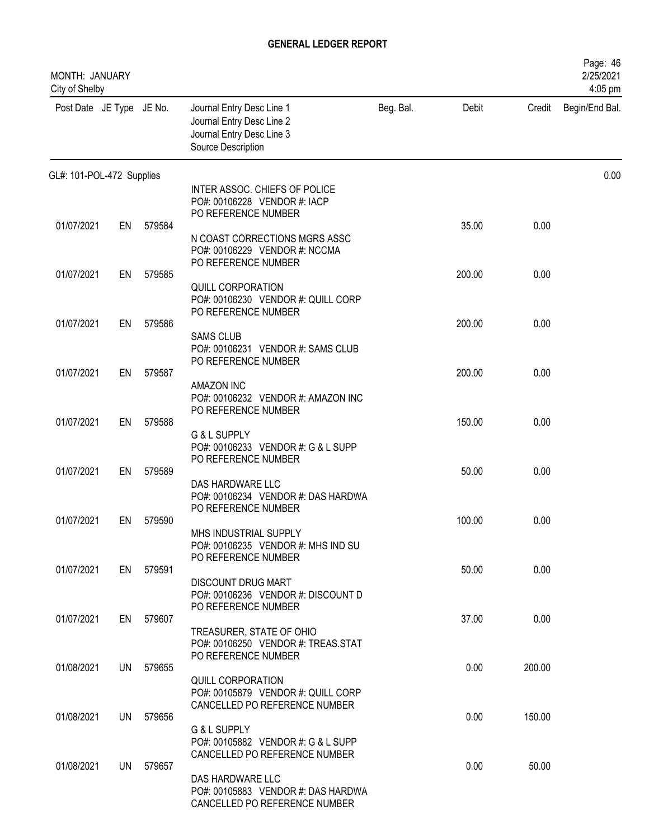| MONTH: JANUARY<br>City of Shelby |    |           |                                                                                                           |           |        |        | Page: 46<br>2/25/2021<br>4:05 pm |
|----------------------------------|----|-----------|-----------------------------------------------------------------------------------------------------------|-----------|--------|--------|----------------------------------|
| Post Date JE Type JE No.         |    |           | Journal Entry Desc Line 1<br>Journal Entry Desc Line 2<br>Journal Entry Desc Line 3<br>Source Description | Beg. Bal. | Debit  | Credit | Begin/End Bal.                   |
| GL#: 101-POL-472 Supplies        |    |           |                                                                                                           |           |        |        | 0.00                             |
|                                  |    |           | INTER ASSOC. CHIEFS OF POLICE<br>PO#: 00106228 VENDOR #: IACP<br>PO REFERENCE NUMBER                      |           |        |        |                                  |
| 01/07/2021                       | EN | 579584    | N COAST CORRECTIONS MGRS ASSC<br>PO#: 00106229 VENDOR #: NCCMA<br>PO REFERENCE NUMBER                     |           | 35.00  | 0.00   |                                  |
| 01/07/2021                       | EN | 579585    | QUILL CORPORATION<br>PO#: 00106230 VENDOR #: QUILL CORP                                                   |           | 200.00 | 0.00   |                                  |
| 01/07/2021                       | EN | 579586    | PO REFERENCE NUMBER<br><b>SAMS CLUB</b><br>PO#: 00106231 VENDOR #: SAMS CLUB                              |           | 200.00 | 0.00   |                                  |
| 01/07/2021                       | EN | 579587    | PO REFERENCE NUMBER<br>AMAZON INC                                                                         |           | 200.00 | 0.00   |                                  |
| 01/07/2021                       | EN | 579588    | PO#: 00106232 VENDOR #: AMAZON INC<br>PO REFERENCE NUMBER<br>G & L SUPPLY                                 |           | 150.00 | 0.00   |                                  |
| 01/07/2021                       | EN | 579589    | PO#: 00106233 VENDOR #: G & L SUPP<br>PO REFERENCE NUMBER                                                 |           | 50.00  | 0.00   |                                  |
|                                  |    |           | DAS HARDWARE LLC<br>PO#: 00106234 VENDOR #: DAS HARDWA<br>PO REFERENCE NUMBER                             |           |        |        |                                  |
| 01/07/2021                       | EN | 579590    | MHS INDUSTRIAL SUPPLY<br>PO#: 00106235 VENDOR #: MHS IND SU                                               |           | 100.00 | 0.00   |                                  |
| 01/07/2021                       |    | EN 579591 | PO REFERENCE NUMBER<br><b>DISCOUNT DRUG MART</b><br>PO#: 00106236 VENDOR #: DISCOUNT D                    |           | 50.00  | 0.00   |                                  |
| 01/07/2021                       |    | EN 579607 | PO REFERENCE NUMBER<br>TREASURER, STATE OF OHIO<br>PO#: 00106250 VENDOR #: TREAS.STAT                     |           | 37.00  | 0.00   |                                  |
| 01/08/2021                       |    | UN 579655 | PO REFERENCE NUMBER<br><b>QUILL CORPORATION</b>                                                           |           | 0.00   | 200.00 |                                  |
| 01/08/2021                       |    | UN 579656 | PO#: 00105879 VENDOR #: QUILL CORP<br>CANCELLED PO REFERENCE NUMBER<br>G & L SUPPLY                       |           | 0.00   | 150.00 |                                  |
| 01/08/2021                       |    | UN 579657 | PO#: 00105882 VENDOR #: G & L SUPP<br>CANCELLED PO REFERENCE NUMBER                                       |           | 0.00   | 50.00  |                                  |
|                                  |    |           | DAS HARDWARE LLC<br>PO#: 00105883 VENDOR #: DAS HARDWA<br>CANCELLED PO REFERENCE NUMBER                   |           |        |        |                                  |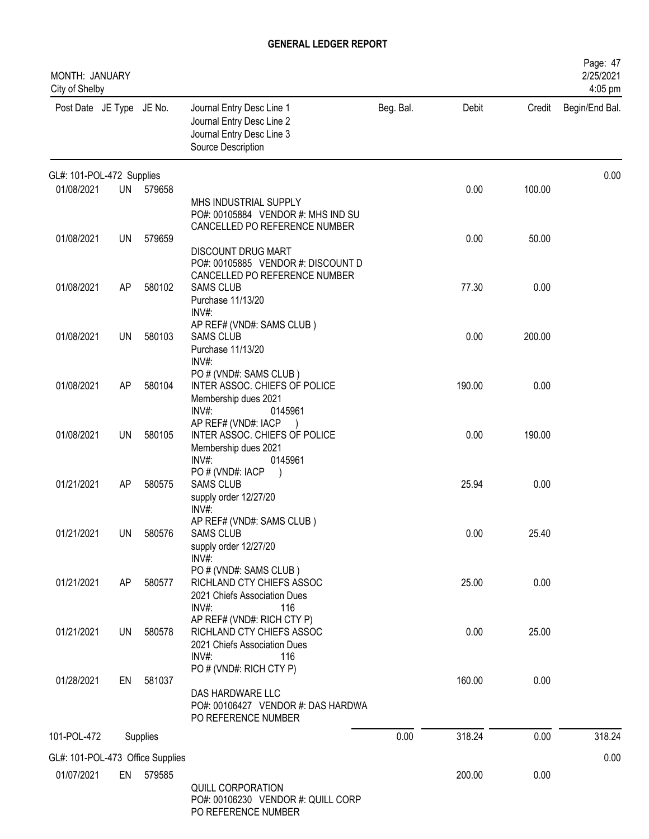| MONTH: JANUARY<br>City of Shelby |           |           |                                                                                                            |           |        |        | Page: 47<br>2/25/2021<br>4:05 pm |
|----------------------------------|-----------|-----------|------------------------------------------------------------------------------------------------------------|-----------|--------|--------|----------------------------------|
| Post Date JE Type JE No.         |           |           | Journal Entry Desc Line 1<br>Journal Entry Desc Line 2<br>Journal Entry Desc Line 3<br>Source Description  | Beg. Bal. | Debit  | Credit | Begin/End Bal.                   |
| GL#: 101-POL-472 Supplies        |           |           |                                                                                                            |           |        |        | 0.00                             |
| 01/08/2021                       |           | UN 579658 | MHS INDUSTRIAL SUPPLY<br>PO#: 00105884 VENDOR #: MHS IND SU<br>CANCELLED PO REFERENCE NUMBER               |           | 0.00   | 100.00 |                                  |
| 01/08/2021                       | UN        | 579659    | <b>DISCOUNT DRUG MART</b><br>PO#: 00105885 VENDOR #: DISCOUNT D                                            |           | 0.00   | 50.00  |                                  |
| 01/08/2021                       | AP        | 580102    | CANCELLED PO REFERENCE NUMBER<br><b>SAMS CLUB</b><br>Purchase 11/13/20<br>INV#:                            |           | 77.30  | 0.00   |                                  |
| 01/08/2021                       | <b>UN</b> | 580103    | AP REF# (VND#: SAMS CLUB)<br><b>SAMS CLUB</b><br>Purchase 11/13/20<br>INV#:                                |           | 0.00   | 200.00 |                                  |
| 01/08/2021                       | <b>AP</b> | 580104    | PO # (VND#: SAMS CLUB)<br>INTER ASSOC. CHIEFS OF POLICE<br>Membership dues 2021<br>INV#:<br>0145961        |           | 190.00 | 0.00   |                                  |
| 01/08/2021                       | UN        | 580105    | AP REF# (VND#: IACP<br>INTER ASSOC. CHIEFS OF POLICE<br>Membership dues 2021<br>INV#<br>0145961            |           | 0.00   | 190.00 |                                  |
| 01/21/2021                       | <b>AP</b> | 580575    | PO # (VND#: IACP<br><b>SAMS CLUB</b><br>supply order 12/27/20<br>INV#:                                     |           | 25.94  | 0.00   |                                  |
| 01/21/2021                       | UN        | 580576    | AP REF# (VND#: SAMS CLUB)<br>SAMS CLUB<br>supply order 12/27/20<br>$INV#$ :                                |           | 0.00   | 25.40  |                                  |
| 01/21/2021                       | AP        | 580577    | PO # (VND#: SAMS CLUB)<br>RICHLAND CTY CHIEFS ASSOC<br>2021 Chiefs Association Dues<br>$INV#$ :<br>116     |           | 25.00  | 0.00   |                                  |
| 01/21/2021                       |           | UN 580578 | AP REF# (VND#: RICH CTY P)<br>RICHLAND CTY CHIEFS ASSOC<br>2021 Chiefs Association Dues<br>$INV#$ :<br>116 |           | 0.00   | 25.00  |                                  |
| 01/28/2021                       | EN        | 581037    | PO # (VND#: RICH CTY P)<br>DAS HARDWARE LLC<br>PO#: 00106427 VENDOR #: DAS HARDWA<br>PO REFERENCE NUMBER   |           | 160.00 | 0.00   |                                  |
| 101-POL-472                      |           | Supplies  |                                                                                                            | 0.00      | 318.24 | 0.00   | 318.24                           |
| GL#: 101-POL-473 Office Supplies |           |           |                                                                                                            |           |        |        | 0.00                             |
| 01/07/2021                       |           | EN 579585 | QUILL CORPORATION<br>PO#: 00106230 VENDOR #: QUILL CORP<br>PO REFERENCE NUMBER                             |           | 200.00 | 0.00   |                                  |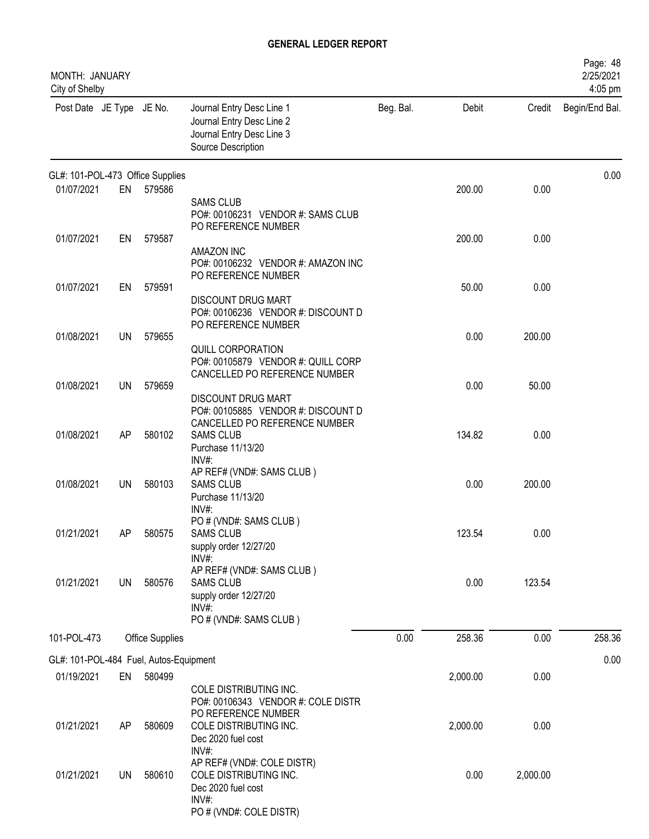| MONTH: JANUARY<br>City of Shelby       |           |                        |                                                                                                                          |           |          |          | Page: 48<br>2/25/2021<br>4:05 pm |
|----------------------------------------|-----------|------------------------|--------------------------------------------------------------------------------------------------------------------------|-----------|----------|----------|----------------------------------|
| Post Date JE Type JE No.               |           |                        | Journal Entry Desc Line 1<br>Journal Entry Desc Line 2<br>Journal Entry Desc Line 3<br>Source Description                | Beg. Bal. | Debit    | Credit   | Begin/End Bal.                   |
| GL#: 101-POL-473 Office Supplies       |           |                        |                                                                                                                          |           |          |          | 0.00                             |
| 01/07/2021                             | EN        | 579586                 | <b>SAMS CLUB</b><br>PO#: 00106231 VENDOR #: SAMS CLUB<br>PO REFERENCE NUMBER                                             |           | 200.00   | 0.00     |                                  |
| 01/07/2021                             | EN        | 579587                 | <b>AMAZON INC</b><br>PO#: 00106232 VENDOR #: AMAZON INC<br>PO REFERENCE NUMBER                                           |           | 200.00   | 0.00     |                                  |
| 01/07/2021                             | EN        | 579591                 | DISCOUNT DRUG MART<br>PO#: 00106236 VENDOR #: DISCOUNT D<br>PO REFERENCE NUMBER                                          |           | 50.00    | 0.00     |                                  |
| 01/08/2021                             | <b>UN</b> | 579655                 | QUILL CORPORATION<br>PO#: 00105879 VENDOR #: QUILL CORP                                                                  |           | 0.00     | 200.00   |                                  |
| 01/08/2021                             | <b>UN</b> | 579659                 | CANCELLED PO REFERENCE NUMBER<br>DISCOUNT DRUG MART<br>PO#: 00105885 VENDOR #: DISCOUNT D                                |           | 0.00     | 50.00    |                                  |
| 01/08/2021                             | AP        | 580102                 | CANCELLED PO REFERENCE NUMBER<br><b>SAMS CLUB</b><br>Purchase 11/13/20<br>INV#                                           |           | 134.82   | 0.00     |                                  |
| 01/08/2021                             | UN        | 580103                 | AP REF# (VND#: SAMS CLUB)<br><b>SAMS CLUB</b><br>Purchase 11/13/20                                                       |           | 0.00     | 200.00   |                                  |
| 01/21/2021                             | AP        | 580575                 | INV#:<br>PO # (VND#: SAMS CLUB)<br><b>SAMS CLUB</b><br>supply order 12/27/20                                             |           | 123.54   | 0.00     |                                  |
| 01/21/2021                             | UN        | 580576                 | $INV#$ :<br>AP REF# (VND#: SAMS CLUB)<br><b>SAMS CLUB</b><br>supply order 12/27/20<br>$INV#$ :<br>PO # (VND#: SAMS CLUB) |           | 0.00     | 123.54   |                                  |
| 101-POL-473                            |           | <b>Office Supplies</b> |                                                                                                                          | 0.00      | 258.36   | 0.00     | 258.36                           |
| GL#: 101-POL-484 Fuel, Autos-Equipment |           |                        |                                                                                                                          |           |          |          | 0.00                             |
| 01/19/2021                             | EN        | 580499                 | COLE DISTRIBUTING INC.<br>PO#: 00106343 VENDOR #: COLE DISTR                                                             |           | 2,000.00 | 0.00     |                                  |
| 01/21/2021                             | AP        | 580609                 | PO REFERENCE NUMBER<br>COLE DISTRIBUTING INC.<br>Dec 2020 fuel cost<br>INV#:                                             |           | 2,000.00 | 0.00     |                                  |
| 01/21/2021                             | UN.       | 580610                 | AP REF# (VND#: COLE DISTR)<br>COLE DISTRIBUTING INC.<br>Dec 2020 fuel cost<br>INV#:<br>PO # (VND#: COLE DISTR)           |           | 0.00     | 2,000.00 |                                  |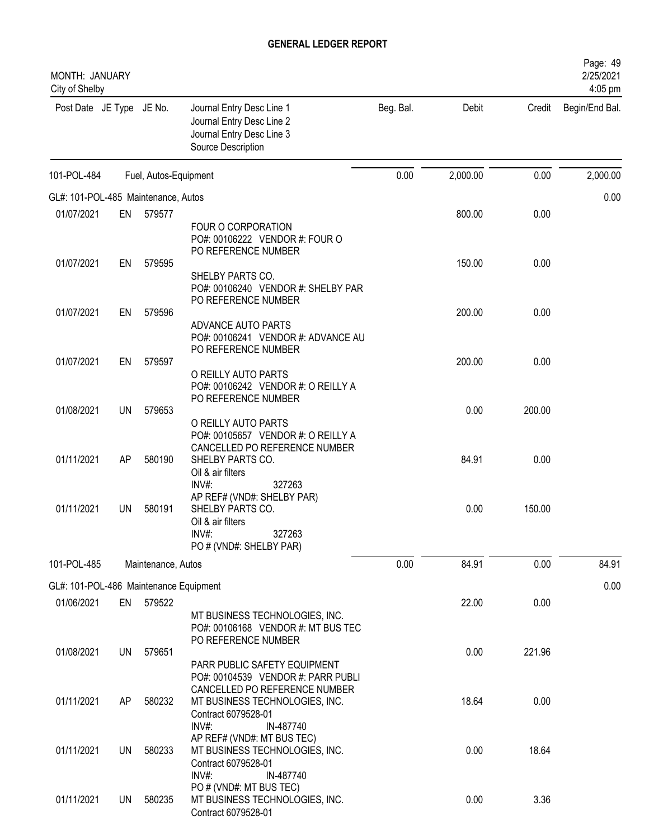| MONTH: JANUARY<br>City of Shelby       |           |                       |                                                                                                                                      |           |          |        | Page: 49<br>2/25/2021<br>4:05 pm |
|----------------------------------------|-----------|-----------------------|--------------------------------------------------------------------------------------------------------------------------------------|-----------|----------|--------|----------------------------------|
| Post Date JE Type JE No.               |           |                       | Journal Entry Desc Line 1<br>Journal Entry Desc Line 2<br>Journal Entry Desc Line 3<br>Source Description                            | Beg. Bal. | Debit    | Credit | Begin/End Bal.                   |
| 101-POL-484                            |           | Fuel, Autos-Equipment |                                                                                                                                      | 0.00      | 2,000.00 | 0.00   | 2,000.00                         |
| GL#: 101-POL-485 Maintenance, Autos    |           |                       |                                                                                                                                      |           |          |        | 0.00                             |
| 01/07/2021                             | EN        | 579577                |                                                                                                                                      |           | 800.00   | 0.00   |                                  |
|                                        |           |                       | FOUR O CORPORATION<br>PO#: 00106222 VENDOR #: FOUR O<br>PO REFERENCE NUMBER                                                          |           |          |        |                                  |
| 01/07/2021                             | EN        | 579595                |                                                                                                                                      |           | 150.00   | 0.00   |                                  |
|                                        |           |                       | SHELBY PARTS CO.<br>PO#: 00106240 VENDOR #: SHELBY PAR<br>PO REFERENCE NUMBER                                                        |           |          |        |                                  |
| 01/07/2021                             | EN        | 579596                | ADVANCE AUTO PARTS                                                                                                                   |           | 200.00   | 0.00   |                                  |
| 01/07/2021                             | EN        | 579597                | PO#: 00106241 VENDOR #: ADVANCE AU<br>PO REFERENCE NUMBER                                                                            |           | 200.00   | 0.00   |                                  |
|                                        |           |                       | O REILLY AUTO PARTS<br>PO#: 00106242 VENDOR #: O REILLY A<br>PO REFERENCE NUMBER                                                     |           |          |        |                                  |
| 01/08/2021                             | <b>UN</b> | 579653                | O REILLY AUTO PARTS<br>PO#: 00105657 VENDOR #: O REILLY A                                                                            |           | 0.00     | 200.00 |                                  |
| 01/11/2021                             | AP        | 580190                | CANCELLED PO REFERENCE NUMBER<br>SHELBY PARTS CO.<br>Oil & air filters                                                               |           | 84.91    | 0.00   |                                  |
| 01/11/2021                             | UN        | 580191                | INV#:<br>327263<br>AP REF# (VND#: SHELBY PAR)<br>SHELBY PARTS CO.<br>Oil & air filters<br>327263<br>INV#:<br>PO # (VND#: SHELBY PAR) |           | 0.00     | 150.00 |                                  |
| 101-POL-485                            |           | Maintenance, Autos    |                                                                                                                                      | 0.00      | 84.91    | 0.00   | 84.91                            |
| GL#: 101-POL-486 Maintenance Equipment |           |                       |                                                                                                                                      |           |          |        | 0.00                             |
| 01/06/2021                             | EN        | 579522                | MT BUSINESS TECHNOLOGIES, INC.<br>PO#: 00106168 VENDOR #: MT BUS TEC                                                                 |           | 22.00    | 0.00   |                                  |
| 01/08/2021                             | <b>UN</b> | 579651                | PO REFERENCE NUMBER<br>PARR PUBLIC SAFETY EQUIPMENT                                                                                  |           | 0.00     | 221.96 |                                  |
| 01/11/2021                             | AP        | 580232                | PO#: 00104539 VENDOR #: PARR PUBLI<br>CANCELLED PO REFERENCE NUMBER<br>MT BUSINESS TECHNOLOGIES, INC.<br>Contract 6079528-01         |           | 18.64    | 0.00   |                                  |
| 01/11/2021                             | UN        | 580233                | $INV#$ :<br>IN-487740<br>AP REF# (VND#: MT BUS TEC)<br>MT BUSINESS TECHNOLOGIES, INC.<br>Contract 6079528-01                         |           | 0.00     | 18.64  |                                  |
| 01/11/2021                             | <b>UN</b> | 580235                | INV#:<br>IN-487740<br>PO # (VND#: MT BUS TEC)<br>MT BUSINESS TECHNOLOGIES, INC.<br>Contract 6079528-01                               |           | 0.00     | 3.36   |                                  |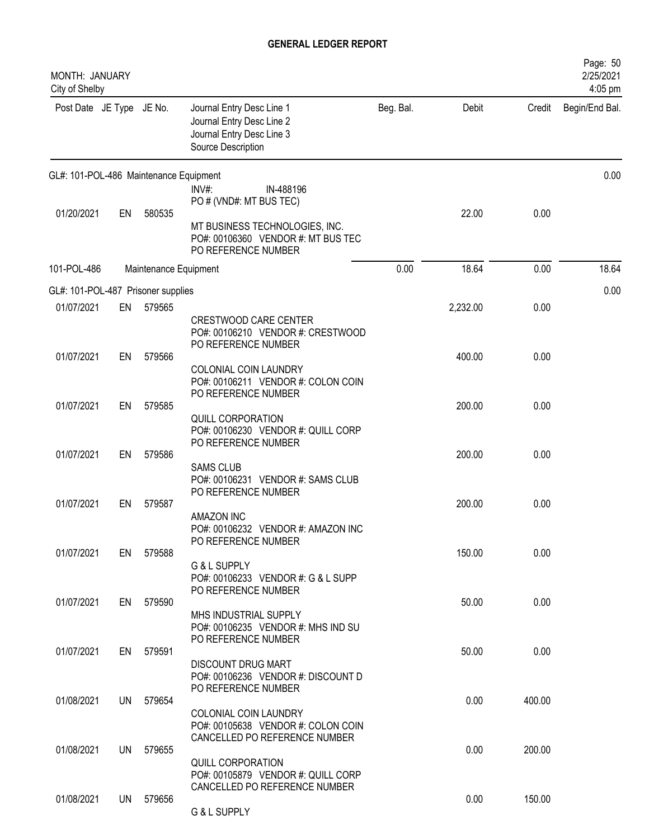| MONTH: JANUARY<br>City of Shelby       |    |                       |                                                                                                           |           |          |        | Page: 50<br>2/25/2021<br>4:05 pm |
|----------------------------------------|----|-----------------------|-----------------------------------------------------------------------------------------------------------|-----------|----------|--------|----------------------------------|
| Post Date JE Type JE No.               |    |                       | Journal Entry Desc Line 1<br>Journal Entry Desc Line 2<br>Journal Entry Desc Line 3<br>Source Description | Beg. Bal. | Debit    | Credit | Begin/End Bal.                   |
| GL#: 101-POL-486 Maintenance Equipment |    |                       | $INV#$ :<br>IN-488196                                                                                     |           |          |        | 0.00                             |
|                                        |    |                       | PO # (VND#: MT BUS TEC)                                                                                   |           |          |        |                                  |
| 01/20/2021                             | EN | 580535                | MT BUSINESS TECHNOLOGIES, INC.<br>PO#: 00106360 VENDOR #: MT BUS TEC<br>PO REFERENCE NUMBER               |           | 22.00    | 0.00   |                                  |
| 101-POL-486                            |    | Maintenance Equipment |                                                                                                           | 0.00      | 18.64    | 0.00   | 18.64                            |
| GL#: 101-POL-487 Prisoner supplies     |    |                       |                                                                                                           |           |          |        | 0.00                             |
| 01/07/2021                             | EN | 579565                |                                                                                                           |           | 2,232.00 | 0.00   |                                  |
| 01/07/2021                             | EN | 579566                | <b>CRESTWOOD CARE CENTER</b><br>PO#: 00106210 VENDOR #: CRESTWOOD<br>PO REFERENCE NUMBER                  |           | 400.00   | 0.00   |                                  |
|                                        |    |                       | COLONIAL COIN LAUNDRY<br>PO#: 00106211 VENDOR #: COLON COIN<br>PO REFERENCE NUMBER                        |           |          |        |                                  |
| 01/07/2021                             | EN | 579585                |                                                                                                           |           | 200.00   | 0.00   |                                  |
| 01/07/2021                             | EN | 579586                | <b>QUILL CORPORATION</b><br>PO#: 00106230 VENDOR #: QUILL CORP<br>PO REFERENCE NUMBER                     |           | 200.00   | 0.00   |                                  |
|                                        |    |                       | <b>SAMS CLUB</b><br>PO#: 00106231 VENDOR #: SAMS CLUB<br>PO REFERENCE NUMBER                              |           |          |        |                                  |
| 01/07/2021                             | EN | 579587                | <b>AMAZON INC</b><br>PO#: 00106232 VENDOR #: AMAZON INC<br>PO REFERENCE NUMBER                            |           | 200.00   | 0.00   |                                  |
| 01/07/2021                             | EN | 579588                | G & L SUPPLY<br>PO#: 00106233 VENDOR #: G & L SUPP<br>PO REFERENCE NUMBER                                 |           | 150.00   | 0.00   |                                  |
| 01/07/2021                             | EN | 579590                | MHS INDUSTRIAL SUPPLY<br>PO#: 00106235 VENDOR #: MHS IND SU<br>PO REFERENCE NUMBER                        |           | 50.00    | 0.00   |                                  |
| 01/07/2021                             | EN | 579591                | <b>DISCOUNT DRUG MART</b><br>PO#: 00106236 VENDOR #: DISCOUNT D                                           |           | 50.00    | 0.00   |                                  |
| 01/08/2021                             | UN | 579654                | PO REFERENCE NUMBER<br>COLONIAL COIN LAUNDRY<br>PO#: 00105638 VENDOR #: COLON COIN                        |           | 0.00     | 400.00 |                                  |
| 01/08/2021                             | UN | 579655                | CANCELLED PO REFERENCE NUMBER                                                                             |           | 0.00     | 200.00 |                                  |
|                                        |    |                       | <b>QUILL CORPORATION</b><br>PO#: 00105879 VENDOR #: QUILL CORP<br>CANCELLED PO REFERENCE NUMBER           |           |          |        |                                  |
| 01/08/2021                             |    | UN 579656             | G & L SUPPLY                                                                                              |           | 0.00     | 150.00 |                                  |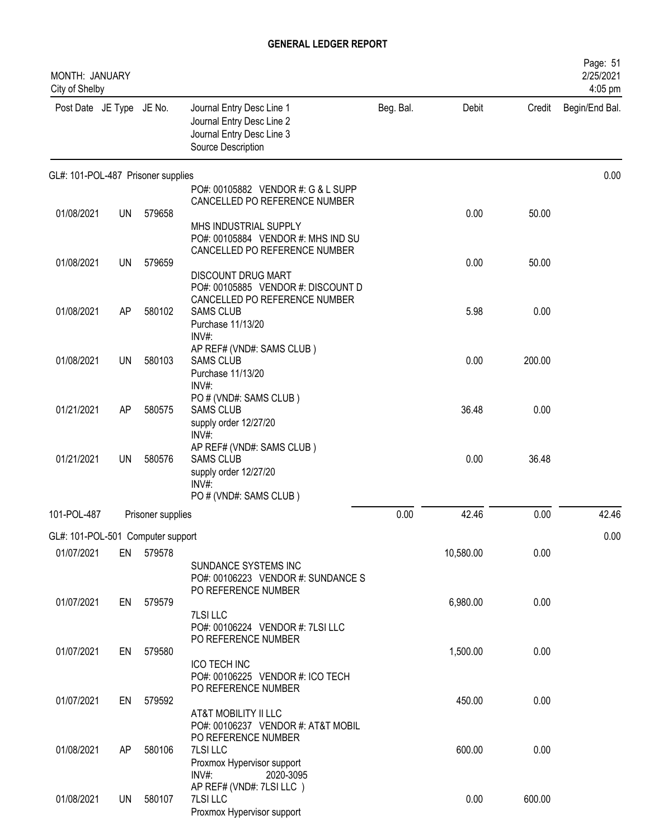| MONTH: JANUARY<br>City of Shelby   |           |                   |                                                                                                           |           |           |        | Page: 51<br>2/25/2021<br>4:05 pm |
|------------------------------------|-----------|-------------------|-----------------------------------------------------------------------------------------------------------|-----------|-----------|--------|----------------------------------|
| Post Date JE Type JE No.           |           |                   | Journal Entry Desc Line 1<br>Journal Entry Desc Line 2<br>Journal Entry Desc Line 3<br>Source Description | Beg. Bal. | Debit     | Credit | Begin/End Bal.                   |
| GL#: 101-POL-487 Prisoner supplies |           |                   |                                                                                                           |           |           |        | 0.00                             |
|                                    |           |                   | PO#: 00105882 VENDOR #: G & L SUPP<br>CANCELLED PO REFERENCE NUMBER                                       |           |           |        |                                  |
| 01/08/2021                         | <b>UN</b> | 579658            |                                                                                                           |           | 0.00      | 50.00  |                                  |
|                                    |           |                   | MHS INDUSTRIAL SUPPLY<br>PO#: 00105884 VENDOR #: MHS IND SU<br>CANCELLED PO REFERENCE NUMBER              |           |           |        |                                  |
| 01/08/2021                         | <b>UN</b> | 579659            |                                                                                                           |           | 0.00      | 50.00  |                                  |
|                                    |           |                   | <b>DISCOUNT DRUG MART</b><br>PO#: 00105885 VENDOR #: DISCOUNT D<br>CANCELLED PO REFERENCE NUMBER          |           |           |        |                                  |
| 01/08/2021                         | AP        | 580102            | <b>SAMS CLUB</b><br>Purchase 11/13/20<br>INV#:                                                            |           | 5.98      | 0.00   |                                  |
| 01/08/2021                         | <b>UN</b> | 580103            | AP REF# (VND#: SAMS CLUB)<br><b>SAMS CLUB</b>                                                             |           | 0.00      | 200.00 |                                  |
|                                    |           |                   | Purchase 11/13/20<br>INV#:                                                                                |           |           |        |                                  |
| 01/21/2021                         | AP        | 580575            | PO # (VND#: SAMS CLUB)<br><b>SAMS CLUB</b><br>supply order 12/27/20                                       |           | 36.48     | 0.00   |                                  |
| 01/21/2021                         | <b>UN</b> | 580576            | INV#:<br>AP REF# (VND#: SAMS CLUB)<br><b>SAMS CLUB</b>                                                    |           | 0.00      | 36.48  |                                  |
|                                    |           |                   | supply order 12/27/20<br>INV#<br>PO # (VND#: SAMS CLUB)                                                   |           |           |        |                                  |
| 101-POL-487                        |           | Prisoner supplies |                                                                                                           | 0.00      | 42.46     | 0.00   | 42.46                            |
| GL#: 101-POL-501 Computer support  |           |                   |                                                                                                           |           |           |        | 0.00                             |
| 01/07/2021                         | EN        | 579578            |                                                                                                           |           | 10,580.00 | 0.00   |                                  |
|                                    |           |                   | SUNDANCE SYSTEMS INC<br>PO#: 00106223 VENDOR #: SUNDANCE S<br>PO REFERENCE NUMBER                         |           |           |        |                                  |
| 01/07/2021                         | EN        | 579579            |                                                                                                           |           | 6,980.00  | 0.00   |                                  |
|                                    |           |                   | 7LSI LLC<br>PO#: 00106224 VENDOR #: 7LSI LLC<br>PO REFERENCE NUMBER                                       |           |           |        |                                  |
| 01/07/2021                         | EN        | 579580            |                                                                                                           |           | 1,500.00  | 0.00   |                                  |
|                                    |           |                   | <b>ICO TECH INC</b><br>PO#: 00106225 VENDOR #: ICO TECH<br>PO REFERENCE NUMBER                            |           |           |        |                                  |
| 01/07/2021                         | EN        | 579592            | AT&T MOBILITY II LLC                                                                                      |           | 450.00    | 0.00   |                                  |
|                                    |           |                   | PO#: 00106237 VENDOR #: AT&T MOBIL<br>PO REFERENCE NUMBER                                                 |           |           |        |                                  |
| 01/08/2021                         | AP        | 580106            | 7LSI LLC                                                                                                  |           | 600.00    | 0.00   |                                  |
|                                    |           |                   | Proxmox Hypervisor support<br>$INV#$ :<br>2020-3095                                                       |           |           |        |                                  |
| 01/08/2021                         | <b>UN</b> | 580107            | AP REF# (VND#: 7LSI LLC)<br>7LSI LLC                                                                      |           | 0.00      | 600.00 |                                  |
|                                    |           |                   | Proxmox Hypervisor support                                                                                |           |           |        |                                  |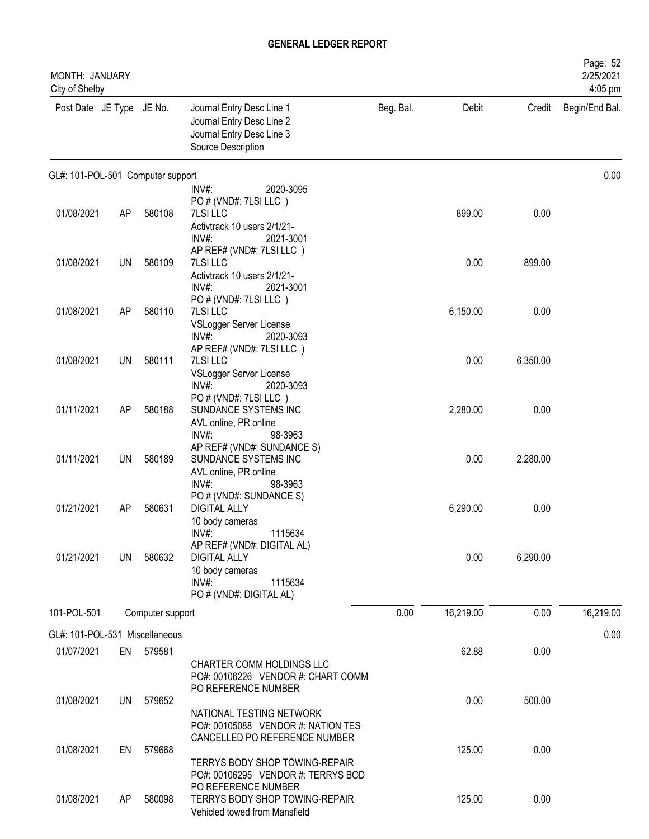| MONTH: JANUARY<br>City of Shelby  |           |                  |                                                                                                           |           |           |          | Page: 52<br>2/25/2021<br>4:05 pm |
|-----------------------------------|-----------|------------------|-----------------------------------------------------------------------------------------------------------|-----------|-----------|----------|----------------------------------|
| Post Date JE Type JE No.          |           |                  | Journal Entry Desc Line 1<br>Journal Entry Desc Line 2<br>Journal Entry Desc Line 3<br>Source Description | Beg. Bal. | Debit     | Credit   | Begin/End Bal.                   |
| GL#: 101-POL-501 Computer support |           |                  |                                                                                                           |           |           |          | 0.00                             |
|                                   |           |                  | $INV#$ :<br>2020-3095<br>PO # (VND#: 7LSI LLC)                                                            |           |           |          |                                  |
| 01/08/2021                        | AP        | 580108           | <b>7LSI LLC</b>                                                                                           |           | 899.00    | 0.00     |                                  |
|                                   |           |                  | Activtrack 10 users 2/1/21-                                                                               |           |           |          |                                  |
|                                   |           |                  | INV#:<br>2021-3001                                                                                        |           |           |          |                                  |
| 01/08/2021                        | UN        | 580109           | AP REF# (VND#: 7LSI LLC)<br>7LSI LLC                                                                      |           | 0.00      | 899.00   |                                  |
|                                   |           |                  | Activtrack 10 users 2/1/21-                                                                               |           |           |          |                                  |
|                                   |           |                  | INV#:<br>2021-3001                                                                                        |           |           |          |                                  |
| 01/08/2021                        | AP        | 580110           | PO # (VND#: 7LSI LLC)<br>7LSI LLC                                                                         |           | 6,150.00  | 0.00     |                                  |
|                                   |           |                  | VSLogger Server License                                                                                   |           |           |          |                                  |
|                                   |           |                  | INV#:<br>2020-3093                                                                                        |           |           |          |                                  |
| 01/08/2021                        | UN        | 580111           | AP REF# (VND#: 7LSI LLC)<br>7LSI LLC                                                                      |           | 0.00      | 6,350.00 |                                  |
|                                   |           |                  | VSLogger Server License                                                                                   |           |           |          |                                  |
|                                   |           |                  | INV#:<br>2020-3093<br>PO # (VND#: 7LSI LLC)                                                               |           |           |          |                                  |
| 01/11/2021                        | <b>AP</b> | 580188           | SUNDANCE SYSTEMS INC                                                                                      |           | 2,280.00  | 0.00     |                                  |
|                                   |           |                  | AVL online, PR online                                                                                     |           |           |          |                                  |
|                                   |           |                  | $INV#$ :<br>98-3963<br>AP REF# (VND#: SUNDANCE S)                                                         |           |           |          |                                  |
| 01/11/2021                        | <b>UN</b> | 580189           | SUNDANCE SYSTEMS INC                                                                                      |           | 0.00      | 2,280.00 |                                  |
|                                   |           |                  | AVL online, PR online                                                                                     |           |           |          |                                  |
|                                   |           |                  | INV#:<br>98-3963<br>PO # (VND#: SUNDANCE S)                                                               |           |           |          |                                  |
| 01/21/2021                        | AP        | 580631           | <b>DIGITAL ALLY</b>                                                                                       |           | 6,290.00  | 0.00     |                                  |
|                                   |           |                  | 10 body cameras                                                                                           |           |           |          |                                  |
|                                   |           |                  | $INV#$ :<br>1115634<br>AP REF# (VND#: DIGITAL AL)                                                         |           |           |          |                                  |
| 01/21/2021                        | UN        | 580632           | <b>DIGITAL ALLY</b>                                                                                       |           | 0.00      | 6,290.00 |                                  |
|                                   |           |                  | 10 body cameras                                                                                           |           |           |          |                                  |
|                                   |           |                  | $INV#$ :<br>1115634<br>PO # (VND#: DIGITAL AL)                                                            |           |           |          |                                  |
| 101-POL-501                       |           | Computer support |                                                                                                           | 0.00      | 16,219.00 | 0.00     | 16,219.00                        |
| GL#: 101-POL-531 Miscellaneous    |           |                  |                                                                                                           |           |           |          | 0.00                             |
| 01/07/2021                        |           | EN 579581        |                                                                                                           |           | 62.88     | 0.00     |                                  |
|                                   |           |                  | CHARTER COMM HOLDINGS LLC                                                                                 |           |           |          |                                  |
|                                   |           |                  | PO#: 00106226 VENDOR #: CHART COMM                                                                        |           |           |          |                                  |
| 01/08/2021                        | <b>UN</b> | 579652           | PO REFERENCE NUMBER                                                                                       |           | 0.00      | 500.00   |                                  |
|                                   |           |                  | NATIONAL TESTING NETWORK                                                                                  |           |           |          |                                  |
|                                   |           |                  | PO#: 00105088 VENDOR #: NATION TES                                                                        |           |           |          |                                  |
| 01/08/2021                        | EN        | 579668           | CANCELLED PO REFERENCE NUMBER                                                                             |           | 125.00    | 0.00     |                                  |
|                                   |           |                  | TERRYS BODY SHOP TOWING-REPAIR                                                                            |           |           |          |                                  |
|                                   |           |                  | PO#: 00106295 VENDOR #: TERRYS BOD                                                                        |           |           |          |                                  |
| 01/08/2021                        | AP        | 580098           | PO REFERENCE NUMBER<br>TERRYS BODY SHOP TOWING-REPAIR                                                     |           | 125.00    | 0.00     |                                  |
|                                   |           |                  | Vehicled towed from Mansfield                                                                             |           |           |          |                                  |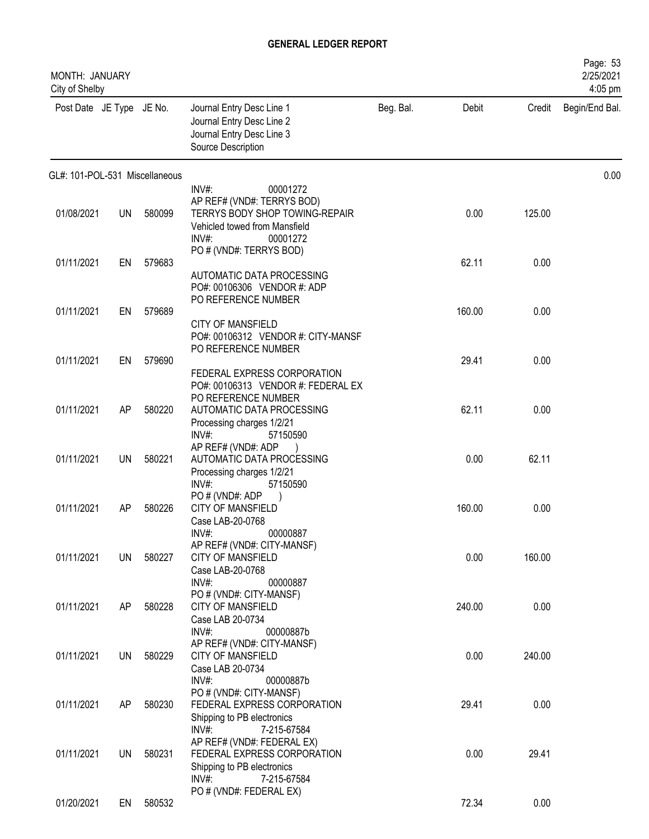| MONTH: JANUARY<br>City of Shelby |           |        |                                                                                                                                            |           |        |        | Page: 53<br>2/25/2021<br>4:05 pm |
|----------------------------------|-----------|--------|--------------------------------------------------------------------------------------------------------------------------------------------|-----------|--------|--------|----------------------------------|
| Post Date JE Type JE No.         |           |        | Journal Entry Desc Line 1<br>Journal Entry Desc Line 2<br>Journal Entry Desc Line 3<br>Source Description                                  | Beg. Bal. | Debit  | Credit | Begin/End Bal.                   |
| GL#: 101-POL-531 Miscellaneous   |           |        |                                                                                                                                            |           |        |        | 0.00                             |
| 01/08/2021                       | <b>UN</b> | 580099 | INV#:<br>00001272<br>AP REF# (VND#: TERRYS BOD)<br>TERRYS BODY SHOP TOWING-REPAIR<br>Vehicled towed from Mansfield<br>$INV#$ :<br>00001272 |           | 0.00   | 125.00 |                                  |
| 01/11/2021                       | EN        | 579683 | PO # (VND#: TERRYS BOD)<br>AUTOMATIC DATA PROCESSING<br>PO#: 00106306 VENDOR #: ADP                                                        |           | 62.11  | 0.00   |                                  |
| 01/11/2021                       | EN        | 579689 | PO REFERENCE NUMBER<br><b>CITY OF MANSFIELD</b>                                                                                            |           | 160.00 | 0.00   |                                  |
| 01/11/2021                       | EN        | 579690 | PO#: 00106312 VENDOR #: CITY-MANSF<br>PO REFERENCE NUMBER<br>FEDERAL EXPRESS CORPORATION                                                   |           | 29.41  | 0.00   |                                  |
| 01/11/2021                       | AP        | 580220 | PO#: 00106313 VENDOR #: FEDERAL EX<br>PO REFERENCE NUMBER<br>AUTOMATIC DATA PROCESSING<br>Processing charges 1/2/21                        |           | 62.11  | 0.00   |                                  |
| 01/11/2021                       | UN        | 580221 | $INV#$ :<br>57150590<br>AP REF# (VND#: ADP<br>AUTOMATIC DATA PROCESSING<br>Processing charges 1/2/21                                       |           | 0.00   | 62.11  |                                  |
| 01/11/2021                       | AP        | 580226 | $INV#$ :<br>57150590<br>PO#(VND#: ADP<br>CITY OF MANSFIELD<br>Case LAB-20-0768                                                             |           | 160.00 | 0.00   |                                  |
| 01/11/2021                       | UN        | 580227 | INV#:<br>00000887<br>AP REF# (VND#: CITY-MANSF)<br>CITY OF MANSFIELD<br>Case LAB-20-0768                                                   |           | 0.00   | 160.00 |                                  |
| 01/11/2021                       | AP        | 580228 | $INV#$ :<br>00000887<br>PO # (VND#: CITY-MANSF)<br>CITY OF MANSFIELD<br>Case LAB 20-0734                                                   |           | 240.00 | 0.00   |                                  |
| 01/11/2021                       | UN        | 580229 | $INV#$ :<br>00000887b<br>AP REF# (VND#: CITY-MANSF)<br><b>CITY OF MANSFIELD</b><br>Case LAB 20-0734                                        |           | 0.00   | 240.00 |                                  |
| 01/11/2021                       | AP        | 580230 | INV#:<br>00000887b<br>PO # (VND#: CITY-MANSF)<br>FEDERAL EXPRESS CORPORATION<br>Shipping to PB electronics                                 |           | 29.41  | 0.00   |                                  |
| 01/11/2021                       | <b>UN</b> | 580231 | INV#:<br>7-215-67584<br>AP REF# (VND#: FEDERAL EX)<br>FEDERAL EXPRESS CORPORATION<br>Shipping to PB electronics                            |           | 0.00   | 29.41  |                                  |
| 01/20/2021                       | EN        | 580532 | INV#:<br>7-215-67584<br>PO # (VND#: FEDERAL EX)                                                                                            |           | 72.34  | 0.00   |                                  |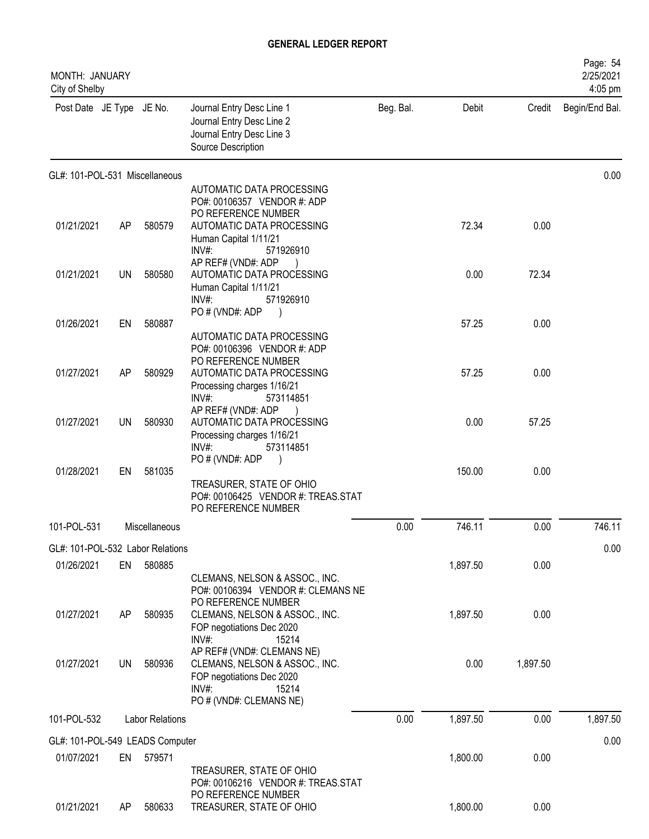| MONTH: JANUARY<br>City of Shelby |           |                        |                                                                                                                                           |           |          |          | Page: 54<br>2/25/2021<br>4:05 pm |
|----------------------------------|-----------|------------------------|-------------------------------------------------------------------------------------------------------------------------------------------|-----------|----------|----------|----------------------------------|
| Post Date JE Type JE No.         |           |                        | Journal Entry Desc Line 1<br>Journal Entry Desc Line 2<br>Journal Entry Desc Line 3<br>Source Description                                 | Beg. Bal. | Debit    | Credit   | Begin/End Bal.                   |
| GL#: 101-POL-531 Miscellaneous   |           |                        |                                                                                                                                           |           |          |          | 0.00                             |
|                                  |           |                        | AUTOMATIC DATA PROCESSING<br>PO#: 00106357 VENDOR #: ADP                                                                                  |           |          |          |                                  |
| 01/21/2021                       | AP        | 580579                 | PO REFERENCE NUMBER<br>AUTOMATIC DATA PROCESSING<br>Human Capital 1/11/21<br>INV#<br>571926910                                            |           | 72.34    | 0.00     |                                  |
| 01/21/2021                       | <b>UN</b> | 580580                 | AP REF# (VND#: ADP<br>AUTOMATIC DATA PROCESSING<br>Human Capital 1/11/21<br>$INV#$ :<br>571926910                                         |           | 0.00     | 72.34    |                                  |
| 01/26/2021                       | EN        | 580887                 | PO # (VND#: ADP                                                                                                                           |           | 57.25    | 0.00     |                                  |
|                                  |           |                        | AUTOMATIC DATA PROCESSING<br>PO#: 00106396 VENDOR #: ADP<br>PO REFERENCE NUMBER                                                           |           |          |          |                                  |
| 01/27/2021                       | AP        | 580929                 | AUTOMATIC DATA PROCESSING<br>Processing charges 1/16/21<br>INV#:<br>573114851                                                             |           | 57.25    | 0.00     |                                  |
| 01/27/2021                       | UN        | 580930                 | AP REF# (VND#: ADP<br>AUTOMATIC DATA PROCESSING<br>Processing charges 1/16/21<br>INV#:<br>573114851                                       |           | 0.00     | 57.25    |                                  |
| 01/28/2021                       | EN        | 581035                 | PO#(VND#: ADP<br>TREASURER, STATE OF OHIO<br>PO#: 00106425 VENDOR #: TREAS.STAT                                                           |           | 150.00   | 0.00     |                                  |
|                                  |           |                        | PO REFERENCE NUMBER                                                                                                                       |           |          |          |                                  |
| 101-POL-531                      |           | Miscellaneous          |                                                                                                                                           | 0.00      | 746.11   | 0.00     | 746.11                           |
| GL#: 101-POL-532 Labor Relations |           |                        |                                                                                                                                           |           |          |          | 0.00                             |
| 01/26/2021                       | EN        | 580885                 | CLEMANS, NELSON & ASSOC., INC.<br>PO#: 00106394 VENDOR #: CLEMANS NE<br>PO REFERENCE NUMBER                                               |           | 1,897.50 | 0.00     |                                  |
| 01/27/2021                       | AP        | 580935                 | CLEMANS, NELSON & ASSOC., INC.<br>FOP negotiations Dec 2020<br>$INV#$ :<br>15214                                                          |           | 1,897.50 | 0.00     |                                  |
| 01/27/2021                       | <b>UN</b> | 580936                 | AP REF# (VND#: CLEMANS NE)<br>CLEMANS, NELSON & ASSOC., INC.<br>FOP negotiations Dec 2020<br>$INV#$ :<br>15214<br>PO # (VND#: CLEMANS NE) |           | 0.00     | 1,897.50 |                                  |
| 101-POL-532                      |           | <b>Labor Relations</b> |                                                                                                                                           | 0.00      | 1,897.50 | 0.00     | 1,897.50                         |
| GL#: 101-POL-549 LEADS Computer  |           |                        |                                                                                                                                           |           |          |          | 0.00                             |
| 01/07/2021                       | EN        | 579571                 | TREASURER, STATE OF OHIO<br>PO#: 00106216 VENDOR #: TREAS.STAT                                                                            |           | 1,800.00 | 0.00     |                                  |
| 01/21/2021                       | AP        | 580633                 | PO REFERENCE NUMBER<br>TREASURER, STATE OF OHIO                                                                                           |           | 1,800.00 | 0.00     |                                  |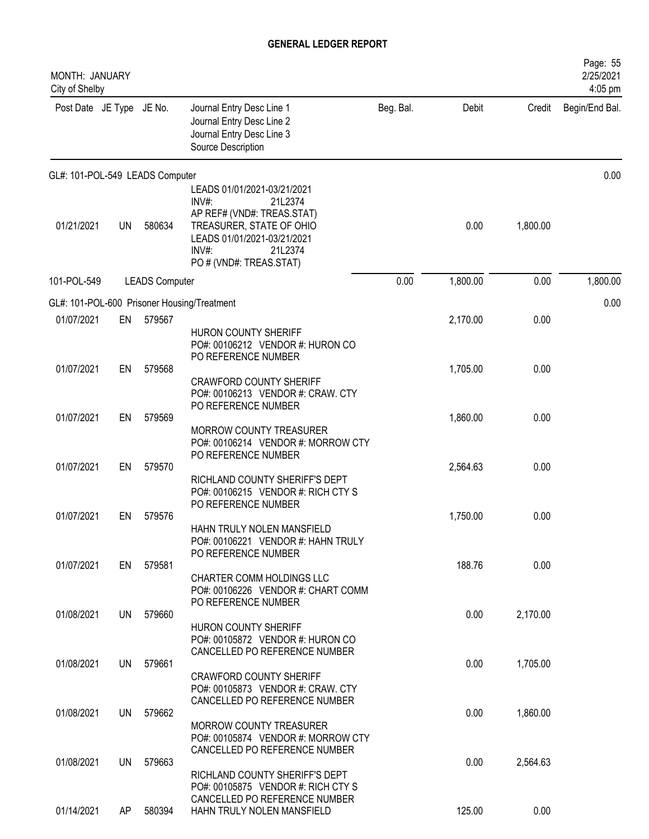| MONTH: JANUARY<br>City of Shelby |     |                       |                                                                                                                                                                                         |           |          |          | Page: 55<br>2/25/2021<br>4:05 pm |
|----------------------------------|-----|-----------------------|-----------------------------------------------------------------------------------------------------------------------------------------------------------------------------------------|-----------|----------|----------|----------------------------------|
| Post Date JE Type JE No.         |     |                       | Journal Entry Desc Line 1<br>Journal Entry Desc Line 2<br>Journal Entry Desc Line 3<br>Source Description                                                                               | Beg. Bal. | Debit    | Credit   | Begin/End Bal.                   |
| GL#: 101-POL-549 LEADS Computer  |     |                       |                                                                                                                                                                                         |           |          |          | 0.00                             |
| 01/21/2021                       | UN  | 580634                | LEADS 01/01/2021-03/21/2021<br>INV#:<br>21L2374<br>AP REF# (VND#: TREAS.STAT)<br>TREASURER, STATE OF OHIO<br>LEADS 01/01/2021-03/21/2021<br>INV#:<br>21L2374<br>PO # (VND#: TREAS.STAT) |           | 0.00     | 1,800.00 |                                  |
| 101-POL-549                      |     | <b>LEADS Computer</b> |                                                                                                                                                                                         | 0.00      | 1,800.00 | 0.00     | 1,800.00                         |
|                                  |     |                       | GL#: 101-POL-600 Prisoner Housing/Treatment                                                                                                                                             |           |          |          | 0.00                             |
| 01/07/2021                       | EN  | 579567                | HURON COUNTY SHERIFF<br>PO#: 00106212 VENDOR #: HURON CO<br>PO REFERENCE NUMBER                                                                                                         |           | 2,170.00 | 0.00     |                                  |
| 01/07/2021                       | EN  | 579568                | <b>CRAWFORD COUNTY SHERIFF</b><br>PO#: 00106213 VENDOR #: CRAW. CTY<br>PO REFERENCE NUMBER                                                                                              |           | 1,705.00 | 0.00     |                                  |
| 01/07/2021                       | EN  | 579569                | MORROW COUNTY TREASURER<br>PO#: 00106214 VENDOR #: MORROW CTY<br>PO REFERENCE NUMBER                                                                                                    |           | 1,860.00 | 0.00     |                                  |
| 01/07/2021                       | EN  | 579570                | RICHLAND COUNTY SHERIFF'S DEPT<br>PO#: 00106215 VENDOR #: RICH CTY S<br>PO REFERENCE NUMBER                                                                                             |           | 2,564.63 | 0.00     |                                  |
| 01/07/2021                       | EN  | 579576                | HAHN TRULY NOLEN MANSFIELD<br>PO#: 00106221 VENDOR #: HAHN TRULY<br>PO REFERENCE NUMBER                                                                                                 |           | 1,750.00 | 0.00     |                                  |
| 01/07/2021                       | EN  | 579581                | CHARTER COMM HOLDINGS LLC<br>PO#: 00106226 VENDOR #: CHART COMM<br>PO REFERENCE NUMBER                                                                                                  |           | 188.76   | 0.00     |                                  |
| 01/08/2021                       | UN  | 579660                | HURON COUNTY SHERIFF<br>PO#: 00105872 VENDOR #: HURON CO<br>CANCELLED PO REFERENCE NUMBER                                                                                               |           | 0.00     | 2,170.00 |                                  |
| 01/08/2021                       | UN  | 579661                | <b>CRAWFORD COUNTY SHERIFF</b><br>PO#: 00105873 VENDOR #: CRAW. CTY<br>CANCELLED PO REFERENCE NUMBER                                                                                    |           | 0.00     | 1,705.00 |                                  |
| 01/08/2021                       | UN  | 579662                | <b>MORROW COUNTY TREASURER</b><br>PO#: 00105874 VENDOR #: MORROW CTY<br>CANCELLED PO REFERENCE NUMBER                                                                                   |           | 0.00     | 1,860.00 |                                  |
| 01/08/2021                       | UN  | 579663                | RICHLAND COUNTY SHERIFF'S DEPT<br>PO#: 00105875 VENDOR #: RICH CTY S<br>CANCELLED PO REFERENCE NUMBER                                                                                   |           | 0.00     | 2,564.63 |                                  |
| 01/14/2021                       | AP. | 580394                | HAHN TRULY NOLEN MANSFIELD                                                                                                                                                              |           | 125.00   | 0.00     |                                  |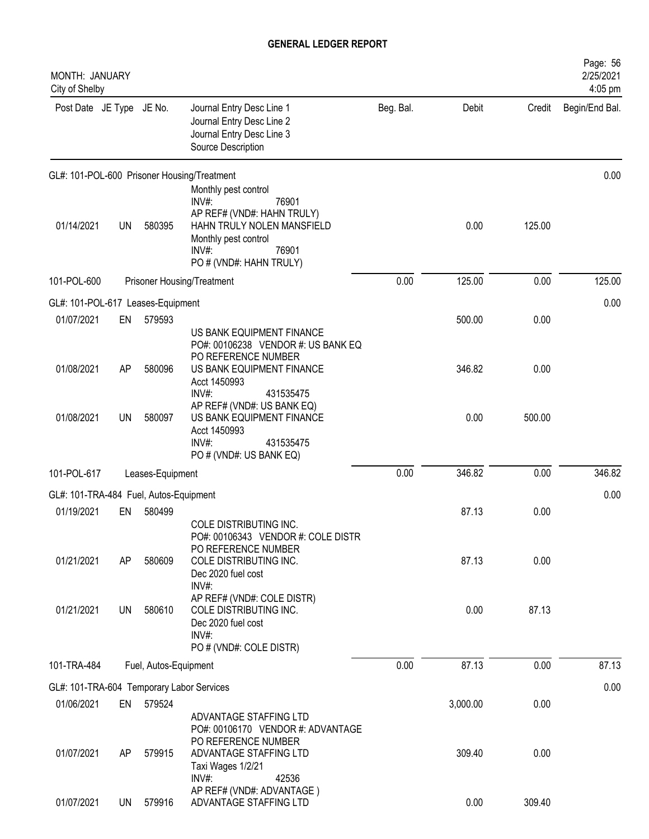| MONTH: JANUARY<br>City of Shelby          |           |                       |                                                                                                                                                                            |           |          |        | Page: 56<br>2/25/2021<br>4:05 pm |
|-------------------------------------------|-----------|-----------------------|----------------------------------------------------------------------------------------------------------------------------------------------------------------------------|-----------|----------|--------|----------------------------------|
| Post Date JE Type JE No.                  |           |                       | Journal Entry Desc Line 1<br>Journal Entry Desc Line 2<br>Journal Entry Desc Line 3<br>Source Description                                                                  | Beg. Bal. | Debit    | Credit | Begin/End Bal.                   |
|                                           |           |                       | GL#: 101-POL-600 Prisoner Housing/Treatment                                                                                                                                |           |          |        | 0.00                             |
| 01/14/2021                                | UN        | 580395                | Monthly pest control<br>INV#:<br>76901<br>AP REF# (VND#: HAHN TRULY)<br>HAHN TRULY NOLEN MANSFIELD<br>Monthly pest control<br>$INV#$ :<br>76901<br>PO # (VND#: HAHN TRULY) |           | 0.00     | 125.00 |                                  |
| 101-POL-600                               |           |                       | <b>Prisoner Housing/Treatment</b>                                                                                                                                          | 0.00      | 125.00   | 0.00   | 125.00                           |
| GL#: 101-POL-617 Leases-Equipment         |           |                       |                                                                                                                                                                            |           |          |        | 0.00                             |
| 01/07/2021                                | EN        | 579593                |                                                                                                                                                                            |           | 500.00   | 0.00   |                                  |
| 01/08/2021                                | AP        | 580096                | US BANK EQUIPMENT FINANCE<br>PO#: 00106238 VENDOR #: US BANK EQ<br>PO REFERENCE NUMBER<br>US BANK EQUIPMENT FINANCE<br>Acct 1450993<br>INV#:                               |           | 346.82   | 0.00   |                                  |
| 01/08/2021                                | <b>UN</b> | 580097                | 431535475<br>AP REF# (VND#: US BANK EQ)<br>US BANK EQUIPMENT FINANCE<br>Acct 1450993<br>$INV#$ :<br>431535475<br>PO # (VND#: US BANK EQ)                                   |           | 0.00     | 500.00 |                                  |
| 101-POL-617                               |           | Leases-Equipment      |                                                                                                                                                                            | 0.00      | 346.82   | 0.00   | 346.82                           |
| GL#: 101-TRA-484 Fuel, Autos-Equipment    |           |                       |                                                                                                                                                                            |           |          |        | 0.00                             |
| 01/19/2021                                | EN        | 580499                |                                                                                                                                                                            |           | 87.13    | 0.00   |                                  |
| 01/21/2021                                | AP        | 580609                | COLE DISTRIBUTING INC.<br>PO#: 00106343 VENDOR #: COLE DISTR<br>PO REFERENCE NUMBER<br>COLE DISTRIBUTING INC.<br>Dec 2020 fuel cost<br>INV#:                               |           | 87.13    | 0.00   |                                  |
| 01/21/2021                                | UN        | 580610                | AP REF# (VND#: COLE DISTR)<br>COLE DISTRIBUTING INC.<br>Dec 2020 fuel cost<br>$INV#$ :<br>PO # (VND#: COLE DISTR)                                                          |           | 0.00     | 87.13  |                                  |
| 101-TRA-484                               |           | Fuel, Autos-Equipment |                                                                                                                                                                            | 0.00      | 87.13    | 0.00   | 87.13                            |
| GL#: 101-TRA-604 Temporary Labor Services |           |                       |                                                                                                                                                                            |           |          |        | 0.00                             |
| 01/06/2021                                | EN        | 579524                |                                                                                                                                                                            |           | 3,000.00 | 0.00   |                                  |
| 01/07/2021                                | AP        | 579915                | ADVANTAGE STAFFING LTD<br>PO#: 00106170 VENDOR #: ADVANTAGE<br>PO REFERENCE NUMBER<br>ADVANTAGE STAFFING LTD<br>Taxi Wages 1/2/21<br>$INV#$ :<br>42536                     |           | 309.40   | 0.00   |                                  |
| 01/07/2021                                | <b>UN</b> | 579916                | AP REF# (VND#: ADVANTAGE)<br>ADVANTAGE STAFFING LTD                                                                                                                        |           | 0.00     | 309.40 |                                  |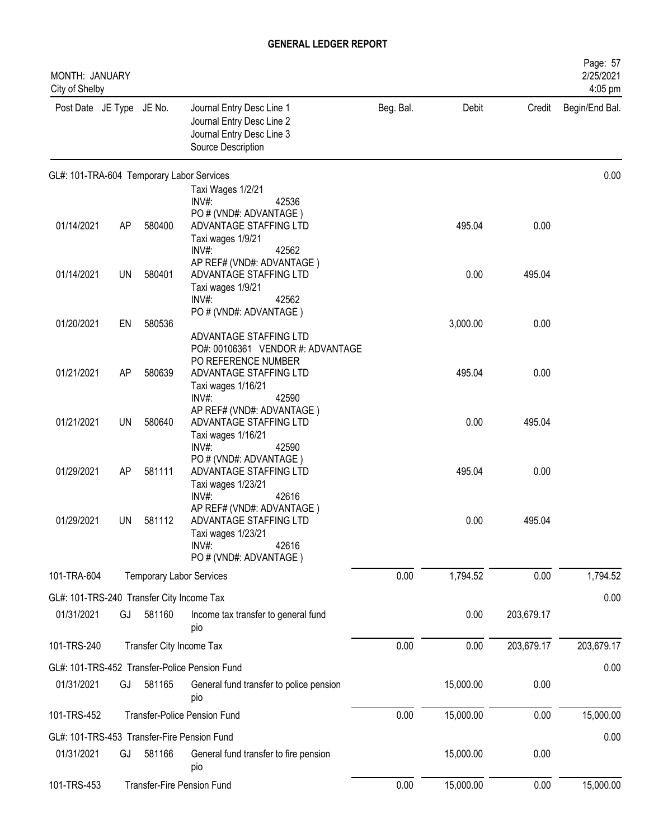| MONTH: JANUARY<br>City of Shelby          |    |                          |                                                                                                                                         |           |           |            | Page: 57<br>2/25/2021<br>4:05 pm |
|-------------------------------------------|----|--------------------------|-----------------------------------------------------------------------------------------------------------------------------------------|-----------|-----------|------------|----------------------------------|
| Post Date JE Type JE No.                  |    |                          | Journal Entry Desc Line 1<br>Journal Entry Desc Line 2<br>Journal Entry Desc Line 3<br>Source Description                               | Beg. Bal. | Debit     |            | Credit Begin/End Bal.            |
|                                           |    |                          | GL#: 101-TRA-604 Temporary Labor Services                                                                                               |           |           |            | 0.00                             |
| 01/14/2021                                | AP | 580400                   | Taxi Wages 1/2/21<br>$INV#$ :<br>42536<br>PO # (VND#: ADVANTAGE)<br>ADVANTAGE STAFFING LTD<br>Taxi wages 1/9/21                         |           | 495.04    | 0.00       |                                  |
| 01/14/2021                                | UN | 580401                   | 42562<br>INV#<br>AP REF# (VND#: ADVANTAGE)<br>ADVANTAGE STAFFING LTD<br>Taxi wages 1/9/21<br>$INV#$ :<br>42562                          |           | 0.00      | 495.04     |                                  |
| 01/20/2021                                | EN | 580536                   | PO # (VND#: ADVANTAGE)<br>ADVANTAGE STAFFING LTD                                                                                        |           | 3,000.00  | 0.00       |                                  |
| 01/21/2021                                | AP | 580639                   | PO#: 00106361 VENDOR #: ADVANTAGE<br>PO REFERENCE NUMBER<br>ADVANTAGE STAFFING LTD<br>Taxi wages 1/16/21                                |           | 495.04    | 0.00       |                                  |
| 01/21/2021                                | UN | 580640                   | $INV#$ :<br>42590<br>AP REF# (VND#: ADVANTAGE)<br>ADVANTAGE STAFFING LTD<br>Taxi wages 1/16/21                                          |           | 0.00      | 495.04     |                                  |
| 01/29/2021                                | AP | 581111                   | INV#<br>42590<br>PO # (VND#: ADVANTAGE)<br>ADVANTAGE STAFFING LTD<br>Taxi wages 1/23/21                                                 |           | 495.04    | 0.00       |                                  |
| 01/29/2021                                | UN | 581112                   | INV#:<br>42616<br>AP REF# (VND#: ADVANTAGE)<br>ADVANTAGE STAFFING LTD<br>Taxi wages 1/23/21<br>INV#:<br>42616<br>PO # (VND#: ADVANTAGE) |           | 0.00      | 495.04     |                                  |
| 101-TRA-604                               |    |                          | <b>Temporary Labor Services</b>                                                                                                         | 0.00      | 1,794.52  | 0.00       | 1,794.52                         |
| GL#: 101-TRS-240 Transfer City Income Tax |    |                          |                                                                                                                                         |           |           |            | 0.00                             |
| 01/31/2021                                | GJ | 581160                   | Income tax transfer to general fund<br>pio                                                                                              |           | 0.00      | 203,679.17 |                                  |
| 101-TRS-240                               |    | Transfer City Income Tax |                                                                                                                                         | 0.00      | 0.00      | 203,679.17 | 203,679.17                       |
|                                           |    |                          | GL#: 101-TRS-452 Transfer-Police Pension Fund                                                                                           |           |           |            | 0.00                             |
| 01/31/2021                                | GJ | 581165                   | General fund transfer to police pension<br>pio                                                                                          |           | 15,000.00 | 0.00       |                                  |
| 101-TRS-452                               |    |                          | <b>Transfer-Police Pension Fund</b>                                                                                                     | 0.00      | 15,000.00 | 0.00       | 15,000.00                        |
|                                           |    |                          | GL#: 101-TRS-453 Transfer-Fire Pension Fund                                                                                             |           |           |            | 0.00                             |
| 01/31/2021                                | GJ | 581166                   | General fund transfer to fire pension<br>pio                                                                                            |           | 15,000.00 | 0.00       |                                  |
| 101-TRS-453                               |    |                          | <b>Transfer-Fire Pension Fund</b>                                                                                                       | 0.00      | 15,000.00 | 0.00       | 15,000.00                        |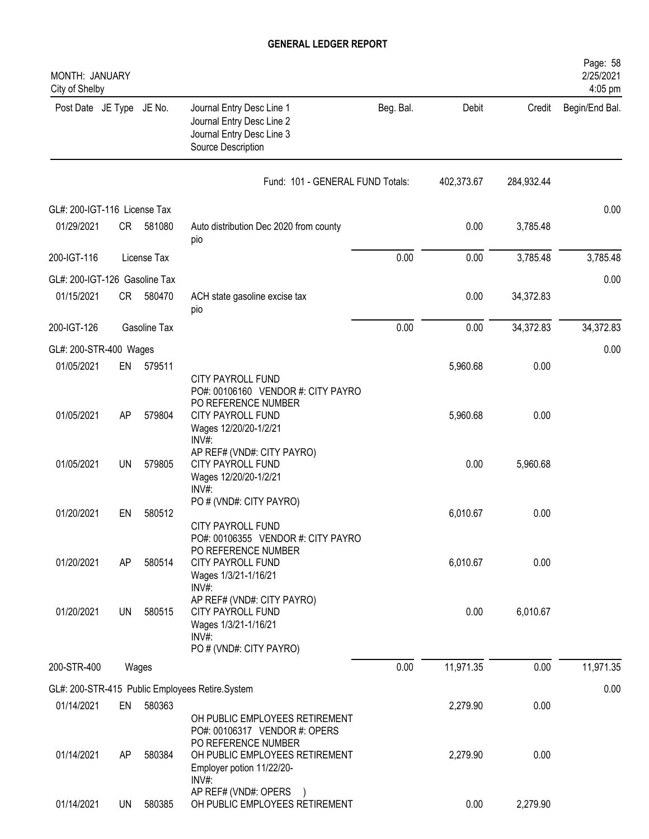| MONTH: JANUARY<br>City of Shelby |           |              |                                                                                                                         |           |            |            | Page: 58<br>2/25/2021<br>4:05 pm |
|----------------------------------|-----------|--------------|-------------------------------------------------------------------------------------------------------------------------|-----------|------------|------------|----------------------------------|
| Post Date JE Type JE No.         |           |              | Journal Entry Desc Line 1<br>Journal Entry Desc Line 2<br>Journal Entry Desc Line 3<br>Source Description               | Beg. Bal. | Debit      | Credit     | Begin/End Bal.                   |
|                                  |           |              | Fund: 101 - GENERAL FUND Totals:                                                                                        |           | 402,373.67 | 284,932.44 |                                  |
| GL#: 200-IGT-116 License Tax     |           |              |                                                                                                                         |           |            |            | 0.00                             |
| 01/29/2021                       | CR        | 581080       | Auto distribution Dec 2020 from county<br>pio                                                                           |           | 0.00       | 3,785.48   |                                  |
| 200-IGT-116                      |           | License Tax  |                                                                                                                         | 0.00      | 0.00       | 3,785.48   | 3,785.48                         |
| GL#: 200-IGT-126 Gasoline Tax    |           |              |                                                                                                                         |           |            |            | 0.00                             |
| 01/15/2021                       | CR        | 580470       | ACH state gasoline excise tax<br>pio                                                                                    |           | 0.00       | 34,372.83  |                                  |
| 200-IGT-126                      |           | Gasoline Tax |                                                                                                                         | 0.00      | 0.00       | 34,372.83  | 34,372.83                        |
| GL#: 200-STR-400 Wages           |           |              |                                                                                                                         |           |            |            | 0.00                             |
| 01/05/2021                       | EN        | 579511       | <b>CITY PAYROLL FUND</b><br>PO#: 00106160 VENDOR #: CITY PAYRO                                                          |           | 5,960.68   | 0.00       |                                  |
| 01/05/2021                       | AP        | 579804       | PO REFERENCE NUMBER<br><b>CITY PAYROLL FUND</b><br>Wages 12/20/20-1/2/21<br>INV#:                                       |           | 5,960.68   | 0.00       |                                  |
| 01/05/2021                       | <b>UN</b> | 579805       | AP REF# (VND#: CITY PAYRO)<br><b>CITY PAYROLL FUND</b><br>Wages 12/20/20-1/2/21<br>$INV#$ :                             |           | 0.00       | 5,960.68   |                                  |
| 01/20/2021                       | EN        | 580512       | PO # (VND#: CITY PAYRO)                                                                                                 |           | 6,010.67   | 0.00       |                                  |
| 01/20/2021                       | AP        | 580514       | <b>CITY PAYROLL FUND</b><br>PO#: 00106355 VENDOR #: CITY PAYRO<br>PO REFERENCE NUMBER<br><b>CITY PAYROLL FUND</b>       |           | 6,010.67   | 0.00       |                                  |
| 01/20/2021                       | UN        | 580515       | Wages 1/3/21-1/16/21<br>$INV#$ :<br>AP REF# (VND#: CITY PAYRO)<br>CITY PAYROLL FUND<br>Wages 1/3/21-1/16/21<br>$INV#$ : |           | 0.00       | 6,010.67   |                                  |
| 200-STR-400                      |           | Wages        | PO # (VND#: CITY PAYRO)                                                                                                 | 0.00      | 11,971.35  | 0.00       | 11,971.35                        |
|                                  |           |              |                                                                                                                         |           |            |            |                                  |
|                                  |           |              | GL#: 200-STR-415 Public Employees Retire.System                                                                         |           |            |            | 0.00                             |
| 01/14/2021                       | EN        | 580363       | OH PUBLIC EMPLOYEES RETIREMENT<br>PO#: 00106317 VENDOR #: OPERS<br>PO REFERENCE NUMBER                                  |           | 2,279.90   | 0.00       |                                  |
| 01/14/2021                       | AP        | 580384       | OH PUBLIC EMPLOYEES RETIREMENT<br>Employer potion 11/22/20-<br>$INV#$ :                                                 |           | 2,279.90   | 0.00       |                                  |
| 01/14/2021                       | UN        | 580385       | AP REF# (VND#: OPERS<br>OH PUBLIC EMPLOYEES RETIREMENT                                                                  |           | 0.00       | 2,279.90   |                                  |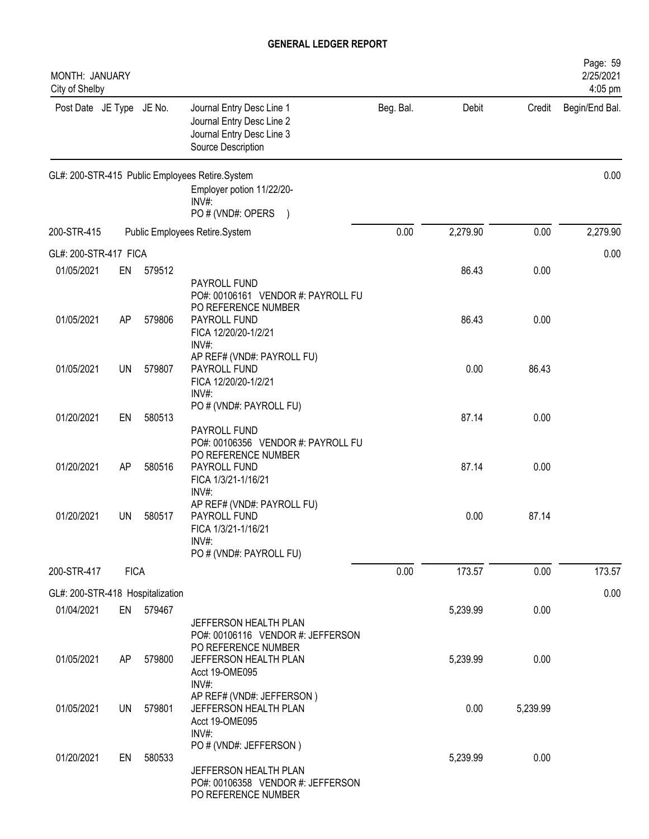| MONTH: JANUARY<br>City of Shelby |             |           |                                                                                                               |           |          |          | Page: 59<br>2/25/2021<br>4:05 pm |
|----------------------------------|-------------|-----------|---------------------------------------------------------------------------------------------------------------|-----------|----------|----------|----------------------------------|
| Post Date JE Type JE No.         |             |           | Journal Entry Desc Line 1<br>Journal Entry Desc Line 2<br>Journal Entry Desc Line 3<br>Source Description     | Beg. Bal. | Debit    | Credit   | Begin/End Bal.                   |
|                                  |             |           | GL#: 200-STR-415 Public Employees Retire.System<br>Employer potion 11/22/20-<br>INV#:<br>PO # (VND#: OPERS    |           |          |          | 0.00                             |
| 200-STR-415                      |             |           | Public Employees Retire.System                                                                                | 0.00      | 2,279.90 | 0.00     | 2,279.90                         |
| GL#: 200-STR-417 FICA            |             |           |                                                                                                               |           |          |          | 0.00                             |
| 01/05/2021                       | EN          | 579512    | PAYROLL FUND                                                                                                  |           | 86.43    | 0.00     |                                  |
| 01/05/2021                       | AP          | 579806    | PO#: 00106161 VENDOR #: PAYROLL FU<br>PO REFERENCE NUMBER<br>PAYROLL FUND<br>FICA 12/20/20-1/2/21<br>$INV#$ : |           | 86.43    | 0.00     |                                  |
| 01/05/2021                       | <b>UN</b>   | 579807    | AP REF# (VND#: PAYROLL FU)<br>PAYROLL FUND<br>FICA 12/20/20-1/2/21<br>INV#:                                   |           | 0.00     | 86.43    |                                  |
| 01/20/2021                       | EN          | 580513    | PO # (VND#: PAYROLL FU)<br>PAYROLL FUND                                                                       |           | 87.14    | 0.00     |                                  |
| 01/20/2021                       | AP          | 580516    | PO#: 00106356 VENDOR #: PAYROLL FU<br>PO REFERENCE NUMBER<br>PAYROLL FUND<br>FICA 1/3/21-1/16/21<br>$INV#$ :  |           | 87.14    | 0.00     |                                  |
| 01/20/2021                       | <b>UN</b>   | 580517    | AP REF# (VND#: PAYROLL FU)<br>PAYROLL FUND<br>FICA 1/3/21-1/16/21<br>INV#:                                    |           | 0.00     | 87.14    |                                  |
|                                  |             |           | PO # (VND#: PAYROLL FU)                                                                                       |           |          |          |                                  |
| 200-STR-417                      | <b>FICA</b> |           |                                                                                                               | 0.00      | 173.57   | 0.00     | 173.57                           |
| GL#: 200-STR-418 Hospitalization |             |           |                                                                                                               |           |          |          | 0.00                             |
| 01/04/2021                       |             | EN 579467 | JEFFERSON HEALTH PLAN<br>PO#: 00106116 VENDOR #: JEFFERSON<br>PO REFERENCE NUMBER                             |           | 5,239.99 | 0.00     |                                  |
| 01/05/2021                       | AP          | 579800    | JEFFERSON HEALTH PLAN<br>Acct 19-OME095<br>INV#:                                                              |           | 5,239.99 | 0.00     |                                  |
| 01/05/2021                       | UN          | 579801    | AP REF# (VND#: JEFFERSON)<br>JEFFERSON HEALTH PLAN<br>Acct 19-OME095<br>$INV#$ :                              |           | 0.00     | 5,239.99 |                                  |
| 01/20/2021                       | EN          | 580533    | PO # (VND#: JEFFERSON)<br>JEFFERSON HEALTH PLAN<br>PO#: 00106358 VENDOR #: JEFFERSON<br>PO REFERENCE NUMBER   |           | 5,239.99 | 0.00     |                                  |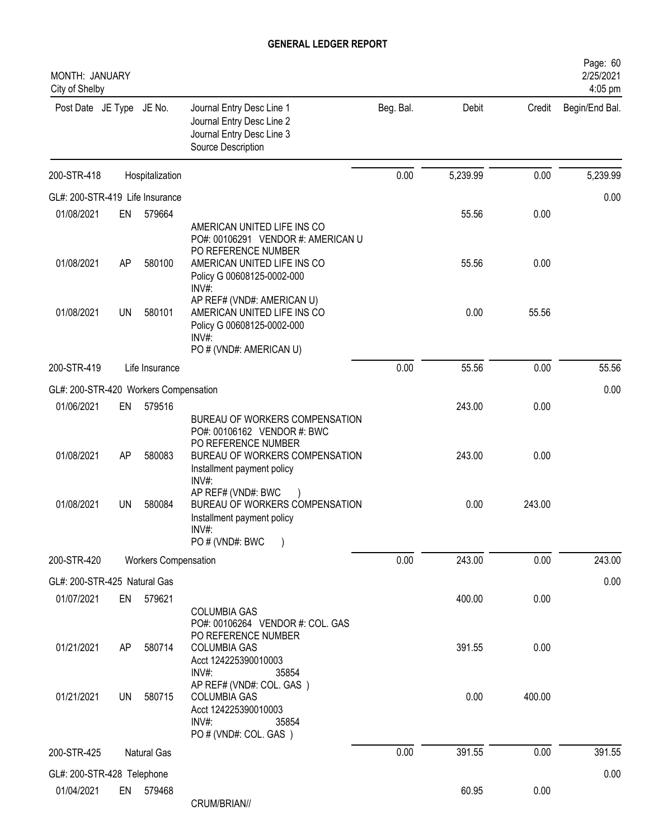| MONTH: JANUARY<br>City of Shelby      |           |                             |                                                                                                                                                                |           |          |        | Page: 60<br>2/25/2021<br>4:05 pm |
|---------------------------------------|-----------|-----------------------------|----------------------------------------------------------------------------------------------------------------------------------------------------------------|-----------|----------|--------|----------------------------------|
| Post Date JE Type JE No.              |           |                             | Journal Entry Desc Line 1<br>Journal Entry Desc Line 2<br>Journal Entry Desc Line 3<br>Source Description                                                      | Beg. Bal. | Debit    | Credit | Begin/End Bal.                   |
| 200-STR-418                           |           | Hospitalization             |                                                                                                                                                                | 0.00      | 5,239.99 | 0.00   | 5,239.99                         |
| GL#: 200-STR-419 Life Insurance       |           |                             |                                                                                                                                                                |           |          |        | 0.00                             |
| 01/08/2021                            | EN        | 579664                      |                                                                                                                                                                |           | 55.56    | 0.00   |                                  |
| 01/08/2021                            | AP        | 580100                      | AMERICAN UNITED LIFE INS CO<br>PO#: 00106291 VENDOR #: AMERICAN U<br>PO REFERENCE NUMBER<br>AMERICAN UNITED LIFE INS CO<br>Policy G 00608125-0002-000<br>INV#: |           | 55.56    | 0.00   |                                  |
| 01/08/2021                            | <b>UN</b> | 580101                      | AP REF# (VND#: AMERICAN U)<br>AMERICAN UNITED LIFE INS CO<br>Policy G 00608125-0002-000<br>INV#:<br>PO # (VND#: AMERICAN U)                                    |           | 0.00     | 55.56  |                                  |
| 200-STR-419                           |           | Life Insurance              |                                                                                                                                                                | 0.00      | 55.56    | 0.00   | 55.56                            |
| GL#: 200-STR-420 Workers Compensation |           |                             |                                                                                                                                                                |           |          |        | 0.00                             |
| 01/06/2021                            | EN        | 579516                      |                                                                                                                                                                |           | 243.00   | 0.00   |                                  |
| 01/08/2021                            | AP        | 580083                      | BUREAU OF WORKERS COMPENSATION<br>PO#: 00106162 VENDOR #: BWC<br>PO REFERENCE NUMBER<br>BUREAU OF WORKERS COMPENSATION<br>Installment payment policy           |           | 243.00   | 0.00   |                                  |
| 01/08/2021                            | UN        | 580084                      | INV#:<br>AP REF# (VND#: BWC<br>BUREAU OF WORKERS COMPENSATION<br>Installment payment policy<br>INV#:<br>PO # (VND#: BWC                                        |           | 0.00     | 243.00 |                                  |
| 200-STR-420                           |           | <b>Workers Compensation</b> |                                                                                                                                                                | 0.00      | 243.00   | 0.00   | 243.00                           |
| GL#: 200-STR-425 Natural Gas          |           |                             |                                                                                                                                                                |           |          |        | 0.00                             |
| 01/07/2021                            | EN        | 579621                      | <b>COLUMBIA GAS</b><br>PO#: 00106264 VENDOR #: COL. GAS                                                                                                        |           | 400.00   | 0.00   |                                  |
| 01/21/2021                            | AP        | 580714                      | PO REFERENCE NUMBER<br><b>COLUMBIA GAS</b><br>Acct 124225390010003<br>INV#:<br>35854                                                                           |           | 391.55   | 0.00   |                                  |
| 01/21/2021                            | UN        | 580715                      | AP REF# (VND#: COL. GAS)<br><b>COLUMBIA GAS</b><br>Acct 124225390010003<br>$INV#$ :<br>35854<br>PO # (VND#: COL. GAS)                                          |           | 0.00     | 400.00 |                                  |
| 200-STR-425                           |           | Natural Gas                 |                                                                                                                                                                | 0.00      | 391.55   | 0.00   | 391.55                           |
| GL#: 200-STR-428 Telephone            |           |                             |                                                                                                                                                                |           |          |        | 0.00                             |
| 01/04/2021                            |           | EN 579468                   | CRUM/BRIAN//                                                                                                                                                   |           | 60.95    | 0.00   |                                  |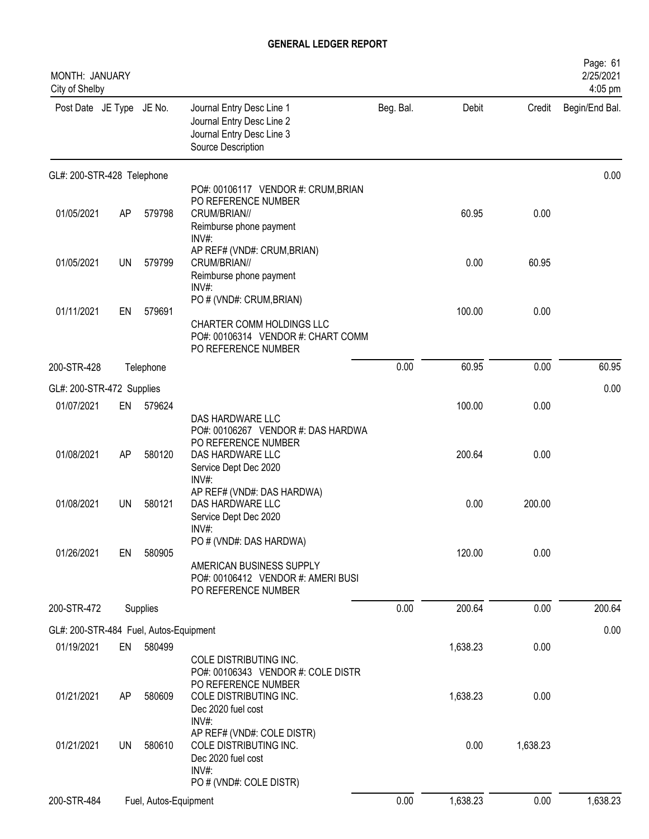| MONTH: JANUARY<br>City of Shelby       |           |                       |                                                                                                                    |           |          |          | Page: 61<br>2/25/2021<br>4:05 pm |
|----------------------------------------|-----------|-----------------------|--------------------------------------------------------------------------------------------------------------------|-----------|----------|----------|----------------------------------|
| Post Date JE Type JE No.               |           |                       | Journal Entry Desc Line 1<br>Journal Entry Desc Line 2<br>Journal Entry Desc Line 3<br>Source Description          | Beg. Bal. | Debit    | Credit   | Begin/End Bal.                   |
| GL#: 200-STR-428 Telephone             |           |                       |                                                                                                                    |           |          |          | 0.00                             |
| 01/05/2021                             | AP        | 579798                | PO#: 00106117 VENDOR #: CRUM, BRIAN<br>PO REFERENCE NUMBER<br>CRUM/BRIAN//<br>Reimburse phone payment<br>INV#:     |           | 60.95    | 0.00     |                                  |
| 01/05/2021                             | UN        | 579799                | AP REF# (VND#: CRUM, BRIAN)<br>CRUM/BRIAN//<br>Reimburse phone payment<br>INV#:                                    |           | 0.00     | 60.95    |                                  |
| 01/11/2021                             | EN        | 579691                | PO # (VND#: CRUM, BRIAN)<br>CHARTER COMM HOLDINGS LLC<br>PO#: 00106314 VENDOR #: CHART COMM<br>PO REFERENCE NUMBER |           | 100.00   | 0.00     |                                  |
| 200-STR-428                            |           | Telephone             |                                                                                                                    | 0.00      | 60.95    | 0.00     | 60.95                            |
| GL#: 200-STR-472 Supplies              |           |                       |                                                                                                                    |           |          |          | 0.00                             |
| 01/07/2021                             | EN        | 579624                | DAS HARDWARE LLC                                                                                                   |           | 100.00   | 0.00     |                                  |
| 01/08/2021                             | AP        | 580120                | PO#: 00106267 VENDOR #: DAS HARDWA<br>PO REFERENCE NUMBER<br>DAS HARDWARE LLC<br>Service Dept Dec 2020<br>INV#:    |           | 200.64   | 0.00     |                                  |
| 01/08/2021                             | UN        | 580121                | AP REF# (VND#: DAS HARDWA)<br>DAS HARDWARE LLC<br>Service Dept Dec 2020<br>INV#:                                   |           | 0.00     | 200.00   |                                  |
| 01/26/2021                             | EN        | 580905                | PO # (VND#: DAS HARDWA)<br>AMERICAN BUSINESS SUPPLY<br>PO#: 00106412 VENDOR #: AMERI BUSI<br>PO REFERENCE NUMBER   |           | 120.00   | 0.00     |                                  |
| 200-STR-472                            |           | Supplies              |                                                                                                                    | 0.00      | 200.64   | 0.00     | 200.64                           |
| GL#: 200-STR-484 Fuel, Autos-Equipment |           |                       |                                                                                                                    |           |          |          | 0.00                             |
| 01/19/2021                             | EN        | 580499                | COLE DISTRIBUTING INC.<br>PO#: 00106343 VENDOR #: COLE DISTR                                                       |           | 1,638.23 | 0.00     |                                  |
| 01/21/2021                             | AP        | 580609                | PO REFERENCE NUMBER<br>COLE DISTRIBUTING INC.<br>Dec 2020 fuel cost<br>INV#:                                       |           | 1,638.23 | 0.00     |                                  |
| 01/21/2021                             | <b>UN</b> | 580610                | AP REF# (VND#: COLE DISTR)<br>COLE DISTRIBUTING INC.<br>Dec 2020 fuel cost<br>$INV#$ :                             |           | 0.00     | 1,638.23 |                                  |
|                                        |           |                       | PO # (VND#: COLE DISTR)                                                                                            |           |          |          |                                  |
| 200-STR-484                            |           | Fuel, Autos-Equipment |                                                                                                                    | 0.00      | 1,638.23 | 0.00     | 1,638.23                         |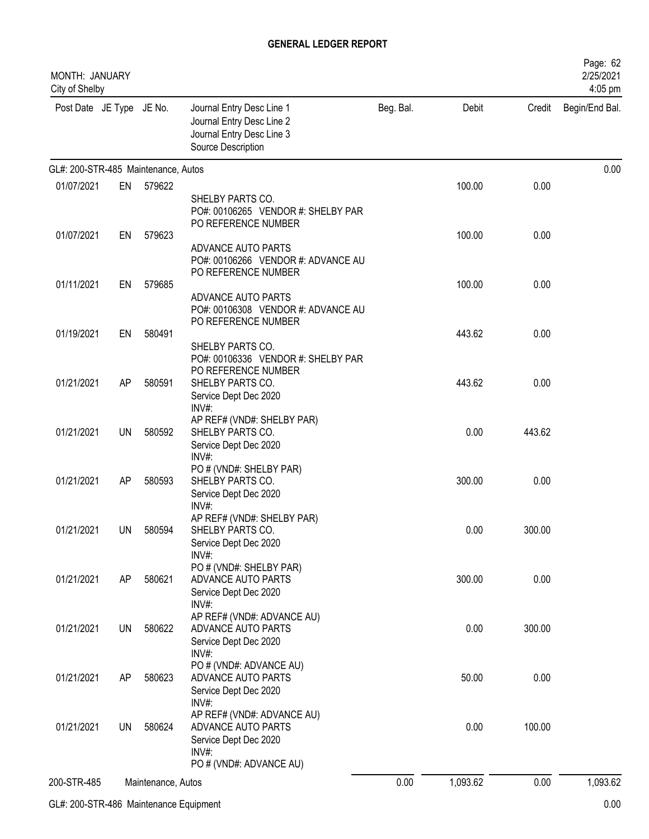| MONTH: JANUARY<br>City of Shelby    |           |                    |                                                                                                               |           |          |        | Page: 62<br>2/25/2021<br>4:05 pm |
|-------------------------------------|-----------|--------------------|---------------------------------------------------------------------------------------------------------------|-----------|----------|--------|----------------------------------|
| Post Date JE Type JE No.            |           |                    | Journal Entry Desc Line 1<br>Journal Entry Desc Line 2<br>Journal Entry Desc Line 3<br>Source Description     | Beg. Bal. | Debit    | Credit | Begin/End Bal.                   |
| GL#: 200-STR-485 Maintenance, Autos |           |                    |                                                                                                               |           |          |        | 0.00                             |
| 01/07/2021                          | EN        | 579622             | SHELBY PARTS CO.<br>PO#: 00106265 VENDOR #: SHELBY PAR<br>PO REFERENCE NUMBER                                 |           | 100.00   | 0.00   |                                  |
| 01/07/2021                          | EN        | 579623             | ADVANCE AUTO PARTS<br>PO#: 00106266 VENDOR #: ADVANCE AU<br>PO REFERENCE NUMBER                               |           | 100.00   | 0.00   |                                  |
| 01/11/2021                          | EN        | 579685             | ADVANCE AUTO PARTS<br>PO#: 00106308 VENDOR #: ADVANCE AU<br>PO REFERENCE NUMBER                               |           | 100.00   | 0.00   |                                  |
| 01/19/2021                          | EN        | 580491             | SHELBY PARTS CO.<br>PO#: 00106336 VENDOR #: SHELBY PAR                                                        |           | 443.62   | 0.00   |                                  |
| 01/21/2021                          | AP        | 580591             | PO REFERENCE NUMBER<br>SHELBY PARTS CO.<br>Service Dept Dec 2020<br>$INV#$ :                                  |           | 443.62   | 0.00   |                                  |
| 01/21/2021                          | <b>UN</b> | 580592             | AP REF# (VND#: SHELBY PAR)<br>SHELBY PARTS CO.<br>Service Dept Dec 2020<br>$INV#$ :                           |           | 0.00     | 443.62 |                                  |
| 01/21/2021                          | AP        | 580593             | PO # (VND#: SHELBY PAR)<br>SHELBY PARTS CO.<br>Service Dept Dec 2020<br>$INV#$ :                              |           | 300.00   | 0.00   |                                  |
| 01/21/2021                          | UN        | 580594             | AP REF# (VND#: SHELBY PAR)<br>SHELBY PARTS CO.<br>Service Dept Dec 2020<br>INV#:                              |           | 0.00     | 300.00 |                                  |
| 01/21/2021                          | AP        | 580621             | PO # (VND#: SHELBY PAR)<br>ADVANCE AUTO PARTS<br>Service Dept Dec 2020<br>INV#:                               |           | 300.00   | 0.00   |                                  |
| 01/21/2021                          | UN        | 580622             | AP REF# (VND#: ADVANCE AU)<br>ADVANCE AUTO PARTS<br>Service Dept Dec 2020<br>INV#:                            |           | 0.00     | 300.00 |                                  |
| 01/21/2021                          | AP        | 580623             | PO # (VND#: ADVANCE AU)<br>ADVANCE AUTO PARTS<br>Service Dept Dec 2020<br>INV#:                               |           | 50.00    | 0.00   |                                  |
| 01/21/2021                          | UN        | 580624             | AP REF# (VND#: ADVANCE AU)<br>ADVANCE AUTO PARTS<br>Service Dept Dec 2020<br>INV#:<br>PO # (VND#: ADVANCE AU) |           | 0.00     | 100.00 |                                  |
| 200-STR-485                         |           | Maintenance, Autos |                                                                                                               | 0.00      | 1,093.62 | 0.00   | 1,093.62                         |
|                                     |           |                    |                                                                                                               |           |          |        |                                  |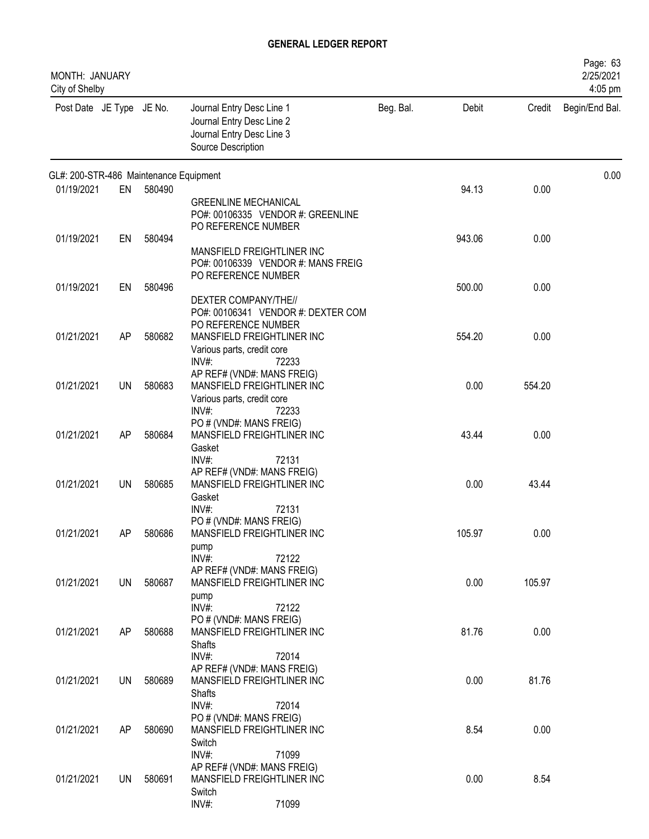| MONTH: JANUARY<br>City of Shelby       |           |        |                                                                                                                 |           |        |        | Page: 63<br>2/25/2021<br>4:05 pm |
|----------------------------------------|-----------|--------|-----------------------------------------------------------------------------------------------------------------|-----------|--------|--------|----------------------------------|
| Post Date JE Type JE No.               |           |        | Journal Entry Desc Line 1<br>Journal Entry Desc Line 2<br>Journal Entry Desc Line 3<br>Source Description       | Beg. Bal. | Debit  | Credit | Begin/End Bal.                   |
| GL#: 200-STR-486 Maintenance Equipment |           |        |                                                                                                                 |           |        |        | 0.00                             |
| 01/19/2021                             | EN        | 580490 | <b>GREENLINE MECHANICAL</b><br>PO#: 00106335 VENDOR #: GREENLINE<br>PO REFERENCE NUMBER                         |           | 94.13  | 0.00   |                                  |
| 01/19/2021                             | EN        | 580494 | MANSFIELD FREIGHTLINER INC<br>PO#: 00106339 VENDOR #: MANS FREIG<br>PO REFERENCE NUMBER                         |           | 943.06 | 0.00   |                                  |
| 01/19/2021                             | EN        | 580496 | DEXTER COMPANY/THE//<br>PO#: 00106341 VENDOR #: DEXTER COM<br>PO REFERENCE NUMBER                               |           | 500.00 | 0.00   |                                  |
| 01/21/2021                             | AP        | 580682 | MANSFIELD FREIGHTLINER INC<br>Various parts, credit core<br>$INV#$ :<br>72233<br>AP REF# (VND#: MANS FREIG)     |           | 554.20 | 0.00   |                                  |
| 01/21/2021                             | UN        | 580683 | MANSFIELD FREIGHTLINER INC<br>Various parts, credit core<br>$INV#$ :<br>72233<br>PO # (VND#: MANS FREIG)        |           | 0.00   | 554.20 |                                  |
| 01/21/2021                             | AP        | 580684 | MANSFIELD FREIGHTLINER INC<br>Gasket<br>INV#:<br>72131<br>AP REF# (VND#: MANS FREIG)                            |           | 43.44  | 0.00   |                                  |
| 01/21/2021                             | <b>UN</b> | 580685 | MANSFIELD FREIGHTLINER INC<br>Gasket<br>$INV#$ :<br>72131                                                       |           | 0.00   | 43.44  |                                  |
| 01/21/2021                             | AP        | 580686 | PO # (VND#: MANS FREIG)<br>MANSFIELD FREIGHTLINER INC<br>pump<br>INV#:<br>72122                                 |           | 105.97 | 0.00   |                                  |
| 01/21/2021                             | UN        | 580687 | AP REF# (VND#: MANS FREIG)<br>MANSFIELD FREIGHTLINER INC<br>pump<br>$INV#$ :<br>72122                           |           | 0.00   | 105.97 |                                  |
| 01/21/2021                             | AP        | 580688 | PO # (VND#: MANS FREIG)<br>MANSFIELD FREIGHTLINER INC<br>Shafts<br>INV#:<br>72014<br>AP REF# (VND#: MANS FREIG) |           | 81.76  | 0.00   |                                  |
| 01/21/2021                             | UN        | 580689 | MANSFIELD FREIGHTLINER INC<br>Shafts<br>INV#:<br>72014                                                          |           | 0.00   | 81.76  |                                  |
| 01/21/2021                             | AP        | 580690 | PO # (VND#: MANS FREIG)<br>MANSFIELD FREIGHTLINER INC<br>Switch<br>INV#:<br>71099                               |           | 8.54   | 0.00   |                                  |
| 01/21/2021                             | <b>UN</b> | 580691 | AP REF# (VND#: MANS FREIG)<br>MANSFIELD FREIGHTLINER INC<br>Switch<br>INV#:<br>71099                            |           | 0.00   | 8.54   |                                  |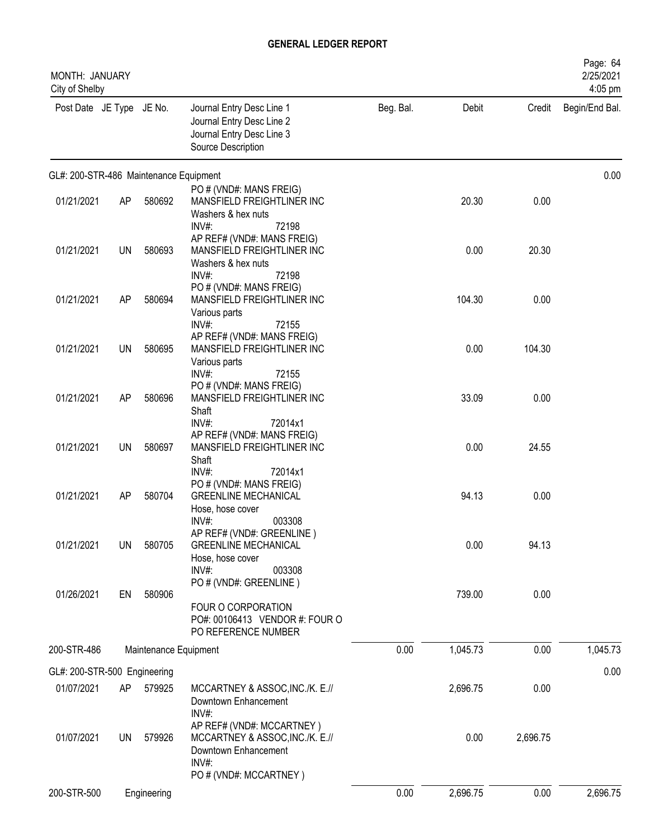| MONTH: JANUARY<br>City of Shelby       |           |                       |                                                                                                                       |           |          |          | Page: 64<br>2/25/2021<br>4:05 pm |
|----------------------------------------|-----------|-----------------------|-----------------------------------------------------------------------------------------------------------------------|-----------|----------|----------|----------------------------------|
| Post Date JE Type JE No.               |           |                       | Journal Entry Desc Line 1<br>Journal Entry Desc Line 2<br>Journal Entry Desc Line 3<br>Source Description             | Beg. Bal. | Debit    | Credit   | Begin/End Bal.                   |
| GL#: 200-STR-486 Maintenance Equipment |           |                       |                                                                                                                       |           |          |          | 0.00                             |
| 01/21/2021                             | AP        | 580692                | PO # (VND#: MANS FREIG)<br>MANSFIELD FREIGHTLINER INC                                                                 |           | 20.30    | 0.00     |                                  |
|                                        |           |                       | Washers & hex nuts<br>$INV#$ :<br>72198                                                                               |           |          |          |                                  |
| 01/21/2021                             | <b>UN</b> | 580693                | AP REF# (VND#: MANS FREIG)<br>MANSFIELD FREIGHTLINER INC<br>Washers & hex nuts<br>$INV#$ :<br>72198                   |           | 0.00     | 20.30    |                                  |
| 01/21/2021                             | AP        | 580694                | PO # (VND#: MANS FREIG)<br>MANSFIELD FREIGHTLINER INC<br>Various parts<br>INV#:<br>72155                              |           | 104.30   | 0.00     |                                  |
| 01/21/2021                             | UN        | 580695                | AP REF# (VND#: MANS FREIG)<br>MANSFIELD FREIGHTLINER INC<br>Various parts                                             |           | 0.00     | 104.30   |                                  |
| 01/21/2021                             | AP        | 580696                | $INV#$ :<br>72155<br>PO # (VND#: MANS FREIG)<br>MANSFIELD FREIGHTLINER INC<br>Shaft                                   |           | 33.09    | 0.00     |                                  |
| 01/21/2021                             | UN        | 580697                | $INV#$ :<br>72014x1<br>AP REF# (VND#: MANS FREIG)<br>MANSFIELD FREIGHTLINER INC<br>Shaft                              |           | 0.00     | 24.55    |                                  |
| 01/21/2021                             | AP        | 580704                | INV#:<br>72014x1<br>PO # (VND#: MANS FREIG)<br><b>GREENLINE MECHANICAL</b><br>Hose, hose cover                        |           | 94.13    | 0.00     |                                  |
| 01/21/2021                             | <b>UN</b> | 580705                | INV#:<br>003308<br>AP REF# (VND#: GREENLINE)<br><b>GREENLINE MECHANICAL</b><br>Hose, hose cover<br>$INV#$ :<br>003308 |           | 0.00     | 94.13    |                                  |
| 01/26/2021                             | EN        | 580906                | PO # (VND#: GREENLINE)<br>FOUR O CORPORATION<br>PO#: 00106413 VENDOR #: FOUR O                                        |           | 739.00   | 0.00     |                                  |
| 200-STR-486                            |           | Maintenance Equipment | PO REFERENCE NUMBER                                                                                                   | 0.00      | 1,045.73 | 0.00     | 1,045.73                         |
| GL#: 200-STR-500 Engineering           |           |                       |                                                                                                                       |           |          |          | 0.00                             |
| 01/07/2021                             | AP        | 579925                | MCCARTNEY & ASSOC, INC./K. E.//<br>Downtown Enhancement                                                               |           | 2,696.75 | 0.00     |                                  |
| 01/07/2021                             | <b>UN</b> | 579926                | INV#:<br>AP REF# (VND#: MCCARTNEY)<br>MCCARTNEY & ASSOC, INC./K. E.//<br>Downtown Enhancement<br>INV#:                |           | 0.00     | 2,696.75 |                                  |
|                                        |           |                       | PO # (VND#: MCCARTNEY)                                                                                                |           |          |          |                                  |
| 200-STR-500                            |           | Engineering           |                                                                                                                       | 0.00      | 2,696.75 | 0.00     | 2,696.75                         |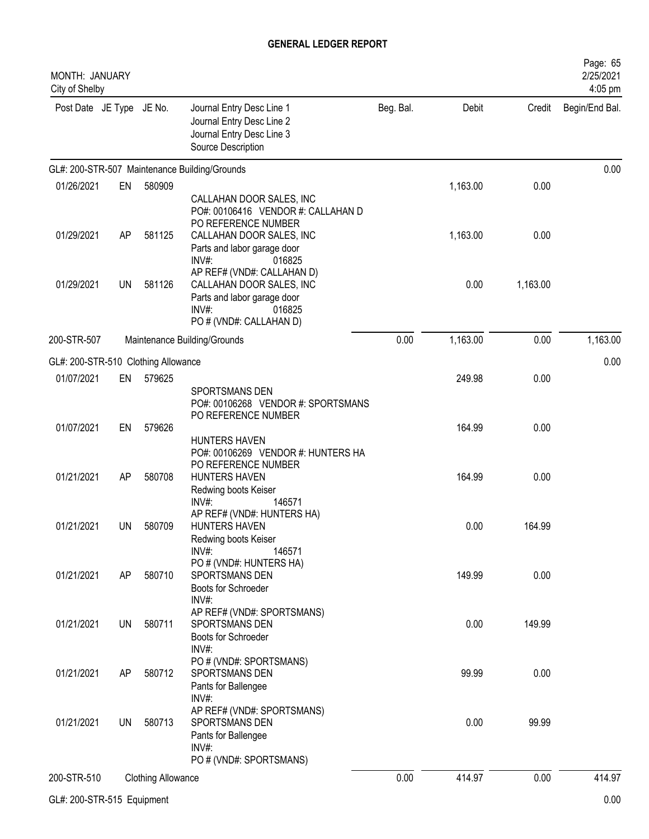| MONTH: JANUARY<br>City of Shelby    |           |                           |                                                                                                                                        |           |          |          | Page: 65<br>2/25/2021<br>4:05 pm |
|-------------------------------------|-----------|---------------------------|----------------------------------------------------------------------------------------------------------------------------------------|-----------|----------|----------|----------------------------------|
| Post Date JE Type JE No.            |           |                           | Journal Entry Desc Line 1<br>Journal Entry Desc Line 2<br>Journal Entry Desc Line 3<br>Source Description                              | Beg. Bal. | Debit    | Credit   | Begin/End Bal.                   |
|                                     |           |                           | GL#: 200-STR-507 Maintenance Building/Grounds                                                                                          |           |          |          | 0.00                             |
| 01/26/2021                          | EN        | 580909                    | CALLAHAN DOOR SALES, INC<br>PO#: 00106416 VENDOR #: CALLAHAN D                                                                         |           | 1,163.00 | 0.00     |                                  |
| 01/29/2021                          | AP        | 581125                    | PO REFERENCE NUMBER<br>CALLAHAN DOOR SALES, INC<br>Parts and labor garage door<br>$INV#$ :<br>016825                                   |           | 1,163.00 | 0.00     |                                  |
| 01/29/2021                          | UN        | 581126                    | AP REF# (VND#: CALLAHAN D)<br>CALLAHAN DOOR SALES, INC<br>Parts and labor garage door<br>$INV#$ :<br>016825<br>PO # (VND#: CALLAHAN D) |           | 0.00     | 1,163.00 |                                  |
| 200-STR-507                         |           |                           | Maintenance Building/Grounds                                                                                                           | 0.00      | 1,163.00 | 0.00     | 1,163.00                         |
| GL#: 200-STR-510 Clothing Allowance |           |                           |                                                                                                                                        |           |          |          | 0.00                             |
| 01/07/2021                          | EN        | 579625                    | SPORTSMANS DEN<br>PO#: 00106268 VENDOR #: SPORTSMANS                                                                                   |           | 249.98   | 0.00     |                                  |
| 01/07/2021                          | EN        | 579626                    | PO REFERENCE NUMBER<br><b>HUNTERS HAVEN</b>                                                                                            |           | 164.99   | 0.00     |                                  |
| 01/21/2021                          | AP        | 580708                    | PO#: 00106269 VENDOR #: HUNTERS HA<br>PO REFERENCE NUMBER<br><b>HUNTERS HAVEN</b><br>Redwing boots Keiser<br>$INV#$ :<br>146571        |           | 164.99   | 0.00     |                                  |
| 01/21/2021                          | UN        | 580709                    | AP REF# (VND#: HUNTERS HA)<br><b>HUNTERS HAVEN</b><br>Redwing boots Keiser<br>$INV#$ :<br>146571                                       |           | 0.00     | 164.99   |                                  |
| 01/21/2021                          | AP        | 580710                    | PO # (VND#: HUNTERS HA)<br>SPORTSMANS DEN<br>Boots for Schroeder<br>INV#                                                               |           | 149.99   | 0.00     |                                  |
| 01/21/2021                          | UN        | 580711                    | AP REF# (VND#: SPORTSMANS)<br>SPORTSMANS DEN<br>Boots for Schroeder<br>INV#:                                                           |           | 0.00     | 149.99   |                                  |
| 01/21/2021                          | AP        | 580712                    | PO # (VND#: SPORTSMANS)<br>SPORTSMANS DEN<br>Pants for Ballengee<br>INV#:                                                              |           | 99.99    | 0.00     |                                  |
| 01/21/2021                          | <b>UN</b> | 580713                    | AP REF# (VND#: SPORTSMANS)<br>SPORTSMANS DEN<br>Pants for Ballengee<br>$INV#$ :<br>PO # (VND#: SPORTSMANS)                             |           | 0.00     | 99.99    |                                  |
| 200-STR-510                         |           | <b>Clothing Allowance</b> |                                                                                                                                        | 0.00      | 414.97   | 0.00     | 414.97                           |
| GL#: 200-STR-515 Equipment          |           |                           |                                                                                                                                        |           |          |          | 0.00                             |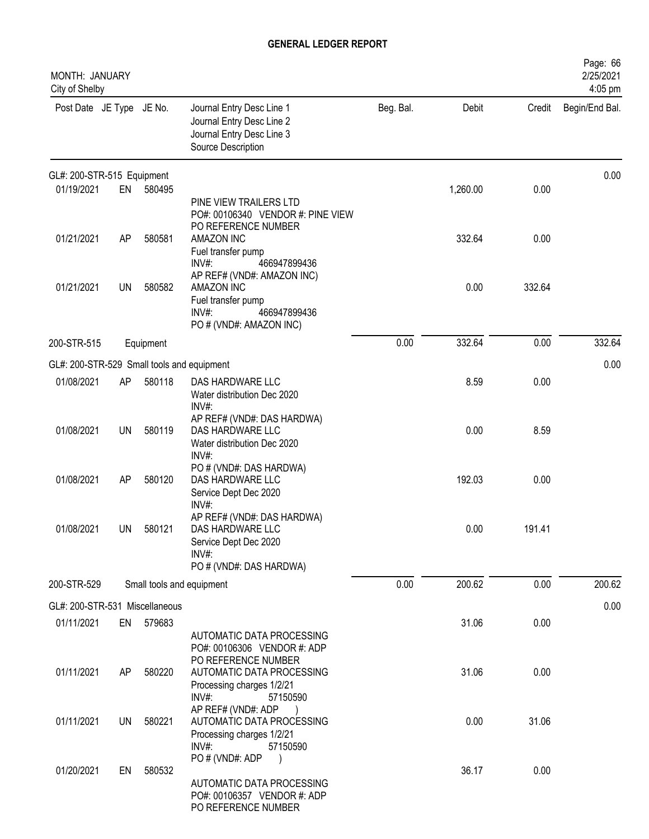| MONTH: JANUARY<br>City of Shelby           |           |           |                                                                                                                    |           |          |        | Page: 66<br>2/25/2021<br>4:05 pm |
|--------------------------------------------|-----------|-----------|--------------------------------------------------------------------------------------------------------------------|-----------|----------|--------|----------------------------------|
| Post Date JE Type JE No.                   |           |           | Journal Entry Desc Line 1<br>Journal Entry Desc Line 2<br>Journal Entry Desc Line 3<br>Source Description          | Beg. Bal. | Debit    | Credit | Begin/End Bal.                   |
| GL#: 200-STR-515 Equipment                 |           |           |                                                                                                                    |           |          |        | 0.00                             |
| 01/19/2021                                 | EN        | 580495    | PINE VIEW TRAILERS LTD<br>PO#: 00106340 VENDOR #: PINE VIEW<br>PO REFERENCE NUMBER                                 |           | 1,260.00 | 0.00   |                                  |
| 01/21/2021                                 | AP        | 580581    | AMAZON INC<br>Fuel transfer pump<br>INV#:<br>466947899436                                                          |           | 332.64   | 0.00   |                                  |
| 01/21/2021                                 | UN        | 580582    | AP REF# (VND#: AMAZON INC)<br>AMAZON INC<br>Fuel transfer pump<br>INV#:<br>466947899436<br>PO # (VND#: AMAZON INC) |           | 0.00     | 332.64 |                                  |
| 200-STR-515                                |           | Equipment |                                                                                                                    | 0.00      | 332.64   | 0.00   | 332.64                           |
| GL#: 200-STR-529 Small tools and equipment |           |           |                                                                                                                    |           |          |        | 0.00                             |
| 01/08/2021                                 | AP        | 580118    | DAS HARDWARE LLC<br>Water distribution Dec 2020<br>INV#:                                                           |           | 8.59     | 0.00   |                                  |
| 01/08/2021                                 | <b>UN</b> | 580119    | AP REF# (VND#: DAS HARDWA)<br>DAS HARDWARE LLC<br>Water distribution Dec 2020<br>INV#:                             |           | 0.00     | 8.59   |                                  |
| 01/08/2021                                 | AP        | 580120    | PO # (VND#: DAS HARDWA)<br>DAS HARDWARE LLC<br>Service Dept Dec 2020<br>INV#:                                      |           | 192.03   | 0.00   |                                  |
| 01/08/2021                                 | UN        | 580121    | AP REF# (VND#: DAS HARDWA)<br>DAS HARDWARE LLC<br>Service Dept Dec 2020<br>$INV#$ :<br>PO # (VND#: DAS HARDWA)     |           | 0.00     | 191.41 |                                  |
| 200-STR-529                                |           |           | Small tools and equipment                                                                                          | 0.00      | 200.62   | 0.00   | 200.62                           |
| GL#: 200-STR-531 Miscellaneous             |           |           |                                                                                                                    |           |          |        | 0.00                             |
| 01/11/2021                                 | EN        | 579683    | AUTOMATIC DATA PROCESSING<br>PO#: 00106306 VENDOR #: ADP                                                           |           | 31.06    | 0.00   |                                  |
| 01/11/2021                                 | AP        | 580220    | PO REFERENCE NUMBER<br>AUTOMATIC DATA PROCESSING<br>Processing charges 1/2/21<br>INV#:<br>57150590                 |           | 31.06    | 0.00   |                                  |
| 01/11/2021                                 | UN        | 580221    | AP REF# (VND#: ADP<br>AUTOMATIC DATA PROCESSING<br>Processing charges 1/2/21<br>$INV#$ :<br>57150590               |           | 0.00     | 31.06  |                                  |
| 01/20/2021                                 | EN        | 580532    | PO # (VND#: ADP<br>$\lambda$<br>AUTOMATIC DATA PROCESSING<br>PO#: 00106357 VENDOR #: ADP<br>PO REFERENCE NUMBER    |           | 36.17    | 0.00   |                                  |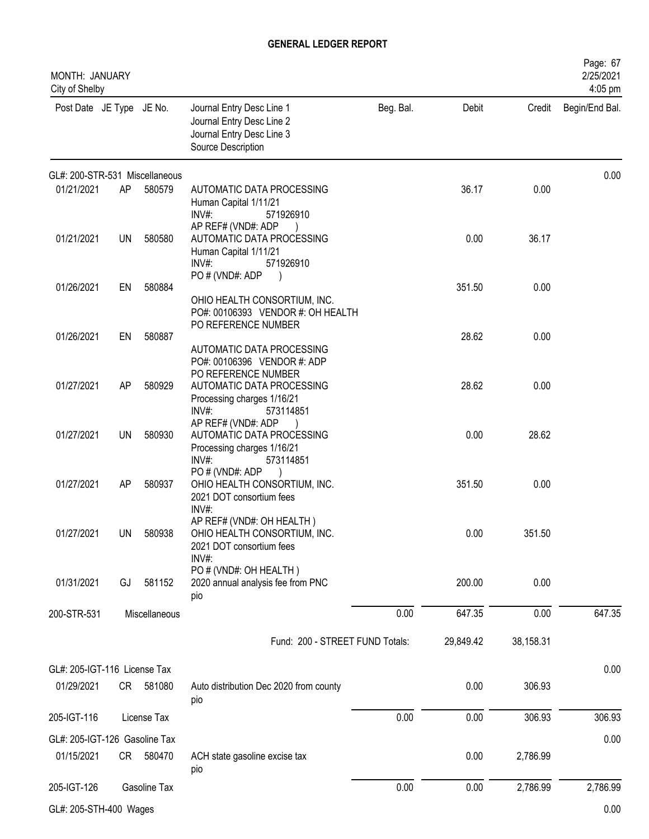| MONTH: JANUARY<br>City of Shelby |           |               |                                                                                                             |           |           |           | Page: 67<br>2/25/2021<br>4:05 pm |
|----------------------------------|-----------|---------------|-------------------------------------------------------------------------------------------------------------|-----------|-----------|-----------|----------------------------------|
| Post Date JE Type JE No.         |           |               | Journal Entry Desc Line 1<br>Journal Entry Desc Line 2<br>Journal Entry Desc Line 3<br>Source Description   | Beg. Bal. | Debit     | Credit    | Begin/End Bal.                   |
| GL#: 200-STR-531 Miscellaneous   |           |               |                                                                                                             |           |           |           | 0.00                             |
| 01/21/2021                       | AP        | 580579        | AUTOMATIC DATA PROCESSING<br>Human Capital 1/11/21<br>INV#<br>571926910                                     |           | 36.17     | 0.00      |                                  |
| 01/21/2021                       | <b>UN</b> | 580580        | AP REF# (VND#: ADP<br>AUTOMATIC DATA PROCESSING<br>Human Capital 1/11/21<br>$INV#$ :<br>571926910           |           | 0.00      | 36.17     |                                  |
| 01/26/2021                       | EN        | 580884        | PO # (VND#: ADP<br>OHIO HEALTH CONSORTIUM, INC.<br>PO#: 00106393 VENDOR #: OH HEALTH<br>PO REFERENCE NUMBER |           | 351.50    | 0.00      |                                  |
| 01/26/2021                       | EN        | 580887        | AUTOMATIC DATA PROCESSING<br>PO#: 00106396 VENDOR #: ADP                                                    |           | 28.62     | 0.00      |                                  |
| 01/27/2021                       | AP        | 580929        | PO REFERENCE NUMBER<br>AUTOMATIC DATA PROCESSING<br>Processing charges 1/16/21<br>INV#<br>573114851         |           | 28.62     | 0.00      |                                  |
| 01/27/2021                       | UN        | 580930        | AP REF# (VND#: ADP<br>AUTOMATIC DATA PROCESSING<br>Processing charges 1/16/21<br>INV#<br>573114851          |           | 0.00      | 28.62     |                                  |
| 01/27/2021                       | AP        | 580937        | PO # (VND#: ADP<br>OHIO HEALTH CONSORTIUM, INC.<br>2021 DOT consortium fees<br>INV#:                        |           | 351.50    | 0.00      |                                  |
| 01/27/2021                       | UN        | 580938        | AP REF# (VND#: OH HEALTH)<br>OHIO HEALTH CONSORTIUM, INC.<br>2021 DOT consortium fees<br>INV#:              |           | 0.00      | 351.50    |                                  |
| 01/31/2021                       | GJ        | 581152        | PO # (VND#: OH HEALTH)<br>2020 annual analysis fee from PNC<br>pio                                          |           | 200.00    | 0.00      |                                  |
| 200-STR-531                      |           | Miscellaneous |                                                                                                             | 0.00      | 647.35    | 0.00      | 647.35                           |
|                                  |           |               | Fund: 200 - STREET FUND Totals:                                                                             |           | 29,849.42 | 38,158.31 |                                  |
| GL#: 205-IGT-116 License Tax     |           |               |                                                                                                             |           |           |           | 0.00                             |
| 01/29/2021                       |           | CR 581080     | Auto distribution Dec 2020 from county<br>pio                                                               |           | 0.00      | 306.93    |                                  |
| 205-IGT-116                      |           | License Tax   |                                                                                                             | 0.00      | 0.00      | 306.93    | 306.93                           |
| GL#: 205-IGT-126 Gasoline Tax    |           |               |                                                                                                             |           |           |           | 0.00                             |
| 01/15/2021                       |           | CR 580470     | ACH state gasoline excise tax<br>pio                                                                        |           | 0.00      | 2,786.99  |                                  |
| 205-IGT-126                      |           | Gasoline Tax  |                                                                                                             | 0.00      | 0.00      | 2,786.99  | 2,786.99                         |
| GL#: 205-STH-400 Wages           |           |               |                                                                                                             |           |           |           | 0.00                             |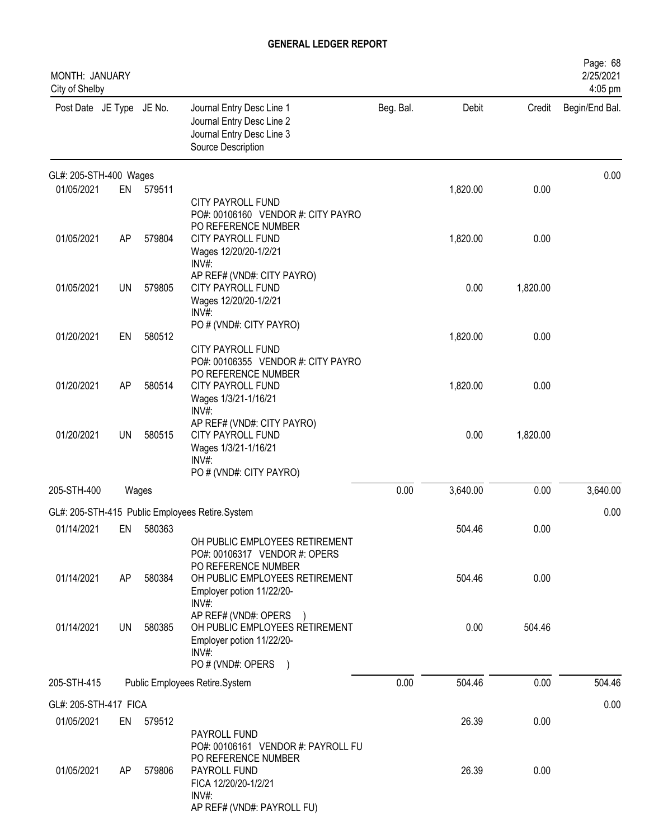| MONTH: JANUARY<br>City of Shelby |    |        |                                                                                                                                                       |           |          |          | Page: 68<br>2/25/2021<br>4:05 pm |
|----------------------------------|----|--------|-------------------------------------------------------------------------------------------------------------------------------------------------------|-----------|----------|----------|----------------------------------|
| Post Date JE Type JE No.         |    |        | Journal Entry Desc Line 1<br>Journal Entry Desc Line 2<br>Journal Entry Desc Line 3<br>Source Description                                             | Beg. Bal. | Debit    | Credit   | Begin/End Bal.                   |
| GL#: 205-STH-400 Wages           |    |        |                                                                                                                                                       |           |          |          | 0.00                             |
| 01/05/2021                       | EN | 579511 | <b>CITY PAYROLL FUND</b><br>PO#: 00106160 VENDOR #: CITY PAYRO<br>PO REFERENCE NUMBER                                                                 |           | 1,820.00 | 0.00     |                                  |
| 01/05/2021                       | AP | 579804 | CITY PAYROLL FUND<br>Wages 12/20/20-1/2/21<br>$INV#$ :                                                                                                |           | 1,820.00 | 0.00     |                                  |
| 01/05/2021                       | UN | 579805 | AP REF# (VND#: CITY PAYRO)<br>CITY PAYROLL FUND<br>Wages 12/20/20-1/2/21<br>$INV#$ :                                                                  |           | 0.00     | 1,820.00 |                                  |
| 01/20/2021                       | EN | 580512 | PO # (VND#: CITY PAYRO)<br>CITY PAYROLL FUND                                                                                                          |           | 1,820.00 | 0.00     |                                  |
| 01/20/2021                       | AP | 580514 | PO#: 00106355 VENDOR #: CITY PAYRO<br>PO REFERENCE NUMBER<br>CITY PAYROLL FUND<br>Wages 1/3/21-1/16/21<br>INV#:                                       |           | 1,820.00 | 0.00     |                                  |
| 01/20/2021                       | UN | 580515 | AP REF# (VND#: CITY PAYRO)<br><b>CITY PAYROLL FUND</b><br>Wages 1/3/21-1/16/21<br>$INV#$ :<br>PO # (VND#: CITY PAYRO)                                 |           | 0.00     | 1,820.00 |                                  |
| 205-STH-400                      |    | Wages  |                                                                                                                                                       | 0.00      | 3,640.00 | 0.00     | 3,640.00                         |
|                                  |    |        | GL#: 205-STH-415 Public Employees Retire.System                                                                                                       |           |          |          | 0.00                             |
| 01/14/2021                       | EN | 580363 |                                                                                                                                                       |           | 504.46   | 0.00     |                                  |
| 01/14/2021                       | AP | 580384 | OH PUBLIC EMPLOYEES RETIREMENT<br>PO#: 00106317 VENDOR #: OPERS<br>PO REFERENCE NUMBER<br>OH PUBLIC EMPLOYEES RETIREMENT<br>Employer potion 11/22/20- |           | 504.46   | 0.00     |                                  |
| 01/14/2021                       | UN | 580385 | $INV#$ :<br>AP REF# (VND#: OPERS<br>OH PUBLIC EMPLOYEES RETIREMENT<br>Employer potion 11/22/20-<br>$INV#$ :<br>PO # (VND#: OPERS<br>$\rightarrow$     |           | 0.00     | 504.46   |                                  |
| 205-STH-415                      |    |        | Public Employees Retire.System                                                                                                                        | 0.00      | 504.46   | 0.00     | 504.46                           |
| GL#: 205-STH-417 FICA            |    |        |                                                                                                                                                       |           |          |          | 0.00                             |
| 01/05/2021                       | EN | 579512 |                                                                                                                                                       |           | 26.39    | 0.00     |                                  |
| 01/05/2021                       | AP | 579806 | PAYROLL FUND<br>PO#: 00106161 VENDOR #: PAYROLL FU<br>PO REFERENCE NUMBER<br>PAYROLL FUND<br>FICA 12/20/20-1/2/21<br>INV#:                            |           | 26.39    | 0.00     |                                  |
|                                  |    |        | AP REF# (VND#: PAYROLL FU)                                                                                                                            |           |          |          |                                  |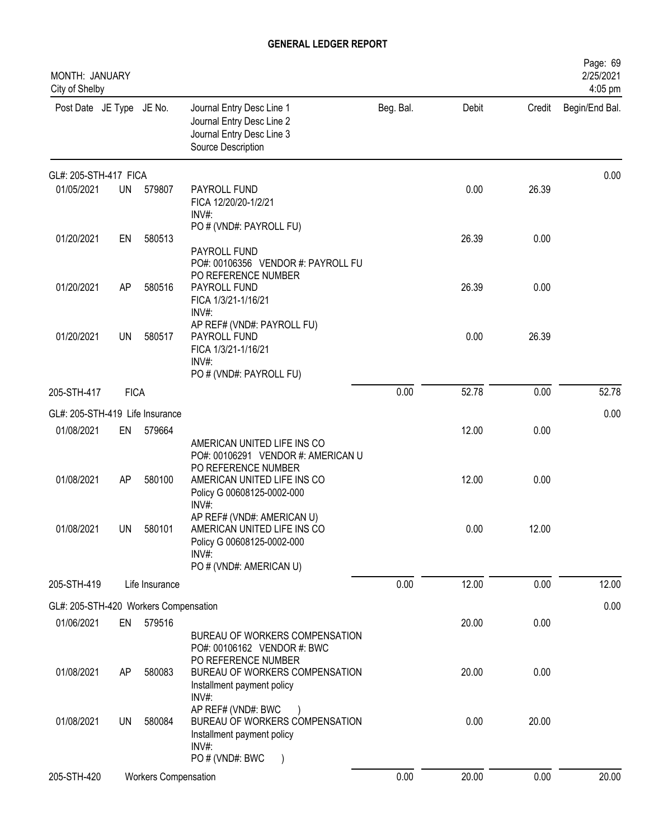| MONTH: JANUARY<br>City of Shelby      |             |                             |                                                                                                                             |           |       |        | Page: 69<br>2/25/2021<br>4:05 pm |
|---------------------------------------|-------------|-----------------------------|-----------------------------------------------------------------------------------------------------------------------------|-----------|-------|--------|----------------------------------|
| Post Date JE Type JE No.              |             |                             | Journal Entry Desc Line 1<br>Journal Entry Desc Line 2<br>Journal Entry Desc Line 3<br>Source Description                   | Beg. Bal. | Debit | Credit | Begin/End Bal.                   |
| GL#: 205-STH-417 FICA                 |             |                             |                                                                                                                             |           |       |        | 0.00                             |
| 01/05/2021                            | <b>UN</b>   | 579807                      | PAYROLL FUND<br>FICA 12/20/20-1/2/21<br>$INV#$ :                                                                            |           | 0.00  | 26.39  |                                  |
| 01/20/2021                            | EN          | 580513                      | PO # (VND#: PAYROLL FU)<br>PAYROLL FUND<br>PO#: 00106356 VENDOR #: PAYROLL FU                                               |           | 26.39 | 0.00   |                                  |
| 01/20/2021                            | AP          | 580516                      | PO REFERENCE NUMBER<br>PAYROLL FUND<br>FICA 1/3/21-1/16/21<br>INV#:                                                         |           | 26.39 | 0.00   |                                  |
| 01/20/2021                            | UN          | 580517                      | AP REF# (VND#: PAYROLL FU)<br>PAYROLL FUND<br>FICA 1/3/21-1/16/21<br>INV#                                                   |           | 0.00  | 26.39  |                                  |
|                                       |             |                             | PO # (VND#: PAYROLL FU)                                                                                                     |           |       |        |                                  |
| 205-STH-417                           | <b>FICA</b> |                             |                                                                                                                             | 0.00      | 52.78 | 0.00   | 52.78                            |
| GL#: 205-STH-419 Life Insurance       |             |                             |                                                                                                                             |           |       |        | 0.00                             |
| 01/08/2021                            | EN          | 579664                      | AMERICAN UNITED LIFE INS CO<br>PO#: 00106291 VENDOR #: AMERICAN U<br>PO REFERENCE NUMBER                                    |           | 12.00 | 0.00   |                                  |
| 01/08/2021                            | AP          | 580100                      | AMERICAN UNITED LIFE INS CO<br>Policy G 00608125-0002-000<br>INV#:                                                          |           | 12.00 | 0.00   |                                  |
| 01/08/2021                            | UN          | 580101                      | AP REF# (VND#: AMERICAN U)<br>AMERICAN UNITED LIFE INS CO<br>Policy G 00608125-0002-000<br>INV#:<br>PO # (VND#: AMERICAN U) |           | 0.00  | 12.00  |                                  |
| 205-STH-419                           |             | Life Insurance              |                                                                                                                             | 0.00      | 12.00 | 0.00   | 12.00                            |
| GL#: 205-STH-420 Workers Compensation |             |                             |                                                                                                                             |           |       |        | 0.00                             |
| 01/06/2021                            |             | EN 579516                   | BUREAU OF WORKERS COMPENSATION<br>PO#: 00106162 VENDOR #: BWC                                                               |           | 20.00 | 0.00   |                                  |
| 01/08/2021                            | AP          | 580083                      | PO REFERENCE NUMBER<br>BUREAU OF WORKERS COMPENSATION<br>Installment payment policy<br>INV#:                                |           | 20.00 | 0.00   |                                  |
| 01/08/2021                            | UN          | 580084                      | AP REF# (VND#: BWC<br>BUREAU OF WORKERS COMPENSATION<br>Installment payment policy<br>INV#:                                 |           | 0.00  | 20.00  |                                  |
| 205-STH-420                           |             | <b>Workers Compensation</b> | PO # (VND#: BWC                                                                                                             | 0.00      | 20.00 | 0.00   | 20.00                            |
|                                       |             |                             |                                                                                                                             |           |       |        |                                  |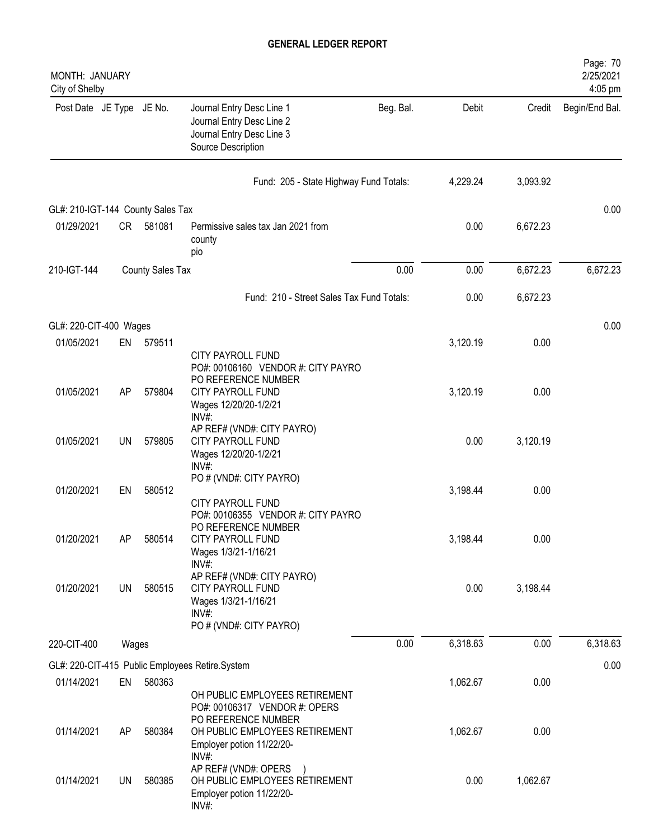| MONTH: JANUARY<br>City of Shelby  |           |                  |                                                                                                                              |           |          |          | Page: 70<br>2/25/2021<br>4:05 pm |
|-----------------------------------|-----------|------------------|------------------------------------------------------------------------------------------------------------------------------|-----------|----------|----------|----------------------------------|
| Post Date JE Type JE No.          |           |                  | Journal Entry Desc Line 1<br>Journal Entry Desc Line 2<br>Journal Entry Desc Line 3<br>Source Description                    | Beg. Bal. | Debit    | Credit   | Begin/End Bal.                   |
|                                   |           |                  | Fund: 205 - State Highway Fund Totals:                                                                                       |           | 4,229.24 | 3,093.92 |                                  |
| GL#: 210-IGT-144 County Sales Tax |           |                  |                                                                                                                              |           |          |          | 0.00                             |
| 01/29/2021                        | <b>CR</b> | 581081           | Permissive sales tax Jan 2021 from<br>county<br>pio                                                                          |           | 0.00     | 6,672.23 |                                  |
| 210-IGT-144                       |           | County Sales Tax |                                                                                                                              | 0.00      | 0.00     | 6,672.23 | 6,672.23                         |
|                                   |           |                  | Fund: 210 - Street Sales Tax Fund Totals:                                                                                    |           | 0.00     | 6,672.23 |                                  |
| GL#: 220-CIT-400 Wages            |           |                  |                                                                                                                              |           |          |          | 0.00                             |
| 01/05/2021                        | EN        | 579511           | CITY PAYROLL FUND<br>PO#: 00106160 VENDOR #: CITY PAYRO                                                                      |           | 3,120.19 | 0.00     |                                  |
| 01/05/2021                        | AP        | 579804           | PO REFERENCE NUMBER<br>CITY PAYROLL FUND<br>Wages 12/20/20-1/2/21<br>$INV#$ :                                                |           | 3,120.19 | 0.00     |                                  |
| 01/05/2021                        | <b>UN</b> | 579805           | AP REF# (VND#: CITY PAYRO)<br><b>CITY PAYROLL FUND</b><br>Wages 12/20/20-1/2/21<br>INV#:                                     |           | 0.00     | 3,120.19 |                                  |
| 01/20/2021                        | EN        | 580512           | PO # (VND#: CITY PAYRO)<br>CITY PAYROLL FUND                                                                                 |           | 3,198.44 | 0.00     |                                  |
| 01/20/2021                        | AP        | 580514           | PO#: 00106355 VENDOR #: CITY PAYRO<br>PO REFERENCE NUMBER<br>CITY PAYROLL FUND<br>Wages 1/3/21-1/16/21                       |           | 3,198.44 | 0.00     |                                  |
| 01/20/2021                        | UN        | 580515           | INV#:<br>AP REF# (VND#: CITY PAYRO)<br><b>CITY PAYROLL FUND</b><br>Wages 1/3/21-1/16/21<br>INV#<br>PO # (VND#: CITY PAYRO)   |           | 0.00     | 3,198.44 |                                  |
| 220-CIT-400                       | Wages     |                  |                                                                                                                              | 0.00      | 6,318.63 | 0.00     | 6,318.63                         |
|                                   |           |                  | GL#: 220-CIT-415 Public Employees Retire.System                                                                              |           |          |          | 0.00                             |
| 01/14/2021                        | EN        | 580363           | OH PUBLIC EMPLOYEES RETIREMENT                                                                                               |           | 1,062.67 | 0.00     |                                  |
| 01/14/2021                        | AP        | 580384           | PO#: 00106317 VENDOR #: OPERS<br>PO REFERENCE NUMBER<br>OH PUBLIC EMPLOYEES RETIREMENT<br>Employer potion 11/22/20-<br>INV#: |           | 1,062.67 | 0.00     |                                  |
| 01/14/2021                        | UN        | 580385           | AP REF# (VND#: OPERS<br>OH PUBLIC EMPLOYEES RETIREMENT<br>Employer potion 11/22/20-<br>$INV#$ :                              |           | 0.00     | 1,062.67 |                                  |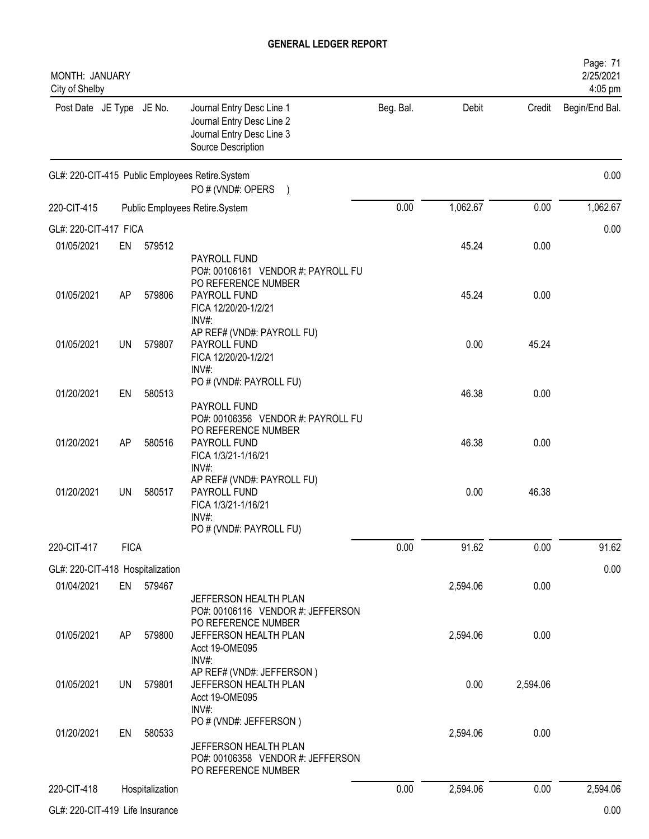| MONTH: JANUARY<br>City of Shelby |             |                 |                                                                                                                               |           |          |          | Page: 71<br>2/25/2021<br>4:05 pm |
|----------------------------------|-------------|-----------------|-------------------------------------------------------------------------------------------------------------------------------|-----------|----------|----------|----------------------------------|
| Post Date JE Type JE No.         |             |                 | Journal Entry Desc Line 1<br>Journal Entry Desc Line 2<br>Journal Entry Desc Line 3<br>Source Description                     | Beg. Bal. | Debit    | Credit   | Begin/End Bal.                   |
|                                  |             |                 | GL#: 220-CIT-415 Public Employees Retire.System<br>PO # (VND#: OPERS<br>$\left( \begin{array}{c} 1 \end{array} \right)$       |           |          |          | 0.00                             |
| 220-CIT-415                      |             |                 | Public Employees Retire.System                                                                                                | 0.00      | 1,062.67 | 0.00     | 1,062.67                         |
| GL#: 220-CIT-417 FICA            |             |                 |                                                                                                                               |           |          |          | 0.00                             |
| 01/05/2021                       | EN          | 579512          |                                                                                                                               |           | 45.24    | 0.00     |                                  |
| 01/05/2021                       | AP          | 579806          | PAYROLL FUND<br>PO#: 00106161 VENDOR #: PAYROLL FU<br>PO REFERENCE NUMBER<br>PAYROLL FUND<br>FICA 12/20/20-1/2/21<br>$INV#$ : |           | 45.24    | 0.00     |                                  |
| 01/05/2021                       | UN          | 579807          | AP REF# (VND#: PAYROLL FU)<br>PAYROLL FUND<br>FICA 12/20/20-1/2/21<br>INV#:                                                   |           | 0.00     | 45.24    |                                  |
| 01/20/2021                       | EN          | 580513          | PO # (VND#: PAYROLL FU)<br>PAYROLL FUND<br>PO#: 00106356 VENDOR #: PAYROLL FU                                                 |           | 46.38    | 0.00     |                                  |
| 01/20/2021                       | <b>AP</b>   | 580516          | PO REFERENCE NUMBER<br>PAYROLL FUND<br>FICA 1/3/21-1/16/21                                                                    |           | 46.38    | 0.00     |                                  |
| 01/20/2021                       | <b>UN</b>   | 580517          | INV#<br>AP REF# (VND#: PAYROLL FU)<br>PAYROLL FUND<br>FICA 1/3/21-1/16/21<br>INV#<br>PO # (VND#: PAYROLL FU)                  |           | 0.00     | 46.38    |                                  |
| 220-CIT-417                      | <b>FICA</b> |                 |                                                                                                                               | 0.00      | 91.62    | 0.00     | 91.62                            |
| GL#: 220-CIT-418 Hospitalization |             |                 |                                                                                                                               |           |          |          | 0.00                             |
| 01/04/2021                       | EN          | 579467          | JEFFERSON HEALTH PLAN<br>PO#: 00106116 VENDOR #: JEFFERSON                                                                    |           | 2,594.06 | 0.00     |                                  |
| 01/05/2021                       | AP          | 579800          | PO REFERENCE NUMBER<br>JEFFERSON HEALTH PLAN<br>Acct 19-OME095<br>INV#:                                                       |           | 2,594.06 | 0.00     |                                  |
| 01/05/2021                       | <b>UN</b>   | 579801          | AP REF# (VND#: JEFFERSON)<br>JEFFERSON HEALTH PLAN<br>Acct 19-OME095<br>$INV#$ :                                              |           | 0.00     | 2,594.06 |                                  |
| 01/20/2021                       | EN          | 580533          | PO # (VND#: JEFFERSON)<br>JEFFERSON HEALTH PLAN<br>PO#: 00106358 VENDOR #: JEFFERSON<br>PO REFERENCE NUMBER                   |           | 2,594.06 | 0.00     |                                  |
| 220-CIT-418                      |             | Hospitalization |                                                                                                                               | 0.00      | 2,594.06 | 0.00     | 2,594.06                         |
| GL#: 220-CIT-419 Life Insurance  |             |                 |                                                                                                                               |           |          |          | 0.00                             |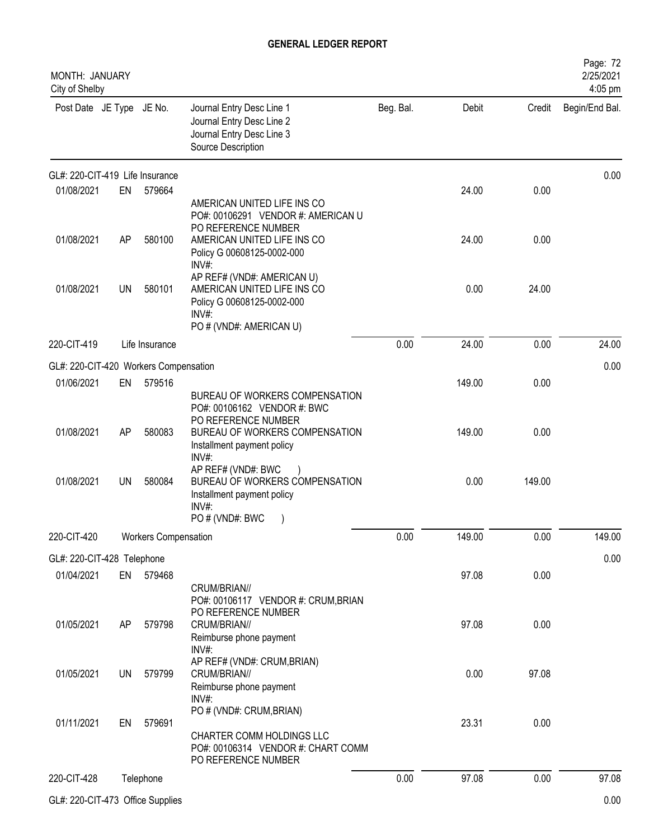| MONTH: JANUARY<br>City of Shelby      |           |                             |                                                                                                                            |           |        |        | Page: 72<br>2/25/2021<br>4:05 pm |
|---------------------------------------|-----------|-----------------------------|----------------------------------------------------------------------------------------------------------------------------|-----------|--------|--------|----------------------------------|
| Post Date JE Type JE No.              |           |                             | Journal Entry Desc Line 1<br>Journal Entry Desc Line 2<br>Journal Entry Desc Line 3<br>Source Description                  | Beg. Bal. | Debit  | Credit | Begin/End Bal.                   |
| GL#: 220-CIT-419 Life Insurance       |           |                             |                                                                                                                            |           |        |        | 0.00                             |
| 01/08/2021                            | EN        | 579664                      | AMERICAN UNITED LIFE INS CO<br>PO#: 00106291 VENDOR #: AMERICAN U<br>PO REFERENCE NUMBER                                   |           | 24.00  | 0.00   |                                  |
| 01/08/2021                            | AP        | 580100                      | AMERICAN UNITED LIFE INS CO<br>Policy G 00608125-0002-000<br>INV#:                                                         |           | 24.00  | 0.00   |                                  |
| 01/08/2021                            | <b>UN</b> | 580101                      | AP REF# (VND#: AMERICAN U)<br>AMERICAN UNITED LIFE INS CO<br>Policy G 00608125-0002-000<br>INV#<br>PO # (VND#: AMERICAN U) |           | 0.00   | 24.00  |                                  |
| 220-CIT-419                           |           | Life Insurance              |                                                                                                                            | 0.00      | 24.00  | 0.00   | 24.00                            |
| GL#: 220-CIT-420 Workers Compensation |           |                             |                                                                                                                            |           |        |        | 0.00                             |
| 01/06/2021                            | EN        | 579516                      | BUREAU OF WORKERS COMPENSATION<br>PO#: 00106162 VENDOR #: BWC                                                              |           | 149.00 | 0.00   |                                  |
| 01/08/2021                            | AP        | 580083                      | PO REFERENCE NUMBER<br>BUREAU OF WORKERS COMPENSATION<br>Installment payment policy<br>INV#:                               |           | 149.00 | 0.00   |                                  |
| 01/08/2021                            | <b>UN</b> | 580084                      | AP REF# (VND#: BWC<br>BUREAU OF WORKERS COMPENSATION<br>Installment payment policy<br>$INV#$ :<br>PO # (VND#: BWC          |           | 0.00   | 149.00 |                                  |
| 220-CIT-420                           |           | <b>Workers Compensation</b> |                                                                                                                            | 0.00      | 149.00 | 0.00   | 149.00                           |
| GL#: 220-CIT-428 Telephone            |           |                             |                                                                                                                            |           |        |        | 0.00                             |
| 01/04/2021                            | EN        | 579468                      | CRUM/BRIAN//<br>PO#: 00106117 VENDOR #: CRUM, BRIAN                                                                        |           | 97.08  | 0.00   |                                  |
| 01/05/2021                            | AP        | 579798                      | PO REFERENCE NUMBER<br>CRUM/BRIAN//<br>Reimburse phone payment<br>INV#:                                                    |           | 97.08  | 0.00   |                                  |
| 01/05/2021                            | UN        | 579799                      | AP REF# (VND#: CRUM, BRIAN)<br>CRUM/BRIAN//<br>Reimburse phone payment<br>$INV#$ :                                         |           | 0.00   | 97.08  |                                  |
| 01/11/2021                            | EN        | 579691                      | PO # (VND#: CRUM, BRIAN)<br>CHARTER COMM HOLDINGS LLC<br>PO#: 00106314 VENDOR #: CHART COMM<br>PO REFERENCE NUMBER         |           | 23.31  | 0.00   |                                  |
| 220-CIT-428                           |           | Telephone                   |                                                                                                                            | 0.00      | 97.08  | 0.00   | 97.08                            |
| GL#: 220-CIT-473 Office Supplies      |           |                             |                                                                                                                            |           |        |        | 0.00                             |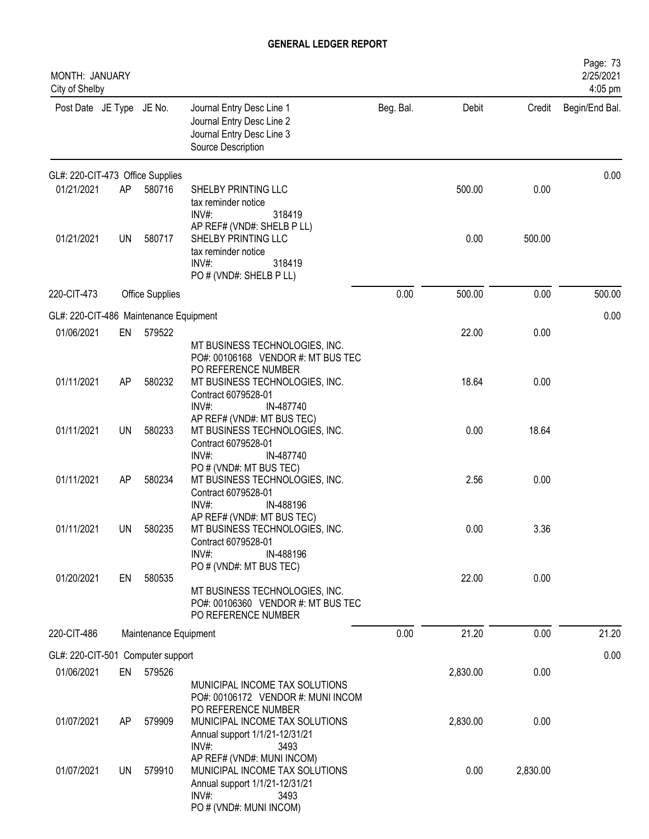| MONTH: JANUARY<br>City of Shelby       |           |                        |                                                                                                                                            |           |          |          | Page: 73<br>2/25/2021<br>4:05 pm |
|----------------------------------------|-----------|------------------------|--------------------------------------------------------------------------------------------------------------------------------------------|-----------|----------|----------|----------------------------------|
| Post Date JE Type JE No.               |           |                        | Journal Entry Desc Line 1<br>Journal Entry Desc Line 2<br>Journal Entry Desc Line 3<br>Source Description                                  | Beg. Bal. | Debit    | Credit   | Begin/End Bal.                   |
| GL#: 220-CIT-473 Office Supplies       |           |                        |                                                                                                                                            |           |          |          | 0.00                             |
| 01/21/2021                             | AP        | 580716                 | SHELBY PRINTING LLC<br>tax reminder notice<br>INV#:<br>318419                                                                              |           | 500.00   | 0.00     |                                  |
| 01/21/2021                             | UN        | 580717                 | AP REF# (VND#: SHELB P LL)<br>SHELBY PRINTING LLC<br>tax reminder notice<br>318419<br>$INV#$ :<br>PO # (VND#: SHELB P LL)                  |           | 0.00     | 500.00   |                                  |
| 220-CIT-473                            |           | <b>Office Supplies</b> |                                                                                                                                            | 0.00      | 500.00   | 0.00     | 500.00                           |
| GL#: 220-CIT-486 Maintenance Equipment |           |                        |                                                                                                                                            |           |          |          | 0.00                             |
| 01/06/2021                             | EN        | 579522                 | MT BUSINESS TECHNOLOGIES, INC.<br>PO#: 00106168 VENDOR #: MT BUS TEC                                                                       |           | 22.00    | 0.00     |                                  |
| 01/11/2021                             | AP        | 580232                 | PO REFERENCE NUMBER<br>MT BUSINESS TECHNOLOGIES, INC.<br>Contract 6079528-01<br>$INV#$ :<br>IN-487740                                      |           | 18.64    | 0.00     |                                  |
| 01/11/2021                             | <b>UN</b> | 580233                 | AP REF# (VND#: MT BUS TEC)<br>MT BUSINESS TECHNOLOGIES, INC.<br>Contract 6079528-01<br>$INV#$ :<br>IN-487740                               |           | 0.00     | 18.64    |                                  |
| 01/11/2021                             | AP        | 580234                 | PO # (VND#: MT BUS TEC)<br>MT BUSINESS TECHNOLOGIES, INC.<br>Contract 6079528-01<br>IN-488196<br>$INV#$ :                                  |           | 2.56     | 0.00     |                                  |
| 01/11/2021                             | UN        | 580235                 | AP REF# (VND#: MT BUS TEC)<br>MT BUSINESS TECHNOLOGIES, INC.<br>Contract 6079528-01<br>$INV#$ :<br>IN-488196                               |           | 0.00     | 3.36     |                                  |
| 01/20/2021                             | EN        | 580535                 | PO # (VND#: MT BUS TEC)<br>MT BUSINESS TECHNOLOGIES, INC.<br>PO#: 00106360 VENDOR #: MT BUS TEC<br>PO REFERENCE NUMBER                     |           | 22.00    | 0.00     |                                  |
| 220-CIT-486                            |           | Maintenance Equipment  |                                                                                                                                            | 0.00      | 21.20    | 0.00     | 21.20                            |
| GL#: 220-CIT-501 Computer support      |           |                        |                                                                                                                                            |           |          |          | 0.00                             |
| 01/06/2021                             | EN        | 579526                 | MUNICIPAL INCOME TAX SOLUTIONS<br>PO#: 00106172 VENDOR #: MUNI INCOM                                                                       |           | 2,830.00 | 0.00     |                                  |
| 01/07/2021                             | AP        | 579909                 | PO REFERENCE NUMBER<br>MUNICIPAL INCOME TAX SOLUTIONS<br>Annual support 1/1/21-12/31/21<br>$INV#$ :<br>3493                                |           | 2,830.00 | 0.00     |                                  |
| 01/07/2021                             | UN I      | 579910                 | AP REF# (VND#: MUNI INCOM)<br>MUNICIPAL INCOME TAX SOLUTIONS<br>Annual support 1/1/21-12/31/21<br>INV#:<br>3493<br>PO # (VND#: MUNI INCOM) |           | 0.00     | 2,830.00 |                                  |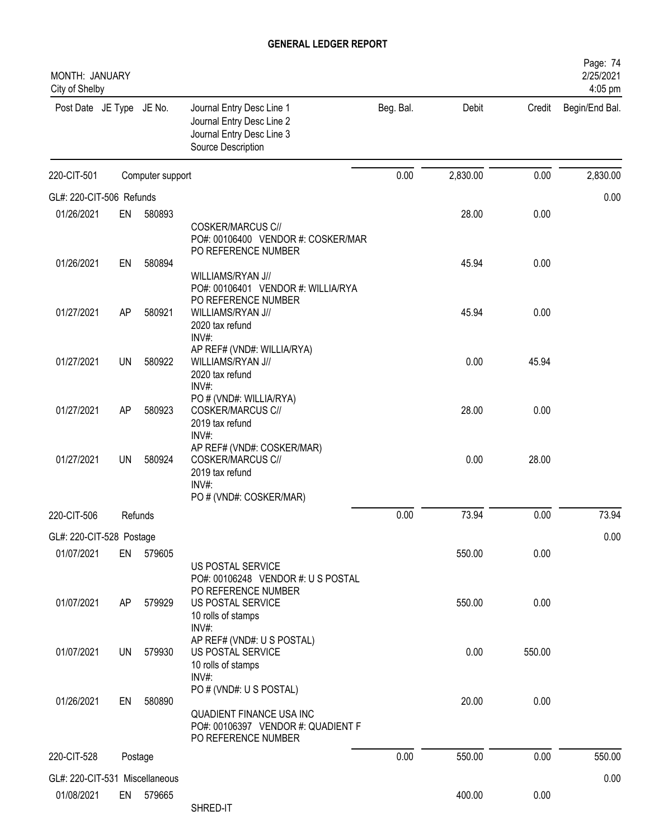| MONTH: JANUARY<br>City of Shelby |           |                  |                                                                                                           |           |          |        | Page: 74<br>2/25/2021<br>4:05 pm |
|----------------------------------|-----------|------------------|-----------------------------------------------------------------------------------------------------------|-----------|----------|--------|----------------------------------|
| Post Date JE Type JE No.         |           |                  | Journal Entry Desc Line 1<br>Journal Entry Desc Line 2<br>Journal Entry Desc Line 3<br>Source Description | Beg. Bal. | Debit    | Credit | Begin/End Bal.                   |
| 220-CIT-501                      |           | Computer support |                                                                                                           | 0.00      | 2,830.00 | 0.00   | 2,830.00                         |
| GL#: 220-CIT-506 Refunds         |           |                  |                                                                                                           |           |          |        | 0.00                             |
| 01/26/2021                       | EN        | 580893           |                                                                                                           |           | 28.00    | 0.00   |                                  |
|                                  |           |                  | <b>COSKER/MARCUS C//</b><br>PO#: 00106400 VENDOR #: COSKER/MAR<br>PO REFERENCE NUMBER                     |           |          |        |                                  |
| 01/26/2021                       | EN        | 580894           |                                                                                                           |           | 45.94    | 0.00   |                                  |
|                                  |           |                  | WILLIAMS/RYAN J//<br>PO#: 00106401 VENDOR #: WILLIA/RYA<br>PO REFERENCE NUMBER                            |           |          |        |                                  |
| 01/27/2021                       | AP        | 580921           | WILLIAMS/RYAN J//<br>2020 tax refund<br>INV#:<br>AP REF# (VND#: WILLIA/RYA)                               |           | 45.94    | 0.00   |                                  |
| 01/27/2021                       | UN        | 580922           | WILLIAMS/RYAN J//                                                                                         |           | 0.00     | 45.94  |                                  |
|                                  |           |                  | 2020 tax refund<br>INV#:<br>PO # (VND#: WILLIA/RYA)                                                       |           |          |        |                                  |
| 01/27/2021                       | AP        | 580923           | <b>COSKER/MARCUS C//</b><br>2019 tax refund                                                               |           | 28.00    | 0.00   |                                  |
| 01/27/2021                       | UN        | 580924           | INV#:<br>AP REF# (VND#: COSKER/MAR)<br><b>COSKER/MARCUS C//</b><br>2019 tax refund<br>INV#:               |           | 0.00     | 28.00  |                                  |
|                                  |           |                  | PO # (VND#: COSKER/MAR)                                                                                   |           |          |        |                                  |
| 220-CIT-506                      |           | Refunds          |                                                                                                           | 0.00      | 73.94    | 0.00   | 73.94                            |
| GL#: 220-CIT-528 Postage         |           |                  |                                                                                                           |           |          |        | 0.00                             |
| 01/07/2021                       | EN        | 579605           | US POSTAL SERVICE<br>PO#: 00106248 VENDOR #: U S POSTAL<br>PO REFERENCE NUMBER                            |           | 550.00   | 0.00   |                                  |
| 01/07/2021                       | AP        | 579929           | US POSTAL SERVICE<br>10 rolls of stamps<br>INV#:                                                          |           | 550.00   | 0.00   |                                  |
| 01/07/2021                       | <b>UN</b> | 579930           | AP REF# (VND#: U S POSTAL)<br>US POSTAL SERVICE<br>10 rolls of stamps                                     |           | 0.00     | 550.00 |                                  |
|                                  |           |                  | $INV#$ :<br>PO # (VND#: U S POSTAL)                                                                       |           |          |        |                                  |
| 01/26/2021                       | EN        | 580890           | QUADIENT FINANCE USA INC<br>PO#: 00106397 VENDOR #: QUADIENT F<br>PO REFERENCE NUMBER                     |           | 20.00    | 0.00   |                                  |
| 220-CIT-528                      |           | Postage          |                                                                                                           | 0.00      | 550.00   | 0.00   | 550.00                           |
| GL#: 220-CIT-531 Miscellaneous   |           |                  |                                                                                                           |           |          |        | 0.00                             |
| 01/08/2021                       |           | EN 579665        | SHRED-IT                                                                                                  |           | 400.00   | 0.00   |                                  |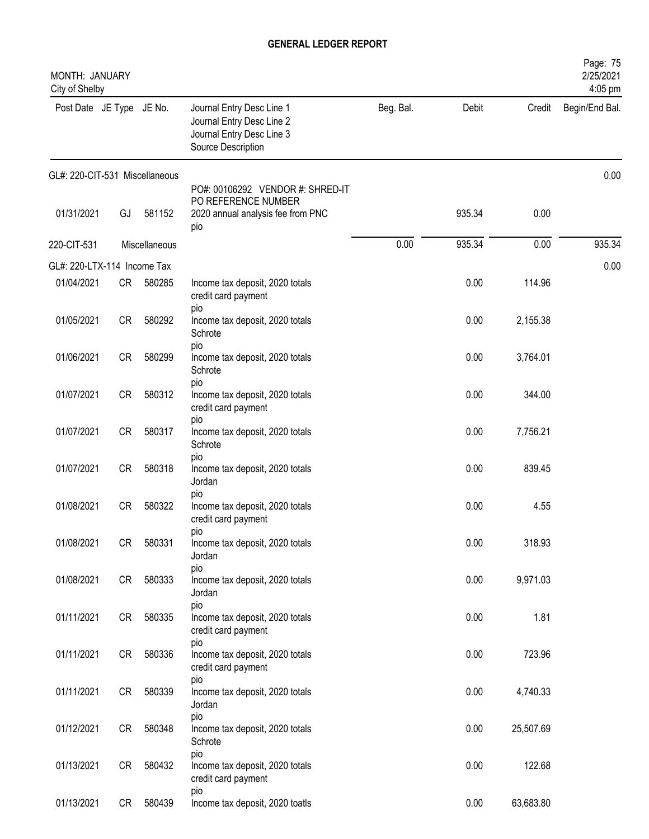| MONTH: JANUARY<br>City of Shelby |           |               |                                                                                                           |           |        |           | Page: 75<br>2/25/2021<br>4:05 pm |
|----------------------------------|-----------|---------------|-----------------------------------------------------------------------------------------------------------|-----------|--------|-----------|----------------------------------|
| Post Date JE Type JE No.         |           |               | Journal Entry Desc Line 1<br>Journal Entry Desc Line 2<br>Journal Entry Desc Line 3<br>Source Description | Beg. Bal. | Debit  | Credit    | Begin/End Bal.                   |
| GL#: 220-CIT-531 Miscellaneous   |           |               |                                                                                                           |           |        |           | 0.00                             |
| 01/31/2021                       | GJ        | 581152        | PO#: 00106292 VENDOR #: SHRED-IT<br>PO REFERENCE NUMBER<br>2020 annual analysis fee from PNC<br>pio       |           | 935.34 | 0.00      |                                  |
| 220-CIT-531                      |           | Miscellaneous |                                                                                                           | 0.00      | 935.34 | 0.00      | 935.34                           |
| GL#: 220-LTX-114 Income Tax      |           |               |                                                                                                           |           |        |           | 0.00                             |
| 01/04/2021                       | CR —      | 580285        | Income tax deposit, 2020 totals<br>credit card payment                                                    |           | 0.00   | 114.96    |                                  |
| 01/05/2021                       | CR        | 580292        | pio<br>Income tax deposit, 2020 totals<br>Schrote                                                         |           | 0.00   | 2,155.38  |                                  |
| 01/06/2021                       | <b>CR</b> | 580299        | pio<br>Income tax deposit, 2020 totals<br>Schrote                                                         |           | 0.00   | 3,764.01  |                                  |
| 01/07/2021                       | <b>CR</b> | 580312        | pio<br>Income tax deposit, 2020 totals<br>credit card payment                                             |           | 0.00   | 344.00    |                                  |
| 01/07/2021                       | <b>CR</b> | 580317        | pio<br>Income tax deposit, 2020 totals<br>Schrote                                                         |           | 0.00   | 7,756.21  |                                  |
| 01/07/2021                       | <b>CR</b> | 580318        | pio<br>Income tax deposit, 2020 totals<br>Jordan                                                          |           | 0.00   | 839.45    |                                  |
| 01/08/2021                       | <b>CR</b> | 580322        | pio<br>Income tax deposit, 2020 totals<br>credit card payment                                             |           | 0.00   | 4.55      |                                  |
| 01/08/2021                       | CR        | 580331        | <b>DIO</b><br>Income tax deposit, 2020 totals<br>Jordan                                                   |           | 0.00   | 318.93    |                                  |
| 01/08/2021                       | CR        | 580333        | pio<br>Income tax deposit, 2020 totals<br>Jordan                                                          |           | 0.00   | 9,971.03  |                                  |
| 01/11/2021                       | CR        | 580335        | pio<br>Income tax deposit, 2020 totals<br>credit card payment                                             |           | 0.00   | 1.81      |                                  |
| 01/11/2021                       | CR        | 580336        | pio<br>Income tax deposit, 2020 totals<br>credit card payment                                             |           | 0.00   | 723.96    |                                  |
| 01/11/2021                       | CR        | 580339        | pio<br>Income tax deposit, 2020 totals<br>Jordan                                                          |           | 0.00   | 4,740.33  |                                  |
| 01/12/2021                       | CR        | 580348        | pio<br>Income tax deposit, 2020 totals<br>Schrote                                                         |           | 0.00   | 25,507.69 |                                  |
| 01/13/2021                       | CR        | 580432        | pio<br>Income tax deposit, 2020 totals<br>credit card payment                                             |           | 0.00   | 122.68    |                                  |
| 01/13/2021                       | CR        | 580439        | pio<br>Income tax deposit, 2020 toatls                                                                    |           | 0.00   | 63,683.80 |                                  |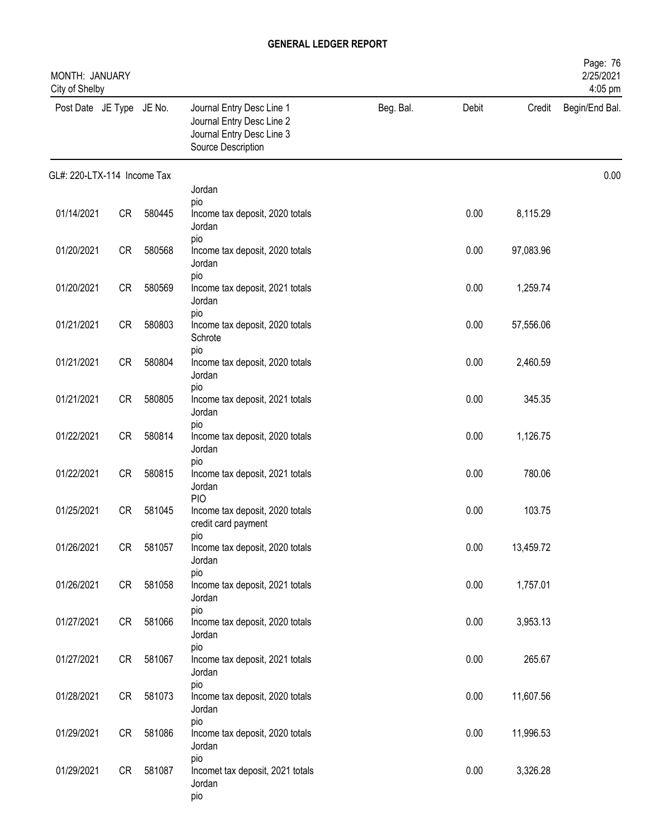| MONTH: JANUARY<br>City of Shelby |           |           |                                                                                                           |           |       |           | Page: 76<br>2/25/2021<br>4:05 pm |
|----------------------------------|-----------|-----------|-----------------------------------------------------------------------------------------------------------|-----------|-------|-----------|----------------------------------|
| Post Date JE Type JE No.         |           |           | Journal Entry Desc Line 1<br>Journal Entry Desc Line 2<br>Journal Entry Desc Line 3<br>Source Description | Beg. Bal. | Debit | Credit    | Begin/End Bal.                   |
| GL#: 220-LTX-114 Income Tax      |           |           |                                                                                                           |           |       |           | 0.00                             |
|                                  |           |           | Jordan<br>pio                                                                                             |           |       |           |                                  |
| 01/14/2021                       | <b>CR</b> | 580445    | Income tax deposit, 2020 totals<br>Jordan                                                                 |           | 0.00  | 8,115.29  |                                  |
| 01/20/2021                       | CR        | 580568    | pio<br>Income tax deposit, 2020 totals<br>Jordan                                                          |           | 0.00  | 97,083.96 |                                  |
| 01/20/2021                       | CR        | 580569    | pio<br>Income tax deposit, 2021 totals<br>Jordan                                                          |           | 0.00  | 1,259.74  |                                  |
| 01/21/2021                       | <b>CR</b> | 580803    | pio<br>Income tax deposit, 2020 totals<br>Schrote                                                         |           | 0.00  | 57,556.06 |                                  |
| 01/21/2021                       | <b>CR</b> | 580804    | pio<br>Income tax deposit, 2020 totals<br>Jordan                                                          |           | 0.00  | 2,460.59  |                                  |
| 01/21/2021                       | <b>CR</b> | 580805    | pio<br>Income tax deposit, 2021 totals<br>Jordan                                                          |           | 0.00  | 345.35    |                                  |
| 01/22/2021                       | CR        | 580814    | pio<br>Income tax deposit, 2020 totals<br>Jordan                                                          |           | 0.00  | 1,126.75  |                                  |
| 01/22/2021                       | CR        | 580815    | pio<br>Income tax deposit, 2021 totals<br>Jordan                                                          |           | 0.00  | 780.06    |                                  |
| 01/25/2021                       | CR        | 581045    | <b>PIO</b><br>Income tax deposit, 2020 totals<br>credit card payment                                      |           | 0.00  | 103.75    |                                  |
| 01/26/2021                       | CR        | 581057    | pio<br>Income tax deposit, 2020 totals<br>Jordan                                                          |           | 0.00  | 13,459.72 |                                  |
| 01/26/2021                       |           | CR 581058 | pio<br>Income tax deposit, 2021 totals<br>Jordan                                                          |           | 0.00  | 1,757.01  |                                  |
| 01/27/2021                       | CR        | 581066    | pio<br>Income tax deposit, 2020 totals<br>Jordan                                                          |           | 0.00  | 3,953.13  |                                  |
| 01/27/2021                       | CR        | 581067    | pio<br>Income tax deposit, 2021 totals<br>Jordan                                                          |           | 0.00  | 265.67    |                                  |
| 01/28/2021                       |           | CR 581073 | pio<br>Income tax deposit, 2020 totals<br>Jordan                                                          |           | 0.00  | 11,607.56 |                                  |
| 01/29/2021                       | CR        | 581086    | pio<br>Income tax deposit, 2020 totals<br>Jordan                                                          |           | 0.00  | 11,996.53 |                                  |
| 01/29/2021                       | CR        | 581087    | pio<br>Incomet tax deposit, 2021 totals<br>Jordan<br>pio                                                  |           | 0.00  | 3,326.28  |                                  |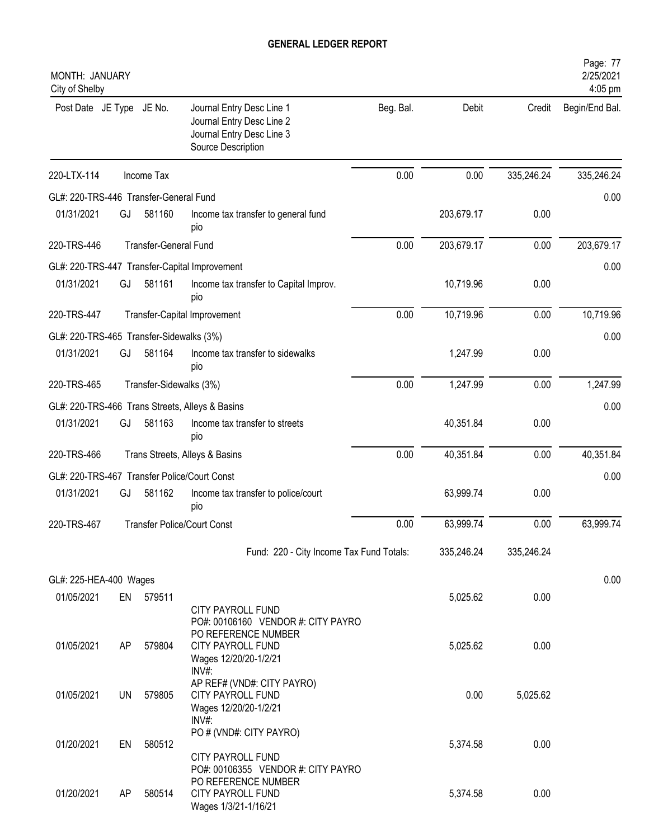| MONTH: JANUARY<br>City of Shelby             |    |                         |                                                                                                                                                     |           |            |            | Page: 77<br>2/25/2021<br>4:05 pm |
|----------------------------------------------|----|-------------------------|-----------------------------------------------------------------------------------------------------------------------------------------------------|-----------|------------|------------|----------------------------------|
| Post Date JE Type JE No.                     |    |                         | Journal Entry Desc Line 1<br>Journal Entry Desc Line 2<br>Journal Entry Desc Line 3<br>Source Description                                           | Beg. Bal. | Debit      | Credit     | Begin/End Bal.                   |
| 220-LTX-114                                  |    | Income Tax              |                                                                                                                                                     | 0.00      | 0.00       | 335,246.24 | 335,246.24                       |
| GL#: 220-TRS-446 Transfer-General Fund       |    |                         |                                                                                                                                                     |           |            |            | 0.00                             |
| 01/31/2021                                   | GJ | 581160                  | Income tax transfer to general fund<br>pio                                                                                                          |           | 203,679.17 | 0.00       |                                  |
| 220-TRS-446                                  |    | Transfer-General Fund   |                                                                                                                                                     | 0.00      | 203,679.17 | 0.00       | 203,679.17                       |
|                                              |    |                         | GL#: 220-TRS-447 Transfer-Capital Improvement                                                                                                       |           |            |            | 0.00                             |
| 01/31/2021                                   | GJ | 581161                  | Income tax transfer to Capital Improv.<br>pio                                                                                                       |           | 10,719.96  | 0.00       |                                  |
| 220-TRS-447                                  |    |                         | Transfer-Capital Improvement                                                                                                                        | 0.00      | 10,719.96  | 0.00       | 10,719.96                        |
| GL#: 220-TRS-465 Transfer-Sidewalks (3%)     |    |                         |                                                                                                                                                     |           |            |            | 0.00                             |
| 01/31/2021                                   | GJ | 581164                  | Income tax transfer to sidewalks<br>pio                                                                                                             |           | 1,247.99   | 0.00       |                                  |
| 220-TRS-465                                  |    | Transfer-Sidewalks (3%) |                                                                                                                                                     | 0.00      | 1,247.99   | 0.00       | 1,247.99                         |
|                                              |    |                         | GL#: 220-TRS-466 Trans Streets, Alleys & Basins                                                                                                     |           |            |            | 0.00                             |
| 01/31/2021                                   | GJ | 581163                  | Income tax transfer to streets<br>pio                                                                                                               |           | 40,351.84  | 0.00       |                                  |
| 220-TRS-466                                  |    |                         | Trans Streets, Alleys & Basins                                                                                                                      | 0.00      | 40,351.84  | 0.00       | 40,351.84                        |
| GL#: 220-TRS-467 Transfer Police/Court Const |    |                         |                                                                                                                                                     |           |            |            | 0.00                             |
| 01/31/2021                                   | GJ | 581162                  | Income tax transfer to police/court<br>pio                                                                                                          |           | 63,999.74  | 0.00       |                                  |
| 220-TRS-467                                  |    |                         | <b>Transfer Police/Court Const</b>                                                                                                                  | 0.00      | 63,999.74  | 0.00       | 63,999.74                        |
|                                              |    |                         | Fund: 220 - City Income Tax Fund Totals:                                                                                                            |           | 335,246.24 | 335,246.24 |                                  |
| GL#: 225-HEA-400 Wages                       |    |                         |                                                                                                                                                     |           |            |            | 0.00                             |
| 01/05/2021                                   |    | EN 579511               |                                                                                                                                                     |           | 5,025.62   | 0.00       |                                  |
| 01/05/2021                                   | AP | 579804                  | <b>CITY PAYROLL FUND</b><br>PO#: 00106160 VENDOR #: CITY PAYRO<br>PO REFERENCE NUMBER<br><b>CITY PAYROLL FUND</b><br>Wages 12/20/20-1/2/21<br>INV#: |           | 5,025.62   | 0.00       |                                  |
| 01/05/2021                                   | UN | 579805                  | AP REF# (VND#: CITY PAYRO)<br><b>CITY PAYROLL FUND</b><br>Wages 12/20/20-1/2/21<br>INV#:                                                            |           | 0.00       | 5,025.62   |                                  |
| 01/20/2021                                   | EN | 580512                  | PO # (VND#: CITY PAYRO)<br><b>CITY PAYROLL FUND</b>                                                                                                 |           | 5,374.58   | 0.00       |                                  |
| 01/20/2021                                   | AP | 580514                  | PO#: 00106355 VENDOR #: CITY PAYRO<br>PO REFERENCE NUMBER<br><b>CITY PAYROLL FUND</b><br>Wages 1/3/21-1/16/21                                       |           | 5,374.58   | 0.00       |                                  |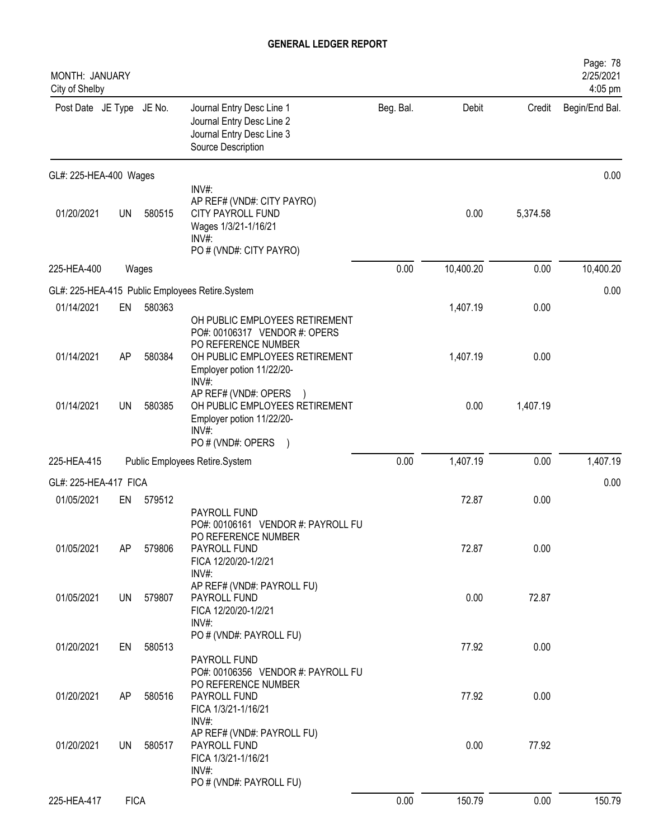| MONTH: JANUARY<br>City of Shelby |             |        |                                                                                                                            |           |           |          | Page: 78<br>2/25/2021<br>4:05 pm |
|----------------------------------|-------------|--------|----------------------------------------------------------------------------------------------------------------------------|-----------|-----------|----------|----------------------------------|
| Post Date JE Type JE No.         |             |        | Journal Entry Desc Line 1<br>Journal Entry Desc Line 2<br>Journal Entry Desc Line 3<br>Source Description                  | Beg. Bal. | Debit     | Credit   | Begin/End Bal.                   |
| GL#: 225-HEA-400 Wages           |             |        |                                                                                                                            |           |           |          | 0.00                             |
| 01/20/2021                       | <b>UN</b>   | 580515 | INV#:<br>AP REF# (VND#: CITY PAYRO)<br>CITY PAYROLL FUND<br>Wages 1/3/21-1/16/21<br>INV#:<br>PO # (VND#: CITY PAYRO)       |           | 0.00      | 5,374.58 |                                  |
| 225-HEA-400                      |             | Wages  |                                                                                                                            | 0.00      | 10,400.20 | 0.00     | 10,400.20                        |
|                                  |             |        | GL#: 225-HEA-415 Public Employees Retire.System                                                                            |           |           |          | 0.00                             |
| 01/14/2021                       | EN          | 580363 | OH PUBLIC EMPLOYEES RETIREMENT<br>PO#: 00106317 VENDOR #: OPERS                                                            |           | 1,407.19  | 0.00     |                                  |
| 01/14/2021                       | AP          | 580384 | PO REFERENCE NUMBER<br>OH PUBLIC EMPLOYEES RETIREMENT<br>Employer potion 11/22/20-<br>INV#:                                |           | 1,407.19  | 0.00     |                                  |
| 01/14/2021                       | <b>UN</b>   | 580385 | AP REF# (VND#: OPERS<br>OH PUBLIC EMPLOYEES RETIREMENT<br>Employer potion 11/22/20-<br>INV#<br>PO # (VND#: OPERS           |           | 0.00      | 1,407.19 |                                  |
| 225-HEA-415                      |             |        | Public Employees Retire.System                                                                                             | 0.00      | 1,407.19  | 0.00     | 1,407.19                         |
| GL#: 225-HEA-417 FICA            |             |        |                                                                                                                            |           |           |          | 0.00                             |
| 01/05/2021                       | EN          | 579512 |                                                                                                                            |           | 72.87     | 0.00     |                                  |
| 01/05/2021                       | AP          | 579806 | PAYROLL FUND<br>PO#: 00106161 VENDOR #: PAYROLL FU<br>PO REFERENCE NUMBER<br>PAYROLL FUND<br>FICA 12/20/20-1/2/21<br>INV#: |           | 72.87     | 0.00     |                                  |
| 01/05/2021                       | UN          | 579807 | AP REF# (VND#: PAYROLL FU)<br>PAYROLL FUND<br>FICA 12/20/20-1/2/21<br>INV#:                                                |           | 0.00      | 72.87    |                                  |
| 01/20/2021                       | EN          | 580513 | PO # (VND#: PAYROLL FU)<br>PAYROLL FUND<br>PO#: 00106356 VENDOR #: PAYROLL FU                                              |           | 77.92     | 0.00     |                                  |
| 01/20/2021                       | AP          | 580516 | PO REFERENCE NUMBER<br>PAYROLL FUND<br>FICA 1/3/21-1/16/21                                                                 |           | 77.92     | 0.00     |                                  |
| 01/20/2021                       | UN          | 580517 | INV#:<br>AP REF# (VND#: PAYROLL FU)<br>PAYROLL FUND<br>FICA 1/3/21-1/16/21<br>INV#:                                        |           | 0.00      | 77.92    |                                  |
| 225-HEA-417                      | <b>FICA</b> |        | PO # (VND#: PAYROLL FU)                                                                                                    | 0.00      | 150.79    | 0.00     | 150.79                           |
|                                  |             |        |                                                                                                                            |           |           |          |                                  |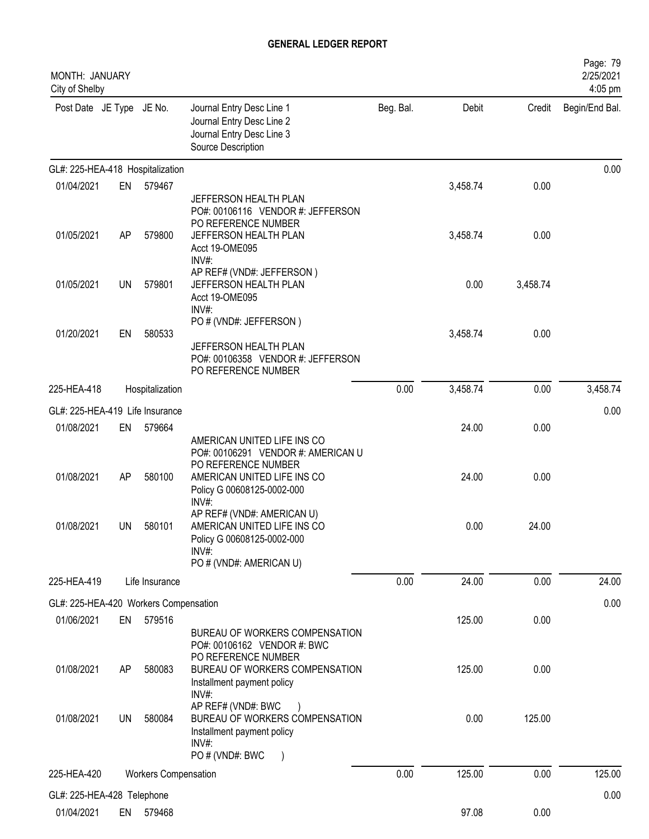| <b>MONTH: JANUARY</b><br>City of Shelby             |           |                             |                                                                                                                                |           |          |          | Page: 79<br>2/25/2021<br>4:05 pm |
|-----------------------------------------------------|-----------|-----------------------------|--------------------------------------------------------------------------------------------------------------------------------|-----------|----------|----------|----------------------------------|
| Post Date JE Type JE No.                            |           |                             | Journal Entry Desc Line 1<br>Journal Entry Desc Line 2<br>Journal Entry Desc Line 3<br>Source Description                      | Beg. Bal. | Debit    | Credit   | Begin/End Bal.                   |
| GL#: 225-HEA-418 Hospitalization                    |           |                             |                                                                                                                                |           |          |          | 0.00                             |
| 01/04/2021                                          | EN        | 579467                      |                                                                                                                                |           | 3,458.74 | 0.00     |                                  |
|                                                     |           |                             | JEFFERSON HEALTH PLAN<br>PO#: 00106116 VENDOR #: JEFFERSON<br>PO REFERENCE NUMBER                                              |           |          |          |                                  |
| 01/05/2021                                          | AP        | 579800                      | JEFFERSON HEALTH PLAN<br>Acct 19-OME095<br>INV#                                                                                |           | 3,458.74 | 0.00     |                                  |
| 01/05/2021                                          | <b>UN</b> | 579801                      | AP REF# (VND#: JEFFERSON)<br>JEFFERSON HEALTH PLAN<br>Acct 19-OME095<br>INV#:                                                  |           | 0.00     | 3,458.74 |                                  |
| 01/20/2021                                          | EN        | 580533                      | PO # (VND#: JEFFERSON)                                                                                                         |           | 3,458.74 | 0.00     |                                  |
|                                                     |           |                             | JEFFERSON HEALTH PLAN<br>PO#: 00106358 VENDOR #: JEFFERSON<br>PO REFERENCE NUMBER                                              |           |          |          |                                  |
| 225-HEA-418                                         |           | Hospitalization             |                                                                                                                                | 0.00      | 3,458.74 | 0.00     | 3,458.74                         |
| GL#: 225-HEA-419 Life Insurance                     |           |                             |                                                                                                                                |           |          |          | 0.00                             |
| 01/08/2021                                          | EN        | 579664                      |                                                                                                                                |           | 24.00    | 0.00     |                                  |
|                                                     |           |                             | AMERICAN UNITED LIFE INS CO<br>PO#: 00106291 VENDOR #: AMERICAN U<br>PO REFERENCE NUMBER                                       |           |          |          |                                  |
| 01/08/2021                                          | AP        | 580100                      | AMERICAN UNITED LIFE INS CO<br>Policy G 00608125-0002-000<br>INV#:                                                             |           | 24.00    | 0.00     |                                  |
| 01/08/2021                                          | UN        | 580101                      | AP REF# (VND#: AMERICAN U)<br>AMERICAN UNITED LIFE INS CO<br>Policy G 00608125-0002-000<br>$INV#$ :<br>PO # (VND#: AMERICAN U) |           | 0.00     | 24.00    |                                  |
| 225-HEA-419                                         |           | Life Insurance              |                                                                                                                                | 0.00      | 24.00    | 0.00     | 24.00                            |
|                                                     |           |                             |                                                                                                                                |           |          |          |                                  |
| GL#: 225-HEA-420 Workers Compensation<br>01/06/2021 | EN        | 579516                      |                                                                                                                                |           | 125.00   | 0.00     | 0.00                             |
|                                                     |           |                             | BUREAU OF WORKERS COMPENSATION<br>PO#: 00106162 VENDOR #: BWC<br>PO REFERENCE NUMBER                                           |           |          |          |                                  |
| 01/08/2021                                          | AP        | 580083                      | BUREAU OF WORKERS COMPENSATION<br>Installment payment policy<br>INV#:                                                          |           | 125.00   | 0.00     |                                  |
| 01/08/2021                                          | UN        | 580084                      | AP REF# (VND#: BWC<br>BUREAU OF WORKERS COMPENSATION<br>Installment payment policy<br>INV#:                                    |           | 0.00     | 125.00   |                                  |
|                                                     |           |                             | PO # (VND#: BWC<br>$\rightarrow$                                                                                               |           |          |          |                                  |
| 225-HEA-420                                         |           | <b>Workers Compensation</b> |                                                                                                                                | 0.00      | 125.00   | 0.00     | 125.00                           |
| GL#: 225-HEA-428 Telephone                          |           |                             |                                                                                                                                |           |          |          | 0.00                             |
| 01/04/2021                                          | EN        | 579468                      |                                                                                                                                |           | 97.08    | 0.00     |                                  |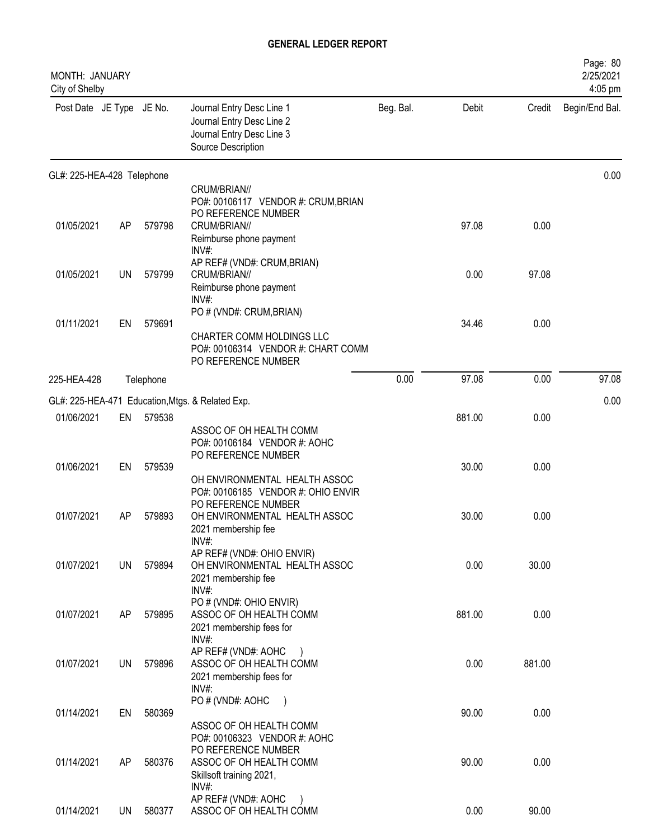| MONTH: JANUARY<br>City of Shelby |           |           |                                                                                                                     |           |        |        | Page: 80<br>2/25/2021<br>4:05 pm |
|----------------------------------|-----------|-----------|---------------------------------------------------------------------------------------------------------------------|-----------|--------|--------|----------------------------------|
| Post Date JE Type JE No.         |           |           | Journal Entry Desc Line 1<br>Journal Entry Desc Line 2<br>Journal Entry Desc Line 3<br>Source Description           | Beg. Bal. | Debit  | Credit | Begin/End Bal.                   |
| GL#: 225-HEA-428 Telephone       |           |           |                                                                                                                     |           |        |        | 0.00                             |
| 01/05/2021                       | AP        | 579798    | CRUM/BRIAN//<br>PO#: 00106117 VENDOR #: CRUM, BRIAN<br>PO REFERENCE NUMBER<br>CRUM/BRIAN//                          |           | 97.08  | 0.00   |                                  |
| 01/05/2021                       | <b>UN</b> | 579799    | Reimburse phone payment<br>$INV#$ :<br>AP REF# (VND#: CRUM, BRIAN)<br>CRUM/BRIAN//                                  |           | 0.00   | 97.08  |                                  |
|                                  |           |           | Reimburse phone payment<br>$INV#$ :<br>PO # (VND#: CRUM, BRIAN)                                                     |           |        |        |                                  |
| 01/11/2021                       | EN        | 579691    | CHARTER COMM HOLDINGS LLC<br>PO#: 00106314 VENDOR #: CHART COMM<br>PO REFERENCE NUMBER                              |           | 34.46  | 0.00   |                                  |
| 225-HEA-428                      |           | Telephone |                                                                                                                     | 0.00      | 97.08  | 0.00   | 97.08                            |
|                                  |           |           | GL#: 225-HEA-471 Education, Mtgs. & Related Exp.                                                                    |           |        |        | 0.00                             |
| 01/06/2021                       | EN        | 579538    | ASSOC OF OH HEALTH COMM<br>PO#: 00106184 VENDOR #: AOHC<br>PO REFERENCE NUMBER                                      |           | 881.00 | 0.00   |                                  |
| 01/06/2021                       | EN        | 579539    | OH ENVIRONMENTAL HEALTH ASSOC<br>PO#: 00106185 VENDOR #: OHIO ENVIR                                                 |           | 30.00  | 0.00   |                                  |
| 01/07/2021                       | AP        | 579893    | PO REFERENCE NUMBER<br>OH ENVIRONMENTAL HEALTH ASSOC<br>2021 membership fee<br>INV#:                                |           | 30.00  | 0.00   |                                  |
| 01/07/2021                       | UN        | 579894    | AP REF# (VND#: OHIO ENVIR)<br>OH ENVIRONMENTAL HEALTH ASSOC<br>2021 membership fee                                  |           | 0.00   | 30.00  |                                  |
| 01/07/2021                       | AP        | 579895    | INV#:<br>PO # (VND#: OHIO ENVIR)<br>ASSOC OF OH HEALTH COMM<br>2021 membership fees for                             |           | 881.00 | 0.00   |                                  |
| 01/07/2021                       | <b>UN</b> | 579896    | INV#:<br>AP REF# (VND#: AOHC<br>ASSOC OF OH HEALTH COMM<br>2021 membership fees for                                 |           | 0.00   | 881.00 |                                  |
| 01/14/2021                       | EN        | 580369    | INV#:<br>PO # (VND#: AOHC<br>ASSOC OF OH HEALTH COMM                                                                |           | 90.00  | 0.00   |                                  |
| 01/14/2021                       | AP        | 580376    | PO#: 00106323 VENDOR #: AOHC<br>PO REFERENCE NUMBER<br>ASSOC OF OH HEALTH COMM<br>Skillsoft training 2021,<br>INV#: |           | 90.00  | 0.00   |                                  |
| 01/14/2021                       | <b>UN</b> | 580377    | AP REF# (VND#: AOHC<br>ASSOC OF OH HEALTH COMM                                                                      |           | 0.00   | 90.00  |                                  |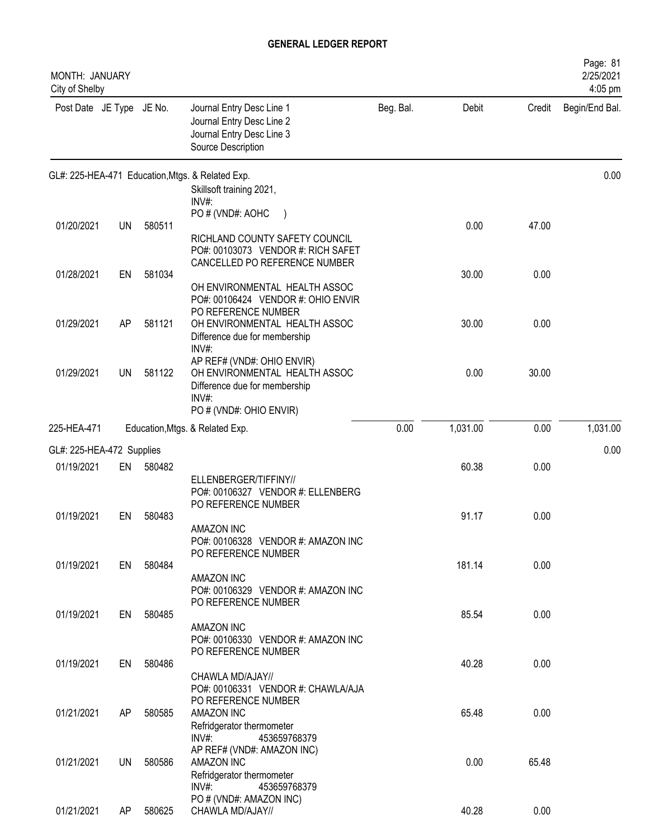| MONTH: JANUARY<br>City of Shelby |           |        |                                                                                                                                              |           |          |        | Page: 81<br>2/25/2021<br>4:05 pm |
|----------------------------------|-----------|--------|----------------------------------------------------------------------------------------------------------------------------------------------|-----------|----------|--------|----------------------------------|
| Post Date JE Type JE No.         |           |        | Journal Entry Desc Line 1<br>Journal Entry Desc Line 2<br>Journal Entry Desc Line 3<br>Source Description                                    | Beg. Bal. | Debit    | Credit | Begin/End Bal.                   |
|                                  |           |        | GL#: 225-HEA-471 Education, Mtgs. & Related Exp.<br>Skillsoft training 2021,                                                                 |           |          |        | 0.00                             |
| 01/20/2021                       | <b>UN</b> | 580511 | INV#:<br>PO # (VND#: AOHC                                                                                                                    |           | 0.00     | 47.00  |                                  |
|                                  |           |        | RICHLAND COUNTY SAFETY COUNCIL<br>PO#: 00103073 VENDOR #: RICH SAFET                                                                         |           |          |        |                                  |
| 01/28/2021                       | EN        | 581034 | CANCELLED PO REFERENCE NUMBER                                                                                                                |           | 30.00    | 0.00   |                                  |
|                                  |           |        | OH ENVIRONMENTAL HEALTH ASSOC<br>PO#: 00106424 VENDOR #: OHIO ENVIR<br>PO REFERENCE NUMBER                                                   |           |          |        |                                  |
| 01/29/2021                       | AP        | 581121 | OH ENVIRONMENTAL HEALTH ASSOC<br>Difference due for membership                                                                               |           | 30.00    | 0.00   |                                  |
| 01/29/2021                       | UN        | 581122 | INV#:<br>AP REF# (VND#: OHIO ENVIR)<br>OH ENVIRONMENTAL HEALTH ASSOC<br>Difference due for membership<br>$INV#$ :<br>PO # (VND#: OHIO ENVIR) |           | 0.00     | 30.00  |                                  |
| 225-HEA-471                      |           |        | Education, Mtgs. & Related Exp.                                                                                                              | 0.00      | 1,031.00 | 0.00   | 1,031.00                         |
| GL#: 225-HEA-472 Supplies        |           |        |                                                                                                                                              |           |          |        | 0.00                             |
| 01/19/2021                       | EN        | 580482 |                                                                                                                                              |           | 60.38    | 0.00   |                                  |
|                                  |           |        | ELLENBERGER/TIFFINY//<br>PO#: 00106327 VENDOR #: ELLENBERG<br>PO REFERENCE NUMBER                                                            |           |          |        |                                  |
| 01/19/2021                       | EN        | 580483 |                                                                                                                                              |           | 91.17    | 0.00   |                                  |
|                                  |           |        | <b>AMAZON INC</b><br>PO#: 00106328 VENDOR #: AMAZON INC<br>PO REFERENCE NUMBER                                                               |           |          |        |                                  |
| 01/19/2021                       | EN        | 580484 | AMAZON INC                                                                                                                                   |           | 181.14   | 0.00   |                                  |
|                                  |           |        | PO#: 00106329 VENDOR #: AMAZON INC<br>PO REFERENCE NUMBER                                                                                    |           |          |        |                                  |
| 01/19/2021                       | EN        | 580485 | <b>AMAZON INC</b><br>PO#: 00106330 VENDOR #: AMAZON INC                                                                                      |           | 85.54    | 0.00   |                                  |
| 01/19/2021                       | EN        | 580486 | PO REFERENCE NUMBER                                                                                                                          |           | 40.28    | 0.00   |                                  |
|                                  |           |        | CHAWLA MD/AJAY//<br>PO#: 00106331 VENDOR #: CHAWLA/AJA<br>PO REFERENCE NUMBER                                                                |           |          |        |                                  |
| 01/21/2021                       | AP        | 580585 | AMAZON INC<br>Refridgerator thermometer                                                                                                      |           | 65.48    | 0.00   |                                  |
|                                  |           |        | $INV#$ :<br>453659768379<br>AP REF# (VND#: AMAZON INC)                                                                                       |           |          |        |                                  |
| 01/21/2021                       | <b>UN</b> | 580586 | AMAZON INC<br>Refridgerator thermometer<br>$INV#$ :<br>453659768379                                                                          |           | 0.00     | 65.48  |                                  |
| 01/21/2021                       | AP        | 580625 | PO # (VND#: AMAZON INC)<br>CHAWLA MD/AJAY//                                                                                                  |           | 40.28    | 0.00   |                                  |
|                                  |           |        |                                                                                                                                              |           |          |        |                                  |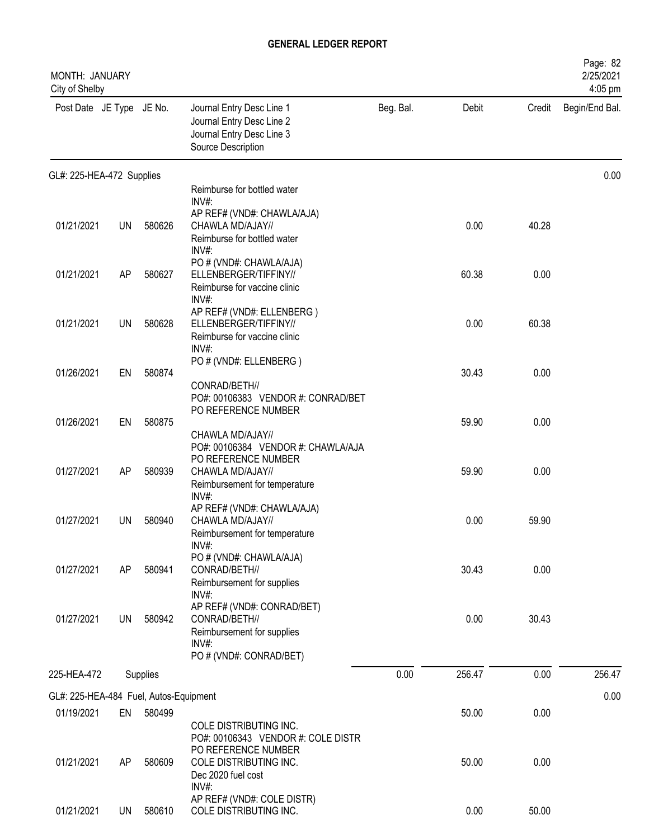| MONTH: JANUARY<br>City of Shelby       |           |          |                                                                                                                |           |        |        | Page: 82<br>2/25/2021<br>4:05 pm |
|----------------------------------------|-----------|----------|----------------------------------------------------------------------------------------------------------------|-----------|--------|--------|----------------------------------|
| Post Date JE Type JE No.               |           |          | Journal Entry Desc Line 1<br>Journal Entry Desc Line 2<br>Journal Entry Desc Line 3<br>Source Description      | Beg. Bal. | Debit  | Credit | Begin/End Bal.                   |
| GL#: 225-HEA-472 Supplies              |           |          |                                                                                                                |           |        |        | 0.00                             |
|                                        |           |          | Reimburse for bottled water<br>$INV#$ :                                                                        |           |        |        |                                  |
| 01/21/2021                             | <b>UN</b> | 580626   | AP REF# (VND#: CHAWLA/AJA)<br>CHAWLA MD/AJAY//<br>Reimburse for bottled water<br>$INV#$ :                      |           | 0.00   | 40.28  |                                  |
| 01/21/2021                             | AP        | 580627   | PO # (VND#: CHAWLA/AJA)<br>ELLENBERGER/TIFFINY//<br>Reimburse for vaccine clinic<br>INV#:                      |           | 60.38  | 0.00   |                                  |
| 01/21/2021                             | UN        | 580628   | AP REF# (VND#: ELLENBERG)<br>ELLENBERGER/TIFFINY//<br>Reimburse for vaccine clinic<br>$INV#$ :                 |           | 0.00   | 60.38  |                                  |
| 01/26/2021                             | EN        | 580874   | PO # (VND#: ELLENBERG)<br>CONRAD/BETH//                                                                        |           | 30.43  | 0.00   |                                  |
| 01/26/2021                             | EN        | 580875   | PO#: 00106383 VENDOR #: CONRAD/BET<br>PO REFERENCE NUMBER<br>CHAWLA MD/AJAY//                                  |           | 59.90  | 0.00   |                                  |
| 01/27/2021                             | AP        | 580939   | PO#: 00106384 VENDOR #: CHAWLA/AJA<br>PO REFERENCE NUMBER<br>CHAWLA MD/AJAY//<br>Reimbursement for temperature |           | 59.90  | 0.00   |                                  |
| 01/27/2021                             | UN        | 580940   | INV#:<br>AP REF# (VND#: CHAWLA/AJA)<br>CHAWLA MD/AJAY//<br>Reimbursement for temperature                       |           | 0.00   | 59.90  |                                  |
| 01/27/2021                             | AP        | 580941   | INV#:<br>PO # (VND#: CHAWLA/AJA)<br>CONRAD/BETH//<br>Reimbursement for supplies<br>INV#:                       |           | 30.43  | 0.00   |                                  |
| 01/27/2021                             | <b>UN</b> | 580942   | AP REF# (VND#: CONRAD/BET)<br>CONRAD/BETH//<br>Reimbursement for supplies<br>INV#:                             |           | 0.00   | 30.43  |                                  |
| 225-HEA-472                            |           | Supplies | PO # (VND#: CONRAD/BET)                                                                                        | 0.00      | 256.47 | 0.00   | 256.47                           |
|                                        |           |          |                                                                                                                |           |        |        |                                  |
| GL#: 225-HEA-484 Fuel, Autos-Equipment |           |          |                                                                                                                |           |        |        | 0.00                             |
| 01/19/2021                             | EN        | 580499   | COLE DISTRIBUTING INC.<br>PO#: 00106343 VENDOR #: COLE DISTR<br>PO REFERENCE NUMBER                            |           | 50.00  | 0.00   |                                  |
| 01/21/2021                             | AP        | 580609   | COLE DISTRIBUTING INC.<br>Dec 2020 fuel cost<br>INV#:                                                          |           | 50.00  | 0.00   |                                  |
| 01/21/2021                             | <b>UN</b> | 580610   | AP REF# (VND#: COLE DISTR)<br>COLE DISTRIBUTING INC.                                                           |           | 0.00   | 50.00  |                                  |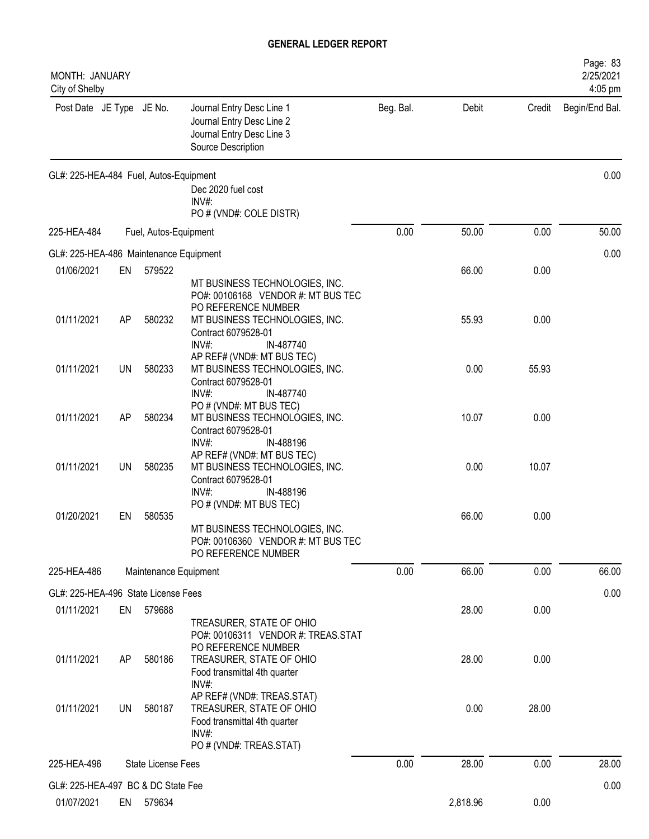| MONTH: JANUARY<br>City of Shelby       |           |                           |                                                                                                                                                               |           |          |        | Page: 83<br>2/25/2021<br>4:05 pm |
|----------------------------------------|-----------|---------------------------|---------------------------------------------------------------------------------------------------------------------------------------------------------------|-----------|----------|--------|----------------------------------|
| Post Date JE Type JE No.               |           |                           | Journal Entry Desc Line 1<br>Journal Entry Desc Line 2<br>Journal Entry Desc Line 3<br>Source Description                                                     | Beg. Bal. | Debit    | Credit | Begin/End Bal.                   |
| GL#: 225-HEA-484 Fuel, Autos-Equipment |           |                           | Dec 2020 fuel cost<br>INV#:                                                                                                                                   |           |          |        | 0.00                             |
| 225-HEA-484                            |           | Fuel, Autos-Equipment     | PO # (VND#: COLE DISTR)                                                                                                                                       | 0.00      | 50.00    | 0.00   | 50.00                            |
| GL#: 225-HEA-486 Maintenance Equipment |           |                           |                                                                                                                                                               |           |          |        | 0.00                             |
| 01/06/2021                             | EN        | 579522                    |                                                                                                                                                               |           | 66.00    | 0.00   |                                  |
|                                        |           |                           | MT BUSINESS TECHNOLOGIES, INC.<br>PO#: 00106168 VENDOR #: MT BUS TEC<br>PO REFERENCE NUMBER                                                                   |           |          |        |                                  |
| 01/11/2021                             | AP        | 580232                    | MT BUSINESS TECHNOLOGIES, INC.<br>Contract 6079528-01<br>$INV#$ :<br>IN-487740                                                                                |           | 55.93    | 0.00   |                                  |
| 01/11/2021                             | <b>UN</b> | 580233                    | AP REF# (VND#: MT BUS TEC)<br>MT BUSINESS TECHNOLOGIES, INC.<br>Contract 6079528-01<br>$INV#$ :<br>IN-487740                                                  |           | 0.00     | 55.93  |                                  |
| 01/11/2021                             | AP        | 580234                    | PO # (VND#: MT BUS TEC)<br>MT BUSINESS TECHNOLOGIES, INC.<br>Contract 6079528-01                                                                              |           | 10.07    | 0.00   |                                  |
| 01/11/2021                             | <b>UN</b> | 580235                    | INV#:<br>IN-488196<br>AP REF# (VND#: MT BUS TEC)<br>MT BUSINESS TECHNOLOGIES, INC.<br>Contract 6079528-01<br>IN-488196<br>$INV#$ :<br>PO # (VND#: MT BUS TEC) |           | 0.00     | 10.07  |                                  |
| 01/20/2021                             | EN        | 580535                    | MT BUSINESS TECHNOLOGIES, INC.<br>PO#: 00106360 VENDOR #: MT BUS TEC<br>PO REFERENCE NUMBER                                                                   |           | 66.00    | 0.00   |                                  |
| 225-HEA-486                            |           | Maintenance Equipment     |                                                                                                                                                               | 0.00      | 66.00    | 0.00   | 66.00                            |
| GL#: 225-HEA-496 State License Fees    |           |                           |                                                                                                                                                               |           |          |        | 0.00                             |
| 01/11/2021                             | EN        | 579688                    | TREASURER, STATE OF OHIO<br>PO#: 00106311 VENDOR #: TREAS.STAT                                                                                                |           | 28.00    | 0.00   |                                  |
| 01/11/2021                             | AP        | 580186                    | PO REFERENCE NUMBER<br>TREASURER, STATE OF OHIO<br>Food transmittal 4th quarter<br>INV#:                                                                      |           | 28.00    | 0.00   |                                  |
| 01/11/2021                             | <b>UN</b> | 580187                    | AP REF# (VND#: TREAS.STAT)<br>TREASURER, STATE OF OHIO<br>Food transmittal 4th quarter<br>INV#:<br>PO # (VND#: TREAS.STAT)                                    |           | 0.00     | 28.00  |                                  |
| 225-HEA-496                            |           | <b>State License Fees</b> |                                                                                                                                                               | 0.00      | 28.00    | 0.00   | 28.00                            |
| GL#: 225-HEA-497 BC & DC State Fee     |           |                           |                                                                                                                                                               |           |          |        | 0.00                             |
| 01/07/2021                             | EN        | 579634                    |                                                                                                                                                               |           | 2,818.96 | 0.00   |                                  |
|                                        |           |                           |                                                                                                                                                               |           |          |        |                                  |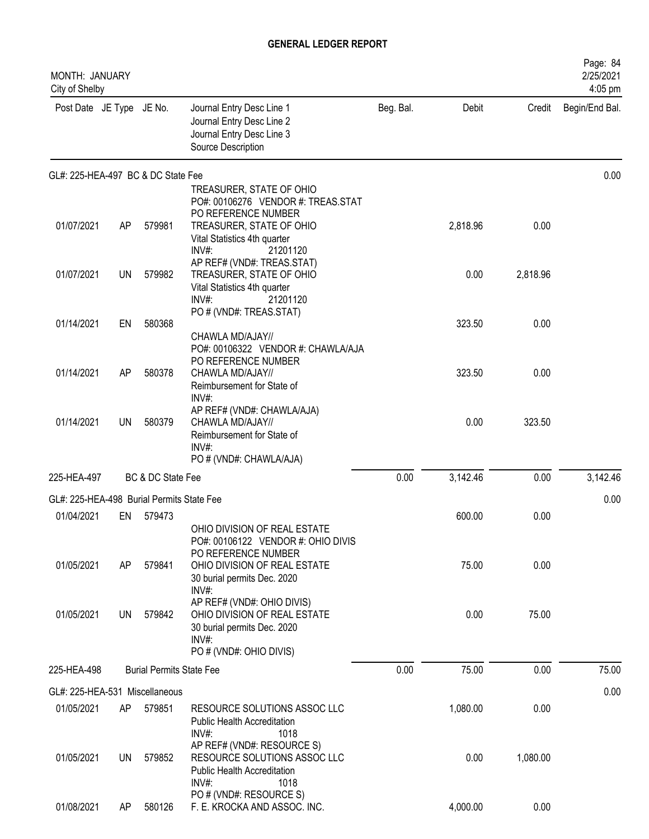| <b>MONTH: JANUARY</b><br>City of Shelby   |     |                                 |                                                                                                                          |           |          |          | Page: 84<br>2/25/2021<br>4:05 pm |
|-------------------------------------------|-----|---------------------------------|--------------------------------------------------------------------------------------------------------------------------|-----------|----------|----------|----------------------------------|
| Post Date JE Type JE No.                  |     |                                 | Journal Entry Desc Line 1<br>Journal Entry Desc Line 2<br>Journal Entry Desc Line 3<br>Source Description                | Beg. Bal. | Debit    | Credit   | Begin/End Bal.                   |
| GL#: 225-HEA-497 BC & DC State Fee        |     |                                 |                                                                                                                          |           |          |          | 0.00                             |
|                                           |     |                                 | TREASURER, STATE OF OHIO<br>PO#: 00106276 VENDOR #: TREAS.STAT                                                           |           |          |          |                                  |
| 01/07/2021                                | AP  | 579981                          | PO REFERENCE NUMBER<br>TREASURER, STATE OF OHIO<br>Vital Statistics 4th quarter<br>$INV#$ :<br>21201120                  |           | 2,818.96 | 0.00     |                                  |
| 01/07/2021                                | UN  | 579982                          | AP REF# (VND#: TREAS.STAT)<br>TREASURER, STATE OF OHIO<br>Vital Statistics 4th quarter<br>INV#:<br>21201120              |           | 0.00     | 2,818.96 |                                  |
| 01/14/2021                                | EN  | 580368                          | PO # (VND#: TREAS.STAT)                                                                                                  |           | 323.50   | 0.00     |                                  |
|                                           |     |                                 | CHAWLA MD/AJAY//                                                                                                         |           |          |          |                                  |
| 01/14/2021                                | AP  | 580378                          | PO#: 00106322 VENDOR #: CHAWLA/AJA<br>PO REFERENCE NUMBER<br>CHAWLA MD/AJAY//<br>Reimbursement for State of              |           | 323.50   | 0.00     |                                  |
| 01/14/2021                                | UN  | 580379                          | INV#:<br>AP REF# (VND#: CHAWLA/AJA)<br>CHAWLA MD/AJAY//<br>Reimbursement for State of<br>INV#:                           |           | 0.00     | 323.50   |                                  |
|                                           |     |                                 | PO # (VND#: CHAWLA/AJA)                                                                                                  |           |          |          |                                  |
| 225-HEA-497                               |     | BC & DC State Fee               |                                                                                                                          | 0.00      | 3,142.46 | 0.00     | 3,142.46                         |
| GL#: 225-HEA-498 Burial Permits State Fee |     |                                 |                                                                                                                          |           |          |          | 0.00                             |
| 01/04/2021                                | EN  | 579473                          | OHIO DIVISION OF REAL ESTATE                                                                                             |           | 600.00   | 0.00     |                                  |
| 01/05/2021                                | AP  | 579841                          | PO#: 00106122 VENDOR #: OHIO DIVIS<br>PO REFERENCE NUMBER<br>OHIO DIVISION OF REAL ESTATE<br>30 burial permits Dec. 2020 |           | 75.00    | 0.00     |                                  |
| 01/05/2021                                | UN  | 579842                          | INV#:<br>AP REF# (VND#: OHIO DIVIS)<br>OHIO DIVISION OF REAL ESTATE<br>30 burial permits Dec. 2020<br>$INV#$ :           |           | 0.00     | 75.00    |                                  |
|                                           |     |                                 | PO # (VND#: OHIO DIVIS)                                                                                                  |           |          |          |                                  |
| 225-HEA-498                               |     | <b>Burial Permits State Fee</b> |                                                                                                                          | 0.00      | 75.00    | 0.00     | 75.00                            |
| GL#: 225-HEA-531 Miscellaneous            |     |                                 |                                                                                                                          |           |          |          | 0.00                             |
| 01/05/2021                                | AP  | 579851                          | RESOURCE SOLUTIONS ASSOC LLC<br><b>Public Health Accreditation</b><br>$INV#$ :<br>1018                                   |           | 1,080.00 | 0.00     |                                  |
| 01/05/2021                                | UN. | 579852                          | AP REF# (VND#: RESOURCE S)<br>RESOURCE SOLUTIONS ASSOC LLC<br><b>Public Health Accreditation</b><br>INV#:<br>1018        |           | 0.00     | 1,080.00 |                                  |
| 01/08/2021                                | AP  | 580126                          | PO # (VND#: RESOURCE S)<br>F. E. KROCKA AND ASSOC. INC.                                                                  |           | 4,000.00 | 0.00     |                                  |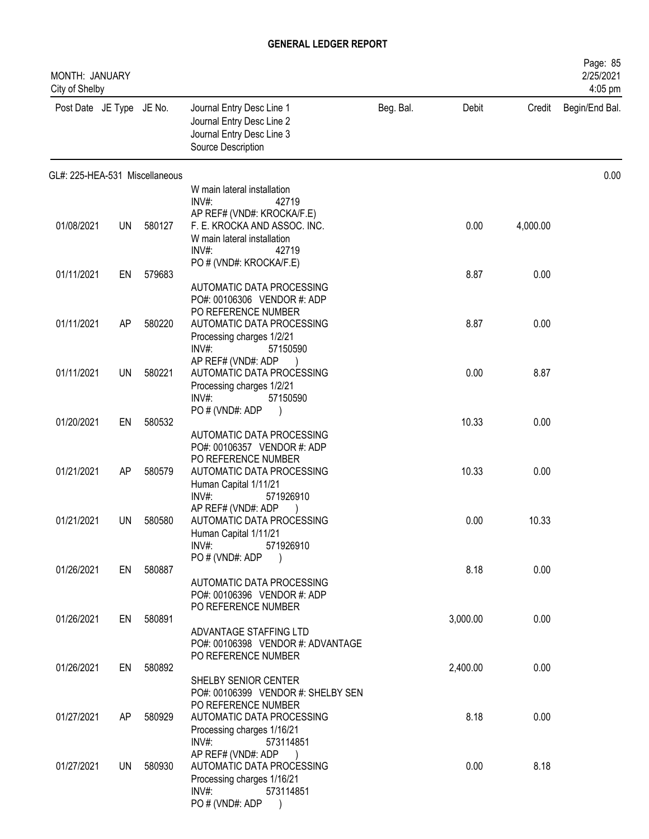| MONTH: JANUARY<br>City of Shelby |           |           |                                                                                                                          |           |          |          | Page: 85<br>2/25/2021<br>4:05 pm |
|----------------------------------|-----------|-----------|--------------------------------------------------------------------------------------------------------------------------|-----------|----------|----------|----------------------------------|
| Post Date JE Type JE No.         |           |           | Journal Entry Desc Line 1<br>Journal Entry Desc Line 2<br>Journal Entry Desc Line 3<br>Source Description                | Beg. Bal. | Debit    | Credit   | Begin/End Bal.                   |
| GL#: 225-HEA-531 Miscellaneous   |           |           |                                                                                                                          |           |          |          | 0.00                             |
|                                  |           |           | W main lateral installation<br>INV#<br>42719                                                                             |           |          |          |                                  |
| 01/08/2021                       | <b>UN</b> | 580127    | AP REF# (VND#: KROCKA/F.E)<br>F. E. KROCKA AND ASSOC. INC.<br>W main lateral installation<br>$INV#$ :<br>42719           |           | 0.00     | 4,000.00 |                                  |
| 01/11/2021                       | EN        | 579683    | PO # (VND#: KROCKA/F.E)                                                                                                  |           | 8.87     | 0.00     |                                  |
|                                  |           |           | AUTOMATIC DATA PROCESSING<br>PO#: 00106306 VENDOR #: ADP<br>PO REFERENCE NUMBER                                          |           |          |          |                                  |
| 01/11/2021                       | AP        | 580220    | AUTOMATIC DATA PROCESSING<br>Processing charges 1/2/21<br>$INV#$ :<br>57150590                                           |           | 8.87     | 0.00     |                                  |
| 01/11/2021                       | <b>UN</b> | 580221    | AP REF# (VND#: ADP<br>AUTOMATIC DATA PROCESSING<br>Processing charges 1/2/21<br>$INV#$ :<br>57150590                     |           | 0.00     | 8.87     |                                  |
|                                  |           |           | PO # (VND#: ADP<br>$\rightarrow$                                                                                         |           |          |          |                                  |
| 01/20/2021                       | EN        | 580532    | AUTOMATIC DATA PROCESSING<br>PO#: 00106357 VENDOR #: ADP<br>PO REFERENCE NUMBER                                          |           | 10.33    | 0.00     |                                  |
| 01/21/2021                       | AP        | 580579    | AUTOMATIC DATA PROCESSING<br>Human Capital 1/11/21<br>INV#:<br>571926910                                                 |           | 10.33    | 0.00     |                                  |
| 01/21/2021                       | UN        | 580580    | AP REF# (VND#: ADP<br>AUTOMATIC DATA PROCESSING<br>Human Capital 1/11/21<br>$INV#$ :<br>571926910                        |           | 0.00     | 10.33    |                                  |
| 01/26/2021                       |           | EN 580887 | PO#(VND#: ADP                                                                                                            |           | 8.18     | 0.00     |                                  |
|                                  |           |           | AUTOMATIC DATA PROCESSING<br>PO#: 00106396 VENDOR #: ADP<br>PO REFERENCE NUMBER                                          |           |          |          |                                  |
| 01/26/2021                       | EN        | 580891    | ADVANTAGE STAFFING LTD<br>PO#: 00106398 VENDOR #: ADVANTAGE                                                              |           | 3,000.00 | 0.00     |                                  |
| 01/26/2021                       | EN        | 580892    | PO REFERENCE NUMBER<br>SHELBY SENIOR CENTER<br>PO#: 00106399 VENDOR #: SHELBY SEN                                        |           | 2,400.00 | 0.00     |                                  |
| 01/27/2021                       | AP        | 580929    | PO REFERENCE NUMBER<br>AUTOMATIC DATA PROCESSING<br>Processing charges 1/16/21                                           |           | 8.18     | 0.00     |                                  |
| 01/27/2021                       | <b>UN</b> | 580930    | $INV#$ :<br>573114851<br>AP REF# (VND#: ADP<br>$\overline{)}$<br>AUTOMATIC DATA PROCESSING<br>Processing charges 1/16/21 |           | 0.00     | 8.18     |                                  |
|                                  |           |           | $INV#$ :<br>573114851<br>PO # (VND#: ADP                                                                                 |           |          |          |                                  |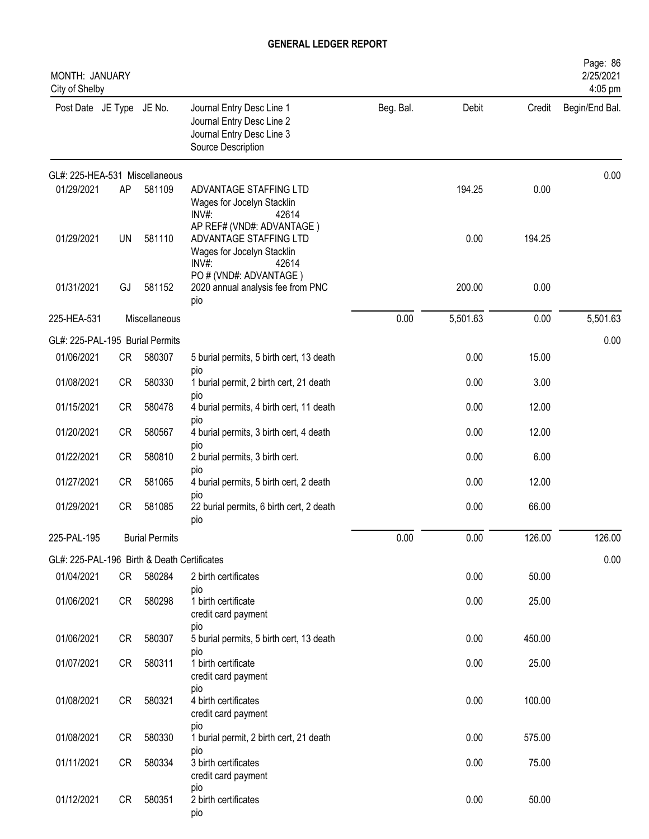| <b>MONTH: JANUARY</b><br>City of Shelby     |           |                       |                                                                                                           |           |          |        | Page: 86<br>2/25/2021<br>4:05 pm |
|---------------------------------------------|-----------|-----------------------|-----------------------------------------------------------------------------------------------------------|-----------|----------|--------|----------------------------------|
| Post Date JE Type JE No.                    |           |                       | Journal Entry Desc Line 1<br>Journal Entry Desc Line 2<br>Journal Entry Desc Line 3<br>Source Description | Beg. Bal. | Debit    | Credit | Begin/End Bal.                   |
| GL#: 225-HEA-531 Miscellaneous              |           |                       |                                                                                                           |           |          |        | 0.00                             |
| 01/29/2021                                  | AP        | 581109                | ADVANTAGE STAFFING LTD<br>Wages for Jocelyn Stacklin<br>INV#:<br>42614                                    |           | 194.25   | 0.00   |                                  |
| 01/29/2021                                  | UN        | 581110                | AP REF# (VND#: ADVANTAGE)<br>ADVANTAGE STAFFING LTD<br>Wages for Jocelyn Stacklin<br>INV#<br>42614        |           | 0.00     | 194.25 |                                  |
| 01/31/2021                                  | GJ        | 581152                | PO # (VND#: ADVANTAGE)<br>2020 annual analysis fee from PNC<br>pio                                        |           | 200.00   | 0.00   |                                  |
| 225-HEA-531                                 |           | Miscellaneous         |                                                                                                           | 0.00      | 5,501.63 | 0.00   | 5,501.63                         |
| GL#: 225-PAL-195 Burial Permits             |           |                       |                                                                                                           |           |          |        | 0.00                             |
| 01/06/2021                                  | CR        | 580307                | 5 burial permits, 5 birth cert, 13 death<br>pio                                                           |           | 0.00     | 15.00  |                                  |
| 01/08/2021                                  | <b>CR</b> | 580330                | 1 burial permit, 2 birth cert, 21 death                                                                   |           | 0.00     | 3.00   |                                  |
| 01/15/2021                                  | <b>CR</b> | 580478                | pio<br>4 burial permits, 4 birth cert, 11 death                                                           |           | 0.00     | 12.00  |                                  |
| 01/20/2021                                  | <b>CR</b> | 580567                | pio<br>4 burial permits, 3 birth cert, 4 death                                                            |           | 0.00     | 12.00  |                                  |
| 01/22/2021                                  | <b>CR</b> | 580810                | pio<br>2 burial permits, 3 birth cert.                                                                    |           | 0.00     | 6.00   |                                  |
| 01/27/2021                                  | <b>CR</b> | 581065                | pio<br>4 burial permits, 5 birth cert, 2 death                                                            |           | 0.00     | 12.00  |                                  |
| 01/29/2021                                  | <b>CR</b> | 581085                | pio<br>22 burial permits, 6 birth cert, 2 death<br>pio                                                    |           | 0.00     | 66.00  |                                  |
| 225-PAL-195                                 |           | <b>Burial Permits</b> |                                                                                                           | 0.00      | 0.00     | 126.00 | 126.00                           |
| GL#: 225-PAL-196 Birth & Death Certificates |           |                       |                                                                                                           |           |          |        | 0.00                             |
| 01/04/2021                                  | CR        | 580284                | 2 birth certificates<br>pio                                                                               |           | 0.00     | 50.00  |                                  |
| 01/06/2021                                  | CR        | 580298                | 1 birth certificate<br>credit card payment<br>pio                                                         |           | 0.00     | 25.00  |                                  |
| 01/06/2021                                  | <b>CR</b> | 580307                | 5 burial permits, 5 birth cert, 13 death                                                                  |           | 0.00     | 450.00 |                                  |
| 01/07/2021                                  | CR        | 580311                | pio<br>1 birth certificate<br>credit card payment                                                         |           | 0.00     | 25.00  |                                  |
| 01/08/2021                                  | <b>CR</b> | 580321                | pio<br>4 birth certificates<br>credit card payment                                                        |           | 0.00     | 100.00 |                                  |
| 01/08/2021                                  | <b>CR</b> | 580330                | pio<br>1 burial permit, 2 birth cert, 21 death                                                            |           | 0.00     | 575.00 |                                  |
| 01/11/2021                                  | <b>CR</b> | 580334                | pio<br>3 birth certificates<br>credit card payment                                                        |           | 0.00     | 75.00  |                                  |
| 01/12/2021                                  | <b>CR</b> | 580351                | pio<br>2 birth certificates<br>pio                                                                        |           | 0.00     | 50.00  |                                  |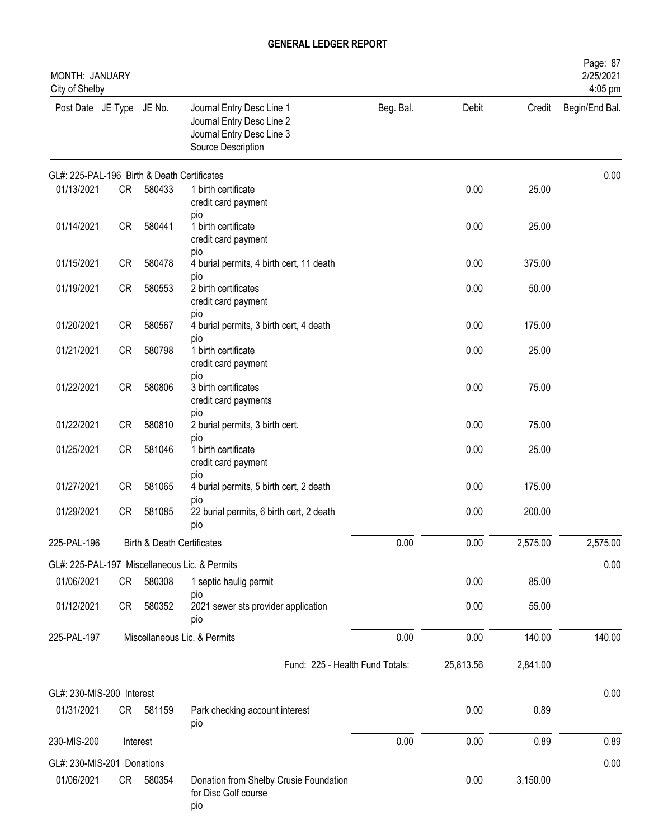| MONTH: JANUARY<br>City of Shelby            |           |                            |                                                                                                           |           |           |          | Page: 87<br>2/25/2021<br>4:05 pm |
|---------------------------------------------|-----------|----------------------------|-----------------------------------------------------------------------------------------------------------|-----------|-----------|----------|----------------------------------|
| Post Date JE Type JE No.                    |           |                            | Journal Entry Desc Line 1<br>Journal Entry Desc Line 2<br>Journal Entry Desc Line 3<br>Source Description | Beg. Bal. | Debit     | Credit   | Begin/End Bal.                   |
| GL#: 225-PAL-196 Birth & Death Certificates |           |                            |                                                                                                           |           |           |          | 0.00                             |
| 01/13/2021                                  | <b>CR</b> | 580433                     | 1 birth certificate<br>credit card payment<br>pio                                                         |           | 0.00      | 25.00    |                                  |
| 01/14/2021                                  | CR        | 580441                     | 1 birth certificate<br>credit card payment<br>pio                                                         |           | 0.00      | 25.00    |                                  |
| 01/15/2021                                  | CR        | 580478                     | 4 burial permits, 4 birth cert, 11 death                                                                  |           | 0.00      | 375.00   |                                  |
| 01/19/2021                                  | <b>CR</b> | 580553                     | pio<br>2 birth certificates<br>credit card payment                                                        |           | 0.00      | 50.00    |                                  |
| 01/20/2021                                  | <b>CR</b> | 580567                     | pio<br>4 burial permits, 3 birth cert, 4 death                                                            |           | 0.00      | 175.00   |                                  |
| 01/21/2021                                  | <b>CR</b> | 580798                     | pio<br>1 birth certificate<br>credit card payment                                                         |           | 0.00      | 25.00    |                                  |
| 01/22/2021                                  | CR        | 580806                     | pio<br>3 birth certificates<br>credit card payments                                                       |           | 0.00      | 75.00    |                                  |
| 01/22/2021                                  | <b>CR</b> | 580810                     | pio<br>2 burial permits, 3 birth cert.                                                                    |           | 0.00      | 75.00    |                                  |
| 01/25/2021                                  | CR        | 581046                     | pio<br>1 birth certificate<br>credit card payment                                                         |           | 0.00      | 25.00    |                                  |
| 01/27/2021                                  | CR        | 581065                     | pio<br>4 burial permits, 5 birth cert, 2 death                                                            |           | 0.00      | 175.00   |                                  |
| 01/29/2021                                  | CR        | 581085                     | pio<br>22 burial permits, 6 birth cert, 2 death<br>pio                                                    |           | 0.00      | 200.00   |                                  |
| 225-PAL-196                                 |           | Birth & Death Certificates |                                                                                                           | 0.00      | 0.00      | 2,575.00 | 2,575.00                         |
|                                             |           |                            | GL#: 225-PAL-197 Miscellaneous Lic. & Permits                                                             |           |           |          | 0.00                             |
| 01/06/2021                                  | CR        | 580308                     | 1 septic haulig permit<br>pio                                                                             |           | 0.00      | 85.00    |                                  |
| 01/12/2021                                  | CR        | 580352                     | 2021 sewer sts provider application<br>pio                                                                |           | 0.00      | 55.00    |                                  |
| 225-PAL-197                                 |           |                            | Miscellaneous Lic. & Permits                                                                              | 0.00      | 0.00      | 140.00   | 140.00                           |
|                                             |           |                            | Fund: 225 - Health Fund Totals:                                                                           |           | 25,813.56 | 2,841.00 |                                  |
| GL#: 230-MIS-200 Interest                   |           |                            |                                                                                                           |           |           |          | 0.00                             |
| 01/31/2021                                  | CR        | 581159                     | Park checking account interest<br>pio                                                                     |           | 0.00      | 0.89     |                                  |
| 230-MIS-200                                 |           | Interest                   |                                                                                                           | 0.00      | 0.00      | 0.89     | 0.89                             |
| GL#: 230-MIS-201 Donations                  |           |                            |                                                                                                           |           |           |          | 0.00                             |
| 01/06/2021                                  | CR        | 580354                     | Donation from Shelby Crusie Foundation<br>for Disc Golf course<br>pio                                     |           | 0.00      | 3,150.00 |                                  |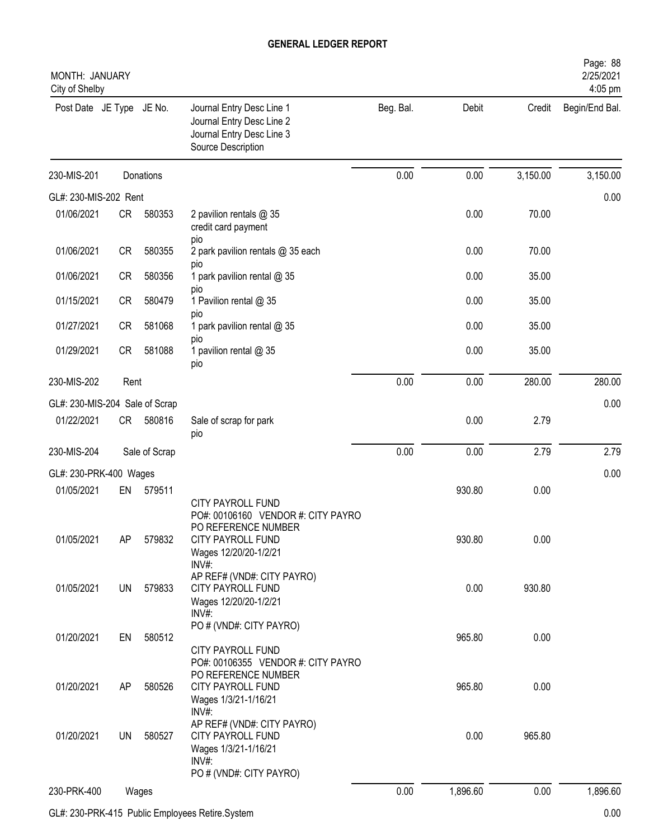| MONTH: JANUARY<br>City of Shelby |           |               |                                                                                                                                       |           |          |          | Page: 88<br>2/25/2021<br>4:05 pm |
|----------------------------------|-----------|---------------|---------------------------------------------------------------------------------------------------------------------------------------|-----------|----------|----------|----------------------------------|
| Post Date JE Type JE No.         |           |               | Journal Entry Desc Line 1<br>Journal Entry Desc Line 2<br>Journal Entry Desc Line 3<br>Source Description                             | Beg. Bal. | Debit    | Credit   | Begin/End Bal.                   |
| 230-MIS-201                      |           | Donations     |                                                                                                                                       | 0.00      | 0.00     | 3,150.00 | 3,150.00                         |
| GL#: 230-MIS-202 Rent            |           |               |                                                                                                                                       |           |          |          | 0.00                             |
| 01/06/2021                       | <b>CR</b> | 580353        | 2 pavilion rentals @ 35<br>credit card payment<br>pio                                                                                 |           | 0.00     | 70.00    |                                  |
| 01/06/2021                       | <b>CR</b> | 580355        | 2 park pavilion rentals @ 35 each                                                                                                     |           | 0.00     | 70.00    |                                  |
| 01/06/2021                       | <b>CR</b> | 580356        | pio<br>1 park pavilion rental @ 35<br>pio                                                                                             |           | 0.00     | 35.00    |                                  |
| 01/15/2021                       | <b>CR</b> | 580479        | 1 Pavilion rental @ 35<br>pio                                                                                                         |           | 0.00     | 35.00    |                                  |
| 01/27/2021                       | <b>CR</b> | 581068        | 1 park pavilion rental @ 35                                                                                                           |           | 0.00     | 35.00    |                                  |
| 01/29/2021                       | <b>CR</b> | 581088        | pio<br>1 pavilion rental @ 35<br>pio                                                                                                  |           | 0.00     | 35.00    |                                  |
| 230-MIS-202                      | Rent      |               |                                                                                                                                       | 0.00      | 0.00     | 280.00   | 280.00                           |
| GL#: 230-MIS-204 Sale of Scrap   |           |               |                                                                                                                                       |           |          |          | 0.00                             |
| 01/22/2021                       | CR        | 580816        | Sale of scrap for park<br>pio                                                                                                         |           | 0.00     | 2.79     |                                  |
| 230-MIS-204                      |           | Sale of Scrap |                                                                                                                                       | 0.00      | 0.00     | 2.79     | 2.79                             |
| GL#: 230-PRK-400 Wages           |           |               |                                                                                                                                       |           |          |          | 0.00                             |
| 01/05/2021                       | EN        | 579511        |                                                                                                                                       |           | 930.80   | 0.00     |                                  |
| 01/05/2021                       | AP        | 579832        | CITY PAYROLL FUND<br>PO#: 00106160 VENDOR #: CITY PAYRO<br>PO REFERENCE NUMBER<br>CITY PAYROLL FUND<br>Wages 12/20/20-1/2/21<br>INV#: |           | 930.80   | 0.00     |                                  |
| 01/05/2021                       | <b>UN</b> | 579833        | AP REF# (VND#: CITY PAYRO)<br>CITY PAYROLL FUND<br>Wages 12/20/20-1/2/21<br>INV#:                                                     |           | 0.00     | 930.80   |                                  |
| 01/20/2021                       | EN        | 580512        | PO # (VND#: CITY PAYRO)<br>CITY PAYROLL FUND<br>PO#: 00106355 VENDOR #: CITY PAYRO                                                    |           | 965.80   | 0.00     |                                  |
| 01/20/2021                       | AP        | 580526        | PO REFERENCE NUMBER<br><b>CITY PAYROLL FUND</b><br>Wages 1/3/21-1/16/21<br>INV#:                                                      |           | 965.80   | 0.00     |                                  |
| 01/20/2021                       | UN        | 580527        | AP REF# (VND#: CITY PAYRO)<br>CITY PAYROLL FUND<br>Wages 1/3/21-1/16/21<br>INV#:<br>PO # (VND#: CITY PAYRO)                           |           | 0.00     | 965.80   |                                  |
| 230-PRK-400                      |           | Wages         |                                                                                                                                       | 0.00      | 1,896.60 | 0.00     | 1,896.60                         |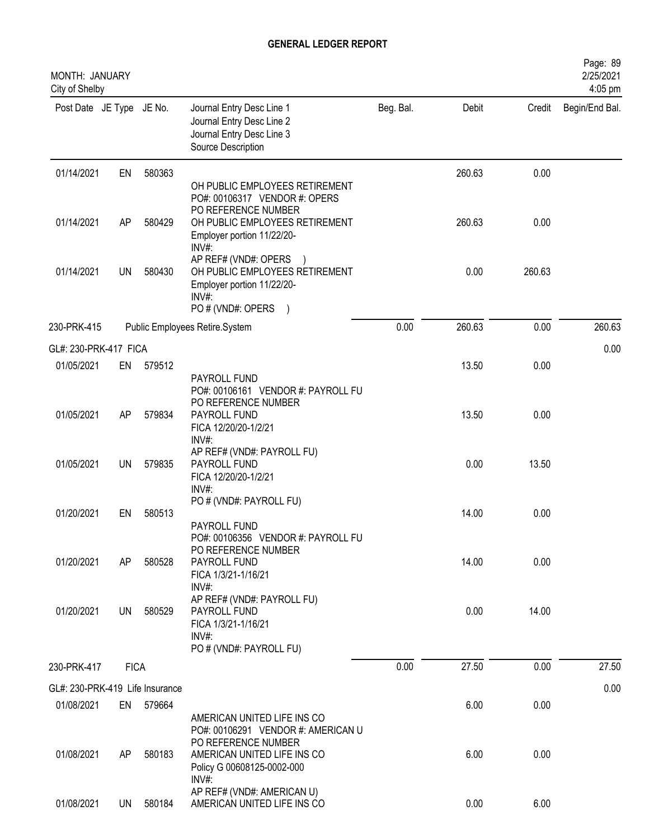| MONTH: JANUARY<br>City of Shelby |             |           |                                                                                                                                 |           |        |        | Page: 89<br>2/25/2021<br>4:05 pm |
|----------------------------------|-------------|-----------|---------------------------------------------------------------------------------------------------------------------------------|-----------|--------|--------|----------------------------------|
| Post Date JE Type JE No.         |             |           | Journal Entry Desc Line 1<br>Journal Entry Desc Line 2<br>Journal Entry Desc Line 3<br>Source Description                       | Beg. Bal. | Debit  | Credit | Begin/End Bal.                   |
| 01/14/2021                       | EN          | 580363    | OH PUBLIC EMPLOYEES RETIREMENT<br>PO#: 00106317 VENDOR #: OPERS                                                                 |           | 260.63 | 0.00   |                                  |
| 01/14/2021                       | AP          | 580429    | PO REFERENCE NUMBER<br>OH PUBLIC EMPLOYEES RETIREMENT<br>Employer portion 11/22/20-<br>INV#:                                    |           | 260.63 | 0.00   |                                  |
| 01/14/2021                       | UN          | 580430    | AP REF# (VND#: OPERS<br>OH PUBLIC EMPLOYEES RETIREMENT<br>Employer portion 11/22/20-<br>INV#:<br>PO # (VND#: OPERS<br>$\lambda$ |           | 0.00   | 260.63 |                                  |
| 230-PRK-415                      |             |           | Public Employees Retire.System                                                                                                  | 0.00      | 260.63 | 0.00   | 260.63                           |
| GL#: 230-PRK-417 FICA            |             |           |                                                                                                                                 |           |        |        | 0.00                             |
| 01/05/2021                       | EN          | 579512    | PAYROLL FUND<br>PO#: 00106161 VENDOR #: PAYROLL FU                                                                              |           | 13.50  | 0.00   |                                  |
| 01/05/2021                       | AP          | 579834    | PO REFERENCE NUMBER<br>PAYROLL FUND<br>FICA 12/20/20-1/2/21<br>INV#:                                                            |           | 13.50  | 0.00   |                                  |
| 01/05/2021                       | UN          | 579835    | AP REF# (VND#: PAYROLL FU)<br>PAYROLL FUND<br>FICA 12/20/20-1/2/21<br>$INV#$ :                                                  |           | 0.00   | 13.50  |                                  |
| 01/20/2021                       | EN          | 580513    | PO # (VND#: PAYROLL FU)<br>PAYROLL FUND                                                                                         |           | 14.00  | 0.00   |                                  |
| 01/20/2021                       | AP          | 580528    | PO#: 00106356 VENDOR #: PAYROLL FU<br>PO REFERENCE NUMBER<br>PAYROLL FUND<br>FICA 1/3/21-1/16/21<br>INV#:                       |           | 14.00  | 0.00   |                                  |
| 01/20/2021                       | <b>UN</b>   | 580529    | AP REF# (VND#: PAYROLL FU)<br>PAYROLL FUND<br>FICA 1/3/21-1/16/21<br>INV#:<br>PO # (VND#: PAYROLL FU)                           |           | 0.00   | 14.00  |                                  |
| 230-PRK-417                      | <b>FICA</b> |           |                                                                                                                                 | 0.00      | 27.50  | 0.00   | 27.50                            |
| GL#: 230-PRK-419 Life Insurance  |             |           |                                                                                                                                 |           |        |        | 0.00                             |
| 01/08/2021                       |             | EN 579664 | AMERICAN UNITED LIFE INS CO                                                                                                     |           | 6.00   | 0.00   |                                  |
| 01/08/2021                       | AP          | 580183    | PO#: 00106291 VENDOR #: AMERICAN U<br>PO REFERENCE NUMBER<br>AMERICAN UNITED LIFE INS CO<br>Policy G 00608125-0002-000<br>INV#: |           | 6.00   | 0.00   |                                  |
| 01/08/2021                       | UN          | 580184    | AP REF# (VND#: AMERICAN U)<br>AMERICAN UNITED LIFE INS CO                                                                       |           | 0.00   | 6.00   |                                  |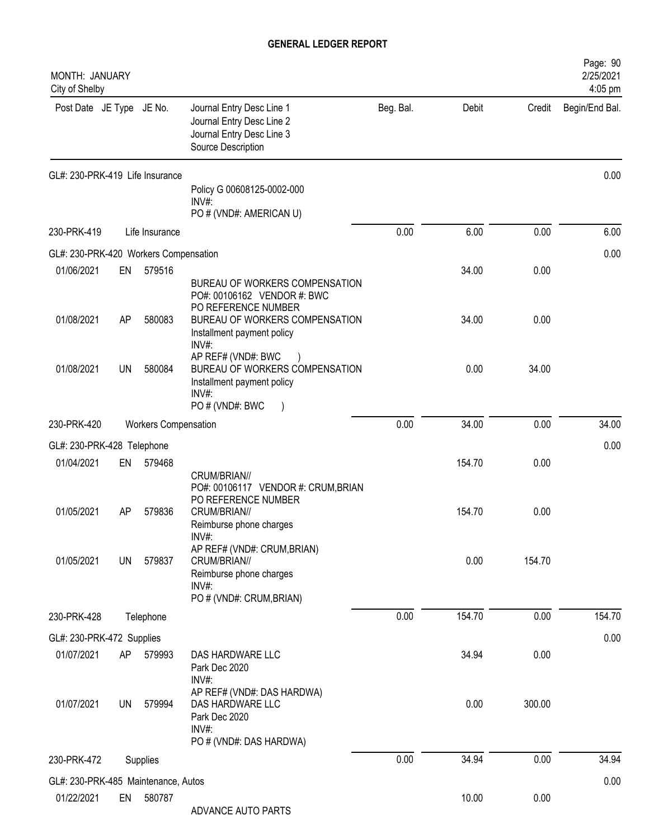| MONTH: JANUARY<br>City of Shelby      |           |                      |                                                                                                                                 |           |        |        | Page: 90<br>2/25/2021<br>4:05 pm |
|---------------------------------------|-----------|----------------------|---------------------------------------------------------------------------------------------------------------------------------|-----------|--------|--------|----------------------------------|
| Post Date JE Type JE No.              |           |                      | Journal Entry Desc Line 1<br>Journal Entry Desc Line 2<br>Journal Entry Desc Line 3<br>Source Description                       | Beg. Bal. | Debit  | Credit | Begin/End Bal.                   |
| GL#: 230-PRK-419 Life Insurance       |           |                      | Policy G 00608125-0002-000<br>INV#:                                                                                             |           |        |        | 0.00                             |
|                                       |           |                      | PO # (VND#: AMERICAN U)                                                                                                         |           |        |        |                                  |
| 230-PRK-419                           |           | Life Insurance       |                                                                                                                                 | 0.00      | 6.00   | 0.00   | 6.00                             |
| GL#: 230-PRK-420 Workers Compensation |           |                      |                                                                                                                                 |           |        |        | 0.00                             |
| 01/06/2021                            | EN        | 579516               | BUREAU OF WORKERS COMPENSATION<br>PO#: 00106162 VENDOR #: BWC                                                                   |           | 34.00  | 0.00   |                                  |
| 01/08/2021                            | AP        | 580083               | PO REFERENCE NUMBER<br>BUREAU OF WORKERS COMPENSATION<br>Installment payment policy<br>INV#:                                    |           | 34.00  | 0.00   |                                  |
| 01/08/2021                            | UN        | 580084               | AP REF# (VND#: BWC<br>BUREAU OF WORKERS COMPENSATION<br>Installment payment policy<br>INV#:<br>PO # (VND#: BWC<br>$\rightarrow$ |           | 0.00   | 34.00  |                                  |
| 230-PRK-420                           |           | Workers Compensation |                                                                                                                                 | 0.00      | 34.00  | 0.00   | 34.00                            |
| GL#: 230-PRK-428 Telephone            |           |                      |                                                                                                                                 |           |        |        | 0.00                             |
| 01/04/2021                            | EN        | 579468               | CRUM/BRIAN//                                                                                                                    |           | 154.70 | 0.00   |                                  |
| 01/05/2021                            | AP        | 579836               | PO#: 00106117 VENDOR #: CRUM, BRIAN<br>PO REFERENCE NUMBER<br>CRUM/BRIAN//<br>Reimburse phone charges<br>INV#:                  |           | 154.70 | 0.00   |                                  |
| 01/05/2021                            | <b>UN</b> | 579837               | AP REF# (VND#: CRUM, BRIAN)<br>CRUM/BRIAN//<br>Reimburse phone charges<br>INV#:                                                 |           | 0.00   | 154.70 |                                  |
|                                       |           |                      | PO # (VND#: CRUM, BRIAN)                                                                                                        |           |        |        |                                  |
| 230-PRK-428                           |           | Telephone            |                                                                                                                                 | 0.00      | 154.70 | 0.00   | 154.70                           |
| GL#: 230-PRK-472 Supplies             |           |                      |                                                                                                                                 |           |        |        | 0.00                             |
| 01/07/2021                            | AP        | 579993               | DAS HARDWARE LLC<br>Park Dec 2020<br>INV#:                                                                                      |           | 34.94  | 0.00   |                                  |
| 01/07/2021                            | <b>UN</b> | 579994               | AP REF# (VND#: DAS HARDWA)<br>DAS HARDWARE LLC<br>Park Dec 2020<br>INV#:<br>PO # (VND#: DAS HARDWA)                             |           | 0.00   | 300.00 |                                  |
| 230-PRK-472                           |           | Supplies             |                                                                                                                                 | 0.00      | 34.94  | 0.00   | 34.94                            |
| GL#: 230-PRK-485 Maintenance, Autos   |           |                      |                                                                                                                                 |           |        |        | 0.00                             |
| 01/22/2021                            | EN        | 580787               | ADVANCE AUTO PARTS                                                                                                              |           | 10.00  | 0.00   |                                  |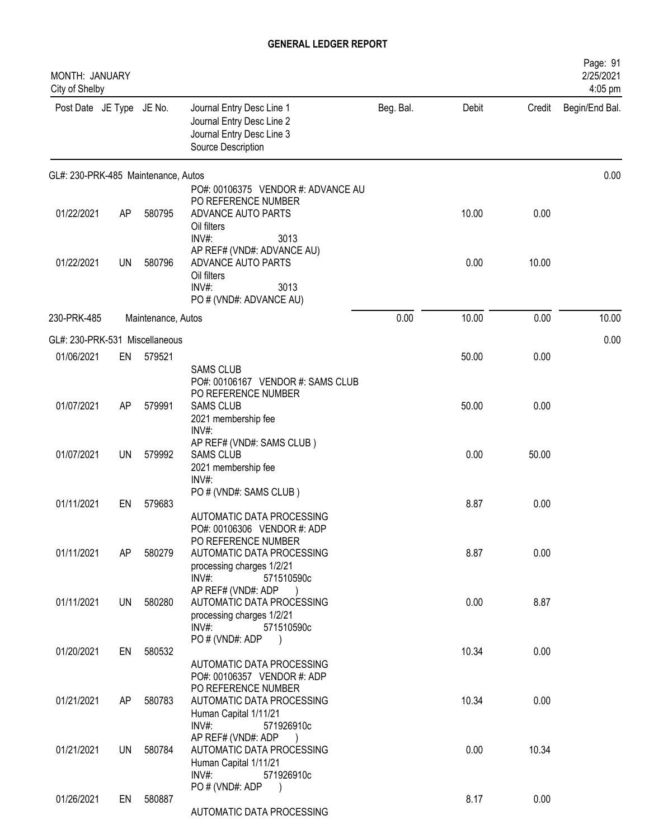| MONTH: JANUARY<br>City of Shelby    |           |                    |                                                                                                                                     |           |       |        | Page: 91<br>2/25/2021<br>4:05 pm |
|-------------------------------------|-----------|--------------------|-------------------------------------------------------------------------------------------------------------------------------------|-----------|-------|--------|----------------------------------|
| Post Date JE Type JE No.            |           |                    | Journal Entry Desc Line 1<br>Journal Entry Desc Line 2<br>Journal Entry Desc Line 3<br>Source Description                           | Beg. Bal. | Debit | Credit | Begin/End Bal.                   |
| GL#: 230-PRK-485 Maintenance, Autos |           |                    |                                                                                                                                     |           |       |        | 0.00                             |
| 01/22/2021                          | AP        | 580795             | PO#: 00106375 VENDOR #: ADVANCE AU<br>PO REFERENCE NUMBER<br>ADVANCE AUTO PARTS<br>Oil filters                                      |           | 10.00 | 0.00   |                                  |
| 01/22/2021                          | <b>UN</b> | 580796             | INV#:<br>3013<br>AP REF# (VND#: ADVANCE AU)<br>ADVANCE AUTO PARTS<br>Oil filters<br>INV#:<br>3013<br>PO # (VND#: ADVANCE AU)        |           | 0.00  | 10.00  |                                  |
| 230-PRK-485                         |           | Maintenance, Autos |                                                                                                                                     | 0.00      | 10.00 | 0.00   | 10.00                            |
| GL#: 230-PRK-531 Miscellaneous      |           |                    |                                                                                                                                     |           |       |        | 0.00                             |
| 01/06/2021                          | EN        | 579521             | <b>SAMS CLUB</b>                                                                                                                    |           | 50.00 | 0.00   |                                  |
| 01/07/2021                          | AP        | 579991             | PO#: 00106167 VENDOR #: SAMS CLUB<br>PO REFERENCE NUMBER<br><b>SAMS CLUB</b><br>2021 membership fee<br>INV#:                        |           | 50.00 | 0.00   |                                  |
| 01/07/2021                          | <b>UN</b> | 579992             | AP REF# (VND#: SAMS CLUB)<br><b>SAMS CLUB</b><br>2021 membership fee                                                                |           | 0.00  | 50.00  |                                  |
| 01/11/2021                          | EN        | 579683             | INV#:<br>PO # (VND#: SAMS CLUB)<br>AUTOMATIC DATA PROCESSING                                                                        |           | 8.87  | 0.00   |                                  |
| 01/11/2021                          | AP        | 580279             | PO#: 00106306 VENDOR #: ADP<br>PO REFERENCE NUMBER<br>AUTOMATIC DATA PROCESSING<br>processing charges 1/2/21<br>INV#:<br>571510590c |           | 8.87  | 0.00   |                                  |
| 01/11/2021                          | <b>UN</b> | 580280             | AP REF# (VND#: ADP<br>AUTOMATIC DATA PROCESSING<br>processing charges 1/2/21<br>INV#:<br>571510590c                                 |           | 0.00  | 8.87   |                                  |
| 01/20/2021                          | EN        | 580532             | PO # (VND#: ADP                                                                                                                     |           | 10.34 | 0.00   |                                  |
|                                     |           |                    | AUTOMATIC DATA PROCESSING<br>PO#: 00106357 VENDOR #: ADP<br>PO REFERENCE NUMBER                                                     |           |       |        |                                  |
| 01/21/2021                          | AP        | 580783             | AUTOMATIC DATA PROCESSING<br>Human Capital 1/11/21<br>INV#:<br>571926910c                                                           |           | 10.34 | 0.00   |                                  |
| 01/21/2021                          | <b>UN</b> | 580784             | AP REF# (VND#: ADP<br>AUTOMATIC DATA PROCESSING<br>Human Capital 1/11/21<br>INV#:<br>571926910c                                     |           | 0.00  | 10.34  |                                  |
| 01/26/2021                          | EN        | 580887             | PO#(VND#: ADP<br>AUTOMATIC DATA PROCESSING                                                                                          |           | 8.17  | 0.00   |                                  |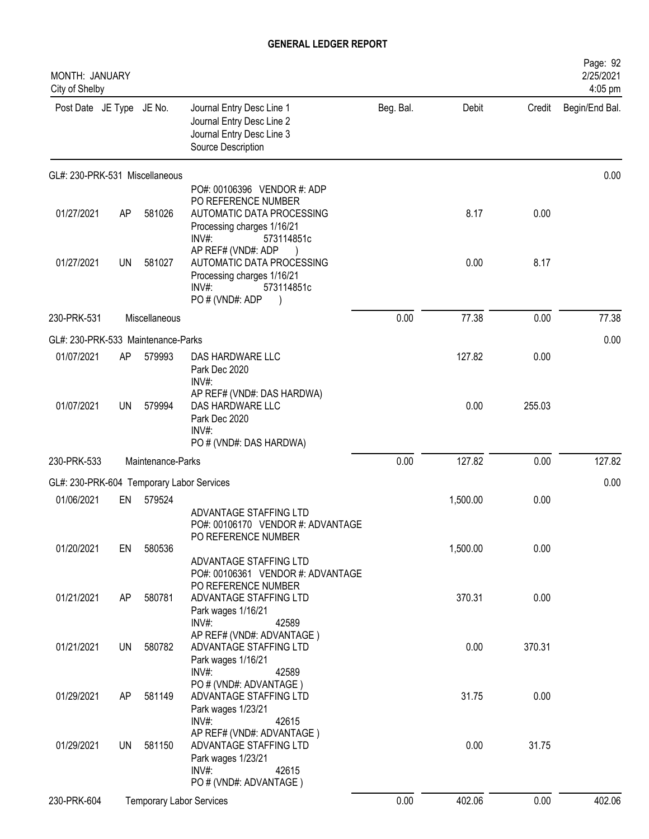| MONTH: JANUARY<br>City of Shelby          |           |                                 |                                                                                                                                      |           |          |        | Page: 92<br>2/25/2021<br>4:05 pm |
|-------------------------------------------|-----------|---------------------------------|--------------------------------------------------------------------------------------------------------------------------------------|-----------|----------|--------|----------------------------------|
| Post Date JE Type JE No.                  |           |                                 | Journal Entry Desc Line 1<br>Journal Entry Desc Line 2<br>Journal Entry Desc Line 3<br>Source Description                            | Beg. Bal. | Debit    | Credit | Begin/End Bal.                   |
| GL#: 230-PRK-531 Miscellaneous            |           |                                 |                                                                                                                                      |           |          |        | 0.00                             |
| 01/27/2021                                | AP        | 581026                          | PO#: 00106396 VENDOR #: ADP<br>PO REFERENCE NUMBER<br>AUTOMATIC DATA PROCESSING<br>Processing charges 1/16/21<br>INV#:<br>573114851c |           | 8.17     | 0.00   |                                  |
| 01/27/2021                                | UN        | 581027                          | AP REF# (VND#: ADP<br>AUTOMATIC DATA PROCESSING<br>Processing charges 1/16/21<br>INV#:<br>573114851c<br>PO # (VND#: ADP              |           | 0.00     | 8.17   |                                  |
| 230-PRK-531                               |           | Miscellaneous                   |                                                                                                                                      | 0.00      | 77.38    | 0.00   | 77.38                            |
| GL#: 230-PRK-533 Maintenance-Parks        |           |                                 |                                                                                                                                      |           |          |        | 0.00                             |
| 01/07/2021                                | AP        | 579993                          | DAS HARDWARE LLC<br>Park Dec 2020<br>INV#:                                                                                           |           | 127.82   | 0.00   |                                  |
| 01/07/2021                                | <b>UN</b> | 579994                          | AP REF# (VND#: DAS HARDWA)<br>DAS HARDWARE LLC<br>Park Dec 2020<br>INV#:<br>PO # (VND#: DAS HARDWA)                                  |           | 0.00     | 255.03 |                                  |
| 230-PRK-533                               |           | Maintenance-Parks               |                                                                                                                                      | 0.00      | 127.82   | 0.00   | 127.82                           |
| GL#: 230-PRK-604 Temporary Labor Services |           |                                 |                                                                                                                                      |           |          |        | 0.00                             |
| 01/06/2021                                | EN        | 579524                          |                                                                                                                                      |           | 1,500.00 | 0.00   |                                  |
| 01/20/2021                                | EN        | 580536                          | ADVANTAGE STAFFING LTD<br>PO#: 00106170 VENDOR #: ADVANTAGE<br>PO REFERENCE NUMBER<br>ADVANTAGE STAFFING LTD                         |           | 1,500.00 | 0.00   |                                  |
| 01/21/2021                                | AP        | 580781                          | PO#: 00106361 VENDOR #: ADVANTAGE<br>PO REFERENCE NUMBER<br>ADVANTAGE STAFFING LTD<br>Park wages 1/16/21<br>INV#:<br>42589           |           | 370.31   | 0.00   |                                  |
| 01/21/2021                                | UN        | 580782                          | AP REF# (VND#: ADVANTAGE)<br>ADVANTAGE STAFFING LTD<br>Park wages 1/16/21<br>$INV#$ :<br>42589                                       |           | 0.00     | 370.31 |                                  |
| 01/29/2021                                | AP        | 581149                          | PO # (VND#: ADVANTAGE)<br>ADVANTAGE STAFFING LTD<br>Park wages 1/23/21<br>$INV#$ :<br>42615                                          |           | 31.75    | 0.00   |                                  |
| 01/29/2021                                | UN        | 581150                          | AP REF# (VND#: ADVANTAGE)<br>ADVANTAGE STAFFING LTD<br>Park wages 1/23/21<br>$INV#$ :<br>42615                                       |           | 0.00     | 31.75  |                                  |
| 230-PRK-604                               |           | <b>Temporary Labor Services</b> | PO # (VND#: ADVANTAGE)                                                                                                               | 0.00      | 402.06   | 0.00   | 402.06                           |
|                                           |           |                                 |                                                                                                                                      |           |          |        |                                  |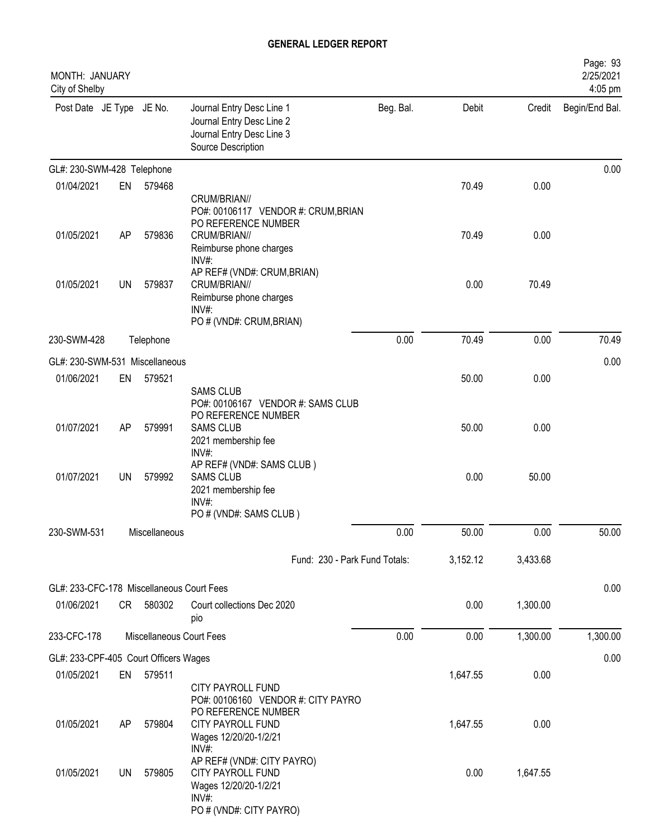| MONTH: JANUARY<br>City of Shelby          |    |                          |                                                                                                                       |           |          |          | Page: 93<br>2/25/2021<br>4:05 pm |
|-------------------------------------------|----|--------------------------|-----------------------------------------------------------------------------------------------------------------------|-----------|----------|----------|----------------------------------|
| Post Date JE Type JE No.                  |    |                          | Journal Entry Desc Line 1<br>Journal Entry Desc Line 2<br>Journal Entry Desc Line 3<br>Source Description             | Beg. Bal. | Debit    | Credit   | Begin/End Bal.                   |
| GL#: 230-SWM-428 Telephone                |    |                          |                                                                                                                       |           |          |          | 0.00                             |
| 01/04/2021                                | EN | 579468                   |                                                                                                                       |           | 70.49    | 0.00     |                                  |
| 01/05/2021                                | AP | 579836                   | CRUM/BRIAN//<br>PO#: 00106117 VENDOR #: CRUM, BRIAN<br>PO REFERENCE NUMBER<br>CRUM/BRIAN//<br>Reimburse phone charges |           | 70.49    | 0.00     |                                  |
|                                           |    |                          | INV#:                                                                                                                 |           |          |          |                                  |
| 01/05/2021                                | UN | 579837                   | AP REF# (VND#: CRUM, BRIAN)<br>CRUM/BRIAN//<br>Reimburse phone charges<br>INV#:                                       |           | 0.00     | 70.49    |                                  |
| 230-SWM-428                               |    | Telephone                | PO # (VND#: CRUM, BRIAN)                                                                                              | 0.00      | 70.49    | 0.00     | 70.49                            |
|                                           |    |                          |                                                                                                                       |           |          |          |                                  |
| GL#: 230-SWM-531 Miscellaneous            |    |                          |                                                                                                                       |           |          |          | 0.00                             |
| 01/06/2021                                | EN | 579521                   | <b>SAMS CLUB</b>                                                                                                      |           | 50.00    | 0.00     |                                  |
|                                           |    |                          | PO#: 00106167 VENDOR #: SAMS CLUB                                                                                     |           |          |          |                                  |
| 01/07/2021                                | AP | 579991                   | PO REFERENCE NUMBER<br><b>SAMS CLUB</b>                                                                               |           | 50.00    | 0.00     |                                  |
|                                           |    |                          | 2021 membership fee                                                                                                   |           |          |          |                                  |
|                                           |    |                          | INV#:<br>AP REF# (VND#: SAMS CLUB)                                                                                    |           |          |          |                                  |
| 01/07/2021                                | UN | 579992                   | <b>SAMS CLUB</b><br>2021 membership fee                                                                               |           | 0.00     | 50.00    |                                  |
|                                           |    |                          | INV#:                                                                                                                 |           |          |          |                                  |
|                                           |    |                          | PO # (VND#: SAMS CLUB)                                                                                                |           |          |          |                                  |
| 230-SWM-531                               |    | Miscellaneous            |                                                                                                                       | 0.00      | 50.00    | 0.00     | 50.00                            |
|                                           |    |                          | Fund: 230 - Park Fund Totals:                                                                                         |           | 3,152.12 | 3,433.68 |                                  |
| GL#: 233-CFC-178 Miscellaneous Court Fees |    |                          |                                                                                                                       |           |          |          | 0.00                             |
| 01/06/2021                                |    | CR 580302                | Court collections Dec 2020<br>pio                                                                                     |           | 0.00     | 1,300.00 |                                  |
| 233-CFC-178                               |    | Miscellaneous Court Fees |                                                                                                                       | 0.00      | 0.00     | 1,300.00 | 1,300.00                         |
| GL#: 233-CPF-405 Court Officers Wages     |    |                          |                                                                                                                       |           |          |          | 0.00                             |
| 01/05/2021                                | EN | 579511                   |                                                                                                                       |           | 1,647.55 | 0.00     |                                  |
|                                           |    |                          | CITY PAYROLL FUND                                                                                                     |           |          |          |                                  |
| 01/05/2021                                | AP | 579804                   | PO#: 00106160 VENDOR #: CITY PAYRO<br>PO REFERENCE NUMBER<br>CITY PAYROLL FUND<br>Wages 12/20/20-1/2/21<br>$INV#$ :   |           | 1,647.55 | 0.00     |                                  |
| 01/05/2021                                | UN | 579805                   | AP REF# (VND#: CITY PAYRO)<br>CITY PAYROLL FUND<br>Wages 12/20/20-1/2/21<br>$INV#$ :                                  |           | 0.00     | 1,647.55 |                                  |
|                                           |    |                          | PO # (VND#: CITY PAYRO)                                                                                               |           |          |          |                                  |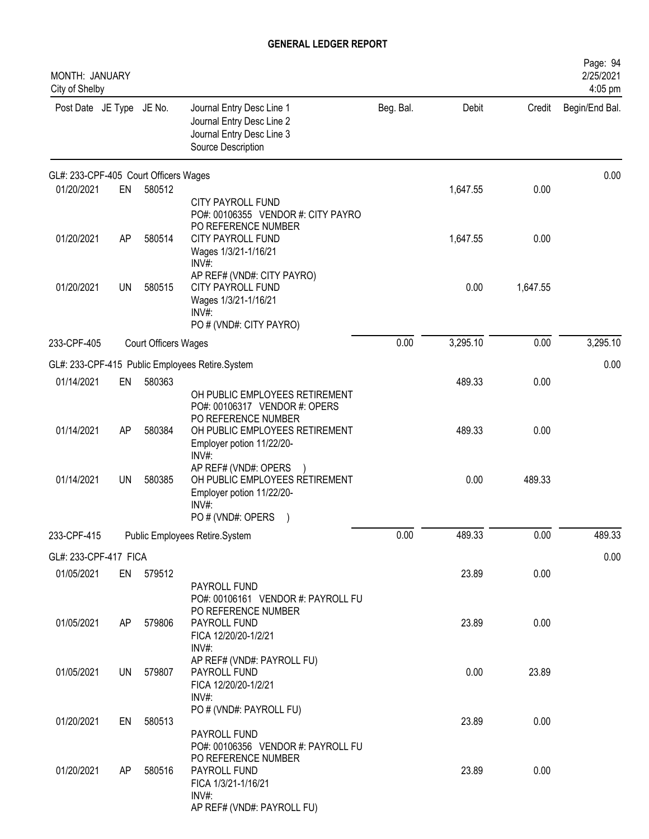| <b>MONTH: JANUARY</b><br>City of Shelby |           |                             |                                                                                                                                         |           |          |          | Page: 94<br>2/25/2021<br>4:05 pm |
|-----------------------------------------|-----------|-----------------------------|-----------------------------------------------------------------------------------------------------------------------------------------|-----------|----------|----------|----------------------------------|
| Post Date JE Type JE No.                |           |                             | Journal Entry Desc Line 1<br>Journal Entry Desc Line 2<br>Journal Entry Desc Line 3<br>Source Description                               | Beg. Bal. | Debit    | Credit   | Begin/End Bal.                   |
| GL#: 233-CPF-405 Court Officers Wages   |           |                             |                                                                                                                                         |           |          |          | 0.00                             |
| 01/20/2021                              | EN        | 580512                      | <b>CITY PAYROLL FUND</b><br>PO#: 00106355 VENDOR #: CITY PAYRO<br>PO REFERENCE NUMBER                                                   |           | 1,647.55 | 0.00     |                                  |
| 01/20/2021                              | AP        | 580514                      | <b>CITY PAYROLL FUND</b><br>Wages 1/3/21-1/16/21<br>INV#                                                                                |           | 1,647.55 | 0.00     |                                  |
| 01/20/2021                              | UN        | 580515                      | AP REF# (VND#: CITY PAYRO)<br><b>CITY PAYROLL FUND</b><br>Wages 1/3/21-1/16/21<br>INV#<br>PO # (VND#: CITY PAYRO)                       |           | 0.00     | 1,647.55 |                                  |
| 233-CPF-405                             |           | <b>Court Officers Wages</b> |                                                                                                                                         | 0.00      | 3,295.10 | 0.00     | 3,295.10                         |
|                                         |           |                             | GL#: 233-CPF-415 Public Employees Retire.System                                                                                         |           |          |          | 0.00                             |
| 01/14/2021                              | EN        | 580363                      | OH PUBLIC EMPLOYEES RETIREMENT<br>PO#: 00106317 VENDOR #: OPERS<br>PO REFERENCE NUMBER                                                  |           | 489.33   | 0.00     |                                  |
| 01/14/2021                              | AP        | 580384                      | OH PUBLIC EMPLOYEES RETIREMENT<br>Employer potion 11/22/20-<br>INV#:                                                                    |           | 489.33   | 0.00     |                                  |
| 01/14/2021                              | <b>UN</b> | 580385                      | AP REF# (VND#: OPERS<br>OH PUBLIC EMPLOYEES RETIREMENT<br>Employer potion 11/22/20-<br>INV#<br>PO # (VND#: OPERS                        |           | 0.00     | 489.33   |                                  |
| 233-CPF-415                             |           |                             | Public Employees Retire.System                                                                                                          | $0.00\,$  | 489.33   | $0.00\,$ | 489.33                           |
| GL#: 233-CPF-417 FICA                   |           |                             |                                                                                                                                         |           |          |          | 0.00                             |
| 01/05/2021                              |           | EN 579512                   | PAYROLL FUND<br>PO#: 00106161 VENDOR #: PAYROLL FU<br>PO REFERENCE NUMBER                                                               |           | 23.89    | 0.00     |                                  |
| 01/05/2021                              | AP        | 579806                      | PAYROLL FUND<br>FICA 12/20/20-1/2/21<br>INV#:                                                                                           |           | 23.89    | 0.00     |                                  |
| 01/05/2021                              | UN        | 579807                      | AP REF# (VND#: PAYROLL FU)<br>PAYROLL FUND<br>FICA 12/20/20-1/2/21<br>INV#:                                                             |           | 0.00     | 23.89    |                                  |
| 01/20/2021                              | EN        | 580513                      | PO # (VND#: PAYROLL FU)<br>PAYROLL FUND                                                                                                 |           | 23.89    | 0.00     |                                  |
| 01/20/2021                              | AP        | 580516                      | PO#: 00106356 VENDOR #: PAYROLL FU<br>PO REFERENCE NUMBER<br>PAYROLL FUND<br>FICA 1/3/21-1/16/21<br>INV#:<br>AP REF# (VND#: PAYROLL FU) |           | 23.89    | 0.00     |                                  |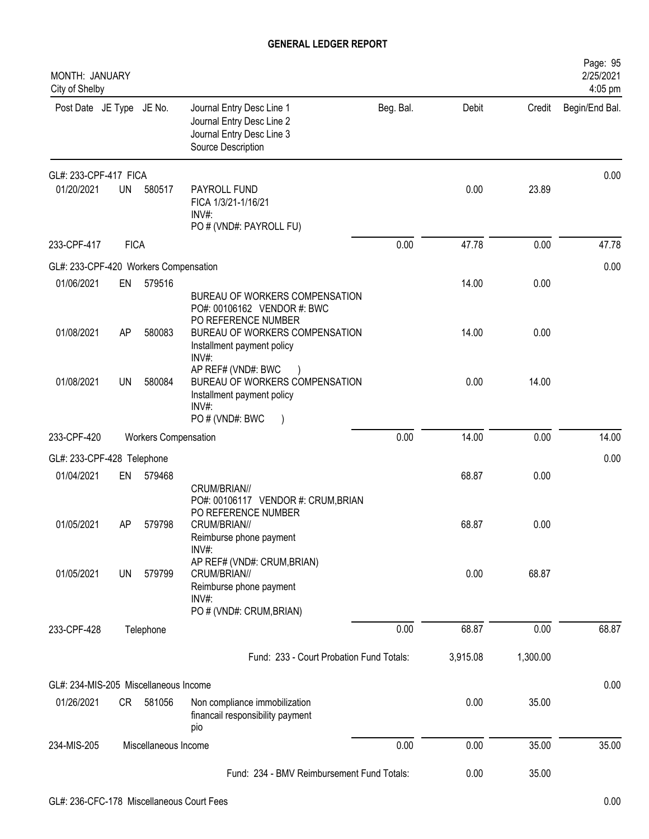| MONTH: JANUARY<br>City of Shelby      |             |                             |                                                                                                                                |           |          |          | Page: 95<br>2/25/2021<br>4:05 pm |
|---------------------------------------|-------------|-----------------------------|--------------------------------------------------------------------------------------------------------------------------------|-----------|----------|----------|----------------------------------|
| Post Date JE Type JE No.              |             |                             | Journal Entry Desc Line 1<br>Journal Entry Desc Line 2<br>Journal Entry Desc Line 3<br>Source Description                      | Beg. Bal. | Debit    | Credit   | Begin/End Bal.                   |
| GL#: 233-CPF-417 FICA                 |             |                             |                                                                                                                                |           |          |          | 0.00                             |
| 01/20/2021                            | <b>UN</b>   | 580517                      | PAYROLL FUND<br>FICA 1/3/21-1/16/21<br>$INV#$ :<br>PO # (VND#: PAYROLL FU)                                                     |           | 0.00     | 23.89    |                                  |
| 233-CPF-417                           | <b>FICA</b> |                             |                                                                                                                                | 0.00      | 47.78    | 0.00     | 47.78                            |
| GL#: 233-CPF-420 Workers Compensation |             |                             |                                                                                                                                |           |          |          | 0.00                             |
| 01/06/2021                            | EN          | 579516                      | BUREAU OF WORKERS COMPENSATION                                                                                                 |           | 14.00    | 0.00     |                                  |
| 01/08/2021                            | AP          | 580083                      | PO#: 00106162 VENDOR #: BWC<br>PO REFERENCE NUMBER<br>BUREAU OF WORKERS COMPENSATION<br>Installment payment policy             |           | 14.00    | 0.00     |                                  |
| 01/08/2021                            | <b>UN</b>   | 580084                      | INV#:<br>AP REF# (VND#: BWC<br>BUREAU OF WORKERS COMPENSATION<br>Installment payment policy<br>INV#:<br>PO # (VND#: BWC        |           | 0.00     | 14.00    |                                  |
| 233-CPF-420                           |             | <b>Workers Compensation</b> |                                                                                                                                | 0.00      | 14.00    | 0.00     | 14.00                            |
| GL#: 233-CPF-428 Telephone            |             |                             |                                                                                                                                |           |          |          | 0.00                             |
| 01/04/2021                            | EN          | 579468                      |                                                                                                                                |           | 68.87    | 0.00     |                                  |
| 01/05/2021                            | AΡ          | 579798                      | CRUM/BRIAN//<br>PO#: 00106117 VENDOR #: CRUM, BRIAN<br>PO REFERENCE NUMBER<br>CRUM/BRIAN//<br>Reimburse phone payment<br>INV#: |           | 68.87    | 0.00     |                                  |
| 01/05/2021                            | UN          | 579799                      | AP REF# (VND#: CRUM, BRIAN)<br>CRUM/BRIAN//<br>Reimburse phone payment<br>INV#<br>PO # (VND#: CRUM, BRIAN)                     |           | 0.00     | 68.87    |                                  |
| 233-CPF-428                           |             | Telephone                   |                                                                                                                                | 0.00      | 68.87    | 0.00     | 68.87                            |
|                                       |             |                             | Fund: 233 - Court Probation Fund Totals:                                                                                       |           | 3,915.08 | 1,300.00 |                                  |
| GL#: 234-MIS-205 Miscellaneous Income |             |                             |                                                                                                                                |           |          |          | 0.00                             |
| 01/26/2021                            | CR          | 581056                      | Non compliance immobilization<br>financail responsibility payment<br>pio                                                       |           | 0.00     | 35.00    |                                  |
| 234-MIS-205                           |             | Miscellaneous Income        |                                                                                                                                | 0.00      | 0.00     | 35.00    | 35.00                            |
|                                       |             |                             | Fund: 234 - BMV Reimbursement Fund Totals:                                                                                     |           | 0.00     | 35.00    |                                  |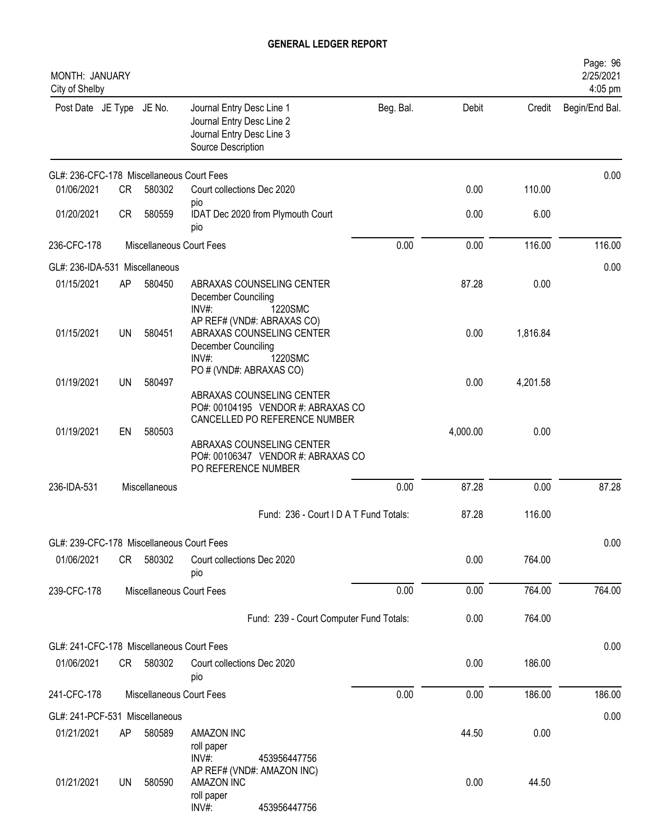| MONTH: JANUARY<br>City of Shelby          |           |               |                                                                                                                         |           |          |          | Page: 96<br>2/25/2021<br>4:05 pm |
|-------------------------------------------|-----------|---------------|-------------------------------------------------------------------------------------------------------------------------|-----------|----------|----------|----------------------------------|
| Post Date JE Type JE No.                  |           |               | Journal Entry Desc Line 1<br>Journal Entry Desc Line 2<br>Journal Entry Desc Line 3<br>Source Description               | Beg. Bal. | Debit    | Credit   | Begin/End Bal.                   |
| GL#: 236-CFC-178 Miscellaneous Court Fees |           |               |                                                                                                                         |           |          |          | 0.00                             |
| 01/06/2021                                | <b>CR</b> | 580302        | Court collections Dec 2020<br>pio                                                                                       |           | 0.00     | 110.00   |                                  |
| 01/20/2021                                | <b>CR</b> | 580559        | IDAT Dec 2020 from Plymouth Court<br>pio                                                                                |           | 0.00     | 6.00     |                                  |
| 236-CFC-178                               |           |               | Miscellaneous Court Fees                                                                                                | 0.00      | 0.00     | 116.00   | 116.00                           |
| GL#: 236-IDA-531 Miscellaneous            |           |               |                                                                                                                         |           |          |          | 0.00                             |
| 01/15/2021                                | AP        | 580450        | ABRAXAS COUNSELING CENTER<br>December Counciling<br>INV#:<br>1220SMC<br>AP REF# (VND#: ABRAXAS CO)                      |           | 87.28    | 0.00     |                                  |
| 01/15/2021                                | UN        | 580451        | ABRAXAS COUNSELING CENTER<br>December Counciling<br>$INV#$ :<br>1220SMC                                                 |           | 0.00     | 1,816.84 |                                  |
| 01/19/2021                                | UN        | 580497        | PO # (VND#: ABRAXAS CO)<br>ABRAXAS COUNSELING CENTER<br>PO#: 00104195 VENDOR #: ABRAXAS CO                              |           | 0.00     | 4,201.58 |                                  |
| 01/19/2021                                | EN        | 580503        | CANCELLED PO REFERENCE NUMBER<br>ABRAXAS COUNSELING CENTER<br>PO#: 00106347 VENDOR #: ABRAXAS CO<br>PO REFERENCE NUMBER |           | 4,000.00 | 0.00     |                                  |
| 236-IDA-531                               |           | Miscellaneous |                                                                                                                         | 0.00      | 87.28    | 0.00     | 87.28                            |
|                                           |           |               | Fund: 236 - Court I D A T Fund Totals:                                                                                  |           | 87.28    | 116.00   |                                  |
| GL#: 239-CFC-178 Miscellaneous Court Fees |           |               |                                                                                                                         |           |          |          | 0.00                             |
| 01/06/2021                                | CR        | 580302        | Court collections Dec 2020<br>pio                                                                                       |           | 0.00     | 764.00   |                                  |
| 239-CFC-178                               |           |               | Miscellaneous Court Fees                                                                                                | 0.00      | 0.00     | 764.00   | 764.00                           |
|                                           |           |               | Fund: 239 - Court Computer Fund Totals:                                                                                 |           | 0.00     | 764.00   |                                  |
| GL#: 241-CFC-178 Miscellaneous Court Fees |           |               |                                                                                                                         |           |          |          | 0.00                             |
| 01/06/2021                                |           | CR 580302     | Court collections Dec 2020<br>pio                                                                                       |           | 0.00     | 186.00   |                                  |
| 241-CFC-178                               |           |               | Miscellaneous Court Fees                                                                                                | 0.00      | 0.00     | 186.00   | 186.00                           |
| GL#: 241-PCF-531 Miscellaneous            |           |               |                                                                                                                         |           |          |          | 0.00                             |
| 01/21/2021                                | AP        | 580589        | AMAZON INC<br>roll paper<br>$INV#$ :<br>453956447756                                                                    |           | 44.50    | 0.00     |                                  |
| 01/21/2021                                | UN        | 580590        | AP REF# (VND#: AMAZON INC)<br>AMAZON INC<br>roll paper<br>453956447756<br>INV#:                                         |           | 0.00     | 44.50    |                                  |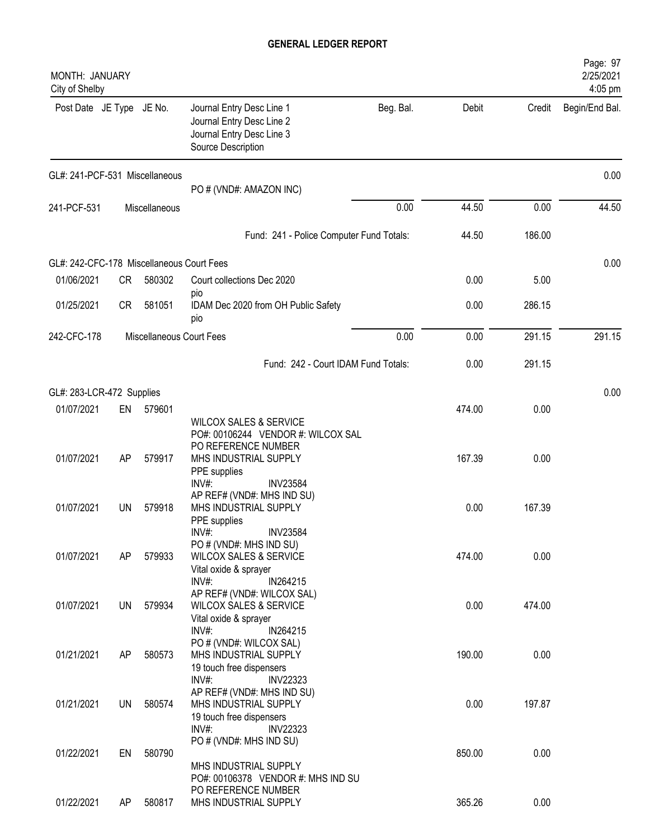| MONTH: JANUARY<br>City of Shelby                        |    |                          |                                                                                                                             |           |        |        | Page: 97<br>2/25/2021<br>4:05 pm |
|---------------------------------------------------------|----|--------------------------|-----------------------------------------------------------------------------------------------------------------------------|-----------|--------|--------|----------------------------------|
| Post Date JE Type JE No.                                |    |                          | Journal Entry Desc Line 1<br>Journal Entry Desc Line 2<br>Journal Entry Desc Line 3<br>Source Description                   | Beg. Bal. | Debit  | Credit | Begin/End Bal.                   |
| GL#: 241-PCF-531 Miscellaneous                          |    |                          | PO # (VND#: AMAZON INC)                                                                                                     |           |        |        | 0.00                             |
| 241-PCF-531                                             |    | Miscellaneous            |                                                                                                                             | 0.00      | 44.50  | 0.00   | 44.50                            |
|                                                         |    |                          | Fund: 241 - Police Computer Fund Totals:                                                                                    |           | 44.50  | 186.00 |                                  |
|                                                         |    |                          |                                                                                                                             |           |        |        |                                  |
| GL#: 242-CFC-178 Miscellaneous Court Fees<br>01/06/2021 | CR | 580302                   | Court collections Dec 2020                                                                                                  |           | 0.00   | 5.00   | 0.00                             |
|                                                         |    |                          | pio                                                                                                                         |           |        |        |                                  |
| 01/25/2021                                              | CR | 581051                   | IDAM Dec 2020 from OH Public Safety<br>pio                                                                                  |           | 0.00   | 286.15 |                                  |
| 242-CFC-178                                             |    | Miscellaneous Court Fees |                                                                                                                             | 0.00      | 0.00   | 291.15 | 291.15                           |
|                                                         |    |                          | Fund: 242 - Court IDAM Fund Totals:                                                                                         |           | 0.00   | 291.15 |                                  |
| GL#: 283-LCR-472 Supplies                               |    |                          |                                                                                                                             |           |        |        | 0.00                             |
| 01/07/2021                                              | EN | 579601                   | <b>WILCOX SALES &amp; SERVICE</b><br>PO#: 00106244 VENDOR #: WILCOX SAL                                                     |           | 474.00 | 0.00   |                                  |
| 01/07/2021                                              | AP | 579917                   | PO REFERENCE NUMBER<br>MHS INDUSTRIAL SUPPLY<br>PPE supplies                                                                |           | 167.39 | 0.00   |                                  |
| 01/07/2021                                              | UN | 579918                   | INV#:<br><b>INV23584</b><br>AP REF# (VND#: MHS IND SU)<br>MHS INDUSTRIAL SUPPLY<br>PPE supplies<br><b>INV23584</b><br>INV#: |           | 0.00   | 167.39 |                                  |
| 01/07/2021                                              | AP | 579933                   | PO # (VND#: MHS IND SU)<br><b>WILCOX SALES &amp; SERVICE</b><br>Vital oxide & sprayer<br>INV#:<br>IN264215                  |           | 474.00 | 0.00   |                                  |
| 01/07/2021                                              | UN | 579934                   | AP REF# (VND#: WILCOX SAL)<br><b>WILCOX SALES &amp; SERVICE</b><br>Vital oxide & sprayer                                    |           | 0.00   | 474.00 |                                  |
| 01/21/2021                                              | AP | 580573                   | $INV#$ :<br>IN264215<br>PO # (VND#: WILCOX SAL)<br>MHS INDUSTRIAL SUPPLY<br>19 touch free dispensers                        |           | 190.00 | 0.00   |                                  |
| 01/21/2021                                              | UN | 580574                   | INV#:<br><b>INV22323</b><br>AP REF# (VND#: MHS IND SU)<br>MHS INDUSTRIAL SUPPLY<br>19 touch free dispensers                 |           | 0.00   | 197.87 |                                  |
| 01/22/2021                                              | EN | 580790                   | $INV#$ :<br><b>INV22323</b><br>PO # (VND#: MHS IND SU)<br>MHS INDUSTRIAL SUPPLY                                             |           | 850.00 | 0.00   |                                  |
| 01/22/2021                                              | AP | 580817                   | PO#: 00106378 VENDOR #: MHS IND SU<br>PO REFERENCE NUMBER<br>MHS INDUSTRIAL SUPPLY                                          |           | 365.26 | 0.00   |                                  |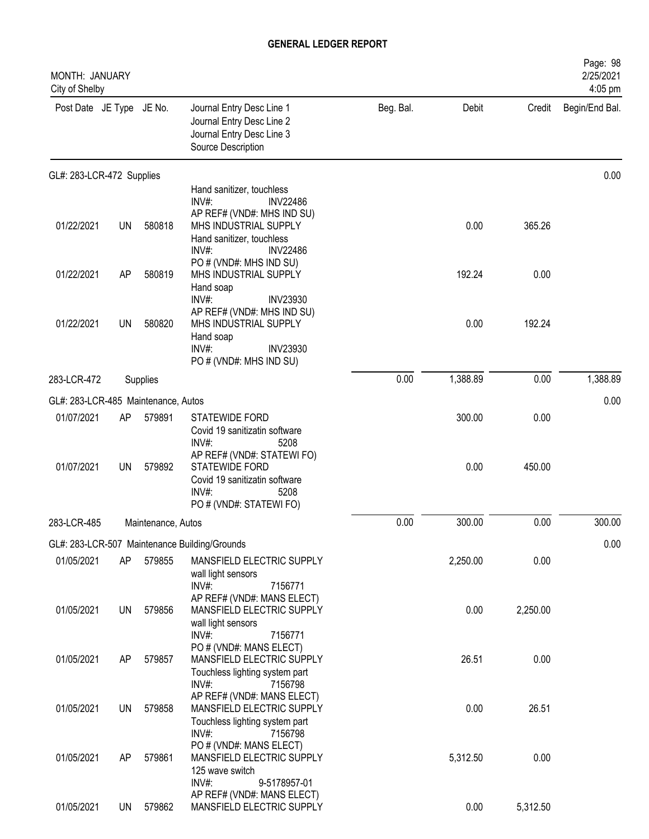| MONTH: JANUARY<br>City of Shelby    |    |                    |                                                                                                                                                     |           |          |          | Page: 98<br>2/25/2021<br>4:05 pm |
|-------------------------------------|----|--------------------|-----------------------------------------------------------------------------------------------------------------------------------------------------|-----------|----------|----------|----------------------------------|
| Post Date JE Type JE No.            |    |                    | Journal Entry Desc Line 1<br>Journal Entry Desc Line 2<br>Journal Entry Desc Line 3<br>Source Description                                           | Beg. Bal. | Debit    | Credit   | Begin/End Bal.                   |
| GL#: 283-LCR-472 Supplies           |    |                    |                                                                                                                                                     |           |          |          | 0.00                             |
|                                     |    |                    | Hand sanitizer, touchless<br>$INV#$ :<br><b>INV22486</b>                                                                                            |           |          |          |                                  |
| 01/22/2021                          | UN | 580818             | AP REF# (VND#: MHS IND SU)<br>MHS INDUSTRIAL SUPPLY<br>Hand sanitizer, touchless<br>$INV#$ :<br><b>INV22486</b>                                     |           | 0.00     | 365.26   |                                  |
| 01/22/2021                          | AP | 580819             | PO # (VND#: MHS IND SU)<br>MHS INDUSTRIAL SUPPLY<br>Hand soap                                                                                       |           | 192.24   | 0.00     |                                  |
| 01/22/2021                          | UN | 580820             | INV#:<br><b>INV23930</b><br>AP REF# (VND#: MHS IND SU)<br>MHS INDUSTRIAL SUPPLY<br>Hand soap<br>INV#:<br><b>INV23930</b><br>PO # (VND#: MHS IND SU) |           | 0.00     | 192.24   |                                  |
| 283-LCR-472                         |    | Supplies           |                                                                                                                                                     | 0.00      | 1,388.89 | 0.00     | 1,388.89                         |
| GL#: 283-LCR-485 Maintenance, Autos |    |                    |                                                                                                                                                     |           |          |          | 0.00                             |
| 01/07/2021                          | AP | 579891             | <b>STATEWIDE FORD</b><br>Covid 19 sanitizatin software<br>INV#:<br>5208                                                                             |           | 300.00   | 0.00     |                                  |
| 01/07/2021                          | UN | 579892             | AP REF# (VND#: STATEWI FO)<br><b>STATEWIDE FORD</b><br>Covid 19 sanitizatin software<br>INV#<br>5208<br>PO # (VND#: STATEWI FO)                     |           | 0.00     | 450.00   |                                  |
| 283-LCR-485                         |    | Maintenance, Autos |                                                                                                                                                     | 0.00      | 300.00   | 0.00     | 300.00                           |
|                                     |    |                    | GL#: 283-LCR-507 Maintenance Building/Grounds                                                                                                       |           |          |          | 0.00                             |
| 01/05/2021                          | AP | 579855             | MANSFIELD ELECTRIC SUPPLY<br>wall light sensors<br>INV#:<br>7156771                                                                                 |           | 2,250.00 | 0.00     |                                  |
| 01/05/2021                          | UN | 579856             | AP REF# (VND#: MANS ELECT)<br>MANSFIELD ELECTRIC SUPPLY<br>wall light sensors<br>$INV#$ :<br>7156771                                                |           | 0.00     | 2,250.00 |                                  |
| 01/05/2021                          | AP | 579857             | PO # (VND#: MANS ELECT)<br>MANSFIELD ELECTRIC SUPPLY<br>Touchless lighting system part                                                              |           | 26.51    | 0.00     |                                  |
| 01/05/2021                          | UN | 579858             | $INV#$ :<br>7156798<br>AP REF# (VND#: MANS ELECT)<br>MANSFIELD ELECTRIC SUPPLY<br>Touchless lighting system part                                    |           | 0.00     | 26.51    |                                  |
| 01/05/2021                          | AP | 579861             | INV#:<br>7156798<br>PO # (VND#: MANS ELECT)<br>MANSFIELD ELECTRIC SUPPLY<br>125 wave switch<br>$INV#$ :                                             |           | 5,312.50 | 0.00     |                                  |
| 01/05/2021                          | UN | 579862             | 9-5178957-01<br>AP REF# (VND#: MANS ELECT)<br>MANSFIELD ELECTRIC SUPPLY                                                                             |           | 0.00     | 5,312.50 |                                  |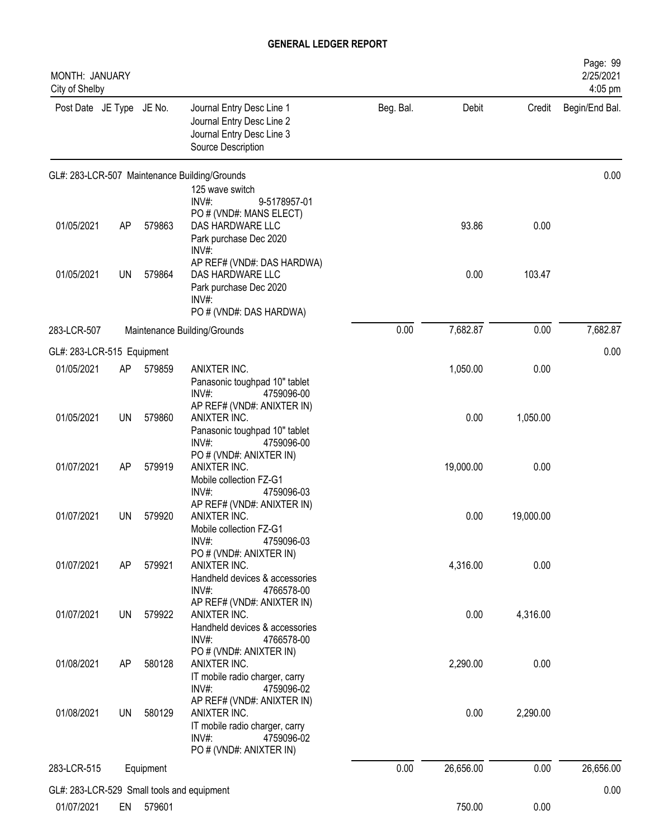| Beg. Bal.<br>Post Date JE Type JE No.<br>Journal Entry Desc Line 1<br>Debit<br>Credit<br>Journal Entry Desc Line 2<br>Journal Entry Desc Line 3<br>Source Description<br>GL#: 283-LCR-507 Maintenance Building/Grounds<br>125 wave switch<br>INV#:<br>9-5178957-01<br>PO # (VND#: MANS ELECT)<br>01/05/2021<br>93.86<br>0.00<br>AP<br>579863<br>DAS HARDWARE LLC<br>Park purchase Dec 2020<br>INV#:<br>AP REF# (VND#: DAS HARDWA)<br>01/05/2021<br>579864<br>0.00<br>103.47<br>UN<br>DAS HARDWARE LLC<br>Park purchase Dec 2020<br>INV#<br>PO # (VND#: DAS HARDWA)<br>0.00<br>7,682.87<br>0.00<br>283-LCR-507<br>Maintenance Building/Grounds<br>0.00<br>GL#: 283-LCR-515 Equipment<br>01/05/2021<br>ANIXTER INC.<br>1,050.00<br>0.00<br>AP<br>579859<br>Panasonic toughpad 10" tablet<br>INV#:<br>4759096-00<br>AP REF# (VND#: ANIXTER IN)<br>01/05/2021<br>0.00<br>1,050.00<br>UN<br>579860<br>ANIXTER INC.<br>Panasonic toughpad 10" tablet<br>INV#:<br>4759096-00<br>PO # (VND#: ANIXTER IN)<br>01/07/2021<br>AP<br>579919<br>ANIXTER INC.<br>19,000.00<br>0.00<br>Mobile collection FZ-G1<br>INV#:<br>4759096-03<br>AP REF# (VND#: ANIXTER IN)<br>01/07/2021<br>579920<br>0.00<br><b>UN</b><br>ANIXTER INC.<br>19,000.00<br>Mobile collection FZ-G1<br>INV#:<br>4759096-03<br>PO # (VND#: ANIXTER IN)<br>01/07/2021<br>579921<br>ANIXTER INC.<br>4,316.00<br>0.00<br>AP<br>Handheld devices & accessories<br>INV#:<br>4766578-00<br>AP REF# (VND#: ANIXTER IN)<br>0.00<br>01/07/2021<br><b>UN</b><br>579922<br>4,316.00<br>ANIXTER INC.<br>Handheld devices & accessories<br>INV#:<br>4766578-00<br>PO # (VND#: ANIXTER IN)<br>0.00<br>01/08/2021<br>580128<br>ANIXTER INC.<br>2,290.00<br>AP<br>IT mobile radio charger, carry<br>$INV#$ :<br>4759096-02<br>AP REF# (VND#: ANIXTER IN)<br>01/08/2021<br><b>UN</b><br>580129<br>0.00<br>2,290.00<br>ANIXTER INC.<br>IT mobile radio charger, carry<br>$INV#$ :<br>4759096-02<br>PO # (VND#: ANIXTER IN)<br>0.00<br>26,656.00<br>0.00<br>283-LCR-515<br>Equipment<br>GL#: 283-LCR-529 Small tools and equipment<br>01/07/2021<br>750.00<br>0.00<br>EN 579601 | <b>MONTH: JANUARY</b><br>City of Shelby |  |  |  | Page: 99<br>2/25/2021<br>4:05 pm |
|------------------------------------------------------------------------------------------------------------------------------------------------------------------------------------------------------------------------------------------------------------------------------------------------------------------------------------------------------------------------------------------------------------------------------------------------------------------------------------------------------------------------------------------------------------------------------------------------------------------------------------------------------------------------------------------------------------------------------------------------------------------------------------------------------------------------------------------------------------------------------------------------------------------------------------------------------------------------------------------------------------------------------------------------------------------------------------------------------------------------------------------------------------------------------------------------------------------------------------------------------------------------------------------------------------------------------------------------------------------------------------------------------------------------------------------------------------------------------------------------------------------------------------------------------------------------------------------------------------------------------------------------------------------------------------------------------------------------------------------------------------------------------------------------------------------------------------------------------------------------------------------------------------------------------------------------------------------------------------------------------------------------------------------------------------------------------------------------------------------|-----------------------------------------|--|--|--|----------------------------------|
|                                                                                                                                                                                                                                                                                                                                                                                                                                                                                                                                                                                                                                                                                                                                                                                                                                                                                                                                                                                                                                                                                                                                                                                                                                                                                                                                                                                                                                                                                                                                                                                                                                                                                                                                                                                                                                                                                                                                                                                                                                                                                                                  |                                         |  |  |  | Begin/End Bal.                   |
|                                                                                                                                                                                                                                                                                                                                                                                                                                                                                                                                                                                                                                                                                                                                                                                                                                                                                                                                                                                                                                                                                                                                                                                                                                                                                                                                                                                                                                                                                                                                                                                                                                                                                                                                                                                                                                                                                                                                                                                                                                                                                                                  |                                         |  |  |  | 0.00                             |
|                                                                                                                                                                                                                                                                                                                                                                                                                                                                                                                                                                                                                                                                                                                                                                                                                                                                                                                                                                                                                                                                                                                                                                                                                                                                                                                                                                                                                                                                                                                                                                                                                                                                                                                                                                                                                                                                                                                                                                                                                                                                                                                  |                                         |  |  |  |                                  |
|                                                                                                                                                                                                                                                                                                                                                                                                                                                                                                                                                                                                                                                                                                                                                                                                                                                                                                                                                                                                                                                                                                                                                                                                                                                                                                                                                                                                                                                                                                                                                                                                                                                                                                                                                                                                                                                                                                                                                                                                                                                                                                                  |                                         |  |  |  |                                  |
|                                                                                                                                                                                                                                                                                                                                                                                                                                                                                                                                                                                                                                                                                                                                                                                                                                                                                                                                                                                                                                                                                                                                                                                                                                                                                                                                                                                                                                                                                                                                                                                                                                                                                                                                                                                                                                                                                                                                                                                                                                                                                                                  |                                         |  |  |  | 7,682.87                         |
|                                                                                                                                                                                                                                                                                                                                                                                                                                                                                                                                                                                                                                                                                                                                                                                                                                                                                                                                                                                                                                                                                                                                                                                                                                                                                                                                                                                                                                                                                                                                                                                                                                                                                                                                                                                                                                                                                                                                                                                                                                                                                                                  |                                         |  |  |  |                                  |
|                                                                                                                                                                                                                                                                                                                                                                                                                                                                                                                                                                                                                                                                                                                                                                                                                                                                                                                                                                                                                                                                                                                                                                                                                                                                                                                                                                                                                                                                                                                                                                                                                                                                                                                                                                                                                                                                                                                                                                                                                                                                                                                  |                                         |  |  |  |                                  |
|                                                                                                                                                                                                                                                                                                                                                                                                                                                                                                                                                                                                                                                                                                                                                                                                                                                                                                                                                                                                                                                                                                                                                                                                                                                                                                                                                                                                                                                                                                                                                                                                                                                                                                                                                                                                                                                                                                                                                                                                                                                                                                                  |                                         |  |  |  |                                  |
|                                                                                                                                                                                                                                                                                                                                                                                                                                                                                                                                                                                                                                                                                                                                                                                                                                                                                                                                                                                                                                                                                                                                                                                                                                                                                                                                                                                                                                                                                                                                                                                                                                                                                                                                                                                                                                                                                                                                                                                                                                                                                                                  |                                         |  |  |  |                                  |
|                                                                                                                                                                                                                                                                                                                                                                                                                                                                                                                                                                                                                                                                                                                                                                                                                                                                                                                                                                                                                                                                                                                                                                                                                                                                                                                                                                                                                                                                                                                                                                                                                                                                                                                                                                                                                                                                                                                                                                                                                                                                                                                  |                                         |  |  |  |                                  |
|                                                                                                                                                                                                                                                                                                                                                                                                                                                                                                                                                                                                                                                                                                                                                                                                                                                                                                                                                                                                                                                                                                                                                                                                                                                                                                                                                                                                                                                                                                                                                                                                                                                                                                                                                                                                                                                                                                                                                                                                                                                                                                                  |                                         |  |  |  |                                  |
|                                                                                                                                                                                                                                                                                                                                                                                                                                                                                                                                                                                                                                                                                                                                                                                                                                                                                                                                                                                                                                                                                                                                                                                                                                                                                                                                                                                                                                                                                                                                                                                                                                                                                                                                                                                                                                                                                                                                                                                                                                                                                                                  |                                         |  |  |  |                                  |
|                                                                                                                                                                                                                                                                                                                                                                                                                                                                                                                                                                                                                                                                                                                                                                                                                                                                                                                                                                                                                                                                                                                                                                                                                                                                                                                                                                                                                                                                                                                                                                                                                                                                                                                                                                                                                                                                                                                                                                                                                                                                                                                  |                                         |  |  |  |                                  |
|                                                                                                                                                                                                                                                                                                                                                                                                                                                                                                                                                                                                                                                                                                                                                                                                                                                                                                                                                                                                                                                                                                                                                                                                                                                                                                                                                                                                                                                                                                                                                                                                                                                                                                                                                                                                                                                                                                                                                                                                                                                                                                                  |                                         |  |  |  |                                  |
|                                                                                                                                                                                                                                                                                                                                                                                                                                                                                                                                                                                                                                                                                                                                                                                                                                                                                                                                                                                                                                                                                                                                                                                                                                                                                                                                                                                                                                                                                                                                                                                                                                                                                                                                                                                                                                                                                                                                                                                                                                                                                                                  |                                         |  |  |  | 26,656.00                        |
|                                                                                                                                                                                                                                                                                                                                                                                                                                                                                                                                                                                                                                                                                                                                                                                                                                                                                                                                                                                                                                                                                                                                                                                                                                                                                                                                                                                                                                                                                                                                                                                                                                                                                                                                                                                                                                                                                                                                                                                                                                                                                                                  |                                         |  |  |  | 0.00                             |
|                                                                                                                                                                                                                                                                                                                                                                                                                                                                                                                                                                                                                                                                                                                                                                                                                                                                                                                                                                                                                                                                                                                                                                                                                                                                                                                                                                                                                                                                                                                                                                                                                                                                                                                                                                                                                                                                                                                                                                                                                                                                                                                  |                                         |  |  |  |                                  |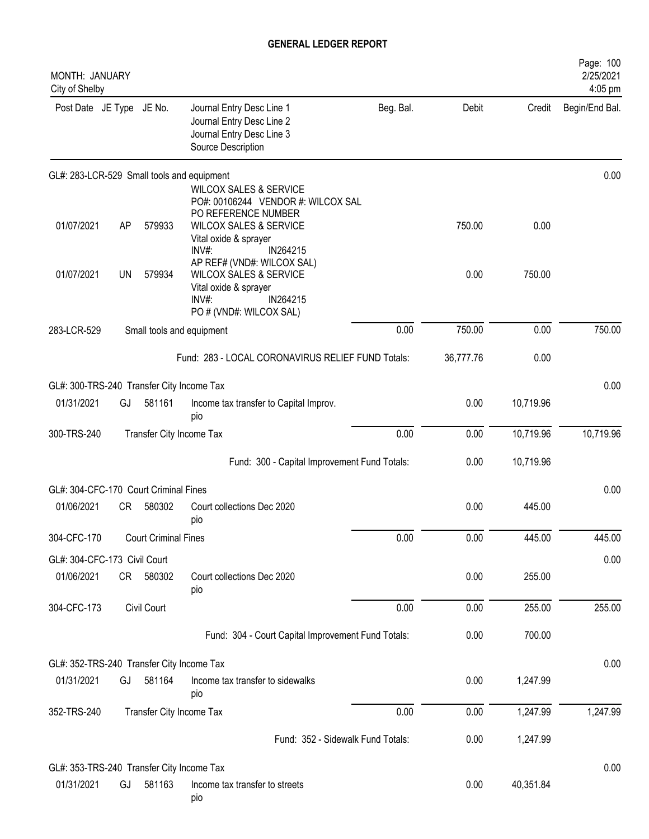| MONTH: JANUARY<br>City of Shelby          |    |                             |                                                                                                                                                                     |           |           |           | Page: 100<br>2/25/2021<br>4:05 pm |
|-------------------------------------------|----|-----------------------------|---------------------------------------------------------------------------------------------------------------------------------------------------------------------|-----------|-----------|-----------|-----------------------------------|
| Post Date JE Type JE No.                  |    |                             | Journal Entry Desc Line 1<br>Journal Entry Desc Line 2<br>Journal Entry Desc Line 3<br>Source Description                                                           | Beg. Bal. | Debit     | Credit    | Begin/End Bal.                    |
|                                           |    |                             | GL#: 283-LCR-529 Small tools and equipment                                                                                                                          |           |           |           | 0.00                              |
| 01/07/2021                                | AP | 579933                      | <b>WILCOX SALES &amp; SERVICE</b><br>PO#: 00106244 VENDOR #: WILCOX SAL<br>PO REFERENCE NUMBER<br><b>WILCOX SALES &amp; SERVICE</b><br>Vital oxide & sprayer        |           | 750.00    | 0.00      |                                   |
| 01/07/2021                                | UN | 579934                      | IN264215<br>$INV#$ :<br>AP REF# (VND#: WILCOX SAL)<br><b>WILCOX SALES &amp; SERVICE</b><br>Vital oxide & sprayer<br>$INV#$ :<br>IN264215<br>PO # (VND#: WILCOX SAL) |           | 0.00      | 750.00    |                                   |
| 283-LCR-529                               |    |                             | Small tools and equipment                                                                                                                                           | 0.00      | 750.00    | 0.00      | 750.00                            |
|                                           |    |                             | Fund: 283 - LOCAL CORONAVIRUS RELIEF FUND Totals:                                                                                                                   |           | 36,777.76 | 0.00      |                                   |
| GL#: 300-TRS-240 Transfer City Income Tax |    |                             |                                                                                                                                                                     |           |           |           | 0.00                              |
| 01/31/2021                                | GJ | 581161                      | Income tax transfer to Capital Improv.<br>pio                                                                                                                       |           | 0.00      | 10,719.96 |                                   |
| 300-TRS-240                               |    | Transfer City Income Tax    |                                                                                                                                                                     | 0.00      | 0.00      | 10,719.96 | 10,719.96                         |
|                                           |    |                             | Fund: 300 - Capital Improvement Fund Totals:                                                                                                                        |           | 0.00      | 10,719.96 |                                   |
| GL#: 304-CFC-170 Court Criminal Fines     |    |                             |                                                                                                                                                                     |           |           |           | 0.00                              |
| 01/06/2021                                | CR | 580302                      | Court collections Dec 2020<br>pio                                                                                                                                   |           | 0.00      | 445.00    |                                   |
| 304-CFC-170                               |    | <b>Court Criminal Fines</b> |                                                                                                                                                                     | 0.00      | 0.00      | 445.00    | 445.00                            |
| GL#: 304-CFC-173 Civil Court              |    |                             |                                                                                                                                                                     |           |           |           | 0.00                              |
| 01/06/2021                                |    | CR 580302                   | Court collections Dec 2020<br>pio                                                                                                                                   |           | 0.00      | 255.00    |                                   |
| 304-CFC-173                               |    | Civil Court                 |                                                                                                                                                                     | 0.00      | 0.00      | 255.00    | 255.00                            |
|                                           |    |                             | Fund: 304 - Court Capital Improvement Fund Totals:                                                                                                                  |           | 0.00      | 700.00    |                                   |
| GL#: 352-TRS-240 Transfer City Income Tax |    |                             |                                                                                                                                                                     |           |           |           | 0.00                              |
| 01/31/2021                                | GJ | 581164                      | Income tax transfer to sidewalks<br>pio                                                                                                                             |           | 0.00      | 1,247.99  |                                   |
| 352-TRS-240                               |    | Transfer City Income Tax    |                                                                                                                                                                     | 0.00      | 0.00      | 1,247.99  | 1,247.99                          |
|                                           |    |                             | Fund: 352 - Sidewalk Fund Totals:                                                                                                                                   |           | 0.00      | 1,247.99  |                                   |
| GL#: 353-TRS-240 Transfer City Income Tax |    |                             |                                                                                                                                                                     |           |           |           | 0.00                              |
| 01/31/2021                                | GJ | 581163                      | Income tax transfer to streets<br>pio                                                                                                                               |           | 0.00      | 40,351.84 |                                   |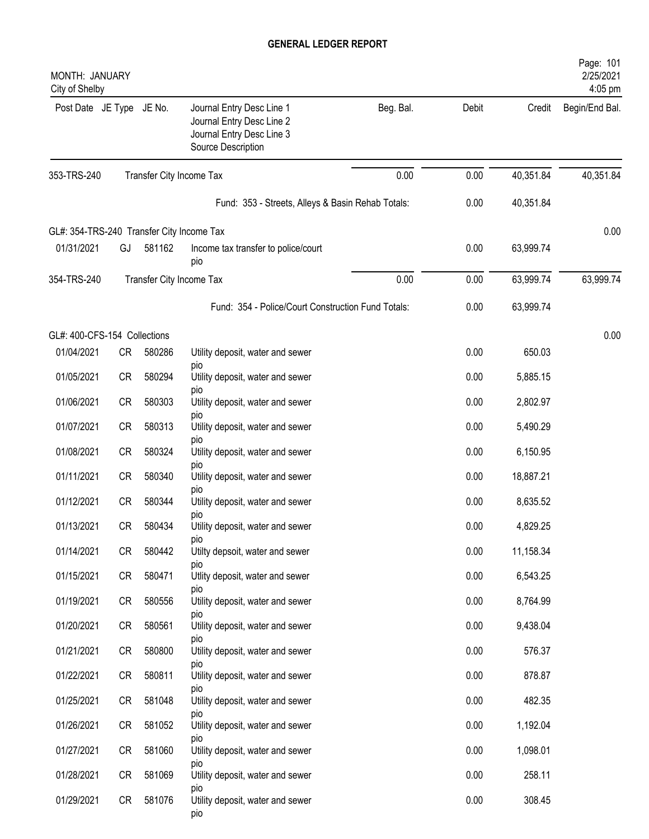| MONTH: JANUARY<br>City of Shelby          |           |        |                                                                                                           |           |       |           | Page: 101<br>2/25/2021<br>4:05 pm |
|-------------------------------------------|-----------|--------|-----------------------------------------------------------------------------------------------------------|-----------|-------|-----------|-----------------------------------|
| Post Date JE Type JE No.                  |           |        | Journal Entry Desc Line 1<br>Journal Entry Desc Line 2<br>Journal Entry Desc Line 3<br>Source Description | Beg. Bal. | Debit | Credit    | Begin/End Bal.                    |
| 353-TRS-240                               |           |        | Transfer City Income Tax                                                                                  | 0.00      | 0.00  | 40,351.84 | 40,351.84                         |
|                                           |           |        | Fund: 353 - Streets, Alleys & Basin Rehab Totals:                                                         |           | 0.00  | 40,351.84 |                                   |
| GL#: 354-TRS-240 Transfer City Income Tax |           |        |                                                                                                           |           |       |           | 0.00                              |
| 01/31/2021                                | GJ        | 581162 | Income tax transfer to police/court<br>pio                                                                |           | 0.00  | 63,999.74 |                                   |
| 354-TRS-240                               |           |        | Transfer City Income Tax                                                                                  | 0.00      | 0.00  | 63,999.74 | 63,999.74                         |
|                                           |           |        | Fund: 354 - Police/Court Construction Fund Totals:                                                        |           | 0.00  | 63,999.74 |                                   |
| GL#: 400-CFS-154 Collections              |           |        |                                                                                                           |           |       |           | 0.00                              |
| 01/04/2021                                | <b>CR</b> | 580286 | Utility deposit, water and sewer                                                                          |           | 0.00  | 650.03    |                                   |
| 01/05/2021                                | <b>CR</b> | 580294 | pio<br>Utility deposit, water and sewer                                                                   |           | 0.00  | 5,885.15  |                                   |
| 01/06/2021                                | <b>CR</b> | 580303 | pio<br>Utility deposit, water and sewer                                                                   |           | 0.00  | 2,802.97  |                                   |
| 01/07/2021                                | <b>CR</b> | 580313 | pio<br>Utility deposit, water and sewer                                                                   |           | 0.00  | 5,490.29  |                                   |
| 01/08/2021                                | <b>CR</b> | 580324 | pio<br>Utility deposit, water and sewer                                                                   |           | 0.00  | 6,150.95  |                                   |
| 01/11/2021                                | <b>CR</b> | 580340 | pio<br>Utility deposit, water and sewer                                                                   |           | 0.00  | 18,887.21 |                                   |
| 01/12/2021                                | <b>CR</b> | 580344 | pio<br>Utility deposit, water and sewer                                                                   |           | 0.00  | 8,635.52  |                                   |
| 01/13/2021                                | <b>CR</b> | 580434 | pio<br>Utility deposit, water and sewer                                                                   |           | 0.00  | 4,829.25  |                                   |
| 01/14/2021                                | CR        | 580442 | pio<br>Utilty depsoit, water and sewer                                                                    |           | 0.00  | 11,158.34 |                                   |
| 01/15/2021                                | CR        | 580471 | pio<br>Utlity deposit, water and sewer                                                                    |           | 0.00  | 6,543.25  |                                   |
| 01/19/2021                                | CR        | 580556 | pio<br>Utility deposit, water and sewer                                                                   |           | 0.00  | 8,764.99  |                                   |
| 01/20/2021                                | CR        | 580561 | pio<br>Utility deposit, water and sewer                                                                   |           | 0.00  | 9,438.04  |                                   |
| 01/21/2021                                | CR        | 580800 | pio<br>Utility deposit, water and sewer                                                                   |           | 0.00  | 576.37    |                                   |
| 01/22/2021                                | <b>CR</b> | 580811 | pio<br>Utility deposit, water and sewer                                                                   |           | 0.00  | 878.87    |                                   |
| 01/25/2021                                | CR        | 581048 | pio<br>Utility deposit, water and sewer                                                                   |           | 0.00  | 482.35    |                                   |
| 01/26/2021                                | CR        | 581052 | pio<br>Utility deposit, water and sewer                                                                   |           | 0.00  | 1,192.04  |                                   |
|                                           |           |        | pio                                                                                                       |           |       |           |                                   |
| 01/27/2021                                | <b>CR</b> | 581060 | Utility deposit, water and sewer<br>pio                                                                   |           | 0.00  | 1,098.01  |                                   |
| 01/28/2021                                | CR        | 581069 | Utility deposit, water and sewer<br>pio                                                                   |           | 0.00  | 258.11    |                                   |
| 01/29/2021                                | CR        | 581076 | Utility deposit, water and sewer<br>pio                                                                   |           | 0.00  | 308.45    |                                   |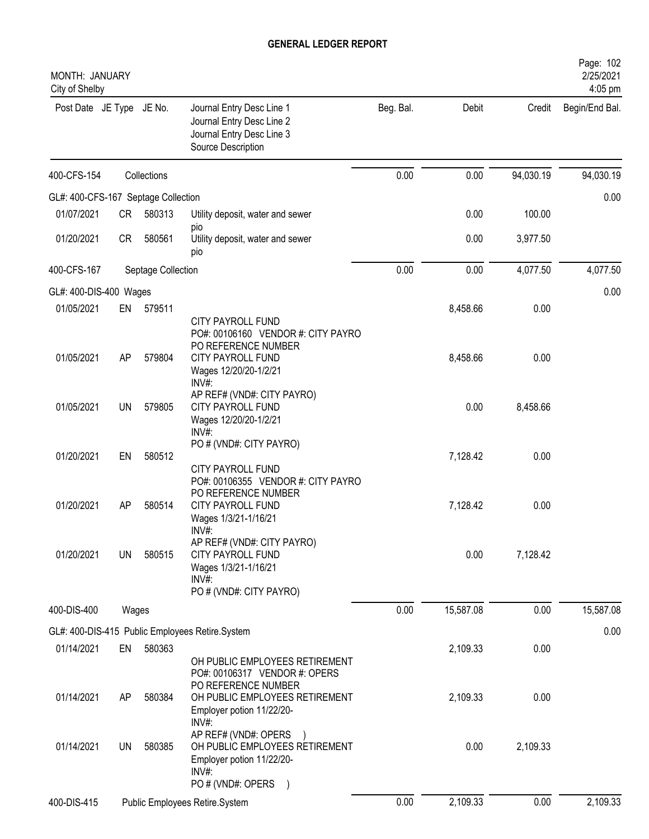| MONTH: JANUARY<br>City of Shelby    |           |                    |                                                                                                                                                     |           |           |           | Page: 102<br>2/25/2021<br>4:05 pm |
|-------------------------------------|-----------|--------------------|-----------------------------------------------------------------------------------------------------------------------------------------------------|-----------|-----------|-----------|-----------------------------------|
| Post Date JE Type JE No.            |           |                    | Journal Entry Desc Line 1<br>Journal Entry Desc Line 2<br>Journal Entry Desc Line 3<br>Source Description                                           | Beg. Bal. | Debit     | Credit    | Begin/End Bal.                    |
| 400-CFS-154                         |           | Collections        |                                                                                                                                                     | 0.00      | 0.00      | 94,030.19 | 94,030.19                         |
| GL#: 400-CFS-167 Septage Collection |           |                    |                                                                                                                                                     |           |           |           | 0.00                              |
| 01/07/2021                          | <b>CR</b> | 580313             | Utility deposit, water and sewer<br>pio                                                                                                             |           | 0.00      | 100.00    |                                   |
| 01/20/2021                          | <b>CR</b> | 580561             | Utility deposit, water and sewer<br>pio                                                                                                             |           | 0.00      | 3,977.50  |                                   |
| 400-CFS-167                         |           | Septage Collection |                                                                                                                                                     | 0.00      | 0.00      | 4,077.50  | 4,077.50                          |
| GL#: 400-DIS-400 Wages              |           |                    |                                                                                                                                                     |           |           |           | 0.00                              |
| 01/05/2021                          | EN        | 579511             |                                                                                                                                                     |           | 8,458.66  | 0.00      |                                   |
| 01/05/2021                          | AP        | 579804             | <b>CITY PAYROLL FUND</b><br>PO#: 00106160 VENDOR #: CITY PAYRO<br>PO REFERENCE NUMBER<br><b>CITY PAYROLL FUND</b><br>Wages 12/20/20-1/2/21<br>INV#: |           | 8,458.66  | 0.00      |                                   |
| 01/05/2021                          | UN        | 579805             | AP REF# (VND#: CITY PAYRO)<br><b>CITY PAYROLL FUND</b><br>Wages 12/20/20-1/2/21<br>$INV#$ :                                                         |           | 0.00      | 8,458.66  |                                   |
| 01/20/2021                          | EN        | 580512             | PO # (VND#: CITY PAYRO)<br><b>CITY PAYROLL FUND</b>                                                                                                 |           | 7,128.42  | 0.00      |                                   |
| 01/20/2021                          | AP        | 580514             | PO#: 00106355 VENDOR #: CITY PAYRO<br>PO REFERENCE NUMBER<br>CITY PAYROLL FUND<br>Wages 1/3/21-1/16/21<br>INV#                                      |           | 7,128.42  | 0.00      |                                   |
| 01/20/2021                          | <b>UN</b> | 580515             | AP REF# (VND#: CITY PAYRO)<br>CITY PAYROLL FUND<br>Wages 1/3/21-1/16/21<br>INV#:<br>PO # (VND#: CITY PAYRO)                                         |           | 0.00      | 7,128.42  |                                   |
| 400-DIS-400                         | Wages     |                    |                                                                                                                                                     | 0.00      | 15,587.08 | 0.00      | 15,587.08                         |
|                                     |           |                    |                                                                                                                                                     |           |           |           |                                   |
| 01/14/2021                          | EN        | 580363             | GL#: 400-DIS-415 Public Employees Retire.System                                                                                                     |           | 2,109.33  | 0.00      | 0.00                              |
|                                     |           |                    | OH PUBLIC EMPLOYEES RETIREMENT<br>PO#: 00106317 VENDOR #: OPERS<br>PO REFERENCE NUMBER                                                              |           |           |           |                                   |
| 01/14/2021                          | AP        | 580384             | OH PUBLIC EMPLOYEES RETIREMENT<br>Employer potion 11/22/20-<br>INV#:                                                                                |           | 2,109.33  | 0.00      |                                   |
| 01/14/2021                          | UN        | 580385             | AP REF# (VND#: OPERS<br>OH PUBLIC EMPLOYEES RETIREMENT<br>Employer potion 11/22/20-<br>$INV#$ :<br>PO # (VND#: OPERS<br>$\left( \right)$            |           | 0.00      | 2,109.33  |                                   |
| 400-DIS-415                         |           |                    | Public Employees Retire.System                                                                                                                      | 0.00      | 2,109.33  | 0.00      | 2,109.33                          |
|                                     |           |                    |                                                                                                                                                     |           |           |           |                                   |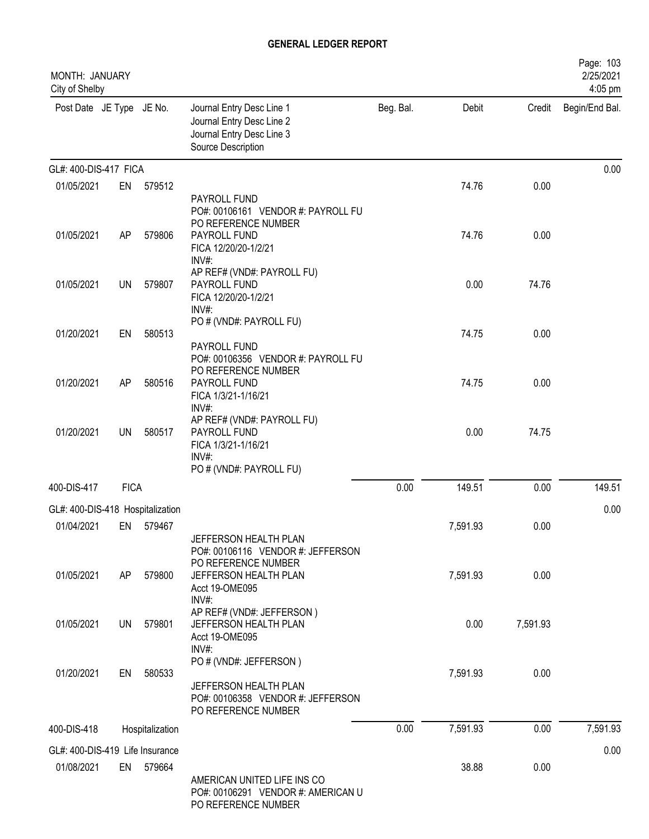| MONTH: JANUARY<br>City of Shelby |             |                 |                                                                                                                              |           |          |          | Page: 103<br>2/25/2021<br>4:05 pm |
|----------------------------------|-------------|-----------------|------------------------------------------------------------------------------------------------------------------------------|-----------|----------|----------|-----------------------------------|
| Post Date JE Type JE No.         |             |                 | Journal Entry Desc Line 1<br>Journal Entry Desc Line 2<br>Journal Entry Desc Line 3<br>Source Description                    | Beg. Bal. | Debit    | Credit   | Begin/End Bal.                    |
| GL#: 400-DIS-417 FICA            |             |                 |                                                                                                                              |           |          |          | 0.00                              |
| 01/05/2021                       | EN          | 579512          |                                                                                                                              |           | 74.76    | 0.00     |                                   |
| 01/05/2021                       | AP          | 579806          | PAYROLL FUND<br>PO#: 00106161 VENDOR #: PAYROLL FU<br>PO REFERENCE NUMBER<br>PAYROLL FUND                                    |           | 74.76    | 0.00     |                                   |
|                                  |             |                 | FICA 12/20/20-1/2/21<br>INV#:                                                                                                |           |          |          |                                   |
| 01/05/2021                       | UN          | 579807          | AP REF# (VND#: PAYROLL FU)<br>PAYROLL FUND<br>FICA 12/20/20-1/2/21<br>INV#:                                                  |           | 0.00     | 74.76    |                                   |
| 01/20/2021                       | EN          | 580513          | PO # (VND#: PAYROLL FU)<br>PAYROLL FUND<br>PO#: 00106356 VENDOR #: PAYROLL FU                                                |           | 74.75    | 0.00     |                                   |
| 01/20/2021                       | AP          | 580516          | PO REFERENCE NUMBER<br>PAYROLL FUND<br>FICA 1/3/21-1/16/21<br>INV#                                                           |           | 74.75    | 0.00     |                                   |
| 01/20/2021                       | UN          | 580517          | AP REF# (VND#: PAYROLL FU)<br>PAYROLL FUND<br>FICA 1/3/21-1/16/21<br>INV#:<br>PO # (VND#: PAYROLL FU)                        |           | 0.00     | 74.75    |                                   |
| 400-DIS-417                      | <b>FICA</b> |                 |                                                                                                                              | 0.00      | 149.51   | 0.00     | 149.51                            |
| GL#: 400-DIS-418 Hospitalization |             |                 |                                                                                                                              |           |          |          | 0.00                              |
| 01/04/2021                       | EN          | 579467          |                                                                                                                              |           | 7,591.93 | 0.00     |                                   |
| 01/05/2021                       | AP          | 579800          | JEFFERSON HEALTH PLAN<br>PO#: 00106116 VENDOR #: JEFFERSON<br>PO REFERENCE NUMBER<br>JEFFERSON HEALTH PLAN<br>Acct 19-OME095 |           | 7,591.93 | 0.00     |                                   |
| 01/05/2021                       | UN          | 579801          | INV#:<br>AP REF# (VND#: JEFFERSON)<br>JEFFERSON HEALTH PLAN<br>Acct 19-OME095<br>INV#:                                       |           | 0.00     | 7,591.93 |                                   |
| 01/20/2021                       | EN          | 580533          | PO # (VND#: JEFFERSON)<br>JEFFERSON HEALTH PLAN<br>PO#: 00106358 VENDOR #: JEFFERSON<br>PO REFERENCE NUMBER                  |           | 7,591.93 | 0.00     |                                   |
| 400-DIS-418                      |             | Hospitalization |                                                                                                                              | 0.00      | 7,591.93 | 0.00     | 7,591.93                          |
| GL#: 400-DIS-419 Life Insurance  |             |                 |                                                                                                                              |           |          |          | 0.00                              |
| 01/08/2021                       |             | EN 579664       | AMERICAN UNITED LIFE INS CO<br>PO#: 00106291 VENDOR #: AMERICAN U<br>PO REFERENCE NUMBER                                     |           | 38.88    | 0.00     |                                   |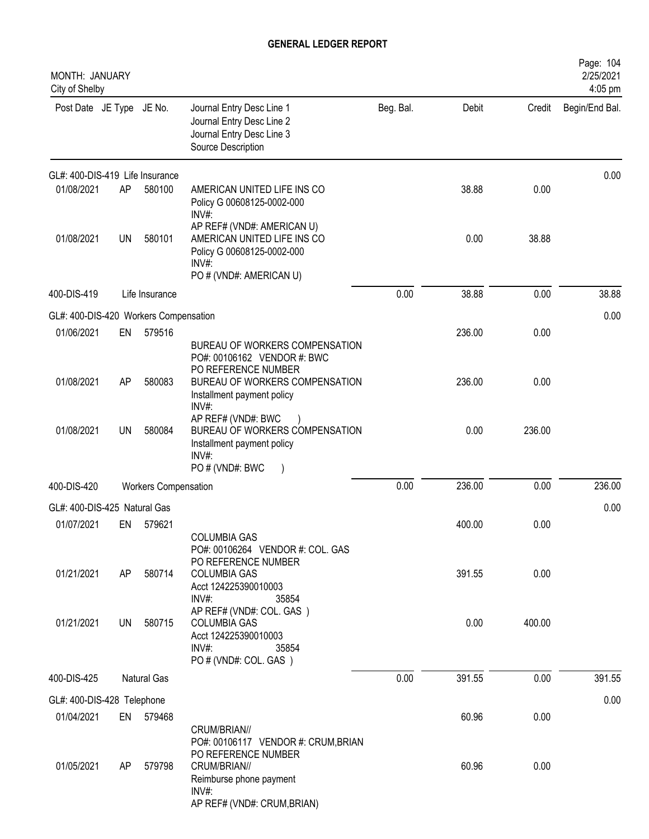| MONTH: JANUARY<br>City of Shelby      |           |                             |                                                                                                                                                               |           |        |        | Page: 104<br>2/25/2021<br>4:05 pm |
|---------------------------------------|-----------|-----------------------------|---------------------------------------------------------------------------------------------------------------------------------------------------------------|-----------|--------|--------|-----------------------------------|
| Post Date JE Type JE No.              |           |                             | Journal Entry Desc Line 1<br>Journal Entry Desc Line 2<br>Journal Entry Desc Line 3<br>Source Description                                                     | Beg. Bal. | Debit  | Credit | Begin/End Bal.                    |
| GL#: 400-DIS-419 Life Insurance       |           |                             |                                                                                                                                                               |           |        |        | 0.00                              |
| 01/08/2021                            | AP        | 580100                      | AMERICAN UNITED LIFE INS CO<br>Policy G 00608125-0002-000<br>INV#:                                                                                            |           | 38.88  | 0.00   |                                   |
| 01/08/2021                            | UN        | 580101                      | AP REF# (VND#: AMERICAN U)<br>AMERICAN UNITED LIFE INS CO<br>Policy G 00608125-0002-000<br>INV#<br>PO # (VND#: AMERICAN U)                                    |           | 0.00   | 38.88  |                                   |
| 400-DIS-419                           |           | Life Insurance              |                                                                                                                                                               | 0.00      | 38.88  | 0.00   | 38.88                             |
| GL#: 400-DIS-420 Workers Compensation |           |                             |                                                                                                                                                               |           |        |        | 0.00                              |
| 01/06/2021                            | EN        | 579516                      | BUREAU OF WORKERS COMPENSATION<br>PO#: 00106162 VENDOR #: BWC                                                                                                 |           | 236.00 | 0.00   |                                   |
| 01/08/2021                            | AP        | 580083                      | PO REFERENCE NUMBER<br>BUREAU OF WORKERS COMPENSATION<br>Installment payment policy<br>INV#:                                                                  |           | 236.00 | 0.00   |                                   |
| 01/08/2021                            | <b>UN</b> | 580084                      | AP REF# (VND#: BWC<br>BUREAU OF WORKERS COMPENSATION<br>Installment payment policy<br>INV#:<br>PO # (VND#: BWC                                                |           | 0.00   | 236.00 |                                   |
| 400-DIS-420                           |           | <b>Workers Compensation</b> |                                                                                                                                                               | 0.00      | 236.00 | 0.00   | 236.00                            |
| GL#: 400-DIS-425 Natural Gas          |           |                             |                                                                                                                                                               |           |        |        | 0.00                              |
| 01/07/2021                            | EN        | 579621                      | <b>COLUMBIA GAS</b><br>PO#: 00106264 VENDOR #: COL. GAS                                                                                                       |           | 400.00 | 0.00   |                                   |
| 01/21/2021                            | AP        | 580714                      | PO REFERENCE NUMBER<br><b>COLUMBIA GAS</b><br>Acct 124225390010003<br>INV#:<br>35854                                                                          |           | 391.55 | 0.00   |                                   |
| 01/21/2021                            | UN        | 580715                      | AP REF# (VND#: COL. GAS)<br><b>COLUMBIA GAS</b><br>Acct 124225390010003<br>INV#:<br>35854<br>PO # (VND#: COL. GAS)                                            |           | 0.00   | 400.00 |                                   |
| 400-DIS-425                           |           | <b>Natural Gas</b>          |                                                                                                                                                               | 0.00      | 391.55 | 0.00   | 391.55                            |
| GL#: 400-DIS-428 Telephone            |           |                             |                                                                                                                                                               |           |        |        | 0.00                              |
| 01/04/2021                            | EN        | 579468                      |                                                                                                                                                               |           | 60.96  | 0.00   |                                   |
| 01/05/2021                            | AP        | 579798                      | CRUM/BRIAN//<br>PO#: 00106117 VENDOR #: CRUM, BRIAN<br>PO REFERENCE NUMBER<br>CRUM/BRIAN//<br>Reimburse phone payment<br>INV#:<br>AP REF# (VND#: CRUM, BRIAN) |           | 60.96  | 0.00   |                                   |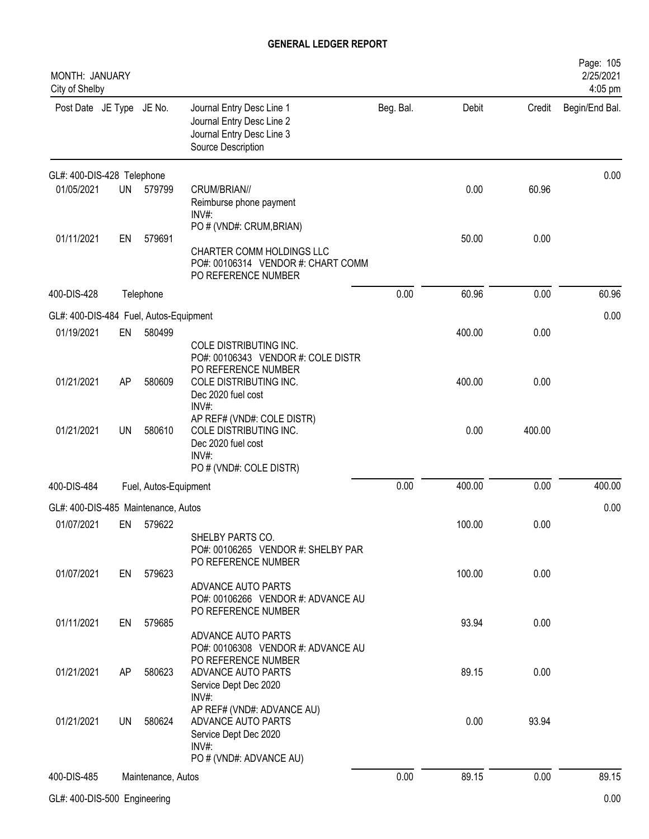| MONTH: JANUARY<br>City of Shelby       |           |                       |                                                                                                                    |           |        |        | Page: 105<br>2/25/2021<br>4:05 pm |
|----------------------------------------|-----------|-----------------------|--------------------------------------------------------------------------------------------------------------------|-----------|--------|--------|-----------------------------------|
| Post Date JE Type JE No.               |           |                       | Journal Entry Desc Line 1<br>Journal Entry Desc Line 2<br>Journal Entry Desc Line 3<br>Source Description          | Beg. Bal. | Debit  | Credit | Begin/End Bal.                    |
| GL#: 400-DIS-428 Telephone             |           |                       |                                                                                                                    |           |        |        | 0.00                              |
| 01/05/2021                             | <b>UN</b> | 579799                | CRUM/BRIAN//<br>Reimburse phone payment<br>INV#:                                                                   |           | 0.00   | 60.96  |                                   |
| 01/11/2021                             | EN        | 579691                | PO # (VND#: CRUM, BRIAN)<br>CHARTER COMM HOLDINGS LLC<br>PO#: 00106314 VENDOR #: CHART COMM<br>PO REFERENCE NUMBER |           | 50.00  | 0.00   |                                   |
| 400-DIS-428                            |           | Telephone             |                                                                                                                    | 0.00      | 60.96  | 0.00   | 60.96                             |
| GL#: 400-DIS-484 Fuel, Autos-Equipment |           |                       |                                                                                                                    |           |        |        | 0.00                              |
| 01/19/2021                             | EN        | 580499                | COLE DISTRIBUTING INC.<br>PO#: 00106343 VENDOR #: COLE DISTR<br>PO REFERENCE NUMBER                                |           | 400.00 | 0.00   |                                   |
| 01/21/2021                             | AP        | 580609                | COLE DISTRIBUTING INC.<br>Dec 2020 fuel cost<br>$INV#$ :                                                           |           | 400.00 | 0.00   |                                   |
| 01/21/2021                             | <b>UN</b> | 580610                | AP REF# (VND#: COLE DISTR)<br>COLE DISTRIBUTING INC.<br>Dec 2020 fuel cost<br>$INV#$ :<br>PO # (VND#: COLE DISTR)  |           | 0.00   | 400.00 |                                   |
| 400-DIS-484                            |           | Fuel, Autos-Equipment |                                                                                                                    | 0.00      | 400.00 | 0.00   | 400.00                            |
| GL#: 400-DIS-485 Maintenance, Autos    |           |                       |                                                                                                                    |           |        |        | 0.00                              |
| 01/07/2021                             | EN        | 579622                | SHELBY PARTS CO.<br>PO#: 00106265 VENDOR #: SHELBY PAR<br>PO REFERENCE NUMBER                                      |           | 100.00 | 0.00   |                                   |
| 01/07/2021                             | EN        | 579623                | ADVANCE AUTO PARTS<br>PO#: 00106266 VENDOR #: ADVANCE AU<br>PO REFERENCE NUMBER                                    |           | 100.00 | 0.00   |                                   |
| 01/11/2021                             | EN        | 579685                | ADVANCE AUTO PARTS<br>PO#: 00106308 VENDOR #: ADVANCE AU<br>PO REFERENCE NUMBER                                    |           | 93.94  | 0.00   |                                   |
| 01/21/2021                             | AP        | 580623                | ADVANCE AUTO PARTS<br>Service Dept Dec 2020<br>INV#:                                                               |           | 89.15  | 0.00   |                                   |
| 01/21/2021                             | UN        | 580624                | AP REF# (VND#: ADVANCE AU)<br>ADVANCE AUTO PARTS<br>Service Dept Dec 2020<br>$INV#$ :<br>PO # (VND#: ADVANCE AU)   |           | 0.00   | 93.94  |                                   |
| 400-DIS-485                            |           | Maintenance, Autos    |                                                                                                                    | 0.00      | 89.15  | 0.00   | 89.15                             |
|                                        |           |                       |                                                                                                                    |           |        |        |                                   |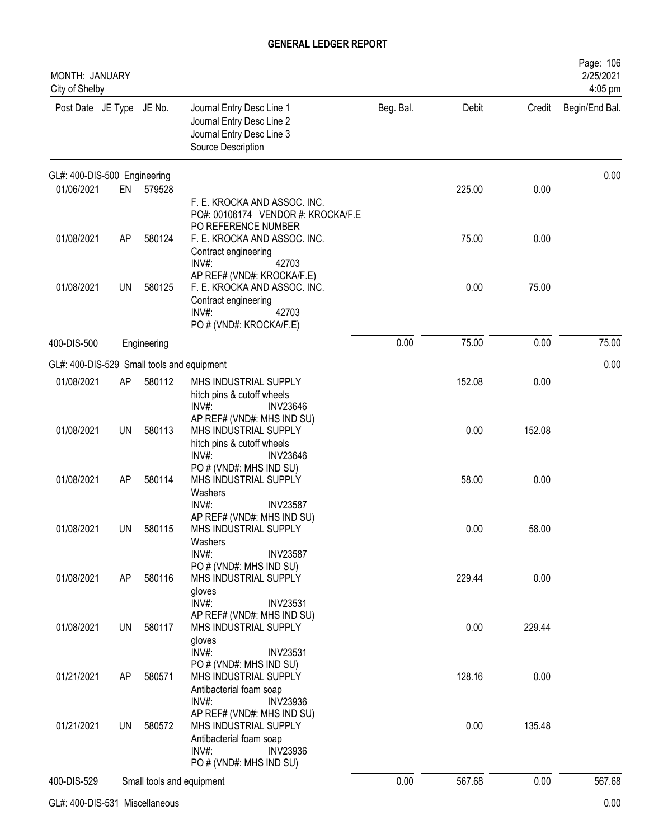| MONTH: JANUARY<br>City of Shelby           |           |             |                                                                                                                                                                   |           |        |        | Page: 106<br>2/25/2021<br>4:05 pm |
|--------------------------------------------|-----------|-------------|-------------------------------------------------------------------------------------------------------------------------------------------------------------------|-----------|--------|--------|-----------------------------------|
| Post Date JE Type JE No.                   |           |             | Journal Entry Desc Line 1<br>Journal Entry Desc Line 2<br>Journal Entry Desc Line 3<br>Source Description                                                         | Beg. Bal. | Debit  | Credit | Begin/End Bal.                    |
| GL#: 400-DIS-500 Engineering               |           |             |                                                                                                                                                                   |           |        |        | 0.00                              |
| 01/06/2021                                 | EN        | 579528      | F. E. KROCKA AND ASSOC. INC.<br>PO#: 00106174 VENDOR #: KROCKA/F.E<br>PO REFERENCE NUMBER                                                                         |           | 225.00 | 0.00   |                                   |
| 01/08/2021                                 | AP        | 580124      | F. E. KROCKA AND ASSOC. INC.<br>Contract engineering<br>42703<br>INV#:                                                                                            |           | 75.00  | 0.00   |                                   |
| 01/08/2021                                 | UN        | 580125      | AP REF# (VND#: KROCKA/F.E)<br>F. E. KROCKA AND ASSOC. INC.<br>Contract engineering<br>INV#:<br>42703<br>PO # (VND#: KROCKA/F.E)                                   |           | 0.00   | 75.00  |                                   |
| 400-DIS-500                                |           | Engineering |                                                                                                                                                                   | 0.00      | 75.00  | 0.00   | 75.00                             |
| GL#: 400-DIS-529 Small tools and equipment |           |             |                                                                                                                                                                   |           |        |        | 0.00                              |
| 01/08/2021                                 | AP        | 580112      | MHS INDUSTRIAL SUPPLY<br>hitch pins & cutoff wheels<br>INV#:<br><b>INV23646</b><br>AP REF# (VND#: MHS IND SU)                                                     |           | 152.08 | 0.00   |                                   |
| 01/08/2021                                 | <b>UN</b> | 580113      | MHS INDUSTRIAL SUPPLY<br>hitch pins & cutoff wheels<br>$INV#$ :<br><b>INV23646</b>                                                                                |           | 0.00   | 152.08 |                                   |
| 01/08/2021                                 | AP        | 580114      | PO # (VND#: MHS IND SU)<br>MHS INDUSTRIAL SUPPLY<br>Washers<br>INV#:<br><b>INV23587</b>                                                                           |           | 58.00  | 0.00   |                                   |
| 01/08/2021                                 | UN        | 580115      | AP REF# (VND#: MHS IND SU)<br>MHS INDUSTRIAL SUPPLY<br>Washers<br>INV#:<br><b>INV23587</b>                                                                        |           | 0.00   | 58.00  |                                   |
| 01/08/2021                                 | AP        | 580116      | PO # (VND#: MHS IND SU)<br>MHS INDUSTRIAL SUPPLY<br>gloves<br>INV#:<br><b>INV23531</b>                                                                            |           | 229.44 | 0.00   |                                   |
| 01/08/2021                                 | <b>UN</b> | 580117      | AP REF# (VND#: MHS IND SU)<br>MHS INDUSTRIAL SUPPLY<br>gloves                                                                                                     |           | 0.00   | 229.44 |                                   |
| 01/21/2021                                 | AP        | 580571      | INV#:<br><b>INV23531</b><br>PO # (VND#: MHS IND SU)<br>MHS INDUSTRIAL SUPPLY<br>Antibacterial foam soap                                                           |           | 128.16 | 0.00   |                                   |
| 01/21/2021                                 | UN        | 580572      | INV#:<br><b>INV23936</b><br>AP REF# (VND#: MHS IND SU)<br>MHS INDUSTRIAL SUPPLY<br>Antibacterial foam soap<br>INV#:<br><b>INV23936</b><br>PO # (VND#: MHS IND SU) |           | 0.00   | 135.48 |                                   |
| 400-DIS-529                                |           |             | Small tools and equipment                                                                                                                                         | 0.00      | 567.68 | 0.00   | 567.68                            |
|                                            |           |             |                                                                                                                                                                   |           |        |        |                                   |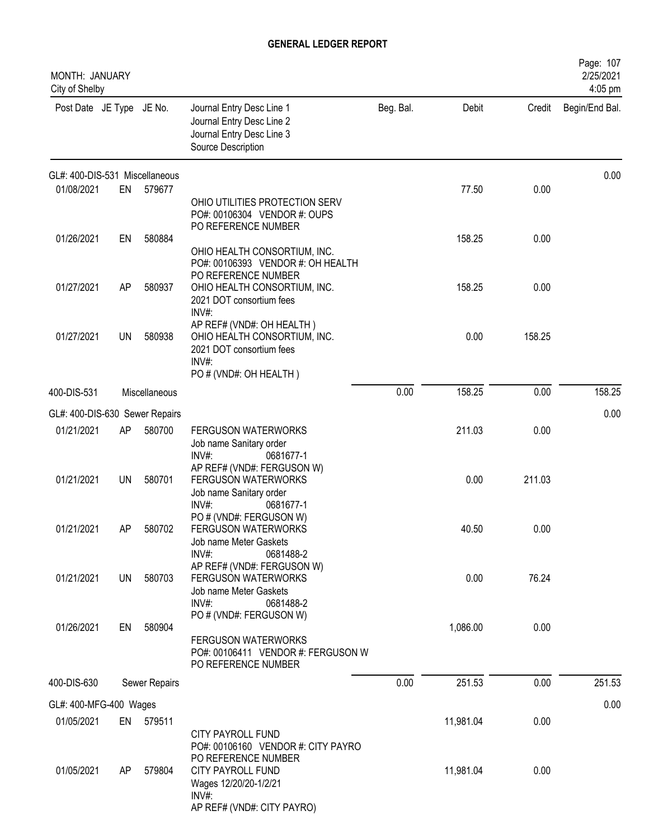| MONTH: JANUARY<br>City of Shelby |     |               |                                                                                                                                                                                      |           |           |        | Page: 107<br>2/25/2021<br>4:05 pm |
|----------------------------------|-----|---------------|--------------------------------------------------------------------------------------------------------------------------------------------------------------------------------------|-----------|-----------|--------|-----------------------------------|
| Post Date JE Type JE No.         |     |               | Journal Entry Desc Line 1<br>Journal Entry Desc Line 2<br>Journal Entry Desc Line 3<br>Source Description                                                                            | Beg. Bal. | Debit     | Credit | Begin/End Bal.                    |
| GL#: 400-DIS-531 Miscellaneous   |     |               |                                                                                                                                                                                      |           |           |        | 0.00                              |
| 01/08/2021                       | EN  | 579677        | OHIO UTILITIES PROTECTION SERV<br>PO#: 00106304 VENDOR #: OUPS<br>PO REFERENCE NUMBER                                                                                                |           | 77.50     | 0.00   |                                   |
| 01/26/2021                       | EN  | 580884        | OHIO HEALTH CONSORTIUM, INC.<br>PO#: 00106393 VENDOR #: OH HEALTH<br>PO REFERENCE NUMBER                                                                                             |           | 158.25    | 0.00   |                                   |
| 01/27/2021                       | AP  | 580937        | OHIO HEALTH CONSORTIUM, INC.<br>2021 DOT consortium fees<br>$INV#$ :                                                                                                                 |           | 158.25    | 0.00   |                                   |
| 01/27/2021                       | UN  | 580938        | AP REF# (VND#: OH HEALTH)<br>OHIO HEALTH CONSORTIUM, INC.<br>2021 DOT consortium fees<br>INV#:<br>PO # (VND#: OH HEALTH)                                                             |           | 0.00      | 158.25 |                                   |
| 400-DIS-531                      |     | Miscellaneous |                                                                                                                                                                                      | 0.00      | 158.25    | 0.00   | 158.25                            |
| GL#: 400-DIS-630 Sewer Repairs   |     |               |                                                                                                                                                                                      |           |           |        | 0.00                              |
| 01/21/2021                       | AP  | 580700        | <b>FERGUSON WATERWORKS</b><br>Job name Sanitary order<br>INV#:<br>0681677-1                                                                                                          |           | 211.03    | 0.00   |                                   |
| 01/21/2021                       | UN  | 580701        | AP REF# (VND#: FERGUSON W)<br><b>FERGUSON WATERWORKS</b><br>Job name Sanitary order<br>INV#:<br>0681677-1                                                                            |           | 0.00      | 211.03 |                                   |
| 01/21/2021                       | AΡ  | 580702        | PO # (VND#: FERGUSON W)<br><b>FERGUSON WATERWORKS</b><br>Job name Meter Gaskets<br>$INV#$ :<br>0681488-2                                                                             |           | 40.50     | 0.00   |                                   |
| 01/21/2021                       | UN  | 580703        | AP REF# (VND#: FERGUSON W)<br><b>FERGUSON WATERWORKS</b><br>Job name Meter Gaskets<br>$INV#$ :<br>0681488-2                                                                          |           | 0.00      | 76.24  |                                   |
| 01/26/2021                       | EN  | 580904        | PO # (VND#: FERGUSON W)<br><b>FERGUSON WATERWORKS</b><br>PO#: 00106411 VENDOR #: FERGUSON W<br>PO REFERENCE NUMBER                                                                   |           | 1,086.00  | 0.00   |                                   |
| 400-DIS-630                      |     | Sewer Repairs |                                                                                                                                                                                      | 0.00      | 251.53    | 0.00   | 251.53                            |
| GL#: 400-MFG-400 Wages           |     |               |                                                                                                                                                                                      |           |           |        | 0.00                              |
| 01/05/2021                       |     | EN 579511     |                                                                                                                                                                                      |           | 11,981.04 | 0.00   |                                   |
| 01/05/2021                       | AP. | 579804        | <b>CITY PAYROLL FUND</b><br>PO#: 00106160 VENDOR #: CITY PAYRO<br>PO REFERENCE NUMBER<br><b>CITY PAYROLL FUND</b><br>Wages 12/20/20-1/2/21<br>$INV#$ :<br>AP REF# (VND#: CITY PAYRO) |           | 11,981.04 | 0.00   |                                   |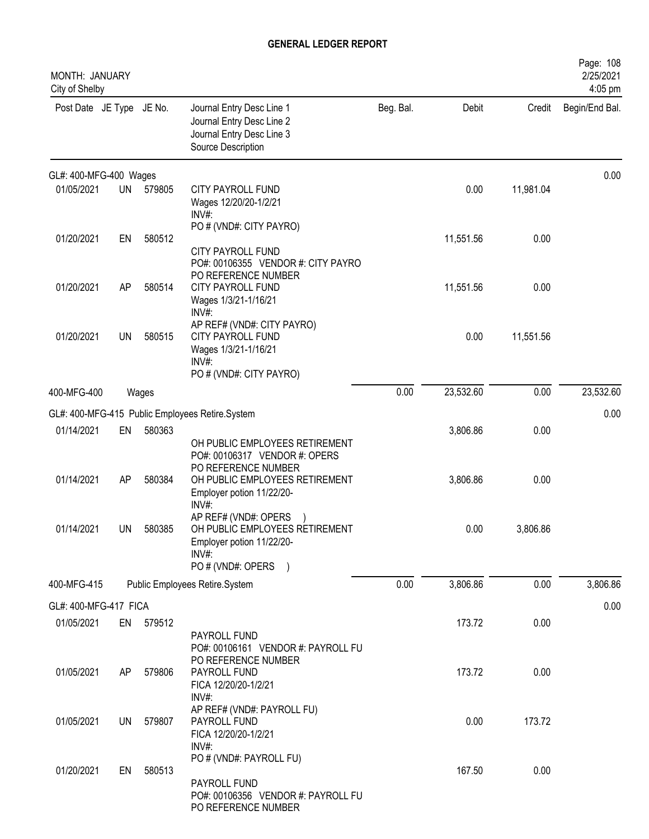| MONTH: JANUARY<br>City of Shelby |     |           |                                                                                                                                                |           |           |           | Page: 108<br>2/25/2021<br>4:05 pm |
|----------------------------------|-----|-----------|------------------------------------------------------------------------------------------------------------------------------------------------|-----------|-----------|-----------|-----------------------------------|
| Post Date JE Type JE No.         |     |           | Journal Entry Desc Line 1<br>Journal Entry Desc Line 2<br>Journal Entry Desc Line 3<br>Source Description                                      | Beg. Bal. | Debit     | Credit    | Begin/End Bal.                    |
| GL#: 400-MFG-400 Wages           |     |           |                                                                                                                                                |           |           |           | 0.00                              |
| 01/05/2021                       | UN  | 579805    | CITY PAYROLL FUND<br>Wages 12/20/20-1/2/21<br>$INV#$ :                                                                                         |           | 0.00      | 11,981.04 |                                   |
| 01/20/2021                       | EN  | 580512    | PO # (VND#: CITY PAYRO)<br><b>CITY PAYROLL FUND</b><br>PO#: 00106355 VENDOR #: CITY PAYRO                                                      |           | 11,551.56 | 0.00      |                                   |
| 01/20/2021                       | AP  | 580514    | PO REFERENCE NUMBER<br>CITY PAYROLL FUND<br>Wages 1/3/21-1/16/21<br>INV#:                                                                      |           | 11,551.56 | 0.00      |                                   |
| 01/20/2021                       | UN  | 580515    | AP REF# (VND#: CITY PAYRO)<br><b>CITY PAYROLL FUND</b><br>Wages 1/3/21-1/16/21<br>$INV#$ :<br>PO # (VND#: CITY PAYRO)                          |           | 0.00      | 11,551.56 |                                   |
| 400-MFG-400                      |     | Wages     |                                                                                                                                                | 0.00      | 23,532.60 | 0.00      | 23,532.60                         |
|                                  |     |           | GL#: 400-MFG-415 Public Employees Retire.System                                                                                                |           |           |           | 0.00                              |
| 01/14/2021                       | EN  | 580363    | OH PUBLIC EMPLOYEES RETIREMENT<br>PO#: 00106317 VENDOR #: OPERS                                                                                |           | 3,806.86  | 0.00      |                                   |
| 01/14/2021                       | AP  | 580384    | PO REFERENCE NUMBER<br>OH PUBLIC EMPLOYEES RETIREMENT<br>Employer potion 11/22/20-                                                             |           | 3,806.86  | 0.00      |                                   |
| 01/14/2021                       | UN  | 580385    | $INV#$ :<br>AP REF# (VND#: OPERS<br>OH PUBLIC EMPLOYEES RETIREMENT<br>Employer potion 11/22/20-<br>INV#:<br>PO # (VND#: OPERS<br>$\rightarrow$ |           | 0.00      | 3,806.86  |                                   |
| 400-MFG-415                      |     |           | Public Employees Retire.System                                                                                                                 | 0.00      | 3,806.86  | 0.00      | 3,806.86                          |
| GL#: 400-MFG-417 FICA            |     |           |                                                                                                                                                |           |           |           | 0.00                              |
| 01/05/2021                       |     | EN 579512 | PAYROLL FUND<br>PO#: 00106161 VENDOR #: PAYROLL FU                                                                                             |           | 173.72    | 0.00      |                                   |
| 01/05/2021                       | AP. | 579806    | PO REFERENCE NUMBER<br>PAYROLL FUND<br>FICA 12/20/20-1/2/21<br>INV#:                                                                           |           | 173.72    | 0.00      |                                   |
| 01/05/2021                       | UN  | 579807    | AP REF# (VND#: PAYROLL FU)<br>PAYROLL FUND<br>FICA 12/20/20-1/2/21<br>$INV#$ :                                                                 |           | 0.00      | 173.72    |                                   |
| 01/20/2021                       | EN  | 580513    | PO # (VND#: PAYROLL FU)<br>PAYROLL FUND<br>PO#: 00106356 VENDOR #: PAYROLL FU<br>PO REFERENCE NUMBER                                           |           | 167.50    | 0.00      |                                   |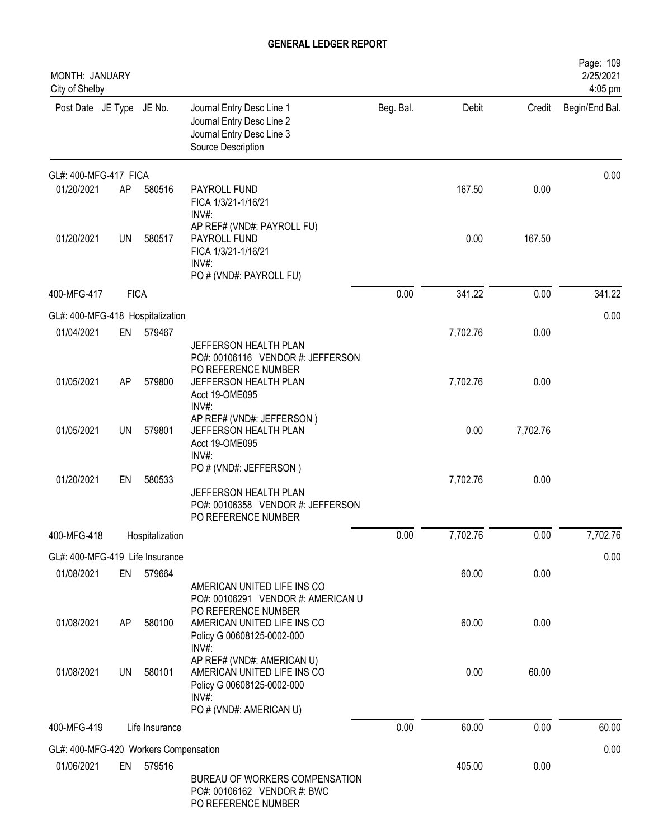| MONTH: JANUARY<br>City of Shelby      |             |                 |                                                                                                                                 |           |          |          | Page: 109<br>2/25/2021<br>4:05 pm |
|---------------------------------------|-------------|-----------------|---------------------------------------------------------------------------------------------------------------------------------|-----------|----------|----------|-----------------------------------|
| Post Date JE Type JE No.              |             |                 | Journal Entry Desc Line 1<br>Journal Entry Desc Line 2<br>Journal Entry Desc Line 3<br>Source Description                       | Beg. Bal. | Debit    | Credit   | Begin/End Bal.                    |
| GL#: 400-MFG-417 FICA                 |             |                 |                                                                                                                                 |           |          |          | 0.00                              |
| 01/20/2021                            | AP          | 580516          | PAYROLL FUND<br>FICA 1/3/21-1/16/21<br>INV#:                                                                                    |           | 167.50   | 0.00     |                                   |
| 01/20/2021                            | <b>UN</b>   | 580517          | AP REF# (VND#: PAYROLL FU)<br>PAYROLL FUND<br>FICA 1/3/21-1/16/21<br>INV#:<br>PO # (VND#: PAYROLL FU)                           |           | 0.00     | 167.50   |                                   |
| 400-MFG-417                           | <b>FICA</b> |                 |                                                                                                                                 | 0.00      | 341.22   | 0.00     | 341.22                            |
| GL#: 400-MFG-418 Hospitalization      |             |                 |                                                                                                                                 |           |          |          | 0.00                              |
| 01/04/2021                            | EN          | 579467          | JEFFERSON HEALTH PLAN                                                                                                           |           | 7,702.76 | 0.00     |                                   |
|                                       |             |                 | PO#: 00106116 VENDOR #: JEFFERSON<br>PO REFERENCE NUMBER                                                                        |           |          |          |                                   |
| 01/05/2021                            | AP          | 579800          | JEFFERSON HEALTH PLAN<br>Acct 19-OME095<br>INV#:                                                                                |           | 7,702.76 | 0.00     |                                   |
| 01/05/2021                            | <b>UN</b>   | 579801          | AP REF# (VND#: JEFFERSON)<br>JEFFERSON HEALTH PLAN<br>Acct 19-OME095                                                            |           | 0.00     | 7,702.76 |                                   |
| 01/20/2021                            | EN          | 580533          | $INV#$ :<br>PO # (VND#: JEFFERSON)<br>JEFFERSON HEALTH PLAN<br>PO#: 00106358 VENDOR #: JEFFERSON<br>PO REFERENCE NUMBER         |           | 7,702.76 | 0.00     |                                   |
| 400-MFG-418                           |             | Hospitalization |                                                                                                                                 | 0.00      | 7,702.76 | 0.00     | 7,702.76                          |
| GL#: 400-MFG-419 Life Insurance       |             |                 |                                                                                                                                 |           |          |          | 0.00                              |
| 01/08/2021                            | EN          | 579664          | AMERICAN UNITED LIFE INS CO                                                                                                     |           | 60.00    | 0.00     |                                   |
| 01/08/2021                            | AP          | 580100          | PO#: 00106291 VENDOR #: AMERICAN U<br>PO REFERENCE NUMBER<br>AMERICAN UNITED LIFE INS CO<br>Policy G 00608125-0002-000<br>INV#: |           | 60.00    | 0.00     |                                   |
| 01/08/2021                            | UN          | 580101          | AP REF# (VND#: AMERICAN U)<br>AMERICAN UNITED LIFE INS CO<br>Policy G 00608125-0002-000<br>$INV#$ :                             |           | 0.00     | 60.00    |                                   |
| 400-MFG-419                           |             | Life Insurance  | PO # (VND#: AMERICAN U)                                                                                                         | 0.00      | 60.00    | 0.00     | 60.00                             |
|                                       |             |                 |                                                                                                                                 |           |          |          |                                   |
| GL#: 400-MFG-420 Workers Compensation |             |                 |                                                                                                                                 |           |          |          | 0.00                              |
| 01/06/2021                            | EN          | 579516          | BUREAU OF WORKERS COMPENSATION<br>PO#: 00106162 VENDOR #: BWC<br>PO REFERENCE NUMBER                                            |           | 405.00   | 0.00     |                                   |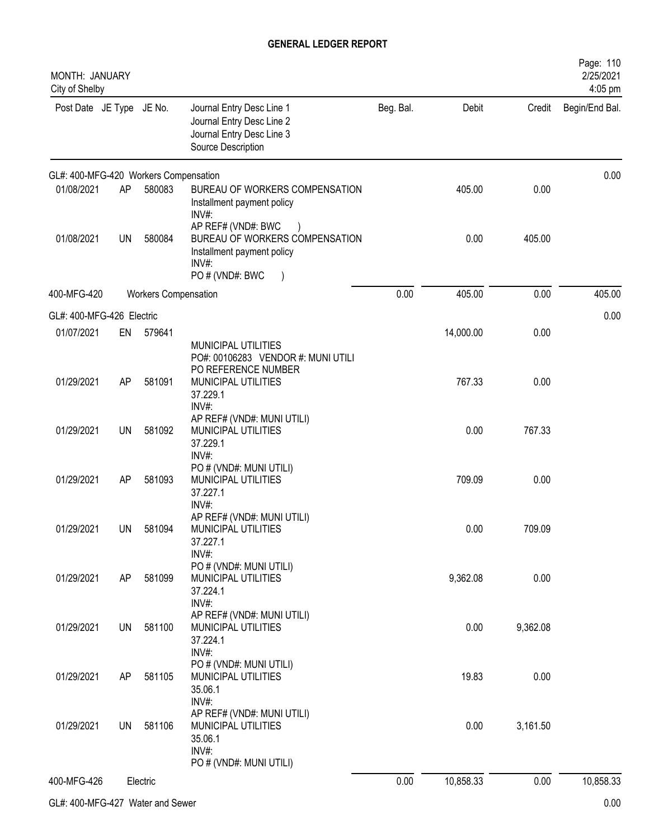| MONTH: JANUARY<br>City of Shelby      |           |                             |                                                                                                                           |           |           |          | Page: 110<br>2/25/2021<br>4:05 pm |
|---------------------------------------|-----------|-----------------------------|---------------------------------------------------------------------------------------------------------------------------|-----------|-----------|----------|-----------------------------------|
| Post Date JE Type JE No.              |           |                             | Journal Entry Desc Line 1<br>Journal Entry Desc Line 2<br>Journal Entry Desc Line 3<br>Source Description                 | Beg. Bal. | Debit     | Credit   | Begin/End Bal.                    |
| GL#: 400-MFG-420 Workers Compensation |           |                             |                                                                                                                           |           |           |          | 0.00                              |
| 01/08/2021                            | AP        | 580083                      | BUREAU OF WORKERS COMPENSATION<br>Installment payment policy<br>INV#:                                                     |           | 405.00    | 0.00     |                                   |
| 01/08/2021                            | UN        | 580084                      | AP REF# (VND#: BWC<br>BUREAU OF WORKERS COMPENSATION<br>Installment payment policy<br>INV#:<br>PO # (VND#: BWC<br>$\big)$ |           | 0.00      | 405.00   |                                   |
| 400-MFG-420                           |           | <b>Workers Compensation</b> |                                                                                                                           | 0.00      | 405.00    | 0.00     | 405.00                            |
| GL#: 400-MFG-426 Electric             |           |                             |                                                                                                                           |           |           |          | 0.00                              |
| 01/07/2021                            | EN        | 579641                      | MUNICIPAL UTILITIES<br>PO#: 00106283 VENDOR #: MUNI UTILI                                                                 |           | 14,000.00 | 0.00     |                                   |
| 01/29/2021                            | AP        | 581091                      | PO REFERENCE NUMBER<br>MUNICIPAL UTILITIES<br>37.229.1<br>INV#:                                                           |           | 767.33    | 0.00     |                                   |
| 01/29/2021                            | <b>UN</b> | 581092                      | AP REF# (VND#: MUNI UTILI)<br>MUNICIPAL UTILITIES<br>37.229.1<br>INV#:                                                    |           | 0.00      | 767.33   |                                   |
| 01/29/2021                            | AP        | 581093                      | PO # (VND#: MUNI UTILI)<br>MUNICIPAL UTILITIES<br>37.227.1<br>INV#:                                                       |           | 709.09    | 0.00     |                                   |
| 01/29/2021                            | <b>UN</b> | 581094                      | AP REF# (VND#: MUNI UTILI)<br>MUNICIPAL UTILITIES<br>37.227.1<br>INV#:                                                    |           | 0.00      | 709.09   |                                   |
| 01/29/2021                            | AP        | 581099                      | PO # (VND#: MUNI UTILI)<br>MUNICIPAL UTILITIES<br>37.224.1<br>INV#:                                                       |           | 9,362.08  | 0.00     |                                   |
| 01/29/2021                            | <b>UN</b> | 581100                      | AP REF# (VND#: MUNI UTILI)<br>MUNICIPAL UTILITIES<br>37.224.1<br>INV#:                                                    |           | 0.00      | 9,362.08 |                                   |
| 01/29/2021                            | AP        | 581105                      | PO # (VND#: MUNI UTILI)<br>MUNICIPAL UTILITIES<br>35.06.1                                                                 |           | 19.83     | 0.00     |                                   |
| 01/29/2021                            | UN        | 581106                      | INV#:<br>AP REF# (VND#: MUNI UTILI)<br>MUNICIPAL UTILITIES<br>35.06.1<br>INV#:                                            |           | 0.00      | 3,161.50 |                                   |
| 400-MFG-426                           |           | Electric                    | PO # (VND#: MUNI UTILI)                                                                                                   | 0.00      | 10,858.33 | 0.00     | 10,858.33                         |
|                                       |           |                             |                                                                                                                           |           |           |          |                                   |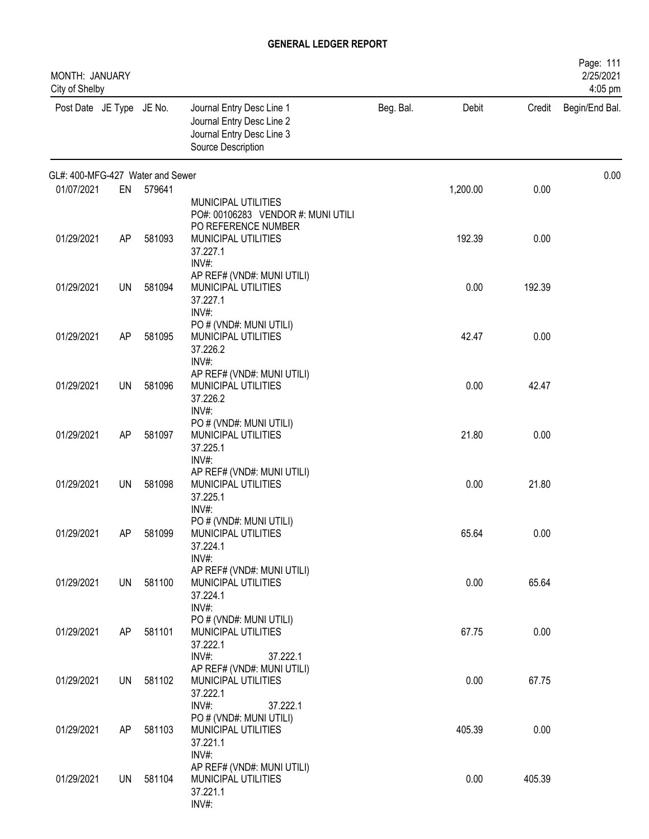| MONTH: JANUARY<br>City of Shelby |           |           |                                                                                                           |           |          |        | Page: 111<br>2/25/2021<br>4:05 pm |
|----------------------------------|-----------|-----------|-----------------------------------------------------------------------------------------------------------|-----------|----------|--------|-----------------------------------|
| Post Date JE Type JE No.         |           |           | Journal Entry Desc Line 1<br>Journal Entry Desc Line 2<br>Journal Entry Desc Line 3<br>Source Description | Beg. Bal. | Debit    | Credit | Begin/End Bal.                    |
| GL#: 400-MFG-427 Water and Sewer |           |           |                                                                                                           |           |          |        | 0.00                              |
| 01/07/2021                       | EN        | 579641    | MUNICIPAL UTILITIES<br>PO#: 00106283 VENDOR #: MUNI UTILI<br>PO REFERENCE NUMBER                          |           | 1,200.00 | 0.00   |                                   |
| 01/29/2021                       | AP        | 581093    | MUNICIPAL UTILITIES<br>37.227.1<br>INV#:                                                                  |           | 192.39   | 0.00   |                                   |
| 01/29/2021                       | UN        | 581094    | AP REF# (VND#: MUNI UTILI)<br>MUNICIPAL UTILITIES<br>37.227.1<br>INV#:                                    |           | 0.00     | 192.39 |                                   |
| 01/29/2021                       | AP        | 581095    | PO # (VND#: MUNI UTILI)<br>MUNICIPAL UTILITIES<br>37.226.2                                                |           | 42.47    | 0.00   |                                   |
| 01/29/2021                       | UN        | 581096    | INV#:<br>AP REF# (VND#: MUNI UTILI)<br>MUNICIPAL UTILITIES<br>37.226.2                                    |           | 0.00     | 42.47  |                                   |
| 01/29/2021                       | AP        | 581097    | $INV#$ :<br>PO # (VND#: MUNI UTILI)<br>MUNICIPAL UTILITIES<br>37.225.1                                    |           | 21.80    | 0.00   |                                   |
| 01/29/2021                       | <b>UN</b> | 581098    | INV#:<br>AP REF# (VND#: MUNI UTILI)<br>MUNICIPAL UTILITIES<br>37.225.1                                    |           | 0.00     | 21.80  |                                   |
| 01/29/2021                       | AP        | 581099    | $INV#$ :<br>PO # (VND#: MUNI UTILI)<br>MUNICIPAL UTILITIES<br>37.224.1<br>INV#:                           |           | 65.64    | 0.00   |                                   |
| 01/29/2021                       |           | UN 581100 | AP REF# (VND#: MUNI UTILI)<br>MUNICIPAL UTILITIES<br>37.224.1<br>INV#:                                    |           | 0.00     | 65.64  |                                   |
| 01/29/2021                       | AP        | 581101    | PO # (VND#: MUNI UTILI)<br>MUNICIPAL UTILITIES<br>37.222.1<br>INV#:                                       |           | 67.75    | 0.00   |                                   |
| 01/29/2021                       |           | UN 581102 | 37.222.1<br>AP REF# (VND#: MUNI UTILI)<br>MUNICIPAL UTILITIES<br>37.222.1                                 |           | 0.00     | 67.75  |                                   |
| 01/29/2021                       | AP        | 581103    | INV#:<br>37.222.1<br>PO # (VND#: MUNI UTILI)<br>MUNICIPAL UTILITIES<br>37.221.1                           |           | 405.39   | 0.00   |                                   |
| 01/29/2021                       |           | UN 581104 | INV#:<br>AP REF# (VND#: MUNI UTILI)<br>MUNICIPAL UTILITIES<br>37.221.1<br>INV#:                           |           | 0.00     | 405.39 |                                   |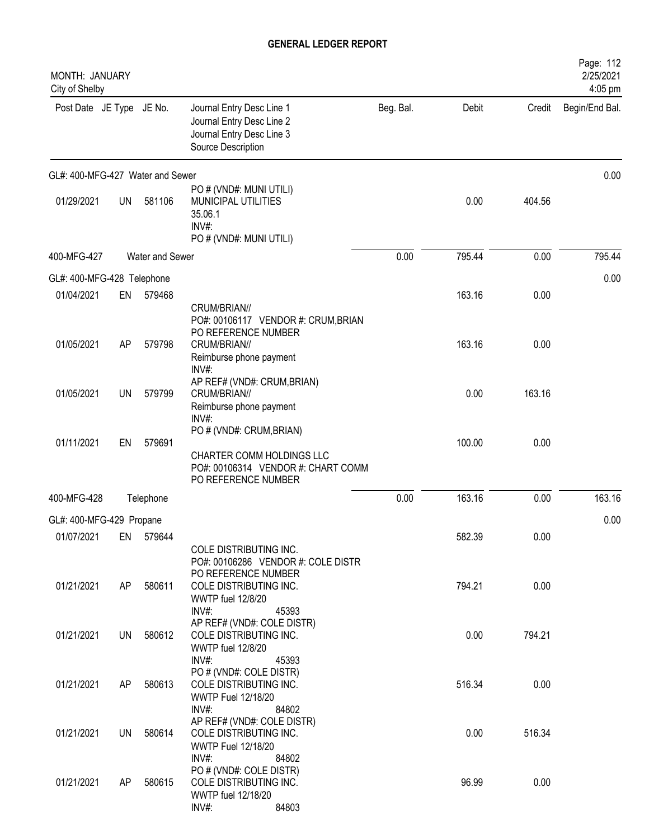| MONTH: JANUARY<br>City of Shelby |           |                 |                                                                                                                    |           |        |        | Page: 112<br>2/25/2021<br>4:05 pm |
|----------------------------------|-----------|-----------------|--------------------------------------------------------------------------------------------------------------------|-----------|--------|--------|-----------------------------------|
| Post Date JE Type JE No.         |           |                 | Journal Entry Desc Line 1<br>Journal Entry Desc Line 2<br>Journal Entry Desc Line 3<br>Source Description          | Beg. Bal. | Debit  | Credit | Begin/End Bal.                    |
| GL#: 400-MFG-427 Water and Sewer |           |                 |                                                                                                                    |           |        |        | 0.00                              |
| 01/29/2021                       | <b>UN</b> | 581106          | PO # (VND#: MUNI UTILI)<br>MUNICIPAL UTILITIES<br>35.06.1<br>INV#:<br>PO # (VND#: MUNI UTILI)                      |           | 0.00   | 404.56 |                                   |
| 400-MFG-427                      |           | Water and Sewer |                                                                                                                    | 0.00      | 795.44 | 0.00   | 795.44                            |
| GL#: 400-MFG-428 Telephone       |           |                 |                                                                                                                    |           |        |        | 0.00                              |
| 01/04/2021                       | EN        | 579468          | CRUM/BRIAN//<br>PO#: 00106117 VENDOR #: CRUM, BRIAN                                                                |           | 163.16 | 0.00   |                                   |
| 01/05/2021                       | AP        | 579798          | PO REFERENCE NUMBER<br>CRUM/BRIAN//<br>Reimburse phone payment<br>INV#                                             |           | 163.16 | 0.00   |                                   |
| 01/05/2021                       | UN        | 579799          | AP REF# (VND#: CRUM, BRIAN)<br>CRUM/BRIAN//<br>Reimburse phone payment<br>INV#:                                    |           | 0.00   | 163.16 |                                   |
| 01/11/2021                       | EN        | 579691          | PO # (VND#: CRUM, BRIAN)<br>CHARTER COMM HOLDINGS LLC<br>PO#: 00106314 VENDOR #: CHART COMM<br>PO REFERENCE NUMBER |           | 100.00 | 0.00   |                                   |
| 400-MFG-428                      |           | Telephone       |                                                                                                                    | 0.00      | 163.16 | 0.00   | 163.16                            |
| GL#: 400-MFG-429 Propane         |           |                 |                                                                                                                    |           |        |        | 0.00                              |
| 01/07/2021                       | EN        | 579644          | COLE DISTRIBUTING INC.<br>PO#: 00106286 VENDOR #: COLE DISTR<br>PO REFERENCE NUMBER                                |           | 582.39 | 0.00   |                                   |
| 01/21/2021                       | AP        | 580611          | COLE DISTRIBUTING INC.<br><b>WWTP fuel 12/8/20</b><br>INV#:<br>45393                                               |           | 794.21 | 0.00   |                                   |
| 01/21/2021                       | UN        | 580612          | AP REF# (VND#: COLE DISTR)<br>COLE DISTRIBUTING INC.<br><b>WWTP fuel 12/8/20</b><br>$INV#$ :<br>45393              |           | 0.00   | 794.21 |                                   |
| 01/21/2021                       | AP        | 580613          | PO # (VND#: COLE DISTR)<br>COLE DISTRIBUTING INC.<br><b>WWTP Fuel 12/18/20</b><br>$INV#$ :<br>84802                |           | 516.34 | 0.00   |                                   |
| 01/21/2021                       | UN        | 580614          | AP REF# (VND#: COLE DISTR)<br>COLE DISTRIBUTING INC.<br><b>WWTP Fuel 12/18/20</b><br>$INV#$ :<br>84802             |           | 0.00   | 516.34 |                                   |
| 01/21/2021                       | AP        | 580615          | PO # (VND#: COLE DISTR)<br>COLE DISTRIBUTING INC.<br>WWTP fuel 12/18/20<br>INV#:<br>84803                          |           | 96.99  | 0.00   |                                   |
|                                  |           |                 |                                                                                                                    |           |        |        |                                   |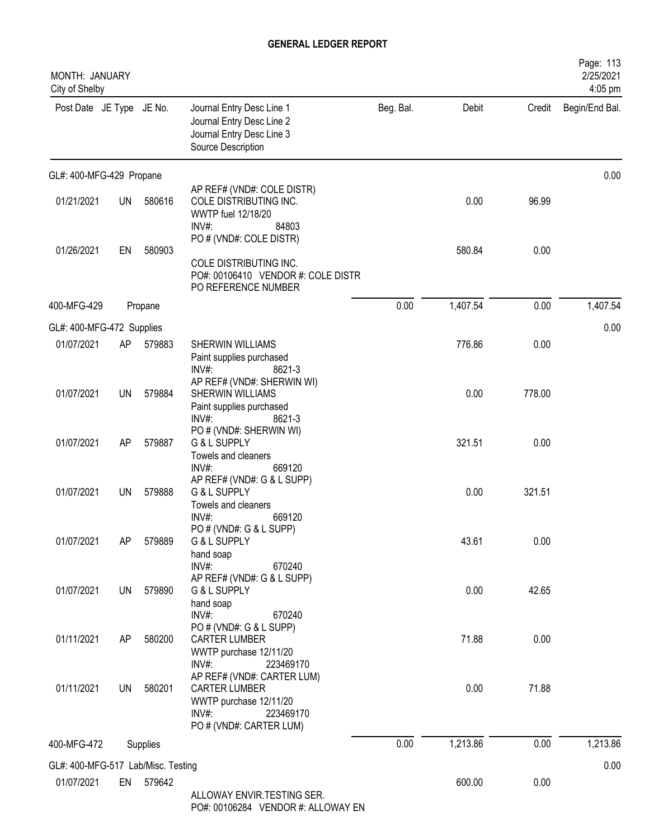| MONTH: JANUARY<br>City of Shelby   |           |          |                                                                                                                               |           |          |        | Page: 113<br>2/25/2021<br>4:05 pm |
|------------------------------------|-----------|----------|-------------------------------------------------------------------------------------------------------------------------------|-----------|----------|--------|-----------------------------------|
| Post Date JE Type JE No.           |           |          | Journal Entry Desc Line 1<br>Journal Entry Desc Line 2<br>Journal Entry Desc Line 3<br>Source Description                     | Beg. Bal. | Debit    | Credit | Begin/End Bal.                    |
| GL#: 400-MFG-429 Propane           |           |          |                                                                                                                               |           |          |        | 0.00                              |
| 01/21/2021                         | <b>UN</b> | 580616   | AP REF# (VND#: COLE DISTR)<br>COLE DISTRIBUTING INC.<br>WWTP fuel 12/18/20<br>84803<br>$INV#$ :                               |           | 0.00     | 96.99  |                                   |
| 01/26/2021                         | EN        | 580903   | PO # (VND#: COLE DISTR)<br>COLE DISTRIBUTING INC.<br>PO#: 00106410 VENDOR #: COLE DISTR<br>PO REFERENCE NUMBER                |           | 580.84   | 0.00   |                                   |
| 400-MFG-429                        |           | Propane  |                                                                                                                               | 0.00      | 1,407.54 | 0.00   | 1,407.54                          |
| GL#: 400-MFG-472 Supplies          |           |          |                                                                                                                               |           |          |        | 0.00                              |
| 01/07/2021                         | AP        | 579883   | <b>SHERWIN WILLIAMS</b><br>Paint supplies purchased<br>$INV#$ :<br>8621-3                                                     |           | 776.86   | 0.00   |                                   |
| 01/07/2021                         | <b>UN</b> | 579884   | AP REF# (VND#: SHERWIN WI)<br>SHERWIN WILLIAMS<br>Paint supplies purchased<br>$INV#$ :<br>8621-3                              |           | 0.00     | 778.00 |                                   |
| 01/07/2021                         | AP        | 579887   | PO # (VND#: SHERWIN WI)<br>G & L SUPPLY<br>Towels and cleaners<br>$INV#$ :<br>669120                                          |           | 321.51   | 0.00   |                                   |
| 01/07/2021                         | <b>UN</b> | 579888   | AP REF# (VND#: G & L SUPP)<br>G & L SUPPLY<br>Towels and cleaners<br>INV#<br>669120                                           |           | 0.00     | 321.51 |                                   |
| 01/07/2021                         | AP        | 579889   | PO # (VND#: G & L SUPP)<br>G & L SUPPLY<br>hand soap<br>INV#:<br>670240                                                       |           | 43.61    | 0.00   |                                   |
| 01/07/2021                         | UN        | 579890   | AP REF# (VND#: G & L SUPP)<br>G & L SUPPLY<br>hand soap<br>$INV#$ :<br>670240                                                 |           | 0.00     | 42.65  |                                   |
| 01/11/2021                         | AP        | 580200   | PO # (VND#: G & L SUPP)<br><b>CARTER LUMBER</b><br>WWTP purchase 12/11/20<br>INV#:<br>223469170                               |           | 71.88    | 0.00   |                                   |
| 01/11/2021                         | UN        | 580201   | AP REF# (VND#: CARTER LUM)<br><b>CARTER LUMBER</b><br>WWTP purchase 12/11/20<br>INV#:<br>223469170<br>PO # (VND#: CARTER LUM) |           | 0.00     | 71.88  |                                   |
| 400-MFG-472                        |           | Supplies |                                                                                                                               | 0.00      | 1,213.86 | 0.00   | 1,213.86                          |
| GL#: 400-MFG-517 Lab/Misc. Testing |           |          |                                                                                                                               |           |          |        | 0.00                              |
| 01/07/2021                         | EN        | 579642   | ALLOWAY ENVIR.TESTING SER.<br>PO#: 00106284 VENDOR #: ALLOWAY EN                                                              |           | 600.00   | 0.00   |                                   |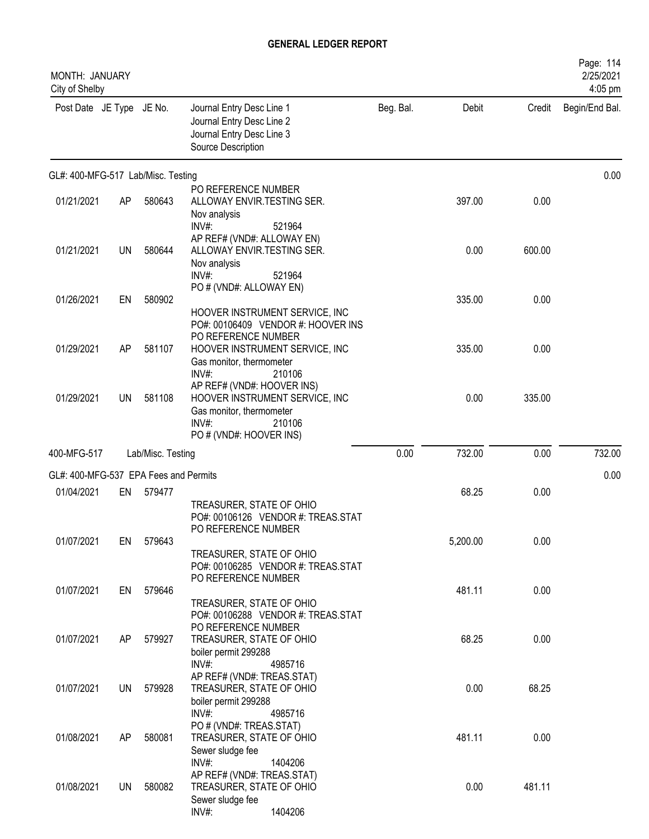| MONTH: JANUARY<br>City of Shelby      |           |                   |                                                                                                                                        |           |          |        | Page: 114<br>2/25/2021<br>4:05 pm |
|---------------------------------------|-----------|-------------------|----------------------------------------------------------------------------------------------------------------------------------------|-----------|----------|--------|-----------------------------------|
| Post Date JE Type JE No.              |           |                   | Journal Entry Desc Line 1<br>Journal Entry Desc Line 2<br>Journal Entry Desc Line 3<br>Source Description                              | Beg. Bal. | Debit    | Credit | Begin/End Bal.                    |
| GL#: 400-MFG-517 Lab/Misc. Testing    |           |                   |                                                                                                                                        |           |          |        | 0.00                              |
| 01/21/2021                            | AP        | 580643            | PO REFERENCE NUMBER<br>ALLOWAY ENVIR.TESTING SER.<br>Nov analysis<br>INV#:<br>521964                                                   |           | 397.00   | 0.00   |                                   |
| 01/21/2021                            | <b>UN</b> | 580644            | AP REF# (VND#: ALLOWAY EN)<br>ALLOWAY ENVIR. TESTING SER.<br>Nov analysis<br>INV#:<br>521964                                           |           | 0.00     | 600.00 |                                   |
| 01/26/2021                            | EN        | 580902            | PO # (VND#: ALLOWAY EN)<br>HOOVER INSTRUMENT SERVICE, INC<br>PO#: 00106409 VENDOR #: HOOVER INS                                        |           | 335.00   | 0.00   |                                   |
| 01/29/2021                            | AP        | 581107            | PO REFERENCE NUMBER<br>HOOVER INSTRUMENT SERVICE, INC<br>Gas monitor, thermometer<br>INV#:<br>210106                                   |           | 335.00   | 0.00   |                                   |
| 01/29/2021                            | UN        | 581108            | AP REF# (VND#: HOOVER INS)<br>HOOVER INSTRUMENT SERVICE, INC<br>Gas monitor, thermometer<br>INV#:<br>210106<br>PO # (VND#: HOOVER INS) |           | 0.00     | 335.00 |                                   |
| 400-MFG-517                           |           | Lab/Misc. Testing |                                                                                                                                        | 0.00      | 732.00   | 0.00   | 732.00                            |
| GL#: 400-MFG-537 EPA Fees and Permits |           |                   |                                                                                                                                        |           |          |        | 0.00                              |
| 01/04/2021                            | EN        | 579477            | TREASURER, STATE OF OHIO<br>PO#: 00106126 VENDOR #: TREAS.STAT<br>PO REFERENCE NUMBER                                                  |           | 68.25    | 0.00   |                                   |
| 01/07/2021                            | EN        | 579643            | TREASURER, STATE OF OHIO<br>PO#: 00106285 VENDOR #: TREAS.STAT<br>PO REFERENCE NUMBER                                                  |           | 5,200.00 | 0.00   |                                   |
| 01/07/2021                            | EN        | 579646            | TREASURER, STATE OF OHIO<br>PO#: 00106288 VENDOR #: TREAS.STAT                                                                         |           | 481.11   | 0.00   |                                   |
| 01/07/2021                            | AP        | 579927            | PO REFERENCE NUMBER<br>TREASURER, STATE OF OHIO<br>boiler permit 299288<br>$INV#$ :<br>4985716                                         |           | 68.25    | 0.00   |                                   |
| 01/07/2021                            | UN        | 579928            | AP REF# (VND#: TREAS.STAT)<br>TREASURER, STATE OF OHIO<br>boiler permit 299288<br>$INV#$ :<br>4985716                                  |           | 0.00     | 68.25  |                                   |
| 01/08/2021                            | AP        | 580081            | PO # (VND#: TREAS.STAT)<br>TREASURER, STATE OF OHIO<br>Sewer sludge fee<br>$INV#$ :<br>1404206                                         |           | 481.11   | 0.00   |                                   |
| 01/08/2021                            | UN        | 580082            | AP REF# (VND#: TREAS.STAT)<br>TREASURER, STATE OF OHIO<br>Sewer sludge fee<br>INV#:<br>1404206                                         |           | 0.00     | 481.11 |                                   |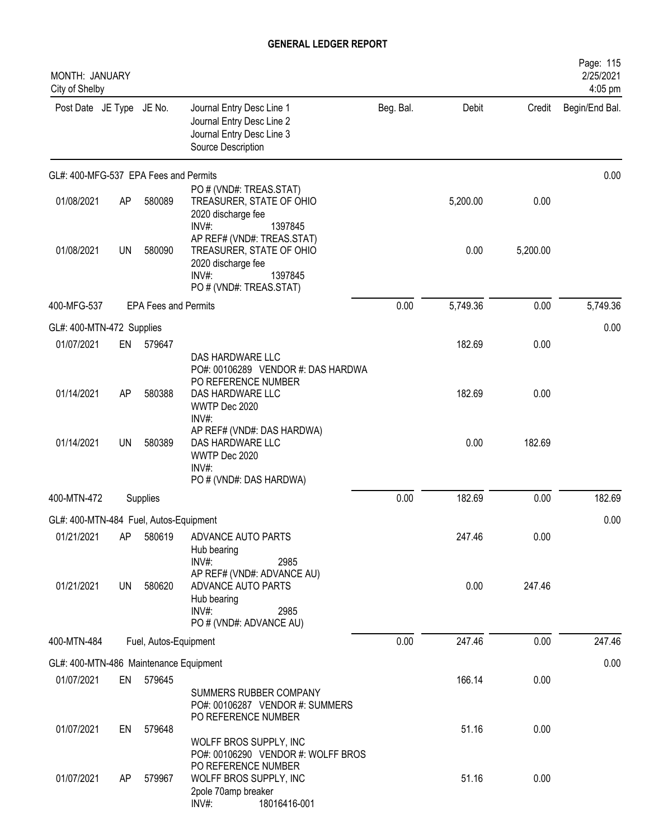| MONTH: JANUARY<br>City of Shelby       |           |                             |                                                                                                                            |           |          |          | Page: 115<br>2/25/2021<br>4:05 pm |
|----------------------------------------|-----------|-----------------------------|----------------------------------------------------------------------------------------------------------------------------|-----------|----------|----------|-----------------------------------|
| Post Date JE Type JE No.               |           |                             | Journal Entry Desc Line 1<br>Journal Entry Desc Line 2<br>Journal Entry Desc Line 3<br>Source Description                  | Beg. Bal. | Debit    | Credit   | Begin/End Bal.                    |
| GL#: 400-MFG-537 EPA Fees and Permits  |           |                             |                                                                                                                            |           |          |          | 0.00                              |
| 01/08/2021                             | AP        | 580089                      | PO # (VND#: TREAS.STAT)<br>TREASURER, STATE OF OHIO<br>2020 discharge fee<br>1397845<br>$INV#$ :                           |           | 5,200.00 | 0.00     |                                   |
| 01/08/2021                             | <b>UN</b> | 580090                      | AP REF# (VND#: TREAS.STAT)<br>TREASURER, STATE OF OHIO<br>2020 discharge fee<br>1397845<br>INV#<br>PO # (VND#: TREAS.STAT) |           | 0.00     | 5,200.00 |                                   |
| 400-MFG-537                            |           | <b>EPA Fees and Permits</b> |                                                                                                                            | 0.00      | 5,749.36 | 0.00     | 5,749.36                          |
| GL#: 400-MTN-472 Supplies              |           |                             |                                                                                                                            |           |          |          | 0.00                              |
| 01/07/2021                             | EN        | 579647                      | DAS HARDWARE LLC<br>PO#: 00106289 VENDOR #: DAS HARDWA<br>PO REFERENCE NUMBER                                              |           | 182.69   | 0.00     |                                   |
| 01/14/2021                             | AP        | 580388                      | DAS HARDWARE LLC<br>WWTP Dec 2020<br>INV#:                                                                                 |           | 182.69   | 0.00     |                                   |
| 01/14/2021                             | <b>UN</b> | 580389                      | AP REF# (VND#: DAS HARDWA)<br>DAS HARDWARE LLC<br>WWTP Dec 2020<br>$INV#$ :<br>PO # (VND#: DAS HARDWA)                     |           | 0.00     | 182.69   |                                   |
| 400-MTN-472                            |           | Supplies                    |                                                                                                                            | 0.00      | 182.69   | 0.00     | 182.69                            |
| GL#: 400-MTN-484 Fuel, Autos-Equipment |           |                             |                                                                                                                            |           |          |          | 0.00                              |
| 01/21/2021                             | AP        | 580619                      | ADVANCE AUTO PARTS<br>Hub bearing<br>$INV#$ :<br>2985                                                                      |           | 247.46   | 0.00     |                                   |
| 01/21/2021                             | UN        | 580620                      | AP REF# (VND#: ADVANCE AU)<br>ADVANCE AUTO PARTS<br>Hub bearing<br>$INV#$ :<br>2985<br>PO # (VND#: ADVANCE AU)             |           | 0.00     | 247.46   |                                   |
| 400-MTN-484                            |           | Fuel, Autos-Equipment       |                                                                                                                            | 0.00      | 247.46   | 0.00     | 247.46                            |
| GL#: 400-MTN-486 Maintenance Equipment |           |                             |                                                                                                                            |           |          |          | 0.00                              |
| 01/07/2021                             | EN        | 579645                      | SUMMERS RUBBER COMPANY<br>PO#: 00106287 VENDOR #: SUMMERS<br>PO REFERENCE NUMBER                                           |           | 166.14   | 0.00     |                                   |
| 01/07/2021                             | EN        | 579648                      | WOLFF BROS SUPPLY, INC<br>PO#: 00106290 VENDOR #: WOLFF BROS                                                               |           | 51.16    | 0.00     |                                   |
| 01/07/2021                             | AP        | 579967                      | PO REFERENCE NUMBER<br>WOLFF BROS SUPPLY, INC<br>2pole 70amp breaker<br>18016416-001<br>INV#:                              |           | 51.16    | 0.00     |                                   |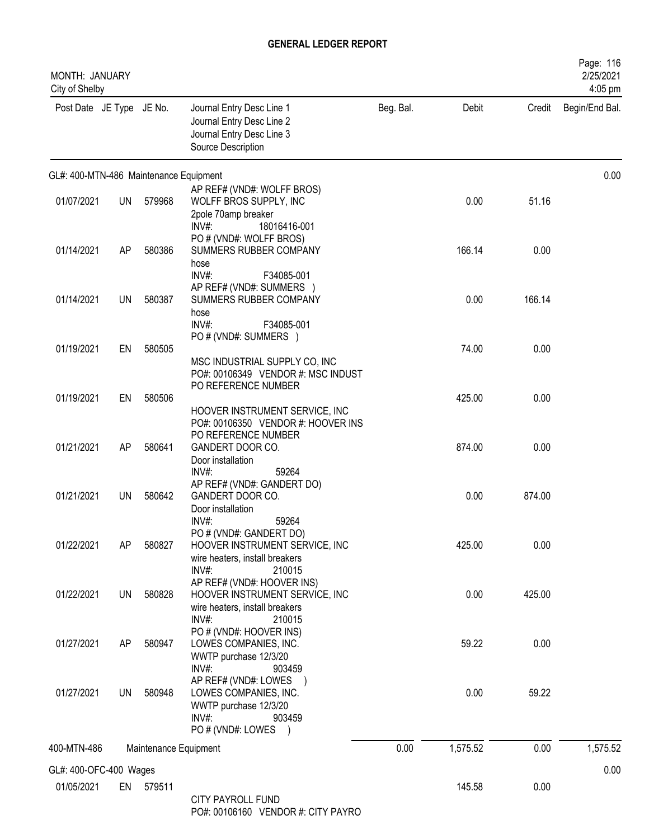| MONTH: JANUARY<br>City of Shelby       |           |                       |                                                                                                                       |           |          |        | Page: 116<br>2/25/2021<br>4:05 pm |
|----------------------------------------|-----------|-----------------------|-----------------------------------------------------------------------------------------------------------------------|-----------|----------|--------|-----------------------------------|
| Post Date JE Type JE No.               |           |                       | Journal Entry Desc Line 1<br>Journal Entry Desc Line 2<br>Journal Entry Desc Line 3<br>Source Description             | Beg. Bal. | Debit    | Credit | Begin/End Bal.                    |
| GL#: 400-MTN-486 Maintenance Equipment |           |                       |                                                                                                                       |           |          |        | 0.00                              |
| 01/07/2021                             | <b>UN</b> | 579968                | AP REF# (VND#: WOLFF BROS)<br>WOLFF BROS SUPPLY, INC<br>2pole 70amp breaker<br>18016416-001<br>$INV#$ :               |           | 0.00     | 51.16  |                                   |
| 01/14/2021                             | AP        | 580386                | PO # (VND#: WOLFF BROS)<br>SUMMERS RUBBER COMPANY<br>hose<br>INV#:<br>F34085-001                                      |           | 166.14   | 0.00   |                                   |
| 01/14/2021                             | <b>UN</b> | 580387                | AP REF# (VND#: SUMMERS )<br>SUMMERS RUBBER COMPANY<br>hose<br>INV#:<br>F34085-001                                     |           | 0.00     | 166.14 |                                   |
| 01/19/2021                             | EN        | 580505                | PO # (VND#: SUMMERS )<br>MSC INDUSTRIAL SUPPLY CO, INC<br>PO#: 00106349 VENDOR #: MSC INDUST                          |           | 74.00    | 0.00   |                                   |
| 01/19/2021                             | EN        | 580506                | PO REFERENCE NUMBER<br>HOOVER INSTRUMENT SERVICE, INC                                                                 |           | 425.00   | 0.00   |                                   |
| 01/21/2021                             | AP        | 580641                | PO#: 00106350 VENDOR #: HOOVER INS<br>PO REFERENCE NUMBER<br>GANDERT DOOR CO.<br>Door installation                    |           | 874.00   | 0.00   |                                   |
| 01/21/2021                             | UN        | 580642                | INV#:<br>59264<br>AP REF# (VND#: GANDERT DO)<br>GANDERT DOOR CO.<br>Door installation                                 |           | 0.00     | 874.00 |                                   |
| 01/22/2021                             | AP        | 580827                | INV#:<br>59264<br>PO # (VND#: GANDERT DO)<br>HOOVER INSTRUMENT SERVICE, INC<br>wire heaters, install breakers         |           | 425.00   | 0.00   |                                   |
| 01/22/2021                             | UN        | 580828                | $INV#$ :<br>210015<br>AP REF# (VND#: HOOVER INS)<br>HOOVER INSTRUMENT SERVICE, INC<br>wire heaters, install breakers  |           | 0.00     | 425.00 |                                   |
| 01/27/2021                             | AP        | 580947                | $INV#$ :<br>210015<br>PO # (VND#: HOOVER INS)<br>LOWES COMPANIES, INC.<br>WWTP purchase 12/3/20<br>INV#:<br>903459    |           | 59.22    | 0.00   |                                   |
| 01/27/2021                             | <b>UN</b> | 580948                | AP REF# (VND#: LOWES )<br>LOWES COMPANIES, INC.<br>WWTP purchase 12/3/20<br>$INV#$ :<br>903459<br>PO # (VND#: LOWES ) |           | 0.00     | 59.22  |                                   |
| 400-MTN-486                            |           | Maintenance Equipment |                                                                                                                       | 0.00      | 1,575.52 | 0.00   | 1,575.52                          |
| GL#: 400-OFC-400 Wages                 |           |                       |                                                                                                                       |           |          |        | 0.00                              |
| 01/05/2021                             |           | EN 579511             | <b>CITY PAYROLL FUND</b><br>DO# 00106160 VENDOD # CITY DAVDO                                                          |           | 145.58   | 0.00   |                                   |

PO#: 00106160 VENDOR #: CITY PAYRO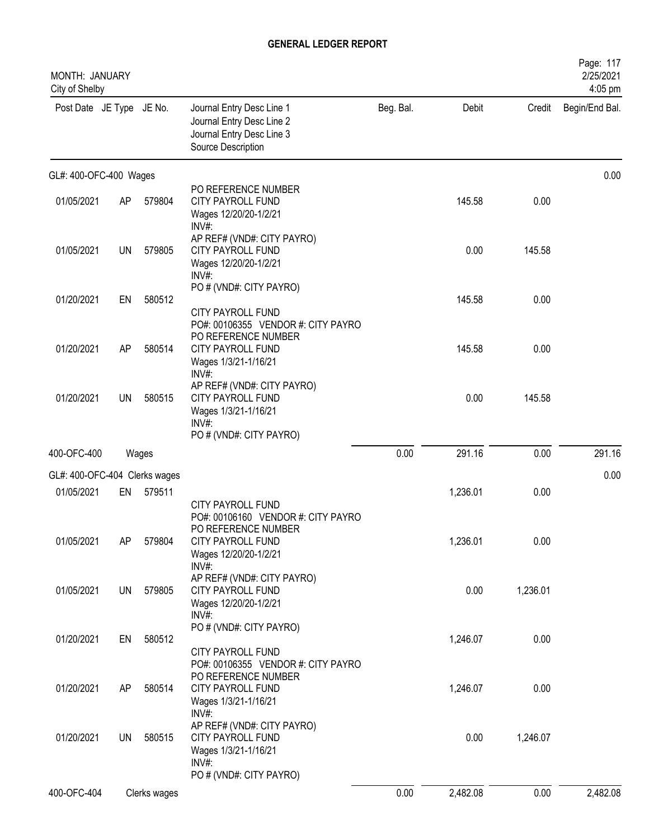| <b>MONTH: JANUARY</b><br>City of Shelby |           |              |                                                                                                                                                 |           |          |          | Page: 117<br>2/25/2021<br>4:05 pm |
|-----------------------------------------|-----------|--------------|-------------------------------------------------------------------------------------------------------------------------------------------------|-----------|----------|----------|-----------------------------------|
| Post Date JE Type JE No.                |           |              | Journal Entry Desc Line 1<br>Journal Entry Desc Line 2<br>Journal Entry Desc Line 3<br>Source Description                                       | Beg. Bal. | Debit    | Credit   | Begin/End Bal.                    |
| GL#: 400-OFC-400 Wages                  |           |              |                                                                                                                                                 |           |          |          | 0.00                              |
| 01/05/2021                              | AP        | 579804       | PO REFERENCE NUMBER<br>CITY PAYROLL FUND<br>Wages 12/20/20-1/2/21<br>INV#:                                                                      |           | 145.58   | 0.00     |                                   |
| 01/05/2021                              | <b>UN</b> | 579805       | AP REF# (VND#: CITY PAYRO)<br><b>CITY PAYROLL FUND</b><br>Wages 12/20/20-1/2/21<br>INV#                                                         |           | 0.00     | 145.58   |                                   |
| 01/20/2021                              | EN        | 580512       | PO # (VND#: CITY PAYRO)<br>CITY PAYROLL FUND<br>PO#: 00106355 VENDOR #: CITY PAYRO                                                              |           | 145.58   | 0.00     |                                   |
| 01/20/2021                              | AP        | 580514       | PO REFERENCE NUMBER<br><b>CITY PAYROLL FUND</b><br>Wages 1/3/21-1/16/21                                                                         |           | 145.58   | 0.00     |                                   |
| 01/20/2021                              | UN        | 580515       | INV#:<br>AP REF# (VND#: CITY PAYRO)<br><b>CITY PAYROLL FUND</b><br>Wages 1/3/21-1/16/21<br>$INV#$ :<br>PO # (VND#: CITY PAYRO)                  |           | 0.00     | 145.58   |                                   |
| 400-OFC-400                             |           | Wages        |                                                                                                                                                 | 0.00      | 291.16   | 0.00     | 291.16                            |
| GL#: 400-OFC-404 Clerks wages           |           |              |                                                                                                                                                 |           |          |          | 0.00                              |
| 01/05/2021                              | EN        | 579511       |                                                                                                                                                 |           | 1,236.01 | 0.00     |                                   |
| 01/05/2021                              | AP        | 579804       | <b>CITY PAYROLL FUND</b><br>PO#: 00106160 VENDOR #: CITY PAYRO<br>PO REFERENCE NUMBER<br>CITY PAYROLL FUND<br>Wages 12/20/20-1/2/21<br>$INV#$ : |           | 1,236.01 | 0.00     |                                   |
| 01/05/2021                              | <b>UN</b> | 579805       | AP REF# (VND#: CITY PAYRO)<br>CITY PAYROLL FUND<br>Wages 12/20/20-1/2/21<br>INV#:                                                               |           | 0.00     | 1,236.01 |                                   |
| 01/20/2021                              | EN        | 580512       | PO # (VND#: CITY PAYRO)<br><b>CITY PAYROLL FUND</b><br>PO#: 00106355 VENDOR #: CITY PAYRO                                                       |           | 1,246.07 | 0.00     |                                   |
| 01/20/2021                              | AP        | 580514       | PO REFERENCE NUMBER<br><b>CITY PAYROLL FUND</b><br>Wages 1/3/21-1/16/21                                                                         |           | 1,246.07 | 0.00     |                                   |
| 01/20/2021                              | UN        | 580515       | INV#:<br>AP REF# (VND#: CITY PAYRO)<br>CITY PAYROLL FUND<br>Wages 1/3/21-1/16/21<br>INV#:<br>PO # (VND#: CITY PAYRO)                            |           | 0.00     | 1,246.07 |                                   |
| 400-OFC-404                             |           | Clerks wages |                                                                                                                                                 | 0.00      | 2,482.08 | 0.00     | 2,482.08                          |
|                                         |           |              |                                                                                                                                                 |           |          |          |                                   |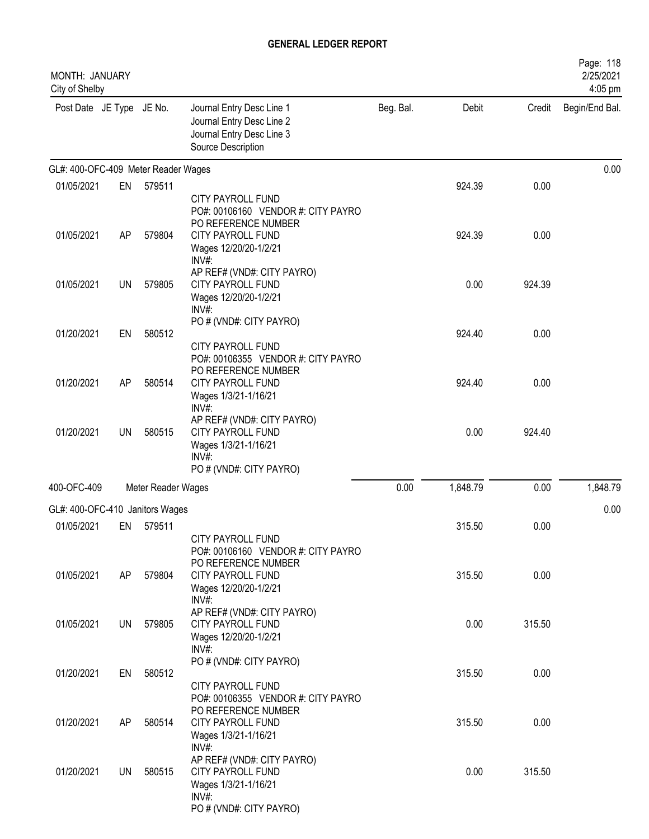| MONTH: JANUARY<br>City of Shelby    |           |                    |                                                                                                                                |           |          |        | Page: 118<br>2/25/2021<br>4:05 pm |
|-------------------------------------|-----------|--------------------|--------------------------------------------------------------------------------------------------------------------------------|-----------|----------|--------|-----------------------------------|
| Post Date JE Type JE No.            |           |                    | Journal Entry Desc Line 1<br>Journal Entry Desc Line 2<br>Journal Entry Desc Line 3<br>Source Description                      | Beg. Bal. | Debit    | Credit | Begin/End Bal.                    |
| GL#: 400-OFC-409 Meter Reader Wages |           |                    |                                                                                                                                |           |          |        | 0.00                              |
| 01/05/2021                          | EN        | 579511             |                                                                                                                                |           | 924.39   | 0.00   |                                   |
|                                     |           |                    | <b>CITY PAYROLL FUND</b><br>PO#: 00106160 VENDOR #: CITY PAYRO<br>PO REFERENCE NUMBER                                          |           |          |        |                                   |
| 01/05/2021                          | AP        | 579804             | <b>CITY PAYROLL FUND</b><br>Wages 12/20/20-1/2/21<br>INV#:                                                                     |           | 924.39   | 0.00   |                                   |
| 01/05/2021                          | <b>UN</b> | 579805             | AP REF# (VND#: CITY PAYRO)<br><b>CITY PAYROLL FUND</b><br>Wages 12/20/20-1/2/21<br>INV#:                                       |           | 0.00     | 924.39 |                                   |
| 01/20/2021                          | EN        | 580512             | PO # (VND#: CITY PAYRO)                                                                                                        |           | 924.40   | 0.00   |                                   |
|                                     |           |                    | <b>CITY PAYROLL FUND</b><br>PO#: 00106355 VENDOR #: CITY PAYRO<br>PO REFERENCE NUMBER                                          |           |          |        |                                   |
| 01/20/2021                          | AP        | 580514             | <b>CITY PAYROLL FUND</b><br>Wages 1/3/21-1/16/21<br>$INV#$ :                                                                   |           | 924.40   | 0.00   |                                   |
| 01/20/2021                          | UN        | 580515             | AP REF# (VND#: CITY PAYRO)<br><b>CITY PAYROLL FUND</b><br>Wages 1/3/21-1/16/21<br>INV#:<br>PO # (VND#: CITY PAYRO)             |           | 0.00     | 924.40 |                                   |
| 400-OFC-409                         |           | Meter Reader Wages |                                                                                                                                | 0.00      | 1,848.79 | 0.00   | 1,848.79                          |
| GL#: 400-OFC-410 Janitors Wages     |           |                    |                                                                                                                                |           |          |        | 0.00                              |
| 01/05/2021                          | EN        | 579511             |                                                                                                                                |           | 315.50   | 0.00   |                                   |
|                                     |           |                    | CITY PAYROLL FUND<br>PO#: 00106160 VENDOR #: CITY PAYRO<br>PO REFERENCE NUMBER                                                 |           |          |        |                                   |
| 01/05/2021                          | AP        | 579804             | CITY PAYROLL FUND<br>Wages 12/20/20-1/2/21<br>$INV#$ :                                                                         |           | 315.50   | 0.00   |                                   |
| 01/05/2021                          | UN        | 579805             | AP REF# (VND#: CITY PAYRO)<br><b>CITY PAYROLL FUND</b><br>Wages 12/20/20-1/2/21<br>INV#:                                       |           | 0.00     | 315.50 |                                   |
| 01/20/2021                          | EN        | 580512             | PO # (VND#: CITY PAYRO)<br>CITY PAYROLL FUND<br>PO#: 00106355 VENDOR #: CITY PAYRO                                             |           | 315.50   | 0.00   |                                   |
| 01/20/2021                          | AP        | 580514             | PO REFERENCE NUMBER<br><b>CITY PAYROLL FUND</b><br>Wages 1/3/21-1/16/21                                                        |           | 315.50   | 0.00   |                                   |
| 01/20/2021                          | UN        | 580515             | INV#:<br>AP REF# (VND#: CITY PAYRO)<br><b>CITY PAYROLL FUND</b><br>Wages 1/3/21-1/16/21<br>$INV#$ :<br>PO # (VND#: CITY PAYRO) |           | 0.00     | 315.50 |                                   |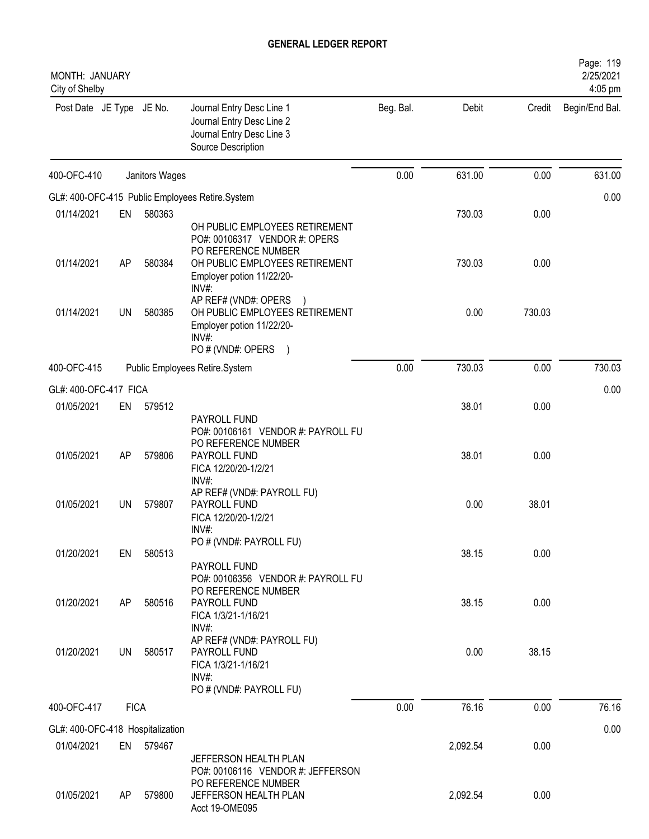| MONTH: JANUARY<br>City of Shelby |             |                |                                                                                                                                    |           |          |        | Page: 119<br>2/25/2021<br>4:05 pm |
|----------------------------------|-------------|----------------|------------------------------------------------------------------------------------------------------------------------------------|-----------|----------|--------|-----------------------------------|
| Post Date JE Type JE No.         |             |                | Journal Entry Desc Line 1<br>Journal Entry Desc Line 2<br>Journal Entry Desc Line 3<br>Source Description                          | Beg. Bal. | Debit    | Credit | Begin/End Bal.                    |
| 400-OFC-410                      |             | Janitors Wages |                                                                                                                                    | 0.00      | 631.00   | 0.00   | 631.00                            |
|                                  |             |                | GL#: 400-OFC-415 Public Employees Retire.System                                                                                    |           |          |        | 0.00                              |
| 01/14/2021                       | EN          | 580363         |                                                                                                                                    |           | 730.03   | 0.00   |                                   |
|                                  |             |                | OH PUBLIC EMPLOYEES RETIREMENT<br>PO#: 00106317 VENDOR #: OPERS<br>PO REFERENCE NUMBER                                             |           |          |        |                                   |
| 01/14/2021                       | AP          | 580384         | OH PUBLIC EMPLOYEES RETIREMENT<br>Employer potion 11/22/20-<br>INV#:                                                               |           | 730.03   | 0.00   |                                   |
| 01/14/2021                       | UN          | 580385         | AP REF# (VND#: OPERS<br>OH PUBLIC EMPLOYEES RETIREMENT<br>Employer potion 11/22/20-<br>INV#:<br>PO # (VND#: OPERS<br>$\rightarrow$ |           | 0.00     | 730.03 |                                   |
| 400-OFC-415                      |             |                | Public Employees Retire.System                                                                                                     | 0.00      | 730.03   | 0.00   | 730.03                            |
| GL#: 400-OFC-417 FICA            |             |                |                                                                                                                                    |           |          |        | 0.00                              |
| 01/05/2021                       | EN          | 579512         |                                                                                                                                    |           | 38.01    | 0.00   |                                   |
| 01/05/2021                       | AP          | 579806         | PAYROLL FUND<br>PO#: 00106161 VENDOR #: PAYROLL FU<br>PO REFERENCE NUMBER<br>PAYROLL FUND                                          |           | 38.01    | 0.00   |                                   |
|                                  |             |                | FICA 12/20/20-1/2/21<br>INV#:<br>AP REF# (VND#: PAYROLL FU)                                                                        |           |          |        |                                   |
| 01/05/2021                       | UN          | 579807         | PAYROLL FUND<br>FICA 12/20/20-1/2/21<br>INV#:<br>PO # (VND#: PAYROLL FU)                                                           |           | 0.00     | 38.01  |                                   |
| 01/20/2021                       | EN          | 580513         | PAYROLL FUND<br>PO#: 00106356 VENDOR #: PAYROLL FU<br>PO REFERENCE NUMBER                                                          |           | 38.15    | 0.00   |                                   |
| 01/20/2021                       | AP          | 580516         | PAYROLL FUND<br>FICA 1/3/21-1/16/21<br>INV#:                                                                                       |           | 38.15    | 0.00   |                                   |
| 01/20/2021                       | UN          | 580517         | AP REF# (VND#: PAYROLL FU)<br>PAYROLL FUND<br>FICA 1/3/21-1/16/21<br>INV#:<br>PO # (VND#: PAYROLL FU)                              |           | 0.00     | 38.15  |                                   |
| 400-OFC-417                      | <b>FICA</b> |                |                                                                                                                                    | 0.00      | 76.16    | 0.00   | 76.16                             |
| GL#: 400-OFC-418 Hospitalization |             |                |                                                                                                                                    |           |          |        | 0.00                              |
| 01/04/2021                       |             | EN 579467      | JEFFERSON HEALTH PLAN<br>PO#: 00106116 VENDOR #: JEFFERSON                                                                         |           | 2,092.54 | 0.00   |                                   |
| 01/05/2021                       | AP.         | 579800         | PO REFERENCE NUMBER<br>JEFFERSON HEALTH PLAN<br>Acct 19-OME095                                                                     |           | 2,092.54 | 0.00   |                                   |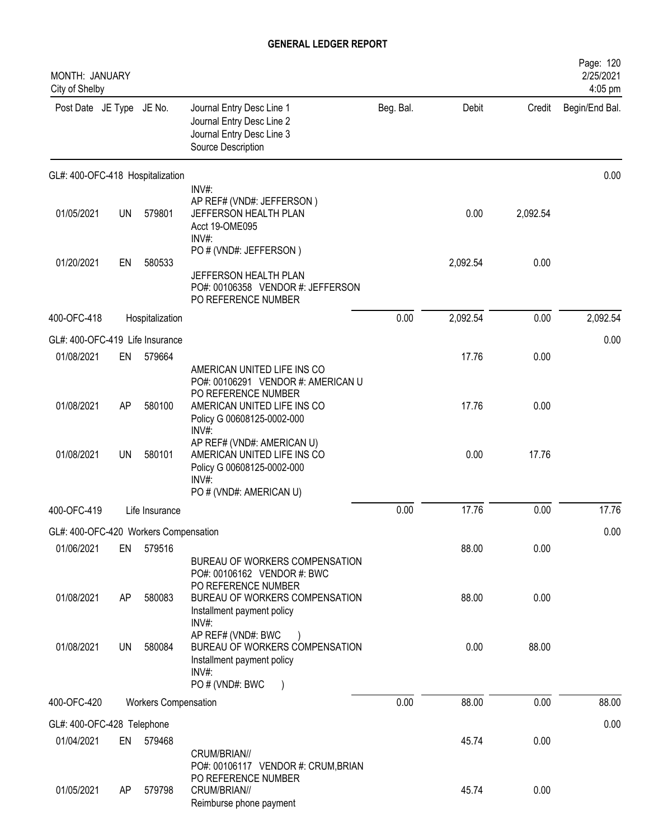| MONTH: JANUARY<br>City of Shelby      |           |                      |                                                                                                                                                                |           |          |          | Page: 120<br>2/25/2021<br>4:05 pm |
|---------------------------------------|-----------|----------------------|----------------------------------------------------------------------------------------------------------------------------------------------------------------|-----------|----------|----------|-----------------------------------|
| Post Date JE Type JE No.              |           |                      | Journal Entry Desc Line 1<br>Journal Entry Desc Line 2<br>Journal Entry Desc Line 3<br>Source Description                                                      | Beg. Bal. | Debit    | Credit   | Begin/End Bal.                    |
| GL#: 400-OFC-418 Hospitalization      |           |                      |                                                                                                                                                                |           |          |          | 0.00                              |
| 01/05/2021                            | UN        | 579801               | INV#:<br>AP REF# (VND#: JEFFERSON)<br>JEFFERSON HEALTH PLAN<br>Acct 19-OME095<br>$INV#$ :                                                                      |           | 0.00     | 2,092.54 |                                   |
| 01/20/2021                            | EN        | 580533               | PO # (VND#: JEFFERSON)<br>JEFFERSON HEALTH PLAN<br>PO#: 00106358 VENDOR #: JEFFERSON<br>PO REFERENCE NUMBER                                                    |           | 2,092.54 | 0.00     |                                   |
| 400-OFC-418                           |           | Hospitalization      |                                                                                                                                                                | 0.00      | 2,092.54 | 0.00     | 2,092.54                          |
| GL#: 400-OFC-419 Life Insurance       |           |                      |                                                                                                                                                                |           |          |          | 0.00                              |
| 01/08/2021                            | EN        | 579664               |                                                                                                                                                                |           | 17.76    | 0.00     |                                   |
| 01/08/2021                            | AP        | 580100               | AMERICAN UNITED LIFE INS CO<br>PO#: 00106291 VENDOR #: AMERICAN U<br>PO REFERENCE NUMBER<br>AMERICAN UNITED LIFE INS CO<br>Policy G 00608125-0002-000<br>INV#: |           | 17.76    | 0.00     |                                   |
| 01/08/2021                            | <b>UN</b> | 580101               | AP REF# (VND#: AMERICAN U)<br>AMERICAN UNITED LIFE INS CO<br>Policy G 00608125-0002-000<br>$INV#$ :                                                            |           | 0.00     | 17.76    |                                   |
| 400-OFC-419                           |           | Life Insurance       | PO # (VND#: AMERICAN U)                                                                                                                                        | 0.00      | 17.76    | 0.00     | 17.76                             |
| GL#: 400-OFC-420 Workers Compensation |           |                      |                                                                                                                                                                |           |          |          | 0.00                              |
| 01/06/2021                            | EN        | 579516               | BUREAU OF WORKERS COMPENSATION<br>PO#: 00106162 VENDOR #: BWC                                                                                                  |           | 88.00    | 0.00     |                                   |
| 01/08/2021                            | AP        | 580083               | PO REFERENCE NUMBER<br>BUREAU OF WORKERS COMPENSATION<br>Installment payment policy                                                                            |           | 88.00    | 0.00     |                                   |
| 01/08/2021                            | UN        | 580084               | INV#:<br>AP REF# (VND#: BWC<br>BUREAU OF WORKERS COMPENSATION<br>Installment payment policy<br>$INV#$ :<br>PO # (VND#: BWC                                     |           | 0.00     | 88.00    |                                   |
| 400-OFC-420                           |           | Workers Compensation |                                                                                                                                                                | 0.00      | 88.00    | 0.00     | 88.00                             |
| GL#: 400-OFC-428 Telephone            |           |                      |                                                                                                                                                                |           |          |          | 0.00                              |
| 01/04/2021                            | EN        | 579468               | CRUM/BRIAN//<br>PO#: 00106117 VENDOR #: CRUM, BRIAN                                                                                                            |           | 45.74    | 0.00     |                                   |
| 01/05/2021                            | AP        | 579798               | PO REFERENCE NUMBER<br>CRUM/BRIAN//<br>Reimburse phone payment                                                                                                 |           | 45.74    | 0.00     |                                   |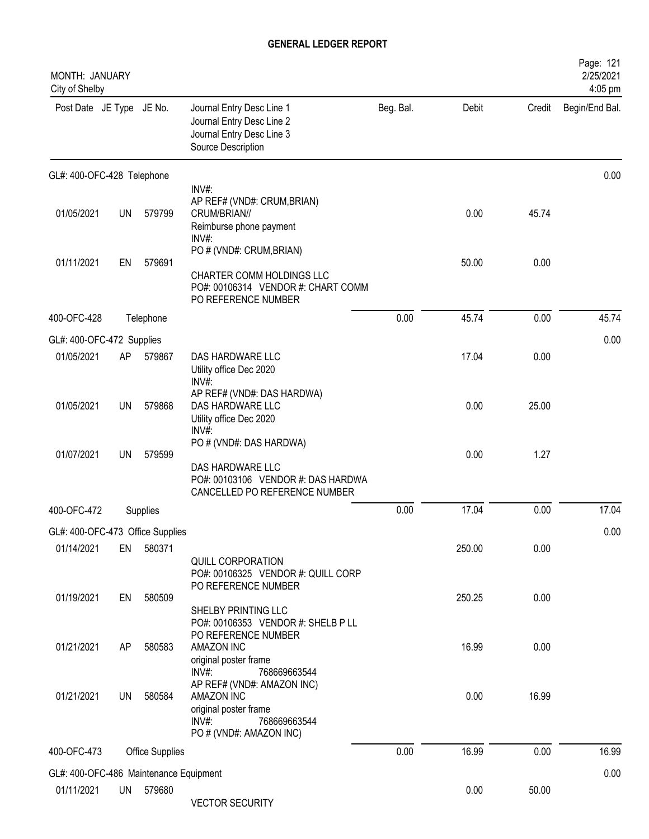| MONTH: JANUARY<br>City of Shelby       |           |                        |                                                                                                                          |           |        |        | Page: 121<br>2/25/2021<br>4:05 pm |
|----------------------------------------|-----------|------------------------|--------------------------------------------------------------------------------------------------------------------------|-----------|--------|--------|-----------------------------------|
| Post Date JE Type JE No.               |           |                        | Journal Entry Desc Line 1<br>Journal Entry Desc Line 2<br>Journal Entry Desc Line 3<br>Source Description                | Beg. Bal. | Debit  | Credit | Begin/End Bal.                    |
| GL#: 400-OFC-428 Telephone             |           |                        |                                                                                                                          |           |        |        | 0.00                              |
| 01/05/2021                             | UN        | 579799                 | INV#:<br>AP REF# (VND#: CRUM, BRIAN)<br>CRUM/BRIAN//<br>Reimburse phone payment<br>$INV#$ :                              |           | 0.00   | 45.74  |                                   |
| 01/11/2021                             | EN        | 579691                 | PO # (VND#: CRUM, BRIAN)<br>CHARTER COMM HOLDINGS LLC<br>PO#: 00106314 VENDOR #: CHART COMM<br>PO REFERENCE NUMBER       |           | 50.00  | 0.00   |                                   |
| 400-OFC-428                            |           | Telephone              |                                                                                                                          | 0.00      | 45.74  | 0.00   | 45.74                             |
| GL#: 400-OFC-472 Supplies              |           |                        |                                                                                                                          |           |        |        | 0.00                              |
| 01/05/2021                             | AP        | 579867                 | DAS HARDWARE LLC<br>Utility office Dec 2020<br>INV#:                                                                     |           | 17.04  | 0.00   |                                   |
| 01/05/2021                             | <b>UN</b> | 579868                 | AP REF# (VND#: DAS HARDWA)<br>DAS HARDWARE LLC<br>Utility office Dec 2020<br>INV#:                                       |           | 0.00   | 25.00  |                                   |
| 01/07/2021                             | <b>UN</b> | 579599                 | PO # (VND#: DAS HARDWA)<br>DAS HARDWARE LLC<br>PO#: 00103106 VENDOR #: DAS HARDWA<br>CANCELLED PO REFERENCE NUMBER       |           | 0.00   | 1.27   |                                   |
| 400-OFC-472                            |           | Supplies               |                                                                                                                          | 0.00      | 17.04  | 0.00   | 17.04                             |
| GL#: 400-OFC-473 Office Supplies       |           |                        |                                                                                                                          |           |        |        | 0.00                              |
| 01/14/2021                             | EN        | 580371                 | QUILL CORPORATION<br>PO#: 00106325 VENDOR #: QUILL CORP                                                                  |           | 250.00 | 0.00   |                                   |
| 01/19/2021                             | EN        | 580509                 | PO REFERENCE NUMBER<br>SHELBY PRINTING LLC<br>PO#: 00106353 VENDOR #: SHELB P LL<br>PO REFERENCE NUMBER                  |           | 250.25 | 0.00   |                                   |
| 01/21/2021                             | AP        | 580583                 | AMAZON INC<br>original poster frame<br>$INV#$ :<br>768669663544                                                          |           | 16.99  | 0.00   |                                   |
| 01/21/2021                             | UN        | 580584                 | AP REF# (VND#: AMAZON INC)<br>AMAZON INC<br>original poster frame<br>$INV#$ :<br>768669663544<br>PO # (VND#: AMAZON INC) |           | 0.00   | 16.99  |                                   |
| 400-OFC-473                            |           | <b>Office Supplies</b> |                                                                                                                          | 0.00      | 16.99  | 0.00   | 16.99                             |
| GL#: 400-OFC-486 Maintenance Equipment |           |                        |                                                                                                                          |           |        |        | 0.00                              |
| 01/11/2021                             | <b>UN</b> | 579680                 | <b>VECTOR SECURITY</b>                                                                                                   |           | 0.00   | 50.00  |                                   |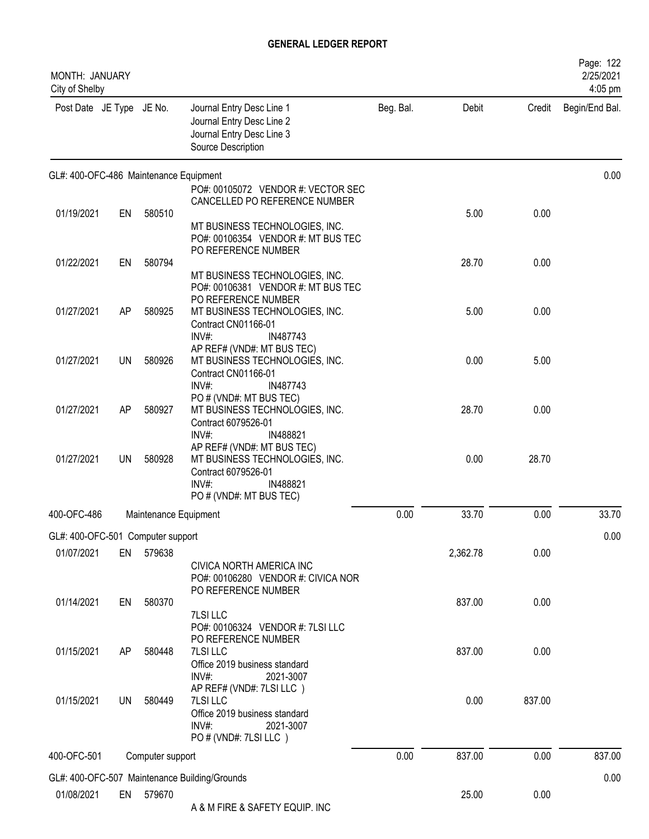| MONTH: JANUARY<br>City of Shelby       |           |                       |                                                                                                           |           |          |        | Page: 122<br>2/25/2021<br>4:05 pm |
|----------------------------------------|-----------|-----------------------|-----------------------------------------------------------------------------------------------------------|-----------|----------|--------|-----------------------------------|
| Post Date JE Type JE No.               |           |                       | Journal Entry Desc Line 1<br>Journal Entry Desc Line 2<br>Journal Entry Desc Line 3<br>Source Description | Beg. Bal. | Debit    | Credit | Begin/End Bal.                    |
| GL#: 400-OFC-486 Maintenance Equipment |           |                       |                                                                                                           |           |          |        | 0.00                              |
|                                        |           |                       | PO#: 00105072 VENDOR #: VECTOR SEC                                                                        |           |          |        |                                   |
| 01/19/2021                             | EN        | 580510                | CANCELLED PO REFERENCE NUMBER                                                                             |           | 5.00     | 0.00   |                                   |
|                                        |           |                       | MT BUSINESS TECHNOLOGIES, INC.                                                                            |           |          |        |                                   |
|                                        |           |                       | PO#: 00106354 VENDOR #: MT BUS TEC                                                                        |           |          |        |                                   |
|                                        |           |                       | PO REFERENCE NUMBER                                                                                       |           |          |        |                                   |
| 01/22/2021                             | EN        | 580794                | MT BUSINESS TECHNOLOGIES, INC.                                                                            |           | 28.70    | 0.00   |                                   |
|                                        |           |                       | PO#: 00106381 VENDOR #: MT BUS TEC                                                                        |           |          |        |                                   |
|                                        |           |                       | PO REFERENCE NUMBER                                                                                       |           |          |        |                                   |
| 01/27/2021                             | AP        | 580925                | MT BUSINESS TECHNOLOGIES, INC.<br>Contract CN01166-01                                                     |           | 5.00     | 0.00   |                                   |
|                                        |           |                       | INV#:<br>IN487743                                                                                         |           |          |        |                                   |
|                                        |           |                       | AP REF# (VND#: MT BUS TEC)                                                                                |           |          |        |                                   |
| 01/27/2021                             | <b>UN</b> | 580926                | MT BUSINESS TECHNOLOGIES, INC.                                                                            |           | 0.00     | 5.00   |                                   |
|                                        |           |                       | Contract CN01166-01<br>INV#:<br>IN487743                                                                  |           |          |        |                                   |
|                                        |           |                       | PO # (VND#: MT BUS TEC)                                                                                   |           |          |        |                                   |
| 01/27/2021                             | AP        | 580927                | MT BUSINESS TECHNOLOGIES, INC.                                                                            |           | 28.70    | 0.00   |                                   |
|                                        |           |                       | Contract 6079526-01<br>$INV#$ :<br>IN488821                                                               |           |          |        |                                   |
|                                        |           |                       | AP REF# (VND#: MT BUS TEC)                                                                                |           |          |        |                                   |
| 01/27/2021                             | UN        | 580928                | MT BUSINESS TECHNOLOGIES, INC.                                                                            |           | 0.00     | 28.70  |                                   |
|                                        |           |                       | Contract 6079526-01<br>INV#:                                                                              |           |          |        |                                   |
|                                        |           |                       | IN488821<br>PO # (VND#: MT BUS TEC)                                                                       |           |          |        |                                   |
| 400-OFC-486                            |           | Maintenance Equipment |                                                                                                           | 0.00      | 33.70    | 0.00   | 33.70                             |
|                                        |           |                       |                                                                                                           |           |          |        |                                   |
| GL#: 400-OFC-501 Computer support      |           |                       |                                                                                                           |           |          |        | 0.00                              |
| 01/07/2021                             | EN        | 579638                | CIVICA NORTH AMERICA INC                                                                                  |           | 2,362.78 | 0.00   |                                   |
|                                        |           |                       | PO#: 00106280 VENDOR #: CIVICA NOR                                                                        |           |          |        |                                   |
|                                        |           |                       | PO REFERENCE NUMBER                                                                                       |           |          |        |                                   |
| 01/14/2021                             | EN        | 580370                |                                                                                                           |           | 837.00   | 0.00   |                                   |
|                                        |           |                       | 7LSI LLC<br>PO#: 00106324 VENDOR #: 7LSI LLC                                                              |           |          |        |                                   |
|                                        |           |                       | PO REFERENCE NUMBER                                                                                       |           |          |        |                                   |
| 01/15/2021                             | AP        | 580448                | 7LSI LLC                                                                                                  |           | 837.00   | 0.00   |                                   |
|                                        |           |                       | Office 2019 business standard<br>$INV#$ :<br>2021-3007                                                    |           |          |        |                                   |
|                                        |           |                       | AP REF# (VND#: 7LSI LLC)                                                                                  |           |          |        |                                   |
| 01/15/2021                             | <b>UN</b> | 580449                | 7LSI LLC                                                                                                  |           | 0.00     | 837.00 |                                   |
|                                        |           |                       | Office 2019 business standard                                                                             |           |          |        |                                   |
|                                        |           |                       | INV#:<br>2021-3007<br>PO # (VND#: 7LSI LLC)                                                               |           |          |        |                                   |
| 400-OFC-501                            |           |                       |                                                                                                           | 0.00      | 837.00   | 0.00   | 837.00                            |
|                                        |           | Computer support      |                                                                                                           |           |          |        |                                   |
|                                        |           |                       | GL#: 400-OFC-507 Maintenance Building/Grounds                                                             |           |          |        | 0.00                              |
| 01/08/2021                             | EN        | 579670                |                                                                                                           |           | 25.00    | 0.00   |                                   |
|                                        |           |                       | A & M FIRE & SAFETY EQUIP. INC                                                                            |           |          |        |                                   |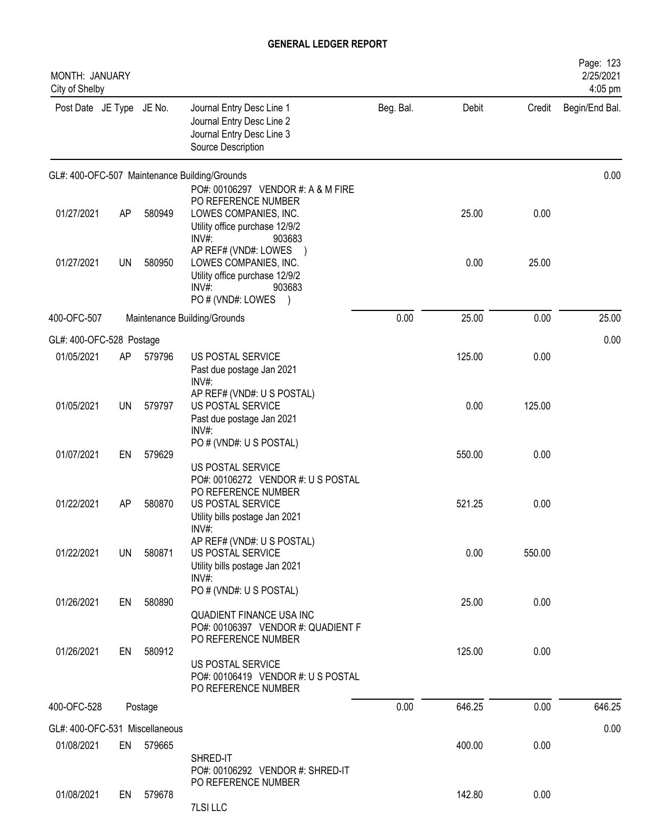| MONTH: JANUARY<br>City of Shelby |           |         |                                                                                                                                                            |           |        |        | Page: 123<br>2/25/2021<br>4:05 pm |
|----------------------------------|-----------|---------|------------------------------------------------------------------------------------------------------------------------------------------------------------|-----------|--------|--------|-----------------------------------|
| Post Date JE Type JE No.         |           |         | Journal Entry Desc Line 1<br>Journal Entry Desc Line 2<br>Journal Entry Desc Line 3<br>Source Description                                                  | Beg. Bal. | Debit  | Credit | Begin/End Bal.                    |
|                                  |           |         | GL#: 400-OFC-507 Maintenance Building/Grounds                                                                                                              |           |        |        | 0.00                              |
| 01/27/2021                       | AP        | 580949  | PO#: 00106297 VENDOR #: A & M FIRE<br>PO REFERENCE NUMBER<br>LOWES COMPANIES, INC.<br>Utility office purchase 12/9/2                                       |           | 25.00  | 0.00   |                                   |
| 01/27/2021                       | <b>UN</b> | 580950  | INV#:<br>903683<br>AP REF# (VND#: LOWES<br>LOWES COMPANIES, INC.<br>Utility office purchase 12/9/2<br>$INV#$ :<br>903683<br>PO # (VND#: LOWES<br>$\lambda$ |           | 0.00   | 25.00  |                                   |
| 400-OFC-507                      |           |         | Maintenance Building/Grounds                                                                                                                               | 0.00      | 25.00  | 0.00   | 25.00                             |
| GL#: 400-OFC-528 Postage         |           |         |                                                                                                                                                            |           |        |        | 0.00                              |
| 01/05/2021                       | AP        | 579796  | US POSTAL SERVICE<br>Past due postage Jan 2021<br>$INV#$ :                                                                                                 |           | 125.00 | 0.00   |                                   |
| 01/05/2021                       | UN        | 579797  | AP REF# (VND#: U S POSTAL)<br>US POSTAL SERVICE<br>Past due postage Jan 2021<br>INV#:                                                                      |           | 0.00   | 125.00 |                                   |
| 01/07/2021                       | EN        | 579629  | PO # (VND#: U S POSTAL)<br>US POSTAL SERVICE                                                                                                               |           | 550.00 | 0.00   |                                   |
| 01/22/2021                       | AP        | 580870  | PO#: 00106272 VENDOR #: US POSTAL<br>PO REFERENCE NUMBER<br>US POSTAL SERVICE<br>Utility bills postage Jan 2021<br>INV#:                                   |           | 521.25 | 0.00   |                                   |
| 01/22/2021                       | UN        | 580871  | AP REF# (VND#: U S POSTAL)<br>US POSTAL SERVICE<br>Utility bills postage Jan 2021<br>INV#:                                                                 |           | 0.00   | 550.00 |                                   |
| 01/26/2021                       | EN        | 580890  | PO # (VND#: U S POSTAL)<br><b>QUADIENT FINANCE USA INC</b><br>PO#: 00106397 VENDOR #: QUADIENT F                                                           |           | 25.00  | 0.00   |                                   |
| 01/26/2021                       | EN        | 580912  | PO REFERENCE NUMBER<br>US POSTAL SERVICE<br>PO#: 00106419 VENDOR #: US POSTAL<br>PO REFERENCE NUMBER                                                       |           | 125.00 | 0.00   |                                   |
| 400-OFC-528                      |           | Postage |                                                                                                                                                            | 0.00      | 646.25 | 0.00   | 646.25                            |
| GL#: 400-OFC-531 Miscellaneous   |           |         |                                                                                                                                                            |           |        |        | 0.00                              |
| 01/08/2021                       | EN        | 579665  | SHRED-IT<br>PO#: 00106292 VENDOR #: SHRED-IT                                                                                                               |           | 400.00 | 0.00   |                                   |
| 01/08/2021                       | EN        | 579678  | PO REFERENCE NUMBER<br>7LSI LLC                                                                                                                            |           | 142.80 | 0.00   |                                   |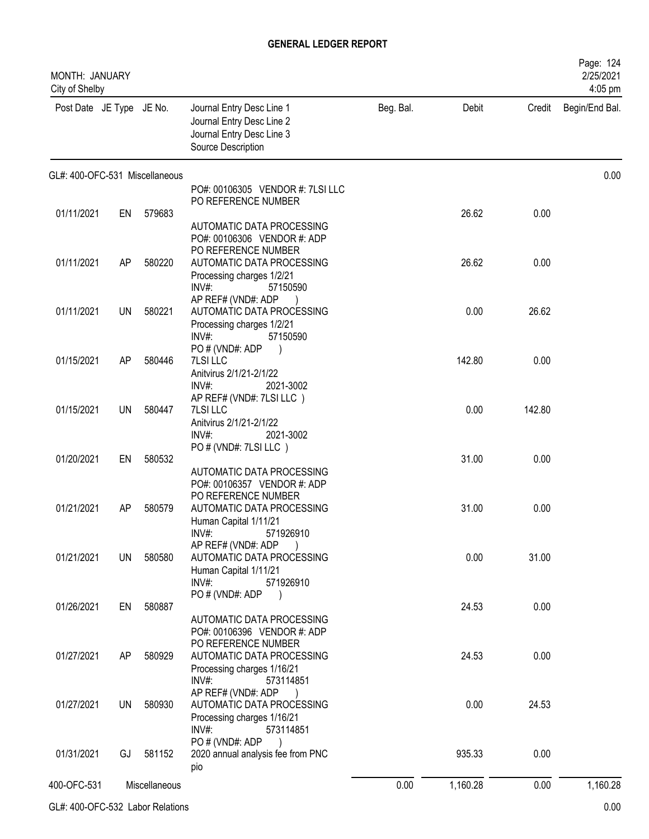| MONTH: JANUARY<br>City of Shelby |           |               |                                                                                                           |           |          |        | Page: 124<br>2/25/2021<br>4:05 pm |
|----------------------------------|-----------|---------------|-----------------------------------------------------------------------------------------------------------|-----------|----------|--------|-----------------------------------|
| Post Date JE Type JE No.         |           |               | Journal Entry Desc Line 1<br>Journal Entry Desc Line 2<br>Journal Entry Desc Line 3<br>Source Description | Beg. Bal. | Debit    | Credit | Begin/End Bal.                    |
| GL#: 400-OFC-531 Miscellaneous   |           |               |                                                                                                           |           |          |        | 0.00                              |
|                                  |           |               | PO#: 00106305 VENDOR #: 7LSI LLC<br>PO REFERENCE NUMBER                                                   |           |          |        |                                   |
| 01/11/2021                       | EN        | 579683        |                                                                                                           |           | 26.62    | 0.00   |                                   |
|                                  |           |               | AUTOMATIC DATA PROCESSING                                                                                 |           |          |        |                                   |
|                                  |           |               | PO#: 00106306 VENDOR #: ADP<br>PO REFERENCE NUMBER                                                        |           |          |        |                                   |
| 01/11/2021                       | AP        | 580220        | AUTOMATIC DATA PROCESSING                                                                                 |           | 26.62    | 0.00   |                                   |
|                                  |           |               | Processing charges 1/2/21                                                                                 |           |          |        |                                   |
|                                  |           |               | INV#:<br>57150590                                                                                         |           |          |        |                                   |
| 01/11/2021                       | UN        | 580221        | AP REF# (VND#: ADP<br>AUTOMATIC DATA PROCESSING                                                           |           | 0.00     | 26.62  |                                   |
|                                  |           |               | Processing charges 1/2/21                                                                                 |           |          |        |                                   |
|                                  |           |               | INV#:<br>57150590                                                                                         |           |          |        |                                   |
| 01/15/2021                       | AP        | 580446        | PO#(VND#: ADP<br>7LSI LLC                                                                                 |           | 142.80   | 0.00   |                                   |
|                                  |           |               | Anitvirus 2/1/21-2/1/22                                                                                   |           |          |        |                                   |
|                                  |           |               | $INV#$ :<br>2021-3002<br>AP REF# (VND#: 7LSI LLC)                                                         |           |          |        |                                   |
| 01/15/2021                       | UN        | 580447        | 7LSI LLC                                                                                                  |           | 0.00     | 142.80 |                                   |
|                                  |           |               | Anitvirus 2/1/21-2/1/22                                                                                   |           |          |        |                                   |
|                                  |           |               | $INV#$ :<br>2021-3002<br>PO # (VND#: 7LSI LLC)                                                            |           |          |        |                                   |
| 01/20/2021                       | EN        | 580532        |                                                                                                           |           | 31.00    | 0.00   |                                   |
|                                  |           |               | AUTOMATIC DATA PROCESSING                                                                                 |           |          |        |                                   |
|                                  |           |               | PO#: 00106357 VENDOR #: ADP<br>PO REFERENCE NUMBER                                                        |           |          |        |                                   |
| 01/21/2021                       | AP        | 580579        | AUTOMATIC DATA PROCESSING                                                                                 |           | 31.00    | 0.00   |                                   |
|                                  |           |               | Human Capital 1/11/21                                                                                     |           |          |        |                                   |
|                                  |           |               | INV#<br>571926910<br>AP REF# (VND#: ADP                                                                   |           |          |        |                                   |
| 01/21/2021                       | UN        | 580580        | AUTOMATIC DATA PROCESSING                                                                                 |           | 0.00     | 31.00  |                                   |
|                                  |           |               | Human Capital 1/11/21                                                                                     |           |          |        |                                   |
|                                  |           |               | $INV#$ :<br>571926910<br>PO # (VND#: ADP<br>$\overline{\phantom{a}}$                                      |           |          |        |                                   |
| 01/26/2021                       |           | EN 580887     |                                                                                                           |           | 24.53    | 0.00   |                                   |
|                                  |           |               | AUTOMATIC DATA PROCESSING                                                                                 |           |          |        |                                   |
|                                  |           |               | PO#: 00106396 VENDOR #: ADP<br>PO REFERENCE NUMBER                                                        |           |          |        |                                   |
| 01/27/2021                       | AP        | 580929        | AUTOMATIC DATA PROCESSING                                                                                 |           | 24.53    | 0.00   |                                   |
|                                  |           |               | Processing charges 1/16/21                                                                                |           |          |        |                                   |
|                                  |           |               | INV#:<br>573114851<br>AP REF# (VND#: ADP<br>$\overline{\phantom{a}}$                                      |           |          |        |                                   |
| 01/27/2021                       | <b>UN</b> | 580930        | AUTOMATIC DATA PROCESSING                                                                                 |           | 0.00     | 24.53  |                                   |
|                                  |           |               | Processing charges 1/16/21                                                                                |           |          |        |                                   |
|                                  |           |               | INV#:<br>573114851<br>PO # (VND#: ADP                                                                     |           |          |        |                                   |
| 01/31/2021                       | GJ        | 581152        | 2020 annual analysis fee from PNC                                                                         |           | 935.33   | 0.00   |                                   |
|                                  |           |               | pio                                                                                                       |           |          |        |                                   |
| 400-OFC-531                      |           | Miscellaneous |                                                                                                           | 0.00      | 1,160.28 | 0.00   | 1,160.28                          |

GL#: 400-OFC-532 Labor Relations 0.00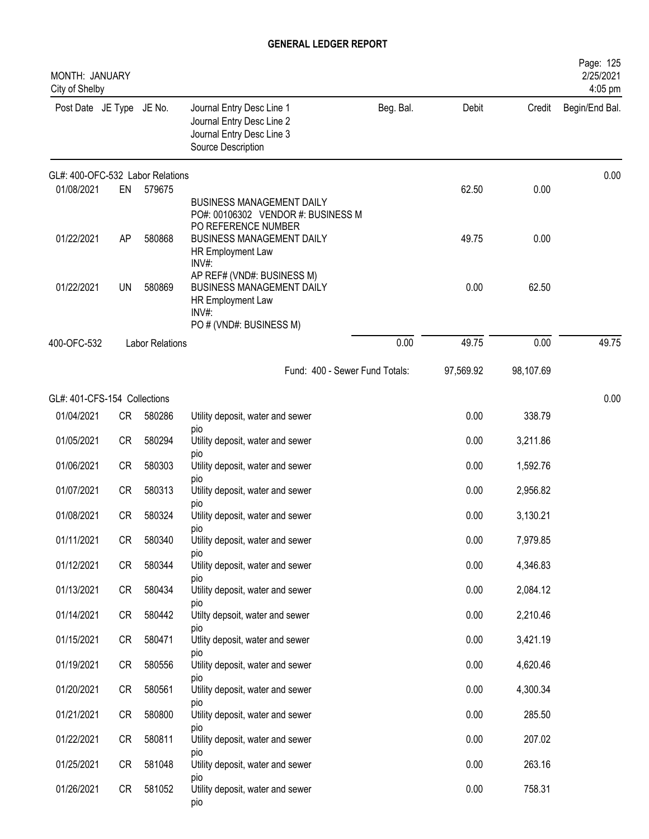| MONTH: JANUARY<br>City of Shelby |           |                        |                                                                                                                  |           |           |           | Page: 125<br>2/25/2021<br>4:05 pm |
|----------------------------------|-----------|------------------------|------------------------------------------------------------------------------------------------------------------|-----------|-----------|-----------|-----------------------------------|
| Post Date JE Type JE No.         |           |                        | Journal Entry Desc Line 1<br>Journal Entry Desc Line 2<br>Journal Entry Desc Line 3<br>Source Description        | Beg. Bal. | Debit     | Credit    | Begin/End Bal.                    |
| GL#: 400-OFC-532 Labor Relations |           |                        |                                                                                                                  |           |           |           | 0.00                              |
| 01/08/2021                       | EN        | 579675                 | <b>BUSINESS MANAGEMENT DAILY</b><br>PO#: 00106302 VENDOR #: BUSINESS M<br>PO REFERENCE NUMBER                    |           | 62.50     | 0.00      |                                   |
| 01/22/2021                       | AP        | 580868                 | <b>BUSINESS MANAGEMENT DAILY</b><br>HR Employment Law<br>INV#:                                                   |           | 49.75     | 0.00      |                                   |
| 01/22/2021                       | <b>UN</b> | 580869                 | AP REF# (VND#: BUSINESS M)<br>BUSINESS MANAGEMENT DAILY<br>HR Employment Law<br>INV#:<br>PO # (VND#: BUSINESS M) |           | 0.00      | 62.50     |                                   |
| 400-OFC-532                      |           | <b>Labor Relations</b> |                                                                                                                  | 0.00      | 49.75     | 0.00      | 49.75                             |
|                                  |           |                        | Fund: 400 - Sewer Fund Totals:                                                                                   |           | 97,569.92 | 98,107.69 |                                   |
| GL#: 401-CFS-154 Collections     |           |                        |                                                                                                                  |           |           |           | 0.00                              |
| 01/04/2021                       | CR        | 580286                 | Utility deposit, water and sewer                                                                                 |           | 0.00      | 338.79    |                                   |
| 01/05/2021                       | <b>CR</b> | 580294                 | pio<br>Utility deposit, water and sewer                                                                          |           | 0.00      | 3,211.86  |                                   |
| 01/06/2021                       | <b>CR</b> | 580303                 | pio<br>Utility deposit, water and sewer                                                                          |           | 0.00      | 1,592.76  |                                   |
| 01/07/2021                       | <b>CR</b> | 580313                 | pio<br>Utility deposit, water and sewer                                                                          |           | 0.00      | 2,956.82  |                                   |
| 01/08/2021                       | <b>CR</b> | 580324                 | pio<br>Utility deposit, water and sewer                                                                          |           | 0.00      | 3,130.21  |                                   |
| 01/11/2021                       | CR        | 580340                 | pio<br>Utility deposit, water and sewer                                                                          |           | 0.00      | 7,979.85  |                                   |
| 01/12/2021                       | CR        | 580344                 | pio<br>Utility deposit, water and sewer                                                                          |           | 0.00      | 4,346.83  |                                   |
| 01/13/2021                       | <b>CR</b> | 580434                 | pio<br>Utility deposit, water and sewer                                                                          |           | 0.00      | 2,084.12  |                                   |
| 01/14/2021                       | CR        | 580442                 | pio<br>Utilty depsoit, water and sewer                                                                           |           | 0.00      | 2,210.46  |                                   |
| 01/15/2021                       | CR        | 580471                 | pio<br>Utlity deposit, water and sewer                                                                           |           | 0.00      | 3,421.19  |                                   |
| 01/19/2021                       | CR        | 580556                 | pio<br>Utility deposit, water and sewer                                                                          |           | 0.00      | 4,620.46  |                                   |
| 01/20/2021                       | CR        | 580561                 | DIO<br>Utility deposit, water and sewer                                                                          |           | 0.00      | 4,300.34  |                                   |
| 01/21/2021                       | CR        | 580800                 | pio<br>Utility deposit, water and sewer                                                                          |           | 0.00      | 285.50    |                                   |
| 01/22/2021                       | CR        | 580811                 | pio<br>Utility deposit, water and sewer                                                                          |           | 0.00      | 207.02    |                                   |
| 01/25/2021                       | <b>CR</b> | 581048                 | pio<br>Utility deposit, water and sewer                                                                          |           | 0.00      | 263.16    |                                   |
| 01/26/2021                       | CR        | 581052                 | pio<br>Utility deposit, water and sewer<br>pio                                                                   |           | 0.00      | 758.31    |                                   |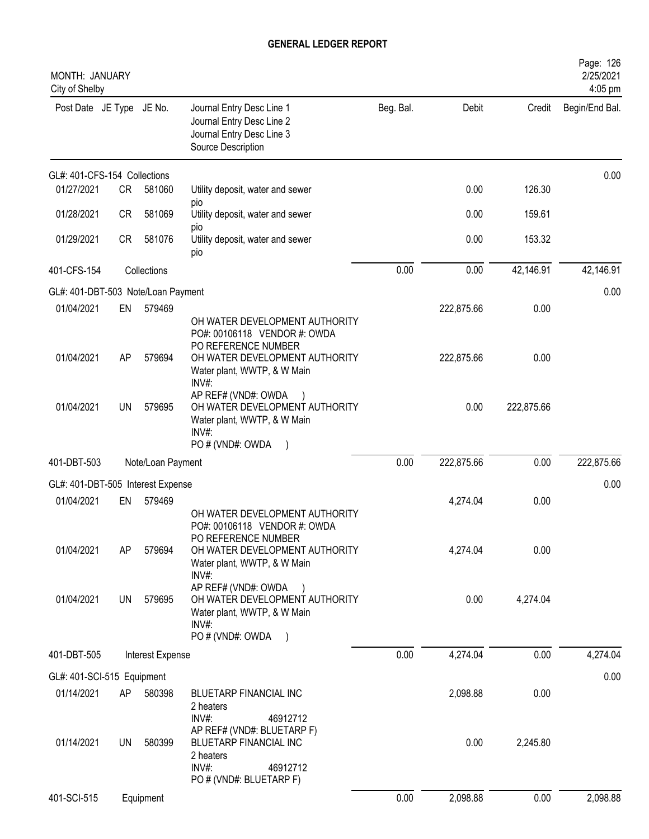| MONTH: JANUARY<br>City of Shelby   |           |                   |                                                                                                                   |           |            |            | Page: 126<br>2/25/2021<br>4:05 pm |
|------------------------------------|-----------|-------------------|-------------------------------------------------------------------------------------------------------------------|-----------|------------|------------|-----------------------------------|
| Post Date JE Type JE No.           |           |                   | Journal Entry Desc Line 1<br>Journal Entry Desc Line 2<br>Journal Entry Desc Line 3<br>Source Description         | Beg. Bal. | Debit      | Credit     | Begin/End Bal.                    |
| GL#: 401-CFS-154 Collections       |           |                   |                                                                                                                   |           |            |            | 0.00                              |
| 01/27/2021                         | CR        | 581060            | Utility deposit, water and sewer<br>pio                                                                           |           | 0.00       | 126.30     |                                   |
| 01/28/2021                         | <b>CR</b> | 581069            | Utility deposit, water and sewer                                                                                  |           | 0.00       | 159.61     |                                   |
| 01/29/2021                         | CR        | 581076            | pio<br>Utility deposit, water and sewer<br>pio                                                                    |           | 0.00       | 153.32     |                                   |
| 401-CFS-154                        |           | Collections       |                                                                                                                   | 0.00      | 0.00       | 42,146.91  | 42,146.91                         |
| GL#: 401-DBT-503 Note/Loan Payment |           |                   |                                                                                                                   |           |            |            | 0.00                              |
| 01/04/2021                         | EN        | 579469            | OH WATER DEVELOPMENT AUTHORITY<br>PO#: 00106118 VENDOR #: OWDA                                                    |           | 222,875.66 | 0.00       |                                   |
| 01/04/2021                         | AP        | 579694            | PO REFERENCE NUMBER<br>OH WATER DEVELOPMENT AUTHORITY<br>Water plant, WWTP, & W Main<br>INV#                      |           | 222,875.66 | 0.00       |                                   |
| 01/04/2021                         | UN        | 579695            | AP REF# (VND#: OWDA<br>OH WATER DEVELOPMENT AUTHORITY<br>Water plant, WWTP, & W Main<br>INV#:                     |           | 0.00       | 222,875.66 |                                   |
|                                    |           |                   | PO # (VND#: OWDA                                                                                                  |           |            |            |                                   |
| 401-DBT-503                        |           | Note/Loan Payment |                                                                                                                   | 0.00      | 222,875.66 | 0.00       | 222,875.66                        |
| GL#: 401-DBT-505 Interest Expense  |           |                   |                                                                                                                   |           |            |            | 0.00                              |
| 01/04/2021                         | EN        | 579469            | OH WATER DEVELOPMENT AUTHORITY<br>PO#: 00106118 VENDOR #: OWDA<br>PO REFERENCE NUMBER                             |           | 4,274.04   | 0.00       |                                   |
| 01/04/2021                         | AP        | 579694            | OH WATER DEVELOPMENT AUTHORITY<br>Water plant, WWTP, & W Main<br>INV#:                                            |           | 4,274.04   | 0.00       |                                   |
| 01/04/2021                         | UN        | 579695            | AP REF# (VND#: OWDA<br>OH WATER DEVELOPMENT AUTHORITY<br>Water plant, WWTP, & W Main<br>INV#<br>PO # (VND#: OWDA  |           | 0.00       | 4,274.04   |                                   |
| 401-DBT-505                        |           | Interest Expense  |                                                                                                                   | 0.00      | 4,274.04   | 0.00       | 4,274.04                          |
| GL#: 401-SCI-515 Equipment         |           |                   |                                                                                                                   |           |            |            | 0.00                              |
| 01/14/2021                         | AP        | 580398            | BLUETARP FINANCIAL INC<br>2 heaters<br>INV#:<br>46912712                                                          |           | 2,098.88   | 0.00       |                                   |
| 01/14/2021                         | UN        | 580399            | AP REF# (VND#: BLUETARP F)<br>BLUETARP FINANCIAL INC<br>2 heaters<br>INV#:<br>46912712<br>PO # (VND#: BLUETARP F) |           | 0.00       | 2,245.80   |                                   |
| 401-SCI-515                        |           | Equipment         |                                                                                                                   | 0.00      | 2,098.88   | 0.00       | 2,098.88                          |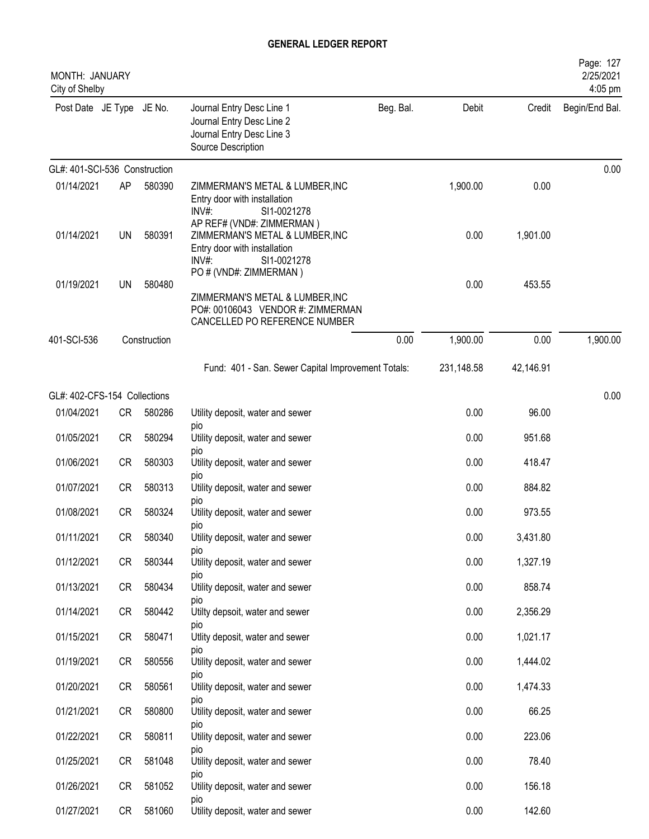| <b>MONTH: JANUARY</b><br>City of Shelby |           |              |                                                                                                                                 |           |            |           | Page: 127<br>2/25/2021<br>4:05 pm |
|-----------------------------------------|-----------|--------------|---------------------------------------------------------------------------------------------------------------------------------|-----------|------------|-----------|-----------------------------------|
| Post Date JE Type JE No.                |           |              | Journal Entry Desc Line 1<br>Journal Entry Desc Line 2<br>Journal Entry Desc Line 3<br>Source Description                       | Beg. Bal. | Debit      | Credit    | Begin/End Bal.                    |
| GL#: 401-SCI-536 Construction           |           |              |                                                                                                                                 |           |            |           | 0.00                              |
| 01/14/2021                              | <b>AP</b> | 580390       | ZIMMERMAN'S METAL & LUMBER, INC<br>Entry door with installation<br>INV#:<br>SI1-0021278                                         |           | 1,900.00   | 0.00      |                                   |
| 01/14/2021                              | UN        | 580391       | AP REF# (VND#: ZIMMERMAN)<br>ZIMMERMAN'S METAL & LUMBER, INC<br>Entry door with installation<br>$INV#$ :<br>SI1-0021278         |           | 0.00       | 1,901.00  |                                   |
| 01/19/2021                              | UN        | 580480       | PO # (VND#: ZIMMERMAN)<br>ZIMMERMAN'S METAL & LUMBER, INC<br>PO#: 00106043 VENDOR #: ZIMMERMAN<br>CANCELLED PO REFERENCE NUMBER |           | 0.00       | 453.55    |                                   |
| 401-SCI-536                             |           | Construction |                                                                                                                                 | 0.00      | 1,900.00   | 0.00      | 1,900.00                          |
|                                         |           |              | Fund: 401 - San. Sewer Capital Improvement Totals:                                                                              |           | 231,148.58 | 42,146.91 |                                   |
| GL#: 402-CFS-154 Collections            |           |              |                                                                                                                                 |           |            |           | 0.00                              |
| 01/04/2021                              | <b>CR</b> | 580286       | Utility deposit, water and sewer                                                                                                |           | 0.00       | 96.00     |                                   |
| 01/05/2021                              | <b>CR</b> | 580294       | pio<br>Utility deposit, water and sewer                                                                                         |           | 0.00       | 951.68    |                                   |
| 01/06/2021                              | <b>CR</b> | 580303       | pio<br>Utility deposit, water and sewer                                                                                         |           | 0.00       | 418.47    |                                   |
| 01/07/2021                              | <b>CR</b> | 580313       | pio<br>Utility deposit, water and sewer<br>pio                                                                                  |           | 0.00       | 884.82    |                                   |
| 01/08/2021                              | <b>CR</b> | 580324       | Utility deposit, water and sewer<br>pio                                                                                         |           | 0.00       | 973.55    |                                   |
| 01/11/2021                              | CR        | 580340       | Utility deposit, water and sewer                                                                                                |           | 0.00       | 3,431.80  |                                   |
| 01/12/2021                              | CR        | 580344       | <b>DIO</b><br>Utility deposit, water and sewer                                                                                  |           | 0.00       | 1,327.19  |                                   |
| 01/13/2021                              | CR        | 580434       | pio<br>Utility deposit, water and sewer                                                                                         |           | 0.00       | 858.74    |                                   |
| 01/14/2021                              | CR        | 580442       | pio<br>Utilty depsoit, water and sewer                                                                                          |           | 0.00       | 2,356.29  |                                   |
| 01/15/2021                              | CR        | 580471       | pio<br>Utlity deposit, water and sewer                                                                                          |           | 0.00       | 1,021.17  |                                   |
| 01/19/2021                              | <b>CR</b> | 580556       | pio<br>Utility deposit, water and sewer                                                                                         |           | 0.00       | 1,444.02  |                                   |
| 01/20/2021                              | <b>CR</b> | 580561       | pio<br>Utility deposit, water and sewer                                                                                         |           | 0.00       | 1,474.33  |                                   |
| 01/21/2021                              | CR        | 580800       | pio<br>Utility deposit, water and sewer                                                                                         |           | 0.00       | 66.25     |                                   |
| 01/22/2021                              | CR        | 580811       | pio<br>Utility deposit, water and sewer                                                                                         |           | 0.00       | 223.06    |                                   |
| 01/25/2021                              | CR        | 581048       | pio<br>Utility deposit, water and sewer                                                                                         |           | 0.00       | 78.40     |                                   |
| 01/26/2021                              | CR        | 581052       | DIO<br>Utility deposit, water and sewer                                                                                         |           | 0.00       | 156.18    |                                   |
| 01/27/2021                              | CR        | 581060       | <b>DIO</b><br>Utility deposit, water and sewer                                                                                  |           | 0.00       | 142.60    |                                   |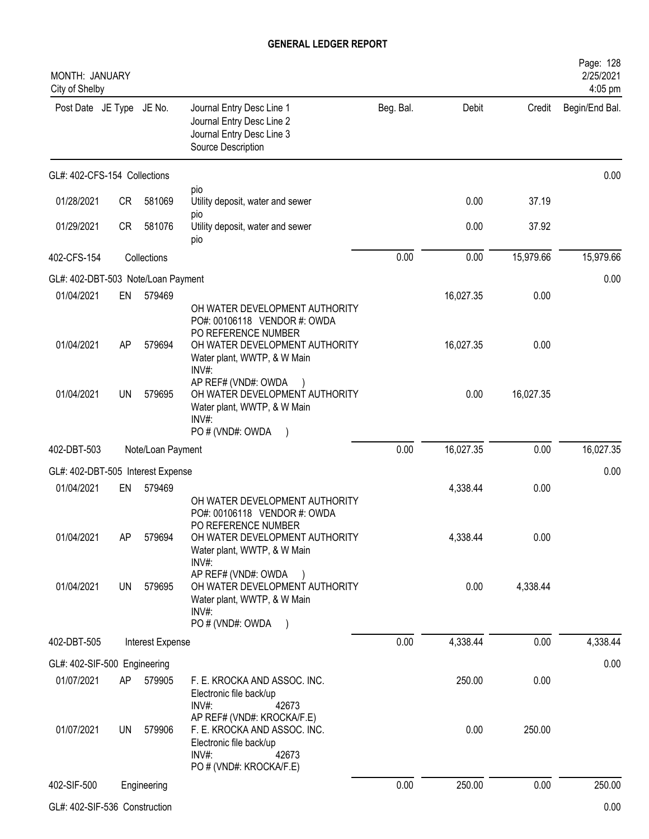| MONTH: JANUARY<br>City of Shelby                |           |                   |                                                                                                                                    |           |           |           | Page: 128<br>2/25/2021<br>4:05 pm |
|-------------------------------------------------|-----------|-------------------|------------------------------------------------------------------------------------------------------------------------------------|-----------|-----------|-----------|-----------------------------------|
| Post Date JE Type JE No.                        |           |                   | Journal Entry Desc Line 1<br>Journal Entry Desc Line 2<br>Journal Entry Desc Line 3<br>Source Description                          | Beg. Bal. | Debit     | Credit    | Begin/End Bal.                    |
| GL#: 402-CFS-154 Collections                    |           |                   |                                                                                                                                    |           |           |           | 0.00                              |
| 01/28/2021                                      | <b>CR</b> | 581069            | pio<br>Utility deposit, water and sewer                                                                                            |           | 0.00      | 37.19     |                                   |
| 01/29/2021                                      | <b>CR</b> | 581076            | pio<br>Utility deposit, water and sewer<br>pio                                                                                     |           | 0.00      | 37.92     |                                   |
| 402-CFS-154                                     |           | Collections       |                                                                                                                                    | 0.00      | 0.00      | 15,979.66 | 15,979.66                         |
| GL#: 402-DBT-503 Note/Loan Payment              |           |                   |                                                                                                                                    |           |           |           | 0.00                              |
| 01/04/2021                                      | EN        | 579469            | OH WATER DEVELOPMENT AUTHORITY<br>PO#: 00106118 VENDOR #: OWDA                                                                     |           | 16,027.35 | 0.00      |                                   |
| 01/04/2021                                      | AP        | 579694            | PO REFERENCE NUMBER<br>OH WATER DEVELOPMENT AUTHORITY<br>Water plant, WWTP, & W Main<br>$INV#$ :                                   |           | 16,027.35 | 0.00      |                                   |
| 01/04/2021                                      | <b>UN</b> | 579695            | AP REF# (VND#: OWDA<br>OH WATER DEVELOPMENT AUTHORITY<br>Water plant, WWTP, & W Main<br>INV#:                                      |           | 0.00      | 16,027.35 |                                   |
| 402-DBT-503                                     |           | Note/Loan Payment | PO # (VND#: OWDA                                                                                                                   | 0.00      | 16,027.35 | 0.00      | 16,027.35                         |
|                                                 |           |                   |                                                                                                                                    |           |           |           |                                   |
| GL#: 402-DBT-505 Interest Expense<br>01/04/2021 | EN        | 579469            |                                                                                                                                    |           | 4,338.44  | 0.00      | 0.00                              |
|                                                 |           |                   | OH WATER DEVELOPMENT AUTHORITY<br>PO#: 00106118 VENDOR #: OWDA<br>PO REFERENCE NUMBER                                              |           |           |           |                                   |
| 01/04/2021                                      | AP        | 579694            | OH WATER DEVELOPMENT AUTHORITY<br>Water plant, WWTP, & W Main<br>$INV#$ :                                                          |           | 4,338.44  | 0.00      |                                   |
| 01/04/2021                                      | UN        | 579695            | AP REF# (VND#: OWDA<br>OH WATER DEVELOPMENT AUTHORITY<br>Water plant, WWTP, & W Main<br>INV#:<br>PO # (VND#: OWDA                  |           | 0.00      | 4,338.44  |                                   |
| 402-DBT-505                                     |           | Interest Expense  |                                                                                                                                    | 0.00      | 4,338.44  | 0.00      | 4,338.44                          |
| GL#: 402-SIF-500 Engineering                    |           |                   |                                                                                                                                    |           |           |           | 0.00                              |
| 01/07/2021                                      | AP        | 579905            | F. E. KROCKA AND ASSOC. INC.<br>Electronic file back/up<br>INV#:<br>42673                                                          |           | 250.00    | 0.00      |                                   |
| 01/07/2021                                      | <b>UN</b> | 579906            | AP REF# (VND#: KROCKA/F.E)<br>F. E. KROCKA AND ASSOC. INC.<br>Electronic file back/up<br>INV#:<br>42673<br>PO # (VND#: KROCKA/F.E) |           | 0.00      | 250.00    |                                   |
| 402-SIF-500                                     |           | Engineering       |                                                                                                                                    | 0.00      | 250.00    | 0.00      | 250.00                            |
| GL#: 402-SIF-536 Construction                   |           |                   |                                                                                                                                    |           |           |           | 0.00                              |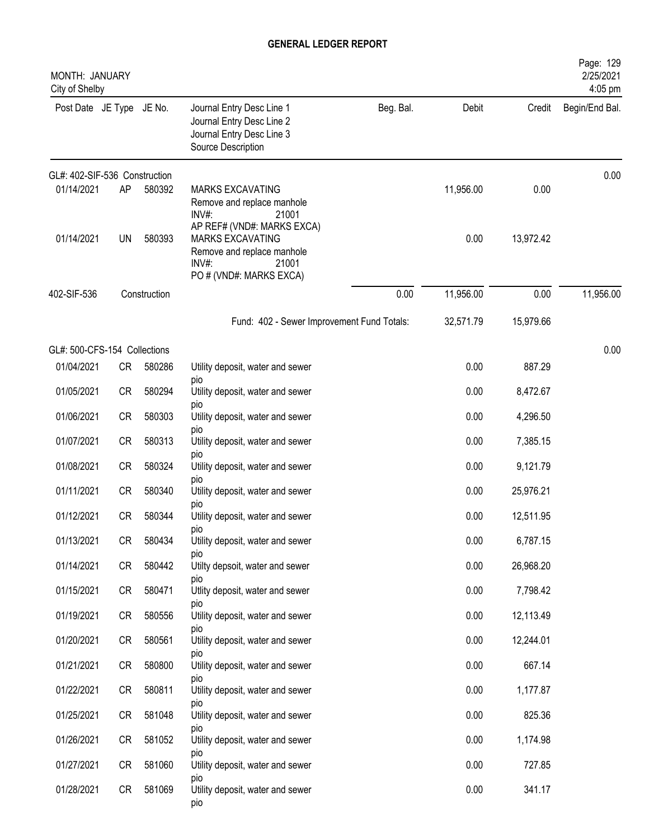| MONTH: JANUARY<br>City of Shelby |           |              |                                                                                                                                 |           |           |           | Page: 129<br>2/25/2021<br>4:05 pm |
|----------------------------------|-----------|--------------|---------------------------------------------------------------------------------------------------------------------------------|-----------|-----------|-----------|-----------------------------------|
| Post Date JE Type JE No.         |           |              | Journal Entry Desc Line 1<br>Journal Entry Desc Line 2<br>Journal Entry Desc Line 3<br>Source Description                       | Beg. Bal. | Debit     | Credit    | Begin/End Bal.                    |
| GL#: 402-SIF-536 Construction    |           |              |                                                                                                                                 |           |           |           | 0.00                              |
| 01/14/2021                       | AP        | 580392       | <b>MARKS EXCAVATING</b><br>Remove and replace manhole<br>$INV#$ :<br>21001                                                      |           | 11,956.00 | 0.00      |                                   |
| 01/14/2021                       | UN        | 580393       | AP REF# (VND#: MARKS EXCA)<br><b>MARKS EXCAVATING</b><br>Remove and replace manhole<br>INV#<br>21001<br>PO # (VND#: MARKS EXCA) |           | 0.00      | 13,972.42 |                                   |
| 402-SIF-536                      |           | Construction |                                                                                                                                 | 0.00      | 11,956.00 | 0.00      | 11,956.00                         |
|                                  |           |              | Fund: 402 - Sewer Improvement Fund Totals:                                                                                      |           | 32,571.79 | 15,979.66 |                                   |
| GL#: 500-CFS-154 Collections     |           |              |                                                                                                                                 |           |           |           | 0.00                              |
| 01/04/2021                       | CR        | 580286       | Utility deposit, water and sewer<br>pio                                                                                         |           | 0.00      | 887.29    |                                   |
| 01/05/2021                       | <b>CR</b> | 580294       | Utility deposit, water and sewer                                                                                                |           | 0.00      | 8,472.67  |                                   |
| 01/06/2021                       | <b>CR</b> | 580303       | pio<br>Utility deposit, water and sewer                                                                                         |           | 0.00      | 4,296.50  |                                   |
| 01/07/2021                       | <b>CR</b> | 580313       | <b>DIO</b><br>Utility deposit, water and sewer                                                                                  |           | 0.00      | 7,385.15  |                                   |
| 01/08/2021                       | <b>CR</b> | 580324       | <b>DIO</b><br>Utility deposit, water and sewer                                                                                  |           | 0.00      | 9,121.79  |                                   |
| 01/11/2021                       | <b>CR</b> | 580340       | pio<br>Utility deposit, water and sewer                                                                                         |           | 0.00      | 25,976.21 |                                   |
| 01/12/2021                       | <b>CR</b> | 580344       | pio<br>Utility deposit, water and sewer                                                                                         |           | 0.00      | 12,511.95 |                                   |
| 01/13/2021                       | <b>CR</b> | 580434       | pio<br>Utility deposit, water and sewer                                                                                         |           | 0.00      | 6,787.15  |                                   |
| 01/14/2021                       | <b>CR</b> | 580442       | pio<br>Utilty depsoit, water and sewer                                                                                          |           | 0.00      | 26,968.20 |                                   |
| 01/15/2021                       | CR        | 580471       | <b>DIO</b><br>Utlity deposit, water and sewer                                                                                   |           | 0.00      | 7,798.42  |                                   |
| 01/19/2021                       | <b>CR</b> | 580556       | <b>DIO</b><br>Utility deposit, water and sewer                                                                                  |           | 0.00      | 12,113.49 |                                   |
| 01/20/2021                       | CR        | 580561       | pio<br>Utility deposit, water and sewer                                                                                         |           | 0.00      | 12,244.01 |                                   |
| 01/21/2021                       | <b>CR</b> | 580800       | pio<br>Utility deposit, water and sewer                                                                                         |           | 0.00      | 667.14    |                                   |
| 01/22/2021                       | CR        | 580811       | pio<br>Utility deposit, water and sewer                                                                                         |           | 0.00      | 1,177.87  |                                   |
| 01/25/2021                       | CR        | 581048       | pio<br>Utility deposit, water and sewer                                                                                         |           | 0.00      | 825.36    |                                   |
| 01/26/2021                       | <b>CR</b> | 581052       | <b>DIO</b><br>Utility deposit, water and sewer                                                                                  |           | 0.00      | 1,174.98  |                                   |
| 01/27/2021                       | <b>CR</b> | 581060       | pio<br>Utility deposit, water and sewer                                                                                         |           | 0.00      | 727.85    |                                   |
| 01/28/2021                       | CR        | 581069       | pio<br>Utility deposit, water and sewer<br>pio                                                                                  |           | 0.00      | 341.17    |                                   |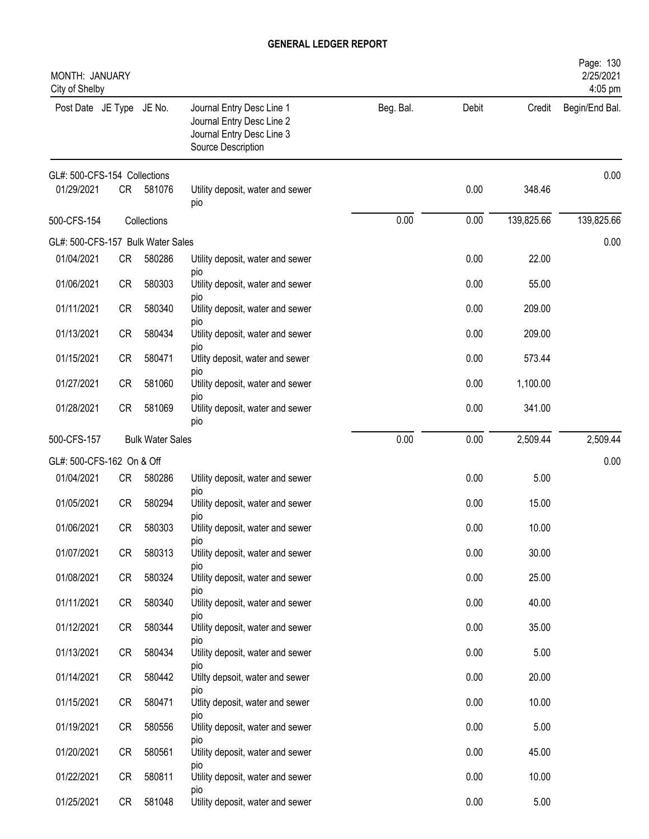| MONTH: JANUARY<br>City of Shelby  |           |                         |                                                                                                           |           |       |            | Page: 130<br>2/25/2021<br>4:05 pm |
|-----------------------------------|-----------|-------------------------|-----------------------------------------------------------------------------------------------------------|-----------|-------|------------|-----------------------------------|
| Post Date JE Type JE No.          |           |                         | Journal Entry Desc Line 1<br>Journal Entry Desc Line 2<br>Journal Entry Desc Line 3<br>Source Description | Beg. Bal. | Debit | Credit     | Begin/End Bal.                    |
| GL#: 500-CFS-154 Collections      |           |                         |                                                                                                           |           |       |            | 0.00                              |
| 01/29/2021                        | <b>CR</b> | 581076                  | Utility deposit, water and sewer<br>pio                                                                   |           | 0.00  | 348.46     |                                   |
| 500-CFS-154                       |           | Collections             |                                                                                                           | 0.00      | 0.00  | 139,825.66 | 139,825.66                        |
| GL#: 500-CFS-157 Bulk Water Sales |           |                         |                                                                                                           |           |       |            | 0.00                              |
| 01/04/2021                        | <b>CR</b> | 580286                  | Utility deposit, water and sewer<br>pio                                                                   |           | 0.00  | 22.00      |                                   |
| 01/06/2021                        | <b>CR</b> | 580303                  | Utility deposit, water and sewer                                                                          |           | 0.00  | 55.00      |                                   |
| 01/11/2021                        | <b>CR</b> | 580340                  | <b>DIO</b><br>Utility deposit, water and sewer                                                            |           | 0.00  | 209.00     |                                   |
| 01/13/2021                        | <b>CR</b> | 580434                  | pio<br>Utility deposit, water and sewer                                                                   |           | 0.00  | 209.00     |                                   |
| 01/15/2021                        | <b>CR</b> | 580471                  | DIO<br>Utlity deposit, water and sewer                                                                    |           | 0.00  | 573.44     |                                   |
| 01/27/2021                        | <b>CR</b> | 581060                  | pio<br>Utility deposit, water and sewer                                                                   |           | 0.00  | 1,100.00   |                                   |
| 01/28/2021                        | <b>CR</b> | 581069                  | pio<br>Utility deposit, water and sewer<br>pio                                                            |           | 0.00  | 341.00     |                                   |
| 500-CFS-157                       |           | <b>Bulk Water Sales</b> |                                                                                                           | 0.00      | 0.00  | 2,509.44   | 2,509.44                          |
| GL#: 500-CFS-162 On & Off         |           |                         |                                                                                                           |           |       |            | 0.00                              |
| 01/04/2021                        | <b>CR</b> | 580286                  | Utility deposit, water and sewer<br>pio                                                                   |           | 0.00  | 5.00       |                                   |
| 01/05/2021                        | <b>CR</b> | 580294                  | Utility deposit, water and sewer                                                                          |           | 0.00  | 15.00      |                                   |
| 01/06/2021                        | <b>CR</b> | 580303                  | pio<br>Utility deposit, water and sewer                                                                   |           | 0.00  | 10.00      |                                   |
| 01/07/2021                        | <b>CR</b> | 580313                  | pio<br>Utility deposit, water and sewer                                                                   |           | 0.00  | 30.00      |                                   |
| 01/08/2021                        | CR        | 580324                  | pio<br>Utility deposit, water and sewer                                                                   |           | 0.00  | 25.00      |                                   |
| 01/11/2021                        | <b>CR</b> | 580340                  | pio<br>Utility deposit, water and sewer                                                                   |           | 0.00  | 40.00      |                                   |
| 01/12/2021                        | <b>CR</b> | 580344                  | pio<br>Utility deposit, water and sewer                                                                   |           | 0.00  | 35.00      |                                   |
| 01/13/2021                        | CR        | 580434                  | pio<br>Utility deposit, water and sewer                                                                   |           | 0.00  | 5.00       |                                   |
| 01/14/2021                        | CR        | 580442                  | pio<br>Utilty depsoit, water and sewer                                                                    |           | 0.00  | 20.00      |                                   |
| 01/15/2021                        | <b>CR</b> | 580471                  | <b>DIO</b><br>Utlity deposit, water and sewer                                                             |           | 0.00  | 10.00      |                                   |
| 01/19/2021                        | CR        | 580556                  | pio<br>Utility deposit, water and sewer                                                                   |           | 0.00  | 5.00       |                                   |
| 01/20/2021                        | CR        | 580561                  | pio<br>Utility deposit, water and sewer                                                                   |           | 0.00  | 45.00      |                                   |
| 01/22/2021                        | <b>CR</b> | 580811                  | pio<br>Utility deposit, water and sewer                                                                   |           | 0.00  | 10.00      |                                   |
| 01/25/2021                        | <b>CR</b> | 581048                  | pio<br>Utility deposit, water and sewer                                                                   |           | 0.00  | 5.00       |                                   |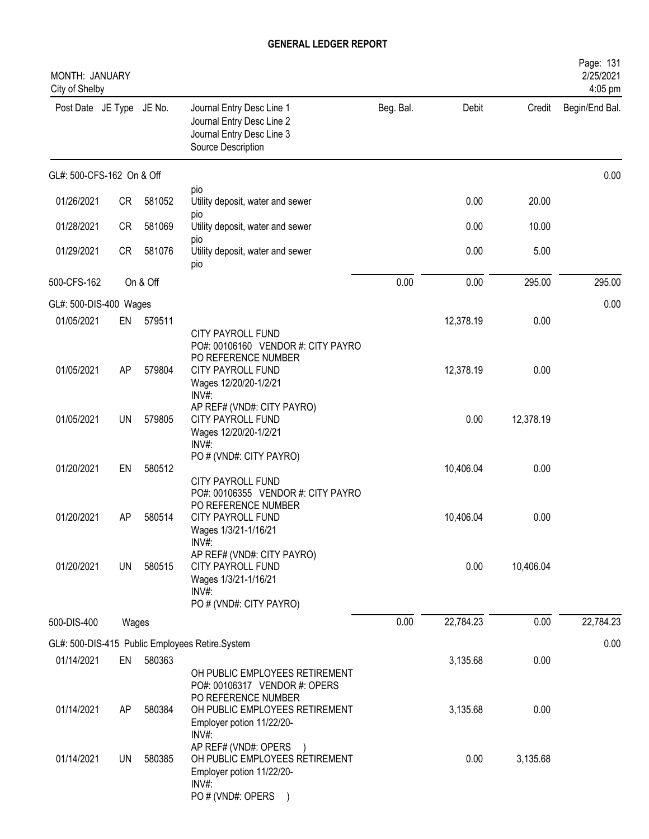| MONTH: JANUARY<br>City of Shelby |          |                  |                                                                                                                                                                               |           |                      |              | Page: 131<br>2/25/2021<br>4:05 pm |
|----------------------------------|----------|------------------|-------------------------------------------------------------------------------------------------------------------------------------------------------------------------------|-----------|----------------------|--------------|-----------------------------------|
| Post Date JE Type JE No.         |          |                  | Journal Entry Desc Line 1<br>Journal Entry Desc Line 2<br>Journal Entry Desc Line 3<br>Source Description                                                                     | Beg. Bal. | Debit                | Credit       | Begin/End Bal.                    |
| GL#: 500-CFS-162 On & Off        |          |                  |                                                                                                                                                                               |           |                      |              | 0.00                              |
| 01/26/2021                       | CR       | 581052           | pio<br>Utility deposit, water and sewer                                                                                                                                       |           | 0.00                 | 20.00        |                                   |
| 01/28/2021                       | CR       | 581069           | pio<br>Utility deposit, water and sewer                                                                                                                                       |           | 0.00                 | 10.00        |                                   |
| 01/29/2021                       | CR       | 581076           | pio<br>Utility deposit, water and sewer<br>pio                                                                                                                                |           | 0.00                 | 5.00         |                                   |
| 500-CFS-162                      |          | On & Off         |                                                                                                                                                                               | 0.00      | 0.00                 | 295.00       | 295.00                            |
| GL#: 500-DIS-400 Wages           |          |                  |                                                                                                                                                                               |           |                      |              | 0.00                              |
| 01/05/2021                       |          | EN 579511        |                                                                                                                                                                               |           | 12,378.19            | 0.00         |                                   |
| 01/05/2021                       | AP       | 579804           | <b>CITY PAYROLL FUND</b><br>PO#: 00106160 VENDOR #: CITY PAYRO<br>PO REFERENCE NUMBER<br><b>CITY PAYROLL FUND</b><br>Wages 12/20/20-1/2/21<br>INV#:                           |           | 12,378.19            | 0.00         |                                   |
| 01/05/2021                       | UN       | 579805           | AP REF# (VND#: CITY PAYRO)<br><b>CITY PAYROLL FUND</b><br>Wages 12/20/20-1/2/21<br>$INV#$ :                                                                                   |           | 0.00                 | 12,378.19    |                                   |
| 01/20/2021                       | EN       | 580512           | PO # (VND#: CITY PAYRO)<br><b>CITY PAYROLL FUND</b><br>PO#: 00106355 VENDOR #: CITY PAYRO                                                                                     |           | 10,406.04            | 0.00         |                                   |
| 01/20/2021                       | AP       | 580514           | PO REFERENCE NUMBER<br>CITY PAYROLL FUND<br>Wages 1/3/21-1/16/21<br>INV#:                                                                                                     |           | 10,406.04            | 0.00         |                                   |
| 01/20/2021                       | UN       | 580515           | AP REF# (VND#: CITY PAYRO)<br>CITY PAYROLL FUND<br>Wages 1/3/21-1/16/21<br>INV#:<br>PO # (VND#: CITY PAYRO)                                                                   |           | 0.00                 | 10,406.04    |                                   |
| 500-DIS-400                      | Wages    |                  |                                                                                                                                                                               | 0.00      | 22,784.23            | 0.00         | 22,784.23                         |
|                                  |          |                  |                                                                                                                                                                               |           |                      |              | 0.00                              |
|                                  |          |                  | GL#: 500-DIS-415 Public Employees Retire.System                                                                                                                               |           |                      |              |                                   |
| 01/14/2021<br>01/14/2021         | EN<br>AP | 580363<br>580384 | OH PUBLIC EMPLOYEES RETIREMENT<br>PO#: 00106317 VENDOR #: OPERS<br>PO REFERENCE NUMBER<br>OH PUBLIC EMPLOYEES RETIREMENT<br>Employer potion 11/22/20-                         |           | 3,135.68<br>3,135.68 | 0.00<br>0.00 |                                   |
| 01/14/2021                       | UN       | 580385           | INV#<br>AP REF# (VND#: OPERS<br>OH PUBLIC EMPLOYEES RETIREMENT<br>Employer potion 11/22/20-<br>$INV#$ :<br>PO # (VND#: OPERS<br>$\left( \begin{array}{c} \end{array} \right)$ |           | 0.00                 | 3,135.68     |                                   |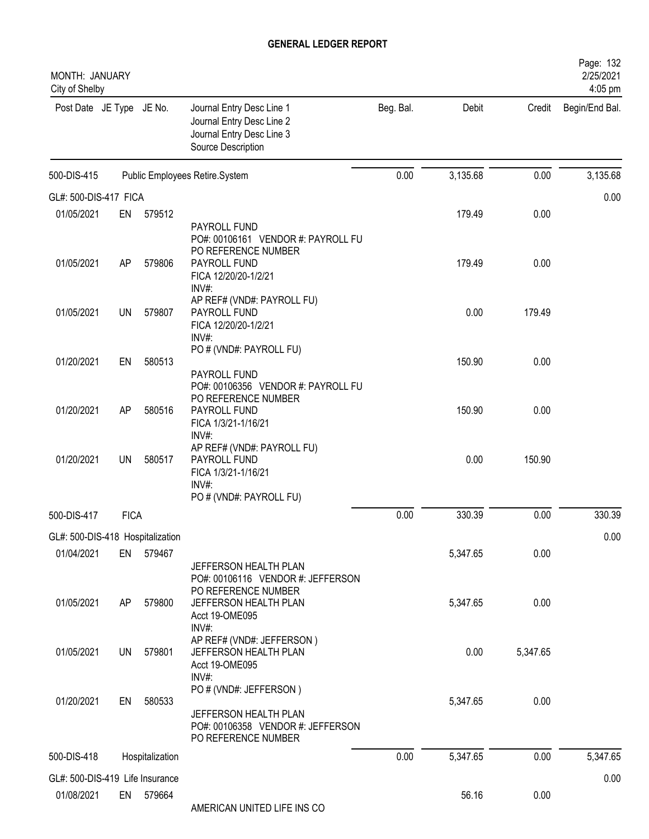| MONTH: JANUARY<br>City of Shelby              |             |                 |                                                                                                           |           |          |          | Page: 132<br>2/25/2021<br>4:05 pm |
|-----------------------------------------------|-------------|-----------------|-----------------------------------------------------------------------------------------------------------|-----------|----------|----------|-----------------------------------|
| Post Date JE Type JE No.                      |             |                 | Journal Entry Desc Line 1<br>Journal Entry Desc Line 2<br>Journal Entry Desc Line 3<br>Source Description | Beg. Bal. | Debit    | Credit   | Begin/End Bal.                    |
| 500-DIS-415                                   |             |                 | Public Employees Retire.System                                                                            | 0.00      | 3,135.68 | 0.00     | 3,135.68                          |
| GL#: 500-DIS-417 FICA                         |             |                 |                                                                                                           |           |          |          | 0.00                              |
| 01/05/2021                                    | EN          | 579512          |                                                                                                           |           | 179.49   | 0.00     |                                   |
| 01/05/2021                                    | AP          | 579806          | PAYROLL FUND<br>PO#: 00106161 VENDOR #: PAYROLL FU<br>PO REFERENCE NUMBER<br>PAYROLL FUND                 |           | 179.49   | 0.00     |                                   |
|                                               |             |                 | FICA 12/20/20-1/2/21<br>INV#:<br>AP REF# (VND#: PAYROLL FU)                                               |           |          |          |                                   |
| 01/05/2021                                    | UN          | 579807          | PAYROLL FUND<br>FICA 12/20/20-1/2/21<br>INV#:                                                             |           | 0.00     | 179.49   |                                   |
| 01/20/2021                                    | EN          | 580513          | PO # (VND#: PAYROLL FU)                                                                                   |           | 150.90   | 0.00     |                                   |
|                                               |             |                 | PAYROLL FUND<br>PO#: 00106356 VENDOR #: PAYROLL FU<br>PO REFERENCE NUMBER                                 |           |          |          |                                   |
| 01/20/2021                                    | AP          | 580516          | PAYROLL FUND<br>FICA 1/3/21-1/16/21<br>INV#:                                                              |           | 150.90   | 0.00     |                                   |
| 01/20/2021                                    | UN          | 580517          | AP REF# (VND#: PAYROLL FU)<br>PAYROLL FUND<br>FICA 1/3/21-1/16/21<br>INV#:                                |           | 0.00     | 150.90   |                                   |
| 500-DIS-417                                   | <b>FICA</b> |                 | PO # (VND#: PAYROLL FU)                                                                                   | 0.00      | 330.39   | 0.00     | 330.39                            |
|                                               |             |                 |                                                                                                           |           |          |          |                                   |
| GL#: 500-DIS-418 Hospitalization              |             |                 |                                                                                                           |           |          |          | 0.00                              |
| 01/04/2021                                    | EN          | 579467          | JEFFERSON HEALTH PLAN<br>PO#: 00106116 VENDOR #: JEFFERSON<br>PO REFERENCE NUMBER                         |           | 5,347.65 | 0.00     |                                   |
| 01/05/2021                                    | AP          | 579800          | JEFFERSON HEALTH PLAN<br>Acct 19-OME095<br>INV#:                                                          |           | 5,347.65 | 0.00     |                                   |
| 01/05/2021                                    | <b>UN</b>   | 579801          | AP REF# (VND#: JEFFERSON)<br>JEFFERSON HEALTH PLAN<br>Acct 19-OME095<br>INV#:                             |           | 0.00     | 5,347.65 |                                   |
| 01/20/2021                                    | EN          | 580533          | PO # (VND#: JEFFERSON)<br>JEFFERSON HEALTH PLAN<br>PO#: 00106358 VENDOR #: JEFFERSON                      |           | 5,347.65 | 0.00     |                                   |
| 500-DIS-418                                   |             | Hospitalization | PO REFERENCE NUMBER                                                                                       | 0.00      | 5,347.65 | 0.00     | 5,347.65                          |
|                                               |             |                 |                                                                                                           |           |          |          |                                   |
| GL#: 500-DIS-419 Life Insurance<br>01/08/2021 |             | EN 579664       | AMERICAN UNITED LIFE INS CO                                                                               |           | 56.16    | 0.00     | 0.00                              |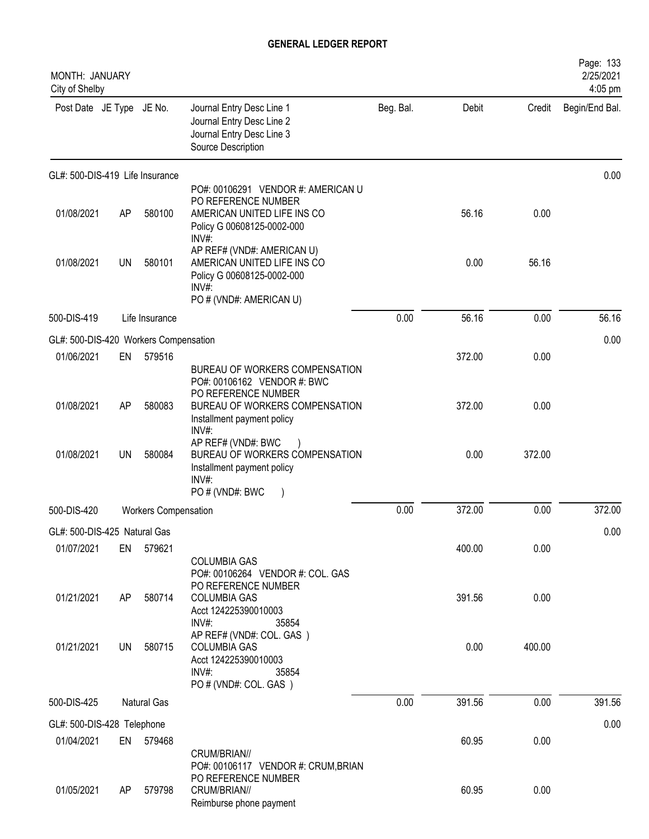| MONTH: JANUARY<br>City of Shelby      |    |                             |                                                                                                                                 |           |        |        | Page: 133<br>2/25/2021<br>4:05 pm |
|---------------------------------------|----|-----------------------------|---------------------------------------------------------------------------------------------------------------------------------|-----------|--------|--------|-----------------------------------|
| Post Date JE Type JE No.              |    |                             | Journal Entry Desc Line 1<br>Journal Entry Desc Line 2<br>Journal Entry Desc Line 3<br>Source Description                       | Beg. Bal. | Debit  | Credit | Begin/End Bal.                    |
| GL#: 500-DIS-419 Life Insurance       |    |                             |                                                                                                                                 |           |        |        | 0.00                              |
| 01/08/2021                            | AP | 580100                      | PO#: 00106291 VENDOR #: AMERICAN U<br>PO REFERENCE NUMBER<br>AMERICAN UNITED LIFE INS CO<br>Policy G 00608125-0002-000<br>INV#: |           | 56.16  | 0.00   |                                   |
| 01/08/2021                            | UN | 580101                      | AP REF# (VND#: AMERICAN U)<br>AMERICAN UNITED LIFE INS CO<br>Policy G 00608125-0002-000<br>$INV#$ :<br>PO # (VND#: AMERICAN U)  |           | 0.00   | 56.16  |                                   |
| 500-DIS-419                           |    | Life Insurance              |                                                                                                                                 | 0.00      | 56.16  | 0.00   | 56.16                             |
| GL#: 500-DIS-420 Workers Compensation |    |                             |                                                                                                                                 |           |        |        | 0.00                              |
| 01/06/2021                            | EN | 579516                      |                                                                                                                                 |           | 372.00 | 0.00   |                                   |
|                                       |    |                             | BUREAU OF WORKERS COMPENSATION<br>PO#: 00106162 VENDOR #: BWC<br>PO REFERENCE NUMBER                                            |           |        |        |                                   |
| 01/08/2021                            | AP | 580083                      | BUREAU OF WORKERS COMPENSATION<br>Installment payment policy<br>INV#:                                                           |           | 372.00 | 0.00   |                                   |
| 01/08/2021                            | UN | 580084                      | AP REF# (VND#: BWC<br>BUREAU OF WORKERS COMPENSATION<br>Installment payment policy<br>INV#:<br>PO#(VND#: BWC                    |           | 0.00   | 372.00 |                                   |
| 500-DIS-420                           |    | <b>Workers Compensation</b> |                                                                                                                                 | 0.00      | 372.00 | 0.00   | 372.00                            |
| GL#: 500-DIS-425 Natural Gas          |    |                             |                                                                                                                                 |           |        |        | 0.00                              |
| 01/07/2021                            | EN | 579621                      |                                                                                                                                 |           | 400.00 | 0.00   |                                   |
|                                       |    |                             | <b>COLUMBIA GAS</b><br>PO#: 00106264 VENDOR #: COL. GAS<br>PO REFERENCE NUMBER                                                  |           |        |        |                                   |
| 01/21/2021                            | AP | 580714                      | <b>COLUMBIA GAS</b><br>Acct 124225390010003<br>INV#:<br>35854                                                                   |           | 391.56 | 0.00   |                                   |
| 01/21/2021                            | UN | 580715                      | AP REF# (VND#: COL. GAS)<br><b>COLUMBIA GAS</b><br>Acct 124225390010003<br>INV#:<br>35854<br>PO # (VND#: COL. GAS)              |           | 0.00   | 400.00 |                                   |
| 500-DIS-425                           |    | Natural Gas                 |                                                                                                                                 | 0.00      | 391.56 | 0.00   | 391.56                            |
| GL#: 500-DIS-428 Telephone            |    |                             |                                                                                                                                 |           |        |        | 0.00                              |
| 01/04/2021                            | EN | 579468                      |                                                                                                                                 |           | 60.95  | 0.00   |                                   |
|                                       |    |                             | CRUM/BRIAN//<br>PO#: 00106117 VENDOR #: CRUM, BRIAN<br>PO REFERENCE NUMBER                                                      |           |        |        |                                   |
| 01/05/2021                            | AP | 579798                      | CRUM/BRIAN//<br>Reimburse phone payment                                                                                         |           | 60.95  | 0.00   |                                   |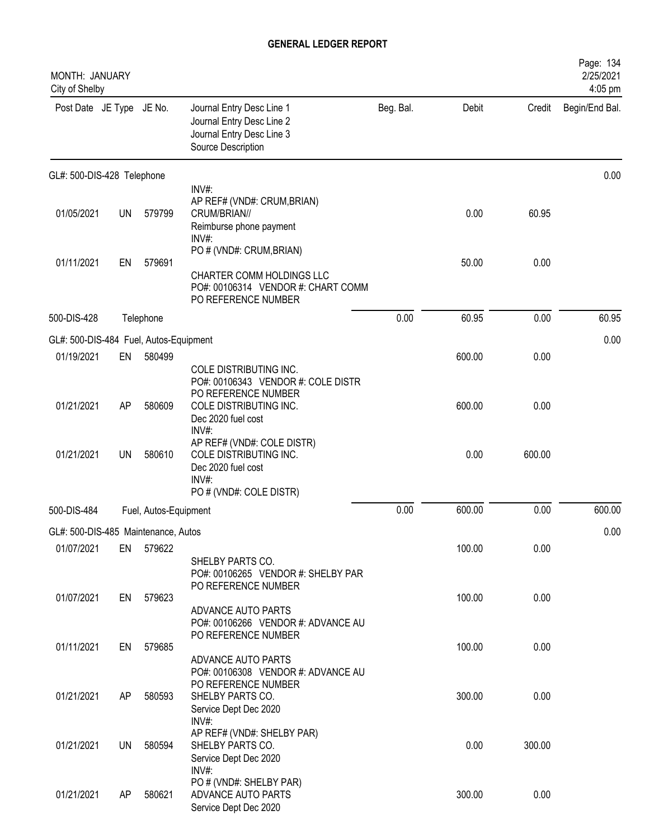| MONTH: JANUARY<br>City of Shelby       |           |                       |                                                                                                                                              |           |        |        | Page: 134<br>2/25/2021<br>4:05 pm |
|----------------------------------------|-----------|-----------------------|----------------------------------------------------------------------------------------------------------------------------------------------|-----------|--------|--------|-----------------------------------|
| Post Date JE Type JE No.               |           |                       | Journal Entry Desc Line 1<br>Journal Entry Desc Line 2<br>Journal Entry Desc Line 3<br>Source Description                                    | Beg. Bal. | Debit  | Credit | Begin/End Bal.                    |
| GL#: 500-DIS-428 Telephone             |           |                       |                                                                                                                                              |           |        |        | 0.00                              |
| 01/05/2021                             | <b>UN</b> | 579799                | INV#:<br>AP REF# (VND#: CRUM, BRIAN)<br>CRUM/BRIAN//<br>Reimburse phone payment<br>INV#:                                                     |           | 0.00   | 60.95  |                                   |
| 01/11/2021                             | EN        | 579691                | PO # (VND#: CRUM, BRIAN)<br>CHARTER COMM HOLDINGS LLC<br>PO#: 00106314 VENDOR #: CHART COMM<br>PO REFERENCE NUMBER                           |           | 50.00  | 0.00   |                                   |
| 500-DIS-428                            |           | Telephone             |                                                                                                                                              | 0.00      | 60.95  | 0.00   | 60.95                             |
| GL#: 500-DIS-484 Fuel, Autos-Equipment |           |                       |                                                                                                                                              |           |        |        | 0.00                              |
| 01/19/2021                             | EN        | 580499                |                                                                                                                                              |           | 600.00 | 0.00   |                                   |
| 01/21/2021                             | AP        | 580609                | COLE DISTRIBUTING INC.<br>PO#: 00106343 VENDOR #: COLE DISTR<br>PO REFERENCE NUMBER<br>COLE DISTRIBUTING INC.<br>Dec 2020 fuel cost<br>INV#: |           | 600.00 | 0.00   |                                   |
| 01/21/2021                             | <b>UN</b> | 580610                | AP REF# (VND#: COLE DISTR)<br>COLE DISTRIBUTING INC.<br>Dec 2020 fuel cost<br>INV#:<br>PO # (VND#: COLE DISTR)                               |           | 0.00   | 600.00 |                                   |
| 500-DIS-484                            |           | Fuel, Autos-Equipment |                                                                                                                                              | 0.00      | 600.00 | 0.00   | 600.00                            |
| GL#: 500-DIS-485 Maintenance, Autos    |           |                       |                                                                                                                                              |           |        |        | 0.00                              |
| 01/07/2021                             | EN        | 579622                | SHELBY PARTS CO.<br>PO#: 00106265 VENDOR #: SHELBY PAR                                                                                       |           | 100.00 | 0.00   |                                   |
| 01/07/2021                             | EN        | 579623                | PO REFERENCE NUMBER<br>ADVANCE AUTO PARTS<br>PO#: 00106266 VENDOR #: ADVANCE AU                                                              |           | 100.00 | 0.00   |                                   |
| 01/11/2021                             | EN        | 579685                | PO REFERENCE NUMBER<br>ADVANCE AUTO PARTS                                                                                                    |           | 100.00 | 0.00   |                                   |
| 01/21/2021                             | AP        | 580593                | PO#: 00106308 VENDOR #: ADVANCE AU<br>PO REFERENCE NUMBER<br>SHELBY PARTS CO.<br>Service Dept Dec 2020                                       |           | 300.00 | 0.00   |                                   |
| 01/21/2021                             | UN        | 580594                | INV#:<br>AP REF# (VND#: SHELBY PAR)<br>SHELBY PARTS CO.<br>Service Dept Dec 2020                                                             |           | 0.00   | 300.00 |                                   |
| 01/21/2021                             | AP        | 580621                | $INV#$ :<br>PO # (VND#: SHELBY PAR)<br>ADVANCE AUTO PARTS<br>Service Dept Dec 2020                                                           |           | 300.00 | 0.00   |                                   |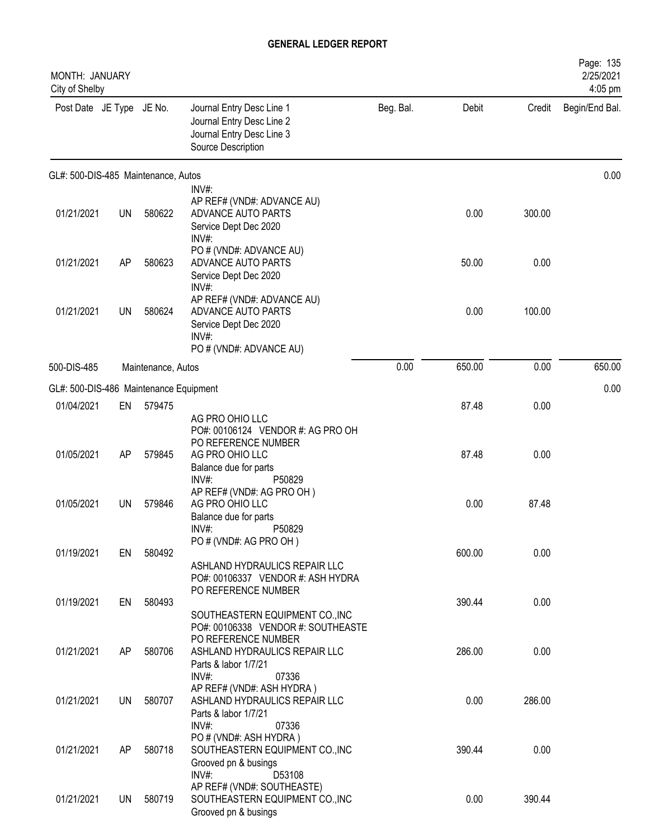| MONTH: JANUARY<br>City of Shelby       |           |                    |                                                                                                                         |           |        |        | Page: 135<br>2/25/2021<br>4:05 pm |
|----------------------------------------|-----------|--------------------|-------------------------------------------------------------------------------------------------------------------------|-----------|--------|--------|-----------------------------------|
| Post Date JE Type JE No.               |           |                    | Journal Entry Desc Line 1<br>Journal Entry Desc Line 2<br>Journal Entry Desc Line 3<br>Source Description               | Beg. Bal. | Debit  | Credit | Begin/End Bal.                    |
| GL#: 500-DIS-485 Maintenance, Autos    |           |                    |                                                                                                                         |           |        |        | 0.00                              |
| 01/21/2021                             | <b>UN</b> | 580622             | INV#:<br>AP REF# (VND#: ADVANCE AU)<br>ADVANCE AUTO PARTS<br>Service Dept Dec 2020<br>INV#:                             |           | 0.00   | 300.00 |                                   |
| 01/21/2021                             | AP        | 580623             | PO # (VND#: ADVANCE AU)<br>ADVANCE AUTO PARTS<br>Service Dept Dec 2020<br>INV#:                                         |           | 50.00  | 0.00   |                                   |
| 01/21/2021                             | UN        | 580624             | AP REF# (VND#: ADVANCE AU)<br>ADVANCE AUTO PARTS<br>Service Dept Dec 2020<br>INV#:<br>PO # (VND#: ADVANCE AU)           |           | 0.00   | 100.00 |                                   |
| 500-DIS-485                            |           | Maintenance, Autos |                                                                                                                         | 0.00      | 650.00 | 0.00   | 650.00                            |
| GL#: 500-DIS-486 Maintenance Equipment |           |                    |                                                                                                                         |           |        |        | 0.00                              |
| 01/04/2021                             | EN        | 579475             |                                                                                                                         |           | 87.48  | 0.00   |                                   |
| 01/05/2021                             | AP        | 579845             | AG PRO OHIO LLC<br>PO#: 00106124 VENDOR #: AG PRO OH<br>PO REFERENCE NUMBER<br>AG PRO OHIO LLC<br>Balance due for parts |           | 87.48  | 0.00   |                                   |
| 01/05/2021                             | <b>UN</b> | 579846             | $INV#$ :<br>P50829<br>AP REF# (VND#: AG PRO OH)<br>AG PRO OHIO LLC<br>Balance due for parts                             |           | 0.00   | 87.48  |                                   |
| 01/19/2021                             | EN        | 580492             | INV#:<br>P50829<br>PO # (VND#: AG PRO OH)<br>ASHLAND HYDRAULICS REPAIR LLC<br>PO#: 00106337 VENDOR #: ASH HYDRA         |           | 600.00 | 0.00   |                                   |
| 01/19/2021                             | EN        | 580493             | PO REFERENCE NUMBER<br>SOUTHEASTERN EQUIPMENT CO., INC<br>PO#: 00106338 VENDOR #: SOUTHEASTE                            |           | 390.44 | 0.00   |                                   |
| 01/21/2021                             | AP        | 580706             | PO REFERENCE NUMBER<br>ASHLAND HYDRAULICS REPAIR LLC<br>Parts & labor 1/7/21<br>INV#:<br>07336                          |           | 286.00 | 0.00   |                                   |
| 01/21/2021                             | <b>UN</b> | 580707             | AP REF# (VND#: ASH HYDRA)<br>ASHLAND HYDRAULICS REPAIR LLC<br>Parts & labor 1/7/21<br>INV#:<br>07336                    |           | 0.00   | 286.00 |                                   |
| 01/21/2021                             | AP        | 580718             | PO # (VND#: ASH HYDRA)<br>SOUTHEASTERN EQUIPMENT CO., INC<br>Grooved pn & busings                                       |           | 390.44 | 0.00   |                                   |
| 01/21/2021                             | UN        | 580719             | INV#:<br>D53108<br>AP REF# (VND#: SOUTHEASTE)<br>SOUTHEASTERN EQUIPMENT CO., INC<br>Grooved pn & busings                |           | 0.00   | 390.44 |                                   |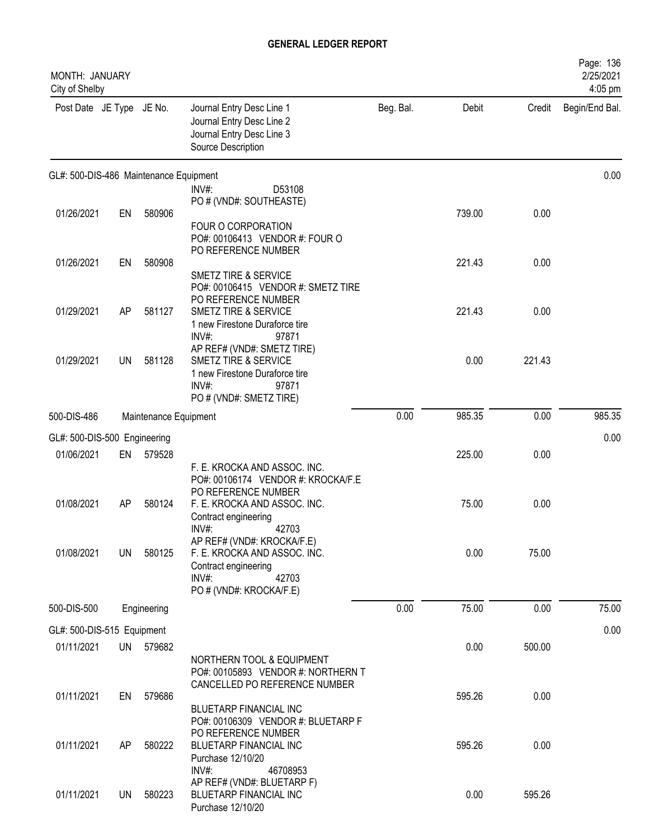| MONTH: JANUARY<br>City of Shelby         |     |                       |                                                                                                           |           |        |        | Page: 136<br>2/25/2021<br>4:05 pm |
|------------------------------------------|-----|-----------------------|-----------------------------------------------------------------------------------------------------------|-----------|--------|--------|-----------------------------------|
| Post Date JE Type JE No.                 |     |                       | Journal Entry Desc Line 1<br>Journal Entry Desc Line 2<br>Journal Entry Desc Line 3<br>Source Description | Beg. Bal. | Debit  | Credit | Begin/End Bal.                    |
| GL#: 500-DIS-486 Maintenance Equipment   |     |                       |                                                                                                           |           |        |        | 0.00                              |
|                                          |     |                       | INV#:<br>D53108<br>PO # (VND#: SOUTHEASTE)                                                                |           |        |        |                                   |
| 01/26/2021                               | EN  | 580906                |                                                                                                           |           | 739.00 | 0.00   |                                   |
|                                          |     |                       | FOUR O CORPORATION<br>PO#: 00106413 VENDOR #: FOUR O<br>PO REFERENCE NUMBER                               |           |        |        |                                   |
| 01/26/2021                               | EN  | 580908                |                                                                                                           |           | 221.43 | 0.00   |                                   |
|                                          |     |                       | <b>SMETZ TIRE &amp; SERVICE</b><br>PO#: 00106415 VENDOR #: SMETZ TIRE<br>PO REFERENCE NUMBER              |           |        |        |                                   |
| 01/29/2021                               | AP  | 581127                | SMETZ TIRE & SERVICE<br>1 new Firestone Duraforce tire<br>INV#:<br>97871                                  |           | 221.43 | 0.00   |                                   |
| 01/29/2021                               | UN  | 581128                | AP REF# (VND#: SMETZ TIRE)<br>SMETZ TIRE & SERVICE<br>1 new Firestone Duraforce tire                      |           | 0.00   | 221.43 |                                   |
|                                          |     |                       | INV#:<br>97871<br>PO # (VND#: SMETZ TIRE)                                                                 |           |        |        |                                   |
| 500-DIS-486                              |     | Maintenance Equipment |                                                                                                           | 0.00      | 985.35 | 0.00   | 985.35                            |
| GL#: 500-DIS-500 Engineering             |     |                       |                                                                                                           |           |        |        | 0.00                              |
| 01/06/2021                               | EN  | 579528                |                                                                                                           |           | 225.00 | 0.00   |                                   |
|                                          |     |                       | F. E. KROCKA AND ASSOC. INC.<br>PO#: 00106174 VENDOR #: KROCKA/F.E<br>PO REFERENCE NUMBER                 |           |        |        |                                   |
| 01/08/2021                               | AP  | 580124                | F. E. KROCKA AND ASSOC. INC.<br>Contract engineering<br>42703<br>INV#:                                    |           | 75.00  | 0.00   |                                   |
| 01/08/2021                               | UN. | 580125                | AP REF# (VND#: KROCKA/F.E)<br>F. E. KROCKA AND ASSOC. INC.<br>Contract engineering                        |           | 0.00   | 75.00  |                                   |
|                                          |     |                       | INV#:<br>42703<br>PO # (VND#: KROCKA/F.E)                                                                 |           |        |        |                                   |
| 500-DIS-500                              |     | Engineering           |                                                                                                           | 0.00      | 75.00  | 0.00   | 75.00                             |
|                                          |     |                       |                                                                                                           |           |        |        | 0.00                              |
| GL#: 500-DIS-515 Equipment<br>01/11/2021 |     | UN 579682             |                                                                                                           |           | 0.00   | 500.00 |                                   |
|                                          |     |                       | NORTHERN TOOL & EQUIPMENT<br>PO#: 00105893 VENDOR #: NORTHERN T<br>CANCELLED PO REFERENCE NUMBER          |           |        |        |                                   |
| 01/11/2021                               | EN  | 579686                | BLUETARP FINANCIAL INC<br>PO#: 00106309 VENDOR #: BLUETARP F                                              |           | 595.26 | 0.00   |                                   |
| 01/11/2021                               | AP  | 580222                | PO REFERENCE NUMBER<br>BLUETARP FINANCIAL INC<br>Purchase 12/10/20                                        |           | 595.26 | 0.00   |                                   |
| 01/11/2021                               | UN  | 580223                | $INV#$ :<br>46708953<br>AP REF# (VND#: BLUETARP F)<br>BLUETARP FINANCIAL INC<br>Purchase 12/10/20         |           | 0.00   | 595.26 |                                   |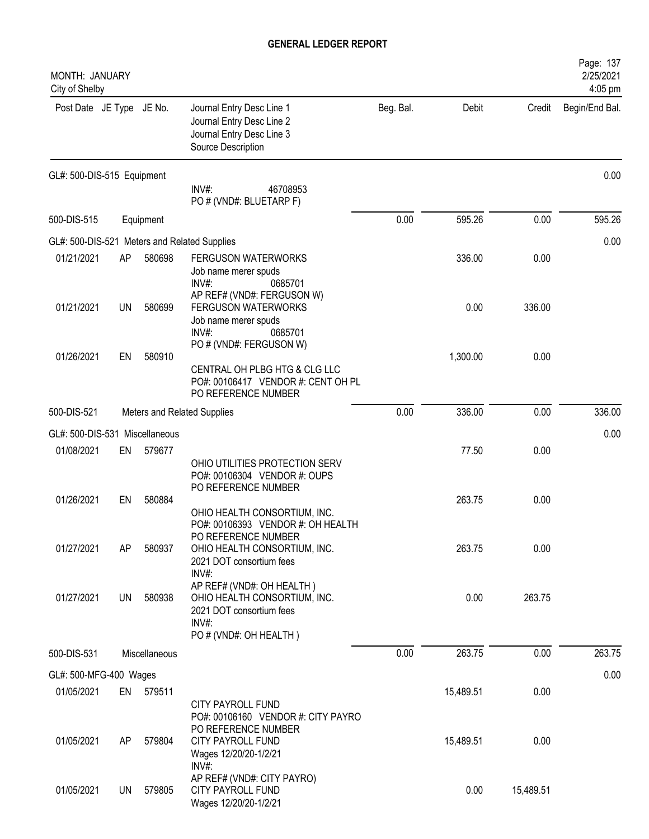| <b>MONTH: JANUARY</b><br>City of Shelby      |    |               |                                                                                                                          |           |           |           | Page: 137<br>2/25/2021<br>4:05 pm |
|----------------------------------------------|----|---------------|--------------------------------------------------------------------------------------------------------------------------|-----------|-----------|-----------|-----------------------------------|
| Post Date JE Type JE No.                     |    |               | Journal Entry Desc Line 1<br>Journal Entry Desc Line 2<br>Journal Entry Desc Line 3<br>Source Description                | Beg. Bal. | Debit     | Credit    | Begin/End Bal.                    |
| GL#: 500-DIS-515 Equipment                   |    |               | INV#:<br>46708953<br>PO # (VND#: BLUETARP F)                                                                             |           |           |           | 0.00                              |
| 500-DIS-515                                  |    | Equipment     |                                                                                                                          | 0.00      | 595.26    | 0.00      | 595.26                            |
| GL#: 500-DIS-521 Meters and Related Supplies |    |               |                                                                                                                          |           |           |           | 0.00                              |
| 01/21/2021                                   | AP | 580698        | <b>FERGUSON WATERWORKS</b><br>Job name merer spuds<br>INV#:<br>0685701                                                   |           | 336.00    | 0.00      |                                   |
| 01/21/2021                                   | UN | 580699        | AP REF# (VND#: FERGUSON W)<br><b>FERGUSON WATERWORKS</b><br>Job name merer spuds<br>INV#<br>0685701                      |           | 0.00      | 336.00    |                                   |
| 01/26/2021                                   | EN | 580910        | PO # (VND#: FERGUSON W)<br>CENTRAL OH PLBG HTG & CLG LLC<br>PO#: 00106417 VENDOR #: CENT OH PL<br>PO REFERENCE NUMBER    |           | 1,300.00  | 0.00      |                                   |
| 500-DIS-521                                  |    |               | Meters and Related Supplies                                                                                              | 0.00      | 336.00    | 0.00      | 336.00                            |
| GL#: 500-DIS-531 Miscellaneous               |    |               |                                                                                                                          |           |           |           | 0.00                              |
| 01/08/2021                                   | EN | 579677        | OHIO UTILITIES PROTECTION SERV<br>PO#: 00106304 VENDOR #: OUPS                                                           |           | 77.50     | 0.00      |                                   |
| 01/26/2021                                   | EN | 580884        | PO REFERENCE NUMBER<br>OHIO HEALTH CONSORTIUM, INC.<br>PO#: 00106393 VENDOR #: OH HEALTH                                 |           | 263.75    | 0.00      |                                   |
| 01/27/2021                                   | AP | 580937        | PO REFERENCE NUMBER<br>OHIO HEALTH CONSORTIUM, INC.<br>2021 DOT consortium fees<br>INV#:                                 |           | 263.75    | 0.00      |                                   |
| 01/27/2021                                   | UN | 580938        | AP REF# (VND#: OH HEALTH)<br>OHIO HEALTH CONSORTIUM, INC.<br>2021 DOT consortium fees<br>INV#:<br>PO # (VND#: OH HEALTH) |           | 0.00      | 263.75    |                                   |
| 500-DIS-531                                  |    | Miscellaneous |                                                                                                                          | 0.00      | 263.75    | 0.00      | 263.75                            |
| GL#: 500-MFG-400 Wages                       |    |               |                                                                                                                          |           |           |           | 0.00                              |
| 01/05/2021                                   | EN | 579511        | <b>CITY PAYROLL FUND</b><br>PO#: 00106160 VENDOR #: CITY PAYRO                                                           |           | 15,489.51 | 0.00      |                                   |
| 01/05/2021                                   | AP | 579804        | PO REFERENCE NUMBER<br>CITY PAYROLL FUND<br>Wages 12/20/20-1/2/21<br>INV#:                                               |           | 15,489.51 | 0.00      |                                   |
| 01/05/2021                                   | UN | 579805        | AP REF# (VND#: CITY PAYRO)<br><b>CITY PAYROLL FUND</b><br>Wages 12/20/20-1/2/21                                          |           | 0.00      | 15,489.51 |                                   |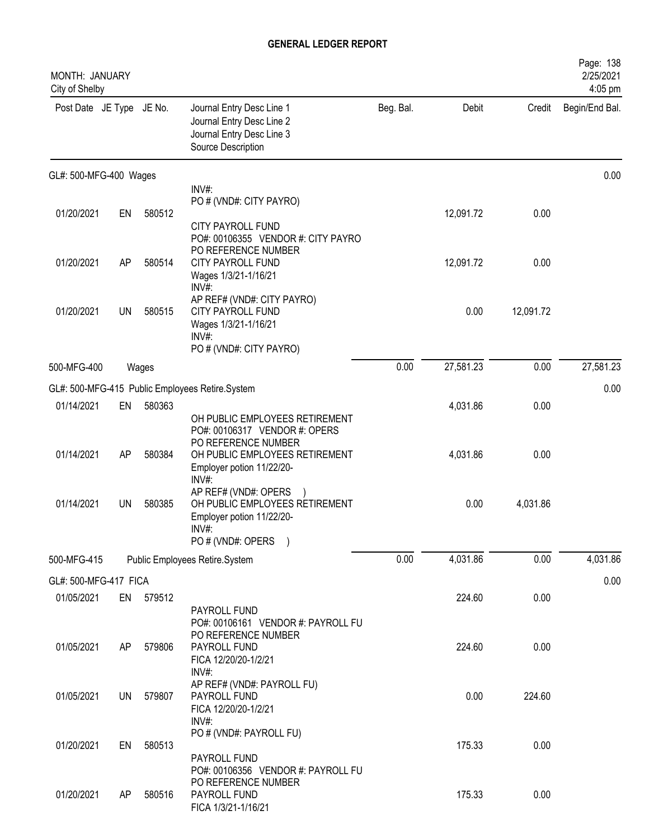| MONTH: JANUARY<br>City of Shelby |           |        |                                                                                                                                                       |           |           |           | Page: 138<br>2/25/2021<br>4:05 pm |
|----------------------------------|-----------|--------|-------------------------------------------------------------------------------------------------------------------------------------------------------|-----------|-----------|-----------|-----------------------------------|
| Post Date JE Type JE No.         |           |        | Journal Entry Desc Line 1<br>Journal Entry Desc Line 2<br>Journal Entry Desc Line 3<br>Source Description                                             | Beg. Bal. | Debit     | Credit    | Begin/End Bal.                    |
| GL#: 500-MFG-400 Wages           |           |        |                                                                                                                                                       |           |           |           | 0.00                              |
|                                  |           |        | INV#:<br>PO # (VND#: CITY PAYRO)                                                                                                                      |           |           |           |                                   |
| 01/20/2021                       | EN        | 580512 |                                                                                                                                                       |           | 12,091.72 | 0.00      |                                   |
| 01/20/2021                       | AP        | 580514 | <b>CITY PAYROLL FUND</b><br>PO#: 00106355 VENDOR #: CITY PAYRO<br>PO REFERENCE NUMBER<br><b>CITY PAYROLL FUND</b><br>Wages 1/3/21-1/16/21             |           | 12,091.72 | 0.00      |                                   |
| 01/20/2021                       | UN        | 580515 | INV#:<br>AP REF# (VND#: CITY PAYRO)<br>CITY PAYROLL FUND<br>Wages 1/3/21-1/16/21<br>$INV#$ :<br>PO # (VND#: CITY PAYRO)                               |           | 0.00      | 12,091.72 |                                   |
| 500-MFG-400                      |           | Wages  |                                                                                                                                                       | 0.00      | 27,581.23 | 0.00      | 27,581.23                         |
|                                  |           |        | GL#: 500-MFG-415 Public Employees Retire.System                                                                                                       |           |           |           | 0.00                              |
| 01/14/2021                       | EN        | 580363 |                                                                                                                                                       |           | 4,031.86  | 0.00      |                                   |
| 01/14/2021                       | AP        | 580384 | OH PUBLIC EMPLOYEES RETIREMENT<br>PO#: 00106317 VENDOR #: OPERS<br>PO REFERENCE NUMBER<br>OH PUBLIC EMPLOYEES RETIREMENT<br>Employer potion 11/22/20- |           | 4,031.86  | 0.00      |                                   |
| 01/14/2021                       | <b>UN</b> | 580385 | INV#:<br>AP REF# (VND#: OPERS<br>OH PUBLIC EMPLOYEES RETIREMENT<br>Employer potion 11/22/20-<br>INV#:<br>PO # (VND#: OPERS<br>$\rightarrow$           |           | 0.00      | 4,031.86  |                                   |
| 500-MFG-415                      |           |        | Public Employees Retire.System                                                                                                                        | 0.00      | 4,031.86  | 0.00      | 4,031.86                          |
| GL#: 500-MFG-417 FICA            |           |        |                                                                                                                                                       |           |           |           | 0.00                              |
| 01/05/2021                       | EN        | 579512 | PAYROLL FUND                                                                                                                                          |           | 224.60    | 0.00      |                                   |
| 01/05/2021                       | AP        | 579806 | PO#: 00106161 VENDOR #: PAYROLL FU<br>PO REFERENCE NUMBER<br>PAYROLL FUND<br>FICA 12/20/20-1/2/21<br>INV#:                                            |           | 224.60    | 0.00      |                                   |
| 01/05/2021                       | UN        | 579807 | AP REF# (VND#: PAYROLL FU)<br>PAYROLL FUND<br>FICA 12/20/20-1/2/21<br>INV#:                                                                           |           | 0.00      | 224.60    |                                   |
| 01/20/2021                       | EN        | 580513 | PO # (VND#: PAYROLL FU)<br>PAYROLL FUND                                                                                                               |           | 175.33    | 0.00      |                                   |
| 01/20/2021                       | AP        | 580516 | PO#: 00106356 VENDOR #: PAYROLL FU<br>PO REFERENCE NUMBER<br>PAYROLL FUND<br>FICA 1/3/21-1/16/21                                                      |           | 175.33    | 0.00      |                                   |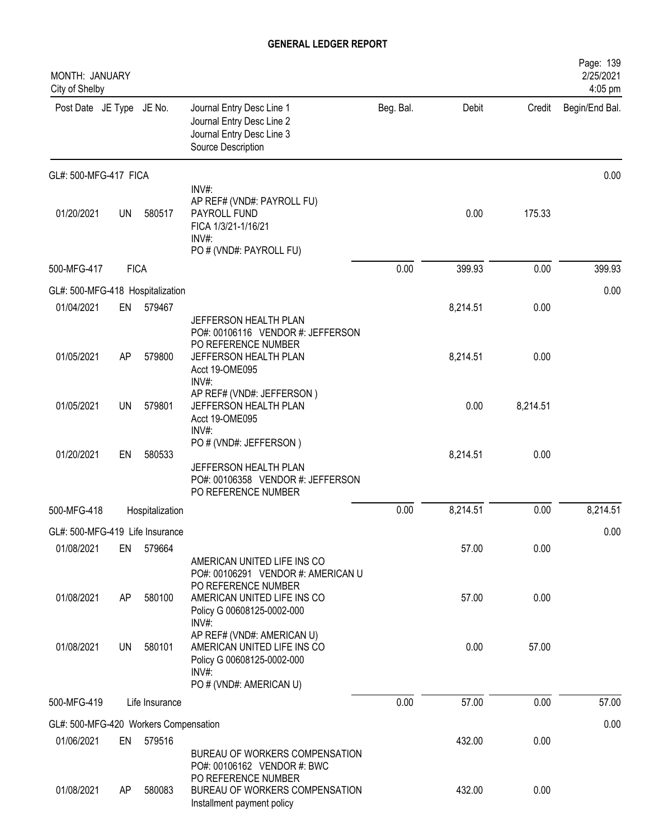| MONTH: JANUARY<br>City of Shelby      |             |                 |                                                                                                                                          |           |          |          | Page: 139<br>2/25/2021<br>4:05 pm |
|---------------------------------------|-------------|-----------------|------------------------------------------------------------------------------------------------------------------------------------------|-----------|----------|----------|-----------------------------------|
| Post Date JE Type JE No.              |             |                 | Journal Entry Desc Line 1<br>Journal Entry Desc Line 2<br>Journal Entry Desc Line 3<br>Source Description                                | Beg. Bal. | Debit    | Credit   | Begin/End Bal.                    |
| GL#: 500-MFG-417 FICA                 |             |                 |                                                                                                                                          |           |          |          | 0.00                              |
| 01/20/2021                            | UN          | 580517          | INV#:<br>AP REF# (VND#: PAYROLL FU)<br>PAYROLL FUND<br>FICA 1/3/21-1/16/21<br>$INV#$ :<br>PO # (VND#: PAYROLL FU)                        |           | 0.00     | 175.33   |                                   |
| 500-MFG-417                           | <b>FICA</b> |                 |                                                                                                                                          | 0.00      | 399.93   | 0.00     | 399.93                            |
| GL#: 500-MFG-418 Hospitalization      |             |                 |                                                                                                                                          |           |          |          | 0.00                              |
| 01/04/2021                            |             | EN 579467       |                                                                                                                                          |           | 8,214.51 | 0.00     |                                   |
| 01/05/2021                            | AP          | 579800          | JEFFERSON HEALTH PLAN<br>PO#: 00106116 VENDOR #: JEFFERSON<br>PO REFERENCE NUMBER<br>JEFFERSON HEALTH PLAN<br>Acct 19-OME095<br>$INV#$ : |           | 8,214.51 | 0.00     |                                   |
| 01/05/2021                            | <b>UN</b>   | 579801          | AP REF# (VND#: JEFFERSON)<br>JEFFERSON HEALTH PLAN<br>Acct 19-OME095<br>$INV#$ :                                                         |           | 0.00     | 8,214.51 |                                   |
| 01/20/2021                            | EN          | 580533          | PO # (VND#: JEFFERSON)<br>JEFFERSON HEALTH PLAN<br>PO#: 00106358 VENDOR #: JEFFERSON<br>PO REFERENCE NUMBER                              |           | 8,214.51 | 0.00     |                                   |
| 500-MFG-418                           |             | Hospitalization |                                                                                                                                          | 0.00      | 8,214.51 | 0.00     | 8,214.51                          |
| GL#: 500-MFG-419 Life Insurance       |             |                 |                                                                                                                                          |           |          |          | 0.00                              |
| 01/08/2021                            | EN          | 579664          | AMERICAN UNITED LIFE INS CO<br>PO#: 00106291 VENDOR #: AMERICAN U                                                                        |           | 57.00    | 0.00     |                                   |
| 01/08/2021                            | AP          | 580100          | PO REFERENCE NUMBER<br>AMERICAN UNITED LIFE INS CO<br>Policy G 00608125-0002-000<br>INV#:                                                |           | 57.00    | 0.00     |                                   |
| 01/08/2021                            | UN          | 580101          | AP REF# (VND#: AMERICAN U)<br>AMERICAN UNITED LIFE INS CO<br>Policy G 00608125-0002-000<br>$INV#$ :<br>PO # (VND#: AMERICAN U)           |           | 0.00     | 57.00    |                                   |
| 500-MFG-419                           |             | Life Insurance  |                                                                                                                                          | 0.00      | 57.00    | 0.00     | 57.00                             |
| GL#: 500-MFG-420 Workers Compensation |             |                 |                                                                                                                                          |           |          |          | 0.00                              |
| 01/06/2021                            | EN          | 579516          | BUREAU OF WORKERS COMPENSATION<br>PO#: 00106162 VENDOR #: BWC                                                                            |           | 432.00   | 0.00     |                                   |
| 01/08/2021                            | AP          | 580083          | PO REFERENCE NUMBER<br>BUREAU OF WORKERS COMPENSATION<br>Installment payment policy                                                      |           | 432.00   | 0.00     |                                   |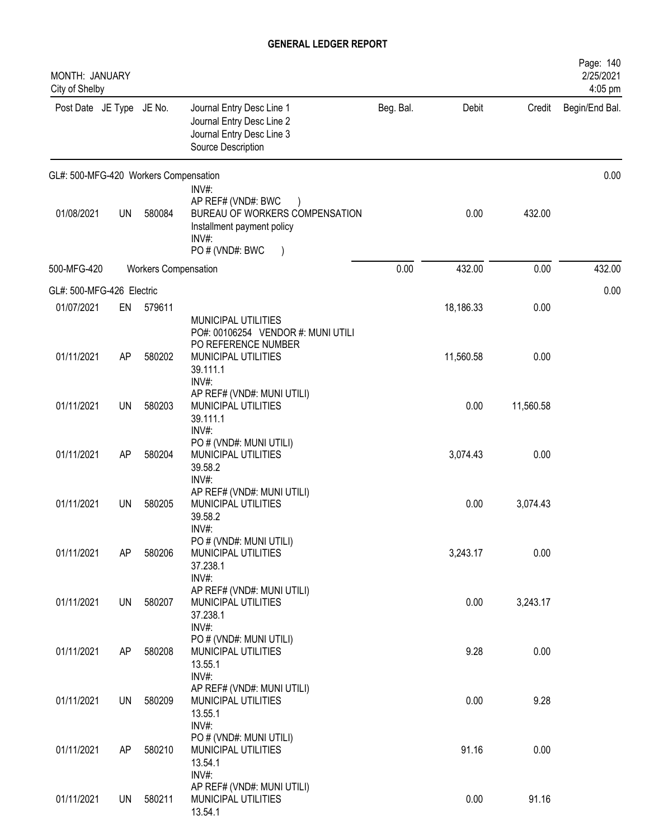| MONTH: JANUARY<br>City of Shelby      |           |                      |                                                                                                                                                 |           |           |           | Page: 140<br>2/25/2021<br>4:05 pm |
|---------------------------------------|-----------|----------------------|-------------------------------------------------------------------------------------------------------------------------------------------------|-----------|-----------|-----------|-----------------------------------|
| Post Date JE Type JE No.              |           |                      | Journal Entry Desc Line 1<br>Journal Entry Desc Line 2<br>Journal Entry Desc Line 3<br>Source Description                                       | Beg. Bal. | Debit     | Credit    | Begin/End Bal.                    |
| GL#: 500-MFG-420 Workers Compensation |           |                      |                                                                                                                                                 |           |           |           | 0.00                              |
| 01/08/2021                            | UN        | 580084               | INV#:<br>AP REF# (VND#: BWC<br>$\lambda$<br>BUREAU OF WORKERS COMPENSATION<br>Installment payment policy<br>INV#:<br>PO # (VND#: BWC<br>$\big)$ |           | 0.00      | 432.00    |                                   |
| 500-MFG-420                           |           | Workers Compensation |                                                                                                                                                 | 0.00      | 432.00    | 0.00      | 432.00                            |
| GL#: 500-MFG-426 Electric             |           |                      |                                                                                                                                                 |           |           |           | 0.00                              |
| 01/07/2021                            | EN        | 579611               |                                                                                                                                                 |           | 18,186.33 | 0.00      |                                   |
| 01/11/2021                            | AP        | 580202               | MUNICIPAL UTILITIES<br>PO#: 00106254 VENDOR #: MUNI UTILI<br>PO REFERENCE NUMBER<br>MUNICIPAL UTILITIES<br>39.111.1                             |           | 11,560.58 | 0.00      |                                   |
| 01/11/2021                            | <b>UN</b> | 580203               | INV#:<br>AP REF# (VND#: MUNI UTILI)<br>MUNICIPAL UTILITIES<br>39.111.1                                                                          |           | 0.00      | 11,560.58 |                                   |
| 01/11/2021                            | AP        | 580204               | INV#:<br>PO # (VND#: MUNI UTILI)<br>MUNICIPAL UTILITIES<br>39.58.2                                                                              |           | 3,074.43  | 0.00      |                                   |
| 01/11/2021                            | <b>UN</b> | 580205               | INV#:<br>AP REF# (VND#: MUNI UTILI)<br>MUNICIPAL UTILITIES<br>39.58.2                                                                           |           | 0.00      | 3,074.43  |                                   |
| 01/11/2021                            | AP        | 580206               | INV#:<br>PO # (VND#: MUNI UTILI)<br>MUNICIPAL UTILITIES<br>37.238.1<br>INV#:                                                                    |           | 3,243.17  | 0.00      |                                   |
| 01/11/2021                            | <b>UN</b> | 580207               | AP REF# (VND#: MUNI UTILI)<br>MUNICIPAL UTILITIES<br>37.238.1<br>INV#:                                                                          |           | 0.00      | 3,243.17  |                                   |
| 01/11/2021                            | AP        | 580208               | PO # (VND#: MUNI UTILI)<br>MUNICIPAL UTILITIES<br>13.55.1                                                                                       |           | 9.28      | 0.00      |                                   |
| 01/11/2021                            | UN        | 580209               | INV#:<br>AP REF# (VND#: MUNI UTILI)<br>MUNICIPAL UTILITIES<br>13.55.1                                                                           |           | 0.00      | 9.28      |                                   |
| 01/11/2021                            | AP        | 580210               | INV#:<br>PO # (VND#: MUNI UTILI)<br>MUNICIPAL UTILITIES<br>13.54.1                                                                              |           | 91.16     | 0.00      |                                   |
| 01/11/2021                            | <b>UN</b> | 580211               | INV#:<br>AP REF# (VND#: MUNI UTILI)<br>MUNICIPAL UTILITIES<br>13.54.1                                                                           |           | 0.00      | 91.16     |                                   |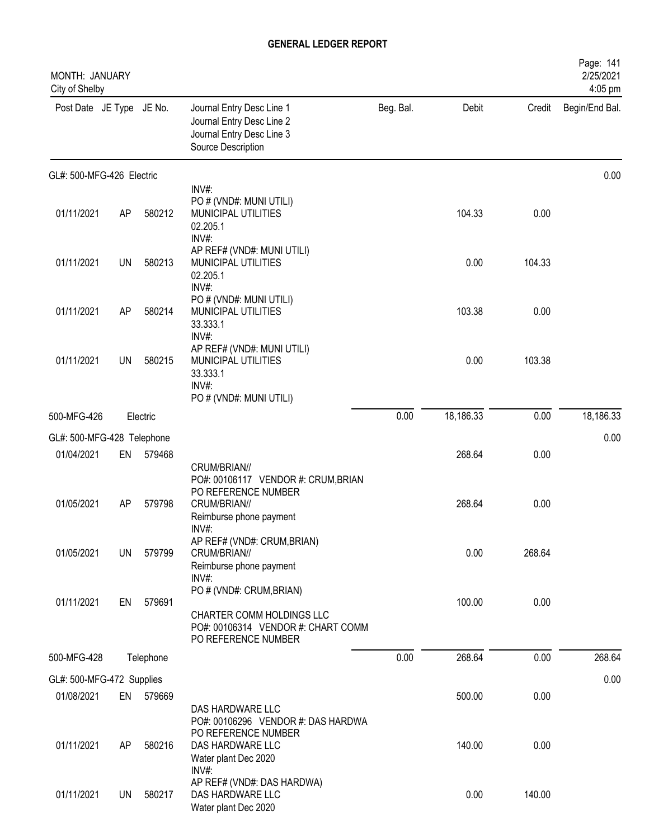| MONTH: JANUARY<br>City of Shelby |           |           |                                                                                                                    |           |           |        | Page: 141<br>2/25/2021<br>4:05 pm |
|----------------------------------|-----------|-----------|--------------------------------------------------------------------------------------------------------------------|-----------|-----------|--------|-----------------------------------|
| Post Date JE Type JE No.         |           |           | Journal Entry Desc Line 1<br>Journal Entry Desc Line 2<br>Journal Entry Desc Line 3<br>Source Description          | Beg. Bal. | Debit     | Credit | Begin/End Bal.                    |
| GL#: 500-MFG-426 Electric        |           |           |                                                                                                                    |           |           |        | 0.00                              |
| 01/11/2021                       | AP        | 580212    | INV#:<br>PO # (VND#: MUNI UTILI)<br>MUNICIPAL UTILITIES<br>02.205.1<br>INV#:                                       |           | 104.33    | 0.00   |                                   |
| 01/11/2021                       | <b>UN</b> | 580213    | AP REF# (VND#: MUNI UTILI)<br>MUNICIPAL UTILITIES<br>02.205.1<br>INV#:                                             |           | 0.00      | 104.33 |                                   |
| 01/11/2021                       | AP        | 580214    | PO # (VND#: MUNI UTILI)<br>MUNICIPAL UTILITIES<br>33.333.1<br>INV#:                                                |           | 103.38    | 0.00   |                                   |
| 01/11/2021                       | <b>UN</b> | 580215    | AP REF# (VND#: MUNI UTILI)<br>MUNICIPAL UTILITIES<br>33.333.1<br>INV#:<br>PO # (VND#: MUNI UTILI)                  |           | 0.00      | 103.38 |                                   |
| 500-MFG-426                      |           | Electric  |                                                                                                                    | 0.00      | 18,186.33 | 0.00   | 18,186.33                         |
| GL#: 500-MFG-428 Telephone       |           |           |                                                                                                                    |           |           |        | 0.00                              |
| 01/04/2021                       | EN        | 579468    | CRUM/BRIAN//                                                                                                       |           | 268.64    | 0.00   |                                   |
| 01/05/2021                       | AP        | 579798    | PO#: 00106117 VENDOR #: CRUM, BRIAN<br>PO REFERENCE NUMBER<br>CRUM/BRIAN//<br>Reimburse phone payment<br>INV#:     |           | 268.64    | 0.00   |                                   |
| 01/05/2021                       | UN        | 579799    | AP REF# (VND#: CRUM, BRIAN)<br>CRUM/BRIAN//<br>Reimburse phone payment<br>INV#:                                    |           | 0.00      | 268.64 |                                   |
| 01/11/2021                       | EN        | 579691    | PO # (VND#: CRUM, BRIAN)<br>CHARTER COMM HOLDINGS LLC<br>PO#: 00106314 VENDOR #: CHART COMM<br>PO REFERENCE NUMBER |           | 100.00    | 0.00   |                                   |
| 500-MFG-428                      |           | Telephone |                                                                                                                    | 0.00      | 268.64    | 0.00   | 268.64                            |
| GL#: 500-MFG-472 Supplies        |           |           |                                                                                                                    |           |           |        | 0.00                              |
| 01/08/2021                       | EN        | 579669    | DAS HARDWARE LLC<br>PO#: 00106296 VENDOR #: DAS HARDWA                                                             |           | 500.00    | 0.00   |                                   |
| 01/11/2021                       | AP        | 580216    | PO REFERENCE NUMBER<br>DAS HARDWARE LLC<br>Water plant Dec 2020<br>INV#:                                           |           | 140.00    | 0.00   |                                   |
| 01/11/2021                       | UN        | 580217    | AP REF# (VND#: DAS HARDWA)<br>DAS HARDWARE LLC<br>Water plant Dec 2020                                             |           | 0.00      | 140.00 |                                   |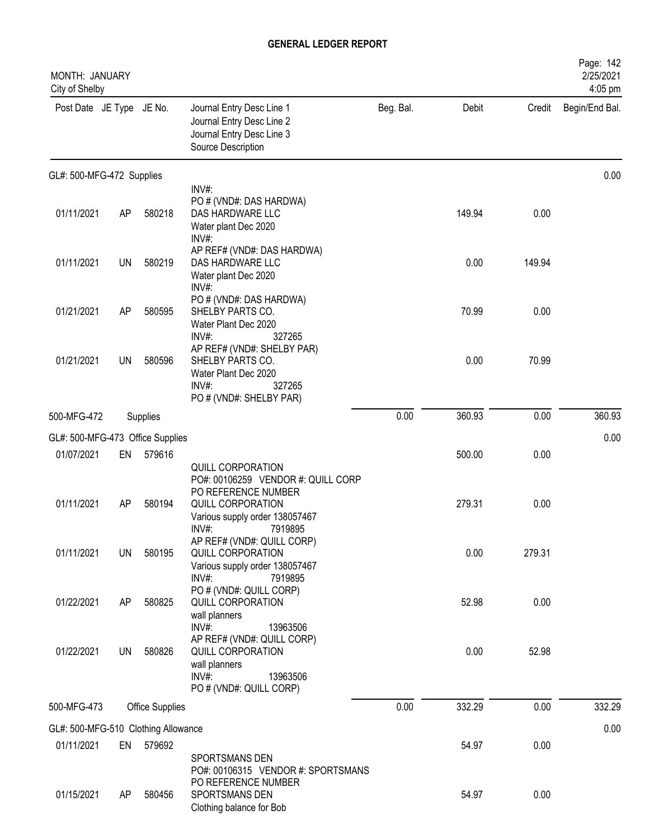| MONTH: JANUARY<br>City of Shelby    |           |                 |                                                                                                                         |           |        |        | Page: 142<br>2/25/2021<br>4:05 pm |
|-------------------------------------|-----------|-----------------|-------------------------------------------------------------------------------------------------------------------------|-----------|--------|--------|-----------------------------------|
| Post Date JE Type JE No.            |           |                 | Journal Entry Desc Line 1<br>Journal Entry Desc Line 2<br>Journal Entry Desc Line 3<br>Source Description               | Beg. Bal. | Debit  | Credit | Begin/End Bal.                    |
| GL#: 500-MFG-472 Supplies           |           |                 |                                                                                                                         |           |        |        | 0.00                              |
| 01/11/2021                          | AP        | 580218          | INV#:<br>PO # (VND#: DAS HARDWA)<br>DAS HARDWARE LLC<br>Water plant Dec 2020<br>INV#:                                   |           | 149.94 | 0.00   |                                   |
| 01/11/2021                          | <b>UN</b> | 580219          | AP REF# (VND#: DAS HARDWA)<br>DAS HARDWARE LLC<br>Water plant Dec 2020<br>$INV#$ :                                      |           | 0.00   | 149.94 |                                   |
| 01/21/2021                          | AP        | 580595          | PO # (VND#: DAS HARDWA)<br>SHELBY PARTS CO.<br>Water Plant Dec 2020<br>INV#:<br>327265                                  |           | 70.99  | 0.00   |                                   |
| 01/21/2021                          | UN        | 580596          | AP REF# (VND#: SHELBY PAR)<br>SHELBY PARTS CO.<br>Water Plant Dec 2020<br>$INV#$ :<br>327265<br>PO # (VND#: SHELBY PAR) |           | 0.00   | 70.99  |                                   |
| 500-MFG-472                         |           | Supplies        |                                                                                                                         | 0.00      | 360.93 | 0.00   | 360.93                            |
| GL#: 500-MFG-473 Office Supplies    |           |                 |                                                                                                                         |           |        |        | 0.00                              |
| 01/07/2021                          | EN        | 579616          | QUILL CORPORATION<br>PO#: 00106259 VENDOR #: QUILL CORP                                                                 |           | 500.00 | 0.00   |                                   |
| 01/11/2021                          | AP        | 580194          | PO REFERENCE NUMBER<br>QUILL CORPORATION<br>Various supply order 138057467<br>INV#:<br>7919895                          |           | 279.31 | 0.00   |                                   |
| 01/11/2021                          | UN        | 580195          | AP REF# (VND#: QUILL CORP)<br>QUILL CORPORATION<br>Various supply order 138057467<br>$INV#$ :<br>7919895                |           | 0.00   | 279.31 |                                   |
| 01/22/2021                          | AP        | 580825          | PO # (VND#: QUILL CORP)<br>QUILL CORPORATION<br>wall planners<br>$INV#$ :<br>13963506                                   |           | 52.98  | 0.00   |                                   |
| 01/22/2021                          | UN        | 580826          | AP REF# (VND#: QUILL CORP)<br>QUILL CORPORATION<br>wall planners<br>INV#:<br>13963506<br>PO # (VND#: QUILL CORP)        |           | 0.00   | 52.98  |                                   |
| 500-MFG-473                         |           | Office Supplies |                                                                                                                         | 0.00      | 332.29 | 0.00   | 332.29                            |
| GL#: 500-MFG-510 Clothing Allowance |           |                 |                                                                                                                         |           |        |        | 0.00                              |
| 01/11/2021                          |           | EN 579692       | SPORTSMANS DEN<br>PO#: 00106315 VENDOR #: SPORTSMANS                                                                    |           | 54.97  | 0.00   |                                   |
| 01/15/2021                          | AP        | 580456          | PO REFERENCE NUMBER<br>SPORTSMANS DEN<br>Clothing balance for Bob                                                       |           | 54.97  | 0.00   |                                   |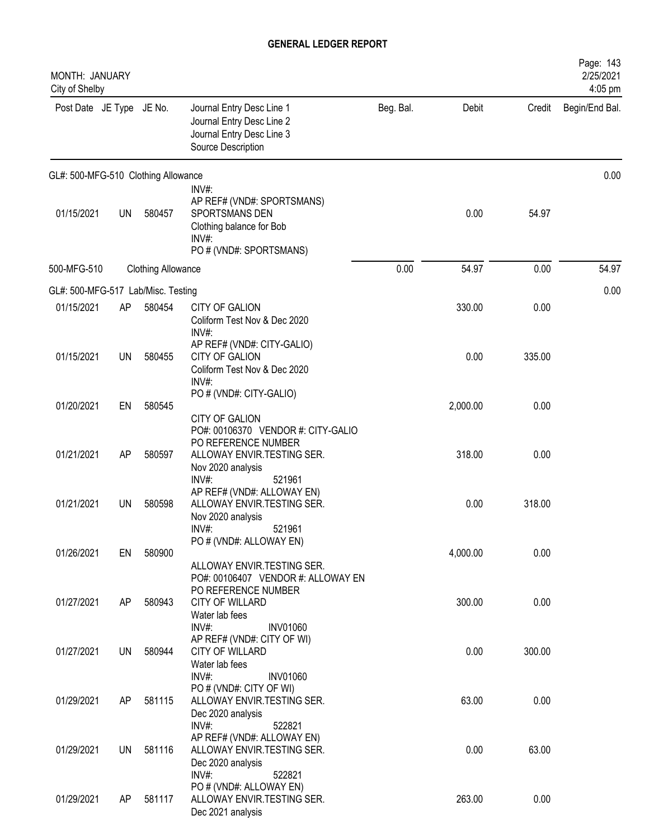| MONTH: JANUARY<br>City of Shelby    |           |                           |                                                                                                                            |           |          |        | Page: 143<br>2/25/2021<br>4:05 pm |
|-------------------------------------|-----------|---------------------------|----------------------------------------------------------------------------------------------------------------------------|-----------|----------|--------|-----------------------------------|
| Post Date JE Type JE No.            |           |                           | Journal Entry Desc Line 1<br>Journal Entry Desc Line 2<br>Journal Entry Desc Line 3<br>Source Description                  | Beg. Bal. | Debit    | Credit | Begin/End Bal.                    |
| GL#: 500-MFG-510 Clothing Allowance |           |                           |                                                                                                                            |           |          |        | 0.00                              |
| 01/15/2021                          | <b>UN</b> | 580457                    | INV#:<br>AP REF# (VND#: SPORTSMANS)<br>SPORTSMANS DEN<br>Clothing balance for Bob<br>INV#:<br>PO # (VND#: SPORTSMANS)      |           | 0.00     | 54.97  |                                   |
| 500-MFG-510                         |           | <b>Clothing Allowance</b> |                                                                                                                            | 0.00      | 54.97    | 0.00   | 54.97                             |
| GL#: 500-MFG-517 Lab/Misc. Testing  |           |                           |                                                                                                                            |           |          |        | 0.00                              |
| 01/15/2021                          | AP        | 580454                    | CITY OF GALION<br>Coliform Test Nov & Dec 2020                                                                             |           | 330.00   | 0.00   |                                   |
| 01/15/2021                          | <b>UN</b> | 580455                    | INV#<br>AP REF# (VND#: CITY-GALIO)<br>CITY OF GALION<br>Coliform Test Nov & Dec 2020<br>INV#:                              |           | 0.00     | 335.00 |                                   |
| 01/20/2021                          | EN        | 580545                    | PO # (VND#: CITY-GALIO)<br>CITY OF GALION                                                                                  |           | 2,000.00 | 0.00   |                                   |
| 01/21/2021                          | <b>AP</b> | 580597                    | PO#: 00106370 VENDOR #: CITY-GALIO<br>PO REFERENCE NUMBER<br>ALLOWAY ENVIR.TESTING SER.<br>Nov 2020 analysis               |           | 318.00   | 0.00   |                                   |
| 01/21/2021                          | <b>UN</b> | 580598                    | INV#:<br>521961<br>AP REF# (VND#: ALLOWAY EN)<br>ALLOWAY ENVIR.TESTING SER.<br>Nov 2020 analysis<br>$INV#$ :<br>521961     |           | 0.00     | 318.00 |                                   |
| 01/26/2021                          | EN        | 580900                    | PO # (VND#: ALLOWAY EN)<br>ALLOWAY ENVIR.TESTING SER.                                                                      |           | 4,000.00 | 0.00   |                                   |
| 01/27/2021                          | AP        | 580943                    | PO#: 00106407 VENDOR #: ALLOWAY EN<br>PO REFERENCE NUMBER<br>CITY OF WILLARD<br>Water lab fees<br>INV#:<br><b>INV01060</b> |           | 300.00   | 0.00   |                                   |
| 01/27/2021                          | UN        | 580944                    | AP REF# (VND#: CITY OF WI)<br>CITY OF WILLARD<br>Water lab fees                                                            |           | 0.00     | 300.00 |                                   |
| 01/29/2021                          | AP        | 581115                    | INV#:<br><b>INV01060</b><br>PO#(VND#: CITY OF WI)<br>ALLOWAY ENVIR. TESTING SER.<br>Dec 2020 analysis                      |           | 63.00    | 0.00   |                                   |
| 01/29/2021                          | UN        | 581116                    | INV#:<br>522821<br>AP REF# (VND#: ALLOWAY EN)<br>ALLOWAY ENVIR.TESTING SER.<br>Dec 2020 analysis                           |           | 0.00     | 63.00  |                                   |
| 01/29/2021                          | AP        | 581117                    | INV#:<br>522821<br>PO # (VND#: ALLOWAY EN)<br>ALLOWAY ENVIR.TESTING SER.<br>Dec 2021 analysis                              |           | 263.00   | 0.00   |                                   |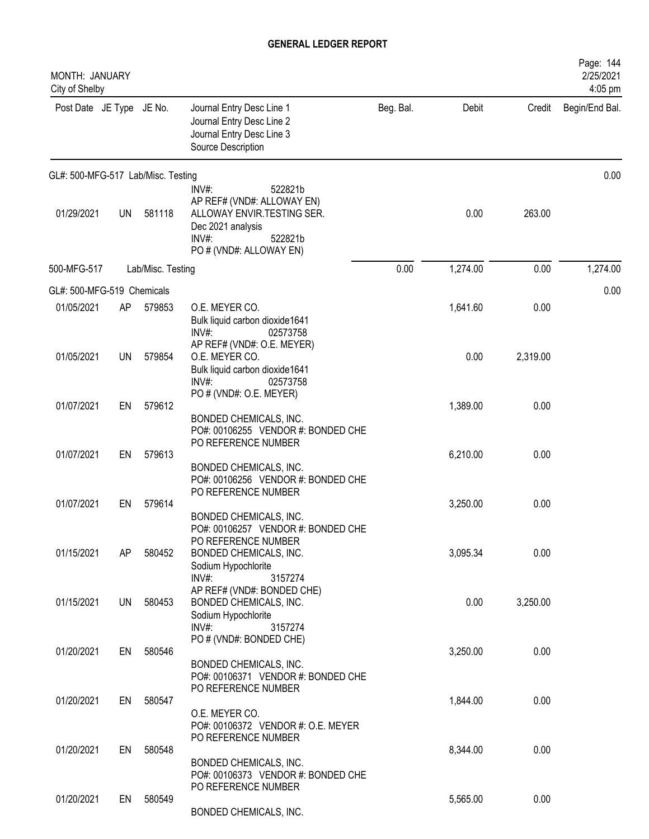| MONTH: JANUARY<br>City of Shelby   |    |                   |                                                                                                                                                          |           |          |          | Page: 144<br>2/25/2021<br>4:05 pm |
|------------------------------------|----|-------------------|----------------------------------------------------------------------------------------------------------------------------------------------------------|-----------|----------|----------|-----------------------------------|
| Post Date JE Type JE No.           |    |                   | Journal Entry Desc Line 1<br>Journal Entry Desc Line 2<br>Journal Entry Desc Line 3<br>Source Description                                                | Beg. Bal. | Debit    | Credit   | Begin/End Bal.                    |
| GL#: 500-MFG-517 Lab/Misc. Testing |    |                   |                                                                                                                                                          |           |          |          | 0.00                              |
| 01/29/2021                         | UN | 581118            | INV#:<br>522821b<br>AP REF# (VND#: ALLOWAY EN)<br>ALLOWAY ENVIR. TESTING SER.<br>Dec 2021 analysis<br>INV#:<br>522821b<br>PO # (VND#: ALLOWAY EN)        |           | 0.00     | 263.00   |                                   |
| 500-MFG-517                        |    | Lab/Misc. Testing |                                                                                                                                                          | 0.00      | 1,274.00 | 0.00     | 1,274.00                          |
| GL#: 500-MFG-519 Chemicals         |    |                   |                                                                                                                                                          |           |          |          | 0.00                              |
| 01/05/2021                         | AP | 579853            | O.E. MEYER CO.<br>Bulk liquid carbon dioxide1641<br>INV#:<br>02573758                                                                                    |           | 1,641.60 | 0.00     |                                   |
| 01/05/2021                         | UN | 579854            | AP REF# (VND#: O.E. MEYER)<br>O.E. MEYER CO.<br>Bulk liquid carbon dioxide1641<br>INV#:<br>02573758<br>PO # (VND#: O.E. MEYER)                           |           | 0.00     | 2,319.00 |                                   |
| 01/07/2021                         | EN | 579612            |                                                                                                                                                          |           | 1,389.00 | 0.00     |                                   |
| 01/07/2021                         | EN | 579613            | BONDED CHEMICALS, INC.<br>PO#: 00106255 VENDOR #: BONDED CHE<br>PO REFERENCE NUMBER<br>BONDED CHEMICALS, INC.<br>PO#: 00106256 VENDOR #: BONDED CHE      |           | 6,210.00 | 0.00     |                                   |
| 01/07/2021                         | EN | 579614            | PO REFERENCE NUMBER                                                                                                                                      |           | 3,250.00 | 0.00     |                                   |
| 01/15/2021                         | AP | 580452            | BONDED CHEMICALS, INC.<br>PO#: 00106257 VENDOR #: BONDED CHE<br>PO REFERENCE NUMBER<br>BONDED CHEMICALS, INC.<br>Sodium Hypochlorite<br>INV#:<br>3157274 |           | 3,095.34 | 0.00     |                                   |
| 01/15/2021                         | UN | 580453            | AP REF# (VND#: BONDED CHE)<br>BONDED CHEMICALS, INC.<br>Sodium Hypochlorite<br>$INV#$ :<br>3157274                                                       |           | 0.00     | 3,250.00 |                                   |
| 01/20/2021                         | EN | 580546            | PO # (VND#: BONDED CHE)                                                                                                                                  |           | 3,250.00 | 0.00     |                                   |
|                                    |    |                   | BONDED CHEMICALS, INC.<br>PO#: 00106371 VENDOR #: BONDED CHE<br>PO REFERENCE NUMBER                                                                      |           |          |          |                                   |
| 01/20/2021                         | EN | 580547            | O.E. MEYER CO.<br>PO#: 00106372 VENDOR #: O.E. MEYER<br>PO REFERENCE NUMBER                                                                              |           | 1,844.00 | 0.00     |                                   |
| 01/20/2021                         | EN | 580548            |                                                                                                                                                          |           | 8,344.00 | 0.00     |                                   |
|                                    |    |                   | BONDED CHEMICALS, INC.<br>PO#: 00106373 VENDOR #: BONDED CHE<br>PO REFERENCE NUMBER                                                                      |           |          |          |                                   |
| 01/20/2021                         | EN | 580549            | BONDED CHEMICALS, INC.                                                                                                                                   |           | 5,565.00 | 0.00     |                                   |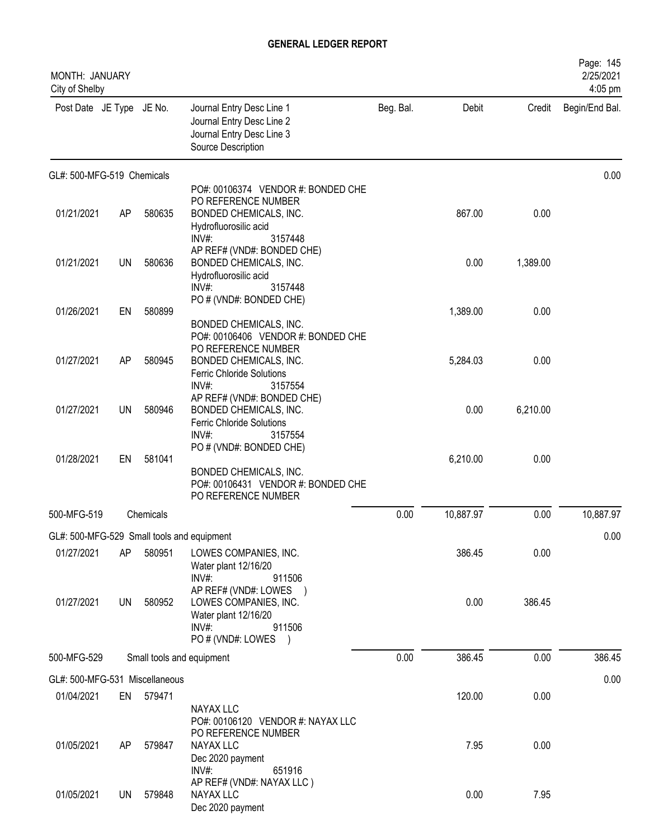| <b>MONTH: JANUARY</b><br>City of Shelby |           |           |                                                                                                                                             |           |           |          | Page: 145<br>2/25/2021<br>4:05 pm |
|-----------------------------------------|-----------|-----------|---------------------------------------------------------------------------------------------------------------------------------------------|-----------|-----------|----------|-----------------------------------|
| Post Date JE Type JE No.                |           |           | Journal Entry Desc Line 1<br>Journal Entry Desc Line 2<br>Journal Entry Desc Line 3<br>Source Description                                   | Beg. Bal. | Debit     | Credit   | Begin/End Bal.                    |
| GL#: 500-MFG-519 Chemicals              |           |           |                                                                                                                                             |           |           |          | 0.00                              |
| 01/21/2021                              | AP        | 580635    | PO#: 00106374 VENDOR #: BONDED CHE<br>PO REFERENCE NUMBER<br>BONDED CHEMICALS, INC.<br>Hydrofluorosilic acid<br>INV#:<br>3157448            |           | 867.00    | 0.00     |                                   |
| 01/21/2021                              | <b>UN</b> | 580636    | AP REF# (VND#: BONDED CHE)<br>BONDED CHEMICALS, INC.<br>Hydrofluorosilic acid<br>$INV#$ :<br>3157448                                        |           | 0.00      | 1,389.00 |                                   |
| 01/26/2021                              | EN        | 580899    | PO # (VND#: BONDED CHE)<br>BONDED CHEMICALS, INC.                                                                                           |           | 1,389.00  | 0.00     |                                   |
| 01/27/2021                              | AP        | 580945    | PO#: 00106406 VENDOR #: BONDED CHE<br>PO REFERENCE NUMBER<br>BONDED CHEMICALS, INC.<br><b>Ferric Chloride Solutions</b><br>INV#:<br>3157554 |           | 5,284.03  | 0.00     |                                   |
| 01/27/2021                              | UN        | 580946    | AP REF# (VND#: BONDED CHE)<br>BONDED CHEMICALS, INC.<br><b>Ferric Chloride Solutions</b><br>$INV#$ :<br>3157554                             |           | 0.00      | 6,210.00 |                                   |
| 01/28/2021                              | EN        | 581041    | PO # (VND#: BONDED CHE)<br>BONDED CHEMICALS, INC.<br>PO#: 00106431 VENDOR #: BONDED CHE<br>PO REFERENCE NUMBER                              |           | 6,210.00  | 0.00     |                                   |
| 500-MFG-519                             |           | Chemicals |                                                                                                                                             | 0.00      | 10,887.97 | 0.00     | 10,887.97                         |
|                                         |           |           | GL#: 500-MFG-529 Small tools and equipment                                                                                                  |           |           |          | 0.00                              |
| 01/27/2021                              | AP        | 580951    | LOWES COMPANIES, INC.<br>Water plant 12/16/20<br>INV#:<br>911506                                                                            |           | 386.45    | 0.00     |                                   |
| 01/27/2021                              | <b>UN</b> | 580952    | AP REF# (VND#: LOWES )<br>LOWES COMPANIES, INC.<br>Water plant 12/16/20<br>$INV#$ :<br>911506<br>PO # (VND#: LOWES )                        |           | 0.00      | 386.45   |                                   |
| 500-MFG-529                             |           |           | Small tools and equipment                                                                                                                   | 0.00      | 386.45    | 0.00     | 386.45                            |
| GL#: 500-MFG-531 Miscellaneous          |           |           |                                                                                                                                             |           |           |          | 0.00                              |
| 01/04/2021                              | EN        | 579471    | NAYAX LLC<br>PO#: 00106120 VENDOR #: NAYAX LLC                                                                                              |           | 120.00    | 0.00     |                                   |
| 01/05/2021                              | AP        | 579847    | PO REFERENCE NUMBER<br>NAYAX LLC<br>Dec 2020 payment<br>$INV#$ :<br>651916                                                                  |           | 7.95      | 0.00     |                                   |
| 01/05/2021                              | UN        | 579848    | AP REF# (VND#: NAYAX LLC)<br>NAYAX LLC<br>Dec 2020 payment                                                                                  |           | 0.00      | 7.95     |                                   |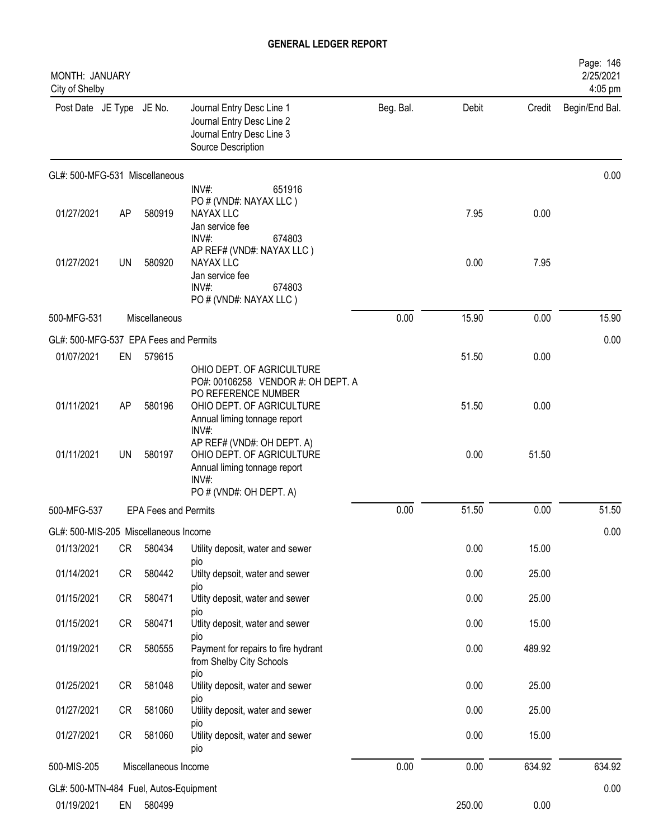| MONTH: JANUARY<br>City of Shelby       |    |                             |                                                                                                                                                              |           |        |        | Page: 146<br>2/25/2021<br>4:05 pm |
|----------------------------------------|----|-----------------------------|--------------------------------------------------------------------------------------------------------------------------------------------------------------|-----------|--------|--------|-----------------------------------|
| Post Date JE Type JE No.               |    |                             | Journal Entry Desc Line 1<br>Journal Entry Desc Line 2<br>Journal Entry Desc Line 3<br>Source Description                                                    | Beg. Bal. | Debit  | Credit | Begin/End Bal.                    |
| GL#: 500-MFG-531 Miscellaneous         |    |                             |                                                                                                                                                              |           |        |        | 0.00                              |
| 01/27/2021                             | AP | 580919                      | INV#:<br>651916<br>PO # (VND#: NAYAX LLC)<br><b>NAYAX LLC</b><br>Jan service fee<br>INV#:<br>674803                                                          |           | 7.95   | 0.00   |                                   |
| 01/27/2021                             | UN | 580920                      | AP REF# (VND#: NAYAX LLC)<br>NAYAX LLC<br>Jan service fee<br>INV#<br>674803<br>PO # (VND#: NAYAX LLC)                                                        |           | 0.00   | 7.95   |                                   |
| 500-MFG-531                            |    | Miscellaneous               |                                                                                                                                                              | 0.00      | 15.90  | 0.00   | 15.90                             |
| GL#: 500-MFG-537 EPA Fees and Permits  |    |                             |                                                                                                                                                              |           |        |        | 0.00                              |
| 01/07/2021                             | EN | 579615                      |                                                                                                                                                              |           | 51.50  | 0.00   |                                   |
| 01/11/2021                             | AP | 580196                      | OHIO DEPT. OF AGRICULTURE<br>PO#: 00106258 VENDOR #: OH DEPT. A<br>PO REFERENCE NUMBER<br>OHIO DEPT. OF AGRICULTURE<br>Annual liming tonnage report<br>INV#: |           | 51.50  | 0.00   |                                   |
| 01/11/2021                             | UN | 580197                      | AP REF# (VND#: OH DEPT. A)<br>OHIO DEPT. OF AGRICULTURE<br>Annual liming tonnage report<br>INV#:<br>PO # (VND#: OH DEPT. A)                                  |           | 0.00   | 51.50  |                                   |
| 500-MFG-537                            |    | <b>EPA Fees and Permits</b> |                                                                                                                                                              | 0.00      | 51.50  | 0.00   | 51.50                             |
| GL#: 500-MIS-205 Miscellaneous Income  |    |                             |                                                                                                                                                              |           |        |        | 0.00                              |
| 01/13/2021                             | CR | 580434                      | Utility deposit, water and sewer                                                                                                                             |           | 0.00   | 15.00  |                                   |
| 01/14/2021                             | CR | 580442                      | pio<br>Utilty depsoit, water and sewer<br><b>DIO</b>                                                                                                         |           | 0.00   | 25.00  |                                   |
| 01/15/2021                             | CR | 580471                      | Utlity deposit, water and sewer                                                                                                                              |           | 0.00   | 25.00  |                                   |
| 01/15/2021                             | CR | 580471                      | pio<br>Utlity deposit, water and sewer<br>pio                                                                                                                |           | 0.00   | 15.00  |                                   |
| 01/19/2021                             | CR | 580555                      | Payment for repairs to fire hydrant<br>from Shelby City Schools                                                                                              |           | 0.00   | 489.92 |                                   |
| 01/25/2021                             | CR | 581048                      | pio<br>Utility deposit, water and sewer                                                                                                                      |           | 0.00   | 25.00  |                                   |
| 01/27/2021                             | CR | 581060                      | pio<br>Utility deposit, water and sewer                                                                                                                      |           | 0.00   | 25.00  |                                   |
| 01/27/2021                             | CR | 581060                      | pio<br>Utility deposit, water and sewer<br>pio                                                                                                               |           | 0.00   | 15.00  |                                   |
| 500-MIS-205                            |    | Miscellaneous Income        |                                                                                                                                                              | 0.00      | 0.00   | 634.92 | 634.92                            |
| GL#: 500-MTN-484 Fuel, Autos-Equipment |    |                             |                                                                                                                                                              |           |        |        | 0.00                              |
| 01/19/2021                             | EN | 580499                      |                                                                                                                                                              |           | 250.00 | 0.00   |                                   |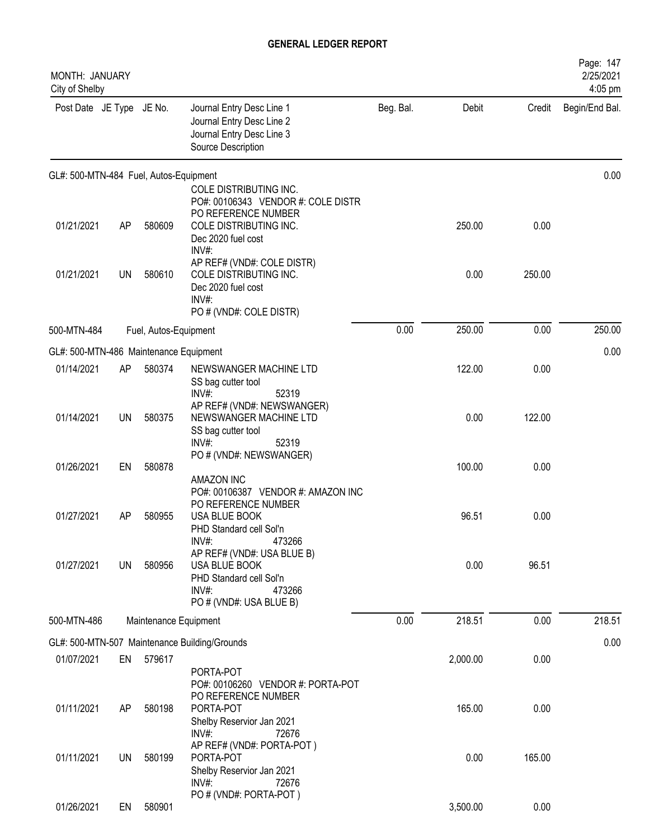| MONTH: JANUARY<br>City of Shelby       |           |                       |                                                                                                                                     |           |          |        | Page: 147<br>2/25/2021<br>4:05 pm |
|----------------------------------------|-----------|-----------------------|-------------------------------------------------------------------------------------------------------------------------------------|-----------|----------|--------|-----------------------------------|
| Post Date JE Type JE No.               |           |                       | Journal Entry Desc Line 1<br>Journal Entry Desc Line 2<br>Journal Entry Desc Line 3<br>Source Description                           | Beg. Bal. | Debit    | Credit | Begin/End Bal.                    |
| GL#: 500-MTN-484 Fuel, Autos-Equipment |           |                       |                                                                                                                                     |           |          |        | 0.00                              |
| 01/21/2021                             | AP        | 580609                | COLE DISTRIBUTING INC.<br>PO#: 00106343 VENDOR #: COLE DISTR<br>PO REFERENCE NUMBER<br>COLE DISTRIBUTING INC.<br>Dec 2020 fuel cost |           | 250.00   | 0.00   |                                   |
| 01/21/2021                             | <b>UN</b> | 580610                | INV#:<br>AP REF# (VND#: COLE DISTR)<br>COLE DISTRIBUTING INC.<br>Dec 2020 fuel cost<br>INV#:<br>PO # (VND#: COLE DISTR)             |           | 0.00     | 250.00 |                                   |
| 500-MTN-484                            |           | Fuel, Autos-Equipment |                                                                                                                                     | 0.00      | 250.00   | 0.00   | 250.00                            |
| GL#: 500-MTN-486 Maintenance Equipment |           |                       |                                                                                                                                     |           |          |        | 0.00                              |
| 01/14/2021                             | AP        | 580374                | NEWSWANGER MACHINE LTD<br>SS bag cutter tool<br>INV#:<br>52319                                                                      |           | 122.00   | 0.00   |                                   |
| 01/14/2021                             | <b>UN</b> | 580375                | AP REF# (VND#: NEWSWANGER)<br>NEWSWANGER MACHINE LTD<br>SS bag cutter tool<br>INV#:<br>52319                                        |           | 0.00     | 122.00 |                                   |
| 01/26/2021                             | EN        | 580878                | PO # (VND#: NEWSWANGER)<br>AMAZON INC                                                                                               |           | 100.00   | 0.00   |                                   |
| 01/27/2021                             | AP        | 580955                | PO#: 00106387 VENDOR #: AMAZON INC<br>PO REFERENCE NUMBER<br>USA BLUE BOOK<br>PHD Standard cell Sol'n<br>INV#:<br>473266            |           | 96.51    | 0.00   |                                   |
| 01/27/2021                             | UN        | 580956                | AP REF# (VND#: USA BLUE B)<br>USA BLUE BOOK<br>PHD Standard cell Sol'n<br>INV#:<br>473266<br>PO # (VND#: USA BLUE B)                |           | 0.00     | 96.51  |                                   |
| 500-MTN-486                            |           | Maintenance Equipment |                                                                                                                                     | 0.00      | 218.51   | 0.00   | 218.51                            |
|                                        |           |                       | GL#: 500-MTN-507 Maintenance Building/Grounds                                                                                       |           |          |        | 0.00                              |
| 01/07/2021                             | EN        | 579617                | PORTA-POT<br>PO#: 00106260 VENDOR #: PORTA-POT                                                                                      |           | 2,000.00 | 0.00   |                                   |
| 01/11/2021                             | AP        | 580198                | PO REFERENCE NUMBER<br>PORTA-POT<br>Shelby Reservior Jan 2021<br>$INV#$ :<br>72676                                                  |           | 165.00   | 0.00   |                                   |
| 01/11/2021                             | UN        | 580199                | AP REF# (VND#: PORTA-POT)<br>PORTA-POT<br>Shelby Reservior Jan 2021<br>$INV#$ :<br>72676                                            |           | 0.00     | 165.00 |                                   |
| 01/26/2021                             | EN        | 580901                | PO # (VND#: PORTA-POT)                                                                                                              |           | 3,500.00 | 0.00   |                                   |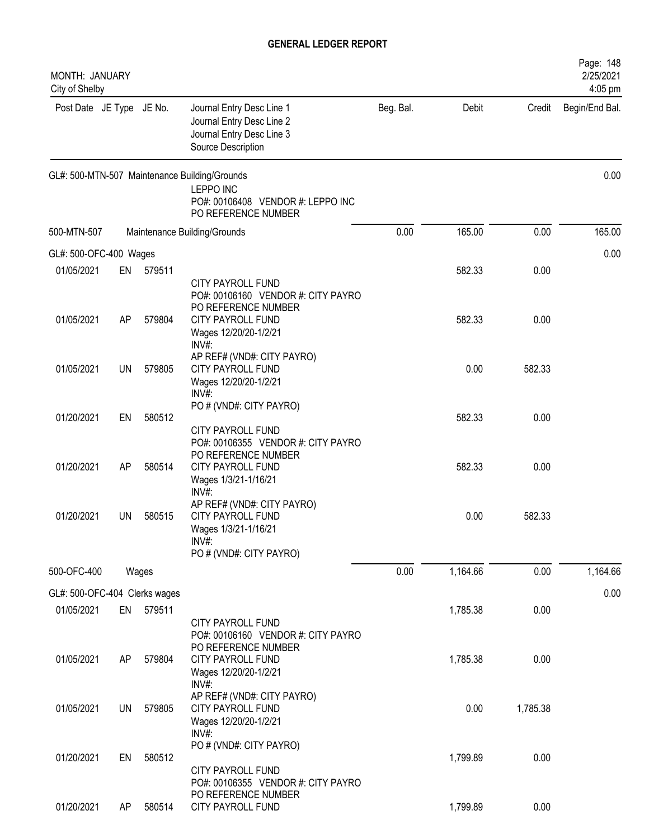| MONTH: JANUARY<br>City of Shelby |           |        |                                                                                                                               |           |          |          | Page: 148<br>2/25/2021<br>4:05 pm |
|----------------------------------|-----------|--------|-------------------------------------------------------------------------------------------------------------------------------|-----------|----------|----------|-----------------------------------|
| Post Date JE Type JE No.         |           |        | Journal Entry Desc Line 1<br>Journal Entry Desc Line 2<br>Journal Entry Desc Line 3<br>Source Description                     | Beg. Bal. | Debit    | Credit   | Begin/End Bal.                    |
|                                  |           |        | GL#: 500-MTN-507 Maintenance Building/Grounds<br><b>LEPPO INC</b><br>PO#: 00106408 VENDOR #: LEPPO INC<br>PO REFERENCE NUMBER |           |          |          | 0.00                              |
| 500-MTN-507                      |           |        | Maintenance Building/Grounds                                                                                                  | 0.00      | 165.00   | 0.00     | 165.00                            |
| GL#: 500-OFC-400 Wages           |           |        |                                                                                                                               |           |          |          | 0.00                              |
| 01/05/2021                       | EN        | 579511 | <b>CITY PAYROLL FUND</b><br>PO#: 00106160 VENDOR #: CITY PAYRO                                                                |           | 582.33   | 0.00     |                                   |
| 01/05/2021                       | AP        | 579804 | PO REFERENCE NUMBER<br><b>CITY PAYROLL FUND</b><br>Wages 12/20/20-1/2/21<br>INV#:                                             |           | 582.33   | 0.00     |                                   |
| 01/05/2021                       | <b>UN</b> | 579805 | AP REF# (VND#: CITY PAYRO)<br><b>CITY PAYROLL FUND</b><br>Wages 12/20/20-1/2/21<br>INV#:                                      |           | 0.00     | 582.33   |                                   |
| 01/20/2021                       | EN        | 580512 | PO # (VND#: CITY PAYRO)<br><b>CITY PAYROLL FUND</b>                                                                           |           | 582.33   | 0.00     |                                   |
| 01/20/2021                       | AP        | 580514 | PO#: 00106355 VENDOR #: CITY PAYRO<br>PO REFERENCE NUMBER<br>CITY PAYROLL FUND<br>Wages 1/3/21-1/16/21<br>$INV#$ :            |           | 582.33   | 0.00     |                                   |
| 01/20/2021                       | <b>UN</b> | 580515 | AP REF# (VND#: CITY PAYRO)<br>CITY PAYROLL FUND<br>Wages 1/3/21-1/16/21<br>INV#:<br>PO # (VND#: CITY PAYRO)                   |           | 0.00     | 582.33   |                                   |
| 500-OFC-400                      |           | Wages  |                                                                                                                               | 0.00      | 1,164.66 | 0.00     | 1,164.66                          |
| GL#: 500-OFC-404 Clerks wages    |           |        |                                                                                                                               |           |          |          | 0.00                              |
| 01/05/2021                       | EN        | 579511 |                                                                                                                               |           | 1,785.38 | 0.00     |                                   |
| 01/05/2021                       | AP        | 579804 | CITY PAYROLL FUND<br>PO#: 00106160 VENDOR #: CITY PAYRO<br>PO REFERENCE NUMBER<br>CITY PAYROLL FUND<br>Wages 12/20/20-1/2/21  |           | 1,785.38 | 0.00     |                                   |
| 01/05/2021                       | <b>UN</b> | 579805 | INV#:<br>AP REF# (VND#: CITY PAYRO)<br>CITY PAYROLL FUND<br>Wages 12/20/20-1/2/21<br>$INV#$ :                                 |           | 0.00     | 1,785.38 |                                   |
| 01/20/2021                       | EN        | 580512 | PO # (VND#: CITY PAYRO)<br>CITY PAYROLL FUND<br>PO#: 00106355 VENDOR #: CITY PAYRO                                            |           | 1,799.89 | 0.00     |                                   |
| 01/20/2021                       | AP        | 580514 | PO REFERENCE NUMBER<br>CITY PAYROLL FUND                                                                                      |           | 1,799.89 | 0.00     |                                   |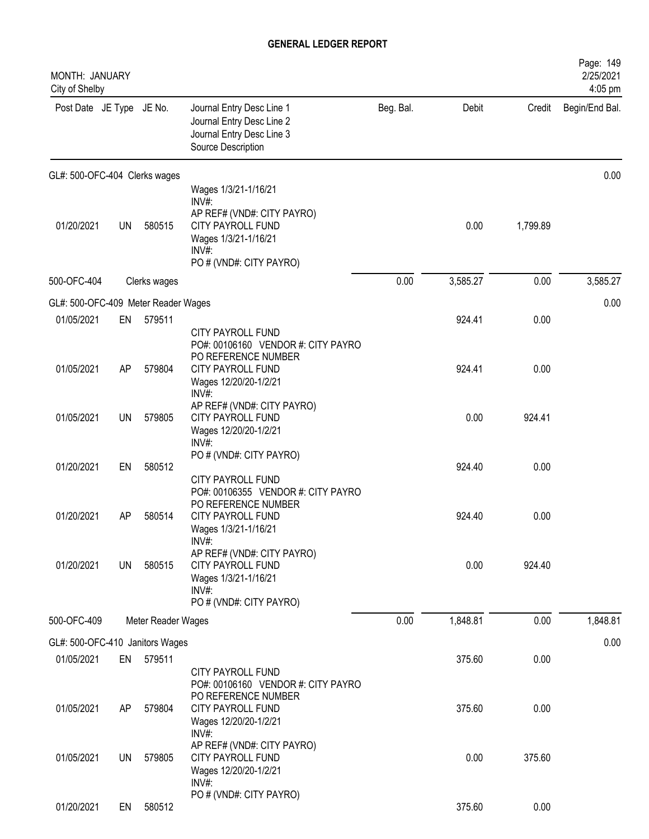| MONTH: JANUARY<br>City of Shelby    |           |                    |                                                                                                                                                    |           |          |          | Page: 149<br>2/25/2021<br>4:05 pm |
|-------------------------------------|-----------|--------------------|----------------------------------------------------------------------------------------------------------------------------------------------------|-----------|----------|----------|-----------------------------------|
| Post Date JE Type JE No.            |           |                    | Journal Entry Desc Line 1<br>Journal Entry Desc Line 2<br>Journal Entry Desc Line 3<br>Source Description                                          | Beg. Bal. | Debit    | Credit   | Begin/End Bal.                    |
| GL#: 500-OFC-404 Clerks wages       |           |                    |                                                                                                                                                    |           |          |          | 0.00                              |
| 01/20/2021                          | <b>UN</b> | 580515             | Wages 1/3/21-1/16/21<br>$INV#$ :<br>AP REF# (VND#: CITY PAYRO)<br>CITY PAYROLL FUND<br>Wages 1/3/21-1/16/21<br>$INV#$ :<br>PO # (VND#: CITY PAYRO) |           | 0.00     | 1,799.89 |                                   |
| 500-OFC-404                         |           | Clerks wages       |                                                                                                                                                    | 0.00      | 3,585.27 | 0.00     | 3,585.27                          |
| GL#: 500-OFC-409 Meter Reader Wages |           |                    |                                                                                                                                                    |           |          |          | 0.00                              |
| 01/05/2021                          | EN        | 579511             | <b>CITY PAYROLL FUND</b>                                                                                                                           |           | 924.41   | 0.00     |                                   |
| 01/05/2021                          | AP        | 579804             | PO#: 00106160 VENDOR #: CITY PAYRO<br>PO REFERENCE NUMBER<br>CITY PAYROLL FUND<br>Wages 12/20/20-1/2/21<br>INV#:                                   |           | 924.41   | 0.00     |                                   |
| 01/05/2021                          | <b>UN</b> | 579805             | AP REF# (VND#: CITY PAYRO)<br>CITY PAYROLL FUND<br>Wages 12/20/20-1/2/21<br>INV#:                                                                  |           | 0.00     | 924.41   |                                   |
| 01/20/2021                          | EN        | 580512             | PO # (VND#: CITY PAYRO)<br><b>CITY PAYROLL FUND</b>                                                                                                |           | 924.40   | 0.00     |                                   |
| 01/20/2021                          | AP        | 580514             | PO#: 00106355 VENDOR #: CITY PAYRO<br>PO REFERENCE NUMBER<br><b>CITY PAYROLL FUND</b><br>Wages 1/3/21-1/16/21<br>INV#:                             |           | 924.40   | 0.00     |                                   |
| 01/20/2021                          | UN        | 580515             | AP REF# (VND#: CITY PAYRO)<br>CITY PAYROLL FUND<br>Wages 1/3/21-1/16/21<br>$INV#$ :<br>PO # (VND#: CITY PAYRO)                                     |           | 0.00     | 924.40   |                                   |
| 500-OFC-409                         |           | Meter Reader Wages |                                                                                                                                                    | 0.00      | 1,848.81 | 0.00     | 1,848.81                          |
| GL#: 500-OFC-410 Janitors Wages     |           |                    |                                                                                                                                                    |           |          |          | 0.00                              |
| 01/05/2021                          | EN        | 579511             |                                                                                                                                                    |           | 375.60   | 0.00     |                                   |
| 01/05/2021                          | AP        | 579804             | CITY PAYROLL FUND<br>PO#: 00106160 VENDOR #: CITY PAYRO<br>PO REFERENCE NUMBER<br>CITY PAYROLL FUND                                                |           | 375.60   | 0.00     |                                   |
| 01/05/2021                          | <b>UN</b> | 579805             | Wages 12/20/20-1/2/21<br>$INV#$ :<br>AP REF# (VND#: CITY PAYRO)<br>CITY PAYROLL FUND<br>Wages 12/20/20-1/2/21                                      |           | 0.00     | 375.60   |                                   |
| 01/20/2021                          | EN        | 580512             | INV#:<br>PO # (VND#: CITY PAYRO)                                                                                                                   |           | 375.60   | 0.00     |                                   |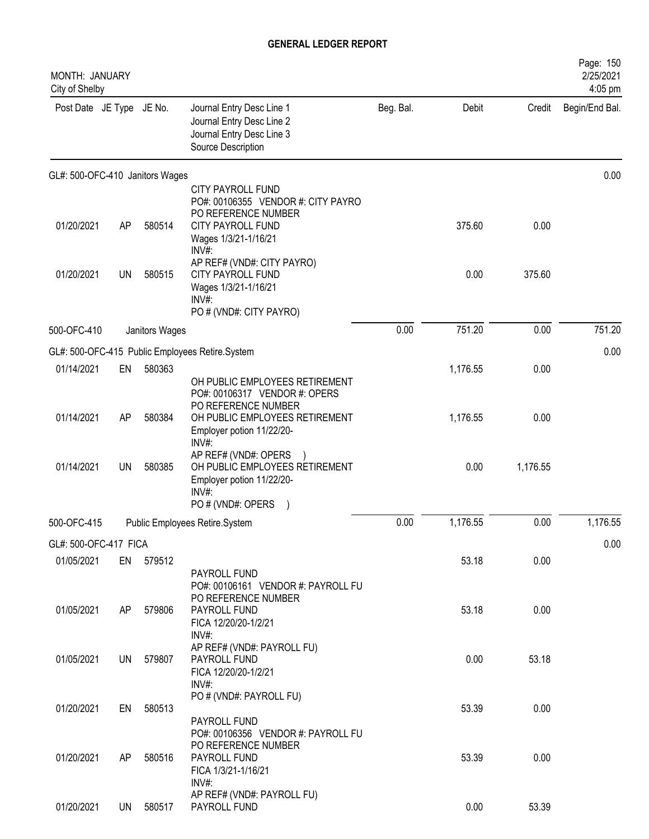| MONTH: JANUARY<br>City of Shelby |           |                |                                                                                                                                                                |           |          |          | Page: 150<br>2/25/2021<br>4:05 pm |
|----------------------------------|-----------|----------------|----------------------------------------------------------------------------------------------------------------------------------------------------------------|-----------|----------|----------|-----------------------------------|
| Post Date JE Type JE No.         |           |                | Journal Entry Desc Line 1<br>Journal Entry Desc Line 2<br>Journal Entry Desc Line 3<br>Source Description                                                      | Beg. Bal. | Debit    | Credit   | Begin/End Bal.                    |
| GL#: 500-OFC-410 Janitors Wages  |           |                |                                                                                                                                                                |           |          |          | 0.00                              |
| 01/20/2021                       | AP        | 580514         | <b>CITY PAYROLL FUND</b><br>PO#: 00106355 VENDOR #: CITY PAYRO<br>PO REFERENCE NUMBER<br>CITY PAYROLL FUND<br>Wages 1/3/21-1/16/21                             |           | 375.60   | 0.00     |                                   |
| 01/20/2021                       | <b>UN</b> | 580515         | INV#:<br>AP REF# (VND#: CITY PAYRO)<br><b>CITY PAYROLL FUND</b><br>Wages 1/3/21-1/16/21<br>INV#<br>PO # (VND#: CITY PAYRO)                                     |           | 0.00     | 375.60   |                                   |
| 500-OFC-410                      |           | Janitors Wages |                                                                                                                                                                | 0.00      | 751.20   | 0.00     | 751.20                            |
|                                  |           |                | GL#: 500-OFC-415 Public Employees Retire.System                                                                                                                |           |          |          | 0.00                              |
| 01/14/2021                       | EN        | 580363         |                                                                                                                                                                |           | 1,176.55 | 0.00     |                                   |
| 01/14/2021                       | AP        | 580384         | OH PUBLIC EMPLOYEES RETIREMENT<br>PO#: 00106317 VENDOR #: OPERS<br>PO REFERENCE NUMBER<br>OH PUBLIC EMPLOYEES RETIREMENT<br>Employer potion 11/22/20-<br>INV#: |           | 1,176.55 | 0.00     |                                   |
| 01/14/2021                       | <b>UN</b> | 580385         | AP REF# (VND#: OPERS<br>OH PUBLIC EMPLOYEES RETIREMENT<br>Employer potion 11/22/20-<br>$INV#$ :<br>PO # (VND#: OPERS<br>$\lambda$                              |           | 0.00     | 1,176.55 |                                   |
| 500-OFC-415                      |           |                | Public Employees Retire.System                                                                                                                                 | 0.00      | 1,176.55 | 0.00     | 1,176.55                          |
| GL#: 500-OFC-417 FICA            |           |                |                                                                                                                                                                |           |          |          | 0.00                              |
| 01/05/2021                       |           | EN 579512      |                                                                                                                                                                |           | 53.18    | 0.00     |                                   |
| 01/05/2021                       | AP        | 579806         | PAYROLL FUND<br>PO#: 00106161 VENDOR #: PAYROLL FU<br>PO REFERENCE NUMBER<br>PAYROLL FUND<br>FICA 12/20/20-1/2/21<br>INV#:                                     |           | 53.18    | 0.00     |                                   |
| 01/05/2021                       | UN        | 579807         | AP REF# (VND#: PAYROLL FU)<br>PAYROLL FUND<br>FICA 12/20/20-1/2/21<br>INV#:                                                                                    |           | 0.00     | 53.18    |                                   |
| 01/20/2021                       | EN        | 580513         | PO # (VND#: PAYROLL FU)<br>PAYROLL FUND                                                                                                                        |           | 53.39    | 0.00     |                                   |
| 01/20/2021                       | AP.       | 580516         | PO#: 00106356 VENDOR #: PAYROLL FU<br>PO REFERENCE NUMBER<br>PAYROLL FUND<br>FICA 1/3/21-1/16/21<br>$INV#$ :                                                   |           | 53.39    | 0.00     |                                   |
| 01/20/2021                       | UN.       | 580517         | AP REF# (VND#: PAYROLL FU)<br>PAYROLL FUND                                                                                                                     |           | 0.00     | 53.39    |                                   |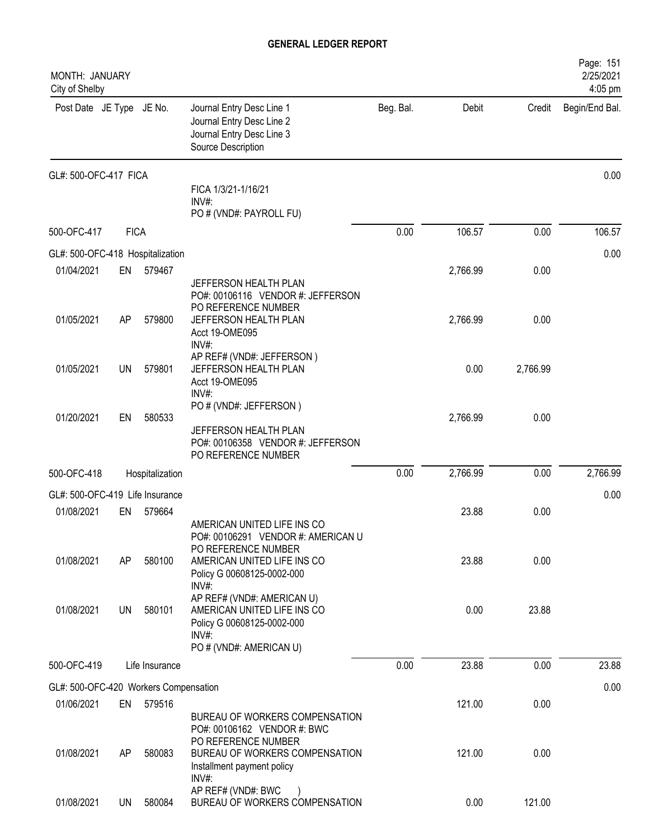| MONTH: JANUARY<br>City of Shelby      |             |                 |                                                                                                                                                       |           |          |          | Page: 151<br>2/25/2021<br>4:05 pm |
|---------------------------------------|-------------|-----------------|-------------------------------------------------------------------------------------------------------------------------------------------------------|-----------|----------|----------|-----------------------------------|
| Post Date JE Type JE No.              |             |                 | Journal Entry Desc Line 1<br>Journal Entry Desc Line 2<br>Journal Entry Desc Line 3<br>Source Description                                             | Beg. Bal. | Debit    | Credit   | Begin/End Bal.                    |
| GL#: 500-OFC-417 FICA                 |             |                 | FICA 1/3/21-1/16/21<br>INV#:                                                                                                                          |           |          |          | 0.00                              |
|                                       |             |                 | PO # (VND#: PAYROLL FU)                                                                                                                               |           |          |          |                                   |
| 500-OFC-417                           | <b>FICA</b> |                 |                                                                                                                                                       | 0.00      | 106.57   | 0.00     | 106.57                            |
| GL#: 500-OFC-418 Hospitalization      |             |                 |                                                                                                                                                       |           |          |          | 0.00                              |
| 01/04/2021                            | EN          | 579467          | JEFFERSON HEALTH PLAN<br>PO#: 00106116 VENDOR #: JEFFERSON                                                                                            |           | 2,766.99 | 0.00     |                                   |
| 01/05/2021                            | AP          | 579800          | PO REFERENCE NUMBER<br>JEFFERSON HEALTH PLAN<br>Acct 19-OME095<br>INV#:                                                                               |           | 2,766.99 | 0.00     |                                   |
| 01/05/2021                            | UN          | 579801          | AP REF# (VND#: JEFFERSON)<br>JEFFERSON HEALTH PLAN<br>Acct 19-OME095<br>INV#:                                                                         |           | 0.00     | 2,766.99 |                                   |
| 01/20/2021                            | EN          | 580533          | PO # (VND#: JEFFERSON)<br>JEFFERSON HEALTH PLAN<br>PO#: 00106358 VENDOR #: JEFFERSON<br>PO REFERENCE NUMBER                                           |           | 2,766.99 | 0.00     |                                   |
| 500-OFC-418                           |             | Hospitalization |                                                                                                                                                       | 0.00      | 2,766.99 | 0.00     | 2,766.99                          |
| GL#: 500-OFC-419 Life Insurance       |             |                 |                                                                                                                                                       |           |          |          | 0.00                              |
| 01/08/2021                            | EN          | 579664          |                                                                                                                                                       |           | 23.88    | 0.00     |                                   |
| 01/08/2021                            | AP          | 580100          | AMERICAN UNITED LIFE INS CO<br>PO#: 00106291 VENDOR #: AMERICAN U<br>PO REFERENCE NUMBER<br>AMERICAN UNITED LIFE INS CO<br>Policy G 00608125-0002-000 |           | 23.88    | 0.00     |                                   |
| 01/08/2021                            | UN          | 580101          | INV#:<br>AP REF# (VND#: AMERICAN U)<br>AMERICAN UNITED LIFE INS CO<br>Policy G 00608125-0002-000<br>$INV#$ :<br>PO # (VND#: AMERICAN U)               |           | 0.00     | 23.88    |                                   |
| 500-OFC-419                           |             | Life Insurance  |                                                                                                                                                       | 0.00      | 23.88    | 0.00     | 23.88                             |
| GL#: 500-OFC-420 Workers Compensation |             |                 |                                                                                                                                                       |           |          |          | 0.00                              |
| 01/06/2021                            | EN          | 579516          | BUREAU OF WORKERS COMPENSATION<br>PO#: 00106162 VENDOR #: BWC                                                                                         |           | 121.00   | 0.00     |                                   |
| 01/08/2021                            | AP          | 580083          | PO REFERENCE NUMBER<br>BUREAU OF WORKERS COMPENSATION<br>Installment payment policy<br>$INV#$ :                                                       |           | 121.00   | 0.00     |                                   |
| 01/08/2021                            | <b>UN</b>   | 580084          | AP REF# (VND#: BWC<br>BUREAU OF WORKERS COMPENSATION                                                                                                  |           | 0.00     | 121.00   |                                   |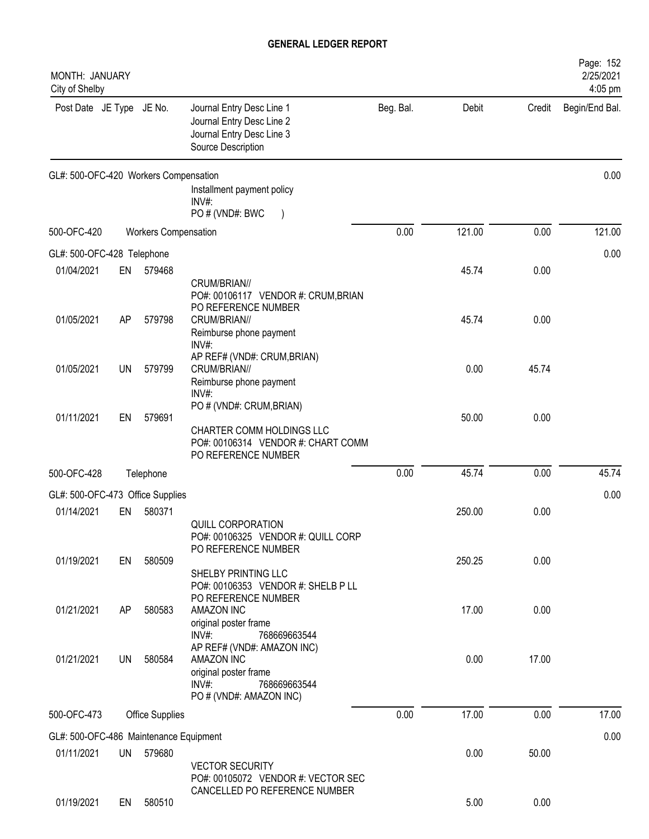| MONTH: JANUARY<br>City of Shelby       |           |                             |                                                                                                                       |           |        |        | Page: 152<br>2/25/2021<br>4:05 pm |
|----------------------------------------|-----------|-----------------------------|-----------------------------------------------------------------------------------------------------------------------|-----------|--------|--------|-----------------------------------|
| Post Date JE Type JE No.               |           |                             | Journal Entry Desc Line 1<br>Journal Entry Desc Line 2<br>Journal Entry Desc Line 3<br>Source Description             | Beg. Bal. | Debit  | Credit | Begin/End Bal.                    |
| GL#: 500-OFC-420 Workers Compensation  |           |                             | Installment payment policy<br>INV#:<br>PO # (VND#: BWC                                                                |           |        |        | 0.00                              |
| 500-OFC-420                            |           | <b>Workers Compensation</b> |                                                                                                                       | 0.00      | 121.00 | 0.00   | 121.00                            |
| GL#: 500-OFC-428 Telephone             |           |                             |                                                                                                                       |           |        |        | 0.00                              |
| 01/04/2021                             | EN        | 579468                      | CRUM/BRIAN//<br>PO#: 00106117 VENDOR #: CRUM, BRIAN                                                                   |           | 45.74  | 0.00   |                                   |
| 01/05/2021                             | AP        | 579798                      | PO REFERENCE NUMBER<br>CRUM/BRIAN//<br>Reimburse phone payment<br>INV#:                                               |           | 45.74  | 0.00   |                                   |
| 01/05/2021                             | UN        | 579799                      | AP REF# (VND#: CRUM, BRIAN)<br>CRUM/BRIAN//<br>Reimburse phone payment<br>INV#:                                       |           | 0.00   | 45.74  |                                   |
| 01/11/2021                             | EN        | 579691                      | PO # (VND#: CRUM, BRIAN)<br>CHARTER COMM HOLDINGS LLC<br>PO#: 00106314 VENDOR #: CHART COMM<br>PO REFERENCE NUMBER    |           | 50.00  | 0.00   |                                   |
| 500-OFC-428                            |           | Telephone                   |                                                                                                                       | 0.00      | 45.74  | 0.00   | 45.74                             |
| GL#: 500-OFC-473 Office Supplies       |           |                             |                                                                                                                       |           |        |        | 0.00                              |
| 01/14/2021                             | EN        | 580371                      | <b>QUILL CORPORATION</b><br>PO#: 00106325 VENDOR #: QUILL CORP<br>PO REFERENCE NUMBER                                 |           | 250.00 | 0.00   |                                   |
| 01/19/2021                             | EN        | 580509                      | SHELBY PRINTING LLC<br>PO#: 00106353 VENDOR #: SHELB P LL<br>PO REFERENCE NUMBER                                      |           | 250.25 | 0.00   |                                   |
| 01/21/2021                             | AP        | 580583                      | AMAZON INC<br>original poster frame<br>INV#:<br>768669663544                                                          |           | 17.00  | 0.00   |                                   |
| 01/21/2021                             | UN        | 580584                      | AP REF# (VND#: AMAZON INC)<br>AMAZON INC<br>original poster frame<br>INV#:<br>768669663544<br>PO # (VND#: AMAZON INC) |           | 0.00   | 17.00  |                                   |
| 500-OFC-473                            |           | <b>Office Supplies</b>      |                                                                                                                       | 0.00      | 17.00  | 0.00   | 17.00                             |
| GL#: 500-OFC-486 Maintenance Equipment |           |                             |                                                                                                                       |           |        |        | 0.00                              |
| 01/11/2021                             | <b>UN</b> | 579680                      | <b>VECTOR SECURITY</b><br>PO#: 00105072 VENDOR #: VECTOR SEC                                                          |           | 0.00   | 50.00  |                                   |
| 01/19/2021                             | EN        | 580510                      | CANCELLED PO REFERENCE NUMBER                                                                                         |           | 5.00   | 0.00   |                                   |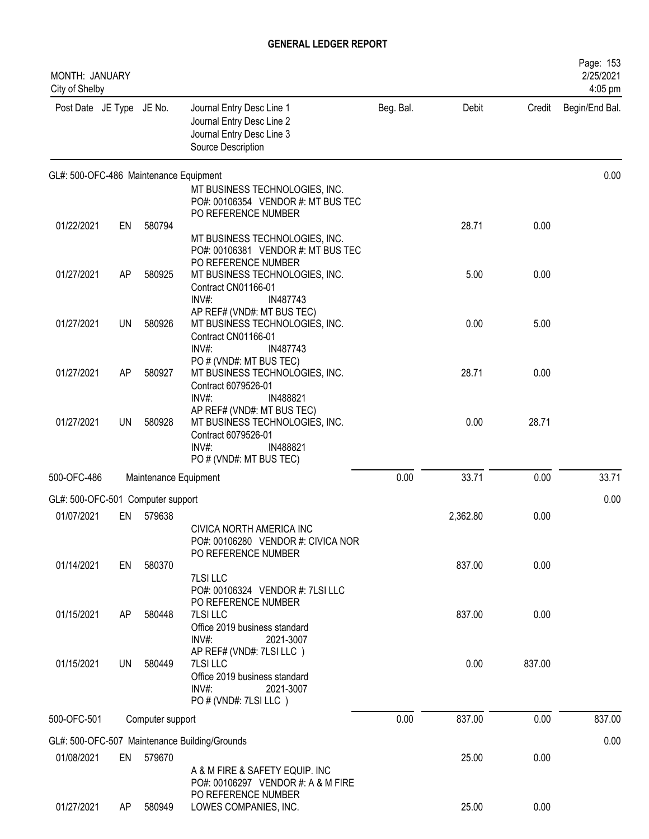| <b>MONTH: JANUARY</b><br>City of Shelby |    |                       |                                                                                                                                                             |           |          |        | Page: 153<br>2/25/2021<br>4:05 pm |
|-----------------------------------------|----|-----------------------|-------------------------------------------------------------------------------------------------------------------------------------------------------------|-----------|----------|--------|-----------------------------------|
| Post Date JE Type JE No.                |    |                       | Journal Entry Desc Line 1<br>Journal Entry Desc Line 2<br>Journal Entry Desc Line 3<br>Source Description                                                   | Beg. Bal. | Debit    | Credit | Begin/End Bal.                    |
| GL#: 500-OFC-486 Maintenance Equipment  |    |                       | MT BUSINESS TECHNOLOGIES, INC.<br>PO#: 00106354 VENDOR #: MT BUS TEC                                                                                        |           |          |        | 0.00                              |
| 01/22/2021                              | EN | 580794                | PO REFERENCE NUMBER<br>MT BUSINESS TECHNOLOGIES, INC.                                                                                                       |           | 28.71    | 0.00   |                                   |
| 01/27/2021                              | AP | 580925                | PO#: 00106381 VENDOR #: MT BUS TEC<br>PO REFERENCE NUMBER<br>MT BUSINESS TECHNOLOGIES, INC.<br>Contract CN01166-01                                          |           | 5.00     | 0.00   |                                   |
| 01/27/2021                              | UN | 580926                | IN487743<br>INV#<br>AP REF# (VND#: MT BUS TEC)<br>MT BUSINESS TECHNOLOGIES, INC.<br>Contract CN01166-01                                                     |           | 0.00     | 5.00   |                                   |
| 01/27/2021                              | AP | 580927                | INV#:<br>IN487743<br>PO # (VND#: MT BUS TEC)<br>MT BUSINESS TECHNOLOGIES, INC.<br>Contract 6079526-01                                                       |           | 28.71    | 0.00   |                                   |
| 01/27/2021                              | UN | 580928                | INV#:<br>IN488821<br>AP REF# (VND#: MT BUS TEC)<br>MT BUSINESS TECHNOLOGIES, INC.<br>Contract 6079526-01<br>$INV#$ :<br>IN488821<br>PO # (VND#: MT BUS TEC) |           | 0.00     | 28.71  |                                   |
| 500-OFC-486                             |    | Maintenance Equipment |                                                                                                                                                             | 0.00      | 33.71    | 0.00   | 33.71                             |
| GL#: 500-OFC-501 Computer support       |    |                       |                                                                                                                                                             |           |          |        | 0.00                              |
| 01/07/2021                              | EN | 579638                |                                                                                                                                                             |           | 2,362.80 | 0.00   |                                   |
|                                         |    |                       | CIVICA NORTH AMERICA INC<br>PO#: 00106280 VENDOR #: CIVICA NOR<br>PO REFERENCE NUMBER                                                                       |           |          |        |                                   |
| 01/14/2021                              | EN | 580370                | 7LSI LLC<br>PO#: 00106324 VENDOR #: 7LSI LLC                                                                                                                |           | 837.00   | 0.00   |                                   |
| 01/15/2021                              | AP | 580448                | PO REFERENCE NUMBER<br>7LSI LLC<br>Office 2019 business standard<br>INV#:<br>2021-3007                                                                      |           | 837.00   | 0.00   |                                   |
| 01/15/2021                              | UN | 580449                | AP REF# (VND#: 7LSI LLC)<br>7LSI LLC<br>Office 2019 business standard<br>$INV#$ :<br>2021-3007<br>PO # (VND#: 7LSI LLC)                                     |           | 0.00     | 837.00 |                                   |
| 500-OFC-501                             |    | Computer support      |                                                                                                                                                             | 0.00      | 837.00   | 0.00   | 837.00                            |
|                                         |    |                       | GL#: 500-OFC-507 Maintenance Building/Grounds                                                                                                               |           |          |        | 0.00                              |
| 01/08/2021                              |    | EN 579670             | A & M FIRE & SAFETY EQUIP. INC<br>PO#: 00106297 VENDOR #: A & M FIRE                                                                                        |           | 25.00    | 0.00   |                                   |
| 01/27/2021                              | AP | 580949                | PO REFERENCE NUMBER<br>LOWES COMPANIES, INC.                                                                                                                |           | 25.00    | 0.00   |                                   |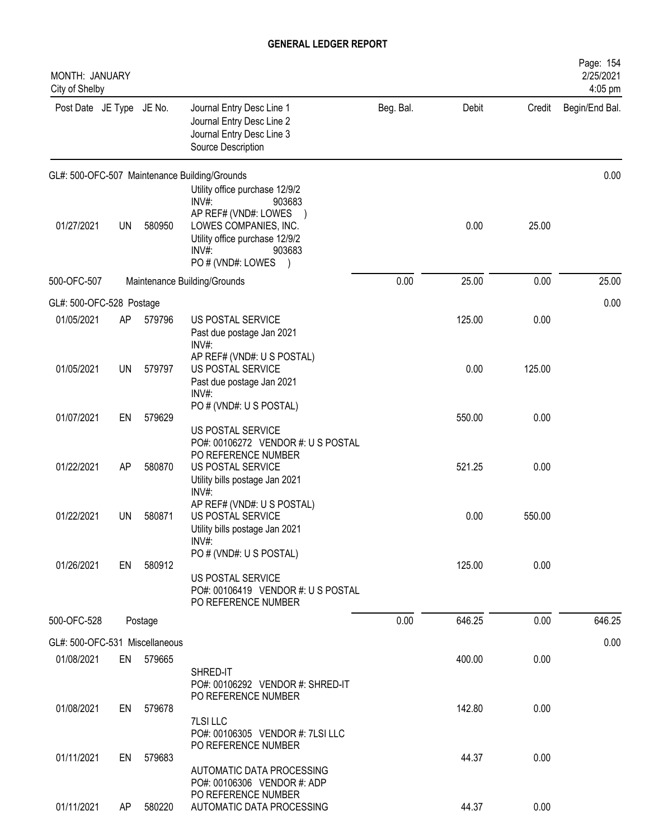| MONTH: JANUARY<br>City of Shelby |     |           |                                                                                                                                                                                 |           |        |        | Page: 154<br>2/25/2021<br>4:05 pm |
|----------------------------------|-----|-----------|---------------------------------------------------------------------------------------------------------------------------------------------------------------------------------|-----------|--------|--------|-----------------------------------|
| Post Date JE Type JE No.         |     |           | Journal Entry Desc Line 1<br>Journal Entry Desc Line 2<br>Journal Entry Desc Line 3<br>Source Description                                                                       | Beg. Bal. | Debit  | Credit | Begin/End Bal.                    |
|                                  |     |           | GL#: 500-OFC-507 Maintenance Building/Grounds                                                                                                                                   |           |        |        | 0.00                              |
| 01/27/2021                       | UN  | 580950    | Utility office purchase 12/9/2<br>INV#:<br>903683<br>AP REF# (VND#: LOWES<br>LOWES COMPANIES, INC.<br>Utility office purchase 12/9/2<br>$INV#$ :<br>903683<br>PO # (VND#: LOWES |           | 0.00   | 25.00  |                                   |
| 500-OFC-507                      |     |           | Maintenance Building/Grounds                                                                                                                                                    | 0.00      | 25.00  | 0.00   | 25.00                             |
| GL#: 500-OFC-528 Postage         |     |           |                                                                                                                                                                                 |           |        |        | 0.00                              |
| 01/05/2021                       | AP. | 579796    | US POSTAL SERVICE<br>Past due postage Jan 2021<br>INV#                                                                                                                          |           | 125.00 | 0.00   |                                   |
| 01/05/2021                       | UN  | 579797    | AP REF# (VND#: U S POSTAL)<br>US POSTAL SERVICE<br>Past due postage Jan 2021<br>INV#:                                                                                           |           | 0.00   | 125.00 |                                   |
| 01/07/2021                       | EN  | 579629    | PO # (VND#: U S POSTAL)<br>US POSTAL SERVICE                                                                                                                                    |           | 550.00 | 0.00   |                                   |
| 01/22/2021                       | AP  | 580870    | PO#: 00106272 VENDOR #: US POSTAL<br>PO REFERENCE NUMBER<br>US POSTAL SERVICE<br>Utility bills postage Jan 2021<br>INV#:                                                        |           | 521.25 | 0.00   |                                   |
| 01/22/2021                       | UN  | 580871    | AP REF# (VND#: U S POSTAL)<br>US POSTAL SERVICE<br>Utility bills postage Jan 2021<br>INV#:                                                                                      |           | 0.00   | 550.00 |                                   |
| 01/26/2021                       | EN  | 580912    | PO # (VND#: U S POSTAL)<br>US POSTAL SERVICE<br>PO#: 00106419 VENDOR #: U S POSTAL<br>PO REFERENCE NUMBER                                                                       |           | 125.00 | 0.00   |                                   |
| 500-OFC-528                      |     | Postage   |                                                                                                                                                                                 | 0.00      | 646.25 | 0.00   | 646.25                            |
| GL#: 500-OFC-531 Miscellaneous   |     |           |                                                                                                                                                                                 |           |        |        | 0.00                              |
| 01/08/2021                       |     | EN 579665 | SHRED-IT<br>PO#: 00106292 VENDOR #: SHRED-IT                                                                                                                                    |           | 400.00 | 0.00   |                                   |
| 01/08/2021                       | EN  | 579678    | PO REFERENCE NUMBER<br><b>7LSI LLC</b><br>PO#: 00106305 VENDOR #: 7LSI LLC                                                                                                      |           | 142.80 | 0.00   |                                   |
| 01/11/2021                       | EN  | 579683    | PO REFERENCE NUMBER<br>AUTOMATIC DATA PROCESSING<br>PO#: 00106306 VENDOR #: ADP                                                                                                 |           | 44.37  | 0.00   |                                   |
| 01/11/2021                       | AP  | 580220    | PO REFERENCE NUMBER<br>AUTOMATIC DATA PROCESSING                                                                                                                                |           | 44.37  | 0.00   |                                   |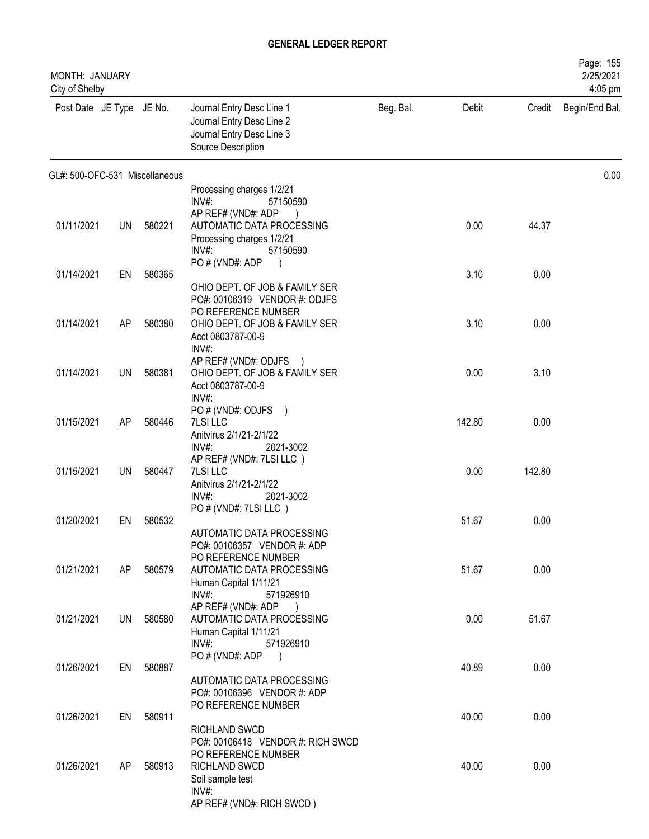| MONTH: JANUARY<br>City of Shelby |           |           |                                                                                                                            |           |        |        | Page: 155<br>2/25/2021<br>4:05 pm |
|----------------------------------|-----------|-----------|----------------------------------------------------------------------------------------------------------------------------|-----------|--------|--------|-----------------------------------|
| Post Date JE Type JE No.         |           |           | Journal Entry Desc Line 1<br>Journal Entry Desc Line 2<br>Journal Entry Desc Line 3<br>Source Description                  | Beg. Bal. | Debit  | Credit | Begin/End Bal.                    |
| GL#: 500-OFC-531 Miscellaneous   |           |           |                                                                                                                            |           |        |        | 0.00                              |
|                                  |           |           | Processing charges 1/2/21<br>INV#<br>57150590                                                                              |           |        |        |                                   |
| 01/11/2021                       | UN        | 580221    | AP REF# (VND#: ADP<br>AUTOMATIC DATA PROCESSING<br>Processing charges 1/2/21<br>$INV#$ :<br>57150590                       |           | 0.00   | 44.37  |                                   |
| 01/14/2021                       | EN        | 580365    | PO # (VND#: ADP                                                                                                            |           | 3.10   | 0.00   |                                   |
|                                  |           |           | OHIO DEPT. OF JOB & FAMILY SER<br>PO#: 00106319 VENDOR #: ODJFS<br>PO REFERENCE NUMBER                                     |           |        |        |                                   |
| 01/14/2021                       | AP        | 580380    | OHIO DEPT. OF JOB & FAMILY SER<br>Acct 0803787-00-9                                                                        |           | 3.10   | 0.00   |                                   |
| 01/14/2021                       | <b>UN</b> | 580381    | INV#:<br>AP REF# (VND#: ODJFS<br>$\rightarrow$<br>OHIO DEPT. OF JOB & FAMILY SER                                           |           | 0.00   | 3.10   |                                   |
|                                  |           |           | Acct 0803787-00-9<br>$INV#$ :                                                                                              |           |        |        |                                   |
| 01/15/2021                       | AP        | 580446    | PO # (VND#: ODJFS )<br><b>7LSI LLC</b><br>Anitvirus 2/1/21-2/1/22                                                          |           | 142.80 | 0.00   |                                   |
|                                  |           |           | $INV#$ :<br>2021-3002<br>AP REF# (VND#: 7LSI LLC)                                                                          |           |        |        |                                   |
| 01/15/2021                       | <b>UN</b> | 580447    | 7LSI LLC<br>Anitvirus 2/1/21-2/1/22<br>INV#:<br>2021-3002                                                                  |           | 0.00   | 142.80 |                                   |
| 01/20/2021                       | EN        | 580532    | PO # (VND#: 7LSI LLC)                                                                                                      |           | 51.67  | 0.00   |                                   |
|                                  |           |           | AUTOMATIC DATA PROCESSING<br>PO#: 00106357 VENDOR #: ADP<br>PO REFERENCE NUMBER                                            |           |        |        |                                   |
| 01/21/2021                       | AP        | 580579    | AUTOMATIC DATA PROCESSING<br>Human Capital 1/11/21<br>$INV#$ :<br>571926910                                                |           | 51.67  | 0.00   |                                   |
| 01/21/2021                       |           | UN 580580 | AP REF# (VND#: ADP<br>$\overline{\phantom{a}}$<br>AUTOMATIC DATA PROCESSING<br>Human Capital 1/11/21<br>INV#:<br>571926910 |           | 0.00   | 51.67  |                                   |
| 01/26/2021                       |           | EN 580887 | PO# (VND#: ADP)                                                                                                            |           | 40.89  | 0.00   |                                   |
|                                  |           |           | AUTOMATIC DATA PROCESSING<br>PO#: 00106396 VENDOR #: ADP<br>PO REFERENCE NUMBER                                            |           |        |        |                                   |
| 01/26/2021                       | EN        | 580911    |                                                                                                                            |           | 40.00  | 0.00   |                                   |
| 01/26/2021                       | AP        | 580913    | RICHLAND SWCD<br>PO#: 00106418 VENDOR #: RICH SWCD<br>PO REFERENCE NUMBER<br>RICHLAND SWCD<br>Soil sample test             |           | 40.00  | 0.00   |                                   |
|                                  |           |           | $INV#$ :<br>AP REF# (VND#: RICH SWCD)                                                                                      |           |        |        |                                   |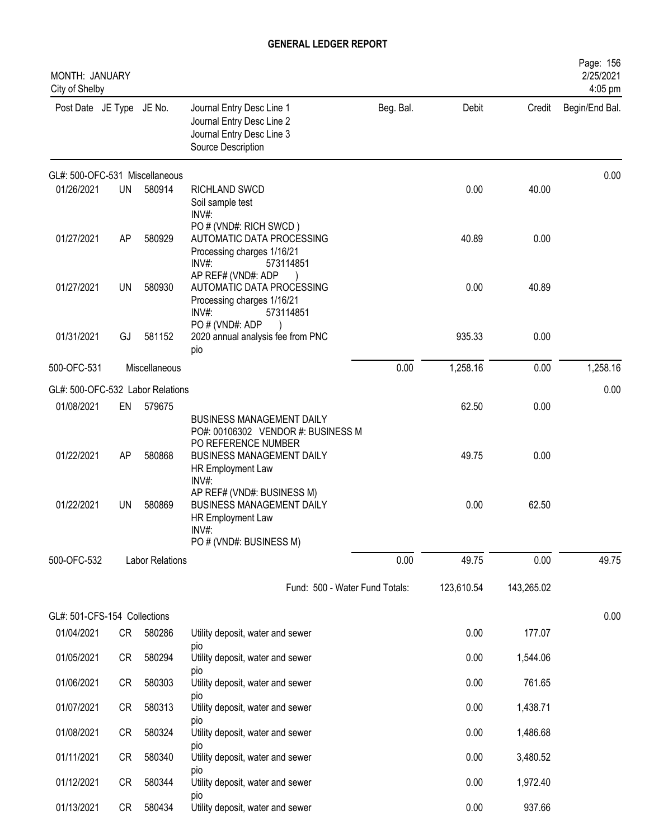| MONTH: JANUARY<br>City of Shelby |           |                        |                                                                                                                                                        |           |            |            | Page: 156<br>2/25/2021<br>4:05 pm |
|----------------------------------|-----------|------------------------|--------------------------------------------------------------------------------------------------------------------------------------------------------|-----------|------------|------------|-----------------------------------|
| Post Date JE Type JE No.         |           |                        | Journal Entry Desc Line 1<br>Journal Entry Desc Line 2<br>Journal Entry Desc Line 3<br>Source Description                                              | Beg. Bal. | Debit      | Credit     | Begin/End Bal.                    |
| GL#: 500-OFC-531 Miscellaneous   |           |                        |                                                                                                                                                        |           |            |            | 0.00                              |
| 01/26/2021                       | <b>UN</b> | 580914                 | RICHLAND SWCD<br>Soil sample test<br>INV#:                                                                                                             |           | 0.00       | 40.00      |                                   |
| 01/27/2021                       | AP        | 580929                 | PO # (VND#: RICH SWCD)<br>AUTOMATIC DATA PROCESSING<br>Processing charges 1/16/21<br>INV#<br>573114851                                                 |           | 40.89      | 0.00       |                                   |
| 01/27/2021                       | UN        | 580930                 | AP REF# (VND#: ADP<br>AUTOMATIC DATA PROCESSING<br>Processing charges 1/16/21<br>INV#:<br>573114851                                                    |           | 0.00       | 40.89      |                                   |
| 01/31/2021                       | GJ        | 581152                 | PO#(VND#: ADP<br>2020 annual analysis fee from PNC<br>pio                                                                                              |           | 935.33     | 0.00       |                                   |
| 500-OFC-531                      |           | Miscellaneous          |                                                                                                                                                        | 0.00      | 1,258.16   | 0.00       | 1,258.16                          |
| GL#: 500-OFC-532 Labor Relations |           |                        |                                                                                                                                                        |           |            |            | 0.00                              |
| 01/08/2021                       | EN        | 579675                 |                                                                                                                                                        |           | 62.50      | 0.00       |                                   |
| 01/22/2021                       | AP        | 580868                 | <b>BUSINESS MANAGEMENT DAILY</b><br>PO#: 00106302 VENDOR #: BUSINESS M<br>PO REFERENCE NUMBER<br><b>BUSINESS MANAGEMENT DAILY</b><br>HR Employment Law |           | 49.75      | 0.00       |                                   |
| 01/22/2021                       | UN        | 580869                 | INV#:<br>AP REF# (VND#: BUSINESS M)<br><b>BUSINESS MANAGEMENT DAILY</b><br>HR Employment Law<br>INV#:                                                  |           | 0.00       | 62.50      |                                   |
|                                  |           |                        | PO # (VND#: BUSINESS M)                                                                                                                                |           |            |            |                                   |
| 500-OFC-532                      |           | <b>Labor Relations</b> |                                                                                                                                                        | 0.00      | 49.75      | 0.00       | 49.75                             |
|                                  |           |                        | Fund: 500 - Water Fund Totals:                                                                                                                         |           | 123,610.54 | 143,265.02 |                                   |
| GL#: 501-CFS-154 Collections     |           |                        |                                                                                                                                                        |           |            |            | 0.00                              |
| 01/04/2021                       | CR        | 580286                 | Utility deposit, water and sewer                                                                                                                       |           | 0.00       | 177.07     |                                   |
| 01/05/2021                       | CR        | 580294                 | pio<br>Utility deposit, water and sewer                                                                                                                |           | 0.00       | 1,544.06   |                                   |
| 01/06/2021                       | CR        | 580303                 | pio<br>Utility deposit, water and sewer                                                                                                                |           | 0.00       | 761.65     |                                   |
| 01/07/2021                       | CR        | 580313                 | pio<br>Utility deposit, water and sewer                                                                                                                |           | 0.00       | 1,438.71   |                                   |
| 01/08/2021                       | CR        | 580324                 | pio<br>Utility deposit, water and sewer                                                                                                                |           | 0.00       | 1,486.68   |                                   |
| 01/11/2021                       | CR        | 580340                 | pio<br>Utility deposit, water and sewer                                                                                                                |           | 0.00       | 3,480.52   |                                   |
| 01/12/2021                       | CR        | 580344                 | pio<br>Utility deposit, water and sewer                                                                                                                |           | 0.00       | 1,972.40   |                                   |
| 01/13/2021                       | CR        | 580434                 | pio<br>Utility deposit, water and sewer                                                                                                                |           | 0.00       | 937.66     |                                   |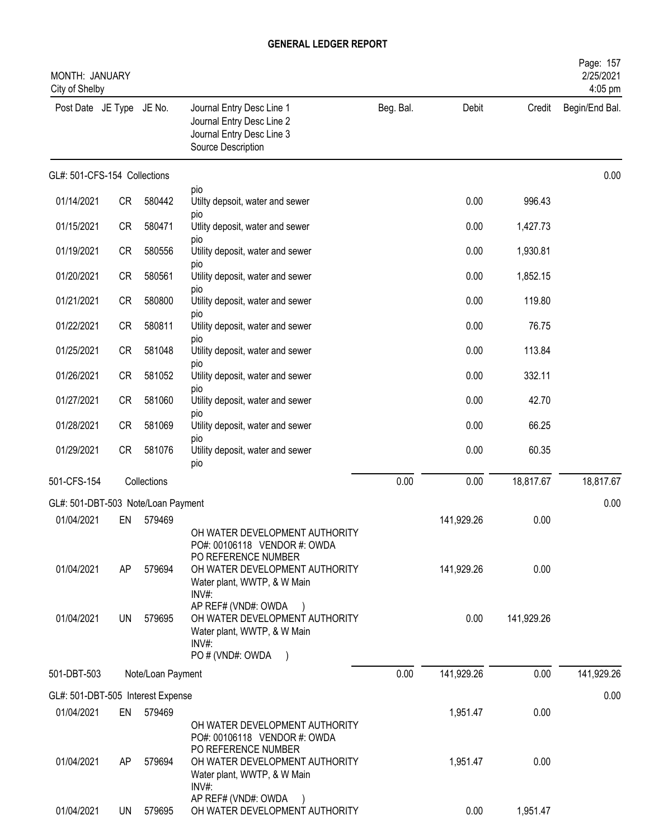| MONTH: JANUARY<br>City of Shelby   |           |                   |                                                                                                                      |           |            |            | Page: 157<br>2/25/2021<br>4:05 pm |
|------------------------------------|-----------|-------------------|----------------------------------------------------------------------------------------------------------------------|-----------|------------|------------|-----------------------------------|
| Post Date JE Type JE No.           |           |                   | Journal Entry Desc Line 1<br>Journal Entry Desc Line 2<br>Journal Entry Desc Line 3<br>Source Description            | Beg. Bal. | Debit      | Credit     | Begin/End Bal.                    |
| GL#: 501-CFS-154 Collections       |           |                   |                                                                                                                      |           |            |            | 0.00                              |
| 01/14/2021                         | CR        | 580442            | pio<br>Utilty depsoit, water and sewer                                                                               |           | 0.00       | 996.43     |                                   |
| 01/15/2021                         | <b>CR</b> | 580471            | DIO<br>Utlity deposit, water and sewer                                                                               |           | 0.00       | 1,427.73   |                                   |
| 01/19/2021                         | <b>CR</b> | 580556            | pio<br>Utility deposit, water and sewer                                                                              |           | 0.00       | 1,930.81   |                                   |
| 01/20/2021                         | <b>CR</b> | 580561            | pio<br>Utility deposit, water and sewer                                                                              |           | 0.00       | 1,852.15   |                                   |
| 01/21/2021                         | <b>CR</b> | 580800            | DIO<br>Utility deposit, water and sewer                                                                              |           | 0.00       | 119.80     |                                   |
| 01/22/2021                         | <b>CR</b> | 580811            | pio<br>Utility deposit, water and sewer                                                                              |           | 0.00       | 76.75      |                                   |
| 01/25/2021                         | <b>CR</b> | 581048            | pio<br>Utility deposit, water and sewer                                                                              |           | 0.00       | 113.84     |                                   |
| 01/26/2021                         | <b>CR</b> | 581052            | pio<br>Utility deposit, water and sewer                                                                              |           | 0.00       | 332.11     |                                   |
| 01/27/2021                         | <b>CR</b> | 581060            | pio<br>Utility deposit, water and sewer                                                                              |           | 0.00       | 42.70      |                                   |
| 01/28/2021                         | <b>CR</b> | 581069            | pio<br>Utility deposit, water and sewer                                                                              |           | 0.00       | 66.25      |                                   |
| 01/29/2021                         | <b>CR</b> | 581076            | <b>DIO</b><br>Utility deposit, water and sewer<br>pio                                                                |           | 0.00       | 60.35      |                                   |
| 501-CFS-154                        |           | Collections       |                                                                                                                      | 0.00      | 0.00       | 18,817.67  | 18,817.67                         |
| GL#: 501-DBT-503 Note/Loan Payment |           |                   |                                                                                                                      |           |            |            | 0.00                              |
| 01/04/2021                         | EN        | 579469            | OH WATER DEVELOPMENT AUTHORITY<br>PO#: 00106118 VENDOR #: OWDA                                                       |           | 141,929.26 | 0.00       |                                   |
| 01/04/2021                         | AP        | 579694            | PO REFERENCE NUMBER<br>OH WATER DEVELOPMENT AUTHORITY<br>Water plant, WWTP, & W Main<br>$INV#$ :                     |           | 141,929.26 | 0.00       |                                   |
| 01/04/2021                         | UN        | 579695            | AP REF# (VND#: OWDA<br>OH WATER DEVELOPMENT AUTHORITY<br>Water plant, WWTP, & W Main<br>$INV#$ :<br>PO # (VND#: OWDA |           | 0.00       | 141,929.26 |                                   |
| 501-DBT-503                        |           | Note/Loan Payment |                                                                                                                      | 0.00      | 141,929.26 | 0.00       | 141,929.26                        |
| GL#: 501-DBT-505 Interest Expense  |           |                   |                                                                                                                      |           |            |            | 0.00                              |
| 01/04/2021                         | EN        | 579469            | OH WATER DEVELOPMENT AUTHORITY<br>PO#: 00106118 VENDOR #: OWDA                                                       |           | 1,951.47   | 0.00       |                                   |
| 01/04/2021                         | AP.       | 579694            | PO REFERENCE NUMBER<br>OH WATER DEVELOPMENT AUTHORITY<br>Water plant, WWTP, & W Main<br>INV#:                        |           | 1,951.47   | 0.00       |                                   |
| 01/04/2021                         | UN        | 579695            | AP REF# (VND#: OWDA<br>OH WATER DEVELOPMENT AUTHORITY                                                                |           | 0.00       | 1,951.47   |                                   |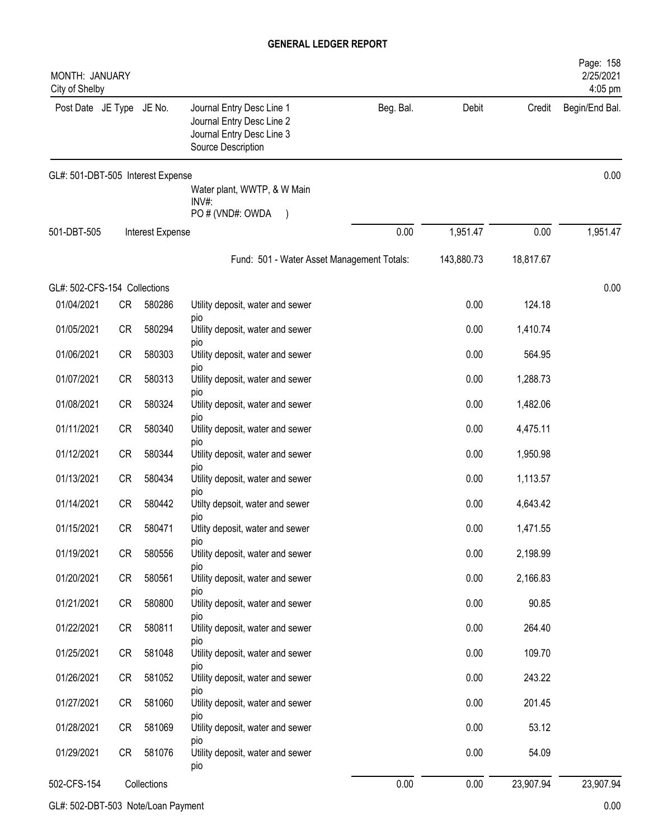| MONTH: JANUARY<br>City of Shelby  |           |                  |                                                                                                           |           |            |           | Page: 158<br>2/25/2021<br>$4:05$ pm |
|-----------------------------------|-----------|------------------|-----------------------------------------------------------------------------------------------------------|-----------|------------|-----------|-------------------------------------|
| Post Date JE Type JE No.          |           |                  | Journal Entry Desc Line 1<br>Journal Entry Desc Line 2<br>Journal Entry Desc Line 3<br>Source Description | Beg. Bal. | Debit      | Credit    | Begin/End Bal.                      |
| GL#: 501-DBT-505 Interest Expense |           |                  |                                                                                                           |           |            |           | 0.00                                |
|                                   |           |                  | Water plant, WWTP, & W Main<br>INV#:                                                                      |           |            |           |                                     |
|                                   |           |                  | PO # (VND#: OWDA                                                                                          |           |            |           |                                     |
| 501-DBT-505                       |           | Interest Expense |                                                                                                           | 0.00      | 1,951.47   | 0.00      | 1,951.47                            |
|                                   |           |                  | Fund: 501 - Water Asset Management Totals:                                                                |           | 143,880.73 | 18,817.67 |                                     |
| GL#: 502-CFS-154 Collections      |           |                  |                                                                                                           |           |            |           | 0.00                                |
| 01/04/2021                        | CR        | 580286           | Utility deposit, water and sewer                                                                          |           | 0.00       | 124.18    |                                     |
| 01/05/2021                        | <b>CR</b> | 580294           | pio<br>Utility deposit, water and sewer                                                                   |           | 0.00       | 1,410.74  |                                     |
| 01/06/2021                        | <b>CR</b> | 580303           | pio<br>Utility deposit, water and sewer                                                                   |           | 0.00       | 564.95    |                                     |
| 01/07/2021                        | <b>CR</b> | 580313           | pio<br>Utility deposit, water and sewer                                                                   |           | 0.00       | 1,288.73  |                                     |
| 01/08/2021                        | <b>CR</b> | 580324           | pio<br>Utility deposit, water and sewer                                                                   |           | 0.00       | 1,482.06  |                                     |
| 01/11/2021                        | <b>CR</b> | 580340           | pio<br>Utility deposit, water and sewer                                                                   |           | 0.00       | 4,475.11  |                                     |
| 01/12/2021                        | CR        | 580344           | <b>DIO</b><br>Utility deposit, water and sewer                                                            |           | 0.00       | 1,950.98  |                                     |
| 01/13/2021                        | <b>CR</b> | 580434           | <b>DIO</b><br>Utility deposit, water and sewer                                                            |           | 0.00       | 1,113.57  |                                     |
| 01/14/2021                        | <b>CR</b> | 580442           | pio<br>Utilty depsoit, water and sewer                                                                    |           | 0.00       | 4,643.42  |                                     |
|                                   |           |                  | pio                                                                                                       |           |            |           |                                     |
| 01/15/2021                        | <b>CR</b> | 580471           | Utlity deposit, water and sewer<br>pio                                                                    |           | 0.00       | 1,471.55  |                                     |
| 01/19/2021                        | <b>CR</b> | 580556           | Utility deposit, water and sewer<br>pio                                                                   |           | 0.00       | 2,198.99  |                                     |
| 01/20/2021                        | <b>CR</b> | 580561           | Utility deposit, water and sewer<br><b>DIO</b>                                                            |           | 0.00       | 2,166.83  |                                     |
| 01/21/2021                        | CR        | 580800           | Utility deposit, water and sewer                                                                          |           | 0.00       | 90.85     |                                     |
| 01/22/2021                        | CR        | 580811           | <b>DIO</b><br>Utility deposit, water and sewer                                                            |           | 0.00       | 264.40    |                                     |
| 01/25/2021                        | CR        | 581048           | pio<br>Utility deposit, water and sewer                                                                   |           | 0.00       | 109.70    |                                     |
| 01/26/2021                        | CR        | 581052           | pio<br>Utility deposit, water and sewer                                                                   |           | 0.00       | 243.22    |                                     |
| 01/27/2021                        | CR        | 581060           | pio<br>Utility deposit, water and sewer                                                                   |           | 0.00       | 201.45    |                                     |
| 01/28/2021                        | CR        | 581069           | pio<br>Utility deposit, water and sewer                                                                   |           | 0.00       | 53.12     |                                     |
| 01/29/2021                        | CR        | 581076           | pio<br>Utility deposit, water and sewer                                                                   |           | 0.00       | 54.09     |                                     |
|                                   |           |                  | pio                                                                                                       |           |            |           |                                     |
| 502-CFS-154                       |           | Collections      |                                                                                                           | 0.00      | 0.00       | 23,907.94 | 23,907.94                           |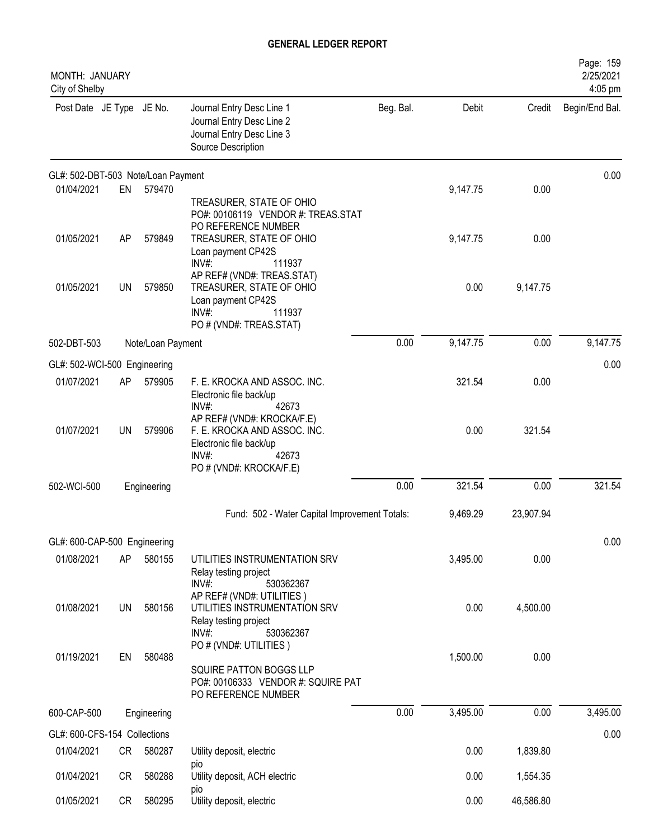| MONTH: JANUARY<br>City of Shelby   |           |                   |                                                                                                                                    |           |          |           | Page: 159<br>2/25/2021<br>4:05 pm |
|------------------------------------|-----------|-------------------|------------------------------------------------------------------------------------------------------------------------------------|-----------|----------|-----------|-----------------------------------|
| Post Date JE Type JE No.           |           |                   | Journal Entry Desc Line 1<br>Journal Entry Desc Line 2<br>Journal Entry Desc Line 3<br>Source Description                          | Beg. Bal. | Debit    | Credit    | Begin/End Bal.                    |
| GL#: 502-DBT-503 Note/Loan Payment |           |                   |                                                                                                                                    |           |          |           | 0.00                              |
| 01/04/2021                         | EN        | 579470            | TREASURER, STATE OF OHIO<br>PO#: 00106119 VENDOR #: TREAS.STAT<br>PO REFERENCE NUMBER                                              |           | 9,147.75 | 0.00      |                                   |
| 01/05/2021                         | AP        | 579849            | TREASURER, STATE OF OHIO<br>Loan payment CP42S<br>$INV#$ :<br>111937                                                               |           | 9,147.75 | 0.00      |                                   |
| 01/05/2021                         | UN        | 579850            | AP REF# (VND#: TREAS.STAT)<br>TREASURER, STATE OF OHIO<br>Loan payment CP42S<br>$INV#$ :<br>111937<br>PO # (VND#: TREAS.STAT)      |           | 0.00     | 9,147.75  |                                   |
| 502-DBT-503                        |           | Note/Loan Payment |                                                                                                                                    | 0.00      | 9,147.75 | 0.00      | 9,147.75                          |
| GL#: 502-WCI-500 Engineering       |           |                   |                                                                                                                                    |           |          |           | 0.00                              |
| 01/07/2021                         | AP        | 579905            | F. E. KROCKA AND ASSOC. INC.<br>Electronic file back/up<br>$INV#$ :<br>42673                                                       |           | 321.54   | 0.00      |                                   |
| 01/07/2021                         | UN        | 579906            | AP REF# (VND#: KROCKA/F.E)<br>F. E. KROCKA AND ASSOC. INC.<br>Electronic file back/up<br>INV#:<br>42673<br>PO # (VND#: KROCKA/F.E) |           | 0.00     | 321.54    |                                   |
| 502-WCI-500                        |           | Engineering       |                                                                                                                                    | 0.00      | 321.54   | 0.00      | 321.54                            |
|                                    |           |                   | Fund: 502 - Water Capital Improvement Totals:                                                                                      |           | 9,469.29 | 23,907.94 |                                   |
| GL#: 600-CAP-500 Engineering       |           |                   |                                                                                                                                    |           |          |           | 0.00                              |
| 01/08/2021                         | AP        | 580155            | UTILITIES INSTRUMENTATION SRV<br>Relay testing project<br>$INV#$ :<br>530362367                                                    |           | 3,495.00 | 0.00      |                                   |
| 01/08/2021                         | <b>UN</b> | 580156            | AP REF# (VND#: UTILITIES)<br>UTILITIES INSTRUMENTATION SRV<br>Relay testing project<br>INV#:<br>530362367                          |           | 0.00     | 4,500.00  |                                   |
| 01/19/2021                         | EN        | 580488            | PO # (VND#: UTILITIES)<br>SQUIRE PATTON BOGGS LLP<br>PO#: 00106333 VENDOR #: SQUIRE PAT<br>PO REFERENCE NUMBER                     |           | 1,500.00 | 0.00      |                                   |
| 600-CAP-500                        |           | Engineering       |                                                                                                                                    | 0.00      | 3,495.00 | 0.00      | 3,495.00                          |
| GL#: 600-CFS-154 Collections       |           |                   |                                                                                                                                    |           |          |           | 0.00                              |
| 01/04/2021                         | CR        | 580287            | Utility deposit, electric                                                                                                          |           | 0.00     | 1,839.80  |                                   |
| 01/04/2021                         | CR        | 580288            | pio<br>Utility deposit, ACH electric                                                                                               |           | 0.00     | 1,554.35  |                                   |
| 01/05/2021                         | CR        | 580295            | pio<br>Utility deposit, electric                                                                                                   |           | 0.00     | 46,586.80 |                                   |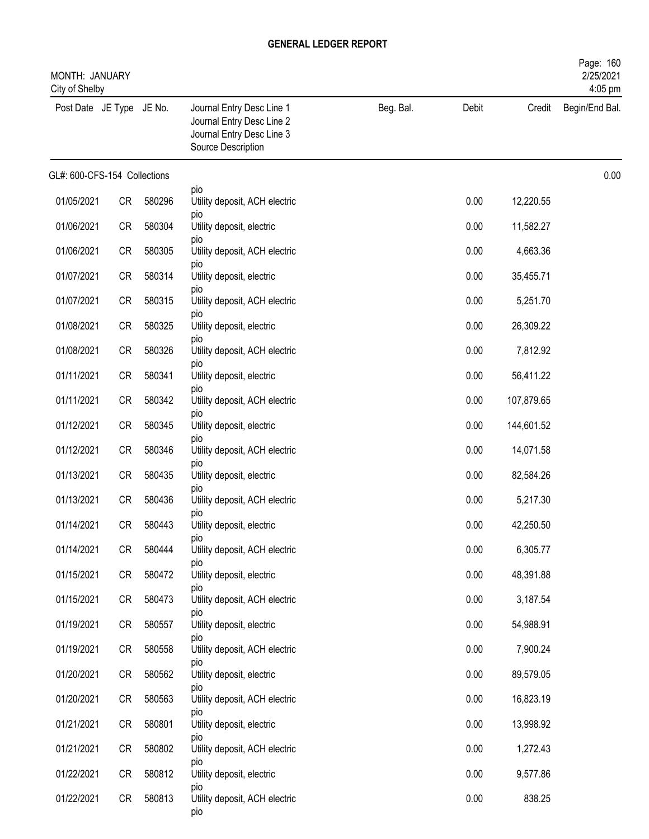| MONTH: JANUARY<br>City of Shelby |           |        |                                                                                                           |           |       |            | Page: 160<br>2/25/2021<br>4:05 pm |
|----------------------------------|-----------|--------|-----------------------------------------------------------------------------------------------------------|-----------|-------|------------|-----------------------------------|
| Post Date JE Type JE No.         |           |        | Journal Entry Desc Line 1<br>Journal Entry Desc Line 2<br>Journal Entry Desc Line 3<br>Source Description | Beg. Bal. | Debit | Credit     | Begin/End Bal.                    |
| GL#: 600-CFS-154 Collections     |           |        |                                                                                                           |           |       |            | 0.00                              |
| 01/05/2021                       | CR        | 580296 | pio<br>Utility deposit, ACH electric                                                                      |           | 0.00  | 12,220.55  |                                   |
| 01/06/2021                       | CR        | 580304 | pio<br>Utility deposit, electric                                                                          |           | 0.00  | 11,582.27  |                                   |
| 01/06/2021                       | CR        | 580305 | pio<br>Utility deposit, ACH electric                                                                      |           | 0.00  | 4,663.36   |                                   |
| 01/07/2021                       | CR        | 580314 | pio<br>Utility deposit, electric                                                                          |           | 0.00  | 35,455.71  |                                   |
| 01/07/2021                       | <b>CR</b> | 580315 | pio<br>Utility deposit, ACH electric                                                                      |           | 0.00  | 5,251.70   |                                   |
| 01/08/2021                       | <b>CR</b> | 580325 | pio<br>Utility deposit, electric                                                                          |           | 0.00  | 26,309.22  |                                   |
| 01/08/2021                       | CR        | 580326 | pio<br>Utility deposit, ACH electric                                                                      |           | 0.00  | 7,812.92   |                                   |
| 01/11/2021                       | CR        | 580341 | pio<br>Utility deposit, electric                                                                          |           | 0.00  | 56,411.22  |                                   |
| 01/11/2021                       | CR        | 580342 | pio<br>Utility deposit, ACH electric                                                                      |           | 0.00  | 107,879.65 |                                   |
| 01/12/2021                       | <b>CR</b> | 580345 | pio<br>Utility deposit, electric                                                                          |           | 0.00  | 144,601.52 |                                   |
| 01/12/2021                       | <b>CR</b> | 580346 | pio<br>Utility deposit, ACH electric                                                                      |           | 0.00  | 14,071.58  |                                   |
| 01/13/2021                       | <b>CR</b> | 580435 | pio<br>Utility deposit, electric                                                                          |           | 0.00  | 82,584.26  |                                   |
| 01/13/2021                       | CR        | 580436 | pio<br>Utility deposit, ACH electric                                                                      |           | 0.00  | 5,217.30   |                                   |
| 01/14/2021                       | CR        | 580443 | pio<br>Utility deposit, electric                                                                          |           | 0.00  | 42,250.50  |                                   |
| 01/14/2021                       | CR        | 580444 | pio<br>Utility deposit, ACH electric                                                                      |           | 0.00  | 6,305.77   |                                   |
| 01/15/2021                       | CR        | 580472 | pio<br>Utility deposit, electric                                                                          |           | 0.00  | 48,391.88  |                                   |
| 01/15/2021                       | CR        | 580473 | pio<br>Utility deposit, ACH electric                                                                      |           | 0.00  | 3,187.54   |                                   |
| 01/19/2021                       | CR        | 580557 | pio<br>Utility deposit, electric                                                                          |           | 0.00  | 54,988.91  |                                   |
| 01/19/2021                       | CR        | 580558 | pio<br>Utility deposit, ACH electric                                                                      |           | 0.00  | 7,900.24   |                                   |
| 01/20/2021                       | CR        | 580562 | pio<br>Utility deposit, electric                                                                          |           | 0.00  | 89,579.05  |                                   |
| 01/20/2021                       | CR        | 580563 | pio<br>Utility deposit, ACH electric                                                                      |           | 0.00  | 16,823.19  |                                   |
| 01/21/2021                       | CR        | 580801 | pio<br>Utility deposit, electric                                                                          |           | 0.00  | 13,998.92  |                                   |
| 01/21/2021                       | CR        | 580802 | pio<br>Utility deposit, ACH electric                                                                      |           | 0.00  | 1,272.43   |                                   |
| 01/22/2021                       | CR        | 580812 | pio<br>Utility deposit, electric                                                                          |           | 0.00  | 9,577.86   |                                   |
| 01/22/2021                       | CR        | 580813 | pio<br>Utility deposit, ACH electric<br>pio                                                               |           | 0.00  | 838.25     |                                   |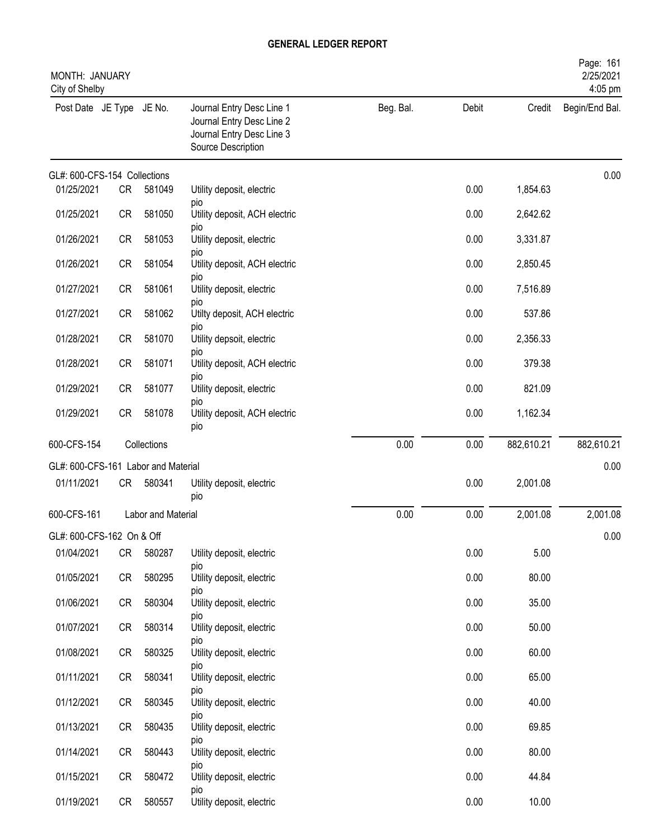| MONTH: JANUARY<br>City of Shelby    |           |                    |                                                                                                           |           |       |            | Page: 161<br>2/25/2021<br>4:05 pm |
|-------------------------------------|-----------|--------------------|-----------------------------------------------------------------------------------------------------------|-----------|-------|------------|-----------------------------------|
| Post Date JE Type JE No.            |           |                    | Journal Entry Desc Line 1<br>Journal Entry Desc Line 2<br>Journal Entry Desc Line 3<br>Source Description | Beg. Bal. | Debit | Credit     | Begin/End Bal.                    |
| GL#: 600-CFS-154 Collections        |           |                    |                                                                                                           |           |       |            | 0.00                              |
| 01/25/2021                          | CR        | 581049             | Utility deposit, electric<br>pio                                                                          |           | 0.00  | 1,854.63   |                                   |
| 01/25/2021                          | CR        | 581050             | Utility deposit, ACH electric<br>pio                                                                      |           | 0.00  | 2,642.62   |                                   |
| 01/26/2021                          | <b>CR</b> | 581053             | Utility deposit, electric                                                                                 |           | 0.00  | 3,331.87   |                                   |
| 01/26/2021                          | CR        | 581054             | pio<br>Utility deposit, ACH electric                                                                      |           | 0.00  | 2,850.45   |                                   |
| 01/27/2021                          | CR        | 581061             | pio<br>Utility deposit, electric                                                                          |           | 0.00  | 7,516.89   |                                   |
| 01/27/2021                          | CR        | 581062             | <b>DIO</b><br>Utilty deposit, ACH electric                                                                |           | 0.00  | 537.86     |                                   |
| 01/28/2021                          | CR        | 581070             | pio<br>Utility depsoit, electric                                                                          |           | 0.00  | 2,356.33   |                                   |
| 01/28/2021                          | CR        | 581071             | pio<br>Utility deposit, ACH electric                                                                      |           | 0.00  | 379.38     |                                   |
| 01/29/2021                          | <b>CR</b> | 581077             | pio<br>Utility deposit, electric                                                                          |           | 0.00  | 821.09     |                                   |
| 01/29/2021                          | CR        | 581078             | pio<br>Utility deposit, ACH electric<br>pio                                                               |           | 0.00  | 1,162.34   |                                   |
| 600-CFS-154                         |           | Collections        |                                                                                                           | 0.00      | 0.00  | 882,610.21 | 882,610.21                        |
| GL#: 600-CFS-161 Labor and Material |           |                    |                                                                                                           |           |       |            | 0.00                              |
| 01/11/2021                          | CR        | 580341             | Utility deposit, electric<br>pio                                                                          |           | 0.00  | 2,001.08   |                                   |
| 600-CFS-161                         |           | Labor and Material |                                                                                                           | 0.00      | 0.00  | 2,001.08   | 2,001.08                          |
| GL#: 600-CFS-162 On & Off           |           |                    |                                                                                                           |           |       |            | 0.00                              |
| 01/04/2021                          | CR        | 580287             | Utility deposit, electric                                                                                 |           | 0.00  | 5.00       |                                   |
| 01/05/2021                          | CR        | 580295             | pio<br>Utility deposit, electric                                                                          |           | 0.00  | 80.00      |                                   |
| 01/06/2021                          | CR        | 580304             | pio<br>Utility deposit, electric                                                                          |           | 0.00  | 35.00      |                                   |
| 01/07/2021                          | CR        | 580314             | pio<br>Utility deposit, electric                                                                          |           | 0.00  | 50.00      |                                   |
| 01/08/2021                          | CR        | 580325             | pio<br>Utility deposit, electric                                                                          |           | 0.00  | 60.00      |                                   |
| 01/11/2021                          | CR        | 580341             | pio<br>Utility deposit, electric                                                                          |           | 0.00  | 65.00      |                                   |
| 01/12/2021                          | CR        | 580345             | pio<br>Utility deposit, electric                                                                          |           | 0.00  | 40.00      |                                   |
| 01/13/2021                          | CR        | 580435             | <b>DIO</b><br>Utility deposit, electric                                                                   |           | 0.00  | 69.85      |                                   |
| 01/14/2021                          | CR        | 580443             | pio<br>Utility deposit, electric                                                                          |           | 0.00  | 80.00      |                                   |
| 01/15/2021                          | CR        | 580472             | pio<br>Utility deposit, electric                                                                          |           | 0.00  | 44.84      |                                   |
| 01/19/2021                          | CR        | 580557             | pio<br>Utility deposit, electric                                                                          |           | 0.00  | 10.00      |                                   |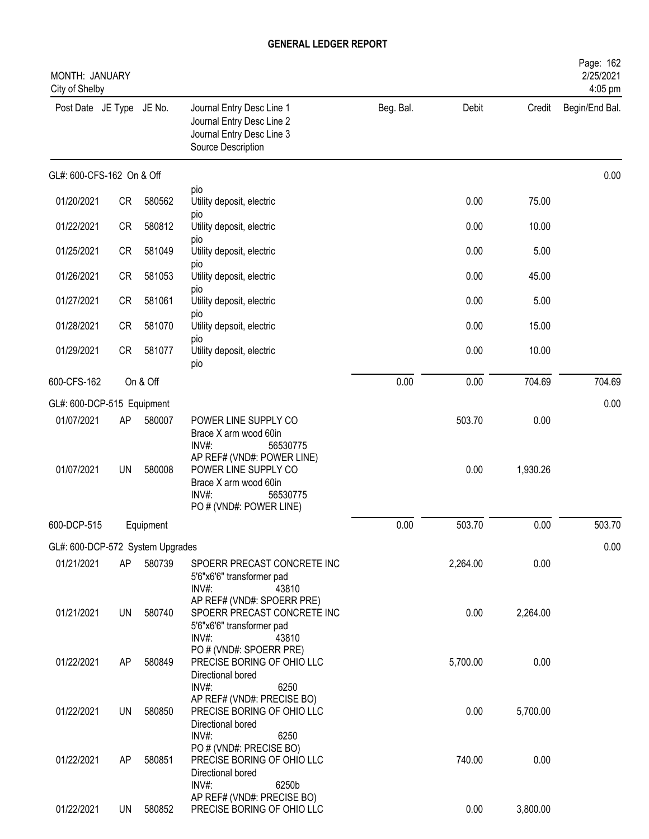| MONTH: JANUARY<br>City of Shelby |           |           |                                                                                                                             |           |          |          | Page: 162<br>2/25/2021<br>4:05 pm |
|----------------------------------|-----------|-----------|-----------------------------------------------------------------------------------------------------------------------------|-----------|----------|----------|-----------------------------------|
| Post Date JE Type JE No.         |           |           | Journal Entry Desc Line 1<br>Journal Entry Desc Line 2<br>Journal Entry Desc Line 3<br>Source Description                   | Beg. Bal. | Debit    | Credit   | Begin/End Bal.                    |
| GL#: 600-CFS-162 On & Off        |           |           |                                                                                                                             |           |          |          | 0.00                              |
| 01/20/2021                       | <b>CR</b> | 580562    | pio<br>Utility deposit, electric                                                                                            |           | 0.00     | 75.00    |                                   |
| 01/22/2021                       | <b>CR</b> | 580812    | pio<br>Utility deposit, electric                                                                                            |           | 0.00     | 10.00    |                                   |
| 01/25/2021                       | <b>CR</b> | 581049    | pio<br>Utility deposit, electric                                                                                            |           | 0.00     | 5.00     |                                   |
| 01/26/2021                       | <b>CR</b> | 581053    | pio<br>Utility deposit, electric                                                                                            |           | 0.00     | 45.00    |                                   |
| 01/27/2021                       | <b>CR</b> | 581061    | <b>DIO</b><br>Utility deposit, electric                                                                                     |           | 0.00     | 5.00     |                                   |
| 01/28/2021                       | <b>CR</b> | 581070    | pio<br>Utility depsoit, electric                                                                                            |           | 0.00     | 15.00    |                                   |
| 01/29/2021                       | <b>CR</b> | 581077    | pio<br>Utility deposit, electric<br>pio                                                                                     |           | 0.00     | 10.00    |                                   |
| 600-CFS-162                      |           | On & Off  |                                                                                                                             | 0.00      | 0.00     | 704.69   | 704.69                            |
| GL#: 600-DCP-515 Equipment       |           |           |                                                                                                                             |           |          |          | 0.00                              |
| 01/07/2021                       | AP        | 580007    | POWER LINE SUPPLY CO<br>Brace X arm wood 60in<br>INV#:<br>56530775                                                          |           | 503.70   | 0.00     |                                   |
| 01/07/2021                       | <b>UN</b> | 580008    | AP REF# (VND#: POWER LINE)<br>POWER LINE SUPPLY CO<br>Brace X arm wood 60in<br>INV#:<br>56530775<br>PO # (VND#: POWER LINE) |           | 0.00     | 1,930.26 |                                   |
| 600-DCP-515                      |           | Equipment |                                                                                                                             | 0.00      | 503.70   | 0.00     | 503.70                            |
| GL#: 600-DCP-572 System Upgrades |           |           |                                                                                                                             |           |          |          | 0.00                              |
| 01/21/2021                       | AP        | 580739    | SPOERR PRECAST CONCRETE INC<br>5'6"x6'6" transformer pad<br>INV#:<br>43810                                                  |           | 2,264.00 | 0.00     |                                   |
| 01/21/2021                       | UN        | 580740    | AP REF# (VND#: SPOERR PRE)<br>SPOERR PRECAST CONCRETE INC<br>5'6"x6'6" transformer pad<br>INV#:<br>43810                    |           | 0.00     | 2,264.00 |                                   |
| 01/22/2021                       | AP        | 580849    | PO # (VND#: SPOERR PRE)<br>PRECISE BORING OF OHIO LLC<br>Directional bored<br>INV#:<br>6250                                 |           | 5,700.00 | 0.00     |                                   |
| 01/22/2021                       | UN        | 580850    | AP REF# (VND#: PRECISE BO)<br>PRECISE BORING OF OHIO LLC<br>Directional bored                                               |           | 0.00     | 5,700.00 |                                   |
| 01/22/2021                       | AP        | 580851    | INV#:<br>6250<br>PO # (VND#: PRECISE BO)<br>PRECISE BORING OF OHIO LLC<br>Directional bored<br>INV#:<br>6250b               |           | 740.00   | 0.00     |                                   |
| 01/22/2021                       | <b>UN</b> | 580852    | AP REF# (VND#: PRECISE BO)<br>PRECISE BORING OF OHIO LLC                                                                    |           | 0.00     | 3,800.00 |                                   |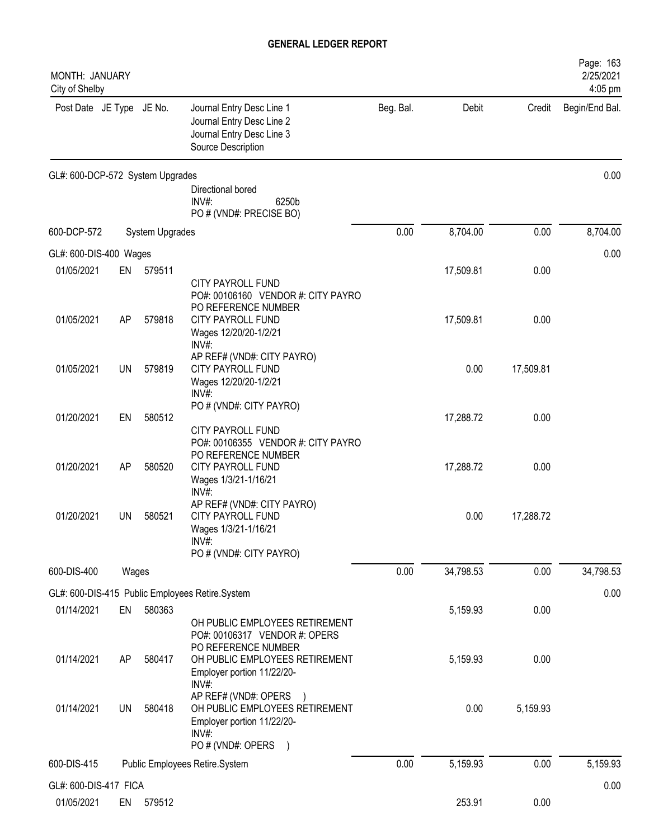| MONTH: JANUARY<br>City of Shelby    |       |                 |                                                                                                                    |           |           |           | Page: 163<br>2/25/2021<br>4:05 pm |
|-------------------------------------|-------|-----------------|--------------------------------------------------------------------------------------------------------------------|-----------|-----------|-----------|-----------------------------------|
| Post Date JE Type JE No.            |       |                 | Journal Entry Desc Line 1<br>Journal Entry Desc Line 2<br>Journal Entry Desc Line 3<br>Source Description          | Beg. Bal. | Debit     | Credit    | Begin/End Bal.                    |
| GL#: 600-DCP-572 System Upgrades    |       |                 | Directional bored                                                                                                  |           |           |           | 0.00                              |
|                                     |       |                 | $INV#$ :<br>6250b<br>PO # (VND#: PRECISE BO)                                                                       |           |           |           |                                   |
| 600-DCP-572                         |       | System Upgrades |                                                                                                                    | 0.00      | 8,704.00  | 0.00      | 8,704.00                          |
| GL#: 600-DIS-400 Wages              |       |                 |                                                                                                                    |           |           |           | 0.00                              |
| 01/05/2021                          | EN    | 579511          | <b>CITY PAYROLL FUND</b><br>PO#: 00106160 VENDOR #: CITY PAYRO                                                     |           | 17,509.81 | 0.00      |                                   |
| 01/05/2021                          | AP    | 579818          | PO REFERENCE NUMBER<br><b>CITY PAYROLL FUND</b><br>Wages 12/20/20-1/2/21<br>$INV#$ :                               |           | 17,509.81 | 0.00      |                                   |
| 01/05/2021                          | UN    | 579819          | AP REF# (VND#: CITY PAYRO)<br><b>CITY PAYROLL FUND</b><br>Wages 12/20/20-1/2/21<br>$INV#$ :                        |           | 0.00      | 17,509.81 |                                   |
| 01/20/2021                          | EN    | 580512          | PO # (VND#: CITY PAYRO)<br>CITY PAYROLL FUND                                                                       |           | 17,288.72 | 0.00      |                                   |
| 01/20/2021                          | AP    | 580520          | PO#: 00106355 VENDOR #: CITY PAYRO<br>PO REFERENCE NUMBER<br>CITY PAYROLL FUND<br>Wages 1/3/21-1/16/21<br>INV#:    |           | 17,288.72 | 0.00      |                                   |
| 01/20/2021                          | UN    | 580521          | AP REF# (VND#: CITY PAYRO)<br><b>CITY PAYROLL FUND</b><br>Wages 1/3/21-1/16/21<br>INV#:<br>PO # (VND#: CITY PAYRO) |           | 0.00      | 17,288.72 |                                   |
| 600-DIS-400                         | Wages |                 |                                                                                                                    | 0.00      | 34,798.53 | 0.00      | 34,798.53                         |
|                                     |       |                 | GL#: 600-DIS-415 Public Employees Retire.System                                                                    |           |           |           | 0.00                              |
| 01/14/2021                          | EN    | 580363          |                                                                                                                    |           | 5,159.93  | 0.00      |                                   |
|                                     |       |                 | OH PUBLIC EMPLOYEES RETIREMENT<br>PO#: 00106317 VENDOR #: OPERS<br>PO REFERENCE NUMBER                             |           |           |           |                                   |
| 01/14/2021                          | AP    | 580417          | OH PUBLIC EMPLOYEES RETIREMENT<br>Employer portion 11/22/20-<br>INV#:                                              |           | 5,159.93  | 0.00      |                                   |
| 01/14/2021                          | UN    | 580418          | AP REF# (VND#: OPERS<br>OH PUBLIC EMPLOYEES RETIREMENT<br>Employer portion 11/22/20-<br>INV#:<br>PO # (VND#: OPERS |           | 0.00      | 5,159.93  |                                   |
| 600-DIS-415                         |       |                 | Public Employees Retire.System                                                                                     | 0.00      | 5,159.93  | 0.00      | 5,159.93                          |
|                                     |       |                 |                                                                                                                    |           |           |           |                                   |
| GL#: 600-DIS-417 FICA<br>01/05/2021 | EN    | 579512          |                                                                                                                    |           | 253.91    | 0.00      | 0.00                              |
|                                     |       |                 |                                                                                                                    |           |           |           |                                   |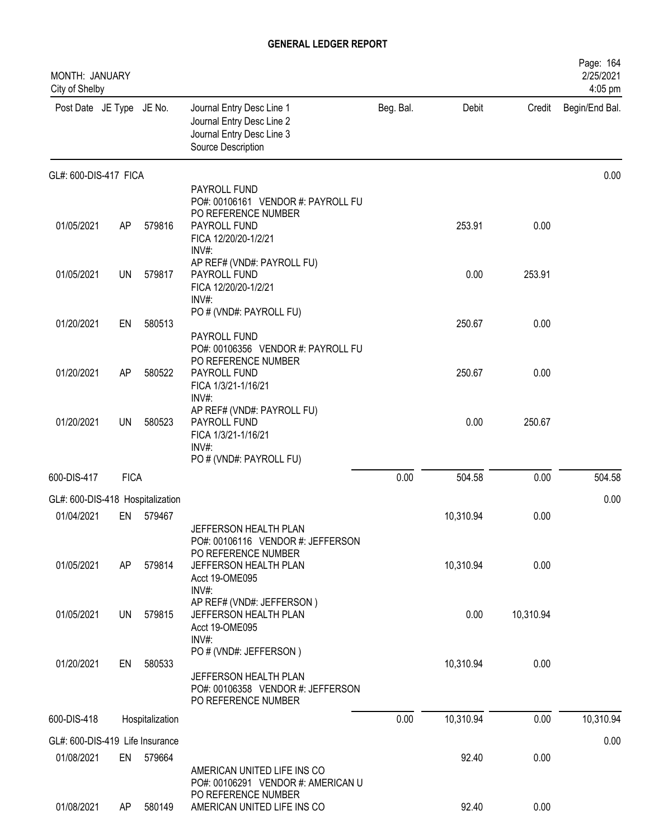| <b>MONTH: JANUARY</b><br>City of Shelby |             |                 |                                                                                                                                       |           |           |           | Page: 164<br>2/25/2021<br>4:05 pm |
|-----------------------------------------|-------------|-----------------|---------------------------------------------------------------------------------------------------------------------------------------|-----------|-----------|-----------|-----------------------------------|
| Post Date JE Type JE No.                |             |                 | Journal Entry Desc Line 1<br>Journal Entry Desc Line 2<br>Journal Entry Desc Line 3<br>Source Description                             | Beg. Bal. | Debit     | Credit    | Begin/End Bal.                    |
| GL#: 600-DIS-417 FICA                   |             |                 |                                                                                                                                       |           |           |           | 0.00                              |
| 01/05/2021                              | AP          | 579816          | PAYROLL FUND<br>PO#: 00106161 VENDOR #: PAYROLL FU<br>PO REFERENCE NUMBER<br>PAYROLL FUND<br>FICA 12/20/20-1/2/21                     |           | 253.91    | 0.00      |                                   |
| 01/05/2021                              | UN          | 579817          | $INV#$ :<br>AP REF# (VND#: PAYROLL FU)<br>PAYROLL FUND<br>FICA 12/20/20-1/2/21<br>INV#:                                               |           | 0.00      | 253.91    |                                   |
| 01/20/2021                              | EN          | 580513          | PO # (VND#: PAYROLL FU)<br>PAYROLL FUND                                                                                               |           | 250.67    | 0.00      |                                   |
| 01/20/2021                              | AP          | 580522          | PO#: 00106356 VENDOR #: PAYROLL FU<br>PO REFERENCE NUMBER<br>PAYROLL FUND<br>FICA 1/3/21-1/16/21<br>INV#:                             |           | 250.67    | 0.00      |                                   |
| 01/20/2021                              | UN          | 580523          | AP REF# (VND#: PAYROLL FU)<br>PAYROLL FUND<br>FICA 1/3/21-1/16/21<br>INV#:<br>PO # (VND#: PAYROLL FU)                                 |           | 0.00      | 250.67    |                                   |
| 600-DIS-417                             | <b>FICA</b> |                 |                                                                                                                                       | 0.00      | 504.58    | 0.00      | 504.58                            |
| GL#: 600-DIS-418 Hospitalization        |             |                 |                                                                                                                                       |           |           |           | 0.00                              |
| 01/04/2021                              | EN          | 579467          |                                                                                                                                       |           | 10,310.94 | 0.00      |                                   |
| 01/05/2021                              | AP          | 579814          | JEFFERSON HEALTH PLAN<br>PO#: 00106116 VENDOR #: JEFFERSON<br>PO REFERENCE NUMBER<br>JEFFERSON HEALTH PLAN<br>Acct 19-OME095<br>INV#: |           | 10,310.94 | 0.00      |                                   |
| 01/05/2021                              | UN          | 579815          | AP REF# (VND#: JEFFERSON)<br>JEFFERSON HEALTH PLAN<br>Acct 19-OME095<br>$INV#$ :                                                      |           | 0.00      | 10,310.94 |                                   |
| 01/20/2021                              | EN          | 580533          | PO # (VND#: JEFFERSON)<br>JEFFERSON HEALTH PLAN<br>PO#: 00106358 VENDOR #: JEFFERSON<br>PO REFERENCE NUMBER                           |           | 10,310.94 | 0.00      |                                   |
| 600-DIS-418                             |             | Hospitalization |                                                                                                                                       | 0.00      | 10,310.94 | 0.00      | 10,310.94                         |
| GL#: 600-DIS-419 Life Insurance         |             |                 |                                                                                                                                       |           |           |           | 0.00                              |
| 01/08/2021                              |             | EN 579664       | AMERICAN UNITED LIFE INS CO<br>PO#: 00106291 VENDOR #: AMERICAN U                                                                     |           | 92.40     | 0.00      |                                   |
| 01/08/2021                              | AP.         | 580149          | PO REFERENCE NUMBER<br>AMERICAN UNITED LIFE INS CO                                                                                    |           | 92.40     | 0.00      |                                   |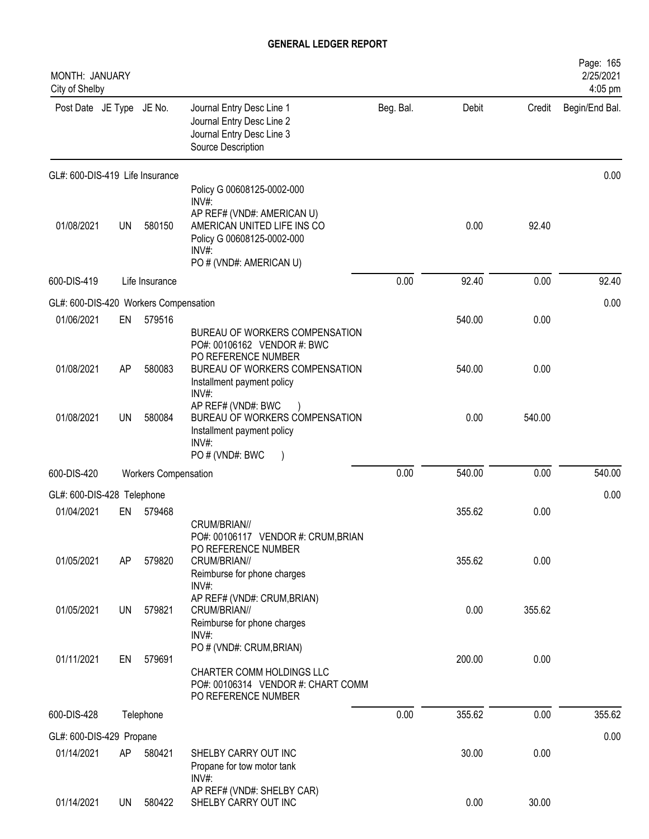| MONTH: JANUARY<br>City of Shelby      |           |                             |                                                                                                                                                                   |           |        |        | Page: 165<br>2/25/2021<br>4:05 pm |
|---------------------------------------|-----------|-----------------------------|-------------------------------------------------------------------------------------------------------------------------------------------------------------------|-----------|--------|--------|-----------------------------------|
| Post Date JE Type JE No.              |           |                             | Journal Entry Desc Line 1<br>Journal Entry Desc Line 2<br>Journal Entry Desc Line 3<br>Source Description                                                         | Beg. Bal. | Debit  | Credit | Begin/End Bal.                    |
| GL#: 600-DIS-419 Life Insurance       |           |                             |                                                                                                                                                                   |           |        |        | 0.00                              |
| 01/08/2021                            | <b>UN</b> | 580150                      | Policy G 00608125-0002-000<br>INV#:<br>AP REF# (VND#: AMERICAN U)<br>AMERICAN UNITED LIFE INS CO<br>Policy G 00608125-0002-000<br>INV#<br>PO # (VND#: AMERICAN U) |           | 0.00   | 92.40  |                                   |
| 600-DIS-419                           |           | Life Insurance              |                                                                                                                                                                   | 0.00      | 92.40  | 0.00   | 92.40                             |
| GL#: 600-DIS-420 Workers Compensation |           |                             |                                                                                                                                                                   |           |        |        | 0.00                              |
| 01/06/2021                            | EN        | 579516                      | BUREAU OF WORKERS COMPENSATION<br>PO#: 00106162 VENDOR #: BWC                                                                                                     |           | 540.00 | 0.00   |                                   |
| 01/08/2021                            | AP        | 580083                      | PO REFERENCE NUMBER<br>BUREAU OF WORKERS COMPENSATION<br>Installment payment policy<br>INV#:                                                                      |           | 540.00 | 0.00   |                                   |
| 01/08/2021                            | <b>UN</b> | 580084                      | AP REF# (VND#: BWC<br>BUREAU OF WORKERS COMPENSATION<br>Installment payment policy<br>$INV#$ :<br>PO#(VND#: BWC<br>$\rightarrow$                                  |           | 0.00   | 540.00 |                                   |
| 600-DIS-420                           |           | <b>Workers Compensation</b> |                                                                                                                                                                   | 0.00      | 540.00 | 0.00   | 540.00                            |
| GL#: 600-DIS-428 Telephone            |           |                             |                                                                                                                                                                   |           |        |        | 0.00                              |
| 01/04/2021                            | EN        | 579468                      |                                                                                                                                                                   |           | 355.62 | 0.00   |                                   |
| 01/05/2021                            | AP        | 579820                      | CRUM/BRIAN//<br>PO#: 00106117 VENDOR #: CRUM, BRIAN<br>PO REFERENCE NUMBER<br>CRUM/BRIAN//<br>Reimburse for phone charges<br>$INV#$ :                             |           | 355.62 | 0.00   |                                   |
| 01/05/2021                            | UN        | 579821                      | AP REF# (VND#: CRUM, BRIAN)<br>CRUM/BRIAN//<br>Reimburse for phone charges<br>$INV#$ :                                                                            |           | 0.00   | 355.62 |                                   |
| 01/11/2021                            | EN        | 579691                      | PO # (VND#: CRUM, BRIAN)<br>CHARTER COMM HOLDINGS LLC<br>PO#: 00106314 VENDOR #: CHART COMM<br>PO REFERENCE NUMBER                                                |           | 200.00 | 0.00   |                                   |
| 600-DIS-428                           |           | Telephone                   |                                                                                                                                                                   | 0.00      | 355.62 | 0.00   | 355.62                            |
| GL#: 600-DIS-429 Propane              |           |                             |                                                                                                                                                                   |           |        |        | 0.00                              |
| 01/14/2021                            | AP        | 580421                      | SHELBY CARRY OUT INC<br>Propane for tow motor tank<br>$INV#$ :                                                                                                    |           | 30.00  | 0.00   |                                   |
| 01/14/2021                            | UN        | 580422                      | AP REF# (VND#: SHELBY CAR)<br>SHELBY CARRY OUT INC                                                                                                                |           | 0.00   | 30.00  |                                   |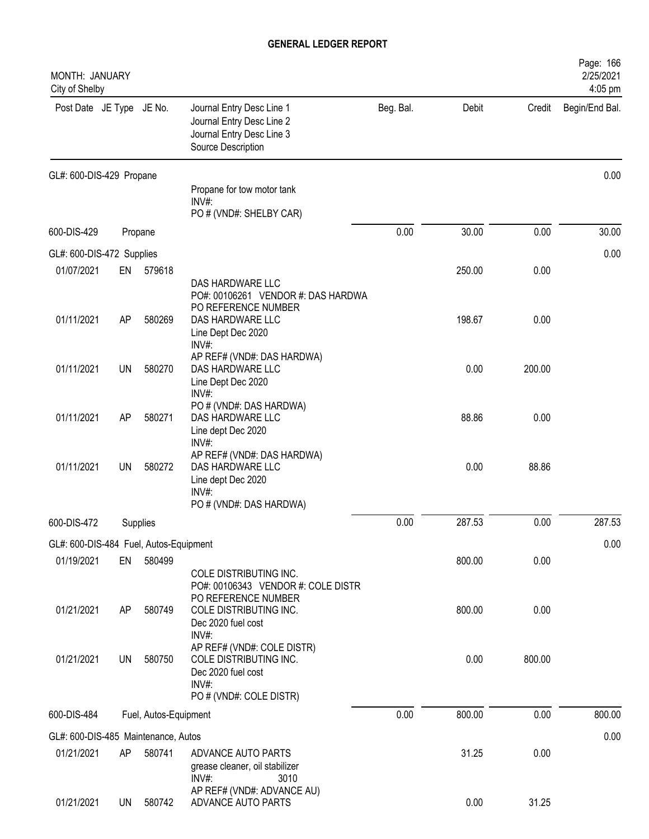| MONTH: JANUARY<br>City of Shelby       |           |                       |                                                                                                                       |           |        |        | Page: 166<br>2/25/2021<br>4:05 pm |
|----------------------------------------|-----------|-----------------------|-----------------------------------------------------------------------------------------------------------------------|-----------|--------|--------|-----------------------------------|
| Post Date JE Type JE No.               |           |                       | Journal Entry Desc Line 1<br>Journal Entry Desc Line 2<br>Journal Entry Desc Line 3<br>Source Description             | Beg. Bal. | Debit  | Credit | Begin/End Bal.                    |
| GL#: 600-DIS-429 Propane               |           |                       |                                                                                                                       |           |        |        | 0.00                              |
|                                        |           |                       | Propane for tow motor tank<br>$INV#$ :<br>PO # (VND#: SHELBY CAR)                                                     |           |        |        |                                   |
| 600-DIS-429                            |           | Propane               |                                                                                                                       | 0.00      | 30.00  | 0.00   | 30.00                             |
| GL#: 600-DIS-472 Supplies              |           |                       |                                                                                                                       |           |        |        | 0.00                              |
| 01/07/2021                             | EN        | 579618                | DAS HARDWARE LLC<br>PO#: 00106261 VENDOR #: DAS HARDWA                                                                |           | 250.00 | 0.00   |                                   |
| 01/11/2021                             | AP        | 580269                | PO REFERENCE NUMBER<br>DAS HARDWARE LLC<br>Line Dept Dec 2020<br>INV#:                                                |           | 198.67 | 0.00   |                                   |
| 01/11/2021                             | <b>UN</b> | 580270                | AP REF# (VND#: DAS HARDWA)<br>DAS HARDWARE LLC<br>Line Dept Dec 2020<br>INV#:                                         |           | 0.00   | 200.00 |                                   |
| 01/11/2021                             | AP        | 580271                | PO # (VND#: DAS HARDWA)<br>DAS HARDWARE LLC<br>Line dept Dec 2020                                                     |           | 88.86  | 0.00   |                                   |
| 01/11/2021                             | <b>UN</b> | 580272                | INV#:<br>AP REF# (VND#: DAS HARDWA)<br>DAS HARDWARE LLC<br>Line dept Dec 2020<br>$INV#$ :<br>PO # (VND#: DAS HARDWA)  |           | 0.00   | 88.86  |                                   |
| 600-DIS-472                            |           | Supplies              |                                                                                                                       | 0.00      | 287.53 | 0.00   | 287.53                            |
| GL#: 600-DIS-484 Fuel, Autos-Equipment |           |                       |                                                                                                                       |           |        |        | 0.00                              |
| 01/19/2021                             | EN        | 580499                | COLE DISTRIBUTING INC.                                                                                                |           | 800.00 | 0.00   |                                   |
| 01/21/2021                             | AP        | 580749                | PO#: 00106343 VENDOR #: COLE DISTR<br>PO REFERENCE NUMBER<br>COLE DISTRIBUTING INC.<br>Dec 2020 fuel cost<br>$INV#$ : |           | 800.00 | 0.00   |                                   |
| 01/21/2021                             | UN        | 580750                | AP REF# (VND#: COLE DISTR)<br>COLE DISTRIBUTING INC.<br>Dec 2020 fuel cost<br>INV#:<br>PO # (VND#: COLE DISTR)        |           | 0.00   | 800.00 |                                   |
| 600-DIS-484                            |           | Fuel, Autos-Equipment |                                                                                                                       | 0.00      | 800.00 | 0.00   | 800.00                            |
| GL#: 600-DIS-485 Maintenance, Autos    |           |                       |                                                                                                                       |           |        |        | 0.00                              |
| 01/21/2021                             | AP        | 580741                | ADVANCE AUTO PARTS<br>grease cleaner, oil stabilizer<br>$INV#$ :<br>3010                                              |           | 31.25  | 0.00   |                                   |
| 01/21/2021                             | UN        | 580742                | AP REF# (VND#: ADVANCE AU)<br>ADVANCE AUTO PARTS                                                                      |           | 0.00   | 31.25  |                                   |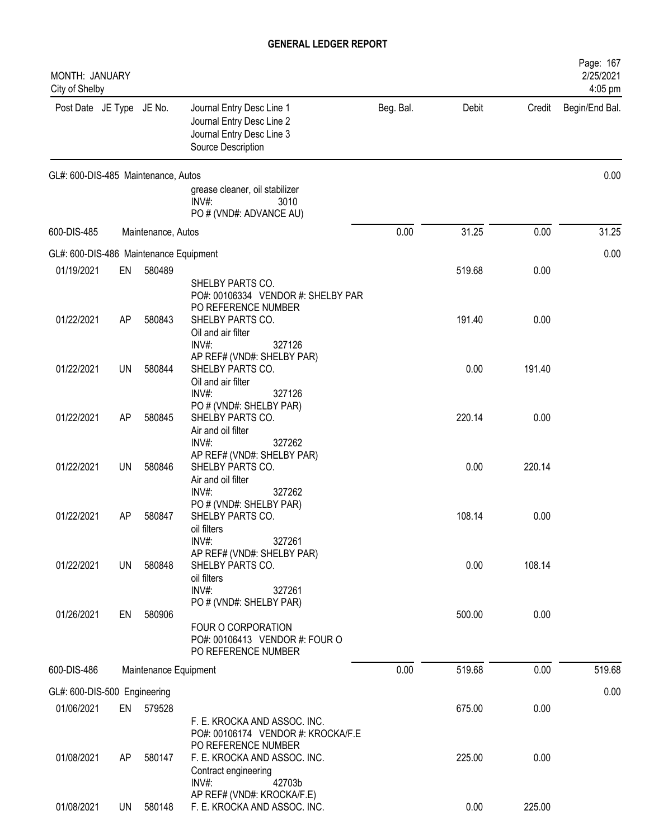| MONTH: JANUARY<br>City of Shelby       |           |                       |                                                                                                           |           |        |        | Page: 167<br>2/25/2021<br>4:05 pm |
|----------------------------------------|-----------|-----------------------|-----------------------------------------------------------------------------------------------------------|-----------|--------|--------|-----------------------------------|
| Post Date JE Type JE No.               |           |                       | Journal Entry Desc Line 1<br>Journal Entry Desc Line 2<br>Journal Entry Desc Line 3<br>Source Description | Beg. Bal. | Debit  | Credit | Begin/End Bal.                    |
| GL#: 600-DIS-485 Maintenance, Autos    |           |                       |                                                                                                           |           |        |        | 0.00                              |
|                                        |           |                       | grease cleaner, oil stabilizer<br>INV#:<br>3010<br>PO # (VND#: ADVANCE AU)                                |           |        |        |                                   |
| 600-DIS-485                            |           | Maintenance, Autos    |                                                                                                           | 0.00      | 31.25  | 0.00   | 31.25                             |
| GL#: 600-DIS-486 Maintenance Equipment |           |                       |                                                                                                           |           |        |        | 0.00                              |
| 01/19/2021                             | EN        | 580489                |                                                                                                           |           | 519.68 | 0.00   |                                   |
|                                        |           |                       | SHELBY PARTS CO.<br>PO#: 00106334 VENDOR #: SHELBY PAR<br>PO REFERENCE NUMBER                             |           |        |        |                                   |
| 01/22/2021                             | AP        | 580843                | SHELBY PARTS CO.<br>Oil and air filter<br>INV#:<br>327126                                                 |           | 191.40 | 0.00   |                                   |
| 01/22/2021                             | UN        | 580844                | AP REF# (VND#: SHELBY PAR)<br>SHELBY PARTS CO.<br>Oil and air filter<br>$INV#$ :<br>327126                |           | 0.00   | 191.40 |                                   |
| 01/22/2021                             | AP        | 580845                | PO # (VND#: SHELBY PAR)<br>SHELBY PARTS CO.<br>Air and oil filter                                         |           | 220.14 | 0.00   |                                   |
| 01/22/2021                             | <b>UN</b> | 580846                | INV#:<br>327262<br>AP REF# (VND#: SHELBY PAR)<br>SHELBY PARTS CO.<br>Air and oil filter                   |           | 0.00   | 220.14 |                                   |
| 01/22/2021                             | AP        | 580847                | INV#:<br>327262<br>PO # (VND#: SHELBY PAR)<br>SHELBY PARTS CO.<br>oil filters                             |           | 108.14 | 0.00   |                                   |
| 01/22/2021                             | UN        | 580848                | $INV#$ :<br>327261<br>AP REF# (VND#: SHELBY PAR)<br>SHELBY PARTS CO.<br>oil filters<br>INV#:<br>327261    |           | 0.00   | 108.14 |                                   |
| 01/26/2021                             | EN        | 580906                | PO # (VND#: SHELBY PAR)<br>FOUR O CORPORATION<br>PO#: 00106413 VENDOR #: FOUR O<br>PO REFERENCE NUMBER    |           | 500.00 | 0.00   |                                   |
| 600-DIS-486                            |           | Maintenance Equipment |                                                                                                           | 0.00      | 519.68 | 0.00   | 519.68                            |
| GL#: 600-DIS-500 Engineering           |           |                       |                                                                                                           |           |        |        | 0.00                              |
| 01/06/2021                             |           | EN 579528             | F. E. KROCKA AND ASSOC. INC.<br>PO#: 00106174 VENDOR #: KROCKA/F.E                                        |           | 675.00 | 0.00   |                                   |
| 01/08/2021                             | AP        | 580147                | PO REFERENCE NUMBER<br>F. E. KROCKA AND ASSOC. INC.<br>Contract engineering<br>INV#:<br>42703b            |           | 225.00 | 0.00   |                                   |
| 01/08/2021                             |           | UN 580148             | AP REF# (VND#: KROCKA/F.E)<br>F. E. KROCKA AND ASSOC. INC.                                                |           | 0.00   | 225.00 |                                   |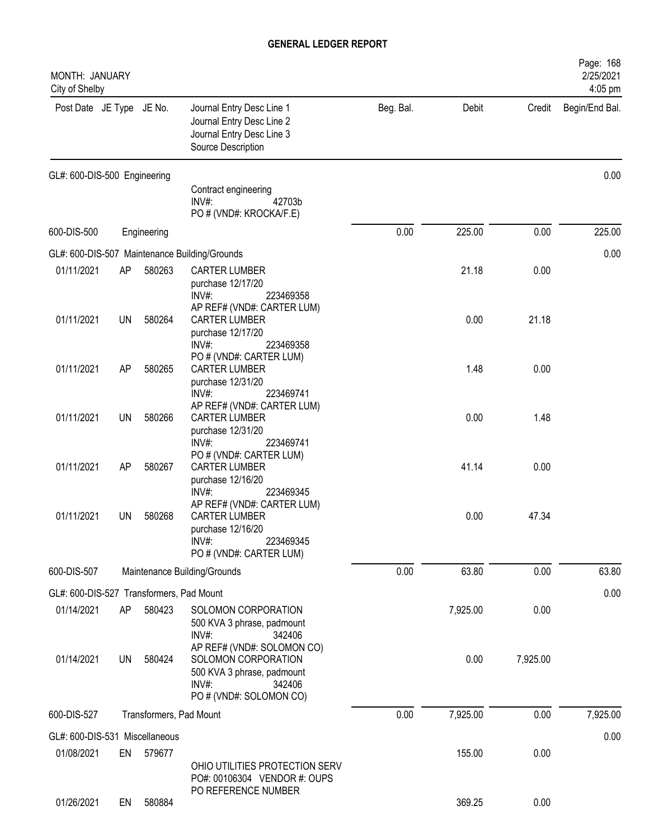| MONTH: JANUARY<br>City of Shelby         |           |             |                                                                                                                                                   |           |          |          | Page: 168<br>2/25/2021<br>4:05 pm |
|------------------------------------------|-----------|-------------|---------------------------------------------------------------------------------------------------------------------------------------------------|-----------|----------|----------|-----------------------------------|
| Post Date JE Type JE No.                 |           |             | Journal Entry Desc Line 1<br>Journal Entry Desc Line 2<br>Journal Entry Desc Line 3<br>Source Description                                         | Beg. Bal. | Debit    | Credit   | Begin/End Bal.                    |
| GL#: 600-DIS-500 Engineering             |           |             |                                                                                                                                                   |           |          |          | 0.00                              |
|                                          |           |             | Contract engineering<br>$INV#$ :<br>42703b<br>PO # (VND#: KROCKA/F.E)                                                                             |           |          |          |                                   |
| 600-DIS-500                              |           | Engineering |                                                                                                                                                   | 0.00      | 225.00   | 0.00     | 225.00                            |
|                                          |           |             | GL#: 600-DIS-507 Maintenance Building/Grounds                                                                                                     |           |          |          | 0.00                              |
| 01/11/2021                               | AP        | 580263      | <b>CARTER LUMBER</b><br>purchase 12/17/20<br>INV#:<br>223469358                                                                                   |           | 21.18    | 0.00     |                                   |
| 01/11/2021                               | UN        | 580264      | AP REF# (VND#: CARTER LUM)<br><b>CARTER LUMBER</b><br>purchase 12/17/20<br>$INV#$ :<br>223469358                                                  |           | 0.00     | 21.18    |                                   |
| 01/11/2021                               | AP        | 580265      | PO # (VND#: CARTER LUM)<br><b>CARTER LUMBER</b><br>purchase 12/31/20<br>223469741<br>INV#                                                         |           | 1.48     | 0.00     |                                   |
| 01/11/2021                               | UN        | 580266      | AP REF# (VND#: CARTER LUM)<br><b>CARTER LUMBER</b><br>purchase 12/31/20                                                                           |           | 0.00     | 1.48     |                                   |
| 01/11/2021                               | AP        | 580267      | INV#:<br>223469741<br>PO # (VND#: CARTER LUM)<br><b>CARTER LUMBER</b><br>purchase 12/16/20                                                        |           | 41.14    | 0.00     |                                   |
| 01/11/2021                               | UN        | 580268      | 223469345<br>$INV#$ :<br>AP REF# (VND#: CARTER LUM)<br><b>CARTER LUMBER</b><br>purchase 12/16/20<br>INV#:<br>223469345<br>PO # (VND#: CARTER LUM) |           | 0.00     | 47.34    |                                   |
| 600-DIS-507                              |           |             | Maintenance Building/Grounds                                                                                                                      | 0.00      | 63.80    | 0.00     | 63.80                             |
| GL#: 600-DIS-527 Transformers, Pad Mount |           |             |                                                                                                                                                   |           |          |          | 0.00                              |
| 01/14/2021                               | AP        | 580423      | SOLOMON CORPORATION<br>500 KVA 3 phrase, padmount<br>342406<br>$INV#$ :                                                                           |           | 7,925.00 | 0.00     |                                   |
| 01/14/2021                               | <b>UN</b> | 580424      | AP REF# (VND#: SOLOMON CO)<br>SOLOMON CORPORATION<br>500 KVA 3 phrase, padmount<br>$INV#$ :<br>342406<br>PO # (VND#: SOLOMON CO)                  |           | 0.00     | 7,925.00 |                                   |
| 600-DIS-527                              |           |             | Transformers, Pad Mount                                                                                                                           | 0.00      | 7,925.00 | 0.00     | 7,925.00                          |
| GL#: 600-DIS-531 Miscellaneous           |           |             |                                                                                                                                                   |           |          |          | 0.00                              |
| 01/08/2021                               |           | EN 579677   | OHIO UTILITIES PROTECTION SERV<br>PO#: 00106304 VENDOR #: OUPS                                                                                    |           | 155.00   | 0.00     |                                   |
| 01/26/2021                               | EN        | 580884      | PO REFERENCE NUMBER                                                                                                                               |           | 369.25   | 0.00     |                                   |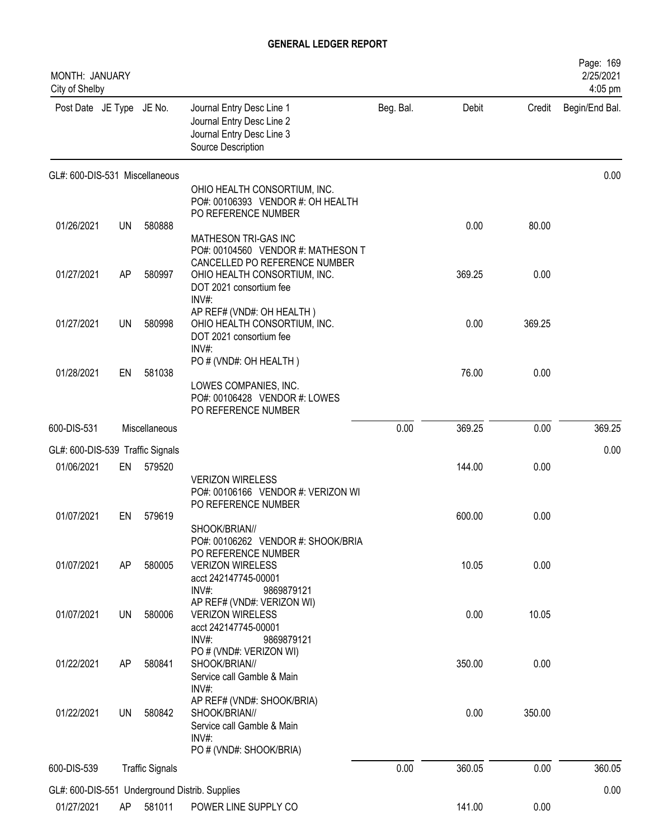| <b>MONTH: JANUARY</b><br>City of Shelby |    |                        |                                                                                                                                        |           |        |        | Page: 169<br>2/25/2021<br>4:05 pm |
|-----------------------------------------|----|------------------------|----------------------------------------------------------------------------------------------------------------------------------------|-----------|--------|--------|-----------------------------------|
| Post Date JE Type JE No.                |    |                        | Journal Entry Desc Line 1<br>Journal Entry Desc Line 2<br>Journal Entry Desc Line 3<br>Source Description                              | Beg. Bal. | Debit  | Credit | Begin/End Bal.                    |
| GL#: 600-DIS-531 Miscellaneous          |    |                        |                                                                                                                                        |           |        |        | 0.00                              |
|                                         |    |                        | OHIO HEALTH CONSORTIUM, INC.<br>PO#: 00106393 VENDOR #: OH HEALTH                                                                      |           |        |        |                                   |
| 01/26/2021                              | UN | 580888                 | PO REFERENCE NUMBER                                                                                                                    |           | 0.00   | 80.00  |                                   |
|                                         |    |                        | MATHESON TRI-GAS INC<br>PO#: 00104560 VENDOR #: MATHESON T<br>CANCELLED PO REFERENCE NUMBER                                            |           |        |        |                                   |
| 01/27/2021                              | AP | 580997                 | OHIO HEALTH CONSORTIUM, INC.<br>DOT 2021 consortium fee<br>INV#:                                                                       |           | 369.25 | 0.00   |                                   |
| 01/27/2021                              | UN | 580998                 | AP REF# (VND#: OH HEALTH)<br>OHIO HEALTH CONSORTIUM, INC.<br>DOT 2021 consortium fee<br>$INV#$ :                                       |           | 0.00   | 369.25 |                                   |
| 01/28/2021                              | EN | 581038                 | PO # (VND#: OH HEALTH)                                                                                                                 |           | 76.00  | 0.00   |                                   |
|                                         |    |                        | LOWES COMPANIES, INC.<br>PO#: 00106428 VENDOR #: LOWES<br>PO REFERENCE NUMBER                                                          |           |        |        |                                   |
| 600-DIS-531                             |    | Miscellaneous          |                                                                                                                                        | 0.00      | 369.25 | 0.00   | 369.25                            |
| GL#: 600-DIS-539 Traffic Signals        |    |                        |                                                                                                                                        |           |        |        | 0.00                              |
| 01/06/2021                              | EN | 579520                 |                                                                                                                                        |           | 144.00 | 0.00   |                                   |
|                                         |    |                        | <b>VERIZON WIRELESS</b><br>PO#: 00106166 VENDOR #: VERIZON WI<br>PO REFERENCE NUMBER                                                   |           |        |        |                                   |
| 01/07/2021                              | EN | 579619                 | SHOOK/BRIAN//                                                                                                                          |           | 600.00 | 0.00   |                                   |
| 01/07/2021                              | AP | 580005                 | PO#: 00106262 VENDOR #: SHOOK/BRIA<br>PO REFERENCE NUMBER<br><b>VERIZON WIRELESS</b><br>acct 242147745-00001<br>$INV#$ :<br>9869879121 |           | 10.05  | 0.00   |                                   |
| 01/07/2021                              | UN | 580006                 | AP REF# (VND#: VERIZON WI)<br><b>VERIZON WIRELESS</b><br>acct 242147745-00001<br>$INV#$ :<br>9869879121                                |           | 0.00   | 10.05  |                                   |
| 01/22/2021                              | AP | 580841                 | PO # (VND#: VERIZON WI)<br>SHOOK/BRIAN//<br>Service call Gamble & Main<br>$INV#$ :                                                     |           | 350.00 | 0.00   |                                   |
| 01/22/2021                              | UN | 580842                 | AP REF# (VND#: SHOOK/BRIA)<br>SHOOK/BRIAN//<br>Service call Gamble & Main<br>INV#:                                                     |           | 0.00   | 350.00 |                                   |
| 600-DIS-539                             |    | <b>Traffic Signals</b> | PO # (VND#: SHOOK/BRIA)                                                                                                                | 0.00      | 360.05 | 0.00   | 360.05                            |
|                                         |    |                        | GL#: 600-DIS-551 Underground Distrib. Supplies                                                                                         |           |        |        | 0.00                              |
| 01/27/2021                              | AP | 581011                 | POWER LINE SUPPLY CO                                                                                                                   |           | 141.00 | 0.00   |                                   |
|                                         |    |                        |                                                                                                                                        |           |        |        |                                   |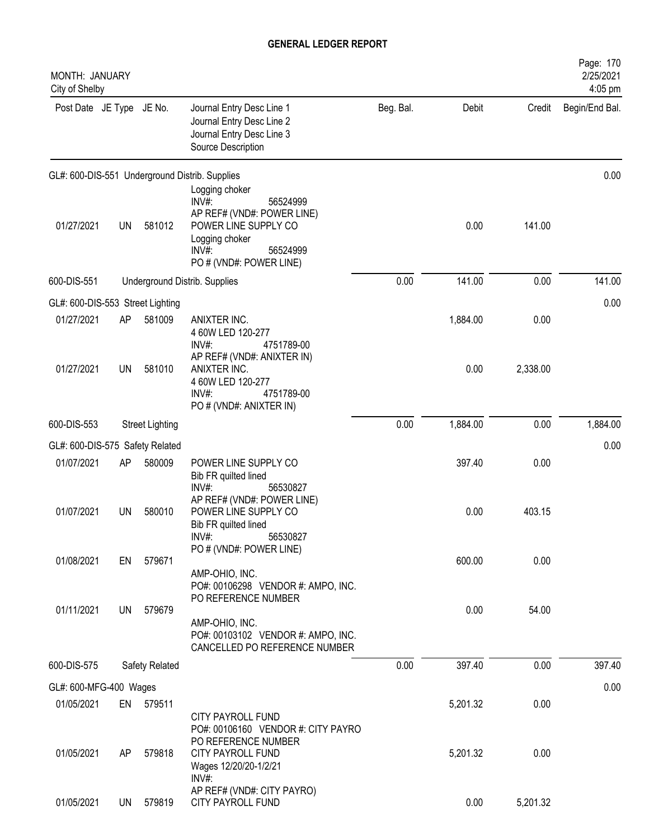| MONTH: JANUARY<br>City of Shelby |    |                        |                                                                                                                                                             |           |          |          | Page: 170<br>2/25/2021<br>4:05 pm |
|----------------------------------|----|------------------------|-------------------------------------------------------------------------------------------------------------------------------------------------------------|-----------|----------|----------|-----------------------------------|
| Post Date JE Type JE No.         |    |                        | Journal Entry Desc Line 1<br>Journal Entry Desc Line 2<br>Journal Entry Desc Line 3<br>Source Description                                                   | Beg. Bal. | Debit    | Credit   | Begin/End Bal.                    |
|                                  |    |                        | GL#: 600-DIS-551 Underground Distrib. Supplies                                                                                                              |           |          |          | 0.00                              |
| 01/27/2021                       | UN | 581012                 | Logging choker<br>INV#:<br>56524999<br>AP REF# (VND#: POWER LINE)<br>POWER LINE SUPPLY CO<br>Logging choker<br>INV#:<br>56524999<br>PO # (VND#: POWER LINE) |           | 0.00     | 141.00   |                                   |
| 600-DIS-551                      |    |                        | Underground Distrib. Supplies                                                                                                                               | 0.00      | 141.00   | 0.00     | 141.00                            |
| GL#: 600-DIS-553 Street Lighting |    |                        |                                                                                                                                                             |           |          |          | 0.00                              |
| 01/27/2021                       | AP | 581009                 | ANIXTER INC.<br>4 60W LED 120-277<br>$INV#$ :<br>4751789-00                                                                                                 |           | 1,884.00 | 0.00     |                                   |
| 01/27/2021                       | UN | 581010                 | AP REF# (VND#: ANIXTER IN)<br>ANIXTER INC.<br>4 60W LED 120-277<br>INV#:<br>4751789-00<br>PO # (VND#: ANIXTER IN)                                           |           | 0.00     | 2,338.00 |                                   |
| 600-DIS-553                      |    | <b>Street Lighting</b> |                                                                                                                                                             | 0.00      | 1,884.00 | 0.00     | 1,884.00                          |
| GL#: 600-DIS-575 Safety Related  |    |                        |                                                                                                                                                             |           |          |          | 0.00                              |
| 01/07/2021                       | AP | 580009                 | POWER LINE SUPPLY CO<br>Bib FR quilted lined<br>56530827<br>INV#:                                                                                           |           | 397.40   | 0.00     |                                   |
| 01/07/2021                       | UN | 580010                 | AP REF# (VND#: POWER LINE)<br>POWER LINE SUPPLY CO<br>Bib FR quilted lined<br>INV#:<br>56530827                                                             |           | 0.00     | 403.15   |                                   |
| 01/08/2021                       | EN | 579671                 | PO # (VND#: POWER LINE)                                                                                                                                     |           | 600.00   | 0.00     |                                   |
|                                  |    |                        | AMP-OHIO, INC.<br>PO#: 00106298 VENDOR #: AMPO, INC.<br>PO REFERENCE NUMBER                                                                                 |           |          |          |                                   |
| 01/11/2021                       | UN | 579679                 | AMP-OHIO, INC.<br>PO#: 00103102 VENDOR #: AMPO, INC.<br>CANCELLED PO REFERENCE NUMBER                                                                       |           | 0.00     | 54.00    |                                   |
| 600-DIS-575                      |    | Safety Related         |                                                                                                                                                             | 0.00      | 397.40   | 0.00     | 397.40                            |
| GL#: 600-MFG-400 Wages           |    |                        |                                                                                                                                                             |           |          |          | 0.00                              |
| 01/05/2021                       |    | EN 579511              |                                                                                                                                                             |           | 5,201.32 | 0.00     |                                   |
|                                  |    |                        | <b>CITY PAYROLL FUND</b><br>PO#: 00106160 VENDOR #: CITY PAYRO<br>PO REFERENCE NUMBER                                                                       |           |          |          |                                   |
| 01/05/2021                       | AP | 579818                 | <b>CITY PAYROLL FUND</b><br>Wages 12/20/20-1/2/21<br>$INV#$ :                                                                                               |           | 5,201.32 | 0.00     |                                   |
| 01/05/2021                       | UN | 579819                 | AP REF# (VND#: CITY PAYRO)<br>CITY PAYROLL FUND                                                                                                             |           | 0.00     | 5,201.32 |                                   |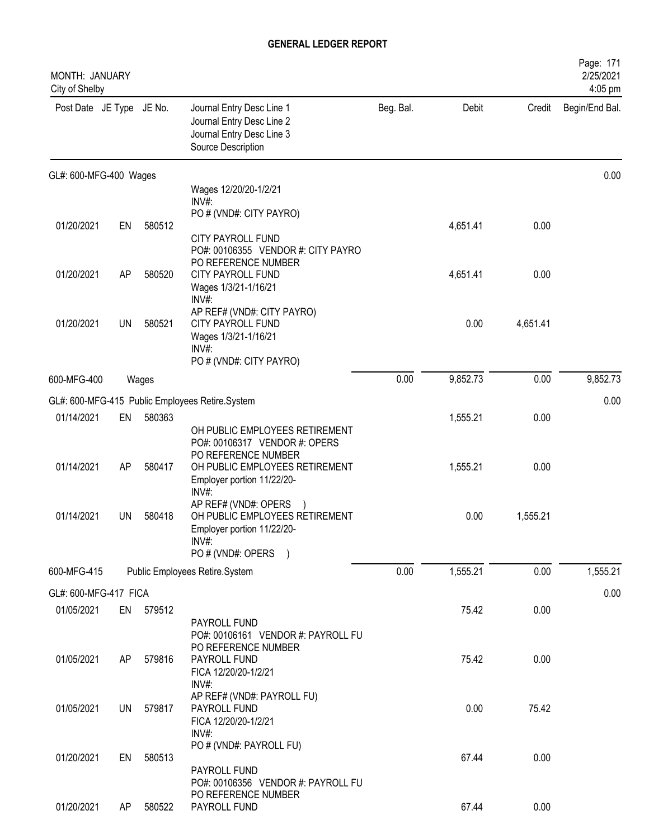| MONTH: JANUARY<br>City of Shelby |           |           |                                                                                                                          |           |          |          | Page: 171<br>2/25/2021<br>4:05 pm |
|----------------------------------|-----------|-----------|--------------------------------------------------------------------------------------------------------------------------|-----------|----------|----------|-----------------------------------|
| Post Date JE Type JE No.         |           |           | Journal Entry Desc Line 1<br>Journal Entry Desc Line 2<br>Journal Entry Desc Line 3<br>Source Description                | Beg. Bal. | Debit    | Credit   | Begin/End Bal.                    |
| GL#: 600-MFG-400 Wages           |           |           |                                                                                                                          |           |          |          | 0.00                              |
|                                  |           |           | Wages 12/20/20-1/2/21<br>INV#:                                                                                           |           |          |          |                                   |
|                                  |           |           | PO # (VND#: CITY PAYRO)                                                                                                  |           |          |          |                                   |
| 01/20/2021                       | EN        | 580512    |                                                                                                                          |           | 4,651.41 | 0.00     |                                   |
|                                  |           |           | <b>CITY PAYROLL FUND</b><br>PO#: 00106355 VENDOR #: CITY PAYRO                                                           |           |          |          |                                   |
|                                  |           |           | PO REFERENCE NUMBER                                                                                                      |           |          |          |                                   |
| 01/20/2021                       | AP        | 580520    | <b>CITY PAYROLL FUND</b>                                                                                                 |           | 4,651.41 | 0.00     |                                   |
|                                  |           |           | Wages 1/3/21-1/16/21<br>INV#:                                                                                            |           |          |          |                                   |
|                                  |           |           | AP REF# (VND#: CITY PAYRO)                                                                                               |           |          |          |                                   |
| 01/20/2021                       | UN        | 580521    | CITY PAYROLL FUND<br>Wages 1/3/21-1/16/21                                                                                |           | 0.00     | 4,651.41 |                                   |
|                                  |           |           | INV#                                                                                                                     |           |          |          |                                   |
|                                  |           |           | PO # (VND#: CITY PAYRO)                                                                                                  |           |          |          |                                   |
| 600-MFG-400                      |           | Wages     |                                                                                                                          | 0.00      | 9,852.73 | 0.00     | 9,852.73                          |
|                                  |           |           | GL#: 600-MFG-415 Public Employees Retire.System                                                                          |           |          |          | 0.00                              |
| 01/14/2021                       | EN        | 580363    |                                                                                                                          |           | 1,555.21 | 0.00     |                                   |
| 01/14/2021                       | AP        | 580417    | OH PUBLIC EMPLOYEES RETIREMENT<br>PO#: 00106317 VENDOR #: OPERS<br>PO REFERENCE NUMBER<br>OH PUBLIC EMPLOYEES RETIREMENT |           | 1,555.21 | 0.00     |                                   |
|                                  |           |           | Employer portion 11/22/20-<br>INV#:                                                                                      |           |          |          |                                   |
| 01/14/2021                       | UN        | 580418    | AP REF# (VND#: OPERS<br>OH PUBLIC EMPLOYEES RETIREMENT<br>Employer portion 11/22/20-<br>INV#:<br>PO # (VND#: OPERS )     |           | 0.00     | 1,555.21 |                                   |
| 600-MFG-415                      |           |           | Public Employees Retire.System                                                                                           | 0.00      | 1,555.21 | 0.00     | 1,555.21                          |
| GL#: 600-MFG-417 FICA            |           |           |                                                                                                                          |           |          |          | 0.00                              |
| 01/05/2021                       |           | EN 579512 |                                                                                                                          |           | 75.42    | 0.00     |                                   |
|                                  |           |           | PAYROLL FUND                                                                                                             |           |          |          |                                   |
| 01/05/2021                       | AP.       | 579816    | PO#: 00106161 VENDOR #: PAYROLL FU<br>PO REFERENCE NUMBER<br>PAYROLL FUND<br>FICA 12/20/20-1/2/21<br>INV#:               |           | 75.42    | 0.00     |                                   |
| 01/05/2021                       | <b>UN</b> | 579817    | AP REF# (VND#: PAYROLL FU)<br>PAYROLL FUND<br>FICA 12/20/20-1/2/21<br>$INV#$ :                                           |           | 0.00     | 75.42    |                                   |
| 01/20/2021                       | EN        | 580513    | PO # (VND#: PAYROLL FU)<br>PAYROLL FUND                                                                                  |           | 67.44    | 0.00     |                                   |
| 01/20/2021                       | AP        | 580522    | PO#: 00106356 VENDOR #: PAYROLL FU<br>PO REFERENCE NUMBER<br>PAYROLL FUND                                                |           | 67.44    | 0.00     |                                   |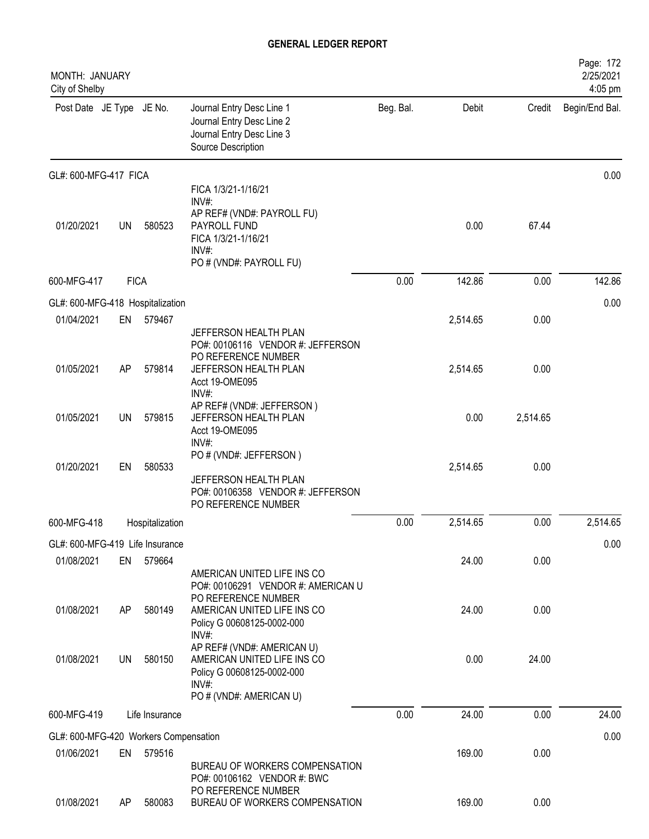| MONTH: JANUARY<br>City of Shelby      |             |                 |                                                                                                                                                       |           |          |          | Page: 172<br>2/25/2021<br>4:05 pm |
|---------------------------------------|-------------|-----------------|-------------------------------------------------------------------------------------------------------------------------------------------------------|-----------|----------|----------|-----------------------------------|
| Post Date JE Type JE No.              |             |                 | Journal Entry Desc Line 1<br>Journal Entry Desc Line 2<br>Journal Entry Desc Line 3<br>Source Description                                             | Beg. Bal. | Debit    | Credit   | Begin/End Bal.                    |
| GL#: 600-MFG-417 FICA                 |             |                 |                                                                                                                                                       |           |          |          | 0.00                              |
| 01/20/2021                            | <b>UN</b>   | 580523          | FICA 1/3/21-1/16/21<br>INV#:<br>AP REF# (VND#: PAYROLL FU)<br>PAYROLL FUND<br>FICA 1/3/21-1/16/21<br>$INV#$ :<br>PO # (VND#: PAYROLL FU)              |           | 0.00     | 67.44    |                                   |
| 600-MFG-417                           | <b>FICA</b> |                 |                                                                                                                                                       | 0.00      | 142.86   | 0.00     | 142.86                            |
| GL#: 600-MFG-418 Hospitalization      |             |                 |                                                                                                                                                       |           |          |          | 0.00                              |
| 01/04/2021                            | EN          | 579467          | JEFFERSON HEALTH PLAN<br>PO#: 00106116 VENDOR #: JEFFERSON                                                                                            |           | 2,514.65 | 0.00     |                                   |
| 01/05/2021                            | AP          | 579814          | PO REFERENCE NUMBER<br>JEFFERSON HEALTH PLAN<br>Acct 19-OME095<br>INV#:                                                                               |           | 2,514.65 | 0.00     |                                   |
| 01/05/2021                            | <b>UN</b>   | 579815          | AP REF# (VND#: JEFFERSON)<br>JEFFERSON HEALTH PLAN<br>Acct 19-OME095<br>$INV#$ :                                                                      |           | 0.00     | 2,514.65 |                                   |
| 01/20/2021                            | EN          | 580533          | PO # (VND#: JEFFERSON)<br>JEFFERSON HEALTH PLAN<br>PO#: 00106358 VENDOR #: JEFFERSON<br>PO REFERENCE NUMBER                                           |           | 2,514.65 | 0.00     |                                   |
| 600-MFG-418                           |             | Hospitalization |                                                                                                                                                       | 0.00      | 2,514.65 | 0.00     | 2,514.65                          |
| GL#: 600-MFG-419 Life Insurance       |             |                 |                                                                                                                                                       |           |          |          | 0.00                              |
| 01/08/2021                            | EN          | 579664          |                                                                                                                                                       |           | 24.00    | 0.00     |                                   |
| 01/08/2021                            | AP          | 580149          | AMERICAN UNITED LIFE INS CO<br>PO#: 00106291 VENDOR #: AMERICAN U<br>PO REFERENCE NUMBER<br>AMERICAN UNITED LIFE INS CO<br>Policy G 00608125-0002-000 |           | 24.00    | 0.00     |                                   |
| 01/08/2021                            | UN          | 580150          | $INV#$ :<br>AP REF# (VND#: AMERICAN U)<br>AMERICAN UNITED LIFE INS CO<br>Policy G 00608125-0002-000<br>$INV#$ :<br>PO # (VND#: AMERICAN U)            |           | 0.00     | 24.00    |                                   |
| 600-MFG-419                           |             | Life Insurance  |                                                                                                                                                       | 0.00      | 24.00    | 0.00     | 24.00                             |
| GL#: 600-MFG-420 Workers Compensation |             |                 |                                                                                                                                                       |           |          |          | 0.00                              |
| 01/06/2021                            | EN          | 579516          | BUREAU OF WORKERS COMPENSATION<br>PO#: 00106162 VENDOR #: BWC                                                                                         |           | 169.00   | 0.00     |                                   |
| 01/08/2021                            | AP          | 580083          | PO REFERENCE NUMBER<br>BUREAU OF WORKERS COMPENSATION                                                                                                 |           | 169.00   | 0.00     |                                   |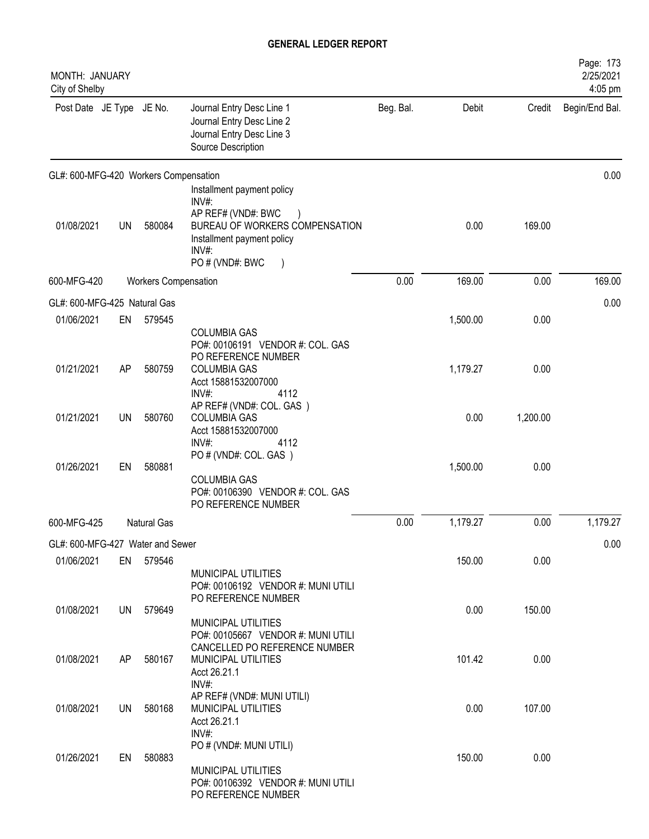| Beg. Bal.<br>Post Date JE Type JE No.<br>Journal Entry Desc Line 1<br>Debit<br>Credit<br>Journal Entry Desc Line 2<br>Journal Entry Desc Line 3<br>Source Description<br>Installment payment policy<br>INV#:<br>AP REF# (VND#: BWC<br>01/08/2021<br>580084<br>BUREAU OF WORKERS COMPENSATION<br>0.00<br>169.00<br>UN<br>Installment payment policy<br>INV#:<br>PO # (VND#: BWC<br>0.00<br>169.00<br>0.00<br><b>Workers Compensation</b><br>01/06/2021<br>1,500.00<br>0.00<br>EN<br>579545<br><b>COLUMBIA GAS</b><br>PO#: 00106191 VENDOR #: COL. GAS<br>PO REFERENCE NUMBER<br>01/21/2021<br><b>COLUMBIA GAS</b><br>1,179.27<br>0.00<br>AP<br>580759<br>Acct 15881532007000<br>INV#:<br>4112<br>AP REF# (VND#: COL. GAS)<br>01/21/2021<br>580760<br>0.00<br><b>UN</b><br><b>COLUMBIA GAS</b><br>1,200.00<br>Acct 15881532007000<br>INV#:<br>4112<br>PO # (VND#: COL. GAS)<br>01/26/2021<br>580881<br>0.00<br>EN<br>1,500.00<br><b>COLUMBIA GAS</b><br>PO#: 00106390 VENDOR #: COL. GAS<br>PO REFERENCE NUMBER<br>0.00<br>1,179.27<br>0.00<br>Natural Gas<br>0.00<br>0.00<br>150.00<br>01/06/2021<br>EN 579546<br>MUNICIPAL UTILITIES<br>PO#: 00106192 VENDOR #: MUNI UTILI<br>PO REFERENCE NUMBER<br>0.00<br>150.00<br>01/08/2021<br>579649<br>UN<br>MUNICIPAL UTILITIES<br>PO#: 00105667 VENDOR #: MUNI UTILI<br>CANCELLED PO REFERENCE NUMBER<br>MUNICIPAL UTILITIES<br>101.42<br>0.00<br>01/08/2021<br>580167<br>AP.<br>Acct 26.21.1<br>$INV#$ :<br>AP REF# (VND#: MUNI UTILI)<br>107.00<br>580168<br>0.00<br>01/08/2021<br>UN<br>MUNICIPAL UTILITIES<br>Acct 26.21.1<br>$INV#$ :<br>PO # (VND#: MUNI UTILI)<br>580883<br>150.00<br>0.00<br>01/26/2021<br>EN<br>MUNICIPAL UTILITIES<br>PO#: 00106392 VENDOR #: MUNI UTILI | MONTH: JANUARY<br>City of Shelby |  |                     |  | Page: 173<br>2/25/2021<br>4:05 pm |
|------------------------------------------------------------------------------------------------------------------------------------------------------------------------------------------------------------------------------------------------------------------------------------------------------------------------------------------------------------------------------------------------------------------------------------------------------------------------------------------------------------------------------------------------------------------------------------------------------------------------------------------------------------------------------------------------------------------------------------------------------------------------------------------------------------------------------------------------------------------------------------------------------------------------------------------------------------------------------------------------------------------------------------------------------------------------------------------------------------------------------------------------------------------------------------------------------------------------------------------------------------------------------------------------------------------------------------------------------------------------------------------------------------------------------------------------------------------------------------------------------------------------------------------------------------------------------------------------------------------------------------------------------------------------------------------------------------------------------|----------------------------------|--|---------------------|--|-----------------------------------|
| GL#: 600-MFG-420 Workers Compensation<br>600-MFG-420                                                                                                                                                                                                                                                                                                                                                                                                                                                                                                                                                                                                                                                                                                                                                                                                                                                                                                                                                                                                                                                                                                                                                                                                                                                                                                                                                                                                                                                                                                                                                                                                                                                                         |                                  |  |                     |  | Begin/End Bal.                    |
|                                                                                                                                                                                                                                                                                                                                                                                                                                                                                                                                                                                                                                                                                                                                                                                                                                                                                                                                                                                                                                                                                                                                                                                                                                                                                                                                                                                                                                                                                                                                                                                                                                                                                                                              |                                  |  |                     |  | 0.00                              |
|                                                                                                                                                                                                                                                                                                                                                                                                                                                                                                                                                                                                                                                                                                                                                                                                                                                                                                                                                                                                                                                                                                                                                                                                                                                                                                                                                                                                                                                                                                                                                                                                                                                                                                                              |                                  |  |                     |  |                                   |
| GL#: 600-MFG-425 Natural Gas<br>600-MFG-425<br>GL#: 600-MFG-427 Water and Sewer                                                                                                                                                                                                                                                                                                                                                                                                                                                                                                                                                                                                                                                                                                                                                                                                                                                                                                                                                                                                                                                                                                                                                                                                                                                                                                                                                                                                                                                                                                                                                                                                                                              |                                  |  |                     |  | 169.00                            |
|                                                                                                                                                                                                                                                                                                                                                                                                                                                                                                                                                                                                                                                                                                                                                                                                                                                                                                                                                                                                                                                                                                                                                                                                                                                                                                                                                                                                                                                                                                                                                                                                                                                                                                                              |                                  |  |                     |  | 0.00                              |
|                                                                                                                                                                                                                                                                                                                                                                                                                                                                                                                                                                                                                                                                                                                                                                                                                                                                                                                                                                                                                                                                                                                                                                                                                                                                                                                                                                                                                                                                                                                                                                                                                                                                                                                              |                                  |  |                     |  |                                   |
|                                                                                                                                                                                                                                                                                                                                                                                                                                                                                                                                                                                                                                                                                                                                                                                                                                                                                                                                                                                                                                                                                                                                                                                                                                                                                                                                                                                                                                                                                                                                                                                                                                                                                                                              |                                  |  |                     |  |                                   |
|                                                                                                                                                                                                                                                                                                                                                                                                                                                                                                                                                                                                                                                                                                                                                                                                                                                                                                                                                                                                                                                                                                                                                                                                                                                                                                                                                                                                                                                                                                                                                                                                                                                                                                                              |                                  |  |                     |  |                                   |
|                                                                                                                                                                                                                                                                                                                                                                                                                                                                                                                                                                                                                                                                                                                                                                                                                                                                                                                                                                                                                                                                                                                                                                                                                                                                                                                                                                                                                                                                                                                                                                                                                                                                                                                              |                                  |  |                     |  |                                   |
|                                                                                                                                                                                                                                                                                                                                                                                                                                                                                                                                                                                                                                                                                                                                                                                                                                                                                                                                                                                                                                                                                                                                                                                                                                                                                                                                                                                                                                                                                                                                                                                                                                                                                                                              |                                  |  |                     |  | 1,179.27                          |
|                                                                                                                                                                                                                                                                                                                                                                                                                                                                                                                                                                                                                                                                                                                                                                                                                                                                                                                                                                                                                                                                                                                                                                                                                                                                                                                                                                                                                                                                                                                                                                                                                                                                                                                              |                                  |  |                     |  |                                   |
|                                                                                                                                                                                                                                                                                                                                                                                                                                                                                                                                                                                                                                                                                                                                                                                                                                                                                                                                                                                                                                                                                                                                                                                                                                                                                                                                                                                                                                                                                                                                                                                                                                                                                                                              |                                  |  |                     |  |                                   |
|                                                                                                                                                                                                                                                                                                                                                                                                                                                                                                                                                                                                                                                                                                                                                                                                                                                                                                                                                                                                                                                                                                                                                                                                                                                                                                                                                                                                                                                                                                                                                                                                                                                                                                                              |                                  |  |                     |  |                                   |
|                                                                                                                                                                                                                                                                                                                                                                                                                                                                                                                                                                                                                                                                                                                                                                                                                                                                                                                                                                                                                                                                                                                                                                                                                                                                                                                                                                                                                                                                                                                                                                                                                                                                                                                              |                                  |  |                     |  |                                   |
|                                                                                                                                                                                                                                                                                                                                                                                                                                                                                                                                                                                                                                                                                                                                                                                                                                                                                                                                                                                                                                                                                                                                                                                                                                                                                                                                                                                                                                                                                                                                                                                                                                                                                                                              |                                  |  |                     |  |                                   |
|                                                                                                                                                                                                                                                                                                                                                                                                                                                                                                                                                                                                                                                                                                                                                                                                                                                                                                                                                                                                                                                                                                                                                                                                                                                                                                                                                                                                                                                                                                                                                                                                                                                                                                                              |                                  |  | PO REFERENCE NUMBER |  |                                   |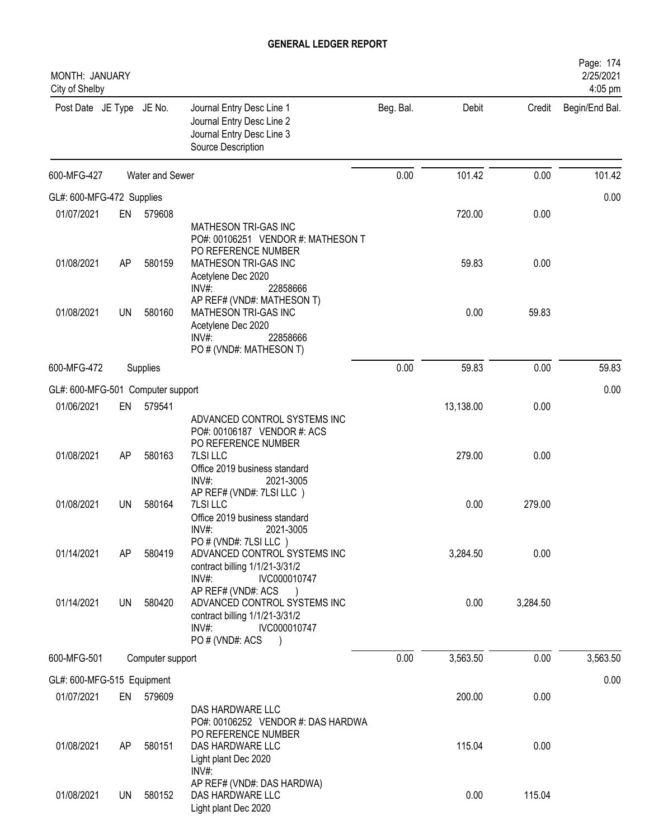| MONTH: JANUARY<br>City of Shelby |           |                  |                                                                                                                                                       |           |           |          | Page: 174<br>2/25/2021<br>4:05 pm |
|----------------------------------|-----------|------------------|-------------------------------------------------------------------------------------------------------------------------------------------------------|-----------|-----------|----------|-----------------------------------|
| Post Date JE Type JE No.         |           |                  | Journal Entry Desc Line 1<br>Journal Entry Desc Line 2<br>Journal Entry Desc Line 3<br>Source Description                                             | Beg. Bal. | Debit     | Credit   | Begin/End Bal.                    |
| 600-MFG-427                      |           | Water and Sewer  |                                                                                                                                                       | 0.00      | 101.42    | 0.00     | 101.42                            |
| GL#: 600-MFG-472 Supplies        |           |                  |                                                                                                                                                       |           |           |          | 0.00                              |
| 01/07/2021                       | EN        | 579608           |                                                                                                                                                       |           | 720.00    | 0.00     |                                   |
| 01/08/2021                       | AP        | 580159           | <b>MATHESON TRI-GAS INC</b><br>PO#: 00106251 VENDOR #: MATHESON T<br>PO REFERENCE NUMBER<br>MATHESON TRI-GAS INC<br>Acetylene Dec 2020                |           | 59.83     | 0.00     |                                   |
| 01/08/2021                       | <b>UN</b> | 580160           | INV#:<br>22858666<br>AP REF# (VND#: MATHESON T)<br>MATHESON TRI-GAS INC<br>Acetylene Dec 2020<br>INV#:<br>22858666<br>PO # (VND#: MATHESON T)         |           | 0.00      | 59.83    |                                   |
| 600-MFG-472                      |           | Supplies         |                                                                                                                                                       | 0.00      | 59.83     | 0.00     | 59.83                             |
| GL#: 600-MFG-501                 |           | Computer support |                                                                                                                                                       |           |           |          | 0.00                              |
| 01/06/2021                       | EN        | 579541           |                                                                                                                                                       |           | 13,138.00 | 0.00     |                                   |
| 01/08/2021                       | AP        | 580163           | ADVANCED CONTROL SYSTEMS INC<br>PO#: 00106187 VENDOR #: ACS<br>PO REFERENCE NUMBER<br>7LSI LLC<br>Office 2019 business standard<br>INV#:<br>2021-3005 |           | 279.00    | 0.00     |                                   |
| 01/08/2021                       | UN        | 580164           | AP REF# (VND#: 7LSI LLC)<br>7LSI LLC<br>Office 2019 business standard<br>INV#:<br>2021-3005                                                           |           | 0.00      | 279.00   |                                   |
| 01/14/2021                       | AP        | 580419           | PO # (VND#: 7LSI LLC)<br>ADVANCED CONTROL SYSTEMS INC<br>contract billing 1/1/21-3/31/2<br>INV#:<br>IVC000010747                                      |           | 3,284.50  | 0.00     |                                   |
| 01/14/2021                       | UN        | 580420           | AP REF# (VND#: ACS<br>ADVANCED CONTROL SYSTEMS INC<br>contract billing 1/1/21-3/31/2<br>INV#:<br>IVC000010747<br>PO # (VND#: ACS                      |           | 0.00      | 3,284.50 |                                   |
| 600-MFG-501                      |           | Computer support |                                                                                                                                                       | 0.00      | 3,563.50  | 0.00     | 3,563.50                          |
| GL#: 600-MFG-515 Equipment       |           |                  |                                                                                                                                                       |           |           |          | 0.00                              |
| 01/07/2021                       |           | EN 579609        | DAS HARDWARE LLC<br>PO#: 00106252 VENDOR #: DAS HARDWA                                                                                                |           | 200.00    | 0.00     |                                   |
| 01/08/2021                       | AP        | 580151           | PO REFERENCE NUMBER<br>DAS HARDWARE LLC<br>Light plant Dec 2020<br>INV#:                                                                              |           | 115.04    | 0.00     |                                   |
| 01/08/2021                       | UN        | 580152           | AP REF# (VND#: DAS HARDWA)<br>DAS HARDWARE LLC<br>Light plant Dec 2020                                                                                |           | 0.00      | 115.04   |                                   |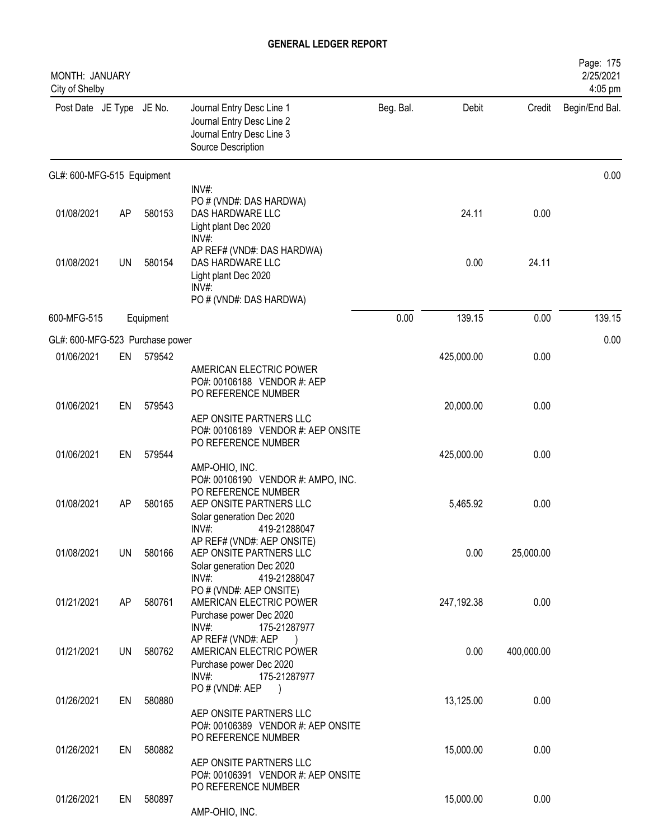| MONTH: JANUARY<br>City of Shelby |           |           |                                                                                                                                      |           |            |            | Page: 175<br>2/25/2021<br>4:05 pm |
|----------------------------------|-----------|-----------|--------------------------------------------------------------------------------------------------------------------------------------|-----------|------------|------------|-----------------------------------|
| Post Date JE Type JE No.         |           |           | Journal Entry Desc Line 1<br>Journal Entry Desc Line 2<br>Journal Entry Desc Line 3<br>Source Description                            | Beg. Bal. | Debit      | Credit     | Begin/End Bal.                    |
| GL#: 600-MFG-515 Equipment       |           |           |                                                                                                                                      |           |            |            | 0.00                              |
| 01/08/2021                       | AP        | 580153    | INV#:<br>PO # (VND#: DAS HARDWA)<br>DAS HARDWARE LLC<br>Light plant Dec 2020<br>INV#:                                                |           | 24.11      | 0.00       |                                   |
| 01/08/2021                       | <b>UN</b> | 580154    | AP REF# (VND#: DAS HARDWA)<br>DAS HARDWARE LLC<br>Light plant Dec 2020<br>$INV#$ :<br>PO # (VND#: DAS HARDWA)                        |           | 0.00       | 24.11      |                                   |
| 600-MFG-515                      |           | Equipment |                                                                                                                                      | 0.00      | 139.15     | 0.00       | 139.15                            |
| GL#: 600-MFG-523 Purchase power  |           |           |                                                                                                                                      |           |            |            | 0.00                              |
| 01/06/2021                       | EN        | 579542    | AMERICAN ELECTRIC POWER<br>PO#: 00106188 VENDOR #: AEP<br>PO REFERENCE NUMBER                                                        |           | 425,000.00 | 0.00       |                                   |
| 01/06/2021                       | EN        | 579543    | AEP ONSITE PARTNERS LLC<br>PO#: 00106189 VENDOR #: AEP ONSITE                                                                        |           | 20,000.00  | 0.00       |                                   |
| 01/06/2021                       | EN        | 579544    | PO REFERENCE NUMBER                                                                                                                  |           | 425,000.00 | 0.00       |                                   |
| 01/08/2021                       | AP        | 580165    | AMP-OHIO, INC.<br>PO#: 00106190 VENDOR #: AMPO, INC.<br>PO REFERENCE NUMBER<br>AEP ONSITE PARTNERS LLC<br>Solar generation Dec 2020  |           | 5,465.92   | 0.00       |                                   |
| 01/08/2021                       | <b>UN</b> | 580166    | INV#:<br>419-21288047<br>AP REF# (VND#: AEP ONSITE)<br>AEP ONSITE PARTNERS LLC<br>Solar generation Dec 2020<br>INV#:<br>419-21288047 |           | 0.00       | 25,000.00  |                                   |
| 01/21/2021                       | AP        | 580761    | PO # (VND#: AEP ONSITE)<br>AMERICAN ELECTRIC POWER<br>Purchase power Dec 2020<br>INV#:<br>175-21287977                               |           | 247,192.38 | 0.00       |                                   |
| 01/21/2021                       | <b>UN</b> | 580762    | AP REF# (VND#: AEP<br>AMERICAN ELECTRIC POWER<br>Purchase power Dec 2020<br>$INV#$ :<br>175-21287977                                 |           | 0.00       | 400,000.00 |                                   |
| 01/26/2021                       | EN        | 580880    | PO # (VND#: AEP<br>$\lambda$<br>AEP ONSITE PARTNERS LLC<br>PO#: 00106389 VENDOR #: AEP ONSITE                                        |           | 13,125.00  | 0.00       |                                   |
| 01/26/2021                       | EN        | 580882    | PO REFERENCE NUMBER<br>AEP ONSITE PARTNERS LLC<br>PO#: 00106391 VENDOR #: AEP ONSITE                                                 |           | 15,000.00  | 0.00       |                                   |
| 01/26/2021                       | EN        | 580897    | PO REFERENCE NUMBER<br>AMP-OHIO, INC.                                                                                                |           | 15,000.00  | 0.00       |                                   |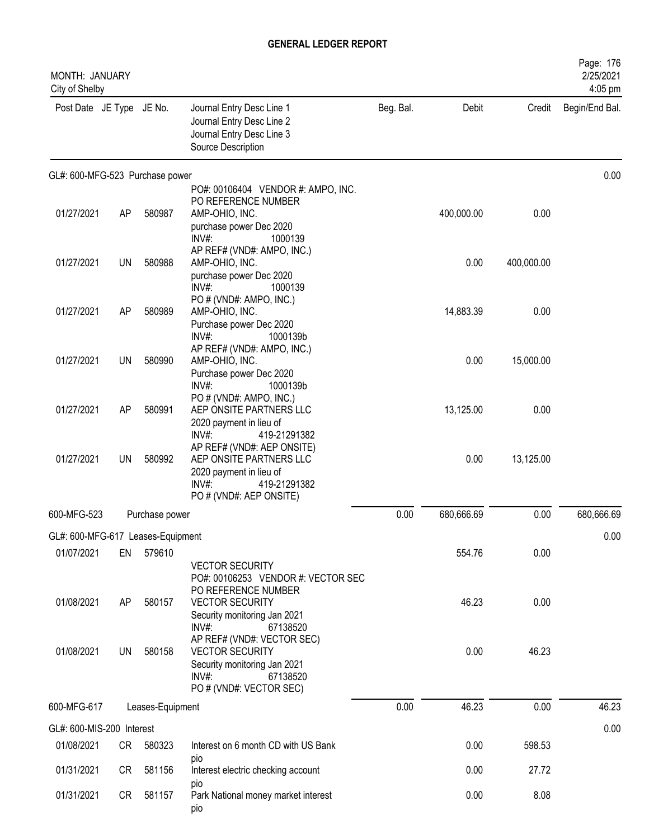| <b>MONTH: JANUARY</b><br>City of Shelby |    |                  |                                                                                                                                         |           |            |            | Page: 176<br>2/25/2021<br>4:05 pm |
|-----------------------------------------|----|------------------|-----------------------------------------------------------------------------------------------------------------------------------------|-----------|------------|------------|-----------------------------------|
| Post Date JE Type JE No.                |    |                  | Journal Entry Desc Line 1<br>Journal Entry Desc Line 2<br>Journal Entry Desc Line 3<br>Source Description                               | Beg. Bal. | Debit      | Credit     | Begin/End Bal.                    |
| GL#: 600-MFG-523 Purchase power         |    |                  |                                                                                                                                         |           |            |            | 0.00                              |
| 01/27/2021                              | AP | 580987           | PO#: 00106404 VENDOR #: AMPO, INC.<br>PO REFERENCE NUMBER<br>AMP-OHIO, INC.<br>purchase power Dec 2020<br>$INV#$ :<br>1000139           |           | 400,000.00 | 0.00       |                                   |
| 01/27/2021                              | UN | 580988           | AP REF# (VND#: AMPO, INC.)<br>AMP-OHIO, INC.<br>purchase power Dec 2020<br>$INV#$ :<br>1000139                                          |           | 0.00       | 400,000.00 |                                   |
| 01/27/2021                              | AP | 580989           | PO # (VND#: AMPO, INC.)<br>AMP-OHIO, INC.<br>Purchase power Dec 2020<br>$INV#$ :<br>1000139b                                            |           | 14,883.39  | 0.00       |                                   |
| 01/27/2021                              | UN | 580990           | AP REF# (VND#: AMPO, INC.)<br>AMP-OHIO, INC.<br>Purchase power Dec 2020<br>$INV#$ :<br>1000139b                                         |           | 0.00       | 15,000.00  |                                   |
| 01/27/2021                              | AP | 580991           | PO # (VND#: AMPO, INC.)<br>AEP ONSITE PARTNERS LLC<br>2020 payment in lieu of<br>$INV#$ :<br>419-21291382                               |           | 13,125.00  | 0.00       |                                   |
| 01/27/2021                              | UN | 580992           | AP REF# (VND#: AEP ONSITE)<br>AEP ONSITE PARTNERS LLC<br>2020 payment in lieu of<br>$INV#$ :<br>419-21291382<br>PO # (VND#: AEP ONSITE) |           | 0.00       | 13,125.00  |                                   |
| 600-MFG-523                             |    | Purchase power   |                                                                                                                                         | 0.00      | 680,666.69 | 0.00       | 680,666.69                        |
| GL#: 600-MFG-617 Leases-Equipment       |    |                  |                                                                                                                                         |           |            |            | 0.00                              |
| 01/07/2021                              | EN | 579610           | <b>VECTOR SECURITY</b><br>PO#: 00106253 VENDOR #: VECTOR SEC                                                                            |           | 554.76     | 0.00       |                                   |
| 01/08/2021                              | AP | 580157           | PO REFERENCE NUMBER<br><b>VECTOR SECURITY</b><br>Security monitoring Jan 2021<br>$INV#$ :<br>67138520                                   |           | 46.23      | 0.00       |                                   |
| 01/08/2021                              | UN | 580158           | AP REF# (VND#: VECTOR SEC)<br><b>VECTOR SECURITY</b><br>Security monitoring Jan 2021<br>$INV#$ :<br>67138520<br>PO # (VND#: VECTOR SEC) |           | 0.00       | 46.23      |                                   |
| 600-MFG-617                             |    | Leases-Equipment |                                                                                                                                         | 0.00      | 46.23      | 0.00       | 46.23                             |
| GL#: 600-MIS-200 Interest               |    |                  |                                                                                                                                         |           |            |            | 0.00                              |
| 01/08/2021                              | CR | 580323           | Interest on 6 month CD with US Bank<br>pio                                                                                              |           | 0.00       | 598.53     |                                   |
| 01/31/2021                              | CR | 581156           | Interest electric checking account<br>pio                                                                                               |           | 0.00       | 27.72      |                                   |
| 01/31/2021                              | CR | 581157           | Park National money market interest<br>pio                                                                                              |           | 0.00       | 8.08       |                                   |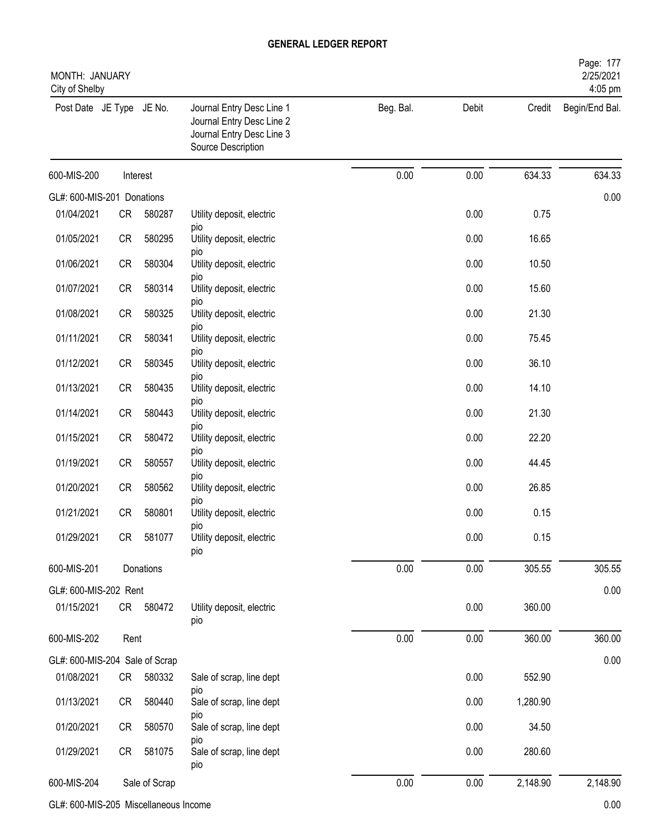| MONTH: JANUARY<br>City of Shelby |           |               |                                                                                                           |           |       |          | Page: 177<br>2/25/2021<br>4:05 pm |
|----------------------------------|-----------|---------------|-----------------------------------------------------------------------------------------------------------|-----------|-------|----------|-----------------------------------|
| Post Date JE Type JE No.         |           |               | Journal Entry Desc Line 1<br>Journal Entry Desc Line 2<br>Journal Entry Desc Line 3<br>Source Description | Beg. Bal. | Debit | Credit   | Begin/End Bal.                    |
| 600-MIS-200                      |           | Interest      |                                                                                                           | 0.00      | 0.00  | 634.33   | 634.33                            |
| GL#: 600-MIS-201 Donations       |           |               |                                                                                                           |           |       |          | 0.00                              |
| 01/04/2021                       | CR        | 580287        | Utility deposit, electric                                                                                 |           | 0.00  | 0.75     |                                   |
| 01/05/2021                       | CR        | 580295        | <b>DIO</b><br>Utility deposit, electric<br>pio                                                            |           | 0.00  | 16.65    |                                   |
| 01/06/2021                       | CR        | 580304        | Utility deposit, electric                                                                                 |           | 0.00  | 10.50    |                                   |
| 01/07/2021                       | CR        | 580314        | pio<br>Utility deposit, electric<br>pio                                                                   |           | 0.00  | 15.60    |                                   |
| 01/08/2021                       | <b>CR</b> | 580325        | Utility deposit, electric                                                                                 |           | 0.00  | 21.30    |                                   |
| 01/11/2021                       | <b>CR</b> | 580341        | pio<br>Utility deposit, electric                                                                          |           | 0.00  | 75.45    |                                   |
| 01/12/2021                       | CR        | 580345        | pio<br>Utility deposit, electric                                                                          |           | 0.00  | 36.10    |                                   |
| 01/13/2021                       | <b>CR</b> | 580435        | pio<br>Utility deposit, electric                                                                          |           | 0.00  | 14.10    |                                   |
| 01/14/2021                       | CR        | 580443        | pio<br>Utility deposit, electric                                                                          |           | 0.00  | 21.30    |                                   |
| 01/15/2021                       | <b>CR</b> | 580472        | pio<br>Utility deposit, electric                                                                          |           | 0.00  | 22.20    |                                   |
| 01/19/2021                       | <b>CR</b> | 580557        | pio<br>Utility deposit, electric                                                                          |           | 0.00  | 44.45    |                                   |
| 01/20/2021                       | CR        | 580562        | pio<br>Utility deposit, electric                                                                          |           | 0.00  | 26.85    |                                   |
| 01/21/2021                       | CR        | 580801        | pio<br>Utility deposit, electric<br>pio                                                                   |           | 0.00  | 0.15     |                                   |
| 01/29/2021                       |           | CR 581077     | Utility deposit, electric<br>pio                                                                          |           | 0.00  | 0.15     |                                   |
| 600-MIS-201                      |           | Donations     |                                                                                                           | 0.00      | 0.00  | 305.55   | 305.55                            |
| GL#: 600-MIS-202 Rent            |           |               |                                                                                                           |           |       |          | 0.00                              |
| 01/15/2021                       |           | CR 580472     | Utility deposit, electric<br>pio                                                                          |           | 0.00  | 360.00   |                                   |
| 600-MIS-202                      | Rent      |               |                                                                                                           | 0.00      | 0.00  | 360.00   | 360.00                            |
| GL#: 600-MIS-204 Sale of Scrap   |           |               |                                                                                                           |           |       |          | 0.00                              |
| 01/08/2021                       | CR        | 580332        | Sale of scrap, line dept                                                                                  |           | 0.00  | 552.90   |                                   |
| 01/13/2021                       | CR        | 580440        | pio<br>Sale of scrap, line dept<br>pio                                                                    |           | 0.00  | 1,280.90 |                                   |
| 01/20/2021                       | CR        | 580570        | Sale of scrap, line dept                                                                                  |           | 0.00  | 34.50    |                                   |
| 01/29/2021                       | CR        | 581075        | pio<br>Sale of scrap, line dept<br>pio                                                                    |           | 0.00  | 280.60   |                                   |
| 600-MIS-204                      |           | Sale of Scrap |                                                                                                           | $0.00\,$  | 0.00  | 2,148.90 | 2,148.90                          |

GL#: 600-MIS-205 Miscellaneous Income 0.00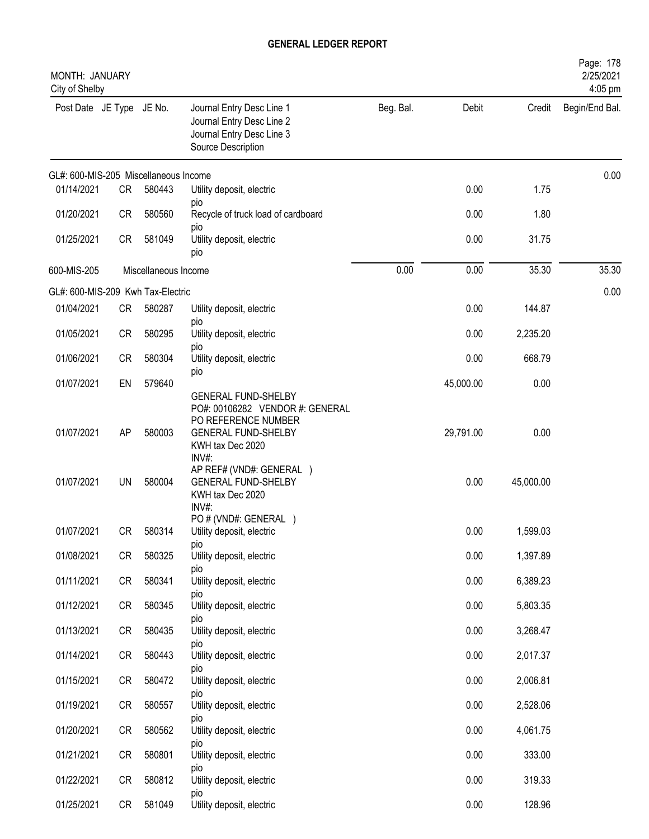| MONTH: JANUARY<br>City of Shelby      |                 |                      |                                                                                                                                                                                                           |           |                   |                   | Page: 178<br>2/25/2021<br>4:05 pm |
|---------------------------------------|-----------------|----------------------|-----------------------------------------------------------------------------------------------------------------------------------------------------------------------------------------------------------|-----------|-------------------|-------------------|-----------------------------------|
| Post Date JE Type JE No.              |                 |                      | Journal Entry Desc Line 1<br>Journal Entry Desc Line 2<br>Journal Entry Desc Line 3<br>Source Description                                                                                                 | Beg. Bal. | Debit             | Credit            | Begin/End Bal.                    |
| GL#: 600-MIS-205 Miscellaneous Income |                 |                      |                                                                                                                                                                                                           |           |                   |                   | 0.00                              |
| 01/14/2021                            | CR              | 580443               | Utility deposit, electric                                                                                                                                                                                 |           | 0.00              | 1.75              |                                   |
| 01/20/2021                            | <b>CR</b>       | 580560               | pio<br>Recycle of truck load of cardboard                                                                                                                                                                 |           | 0.00              | 1.80              |                                   |
| 01/25/2021                            | <b>CR</b>       | 581049               | pio<br>Utility deposit, electric<br>pio                                                                                                                                                                   |           | 0.00              | 31.75             |                                   |
| 600-MIS-205                           |                 | Miscellaneous Income |                                                                                                                                                                                                           | 0.00      | 0.00              | 35.30             | 35.30                             |
| GL#: 600-MIS-209 Kwh Tax-Electric     |                 |                      |                                                                                                                                                                                                           |           |                   |                   | 0.00                              |
| 01/04/2021                            | CR              | 580287               | Utility deposit, electric                                                                                                                                                                                 |           | 0.00              | 144.87            |                                   |
| 01/05/2021                            | CR              | 580295               | pio<br>Utility deposit, electric                                                                                                                                                                          |           | 0.00              | 2,235.20          |                                   |
| 01/06/2021                            | <b>CR</b>       | 580304               | pio<br>Utility deposit, electric                                                                                                                                                                          |           | 0.00              | 668.79            |                                   |
| 01/07/2021                            | EN              | 579640               | pio                                                                                                                                                                                                       |           | 45,000.00         | 0.00              |                                   |
| 01/07/2021<br>01/07/2021              | AP<br><b>UN</b> | 580003<br>580004     | <b>GENERAL FUND-SHELBY</b><br>PO#: 00106282 VENDOR #: GENERAL<br>PO REFERENCE NUMBER<br><b>GENERAL FUND-SHELBY</b><br>KWH tax Dec 2020<br>INV#:<br>AP REF# (VND#: GENERAL )<br><b>GENERAL FUND-SHELBY</b> |           | 29,791.00<br>0.00 | 0.00<br>45,000.00 |                                   |
| 01/07/2021                            | CR              | 580314               | KWH tax Dec 2020<br>INV#:<br>PO # (VND#: GENERAL )<br>Utility deposit, electric                                                                                                                           |           | 0.00              | 1,599.03          |                                   |
| 01/08/2021                            | CR              | 580325               | DIO<br>Utility deposit, electric                                                                                                                                                                          |           | 0.00              | 1,397.89          |                                   |
| 01/11/2021                            | CR              | 580341               | pio<br>Utility deposit, electric                                                                                                                                                                          |           | 0.00              | 6,389.23          |                                   |
| 01/12/2021                            | CR              | 580345               | pio<br>Utility deposit, electric                                                                                                                                                                          |           | 0.00              | 5,803.35          |                                   |
| 01/13/2021                            | CR              | 580435               | DIO<br>Utility deposit, electric                                                                                                                                                                          |           | 0.00              | 3,268.47          |                                   |
| 01/14/2021                            | CR              | 580443               | pio<br>Utility deposit, electric                                                                                                                                                                          |           | 0.00              | 2,017.37          |                                   |
| 01/15/2021                            | CR              | 580472               | pio<br>Utility deposit, electric                                                                                                                                                                          |           | 0.00              | 2,006.81          |                                   |
| 01/19/2021                            | CR              | 580557               | DIO<br>Utility deposit, electric                                                                                                                                                                          |           | 0.00              | 2,528.06          |                                   |
| 01/20/2021                            | CR              | 580562               | pio<br>Utility deposit, electric                                                                                                                                                                          |           | 0.00              | 4,061.75          |                                   |
| 01/21/2021                            | CR              | 580801               | pio<br>Utility deposit, electric                                                                                                                                                                          |           | 0.00              | 333.00            |                                   |
| 01/22/2021                            | CR              | 580812               | pio<br>Utility deposit, electric                                                                                                                                                                          |           | 0.00              | 319.33            |                                   |
| 01/25/2021                            | CR              | 581049               | pio<br>Utility deposit, electric                                                                                                                                                                          |           | 0.00              | 128.96            |                                   |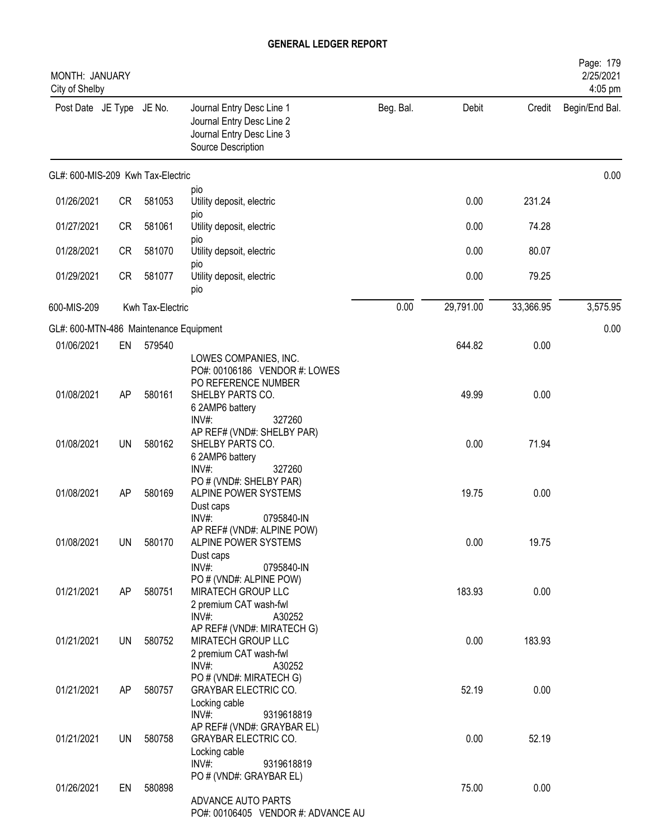| MONTH: JANUARY<br>City of Shelby       |           |                  |                                                                                                                  |           |           |           | Page: 179<br>2/25/2021<br>4:05 pm |
|----------------------------------------|-----------|------------------|------------------------------------------------------------------------------------------------------------------|-----------|-----------|-----------|-----------------------------------|
| Post Date JE Type JE No.               |           |                  | Journal Entry Desc Line 1<br>Journal Entry Desc Line 2<br>Journal Entry Desc Line 3<br>Source Description        | Beg. Bal. | Debit     | Credit    | Begin/End Bal.                    |
| GL#: 600-MIS-209 Kwh Tax-Electric      |           |                  |                                                                                                                  |           |           |           | 0.00                              |
| 01/26/2021                             | CR        | 581053           | pio<br>Utility deposit, electric                                                                                 |           | 0.00      | 231.24    |                                   |
| 01/27/2021                             | <b>CR</b> | 581061           | pio<br>Utility deposit, electric<br>pio                                                                          |           | 0.00      | 74.28     |                                   |
| 01/28/2021                             | <b>CR</b> | 581070           | Utility depsoit, electric<br>pio                                                                                 |           | 0.00      | 80.07     |                                   |
| 01/29/2021                             | CR        | 581077           | Utility deposit, electric<br>pio                                                                                 |           | 0.00      | 79.25     |                                   |
| 600-MIS-209                            |           | Kwh Tax-Electric |                                                                                                                  | 0.00      | 29,791.00 | 33,366.95 | 3,575.95                          |
| GL#: 600-MTN-486 Maintenance Equipment |           |                  |                                                                                                                  |           |           |           | 0.00                              |
| 01/06/2021                             | EN        | 579540           | LOWES COMPANIES, INC.<br>PO#: 00106186 VENDOR #: LOWES                                                           |           | 644.82    | 0.00      |                                   |
| 01/08/2021                             | AP        | 580161           | PO REFERENCE NUMBER<br>SHELBY PARTS CO.<br>6 2AMP6 battery                                                       |           | 49.99     | 0.00      |                                   |
| 01/08/2021                             | <b>UN</b> | 580162           | INV#:<br>327260<br>AP REF# (VND#: SHELBY PAR)<br>SHELBY PARTS CO.<br>6 2AMP6 battery                             |           | 0.00      | 71.94     |                                   |
| 01/08/2021                             | AP        | 580169           | INV#:<br>327260<br>PO # (VND#: SHELBY PAR)<br>ALPINE POWER SYSTEMS<br>Dust caps                                  |           | 19.75     | 0.00      |                                   |
| 01/08/2021                             | UN        | 580170           | INV#:<br>0795840-IN<br>AP REF# (VND#: ALPINE POW)<br>ALPINE POWER SYSTEMS<br>Dust caps<br>$INV#$ :<br>0795840-IN |           | 0.00      | 19.75     |                                   |
| 01/21/2021                             | AP        | 580751           | PO # (VND#: ALPINE POW)<br>MIRATECH GROUP LLC<br>2 premium CAT wash-fwl                                          |           | 183.93    | 0.00      |                                   |
| 01/21/2021                             | UN        | 580752           | $INV#$ :<br>A30252<br>AP REF# (VND#: MIRATECH G)<br>MIRATECH GROUP LLC<br>2 premium CAT wash-fwl                 |           | 0.00      | 183.93    |                                   |
| 01/21/2021                             | AP        | 580757           | $INV#$ :<br>A30252<br>PO # (VND#: MIRATECH G)<br><b>GRAYBAR ELECTRIC CO.</b><br>Locking cable                    |           | 52.19     | 0.00      |                                   |
| 01/21/2021                             | UN        | 580758           | $INV#$ :<br>9319618819<br>AP REF# (VND#: GRAYBAR EL)<br><b>GRAYBAR ELECTRIC CO.</b><br>Locking cable             |           | 0.00      | 52.19     |                                   |
| 01/26/2021                             | EN        | 580898           | $INV#$ :<br>9319618819<br>PO # (VND#: GRAYBAR EL)<br>ADVANCE AUTO PARTS<br>PO#: 00106405 VENDOR #: ADVANCE AU    |           | 75.00     | 0.00      |                                   |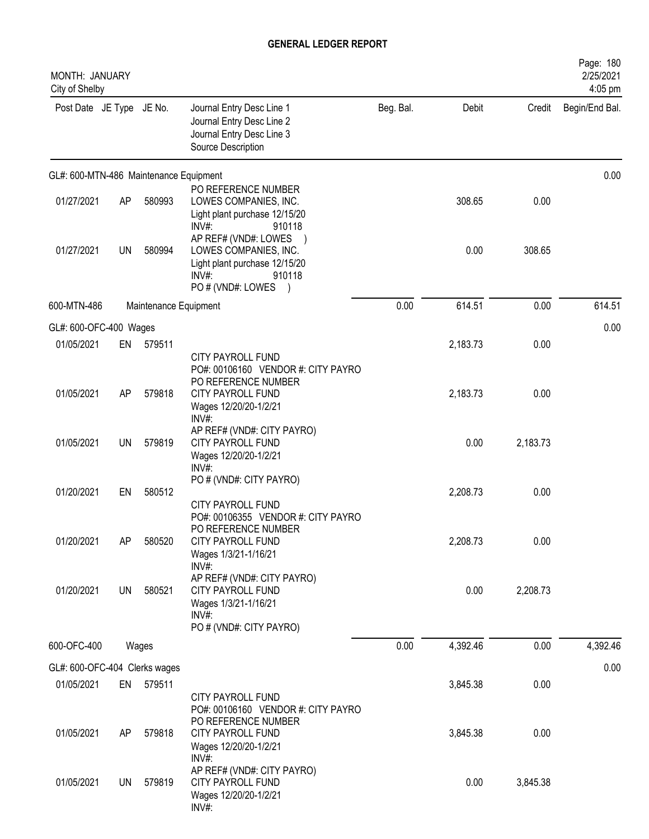| MONTH: JANUARY<br>City of Shelby       |    |                       |                                                                                                                         |           |          |          | Page: 180<br>2/25/2021<br>4:05 pm |
|----------------------------------------|----|-----------------------|-------------------------------------------------------------------------------------------------------------------------|-----------|----------|----------|-----------------------------------|
| Post Date JE Type JE No.               |    |                       | Journal Entry Desc Line 1<br>Journal Entry Desc Line 2<br>Journal Entry Desc Line 3<br>Source Description               | Beg. Bal. | Debit    | Credit   | Begin/End Bal.                    |
| GL#: 600-MTN-486 Maintenance Equipment |    |                       |                                                                                                                         |           |          |          | 0.00                              |
| 01/27/2021                             | AP | 580993                | PO REFERENCE NUMBER<br>LOWES COMPANIES, INC.<br>Light plant purchase 12/15/20<br>INV#:<br>910118                        |           | 308.65   | 0.00     |                                   |
| 01/27/2021                             | UN | 580994                | AP REF# (VND#: LOWES<br>LOWES COMPANIES, INC.<br>Light plant purchase 12/15/20<br>INV#:<br>910118<br>PO # (VND#: LOWES  |           | 0.00     | 308.65   |                                   |
| 600-MTN-486                            |    | Maintenance Equipment |                                                                                                                         | 0.00      | 614.51   | 0.00     | 614.51                            |
| GL#: 600-OFC-400 Wages                 |    |                       |                                                                                                                         |           |          |          | 0.00                              |
| 01/05/2021                             | EN | 579511                | <b>CITY PAYROLL FUND</b><br>PO#: 00106160 VENDOR #: CITY PAYRO                                                          |           | 2,183.73 | 0.00     |                                   |
| 01/05/2021                             | AP | 579818                | PO REFERENCE NUMBER<br>CITY PAYROLL FUND<br>Wages 12/20/20-1/2/21<br>$INV#$ :                                           |           | 2,183.73 | 0.00     |                                   |
| 01/05/2021                             | UN | 579819                | AP REF# (VND#: CITY PAYRO)<br><b>CITY PAYROLL FUND</b><br>Wages 12/20/20-1/2/21<br>$INV#$ :                             |           | 0.00     | 2,183.73 |                                   |
| 01/20/2021                             | EN | 580512                | PO # (VND#: CITY PAYRO)<br>CITY PAYROLL FUND<br>PO#: 00106355 VENDOR #: CITY PAYRO                                      |           | 2,208.73 | 0.00     |                                   |
| 01/20/2021                             | AP | 580520                | PO REFERENCE NUMBER<br>CITY PAYROLL FUND<br>Wages 1/3/21-1/16/21<br>INV#:                                               |           | 2,208.73 | 0.00     |                                   |
| 01/20/2021                             | UN | 580521                | AP REF# (VND#: CITY PAYRO)<br><b>CITY PAYROLL FUND</b><br>Wages 1/3/21-1/16/21<br>INV#:<br>PO # (VND#: CITY PAYRO)      |           | 0.00     | 2,208.73 |                                   |
| 600-OFC-400                            |    | Wages                 |                                                                                                                         | 0.00      | 4,392.46 | 0.00     | 4,392.46                          |
| GL#: 600-OFC-404 Clerks wages          |    |                       |                                                                                                                         |           |          |          | 0.00                              |
| 01/05/2021                             | EN | 579511                | <b>CITY PAYROLL FUND</b>                                                                                                |           | 3,845.38 | 0.00     |                                   |
| 01/05/2021                             | AP | 579818                | PO#: 00106160 VENDOR #: CITY PAYRO<br>PO REFERENCE NUMBER<br><b>CITY PAYROLL FUND</b><br>Wages 12/20/20-1/2/21<br>INV#: |           | 3,845.38 | 0.00     |                                   |
| 01/05/2021                             | UN | 579819                | AP REF# (VND#: CITY PAYRO)<br>CITY PAYROLL FUND<br>Wages 12/20/20-1/2/21<br>INV#:                                       |           | 0.00     | 3,845.38 |                                   |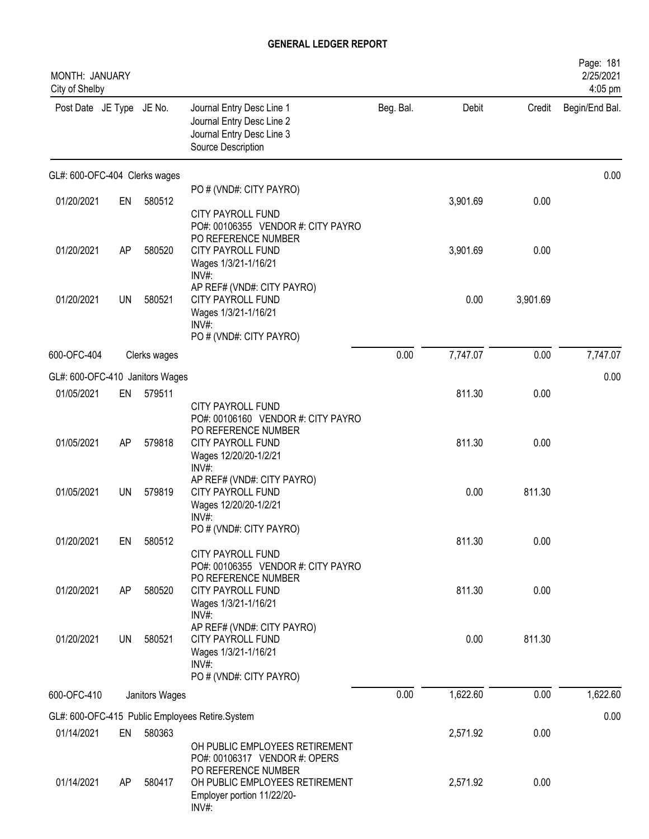| MONTH: JANUARY<br>City of Shelby |    |                |                                                                                                                               |           |          |          | Page: 181<br>2/25/2021<br>4:05 pm |
|----------------------------------|----|----------------|-------------------------------------------------------------------------------------------------------------------------------|-----------|----------|----------|-----------------------------------|
| Post Date JE Type JE No.         |    |                | Journal Entry Desc Line 1<br>Journal Entry Desc Line 2<br>Journal Entry Desc Line 3<br>Source Description                     | Beg. Bal. | Debit    | Credit   | Begin/End Bal.                    |
| GL#: 600-OFC-404 Clerks wages    |    |                |                                                                                                                               |           |          |          | 0.00                              |
| 01/20/2021                       | EN | 580512         | PO # (VND#: CITY PAYRO)                                                                                                       |           | 3,901.69 | 0.00     |                                   |
|                                  |    |                | <b>CITY PAYROLL FUND</b><br>PO#: 00106355 VENDOR #: CITY PAYRO<br>PO REFERENCE NUMBER                                         |           |          |          |                                   |
| 01/20/2021                       | AP | 580520         | <b>CITY PAYROLL FUND</b><br>Wages 1/3/21-1/16/21<br>$INV#$ :                                                                  |           | 3,901.69 | 0.00     |                                   |
| 01/20/2021                       | UN | 580521         | AP REF# (VND#: CITY PAYRO)<br><b>CITY PAYROLL FUND</b><br>Wages 1/3/21-1/16/21<br>INV#:                                       |           | 0.00     | 3,901.69 |                                   |
|                                  |    |                | PO # (VND#: CITY PAYRO)                                                                                                       |           |          |          |                                   |
| 600-OFC-404                      |    | Clerks wages   |                                                                                                                               | 0.00      | 7,747.07 | 0.00     | 7,747.07                          |
| GL#: 600-OFC-410 Janitors Wages  |    |                |                                                                                                                               |           |          |          | 0.00                              |
| 01/05/2021                       | EN | 579511         | <b>CITY PAYROLL FUND</b><br>PO#: 00106160 VENDOR #: CITY PAYRO<br>PO REFERENCE NUMBER                                         |           | 811.30   | 0.00     |                                   |
| 01/05/2021                       | AP | 579818         | CITY PAYROLL FUND<br>Wages 12/20/20-1/2/21<br>INV#:                                                                           |           | 811.30   | 0.00     |                                   |
| 01/05/2021                       | UN | 579819         | AP REF# (VND#: CITY PAYRO)<br><b>CITY PAYROLL FUND</b><br>Wages 12/20/20-1/2/21<br>INV#:                                      |           | 0.00     | 811.30   |                                   |
| 01/20/2021                       | EN | 580512         | PO # (VND#: CITY PAYRO)<br><b>CITY PAYROLL FUND</b><br>PO#: 00106355 VENDOR #: CITY PAYRO                                     |           | 811.30   | 0.00     |                                   |
| 01/20/2021                       | AP | 580520         | PO REFERENCE NUMBER<br>CITY PAYROLL FUND<br>Wages 1/3/21-1/16/21<br>$INV#$ :                                                  |           | 811.30   | 0.00     |                                   |
| 01/20/2021                       | UN | 580521         | AP REF# (VND#: CITY PAYRO)<br><b>CITY PAYROLL FUND</b><br>Wages 1/3/21-1/16/21<br>INV#:<br>PO # (VND#: CITY PAYRO)            |           | 0.00     | 811.30   |                                   |
| 600-OFC-410                      |    | Janitors Wages |                                                                                                                               | 0.00      | 1,622.60 | 0.00     | 1,622.60                          |
|                                  |    |                | GL#: 600-OFC-415 Public Employees Retire.System                                                                               |           |          |          | 0.00                              |
| 01/14/2021                       | EN | 580363         | OH PUBLIC EMPLOYEES RETIREMENT                                                                                                |           | 2,571.92 | 0.00     |                                   |
| 01/14/2021                       | AP | 580417         | PO#: 00106317 VENDOR #: OPERS<br>PO REFERENCE NUMBER<br>OH PUBLIC EMPLOYEES RETIREMENT<br>Employer portion 11/22/20-<br>INV#: |           | 2,571.92 | 0.00     |                                   |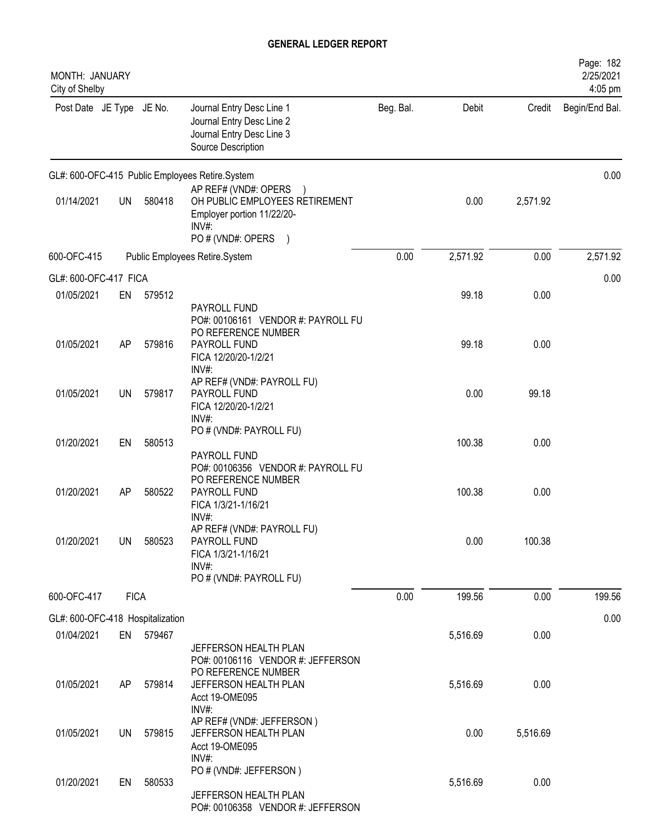| MONTH: JANUARY<br>City of Shelby               |             |           |                                                                                                                                        |           |          |          | Page: 182<br>2/25/2021<br>4:05 pm |
|------------------------------------------------|-------------|-----------|----------------------------------------------------------------------------------------------------------------------------------------|-----------|----------|----------|-----------------------------------|
| Post Date JE Type JE No.                       |             |           | Journal Entry Desc Line 1<br>Journal Entry Desc Line 2<br>Journal Entry Desc Line 3<br>Source Description                              | Beg. Bal. | Debit    | Credit   | Begin/End Bal.                    |
|                                                |             |           | GL#: 600-OFC-415 Public Employees Retire.System                                                                                        |           |          |          | 0.00                              |
| 01/14/2021                                     | UN          | 580418    | AP REF# (VND#: OPERS<br>OH PUBLIC EMPLOYEES RETIREMENT<br>Employer portion 11/22/20-<br>INV#:<br>PO # (VND#: OPERS<br>$\left( \right)$ |           | 0.00     | 2,571.92 |                                   |
| 600-OFC-415                                    |             |           | Public Employees Retire.System                                                                                                         | 0.00      | 2,571.92 | 0.00     | 2,571.92                          |
| GL#: 600-OFC-417 FICA                          |             |           |                                                                                                                                        |           |          |          | 0.00                              |
| 01/05/2021                                     | EN          | 579512    |                                                                                                                                        |           | 99.18    | 0.00     |                                   |
| 01/05/2021                                     | AP          | 579816    | PAYROLL FUND<br>PO#: 00106161 VENDOR #: PAYROLL FU<br>PO REFERENCE NUMBER<br>PAYROLL FUND<br>FICA 12/20/20-1/2/21                      |           | 99.18    | 0.00     |                                   |
| 01/05/2021                                     | UN          | 579817    | INV#:<br>AP REF# (VND#: PAYROLL FU)<br>PAYROLL FUND<br>FICA 12/20/20-1/2/21<br>$INV#$ :                                                |           | 0.00     | 99.18    |                                   |
| 01/20/2021                                     | EN          | 580513    | PO # (VND#: PAYROLL FU)<br>PAYROLL FUND                                                                                                |           | 100.38   | 0.00     |                                   |
| 01/20/2021                                     | AP          | 580522    | PO#: 00106356 VENDOR #: PAYROLL FU<br>PO REFERENCE NUMBER<br>PAYROLL FUND<br>FICA 1/3/21-1/16/21                                       |           | 100.38   | 0.00     |                                   |
| 01/20/2021                                     | UN          | 580523    | $INV#$ :<br>AP REF# (VND#: PAYROLL FU)<br>PAYROLL FUND<br>FICA 1/3/21-1/16/21<br>INV#:                                                 |           | 0.00     | 100.38   |                                   |
|                                                |             |           | PO # (VND#: PAYROLL FU)                                                                                                                |           |          |          |                                   |
| 600-OFC-417                                    | <b>FICA</b> |           |                                                                                                                                        | 0.00      | 199.56   | 0.00     | 199.56                            |
| GL#: 600-OFC-418 Hospitalization<br>01/04/2021 |             | EN 579467 |                                                                                                                                        |           | 5,516.69 | 0.00     | 0.00                              |
|                                                |             |           | JEFFERSON HEALTH PLAN<br>PO#: 00106116 VENDOR #: JEFFERSON<br>PO REFERENCE NUMBER                                                      |           |          |          |                                   |
| 01/05/2021                                     | AP          | 579814    | JEFFERSON HEALTH PLAN<br>Acct 19-OME095<br>INV#:                                                                                       |           | 5,516.69 | 0.00     |                                   |
| 01/05/2021                                     | UN          | 579815    | AP REF# (VND#: JEFFERSON)<br>JEFFERSON HEALTH PLAN<br>Acct 19-OME095                                                                   |           | 0.00     | 5,516.69 |                                   |
| 01/20/2021                                     | EN          | 580533    | $INV#$ :<br>PO # (VND#: JEFFERSON)<br>JEFFERSON HEALTH PLAN<br>PO#: 00106358 VENDOR #: JEFFERSON                                       |           | 5,516.69 | 0.00     |                                   |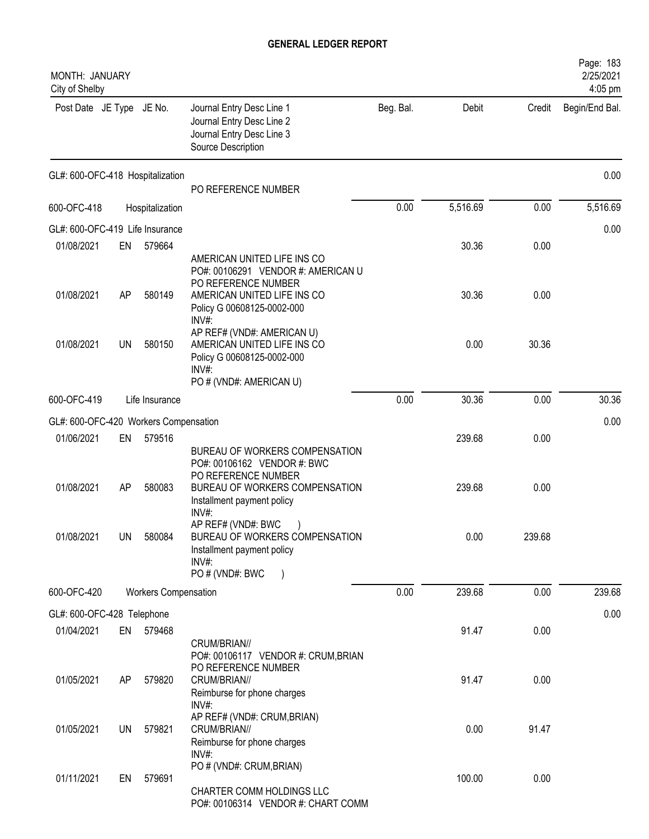| MONTH: JANUARY<br>City of Shelby      |    |                             |                                                                                                                                                                |           |          |        | Page: 183<br>2/25/2021<br>4:05 pm |
|---------------------------------------|----|-----------------------------|----------------------------------------------------------------------------------------------------------------------------------------------------------------|-----------|----------|--------|-----------------------------------|
| Post Date JE Type JE No.              |    |                             | Journal Entry Desc Line 1<br>Journal Entry Desc Line 2<br>Journal Entry Desc Line 3<br>Source Description                                                      | Beg. Bal. | Debit    | Credit | Begin/End Bal.                    |
| GL#: 600-OFC-418 Hospitalization      |    |                             | PO REFERENCE NUMBER                                                                                                                                            |           |          |        | 0.00                              |
| 600-OFC-418                           |    | Hospitalization             |                                                                                                                                                                | 0.00      | 5,516.69 | 0.00   | 5,516.69                          |
| GL#: 600-OFC-419 Life Insurance       |    |                             |                                                                                                                                                                |           |          |        | 0.00                              |
| 01/08/2021                            | EN | 579664                      |                                                                                                                                                                |           | 30.36    | 0.00   |                                   |
| 01/08/2021                            | AP | 580149                      | AMERICAN UNITED LIFE INS CO<br>PO#: 00106291 VENDOR #: AMERICAN U<br>PO REFERENCE NUMBER<br>AMERICAN UNITED LIFE INS CO<br>Policy G 00608125-0002-000<br>INV#: |           | 30.36    | 0.00   |                                   |
| 01/08/2021                            | UN | 580150                      | AP REF# (VND#: AMERICAN U)<br>AMERICAN UNITED LIFE INS CO<br>Policy G 00608125-0002-000<br>INV#:<br>PO # (VND#: AMERICAN U)                                    |           | 0.00     | 30.36  |                                   |
| 600-OFC-419                           |    | Life Insurance              |                                                                                                                                                                | 0.00      | 30.36    | 0.00   | 30.36                             |
| GL#: 600-OFC-420 Workers Compensation |    |                             |                                                                                                                                                                |           |          |        | 0.00                              |
| 01/06/2021                            | EN | 579516                      | BUREAU OF WORKERS COMPENSATION                                                                                                                                 |           | 239.68   | 0.00   |                                   |
| 01/08/2021                            | AP | 580083                      | PO#: 00106162 VENDOR #: BWC<br>PO REFERENCE NUMBER<br>BUREAU OF WORKERS COMPENSATION<br>Installment payment policy<br>INV#:                                    |           | 239.68   | 0.00   |                                   |
| 01/08/2021                            | UN | 580084                      | AP REF# (VND#: BWC<br>BUREAU OF WORKERS COMPENSATION<br>Installment payment policy<br>$INV#$ :                                                                 |           | 0.00     | 239.68 |                                   |
|                                       |    |                             | PO # (VND#: BWC                                                                                                                                                |           |          |        |                                   |
| 600-OFC-420                           |    | <b>Workers Compensation</b> |                                                                                                                                                                | 0.00      | 239.68   | 0.00   | 239.68                            |
| GL#: 600-OFC-428 Telephone            |    |                             |                                                                                                                                                                |           |          |        | 0.00                              |
| 01/04/2021                            | EN | 579468                      | CRUM/BRIAN//<br>PO#: 00106117 VENDOR #: CRUM, BRIAN                                                                                                            |           | 91.47    | 0.00   |                                   |
| 01/05/2021                            | AP | 579820                      | PO REFERENCE NUMBER<br>CRUM/BRIAN//<br>Reimburse for phone charges<br>INV#:                                                                                    |           | 91.47    | 0.00   |                                   |
| 01/05/2021                            | UN | 579821                      | AP REF# (VND#: CRUM, BRIAN)<br>CRUM/BRIAN//<br>Reimburse for phone charges                                                                                     |           | 0.00     | 91.47  |                                   |
| 01/11/2021                            | EN | 579691                      | $INV#$ :<br>PO # (VND#: CRUM, BRIAN)<br>CHARTER COMM HOLDINGS LLC<br>PO#: 00106314 VENDOR #: CHART COMM                                                        |           | 100.00   | 0.00   |                                   |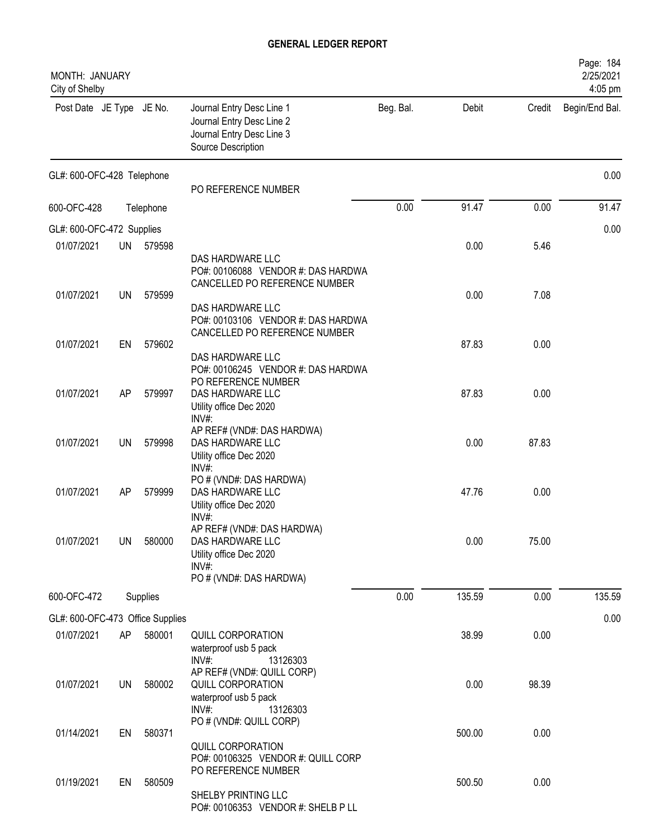| MONTH: JANUARY<br>City of Shelby |    |           |                                                                                                                                                     |           |        |        | Page: 184<br>2/25/2021<br>4:05 pm |
|----------------------------------|----|-----------|-----------------------------------------------------------------------------------------------------------------------------------------------------|-----------|--------|--------|-----------------------------------|
| Post Date JE Type JE No.         |    |           | Journal Entry Desc Line 1<br>Journal Entry Desc Line 2<br>Journal Entry Desc Line 3<br>Source Description                                           | Beg. Bal. | Debit  | Credit | Begin/End Bal.                    |
| GL#: 600-OFC-428 Telephone       |    |           | PO REFERENCE NUMBER                                                                                                                                 |           |        |        | 0.00                              |
| 600-OFC-428                      |    | Telephone |                                                                                                                                                     | 0.00      | 91.47  | 0.00   | 91.47                             |
| GL#: 600-OFC-472 Supplies        |    |           |                                                                                                                                                     |           |        |        | 0.00                              |
| 01/07/2021                       |    | UN 579598 |                                                                                                                                                     |           | 0.00   | 5.46   |                                   |
| 01/07/2021                       | UN | 579599    | DAS HARDWARE LLC<br>PO#: 00106088 VENDOR #: DAS HARDWA<br>CANCELLED PO REFERENCE NUMBER<br>DAS HARDWARE LLC<br>PO#: 00103106 VENDOR #: DAS HARDWA   |           | 0.00   | 7.08   |                                   |
| 01/07/2021                       | EN | 579602    | CANCELLED PO REFERENCE NUMBER                                                                                                                       |           | 87.83  | 0.00   |                                   |
| 01/07/2021                       | AP | 579997    | DAS HARDWARE LLC<br>PO#: 00106245 VENDOR #: DAS HARDWA<br>PO REFERENCE NUMBER<br>DAS HARDWARE LLC<br>Utility office Dec 2020<br>INV#:               |           | 87.83  | 0.00   |                                   |
| 01/07/2021                       | UN | 579998    | AP REF# (VND#: DAS HARDWA)<br>DAS HARDWARE LLC<br>Utility office Dec 2020<br>INV#:                                                                  |           | 0.00   | 87.83  |                                   |
| 01/07/2021                       | AP | 579999    | PO # (VND#: DAS HARDWA)<br>DAS HARDWARE LLC<br>Utility office Dec 2020                                                                              |           | 47.76  | 0.00   |                                   |
| 01/07/2021                       | UN | 580000    | $INV#$ :<br>AP REF# (VND#: DAS HARDWA)<br>DAS HARDWARE LLC<br>Utility office Dec 2020<br>INV#:<br>PO # (VND#: DAS HARDWA)                           |           | 0.00   | 75.00  |                                   |
| 600-OFC-472                      |    | Supplies  |                                                                                                                                                     | 0.00      | 135.59 | 0.00   | 135.59                            |
| GL#: 600-OFC-473 Office Supplies |    |           |                                                                                                                                                     |           |        |        | 0.00                              |
| 01/07/2021                       | AP | 580001    | QUILL CORPORATION<br>waterproof usb 5 pack                                                                                                          |           | 38.99  | 0.00   |                                   |
| 01/07/2021                       | UN | 580002    | $INV#$ :<br>13126303<br>AP REF# (VND#: QUILL CORP)<br>QUILL CORPORATION<br>waterproof usb 5 pack<br>$INV#$ :<br>13126303<br>PO # (VND#: QUILL CORP) |           | 0.00   | 98.39  |                                   |
| 01/14/2021                       | EN | 580371    | QUILL CORPORATION<br>PO#: 00106325 VENDOR #: QUILL CORP                                                                                             |           | 500.00 | 0.00   |                                   |
| 01/19/2021                       | EN | 580509    | PO REFERENCE NUMBER<br>SHELBY PRINTING LLC<br>PO#: 00106353 VENDOR #: SHELB P LL                                                                    |           | 500.50 | 0.00   |                                   |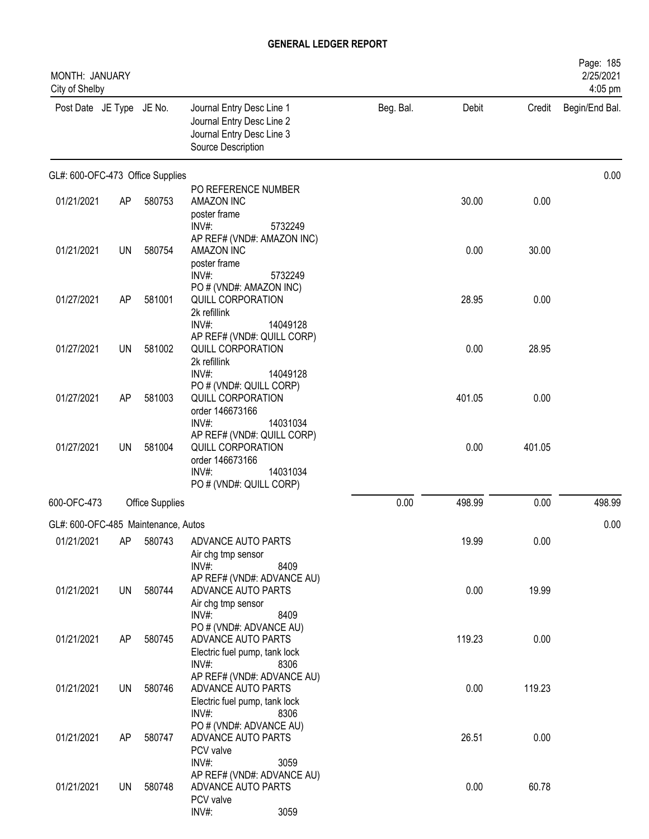| MONTH: JANUARY<br>City of Shelby    |           |                        |                                                                                                           |           |        |        | Page: 185<br>2/25/2021<br>4:05 pm |
|-------------------------------------|-----------|------------------------|-----------------------------------------------------------------------------------------------------------|-----------|--------|--------|-----------------------------------|
| Post Date JE Type JE No.            |           |                        | Journal Entry Desc Line 1<br>Journal Entry Desc Line 2<br>Journal Entry Desc Line 3<br>Source Description | Beg. Bal. | Debit  | Credit | Begin/End Bal.                    |
| GL#: 600-OFC-473 Office Supplies    |           |                        |                                                                                                           |           |        |        | 0.00                              |
| 01/21/2021                          | AP        | 580753                 | PO REFERENCE NUMBER<br>AMAZON INC<br>poster frame<br>INV#:<br>5732249                                     |           | 30.00  | 0.00   |                                   |
| 01/21/2021                          | <b>UN</b> | 580754                 | AP REF# (VND#: AMAZON INC)<br>AMAZON INC<br>poster frame<br>INV#:<br>5732249                              |           | 0.00   | 30.00  |                                   |
| 01/27/2021                          | AP        | 581001                 | PO # (VND#: AMAZON INC)<br>QUILL CORPORATION<br>2k refillink<br>INV#:<br>14049128                         |           | 28.95  | 0.00   |                                   |
| 01/27/2021                          | <b>UN</b> | 581002                 | AP REF# (VND#: QUILL CORP)<br>QUILL CORPORATION<br>2k refillink<br>INV#:<br>14049128                      |           | 0.00   | 28.95  |                                   |
| 01/27/2021                          | AP        | 581003                 | PO # (VND#: QUILL CORP)<br>QUILL CORPORATION<br>order 146673166<br>INV#:<br>14031034                      |           | 401.05 | 0.00   |                                   |
| 01/27/2021                          | UN        | 581004                 | AP REF# (VND#: QUILL CORP)<br>QUILL CORPORATION<br>order 146673166<br>$INV#$ :<br>14031034                |           | 0.00   | 401.05 |                                   |
| 600-OFC-473                         |           | <b>Office Supplies</b> | PO # (VND#: QUILL CORP)                                                                                   | 0.00      | 498.99 | 0.00   | 498.99                            |
| GL#: 600-OFC-485 Maintenance, Autos |           |                        |                                                                                                           |           |        |        | 0.00                              |
| 01/21/2021                          | AP        | 580743                 | ADVANCE AUTO PARTS<br>Air chg tmp sensor<br>$INV#$ :<br>8409                                              |           | 19.99  | 0.00   |                                   |
| 01/21/2021                          | UN        | 580744                 | AP REF# (VND#: ADVANCE AU)<br>ADVANCE AUTO PARTS<br>Air chg tmp sensor<br>INV#:<br>8409                   |           | 0.00   | 19.99  |                                   |
| 01/21/2021                          | AP        | 580745                 | PO # (VND#: ADVANCE AU)<br>ADVANCE AUTO PARTS<br>Electric fuel pump, tank lock<br>INV#:<br>8306           |           | 119.23 | 0.00   |                                   |
| 01/21/2021                          | UN        | 580746                 | AP REF# (VND#: ADVANCE AU)<br>ADVANCE AUTO PARTS<br>Electric fuel pump, tank lock<br>$INV#$ :<br>8306     |           | 0.00   | 119.23 |                                   |
| 01/21/2021                          | AP        | 580747                 | PO # (VND#: ADVANCE AU)<br>ADVANCE AUTO PARTS<br>PCV valve                                                |           | 26.51  | 0.00   |                                   |
| 01/21/2021                          | UN        | 580748                 | INV#:<br>3059<br>AP REF# (VND#: ADVANCE AU)<br>ADVANCE AUTO PARTS<br>PCV valve<br>INV#:<br>3059           |           | 0.00   | 60.78  |                                   |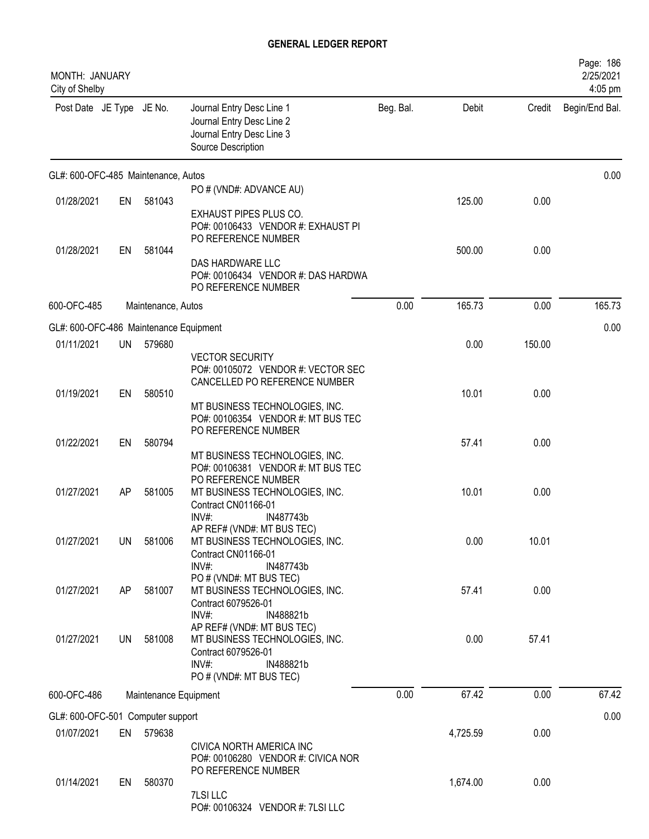| MONTH: JANUARY<br>City of Shelby       |           |                    |                                                                                                                                            |           |          |        | Page: 186<br>2/25/2021<br>4:05 pm |
|----------------------------------------|-----------|--------------------|--------------------------------------------------------------------------------------------------------------------------------------------|-----------|----------|--------|-----------------------------------|
| Post Date JE Type JE No.               |           |                    | Journal Entry Desc Line 1<br>Journal Entry Desc Line 2<br>Journal Entry Desc Line 3<br>Source Description                                  | Beg. Bal. | Debit    | Credit | Begin/End Bal.                    |
| GL#: 600-OFC-485 Maintenance, Autos    |           |                    |                                                                                                                                            |           |          |        | 0.00                              |
| 01/28/2021                             | EN        | 581043             | PO # (VND#: ADVANCE AU)<br><b>EXHAUST PIPES PLUS CO.</b>                                                                                   |           | 125.00   | 0.00   |                                   |
| 01/28/2021                             | EN        | 581044             | PO#: 00106433 VENDOR #: EXHAUST PI<br>PO REFERENCE NUMBER<br>DAS HARDWARE LLC<br>PO#: 00106434 VENDOR #: DAS HARDWA<br>PO REFERENCE NUMBER |           | 500.00   | 0.00   |                                   |
| 600-OFC-485                            |           | Maintenance, Autos |                                                                                                                                            | 0.00      | 165.73   | 0.00   | 165.73                            |
| GL#: 600-OFC-486 Maintenance Equipment |           |                    |                                                                                                                                            |           |          |        | 0.00                              |
| 01/11/2021                             | UN        | 579680             | <b>VECTOR SECURITY</b><br>PO#: 00105072 VENDOR #: VECTOR SEC                                                                               |           | 0.00     | 150.00 |                                   |
| 01/19/2021                             | EN        | 580510             | CANCELLED PO REFERENCE NUMBER<br>MT BUSINESS TECHNOLOGIES, INC.<br>PO#: 00106354 VENDOR #: MT BUS TEC                                      |           | 10.01    | 0.00   |                                   |
| 01/22/2021                             | EN        | 580794             | PO REFERENCE NUMBER<br>MT BUSINESS TECHNOLOGIES, INC.<br>PO#: 00106381 VENDOR #: MT BUS TEC                                                |           | 57.41    | 0.00   |                                   |
| 01/27/2021                             | AP        | 581005             | PO REFERENCE NUMBER<br>MT BUSINESS TECHNOLOGIES, INC.<br>Contract CN01166-01<br>IN487743b<br>INV#                                          |           | 10.01    | 0.00   |                                   |
| 01/27/2021                             | <b>UN</b> | 581006             | AP REF# (VND#: MT BUS TEC)<br>MT BUSINESS TECHNOLOGIES, INC.<br>Contract CN01166-01<br>$INV#$ :<br>IN487743b                               |           | 0.00     | 10.01  |                                   |
| 01/27/2021                             | AP        | 581007             | PO # (VND#: MT BUS TEC)<br>MT BUSINESS TECHNOLOGIES, INC.<br>Contract 6079526-01<br>$INV#$ :<br>IN488821b                                  |           | 57.41    | 0.00   |                                   |
| 01/27/2021                             | <b>UN</b> | 581008             | AP REF# (VND#: MT BUS TEC)<br>MT BUSINESS TECHNOLOGIES, INC.<br>Contract 6079526-01<br>$INV#$ :<br>IN488821b<br>PO # (VND#: MT BUS TEC)    |           | 0.00     | 57.41  |                                   |
| 600-OFC-486                            |           |                    | Maintenance Equipment                                                                                                                      | 0.00      | 67.42    | 0.00   | 67.42                             |
| GL#: 600-OFC-501 Computer support      |           |                    |                                                                                                                                            |           |          |        | 0.00                              |
| 01/07/2021                             |           | EN 579638          | CIVICA NORTH AMERICA INC<br>PO#: 00106280 VENDOR #: CIVICA NOR<br>PO REFERENCE NUMBER                                                      |           | 4,725.59 | 0.00   |                                   |
| 01/14/2021                             | EN        | 580370             | 7LSI LLC<br>PO#: 00106324 VENDOR #: 7LSI LLC                                                                                               |           | 1,674.00 | 0.00   |                                   |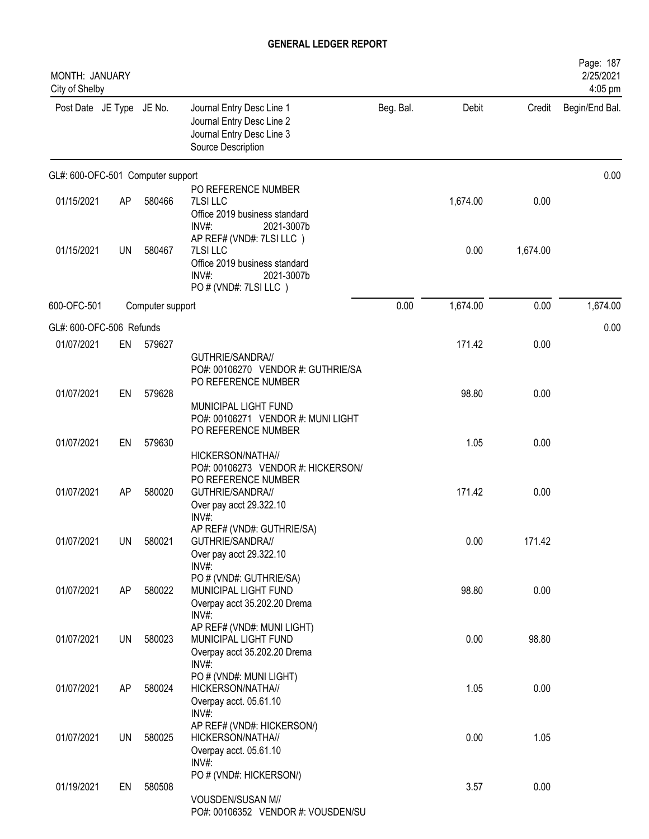| MONTH: JANUARY<br>City of Shelby  |           |                  |                                                                                                                       |           |          |          | Page: 187<br>2/25/2021<br>4:05 pm |
|-----------------------------------|-----------|------------------|-----------------------------------------------------------------------------------------------------------------------|-----------|----------|----------|-----------------------------------|
| Post Date JE Type JE No.          |           |                  | Journal Entry Desc Line 1<br>Journal Entry Desc Line 2<br>Journal Entry Desc Line 3<br>Source Description             | Beg. Bal. | Debit    | Credit   | Begin/End Bal.                    |
| GL#: 600-OFC-501 Computer support |           |                  |                                                                                                                       |           |          |          | 0.00                              |
| 01/15/2021                        | AP        | 580466           | PO REFERENCE NUMBER<br>7LSI LLC<br>Office 2019 business standard<br>$INV#$ :<br>2021-3007b                            |           | 1,674.00 | 0.00     |                                   |
| 01/15/2021                        | <b>UN</b> | 580467           | AP REF# (VND#: 7LSI LLC)<br>7LSI LLC<br>Office 2019 business standard<br>INV#:<br>2021-3007b<br>PO # (VND#: 7LSI LLC) |           | 0.00     | 1,674.00 |                                   |
| 600-OFC-501                       |           | Computer support |                                                                                                                       | 0.00      | 1,674.00 | 0.00     | 1,674.00                          |
| GL#: 600-OFC-506 Refunds          |           |                  |                                                                                                                       |           |          |          | 0.00                              |
| 01/07/2021                        | EN        | 579627           | GUTHRIE/SANDRA//<br>PO#: 00106270 VENDOR #: GUTHRIE/SA                                                                |           | 171.42   | 0.00     |                                   |
| 01/07/2021                        | EN        | 579628           | PO REFERENCE NUMBER<br>MUNICIPAL LIGHT FUND<br>PO#: 00106271 VENDOR #: MUNI LIGHT                                     |           | 98.80    | 0.00     |                                   |
| 01/07/2021                        | EN        | 579630           | PO REFERENCE NUMBER<br>HICKERSON/NATHA//<br>PO#: 00106273 VENDOR #: HICKERSON/                                        |           | 1.05     | 0.00     |                                   |
| 01/07/2021                        | AP        | 580020           | PO REFERENCE NUMBER<br>GUTHRIE/SANDRA//<br>Over pay acct 29.322.10<br>INV#:                                           |           | 171.42   | 0.00     |                                   |
| 01/07/2021                        | UN        | 580021           | AP REF# (VND#: GUTHRIE/SA)<br>GUTHRIE/SANDRA//<br>Over pay acct 29.322.10<br>INV#:                                    |           | 0.00     | 171.42   |                                   |
| 01/07/2021                        | AP        | 580022           | PO # (VND#: GUTHRIE/SA)<br>MUNICIPAL LIGHT FUND<br>Overpay acct 35.202.20 Drema<br>$INV#$ :                           |           | 98.80    | 0.00     |                                   |
| 01/07/2021                        | UN        | 580023           | AP REF# (VND#: MUNI LIGHT)<br>MUNICIPAL LIGHT FUND<br>Overpay acct 35.202.20 Drema<br>INV#:                           |           | 0.00     | 98.80    |                                   |
| 01/07/2021                        | AP        | 580024           | PO # (VND#: MUNI LIGHT)<br>HICKERSON/NATHA//<br>Overpay acct. 05.61.10<br>INV#:                                       |           | 1.05     | 0.00     |                                   |
| 01/07/2021                        | UN        | 580025           | AP REF# (VND#: HICKERSON/)<br>HICKERSON/NATHA//<br>Overpay acct. 05.61.10                                             |           | 0.00     | 1.05     |                                   |
| 01/19/2021                        | EN        | 580508           | INV#:<br>PO # (VND#: HICKERSON/)<br>VOUSDEN/SUSAN M//<br>PO#: 00106352 VENDOR #: VOUSDEN/SU                           |           | 3.57     | 0.00     |                                   |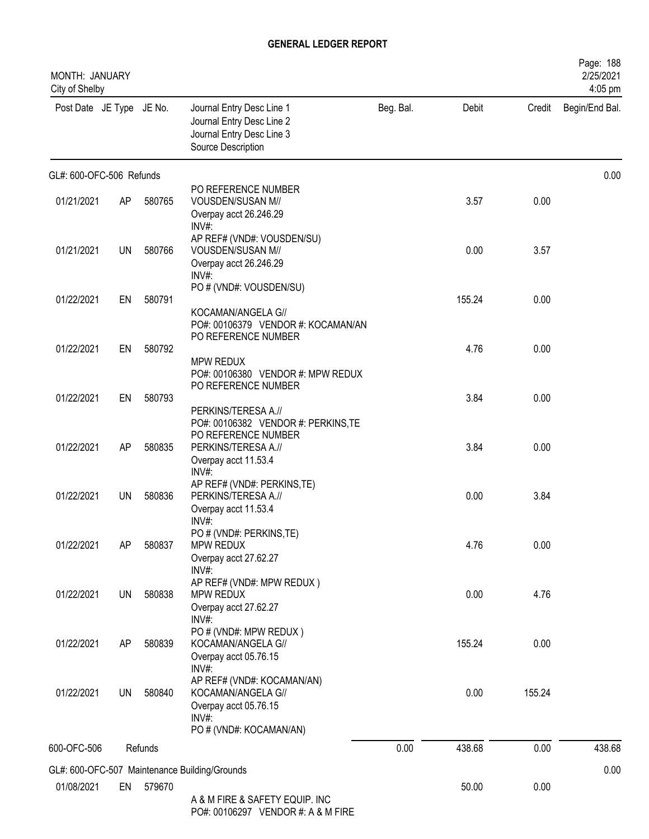| MONTH: JANUARY<br>City of Shelby |           |         |                                                                                                           |           |        |        | Page: 188<br>2/25/2021<br>4:05 pm |
|----------------------------------|-----------|---------|-----------------------------------------------------------------------------------------------------------|-----------|--------|--------|-----------------------------------|
| Post Date JE Type JE No.         |           |         | Journal Entry Desc Line 1<br>Journal Entry Desc Line 2<br>Journal Entry Desc Line 3<br>Source Description | Beg. Bal. | Debit  | Credit | Begin/End Bal.                    |
| GL#: 600-OFC-506 Refunds         |           |         |                                                                                                           |           |        |        | 0.00                              |
| 01/21/2021                       | AP        | 580765  | PO REFERENCE NUMBER<br>VOUSDEN/SUSAN M//<br>Overpay acct 26.246.29<br>$INV#$ :                            |           | 3.57   | 0.00   |                                   |
| 01/21/2021                       | <b>UN</b> | 580766  | AP REF# (VND#: VOUSDEN/SU)<br>VOUSDEN/SUSAN M//<br>Overpay acct 26.246.29<br>INV#                         |           | 0.00   | 3.57   |                                   |
| 01/22/2021                       | EN        | 580791  | PO # (VND#: VOUSDEN/SU)<br>KOCAMAN/ANGELA G//<br>PO#: 00106379 VENDOR #: KOCAMAN/AN                       |           | 155.24 | 0.00   |                                   |
| 01/22/2021                       | EN        | 580792  | PO REFERENCE NUMBER<br><b>MPW REDUX</b><br>PO#: 00106380 VENDOR #: MPW REDUX                              |           | 4.76   | 0.00   |                                   |
| 01/22/2021                       | EN        | 580793  | PO REFERENCE NUMBER<br>PERKINS/TERESA A.//<br>PO#: 00106382 VENDOR #: PERKINS, TE                         |           | 3.84   | 0.00   |                                   |
| 01/22/2021                       | AP        | 580835  | PO REFERENCE NUMBER<br>PERKINS/TERESA A.//<br>Overpay acct 11.53.4                                        |           | 3.84   | 0.00   |                                   |
| 01/22/2021                       | UN        | 580836  | INV#:<br>AP REF# (VND#: PERKINS, TE)<br>PERKINS/TERESA A.//<br>Overpay acct 11.53.4<br>INV#:              |           | 0.00   | 3.84   |                                   |
| 01/22/2021                       | AP        | 580837  | PO # (VND#: PERKINS, TE)<br>MPW REDUX<br>Overpay acct 27.62.27<br>INV#:                                   |           | 4.76   | 0.00   |                                   |
| 01/22/2021                       | UN        | 580838  | AP REF# (VND#: MPW REDUX)<br>MPW REDUX<br>Overpay acct 27.62.27<br>INV#                                   |           | 0.00   | 4.76   |                                   |
| 01/22/2021                       | AP        | 580839  | PO # (VND#: MPW REDUX)<br>KOCAMAN/ANGELA G//<br>Overpay acct 05.76.15<br>INV#:                            |           | 155.24 | 0.00   |                                   |
| 01/22/2021                       | <b>UN</b> | 580840  | AP REF# (VND#: KOCAMAN/AN)<br>KOCAMAN/ANGELA G//<br>Overpay acct 05.76.15<br>INV#:                        |           | 0.00   | 155.24 |                                   |
| 600-OFC-506                      |           | Refunds | PO # (VND#: KOCAMAN/AN)                                                                                   | 0.00      | 438.68 | 0.00   | 438.68                            |
|                                  |           |         | GL#: 600-OFC-507 Maintenance Building/Grounds                                                             |           |        |        | 0.00                              |
| 01/08/2021                       | EN        | 579670  | A & M FIRE & SAFETY EQUIP. INC<br>$P \cap H$ 00106297 VENDOR $H$ $\Delta$ & M FIRE                        |           | 50.00  | 0.00   |                                   |

PO#: 00106297 VENDOR #: A & M FIRE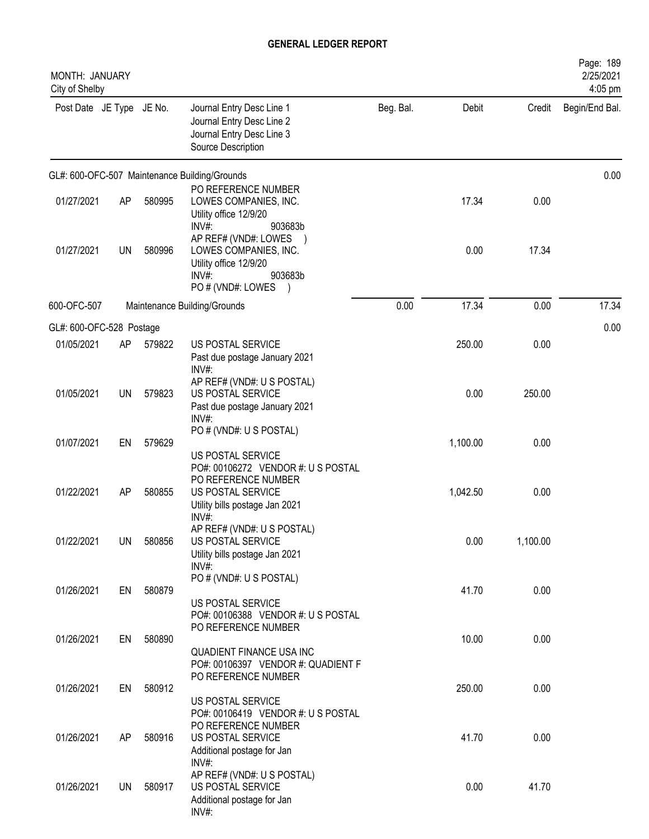| MONTH: JANUARY<br>City of Shelby |           |        |                                                                                                                           |           |          |          | Page: 189<br>2/25/2021<br>4:05 pm |
|----------------------------------|-----------|--------|---------------------------------------------------------------------------------------------------------------------------|-----------|----------|----------|-----------------------------------|
| Post Date JE Type JE No.         |           |        | Journal Entry Desc Line 1<br>Journal Entry Desc Line 2<br>Journal Entry Desc Line 3<br>Source Description                 | Beg. Bal. | Debit    | Credit   | Begin/End Bal.                    |
|                                  |           |        | GL#: 600-OFC-507 Maintenance Building/Grounds                                                                             |           |          |          | 0.00                              |
| 01/27/2021                       | AP        | 580995 | PO REFERENCE NUMBER<br>LOWES COMPANIES, INC.<br>Utility office 12/9/20<br>903683b<br>INV#                                 |           | 17.34    | 0.00     |                                   |
| 01/27/2021                       | <b>UN</b> | 580996 | AP REF# (VND#: LOWES<br>LOWES COMPANIES, INC.<br>Utility office 12/9/20<br>$INV#$ :<br>903683b<br>PO # (VND#: LOWES       |           | 0.00     | 17.34    |                                   |
| 600-OFC-507                      |           |        | Maintenance Building/Grounds                                                                                              | 0.00      | 17.34    | 0.00     | 17.34                             |
| GL#: 600-OFC-528 Postage         |           |        |                                                                                                                           |           |          |          | 0.00                              |
| 01/05/2021                       | AP        | 579822 | US POSTAL SERVICE<br>Past due postage January 2021<br>INV#:                                                               |           | 250.00   | 0.00     |                                   |
| 01/05/2021                       | <b>UN</b> | 579823 | AP REF# (VND#: U S POSTAL)<br>US POSTAL SERVICE<br>Past due postage January 2021                                          |           | 0.00     | 250.00   |                                   |
| 01/07/2021                       | EN        | 579629 | INV#:<br>PO # (VND#: U S POSTAL)<br>US POSTAL SERVICE                                                                     |           | 1,100.00 | 0.00     |                                   |
| 01/22/2021                       | AP        | 580855 | PO#: 00106272 VENDOR #: U S POSTAL<br>PO REFERENCE NUMBER<br>US POSTAL SERVICE<br>Utility bills postage Jan 2021<br>INV#: |           | 1,042.50 | 0.00     |                                   |
| 01/22/2021                       | UN        | 580856 | AP REF# (VND#: U S POSTAL)<br>US POSTAL SERVICE<br>Utility bills postage Jan 2021<br>INV#:                                |           | 0.00     | 1,100.00 |                                   |
| 01/26/2021                       | EN        | 580879 | PO # (VND#: U S POSTAL)<br>US POSTAL SERVICE<br>PO#: 00106388 VENDOR #: U S POSTAL                                        |           | 41.70    | 0.00     |                                   |
| 01/26/2021                       | EN        | 580890 | PO REFERENCE NUMBER<br><b>QUADIENT FINANCE USA INC</b><br>PO#: 00106397 VENDOR #: QUADIENT F                              |           | 10.00    | 0.00     |                                   |
| 01/26/2021                       | EN        | 580912 | PO REFERENCE NUMBER<br>US POSTAL SERVICE                                                                                  |           | 250.00   | 0.00     |                                   |
| 01/26/2021                       | AP        | 580916 | PO#: 00106419 VENDOR #: US POSTAL<br>PO REFERENCE NUMBER<br>US POSTAL SERVICE<br>Additional postage for Jan               |           | 41.70    | 0.00     |                                   |
| 01/26/2021                       | UN        | 580917 | INV#:<br>AP REF# (VND#: U S POSTAL)<br>US POSTAL SERVICE<br>Additional postage for Jan<br>$INV#$ :                        |           | 0.00     | 41.70    |                                   |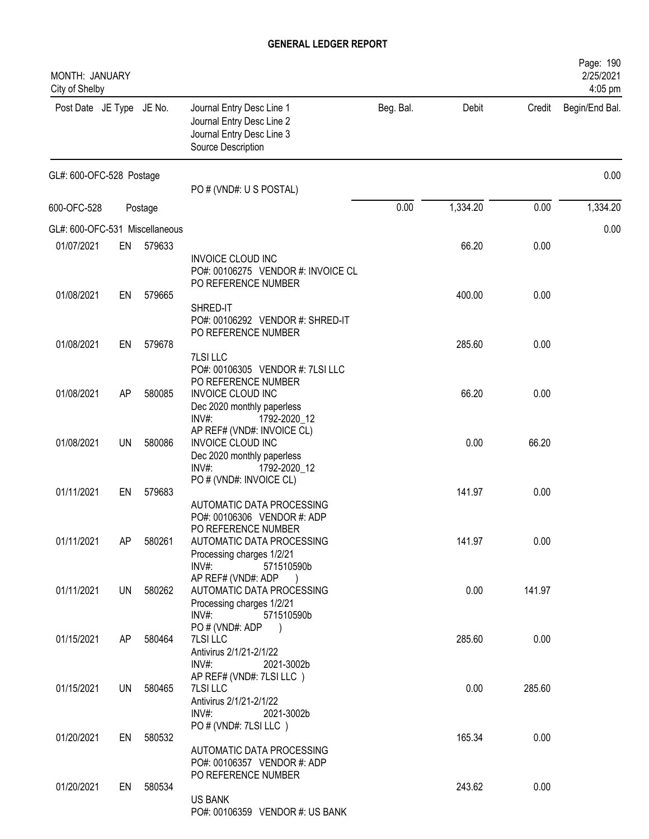| MONTH: JANUARY<br>City of Shelby |           |         |                                                                                                                                        |           |          |        | Page: 190<br>2/25/2021<br>4:05 pm |
|----------------------------------|-----------|---------|----------------------------------------------------------------------------------------------------------------------------------------|-----------|----------|--------|-----------------------------------|
| Post Date JE Type JE No.         |           |         | Journal Entry Desc Line 1<br>Journal Entry Desc Line 2<br>Journal Entry Desc Line 3<br>Source Description                              | Beg. Bal. | Debit    | Credit | Begin/End Bal.                    |
| GL#: 600-OFC-528 Postage         |           |         | PO # (VND#: U S POSTAL)                                                                                                                |           |          |        | 0.00                              |
| 600-OFC-528                      |           | Postage |                                                                                                                                        | 0.00      | 1,334.20 | 0.00   | 1,334.20                          |
| GL#: 600-OFC-531 Miscellaneous   |           |         |                                                                                                                                        |           |          |        | 0.00                              |
| 01/07/2021                       | EN        | 579633  |                                                                                                                                        |           | 66.20    | 0.00   |                                   |
|                                  |           |         | <b>INVOICE CLOUD INC</b><br>PO#: 00106275 VENDOR #: INVOICE CL<br>PO REFERENCE NUMBER                                                  |           |          |        |                                   |
| 01/08/2021                       | EN        | 579665  | SHRED-IT                                                                                                                               |           | 400.00   | 0.00   |                                   |
| 01/08/2021                       | EN        | 579678  | PO#: 00106292 VENDOR #: SHRED-IT<br>PO REFERENCE NUMBER                                                                                |           | 285.60   | 0.00   |                                   |
|                                  |           |         | 7LSI LLC                                                                                                                               |           |          |        |                                   |
| 01/08/2021                       | AP        | 580085  | PO#: 00106305 VENDOR #: 7LSI LLC<br>PO REFERENCE NUMBER<br>INVOICE CLOUD INC<br>Dec 2020 monthly paperless<br>$INV#$ :<br>1792-2020_12 |           | 66.20    | 0.00   |                                   |
| 01/08/2021                       | <b>UN</b> | 580086  | AP REF# (VND#: INVOICE CL)<br>INVOICE CLOUD INC<br>Dec 2020 monthly paperless<br>INV#:<br>1792-2020_12                                 |           | 0.00     | 66.20  |                                   |
| 01/11/2021                       | EN        | 579683  | PO # (VND#: INVOICE CL)<br>AUTOMATIC DATA PROCESSING                                                                                   |           | 141.97   | 0.00   |                                   |
| 01/11/2021                       | AP        | 580261  | PO#: 00106306 VENDOR #: ADP<br>PO REFERENCE NUMBER<br>AUTOMATIC DATA PROCESSING<br>Processing charges 1/2/21<br>$INV#$ :<br>571510590b |           | 141.97   | 0.00   |                                   |
| 01/11/2021                       | UN        | 580262  | AP REF# (VND#: ADP<br>AUTOMATIC DATA PROCESSING<br>Processing charges 1/2/21<br>INV#:<br>571510590b                                    |           | 0.00     | 141.97 |                                   |
| 01/15/2021                       | AP        | 580464  | PO # (VND#: ADP<br>$\left( \begin{array}{c} \end{array} \right)$<br><b>7LSI LLC</b><br>Antivirus 2/1/21-2/1/22<br>INV#:<br>2021-3002b  |           | 285.60   | 0.00   |                                   |
| 01/15/2021                       | UN        | 580465  | AP REF# (VND#: 7LSI LLC)<br><b>7LSI LLC</b><br>Antivirus 2/1/21-2/1/22<br>$INV#$ :<br>2021-3002b                                       |           | 0.00     | 285.60 |                                   |
| 01/20/2021                       | EN        | 580532  | PO # (VND#: 7LSI LLC)<br>AUTOMATIC DATA PROCESSING                                                                                     |           | 165.34   | 0.00   |                                   |
| 01/20/2021                       | EN        | 580534  | PO#: 00106357 VENDOR #: ADP<br>PO REFERENCE NUMBER<br><b>US BANK</b><br>PO#: 00106359 VENDOR #: US BANK                                |           | 243.62   | 0.00   |                                   |
|                                  |           |         |                                                                                                                                        |           |          |        |                                   |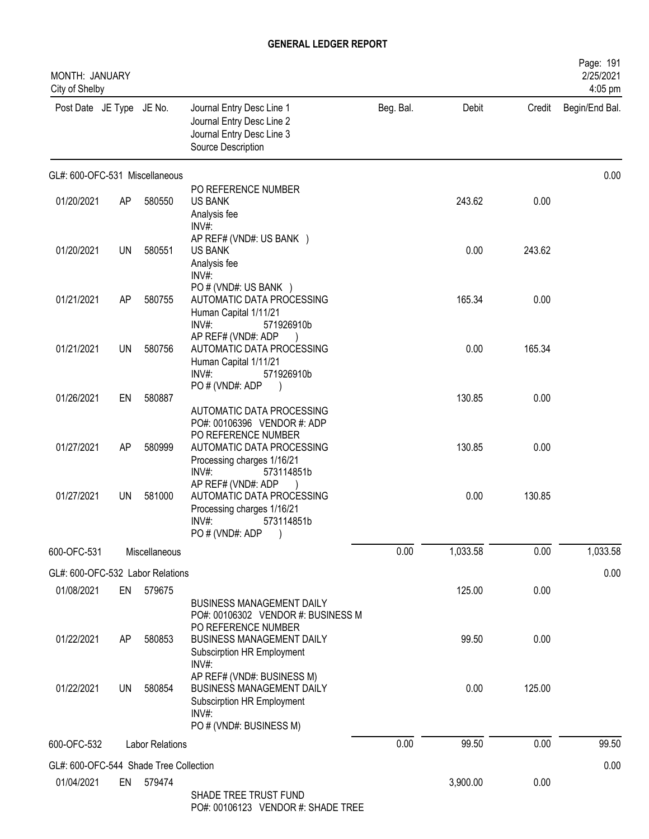| MONTH: JANUARY<br>City of Shelby       |    |                        |                                                                                                                                                                 |           |          |        | Page: 191<br>2/25/2021<br>4:05 pm |
|----------------------------------------|----|------------------------|-----------------------------------------------------------------------------------------------------------------------------------------------------------------|-----------|----------|--------|-----------------------------------|
| Post Date JE Type JE No.               |    |                        | Journal Entry Desc Line 1<br>Journal Entry Desc Line 2<br>Journal Entry Desc Line 3<br>Source Description                                                       | Beg. Bal. | Debit    | Credit | Begin/End Bal.                    |
| GL#: 600-OFC-531 Miscellaneous         |    |                        |                                                                                                                                                                 |           |          |        | 0.00                              |
| 01/20/2021                             | AP | 580550                 | PO REFERENCE NUMBER<br><b>US BANK</b><br>Analysis fee<br>$INV#$ :                                                                                               |           | 243.62   | 0.00   |                                   |
| 01/20/2021                             | UN | 580551                 | AP REF# (VND#: US BANK )<br><b>US BANK</b><br>Analysis fee<br>INV#:                                                                                             |           | 0.00     | 243.62 |                                   |
| 01/21/2021                             | AP | 580755                 | PO # (VND#: US BANK )<br>AUTOMATIC DATA PROCESSING<br>Human Capital 1/11/21<br>INV#:<br>571926910b                                                              |           | 165.34   | 0.00   |                                   |
| 01/21/2021                             | UN | 580756                 | AP REF# (VND#: ADP<br>AUTOMATIC DATA PROCESSING<br>Human Capital 1/11/21<br>INV#:<br>571926910b                                                                 |           | 0.00     | 165.34 |                                   |
| 01/26/2021                             | EN | 580887                 | PO # (VND#: ADP<br>AUTOMATIC DATA PROCESSING<br>PO#: 00106396 VENDOR #: ADP                                                                                     |           | 130.85   | 0.00   |                                   |
| 01/27/2021                             | AP | 580999                 | PO REFERENCE NUMBER<br>AUTOMATIC DATA PROCESSING<br>Processing charges 1/16/21<br>INV#:<br>573114851b                                                           |           | 130.85   | 0.00   |                                   |
| 01/27/2021                             | UN | 581000                 | AP REF# (VND#: ADP<br>AUTOMATIC DATA PROCESSING<br>Processing charges 1/16/21<br>INV#:<br>573114851b<br>PO# (VND#: ADP)                                         |           | 0.00     | 130.85 |                                   |
| 600-OFC-531                            |    | Miscellaneous          |                                                                                                                                                                 | 0.00      | 1,033.58 | 0.00   | 1,033.58                          |
| GL#: 600-OFC-532 Labor Relations       |    |                        |                                                                                                                                                                 |           |          |        | 0.00                              |
| 01/08/2021                             | EN | 579675                 |                                                                                                                                                                 |           | 125.00   | 0.00   |                                   |
| 01/22/2021                             | AP | 580853                 | <b>BUSINESS MANAGEMENT DAILY</b><br>PO#: 00106302 VENDOR #: BUSINESS M<br>PO REFERENCE NUMBER<br><b>BUSINESS MANAGEMENT DAILY</b><br>Subscirption HR Employment |           | 99.50    | 0.00   |                                   |
| 01/22/2021                             | UN | 580854                 | INV#:<br>AP REF# (VND#: BUSINESS M)<br><b>BUSINESS MANAGEMENT DAILY</b><br>Subscirption HR Employment<br>INV#:<br>PO # (VND#: BUSINESS M)                       |           | 0.00     | 125.00 |                                   |
| 600-OFC-532                            |    | <b>Labor Relations</b> |                                                                                                                                                                 | 0.00      | 99.50    | 0.00   | 99.50                             |
| GL#: 600-OFC-544 Shade Tree Collection |    |                        |                                                                                                                                                                 |           |          |        | 0.00                              |
| 01/04/2021                             | EN | 579474                 | SHADE TREE TRUST FUND<br>PO# 00106123 VENDOR # SHADE TREE                                                                                                       |           | 3,900.00 | 0.00   |                                   |

PO#: 00106123 VENDOR #: SHADE TREE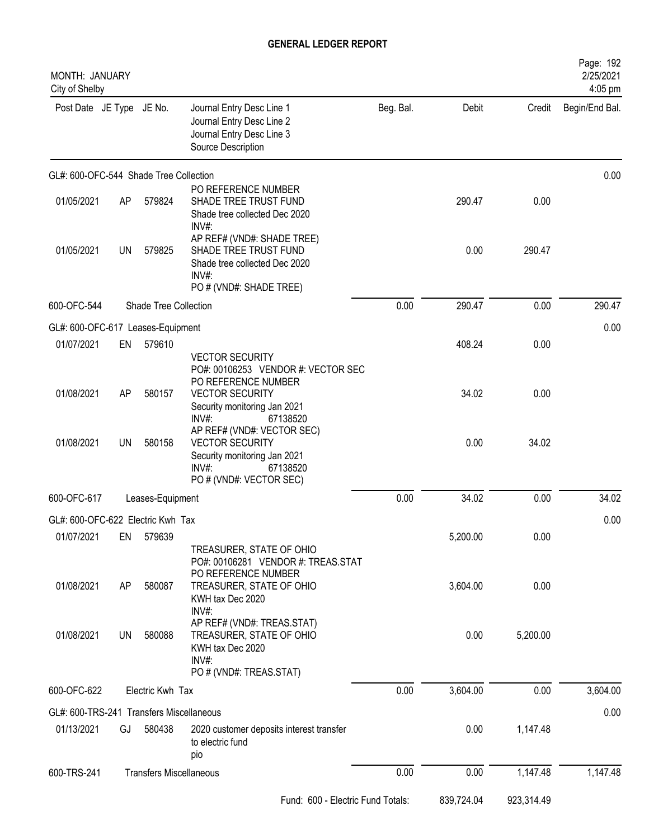| MONTH: JANUARY<br>City of Shelby         |           |                       |                                                                                                                                         |           |            |            | Page: 192<br>2/25/2021<br>4:05 pm |
|------------------------------------------|-----------|-----------------------|-----------------------------------------------------------------------------------------------------------------------------------------|-----------|------------|------------|-----------------------------------|
| Post Date JE Type JE No.                 |           |                       | Journal Entry Desc Line 1<br>Journal Entry Desc Line 2<br>Journal Entry Desc Line 3<br>Source Description                               | Beg. Bal. | Debit      | Credit     | Begin/End Bal.                    |
| GL#: 600-OFC-544 Shade Tree Collection   |           |                       |                                                                                                                                         |           |            |            | 0.00                              |
| 01/05/2021                               | AP        | 579824                | PO REFERENCE NUMBER<br>SHADE TREE TRUST FUND<br>Shade tree collected Dec 2020<br>INV#:                                                  |           | 290.47     | 0.00       |                                   |
| 01/05/2021                               | <b>UN</b> | 579825                | AP REF# (VND#: SHADE TREE)<br>SHADE TREE TRUST FUND<br>Shade tree collected Dec 2020<br>INV#<br>PO # (VND#: SHADE TREE)                 |           | 0.00       | 290.47     |                                   |
| 600-OFC-544                              |           | Shade Tree Collection |                                                                                                                                         | 0.00      | 290.47     | 0.00       | 290.47                            |
| GL#: 600-OFC-617 Leases-Equipment        |           |                       |                                                                                                                                         |           |            |            | 0.00                              |
| 01/07/2021                               | EN        | 579610                | <b>VECTOR SECURITY</b><br>PO#: 00106253 VENDOR #: VECTOR SEC<br>PO REFERENCE NUMBER                                                     |           | 408.24     | 0.00       |                                   |
| 01/08/2021                               | AP        | 580157                | <b>VECTOR SECURITY</b><br>Security monitoring Jan 2021<br>$INV#$ :<br>67138520                                                          |           | 34.02      | 0.00       |                                   |
| 01/08/2021                               | <b>UN</b> | 580158                | AP REF# (VND#: VECTOR SEC)<br><b>VECTOR SECURITY</b><br>Security monitoring Jan 2021<br>67138520<br>$INV#$ :<br>PO # (VND#: VECTOR SEC) |           | 0.00       | 34.02      |                                   |
| 600-OFC-617                              |           | Leases-Equipment      |                                                                                                                                         | 0.00      | 34.02      | 0.00       | 34.02                             |
| GL#: 600-OFC-622 Electric Kwh Tax        |           |                       |                                                                                                                                         |           |            |            | 0.00                              |
| 01/07/2021                               | EN        | 579639                | TREASURER, STATE OF OHIO<br>PO#: 00106281 VENDOR #: TREAS.STAT                                                                          |           | 5,200.00   | 0.00       |                                   |
| 01/08/2021                               | AP        | 580087                | PO REFERENCE NUMBER<br>TREASURER, STATE OF OHIO<br>KWH tax Dec 2020<br>INV#:                                                            |           | 3,604.00   | 0.00       |                                   |
| 01/08/2021                               | UN        | 580088                | AP REF# (VND#: TREAS.STAT)<br>TREASURER, STATE OF OHIO<br>KWH tax Dec 2020<br>INV#:<br>PO # (VND#: TREAS.STAT)                          |           | 0.00       | 5,200.00   |                                   |
| 600-OFC-622                              |           | Electric Kwh Tax      |                                                                                                                                         | 0.00      | 3,604.00   | 0.00       | 3,604.00                          |
| GL#: 600-TRS-241 Transfers Miscellaneous |           |                       |                                                                                                                                         |           |            |            | 0.00                              |
| 01/13/2021                               | GJ        | 580438                | 2020 customer deposits interest transfer<br>to electric fund<br>pio                                                                     |           | 0.00       | 1,147.48   |                                   |
| 600-TRS-241                              |           |                       | <b>Transfers Miscellaneous</b>                                                                                                          | 0.00      | 0.00       | 1,147.48   | 1,147.48                          |
|                                          |           |                       | Fund: 600 - Electric Fund Totals:                                                                                                       |           | 839,724.04 | 923,314.49 |                                   |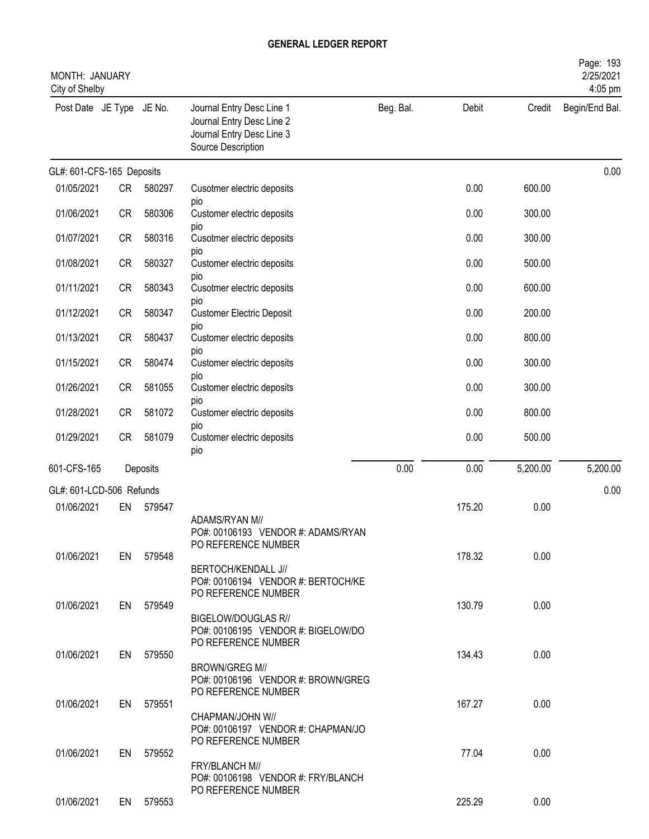| MONTH: JANUARY<br>City of Shelby |           |           |                                                                                                           |           |        |          | Page: 193<br>2/25/2021<br>4:05 pm |
|----------------------------------|-----------|-----------|-----------------------------------------------------------------------------------------------------------|-----------|--------|----------|-----------------------------------|
| Post Date JE Type JE No.         |           |           | Journal Entry Desc Line 1<br>Journal Entry Desc Line 2<br>Journal Entry Desc Line 3<br>Source Description | Beg. Bal. | Debit  | Credit   | Begin/End Bal.                    |
| GL#: 601-CFS-165 Deposits        |           |           |                                                                                                           |           |        |          | 0.00                              |
| 01/05/2021                       | <b>CR</b> | 580297    | Cusotmer electric deposits                                                                                |           | 0.00   | 600.00   |                                   |
| 01/06/2021                       | <b>CR</b> | 580306    | pio<br>Customer electric deposits                                                                         |           | 0.00   | 300.00   |                                   |
| 01/07/2021                       | <b>CR</b> | 580316    | pio<br>Cusotmer electric deposits                                                                         |           | 0.00   | 300.00   |                                   |
| 01/08/2021                       | <b>CR</b> | 580327    | pio<br>Customer electric deposits                                                                         |           | 0.00   | 500.00   |                                   |
| 01/11/2021                       | <b>CR</b> | 580343    | pio<br>Cusotmer electric deposits                                                                         |           | 0.00   | 600.00   |                                   |
| 01/12/2021                       | <b>CR</b> | 580347    | pio<br><b>Customer Electric Deposit</b>                                                                   |           | 0.00   | 200.00   |                                   |
| 01/13/2021                       | <b>CR</b> | 580437    | pio<br>Customer electric deposits                                                                         |           | 0.00   | 800.00   |                                   |
| 01/15/2021                       | <b>CR</b> | 580474    | pio<br>Customer electric deposits                                                                         |           | 0.00   | 300.00   |                                   |
| 01/26/2021                       | <b>CR</b> | 581055    | pio<br>Customer electric deposits                                                                         |           | 0.00   | 300.00   |                                   |
| 01/28/2021                       | <b>CR</b> | 581072    | pio<br>Customer electric deposits                                                                         |           | 0.00   | 800.00   |                                   |
| 01/29/2021                       | <b>CR</b> | 581079    | pio<br>Customer electric deposits<br>pio                                                                  |           | 0.00   | 500.00   |                                   |
| 601-CFS-165                      |           | Deposits  |                                                                                                           | 0.00      | 0.00   | 5,200.00 | 5,200.00                          |
| GL#: 601-LCD-506 Refunds         |           |           |                                                                                                           |           |        |          | 0.00                              |
| 01/06/2021                       | EN        | 579547    | ADAMS/RYAN M//<br>PO#: 00106193 VENDOR #: ADAMS/RYAN<br>PO REFERENCE NUMBER                               |           | 175.20 | 0.00     |                                   |
| 01/06/2021                       |           | EN 579548 | BERTOCH/KENDALL J//<br>PO#: 00106194 VENDOR #: BERTOCH/KE                                                 |           | 178.32 | 0.00     |                                   |
| 01/06/2021                       |           | EN 579549 | PO REFERENCE NUMBER<br>BIGELOW/DOUGLAS R//<br>PO#: 00106195 VENDOR #: BIGELOW/DO<br>PO REFERENCE NUMBER   |           | 130.79 | 0.00     |                                   |
| 01/06/2021                       |           | EN 579550 | <b>BROWN/GREG M//</b><br>PO#: 00106196 VENDOR #: BROWN/GREG                                               |           | 134.43 | 0.00     |                                   |
| 01/06/2021                       | EN        | 579551    | PO REFERENCE NUMBER<br>CHAPMAN/JOHN W//                                                                   |           | 167.27 | 0.00     |                                   |
| 01/06/2021                       | EN        | 579552    | PO#: 00106197 VENDOR #: CHAPMAN/JO<br>PO REFERENCE NUMBER<br>FRY/BLANCH M//                               |           | 77.04  | 0.00     |                                   |
| 01/06/2021                       |           | EN 579553 | PO#: 00106198 VENDOR #: FRY/BLANCH<br>PO REFERENCE NUMBER                                                 |           | 225.29 | 0.00     |                                   |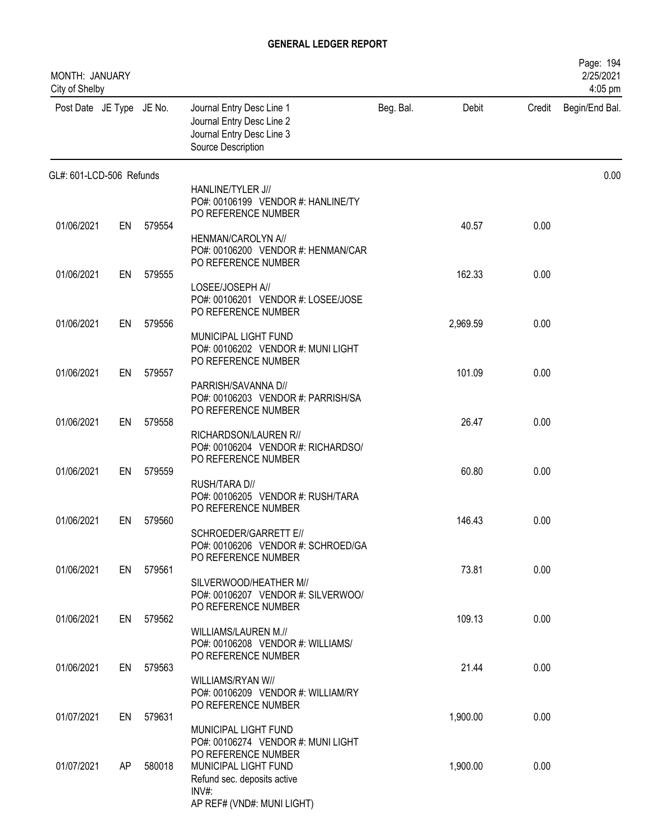| MONTH: JANUARY<br>City of Shelby |    |           |                                                                                                                      |           |          |        | Page: 194<br>2/25/2021<br>4:05 pm |
|----------------------------------|----|-----------|----------------------------------------------------------------------------------------------------------------------|-----------|----------|--------|-----------------------------------|
| Post Date JE Type JE No.         |    |           | Journal Entry Desc Line 1<br>Journal Entry Desc Line 2<br>Journal Entry Desc Line 3<br>Source Description            | Beg. Bal. | Debit    | Credit | Begin/End Bal.                    |
| GL#: 601-LCD-506 Refunds         |    |           |                                                                                                                      |           |          |        | 0.00                              |
|                                  |    |           | HANLINE/TYLER J//<br>PO#: 00106199 VENDOR #: HANLINE/TY<br>PO REFERENCE NUMBER                                       |           |          |        |                                   |
| 01/06/2021                       | EN | 579554    | HENMAN/CAROLYN A//<br>PO#: 00106200 VENDOR #: HENMAN/CAR                                                             |           | 40.57    | 0.00   |                                   |
| 01/06/2021                       | EN | 579555    | PO REFERENCE NUMBER<br>LOSEE/JOSEPH A//<br>PO#: 00106201 VENDOR #: LOSEE/JOSE                                        |           | 162.33   | 0.00   |                                   |
| 01/06/2021                       | EN | 579556    | PO REFERENCE NUMBER<br>MUNICIPAL LIGHT FUND                                                                          |           | 2,969.59 | 0.00   |                                   |
| 01/06/2021                       | EN | 579557    | PO#: 00106202 VENDOR #: MUNI LIGHT<br>PO REFERENCE NUMBER                                                            |           | 101.09   | 0.00   |                                   |
|                                  |    |           | PARRISH/SAVANNA D//<br>PO#: 00106203 VENDOR #: PARRISH/SA<br>PO REFERENCE NUMBER                                     |           |          |        |                                   |
| 01/06/2021                       | EN | 579558    | RICHARDSON/LAUREN R//<br>PO#: 00106204 VENDOR #: RICHARDSO/<br>PO REFERENCE NUMBER                                   |           | 26.47    | 0.00   |                                   |
| 01/06/2021                       | EN | 579559    | RUSH/TARA D//<br>PO#: 00106205 VENDOR #: RUSH/TARA<br>PO REFERENCE NUMBER                                            |           | 60.80    | 0.00   |                                   |
| 01/06/2021                       | EN | 579560    | SCHROEDER/GARRETT E//<br>PO#: 00106206 VENDOR #: SCHROED/GA                                                          |           | 146.43   | 0.00   |                                   |
| 01/06/2021                       |    | EN 579561 | PO REFERENCE NUMBER<br>SILVERWOOD/HEATHER M//<br>PO#: 00106207 VENDOR #: SILVERWOO/                                  |           | 73.81    | 0.00   |                                   |
| 01/06/2021                       |    | EN 579562 | PO REFERENCE NUMBER<br>WILLIAMS/LAUREN M.//<br>PO#: 00106208 VENDOR #: WILLIAMS/                                     |           | 109.13   | 0.00   |                                   |
| 01/06/2021                       |    | EN 579563 | PO REFERENCE NUMBER<br>WILLIAMS/RYAN W//<br>PO#: 00106209 VENDOR #: WILLIAM/RY<br>PO REFERENCE NUMBER                |           | 21.44    | 0.00   |                                   |
| 01/07/2021                       | EN | 579631    | MUNICIPAL LIGHT FUND<br>PO#: 00106274 VENDOR #: MUNI LIGHT                                                           |           | 1,900.00 | 0.00   |                                   |
| 01/07/2021                       | AP | 580018    | PO REFERENCE NUMBER<br>MUNICIPAL LIGHT FUND<br>Refund sec. deposits active<br>$INV#$ :<br>AP REF# (VND#: MUNI LIGHT) |           | 1,900.00 | 0.00   |                                   |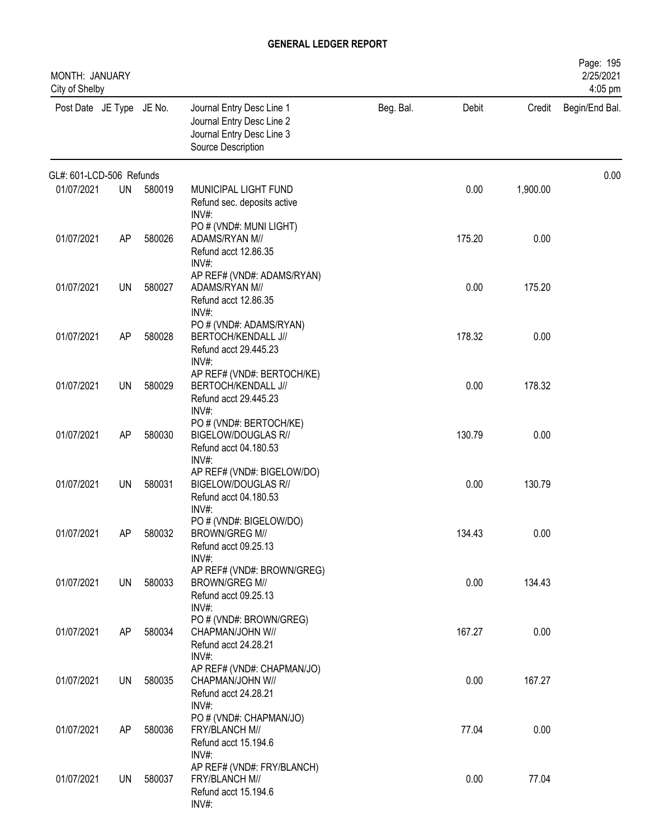| MONTH: JANUARY<br>City of Shelby |           |        |                                                                                                           |           |        |          | Page: 195<br>2/25/2021<br>4:05 pm |
|----------------------------------|-----------|--------|-----------------------------------------------------------------------------------------------------------|-----------|--------|----------|-----------------------------------|
| Post Date JE Type JE No.         |           |        | Journal Entry Desc Line 1<br>Journal Entry Desc Line 2<br>Journal Entry Desc Line 3<br>Source Description | Beg. Bal. | Debit  | Credit   | Begin/End Bal.                    |
| GL#: 601-LCD-506 Refunds         |           |        |                                                                                                           |           |        |          | 0.00                              |
| 01/07/2021                       | UN        | 580019 | MUNICIPAL LIGHT FUND<br>Refund sec. deposits active<br>$INV#$ :                                           |           | 0.00   | 1,900.00 |                                   |
| 01/07/2021                       | AP        | 580026 | PO # (VND#: MUNI LIGHT)<br>ADAMS/RYAN M//<br>Refund acct 12.86.35<br>$INV#$ :                             |           | 175.20 | 0.00     |                                   |
| 01/07/2021                       | <b>UN</b> | 580027 | AP REF# (VND#: ADAMS/RYAN)<br>ADAMS/RYAN M//<br>Refund acct 12.86.35<br>$INV#$ :                          |           | 0.00   | 175.20   |                                   |
| 01/07/2021                       | AP        | 580028 | PO # (VND#: ADAMS/RYAN)<br>BERTOCH/KENDALL J//<br>Refund acct 29.445.23<br>$INV#$ :                       |           | 178.32 | 0.00     |                                   |
| 01/07/2021                       | <b>UN</b> | 580029 | AP REF# (VND#: BERTOCH/KE)<br>BERTOCH/KENDALL J//<br>Refund acct 29.445.23                                |           | 0.00   | 178.32   |                                   |
| 01/07/2021                       | AP        | 580030 | $INV#$ :<br>PO # (VND#: BERTOCH/KE)<br><b>BIGELOW/DOUGLAS R//</b><br>Refund acct 04.180.53                |           | 130.79 | 0.00     |                                   |
| 01/07/2021                       | <b>UN</b> | 580031 | INV#:<br>AP REF# (VND#: BIGELOW/DO)<br><b>BIGELOW/DOUGLAS R//</b><br>Refund acct 04.180.53                |           | 0.00   | 130.79   |                                   |
| 01/07/2021                       | AP        | 580032 | $INV#$ :<br>PO # (VND#: BIGELOW/DO)<br>BROWN/GREG M//<br>Refund acct 09.25.13<br>INV#:                    |           | 134.43 | 0.00     |                                   |
| 01/07/2021                       | UN        | 580033 | AP REF# (VND#: BROWN/GREG)<br><b>BROWN/GREG M//</b><br>Refund acct 09.25.13<br>$INV#$ :                   |           | 0.00   | 134.43   |                                   |
| 01/07/2021                       | AP        | 580034 | PO # (VND#: BROWN/GREG)<br>CHAPMAN/JOHN W//<br>Refund acct 24.28.21<br>INV#:                              |           | 167.27 | 0.00     |                                   |
| 01/07/2021                       | <b>UN</b> | 580035 | AP REF# (VND#: CHAPMAN/JO)<br>CHAPMAN/JOHN W//<br>Refund acct 24.28.21<br>INV#:                           |           | 0.00   | 167.27   |                                   |
| 01/07/2021                       | AP        | 580036 | PO # (VND#: CHAPMAN/JO)<br>FRY/BLANCH M//<br>Refund acct 15.194.6                                         |           | 77.04  | 0.00     |                                   |
| 01/07/2021                       | <b>UN</b> | 580037 | $INV#$ :<br>AP REF# (VND#: FRY/BLANCH)<br>FRY/BLANCH M//<br>Refund acct 15.194.6<br>INV#:                 |           | 0.00   | 77.04    |                                   |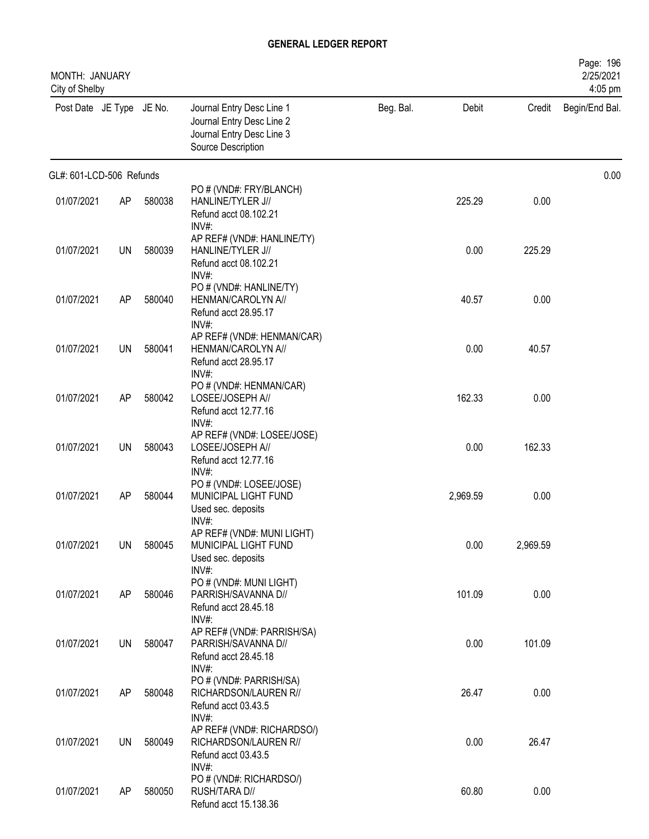| MONTH: JANUARY<br>City of Shelby |           |        |                                                                                                           |           |          |          | Page: 196<br>2/25/2021<br>4:05 pm |
|----------------------------------|-----------|--------|-----------------------------------------------------------------------------------------------------------|-----------|----------|----------|-----------------------------------|
| Post Date JE Type JE No.         |           |        | Journal Entry Desc Line 1<br>Journal Entry Desc Line 2<br>Journal Entry Desc Line 3<br>Source Description | Beg. Bal. | Debit    | Credit   | Begin/End Bal.                    |
| GL#: 601-LCD-506 Refunds         |           |        |                                                                                                           |           |          |          | 0.00                              |
| 01/07/2021                       | AP        | 580038 | PO # (VND#: FRY/BLANCH)<br>HANLINE/TYLER J//<br>Refund acct 08.102.21<br>INV#                             |           | 225.29   | 0.00     |                                   |
| 01/07/2021                       | UN        | 580039 | AP REF# (VND#: HANLINE/TY)<br>HANLINE/TYLER J//<br>Refund acct 08.102.21<br>$INV#$ :                      |           | 0.00     | 225.29   |                                   |
| 01/07/2021                       | AP        | 580040 | PO # (VND#: HANLINE/TY)<br>HENMAN/CAROLYN A//<br>Refund acct 28.95.17<br>INV#:                            |           | 40.57    | 0.00     |                                   |
| 01/07/2021                       | UN        | 580041 | AP REF# (VND#: HENMAN/CAR)<br>HENMAN/CAROLYN A//<br>Refund acct 28.95.17<br>$INV#$ :                      |           | 0.00     | 40.57    |                                   |
| 01/07/2021                       | AP        | 580042 | PO # (VND#: HENMAN/CAR)<br>LOSEE/JOSEPH A//<br>Refund acct 12.77.16                                       |           | 162.33   | 0.00     |                                   |
| 01/07/2021                       | UN        | 580043 | $INV#$ :<br>AP REF# (VND#: LOSEE/JOSE)<br>LOSEE/JOSEPH A//<br>Refund acct 12.77.16                        |           | 0.00     | 162.33   |                                   |
| 01/07/2021                       | AP        | 580044 | INV#:<br>PO # (VND#: LOSEE/JOSE)<br>MUNICIPAL LIGHT FUND<br>Used sec. deposits                            |           | 2,969.59 | 0.00     |                                   |
| 01/07/2021                       | <b>UN</b> | 580045 | $INV#$ :<br>AP REF# (VND#: MUNI LIGHT)<br>MUNICIPAL LIGHT FUND<br>Used sec. deposits                      |           | 0.00     | 2,969.59 |                                   |
| 01/07/2021                       | AP        | 580046 | INV#:<br>PO # (VND#: MUNI LIGHT)<br>PARRISH/SAVANNA D//<br>Refund acct 28.45.18                           |           | 101.09   | 0.00     |                                   |
| 01/07/2021                       | UN        | 580047 | $INV#$ :<br>AP REF# (VND#: PARRISH/SA)<br>PARRISH/SAVANNA D//<br>Refund acct 28.45.18                     |           | 0.00     | 101.09   |                                   |
| 01/07/2021                       | AP        | 580048 | INV#:<br>PO # (VND#: PARRISH/SA)<br>RICHARDSON/LAUREN R//<br>Refund acct 03.43.5                          |           | 26.47    | 0.00     |                                   |
| 01/07/2021                       | UN        | 580049 | INV#:<br>AP REF# (VND#: RICHARDSO/)<br>RICHARDSON/LAUREN R//<br>Refund acct 03.43.5                       |           | 0.00     | 26.47    |                                   |
| 01/07/2021                       | AP        | 580050 | INV#:<br>PO # (VND#: RICHARDSO/)<br>RUSH/TARA D//<br>Refund acct 15.138.36                                |           | 60.80    | 0.00     |                                   |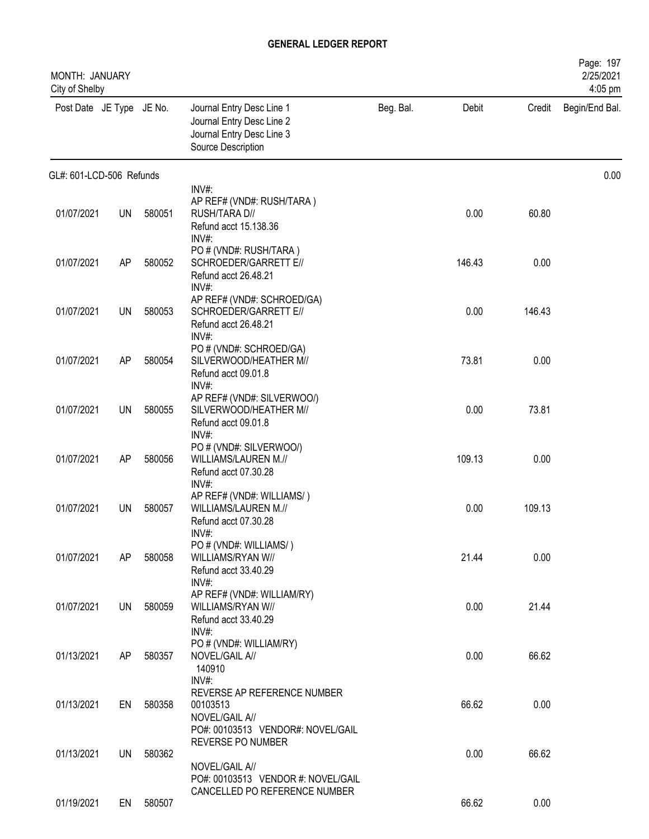| MONTH: JANUARY<br>City of Shelby |           |        |                                                                                                           |           |        |        | Page: 197<br>2/25/2021<br>4:05 pm |
|----------------------------------|-----------|--------|-----------------------------------------------------------------------------------------------------------|-----------|--------|--------|-----------------------------------|
| Post Date JE Type JE No.         |           |        | Journal Entry Desc Line 1<br>Journal Entry Desc Line 2<br>Journal Entry Desc Line 3<br>Source Description | Beg. Bal. | Debit  | Credit | Begin/End Bal.                    |
| GL#: 601-LCD-506 Refunds         |           |        |                                                                                                           |           |        |        | 0.00                              |
| 01/07/2021                       | <b>UN</b> | 580051 | INV#:<br>AP REF# (VND#: RUSH/TARA)<br>RUSH/TARA D//<br>Refund acct 15.138.36<br>$INV#$ :                  |           | 0.00   | 60.80  |                                   |
| 01/07/2021                       | AP        | 580052 | PO # (VND#: RUSH/TARA)<br>SCHROEDER/GARRETT E//<br>Refund acct 26.48.21<br>$INV#$ :                       |           | 146.43 | 0.00   |                                   |
| 01/07/2021                       | UN        | 580053 | AP REF# (VND#: SCHROED/GA)<br>SCHROEDER/GARRETT E//<br>Refund acct 26.48.21<br>INV#:                      |           | 0.00   | 146.43 |                                   |
| 01/07/2021                       | AP        | 580054 | PO # (VND#: SCHROED/GA)<br>SILVERWOOD/HEATHER M//<br>Refund acct 09.01.8<br>INV#:                         |           | 73.81  | 0.00   |                                   |
| 01/07/2021                       | <b>UN</b> | 580055 | AP REF# (VND#: SILVERWOO/)<br>SILVERWOOD/HEATHER M//<br>Refund acct 09.01.8<br>$INV#$ :                   |           | 0.00   | 73.81  |                                   |
| 01/07/2021                       | AP        | 580056 | PO # (VND#: SILVERWOO/)<br>WILLIAMS/LAUREN M.//<br>Refund acct 07.30.28<br>$INV#$ :                       |           | 109.13 | 0.00   |                                   |
| 01/07/2021                       | UN        | 580057 | AP REF# (VND#: WILLIAMS/)<br>WILLIAMS/LAUREN M.//<br>Refund acct 07.30.28                                 |           | 0.00   | 109.13 |                                   |
| 01/07/2021                       | AP        | 580058 | INV#:<br>PO # (VND#: WILLIAMS/)<br>WILLIAMS/RYAN W//<br>Refund acct 33.40.29                              |           | 21.44  | 0.00   |                                   |
| 01/07/2021                       | UN        | 580059 | INV#:<br>AP REF# (VND#: WILLIAM/RY)<br>WILLIAMS/RYAN W//<br>Refund acct 33.40.29                          |           | 0.00   | 21.44  |                                   |
| 01/13/2021                       | AP        | 580357 | $INV#$ :<br>PO # (VND#: WILLIAM/RY)<br>NOVEL/GAIL A//<br>140910                                           |           | 0.00   | 66.62  |                                   |
| 01/13/2021                       | EN        | 580358 | INV#:<br>REVERSE AP REFERENCE NUMBER<br>00103513<br>NOVEL/GAIL A//                                        |           | 66.62  | 0.00   |                                   |
| 01/13/2021                       | <b>UN</b> | 580362 | PO#: 00103513 VENDOR#: NOVEL/GAIL<br>REVERSE PO NUMBER<br>NOVEL/GAIL A//                                  |           | 0.00   | 66.62  |                                   |
| 01/19/2021                       | EN        | 580507 | PO#: 00103513 VENDOR #: NOVEL/GAIL<br>CANCELLED PO REFERENCE NUMBER                                       |           | 66.62  | 0.00   |                                   |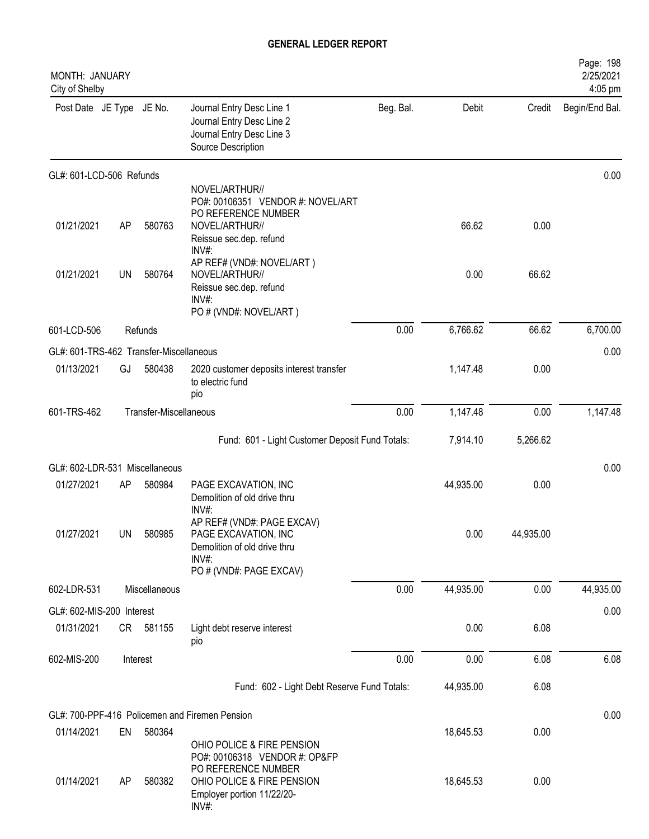| MONTH: JANUARY<br>City of Shelby        |           |                        |                                                                                                                           |           |           |           | Page: 198<br>2/25/2021<br>4:05 pm |
|-----------------------------------------|-----------|------------------------|---------------------------------------------------------------------------------------------------------------------------|-----------|-----------|-----------|-----------------------------------|
| Post Date JE Type JE No.                |           |                        | Journal Entry Desc Line 1<br>Journal Entry Desc Line 2<br>Journal Entry Desc Line 3<br>Source Description                 | Beg. Bal. | Debit     | Credit    | Begin/End Bal.                    |
| GL#: 601-LCD-506 Refunds                |           |                        |                                                                                                                           |           |           |           | 0.00                              |
|                                         |           |                        | NOVEL/ARTHUR//<br>PO#: 00106351 VENDOR #: NOVEL/ART                                                                       |           |           |           |                                   |
| 01/21/2021                              | AP        | 580763                 | PO REFERENCE NUMBER<br>NOVEL/ARTHUR//<br>Reissue sec.dep. refund<br>INV#:                                                 |           | 66.62     | 0.00      |                                   |
| 01/21/2021                              | <b>UN</b> | 580764                 | AP REF# (VND#: NOVEL/ART)<br>NOVEL/ARTHUR//<br>Reissue sec.dep. refund<br>$INV#$ :<br>PO # (VND#: NOVEL/ART)              |           | 0.00      | 66.62     |                                   |
| 601-LCD-506                             |           | Refunds                |                                                                                                                           | 0.00      | 6,766.62  | 66.62     | 6,700.00                          |
| GL#: 601-TRS-462 Transfer-Miscellaneous |           |                        |                                                                                                                           |           |           |           | 0.00                              |
| 01/13/2021                              | GJ        | 580438                 | 2020 customer deposits interest transfer<br>to electric fund<br>pio                                                       |           | 1,147.48  | 0.00      |                                   |
| 601-TRS-462                             |           | Transfer-Miscellaneous |                                                                                                                           | 0.00      | 1,147.48  | 0.00      | 1,147.48                          |
|                                         |           |                        | Fund: 601 - Light Customer Deposit Fund Totals:                                                                           |           | 7,914.10  | 5,266.62  |                                   |
| GL#: 602-LDR-531 Miscellaneous          |           |                        |                                                                                                                           |           |           |           | 0.00                              |
| 01/27/2021                              | AP        | 580984                 | PAGE EXCAVATION, INC<br>Demolition of old drive thru<br>INV#:                                                             |           | 44,935.00 | 0.00      |                                   |
| 01/27/2021                              | UN        | 580985                 | AP REF# (VND#: PAGE EXCAV)<br>PAGE EXCAVATION, INC<br>Demolition of old drive thru<br>$INV#$ :<br>PO # (VND#: PAGE EXCAV) |           | 0.00      | 44,935.00 |                                   |
| 602-LDR-531                             |           | Miscellaneous          |                                                                                                                           | 0.00      | 44,935.00 | 0.00      | 44,935.00                         |
| GL#: 602-MIS-200 Interest               |           |                        |                                                                                                                           |           |           |           | 0.00                              |
| 01/31/2021                              |           | CR 581155              | Light debt reserve interest<br>pio                                                                                        |           | 0.00      | 6.08      |                                   |
| 602-MIS-200                             |           | Interest               |                                                                                                                           | 0.00      | 0.00      | 6.08      | 6.08                              |
|                                         |           |                        | Fund: 602 - Light Debt Reserve Fund Totals:                                                                               |           | 44,935.00 | 6.08      |                                   |
|                                         |           |                        | GL#: 700-PPF-416 Policemen and Firemen Pension                                                                            |           |           |           | 0.00                              |
| 01/14/2021                              | EN        | 580364                 | OHIO POLICE & FIRE PENSION                                                                                                |           | 18,645.53 | 0.00      |                                   |
| 01/14/2021                              | AP        | 580382                 | PO#: 00106318 VENDOR #: OP&FP<br>PO REFERENCE NUMBER<br>OHIO POLICE & FIRE PENSION<br>Employer portion 11/22/20-<br>INV#: |           | 18,645.53 | 0.00      |                                   |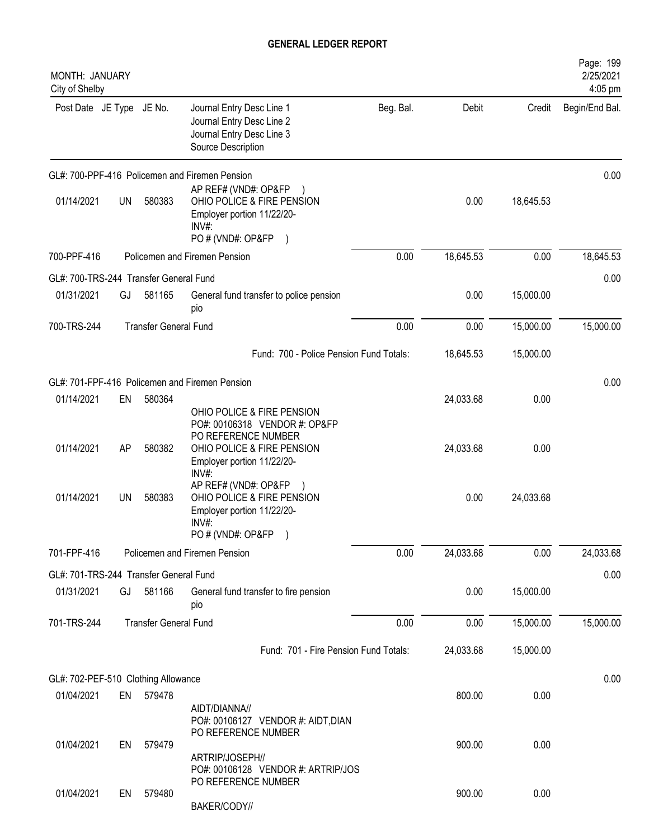| MONTH: JANUARY<br>City of Shelby       |    |                              |                                                                                                                             |           |           |           | Page: 199<br>2/25/2021<br>4:05 pm |
|----------------------------------------|----|------------------------------|-----------------------------------------------------------------------------------------------------------------------------|-----------|-----------|-----------|-----------------------------------|
| Post Date JE Type JE No.               |    |                              | Journal Entry Desc Line 1<br>Journal Entry Desc Line 2<br>Journal Entry Desc Line 3<br>Source Description                   | Beg. Bal. | Debit     | Credit    | Begin/End Bal.                    |
|                                        |    |                              | GL#: 700-PPF-416 Policemen and Firemen Pension                                                                              |           |           |           | 0.00                              |
| 01/14/2021                             | UN | 580383                       | AP REF# (VND#: OP&FP)<br>OHIO POLICE & FIRE PENSION<br>Employer portion 11/22/20-<br>INV#<br>PO # (VND#: OP&FP<br>$\lambda$ |           | 0.00      | 18,645.53 |                                   |
| 700-PPF-416                            |    |                              | Policemen and Firemen Pension                                                                                               | 0.00      | 18,645.53 | 0.00      | 18,645.53                         |
| GL#: 700-TRS-244 Transfer General Fund |    |                              |                                                                                                                             |           |           |           | 0.00                              |
| 01/31/2021                             | GJ | 581165                       | General fund transfer to police pension<br>pio                                                                              |           | 0.00      | 15,000.00 |                                   |
| 700-TRS-244                            |    | <b>Transfer General Fund</b> |                                                                                                                             | 0.00      | 0.00      | 15,000.00 | 15,000.00                         |
|                                        |    |                              | Fund: 700 - Police Pension Fund Totals:                                                                                     |           | 18,645.53 | 15,000.00 |                                   |
|                                        |    |                              | GL#: 701-FPF-416 Policemen and Firemen Pension                                                                              |           |           |           | 0.00                              |
| 01/14/2021                             | EN | 580364                       | OHIO POLICE & FIRE PENSION<br>PO#: 00106318 VENDOR #: OP&FP                                                                 |           | 24,033.68 | 0.00      |                                   |
| 01/14/2021                             | AP | 580382                       | PO REFERENCE NUMBER<br>OHIO POLICE & FIRE PENSION<br>Employer portion 11/22/20-<br>INV#:                                    |           | 24,033.68 | 0.00      |                                   |
| 01/14/2021                             | UN | 580383                       | AP REF# (VND#: OP&FP<br>OHIO POLICE & FIRE PENSION<br>Employer portion 11/22/20-<br>INV#:<br>PO # (VND#: OP&FP)             |           | 0.00      | 24,033.68 |                                   |
| 701-FPF-416                            |    |                              | Policemen and Firemen Pension                                                                                               | 0.00      | 24,033.68 | 0.00      | 24,033.68                         |
| GL#: 701-TRS-244 Transfer General Fund |    |                              |                                                                                                                             |           |           |           | 0.00                              |
| 01/31/2021                             | GJ | 581166                       | General fund transfer to fire pension<br>pio                                                                                |           | 0.00      | 15,000.00 |                                   |
| 701-TRS-244                            |    | <b>Transfer General Fund</b> |                                                                                                                             | 0.00      | 0.00      | 15,000.00 | 15,000.00                         |
|                                        |    |                              | Fund: 701 - Fire Pension Fund Totals:                                                                                       |           | 24,033.68 | 15,000.00 |                                   |
| GL#: 702-PEF-510 Clothing Allowance    |    |                              |                                                                                                                             |           |           |           | 0.00                              |
| 01/04/2021                             |    | EN 579478                    | AIDT/DIANNA//<br>PO#: 00106127 VENDOR #: AIDT, DIAN<br>PO REFERENCE NUMBER                                                  |           | 800.00    | 0.00      |                                   |
| 01/04/2021                             | EN | 579479                       | ARTRIP/JOSEPH//<br>PO#: 00106128 VENDOR #: ARTRIP/JOS                                                                       |           | 900.00    | 0.00      |                                   |
| 01/04/2021                             | EN | 579480                       | PO REFERENCE NUMBER<br>BAKER/CODY//                                                                                         |           | 900.00    | 0.00      |                                   |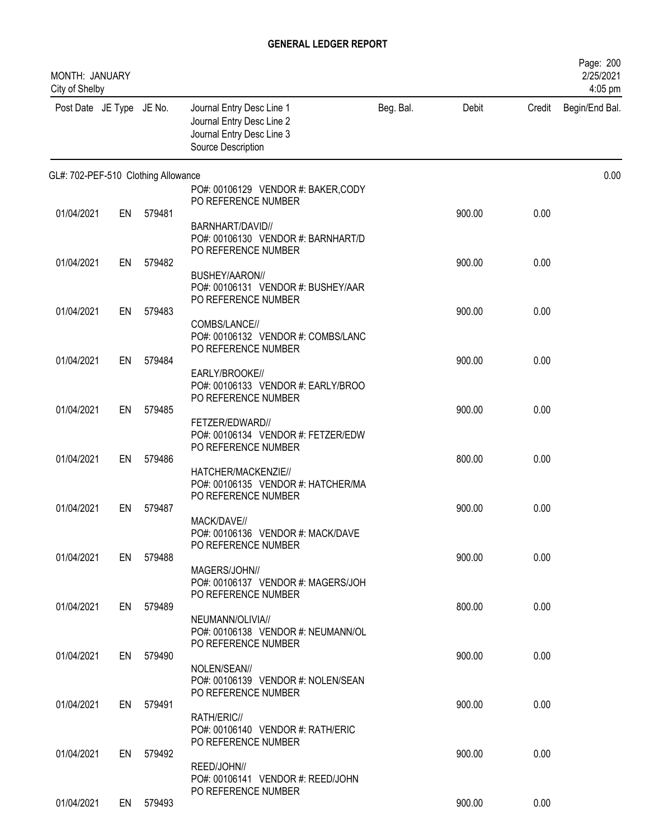| MONTH: JANUARY<br>City of Shelby    |    |           |                                                                                                           |           |        |        | Page: 200<br>2/25/2021<br>4:05 pm |
|-------------------------------------|----|-----------|-----------------------------------------------------------------------------------------------------------|-----------|--------|--------|-----------------------------------|
| Post Date JE Type JE No.            |    |           | Journal Entry Desc Line 1<br>Journal Entry Desc Line 2<br>Journal Entry Desc Line 3<br>Source Description | Beg. Bal. | Debit  | Credit | Begin/End Bal.                    |
| GL#: 702-PEF-510 Clothing Allowance |    |           |                                                                                                           |           |        |        | 0.00                              |
|                                     |    |           | PO#: 00106129 VENDOR #: BAKER, CODY<br>PO REFERENCE NUMBER                                                |           |        |        |                                   |
| 01/04/2021                          | EN | 579481    |                                                                                                           |           | 900.00 | 0.00   |                                   |
|                                     |    |           | BARNHART/DAVID//<br>PO#: 00106130 VENDOR #: BARNHART/D<br>PO REFERENCE NUMBER                             |           |        |        |                                   |
| 01/04/2021                          | EN | 579482    |                                                                                                           |           | 900.00 | 0.00   |                                   |
|                                     |    |           | BUSHEY/AARON//<br>PO#: 00106131 VENDOR #: BUSHEY/AAR<br>PO REFERENCE NUMBER                               |           |        |        |                                   |
| 01/04/2021                          | EN | 579483    |                                                                                                           |           | 900.00 | 0.00   |                                   |
|                                     |    |           | COMBS/LANCE//<br>PO#: 00106132 VENDOR #: COMBS/LANC<br>PO REFERENCE NUMBER                                |           |        |        |                                   |
| 01/04/2021                          | EN | 579484    | EARLY/BROOKE//                                                                                            |           | 900.00 | 0.00   |                                   |
|                                     |    |           | PO#: 00106133 VENDOR #: EARLY/BROO<br>PO REFERENCE NUMBER                                                 |           |        |        |                                   |
| 01/04/2021                          | EN | 579485    | FETZER/EDWARD//                                                                                           |           | 900.00 | 0.00   |                                   |
|                                     |    |           | PO#: 00106134 VENDOR #: FETZER/EDW<br>PO REFERENCE NUMBER                                                 |           |        |        |                                   |
| 01/04/2021                          | EN | 579486    | HATCHER/MACKENZIE//<br>PO#: 00106135 VENDOR #: HATCHER/MA                                                 |           | 800.00 | 0.00   |                                   |
|                                     |    |           | PO REFERENCE NUMBER                                                                                       |           |        |        |                                   |
| 01/04/2021                          | EN | 579487    |                                                                                                           |           | 900.00 | 0.00   |                                   |
|                                     |    |           | MACK/DAVE//<br>PO#: 00106136 VENDOR #: MACK/DAVE<br>PO REFERENCE NUMBER                                   |           |        |        |                                   |
| 01/04/2021                          |    | EN 579488 |                                                                                                           |           | 900.00 | 0.00   |                                   |
|                                     |    |           | MAGERS/JOHN//<br>PO#: 00106137 VENDOR #: MAGERS/JOH<br>PO REFERENCE NUMBER                                |           |        |        |                                   |
| 01/04/2021                          |    | EN 579489 |                                                                                                           |           | 800.00 | 0.00   |                                   |
|                                     |    |           | NEUMANN/OLIVIA//<br>PO#: 00106138 VENDOR #: NEUMANN/OL<br>PO REFERENCE NUMBER                             |           |        |        |                                   |
| 01/04/2021                          |    | EN 579490 |                                                                                                           |           | 900.00 | 0.00   |                                   |
|                                     |    |           | NOLEN/SEAN//<br>PO#: 00106139 VENDOR #: NOLEN/SEAN<br>PO REFERENCE NUMBER                                 |           |        |        |                                   |
| 01/04/2021                          | EN | 579491    |                                                                                                           |           | 900.00 | 0.00   |                                   |
|                                     |    |           | RATH/ERIC//<br>PO#: 00106140 VENDOR #: RATH/ERIC<br>PO REFERENCE NUMBER                                   |           |        |        |                                   |
| 01/04/2021                          |    | EN 579492 | REED/JOHN//                                                                                               |           | 900.00 | 0.00   |                                   |
|                                     |    |           | PO#: 00106141 VENDOR #: REED/JOHN<br>PO REFERENCE NUMBER                                                  |           |        |        |                                   |
| 01/04/2021                          |    | EN 579493 |                                                                                                           |           | 900.00 | 0.00   |                                   |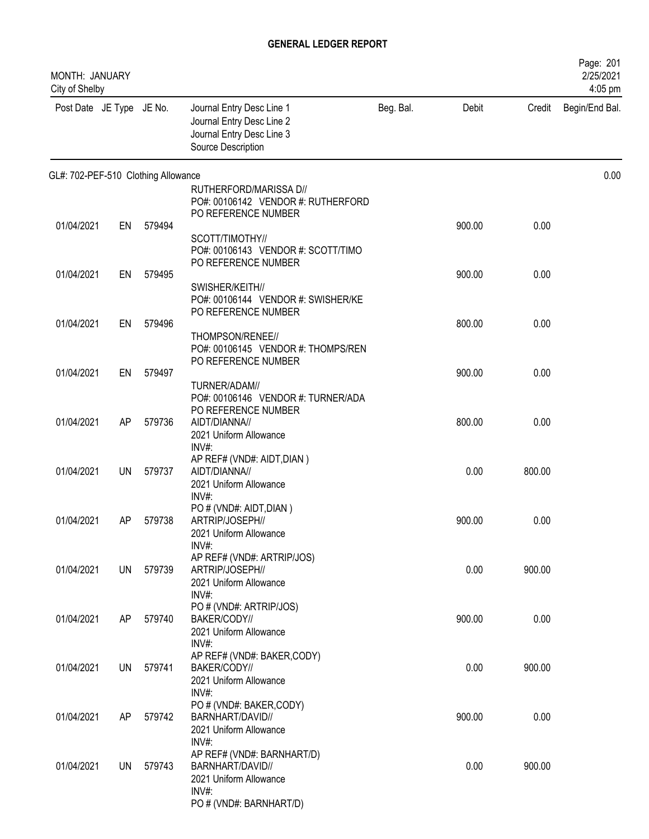| MONTH: JANUARY<br>City of Shelby    |    |        |                                                                                                           |           |        |        | Page: 201<br>2/25/2021<br>4:05 pm |
|-------------------------------------|----|--------|-----------------------------------------------------------------------------------------------------------|-----------|--------|--------|-----------------------------------|
| Post Date JE Type JE No.            |    |        | Journal Entry Desc Line 1<br>Journal Entry Desc Line 2<br>Journal Entry Desc Line 3<br>Source Description | Beg. Bal. | Debit  | Credit | Begin/End Bal.                    |
| GL#: 702-PEF-510 Clothing Allowance |    |        |                                                                                                           |           |        |        | 0.00                              |
|                                     |    |        | RUTHERFORD/MARISSA D//<br>PO#: 00106142 VENDOR #: RUTHERFORD<br>PO REFERENCE NUMBER                       |           |        |        |                                   |
| 01/04/2021                          | EN | 579494 | SCOTT/TIMOTHY//<br>PO#: 00106143 VENDOR #: SCOTT/TIMO<br>PO REFERENCE NUMBER                              |           | 900.00 | 0.00   |                                   |
| 01/04/2021                          | EN | 579495 | SWISHER/KEITH//<br>PO#: 00106144 VENDOR #: SWISHER/KE                                                     |           | 900.00 | 0.00   |                                   |
| 01/04/2021                          | EN | 579496 | PO REFERENCE NUMBER<br>THOMPSON/RENEE//<br>PO#: 00106145 VENDOR #: THOMPS/REN                             |           | 800.00 | 0.00   |                                   |
| 01/04/2021                          | EN | 579497 | PO REFERENCE NUMBER<br>TURNER/ADAM//                                                                      |           | 900.00 | 0.00   |                                   |
| 01/04/2021                          | AP | 579736 | PO#: 00106146 VENDOR #: TURNER/ADA<br>PO REFERENCE NUMBER<br>AIDT/DIANNA//<br>2021 Uniform Allowance      |           | 800.00 | 0.00   |                                   |
| 01/04/2021                          | UN | 579737 | $INV#$ :<br>AP REF# (VND#: AIDT, DIAN)<br>AIDT/DIANNA//<br>2021 Uniform Allowance                         |           | 0.00   | 800.00 |                                   |
| 01/04/2021                          | AP | 579738 | $INV#$ :<br>PO # (VND#: AIDT, DIAN)<br>ARTRIP/JOSEPH//<br>2021 Uniform Allowance                          |           | 900.00 | 0.00   |                                   |
| 01/04/2021                          | UN | 579739 | $INV#$ :<br>AP REF# (VND#: ARTRIP/JOS)<br>ARTRIP/JOSEPH//<br>2021 Uniform Allowance                       |           | 0.00   | 900.00 |                                   |
| 01/04/2021                          | AP | 579740 | $INV#$ :<br>PO # (VND#: ARTRIP/JOS)<br>BAKER/CODY//<br>2021 Uniform Allowance                             |           | 900.00 | 0.00   |                                   |
| 01/04/2021                          | UN | 579741 | INV#:<br>AP REF# (VND#: BAKER,CODY)<br>BAKER/CODY//<br>2021 Uniform Allowance                             |           | 0.00   | 900.00 |                                   |
| 01/04/2021                          | AP | 579742 | INV#:<br>PO # (VND#: BAKER,CODY)<br>BARNHART/DAVID//<br>2021 Uniform Allowance                            |           | 900.00 | 0.00   |                                   |
| 01/04/2021                          | UN | 579743 | INV#:<br>AP REF# (VND#: BARNHART/D)<br>BARNHART/DAVID//<br>2021 Uniform Allowance<br>$INV#$ :             |           | 0.00   | 900.00 |                                   |
|                                     |    |        | PO # (VND#: BARNHART/D)                                                                                   |           |        |        |                                   |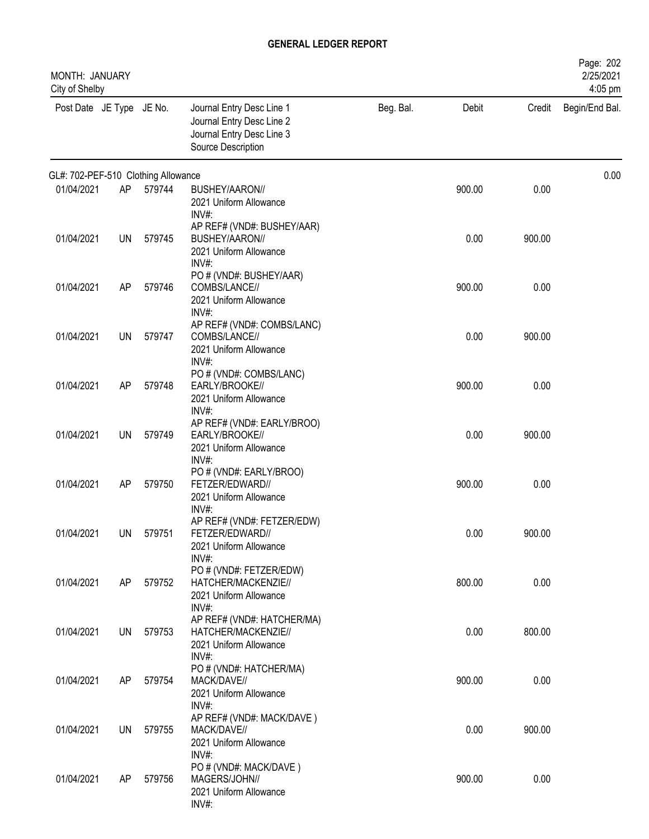| MONTH: JANUARY<br>City of Shelby    |           |        |                                                                                                           |           |        |        | Page: 202<br>2/25/2021<br>4:05 pm |
|-------------------------------------|-----------|--------|-----------------------------------------------------------------------------------------------------------|-----------|--------|--------|-----------------------------------|
| Post Date JE Type JE No.            |           |        | Journal Entry Desc Line 1<br>Journal Entry Desc Line 2<br>Journal Entry Desc Line 3<br>Source Description | Beg. Bal. | Debit  | Credit | Begin/End Bal.                    |
| GL#: 702-PEF-510 Clothing Allowance |           |        |                                                                                                           |           |        |        | 0.00                              |
| 01/04/2021                          | AP        | 579744 | BUSHEY/AARON//<br>2021 Uniform Allowance<br>INV#                                                          |           | 900.00 | 0.00   |                                   |
| 01/04/2021                          | UN        | 579745 | AP REF# (VND#: BUSHEY/AAR)<br>BUSHEY/AARON//<br>2021 Uniform Allowance<br>$INV#$ :                        |           | 0.00   | 900.00 |                                   |
| 01/04/2021                          | AP        | 579746 | PO # (VND#: BUSHEY/AAR)<br>COMBS/LANCE//<br>2021 Uniform Allowance<br>INV#:                               |           | 900.00 | 0.00   |                                   |
| 01/04/2021                          | <b>UN</b> | 579747 | AP REF# (VND#: COMBS/LANC)<br>COMBS/LANCE//<br>2021 Uniform Allowance<br>$INV#$ :                         |           | 0.00   | 900.00 |                                   |
| 01/04/2021                          | AP        | 579748 | PO # (VND#: COMBS/LANC)<br>EARLY/BROOKE//<br>2021 Uniform Allowance                                       |           | 900.00 | 0.00   |                                   |
| 01/04/2021                          | <b>UN</b> | 579749 | $INV#$ :<br>AP REF# (VND#: EARLY/BROO)<br>EARLY/BROOKE//<br>2021 Uniform Allowance                        |           | 0.00   | 900.00 |                                   |
| 01/04/2021                          | AP        | 579750 | INV#:<br>PO # (VND#: EARLY/BROO)<br>FETZER/EDWARD//<br>2021 Uniform Allowance                             |           | 900.00 | 0.00   |                                   |
| 01/04/2021                          | UN        | 579751 | $INV#$ :<br>AP REF# (VND#: FETZER/EDW)<br>FETZER/EDWARD//<br>2021 Uniform Allowance                       |           | 0.00   | 900.00 |                                   |
| 01/04/2021                          | AP        | 579752 | INV#:<br>PO # (VND#: FETZER/EDW)<br>HATCHER/MACKENZIE//<br>2021 Uniform Allowance                         |           | 800.00 | 0.00   |                                   |
| 01/04/2021                          | UN        | 579753 | $INV#$ :<br>AP REF# (VND#: HATCHER/MA)<br>HATCHER/MACKENZIE//<br>2021 Uniform Allowance                   |           | 0.00   | 800.00 |                                   |
| 01/04/2021                          | AP        | 579754 | INV#:<br>PO # (VND#: HATCHER/MA)<br>MACK/DAVE//<br>2021 Uniform Allowance                                 |           | 900.00 | 0.00   |                                   |
| 01/04/2021                          | <b>UN</b> | 579755 | INV#:<br>AP REF# (VND#: MACK/DAVE)<br>MACK/DAVE//<br>2021 Uniform Allowance                               |           | 0.00   | 900.00 |                                   |
| 01/04/2021                          | AP        | 579756 | $INV#$ :<br>PO # (VND#: MACK/DAVE)<br>MAGERS/JOHN//<br>2021 Uniform Allowance<br>$INV#$ :                 |           | 900.00 | 0.00   |                                   |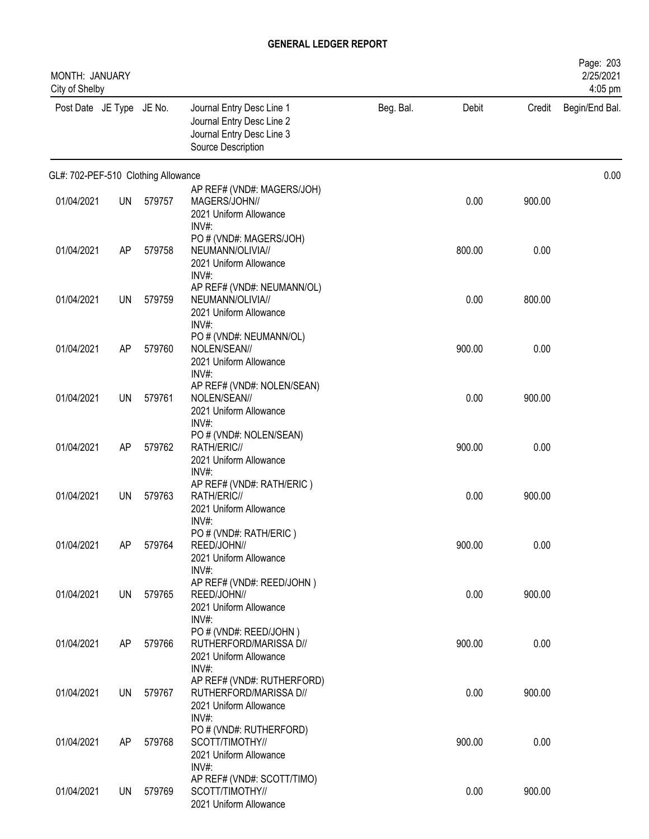| MONTH: JANUARY<br>City of Shelby    |           |        |                                                                                                           |           |        |        | Page: 203<br>2/25/2021<br>4:05 pm |
|-------------------------------------|-----------|--------|-----------------------------------------------------------------------------------------------------------|-----------|--------|--------|-----------------------------------|
| Post Date JE Type JE No.            |           |        | Journal Entry Desc Line 1<br>Journal Entry Desc Line 2<br>Journal Entry Desc Line 3<br>Source Description | Beg. Bal. | Debit  | Credit | Begin/End Bal.                    |
| GL#: 702-PEF-510 Clothing Allowance |           |        |                                                                                                           |           |        |        | 0.00                              |
| 01/04/2021                          | <b>UN</b> | 579757 | AP REF# (VND#: MAGERS/JOH)<br>MAGERS/JOHN//<br>2021 Uniform Allowance<br>$INV#$ :                         |           | 0.00   | 900.00 |                                   |
| 01/04/2021                          | AP        | 579758 | PO # (VND#: MAGERS/JOH)<br>NEUMANN/OLIVIA//<br>2021 Uniform Allowance<br>INV#:                            |           | 800.00 | 0.00   |                                   |
| 01/04/2021                          | UN        | 579759 | AP REF# (VND#: NEUMANN/OL)<br>NEUMANN/OLIVIA//<br>2021 Uniform Allowance<br>INV#:                         |           | 0.00   | 800.00 |                                   |
| 01/04/2021                          | AP        | 579760 | PO # (VND#: NEUMANN/OL)<br>NOLEN/SEAN//<br>2021 Uniform Allowance<br>INV#:                                |           | 900.00 | 0.00   |                                   |
| 01/04/2021                          | UN        | 579761 | AP REF# (VND#: NOLEN/SEAN)<br>NOLEN/SEAN//<br>2021 Uniform Allowance<br>$INV#$ :                          |           | 0.00   | 900.00 |                                   |
| 01/04/2021                          | AP        | 579762 | PO # (VND#: NOLEN/SEAN)<br>RATH/ERIC//<br>2021 Uniform Allowance                                          |           | 900.00 | 0.00   |                                   |
| 01/04/2021                          | UN        | 579763 | INV#:<br>AP REF# (VND#: RATH/ERIC)<br>RATH/ERIC//<br>2021 Uniform Allowance                               |           | 0.00   | 900.00 |                                   |
| 01/04/2021                          | AP        | 579764 | INV#:<br>PO # (VND#: RATH/ERIC)<br>REED/JOHN//<br>2021 Uniform Allowance                                  |           | 900.00 | 0.00   |                                   |
| 01/04/2021                          | <b>UN</b> | 579765 | $INV#$ :<br>AP REF# (VND#: REED/JOHN)<br>REED/JOHN//<br>2021 Uniform Allowance<br>$INV#$ :                |           | 0.00   | 900.00 |                                   |
| 01/04/2021                          | AP        | 579766 | PO # (VND#: REED/JOHN)<br>RUTHERFORD/MARISSA D//<br>2021 Uniform Allowance<br>INV#:                       |           | 900.00 | 0.00   |                                   |
| 01/04/2021                          | <b>UN</b> | 579767 | AP REF# (VND#: RUTHERFORD)<br>RUTHERFORD/MARISSA D//<br>2021 Uniform Allowance<br>$INV#$ :                |           | 0.00   | 900.00 |                                   |
| 01/04/2021                          | AP        | 579768 | PO # (VND#: RUTHERFORD)<br>SCOTT/TIMOTHY//<br>2021 Uniform Allowance<br>$INV#$ :                          |           | 900.00 | 0.00   |                                   |
| 01/04/2021                          | UN        | 579769 | AP REF# (VND#: SCOTT/TIMO)<br>SCOTT/TIMOTHY//<br>2021 Uniform Allowance                                   |           | 0.00   | 900.00 |                                   |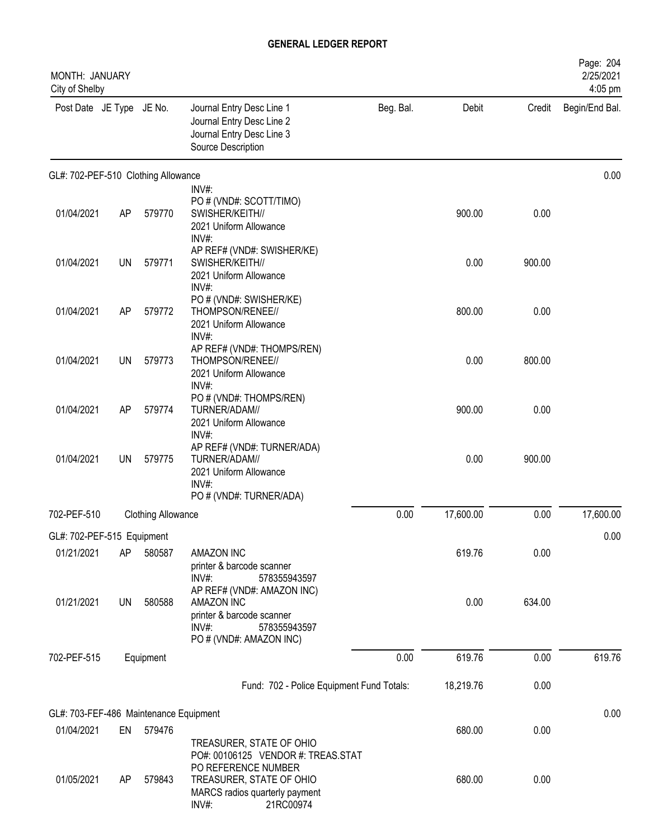| MONTH: JANUARY<br>City of Shelby       |           |                           |                                                                                                                              |           |           |        | Page: 204<br>2/25/2021<br>4:05 pm |
|----------------------------------------|-----------|---------------------------|------------------------------------------------------------------------------------------------------------------------------|-----------|-----------|--------|-----------------------------------|
| Post Date JE Type JE No.               |           |                           | Journal Entry Desc Line 1<br>Journal Entry Desc Line 2<br>Journal Entry Desc Line 3<br>Source Description                    | Beg. Bal. | Debit     | Credit | Begin/End Bal.                    |
| GL#: 702-PEF-510 Clothing Allowance    |           |                           |                                                                                                                              |           |           |        | 0.00                              |
| 01/04/2021                             | AP        | 579770                    | $INV#$ :<br>PO # (VND#: SCOTT/TIMO)<br>SWISHER/KEITH//<br>2021 Uniform Allowance<br>INV#:                                    |           | 900.00    | 0.00   |                                   |
| 01/04/2021                             | UN        | 579771                    | AP REF# (VND#: SWISHER/KE)<br>SWISHER/KEITH//<br>2021 Uniform Allowance<br>INV#:                                             |           | 0.00      | 900.00 |                                   |
| 01/04/2021                             | AP        | 579772                    | PO # (VND#: SWISHER/KE)<br>THOMPSON/RENEE//<br>2021 Uniform Allowance<br>INV#:                                               |           | 800.00    | 0.00   |                                   |
| 01/04/2021                             | <b>UN</b> | 579773                    | AP REF# (VND#: THOMPS/REN)<br>THOMPSON/RENEE//<br>2021 Uniform Allowance<br>$INV#$ :                                         |           | 0.00      | 800.00 |                                   |
| 01/04/2021                             | AP        | 579774                    | PO # (VND#: THOMPS/REN)<br>TURNER/ADAM//<br>2021 Uniform Allowance<br>$INV#$ :                                               |           | 900.00    | 0.00   |                                   |
| 01/04/2021                             | <b>UN</b> | 579775                    | AP REF# (VND#: TURNER/ADA)<br>TURNER/ADAM//<br>2021 Uniform Allowance<br>$INV#$ :<br>PO # (VND#: TURNER/ADA)                 |           | 0.00      | 900.00 |                                   |
| 702-PEF-510                            |           | <b>Clothing Allowance</b> |                                                                                                                              | 0.00      | 17,600.00 | 0.00   | 17,600.00                         |
| GL#: 702-PEF-515 Equipment             |           |                           |                                                                                                                              |           |           |        | 0.00                              |
| 01/21/2021                             | AP        | 580587                    | AMAZON INC<br>printer & barcode scanner<br>INV#:<br>578355943597                                                             |           | 619.76    | 0.00   |                                   |
| 01/21/2021                             | <b>UN</b> | 580588                    | AP REF# (VND#: AMAZON INC)<br>AMAZON INC<br>printer & barcode scanner<br>$INV#$ :<br>578355943597<br>PO # (VND#: AMAZON INC) |           | 0.00      | 634.00 |                                   |
| 702-PEF-515                            |           | Equipment                 |                                                                                                                              | 0.00      | 619.76    | 0.00   | 619.76                            |
|                                        |           |                           | Fund: 702 - Police Equipment Fund Totals:                                                                                    |           | 18,219.76 | 0.00   |                                   |
| GL#: 703-FEF-486 Maintenance Equipment |           |                           |                                                                                                                              |           |           |        | 0.00                              |
| 01/04/2021                             | EN        | 579476                    | TREASURER, STATE OF OHIO<br>PO#: 00106125 VENDOR #: TREAS.STAT                                                               |           | 680.00    | 0.00   |                                   |
| 01/05/2021                             | AP        | 579843                    | PO REFERENCE NUMBER<br>TREASURER, STATE OF OHIO<br>MARCS radios quarterly payment<br>INV#:<br>21RC00974                      |           | 680.00    | 0.00   |                                   |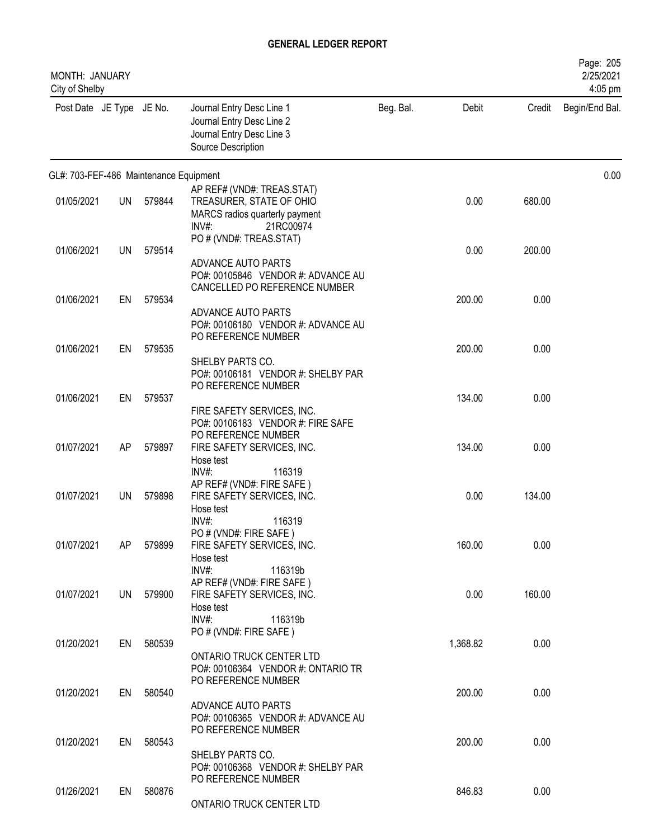| MONTH: JANUARY<br>City of Shelby       |     |           |                                                                                                                      |           |          |        | Page: 205<br>2/25/2021<br>4:05 pm |
|----------------------------------------|-----|-----------|----------------------------------------------------------------------------------------------------------------------|-----------|----------|--------|-----------------------------------|
| Post Date JE Type JE No.               |     |           | Journal Entry Desc Line 1<br>Journal Entry Desc Line 2<br>Journal Entry Desc Line 3<br>Source Description            | Beg. Bal. | Debit    | Credit | Begin/End Bal.                    |
| GL#: 703-FEF-486 Maintenance Equipment |     |           |                                                                                                                      |           |          |        | 0.00                              |
| 01/05/2021                             | UN  | 579844    | AP REF# (VND#: TREAS.STAT)<br>TREASURER, STATE OF OHIO<br>MARCS radios quarterly payment<br>$INV#$ :<br>21RC00974    |           | 0.00     | 680.00 |                                   |
| 01/06/2021                             | UN  | 579514    | PO # (VND#: TREAS.STAT)<br>ADVANCE AUTO PARTS<br>PO#: 00105846 VENDOR #: ADVANCE AU<br>CANCELLED PO REFERENCE NUMBER |           | 0.00     | 200.00 |                                   |
| 01/06/2021                             | EN  | 579534    | ADVANCE AUTO PARTS<br>PO#: 00106180 VENDOR #: ADVANCE AU                                                             |           | 200.00   | 0.00   |                                   |
| 01/06/2021                             | EN  | 579535    | PO REFERENCE NUMBER<br>SHELBY PARTS CO.<br>PO#: 00106181 VENDOR #: SHELBY PAR<br>PO REFERENCE NUMBER                 |           | 200.00   | 0.00   |                                   |
| 01/06/2021                             | EN  | 579537    | FIRE SAFETY SERVICES, INC.<br>PO#: 00106183 VENDOR #: FIRE SAFE                                                      |           | 134.00   | 0.00   |                                   |
| 01/07/2021                             | AP  | 579897    | PO REFERENCE NUMBER<br>FIRE SAFETY SERVICES, INC.<br>Hose test<br>INV#:<br>116319                                    |           | 134.00   | 0.00   |                                   |
| 01/07/2021                             | UN. | 579898    | AP REF# (VND#: FIRE SAFE)<br>FIRE SAFETY SERVICES, INC.<br>Hose test                                                 |           | 0.00     | 134.00 |                                   |
| 01/07/2021                             | AP. | 579899    | INV#:<br>116319<br>PO # (VND#: FIRE SAFE)<br>FIRE SAFETY SERVICES, INC.<br>Hose test                                 |           | 160.00   | 0.00   |                                   |
| 01/07/2021                             |     | UN 579900 | $INV#$ :<br>116319b<br>AP REF# (VND#: FIRE SAFE)<br>FIRE SAFETY SERVICES, INC.<br>Hose test                          |           | 0.00     | 160.00 |                                   |
| 01/20/2021                             |     | EN 580539 | $INV#$ :<br>116319b<br>PO # (VND#: FIRE SAFE)<br>ONTARIO TRUCK CENTER LTD<br>PO#: 00106364 VENDOR #: ONTARIO TR      |           | 1,368.82 | 0.00   |                                   |
| 01/20/2021                             |     | EN 580540 | PO REFERENCE NUMBER<br>ADVANCE AUTO PARTS                                                                            |           | 200.00   | 0.00   |                                   |
| 01/20/2021                             | EN  | 580543    | PO#: 00106365 VENDOR #: ADVANCE AU<br>PO REFERENCE NUMBER<br>SHELBY PARTS CO.<br>PO#: 00106368 VENDOR #: SHELBY PAR  |           | 200.00   | 0.00   |                                   |
| 01/26/2021                             | EN  | 580876    | PO REFERENCE NUMBER<br>ONTARIO TRUCK CENTER LTD                                                                      |           | 846.83   | 0.00   |                                   |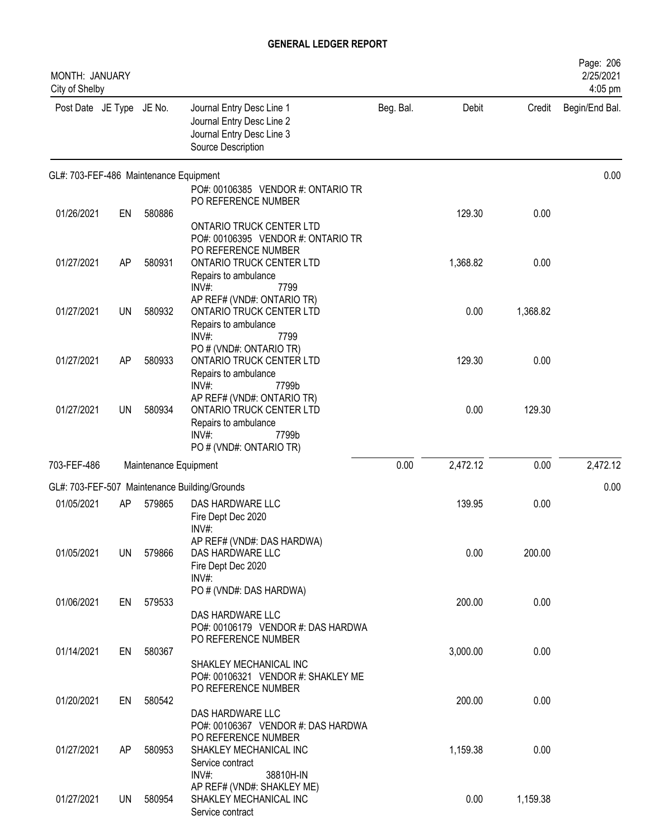| MONTH: JANUARY<br>City of Shelby       |           |                       |                                                                                                           |           |          |          | Page: 206<br>2/25/2021<br>4:05 pm |
|----------------------------------------|-----------|-----------------------|-----------------------------------------------------------------------------------------------------------|-----------|----------|----------|-----------------------------------|
| Post Date JE Type JE No.               |           |                       | Journal Entry Desc Line 1<br>Journal Entry Desc Line 2<br>Journal Entry Desc Line 3<br>Source Description | Beg. Bal. | Debit    | Credit   | Begin/End Bal.                    |
| GL#: 703-FEF-486 Maintenance Equipment |           |                       |                                                                                                           |           |          |          | 0.00                              |
|                                        |           |                       | PO#: 00106385 VENDOR #: ONTARIO TR<br>PO REFERENCE NUMBER                                                 |           |          |          |                                   |
| 01/26/2021                             | EN        | 580886                |                                                                                                           |           | 129.30   | 0.00     |                                   |
|                                        |           |                       | ONTARIO TRUCK CENTER LTD<br>PO#: 00106395 VENDOR #: ONTARIO TR                                            |           |          |          |                                   |
| 01/27/2021                             | AP        | 580931                | PO REFERENCE NUMBER<br>ONTARIO TRUCK CENTER LTD                                                           |           | 1,368.82 | 0.00     |                                   |
|                                        |           |                       | Repairs to ambulance<br>$INV#$ :<br>7799                                                                  |           |          |          |                                   |
| 01/27/2021                             | <b>UN</b> | 580932                | AP REF# (VND#: ONTARIO TR)<br>ONTARIO TRUCK CENTER LTD<br>Repairs to ambulance                            |           | 0.00     | 1,368.82 |                                   |
|                                        |           |                       | INV#:<br>7799<br>PO # (VND#: ONTARIO TR)                                                                  |           |          |          |                                   |
| 01/27/2021                             | AP        | 580933                | <b>ONTARIO TRUCK CENTER LTD</b><br>Repairs to ambulance                                                   |           | 129.30   | 0.00     |                                   |
| 01/27/2021                             | UN        | 580934                | INV#:<br>7799b<br>AP REF# (VND#: ONTARIO TR)<br>ONTARIO TRUCK CENTER LTD                                  |           | 0.00     | 129.30   |                                   |
|                                        |           |                       | Repairs to ambulance<br>$INV#$ :<br>7799b                                                                 |           |          |          |                                   |
|                                        |           |                       | PO # (VND#: ONTARIO TR)                                                                                   |           |          |          |                                   |
| 703-FEF-486                            |           | Maintenance Equipment |                                                                                                           | 0.00      | 2,472.12 | 0.00     | 2,472.12                          |
|                                        |           |                       | GL#: 703-FEF-507 Maintenance Building/Grounds                                                             |           |          |          | 0.00                              |
| 01/05/2021                             | AP        | 579865                | DAS HARDWARE LLC<br>Fire Dept Dec 2020<br>INV#:                                                           |           | 139.95   | 0.00     |                                   |
|                                        |           |                       | AP REF# (VND#: DAS HARDWA)                                                                                |           |          |          |                                   |
| 01/05/2021                             | <b>UN</b> | 579866                | DAS HARDWARE LLC<br>Fire Dept Dec 2020<br>INV#:                                                           |           | 0.00     | 200.00   |                                   |
|                                        |           |                       | PO # (VND#: DAS HARDWA)                                                                                   |           |          |          |                                   |
| 01/06/2021                             | EN        | 579533                | DAS HARDWARE LLC                                                                                          |           | 200.00   | 0.00     |                                   |
|                                        |           |                       | PO#: 00106179 VENDOR #: DAS HARDWA                                                                        |           |          |          |                                   |
|                                        |           |                       | PO REFERENCE NUMBER                                                                                       |           |          |          |                                   |
| 01/14/2021                             | EN        | 580367                |                                                                                                           |           | 3,000.00 | 0.00     |                                   |
|                                        |           |                       | SHAKLEY MECHANICAL INC<br>PO#: 00106321 VENDOR #: SHAKLEY ME<br>PO REFERENCE NUMBER                       |           |          |          |                                   |
| 01/20/2021                             | EN        | 580542                |                                                                                                           |           | 200.00   | 0.00     |                                   |
|                                        |           |                       | DAS HARDWARE LLC<br>PO#: 00106367 VENDOR #: DAS HARDWA<br>PO REFERENCE NUMBER                             |           |          |          |                                   |
| 01/27/2021                             | AP        | 580953                | SHAKLEY MECHANICAL INC                                                                                    |           | 1,159.38 | 0.00     |                                   |
|                                        |           |                       | Service contract<br>$INV#$ :<br>38810H-IN                                                                 |           |          |          |                                   |
|                                        |           |                       | AP REF# (VND#: SHAKLEY ME)                                                                                |           |          |          |                                   |
| 01/27/2021                             | UN        | 580954                | SHAKLEY MECHANICAL INC<br>Service contract                                                                |           | 0.00     | 1,159.38 |                                   |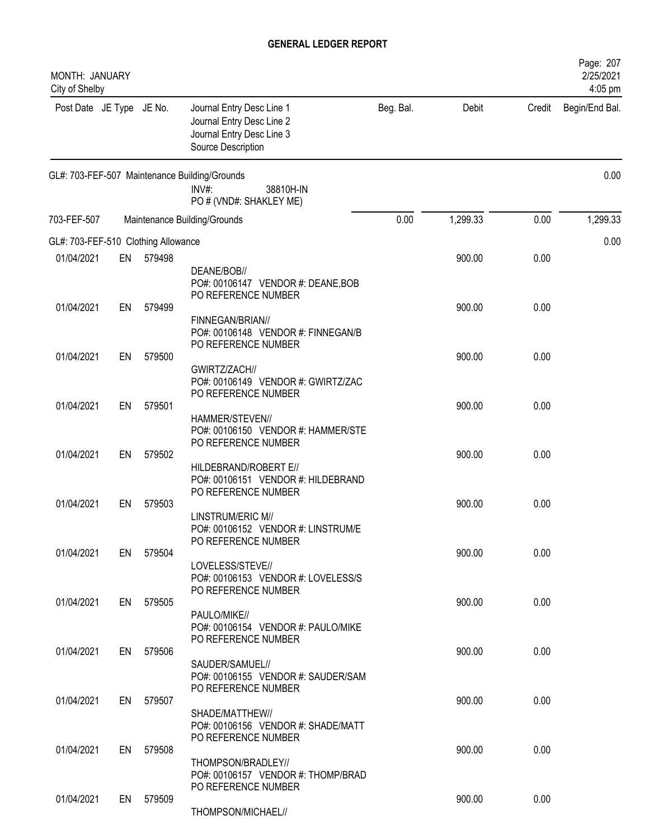| MONTH: JANUARY<br>City of Shelby    |    |           |                                                                                                           |           |          |        | Page: 207<br>2/25/2021<br>4:05 pm |
|-------------------------------------|----|-----------|-----------------------------------------------------------------------------------------------------------|-----------|----------|--------|-----------------------------------|
| Post Date JE Type JE No.            |    |           | Journal Entry Desc Line 1<br>Journal Entry Desc Line 2<br>Journal Entry Desc Line 3<br>Source Description | Beg. Bal. | Debit    | Credit | Begin/End Bal.                    |
|                                     |    |           | GL#: 703-FEF-507 Maintenance Building/Grounds<br>$INV#$ :<br>38810H-IN<br>PO # (VND#: SHAKLEY ME)         |           |          |        | 0.00                              |
| 703-FEF-507                         |    |           | Maintenance Building/Grounds                                                                              | 0.00      | 1,299.33 | 0.00   | 1,299.33                          |
| GL#: 703-FEF-510 Clothing Allowance |    |           |                                                                                                           |           |          |        | 0.00                              |
| 01/04/2021                          | EN | 579498    | DEANE/BOB//<br>PO#: 00106147 VENDOR #: DEANE, BOB                                                         |           | 900.00   | 0.00   |                                   |
| 01/04/2021                          | EN | 579499    | PO REFERENCE NUMBER<br>FINNEGAN/BRIAN//<br>PO#: 00106148 VENDOR #: FINNEGAN/B                             |           | 900.00   | 0.00   |                                   |
| 01/04/2021                          | EN | 579500    | PO REFERENCE NUMBER<br>GWIRTZ/ZACH//<br>PO#: 00106149 VENDOR #: GWIRTZ/ZAC                                |           | 900.00   | 0.00   |                                   |
| 01/04/2021                          | EN | 579501    | PO REFERENCE NUMBER<br>HAMMER/STEVEN//                                                                    |           | 900.00   | 0.00   |                                   |
| 01/04/2021                          | EN | 579502    | PO#: 00106150 VENDOR #: HAMMER/STE<br>PO REFERENCE NUMBER<br>HILDEBRAND/ROBERT E//                        |           | 900.00   | 0.00   |                                   |
| 01/04/2021                          | EN | 579503    | PO#: 00106151 VENDOR #: HILDEBRAND<br>PO REFERENCE NUMBER                                                 |           | 900.00   | 0.00   |                                   |
| 01/04/2021                          | EN | 579504    | LINSTRUM/ERIC M//<br>PO#: 00106152 VENDOR #: LINSTRUM/E<br>PO REFERENCE NUMBER<br>LOVELESS/STEVE//        |           | 900.00   | 0.00   |                                   |
| 01/04/2021                          | EN | 579505    | PO#: 00106153 VENDOR #: LOVELESS/S<br>PO REFERENCE NUMBER                                                 |           | 900.00   | 0.00   |                                   |
|                                     |    |           | PAULO/MIKE//<br>PO#: 00106154 VENDOR #: PAULO/MIKE<br>PO REFERENCE NUMBER                                 |           |          |        |                                   |
| 01/04/2021                          | EN | 579506    | SAUDER/SAMUEL//<br>PO#: 00106155 VENDOR #: SAUDER/SAM                                                     |           | 900.00   | 0.00   |                                   |
| 01/04/2021                          |    | EN 579507 | PO REFERENCE NUMBER<br>SHADE/MATTHEW//<br>PO#: 00106156 VENDOR #: SHADE/MATT                              |           | 900.00   | 0.00   |                                   |
| 01/04/2021                          | EN | 579508    | PO REFERENCE NUMBER<br>THOMPSON/BRADLEY//<br>PO#: 00106157 VENDOR #: THOMP/BRAD                           |           | 900.00   | 0.00   |                                   |
| 01/04/2021                          |    | EN 579509 | PO REFERENCE NUMBER<br>THOMPSON/MICHAEL//                                                                 |           | 900.00   | 0.00   |                                   |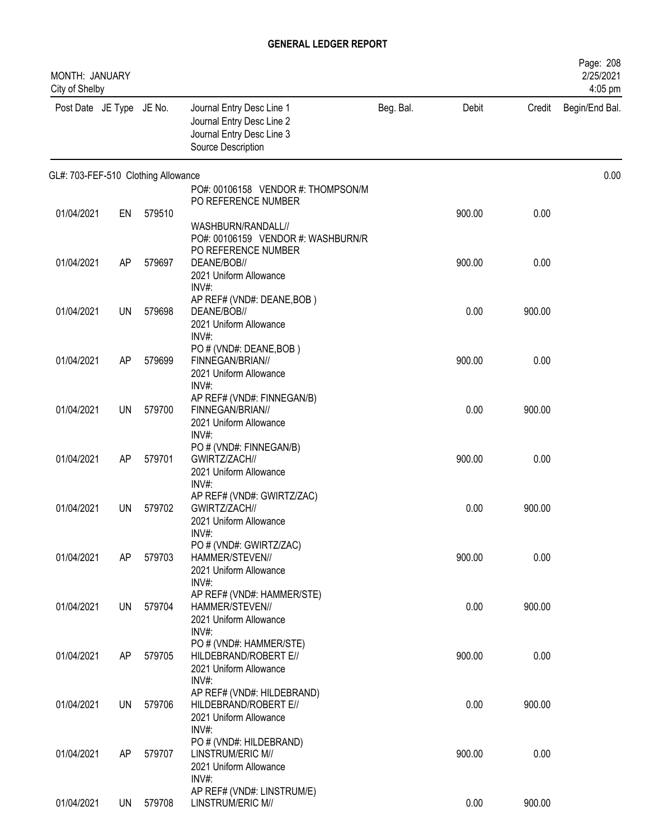| MONTH: JANUARY<br>City of Shelby    |           |        |                                                                                                           |           |        |        | Page: 208<br>2/25/2021<br>4:05 pm |
|-------------------------------------|-----------|--------|-----------------------------------------------------------------------------------------------------------|-----------|--------|--------|-----------------------------------|
| Post Date JE Type JE No.            |           |        | Journal Entry Desc Line 1<br>Journal Entry Desc Line 2<br>Journal Entry Desc Line 3<br>Source Description | Beg. Bal. | Debit  | Credit | Begin/End Bal.                    |
| GL#: 703-FEF-510 Clothing Allowance |           |        |                                                                                                           |           |        |        | 0.00                              |
|                                     |           |        | PO#: 00106158 VENDOR #: THOMPSON/M                                                                        |           |        |        |                                   |
| 01/04/2021                          |           | 579510 | PO REFERENCE NUMBER                                                                                       |           | 900.00 | 0.00   |                                   |
|                                     | EN        |        | WASHBURN/RANDALL//                                                                                        |           |        |        |                                   |
|                                     |           |        | PO#: 00106159 VENDOR #: WASHBURN/R                                                                        |           |        |        |                                   |
|                                     |           |        | PO REFERENCE NUMBER                                                                                       |           |        |        |                                   |
| 01/04/2021                          | AP        | 579697 | DEANE/BOB//                                                                                               |           | 900.00 | 0.00   |                                   |
|                                     |           |        | 2021 Uniform Allowance                                                                                    |           |        |        |                                   |
|                                     |           |        | INV#:                                                                                                     |           |        |        |                                   |
| 01/04/2021                          | <b>UN</b> | 579698 | AP REF# (VND#: DEANE, BOB)<br>DEANE/BOB//                                                                 |           | 0.00   | 900.00 |                                   |
|                                     |           |        | 2021 Uniform Allowance                                                                                    |           |        |        |                                   |
|                                     |           |        | INV#:                                                                                                     |           |        |        |                                   |
|                                     |           |        | PO # (VND#: DEANE, BOB)                                                                                   |           |        |        |                                   |
| 01/04/2021                          | AP        | 579699 | FINNEGAN/BRIAN//                                                                                          |           | 900.00 | 0.00   |                                   |
|                                     |           |        | 2021 Uniform Allowance<br>INV#:                                                                           |           |        |        |                                   |
|                                     |           |        | AP REF# (VND#: FINNEGAN/B)                                                                                |           |        |        |                                   |
| 01/04/2021                          | UN        | 579700 | FINNEGAN/BRIAN//                                                                                          |           | 0.00   | 900.00 |                                   |
|                                     |           |        | 2021 Uniform Allowance                                                                                    |           |        |        |                                   |
|                                     |           |        | INV#:                                                                                                     |           |        |        |                                   |
| 01/04/2021                          | AP        | 579701 | PO # (VND#: FINNEGAN/B)<br>GWIRTZ/ZACH//                                                                  |           | 900.00 | 0.00   |                                   |
|                                     |           |        | 2021 Uniform Allowance                                                                                    |           |        |        |                                   |
|                                     |           |        | INV#:                                                                                                     |           |        |        |                                   |
|                                     |           |        | AP REF# (VND#: GWIRTZ/ZAC)                                                                                |           |        |        |                                   |
| 01/04/2021                          | <b>UN</b> | 579702 | GWIRTZ/ZACH//                                                                                             |           | 0.00   | 900.00 |                                   |
|                                     |           |        | 2021 Uniform Allowance<br>INV#:                                                                           |           |        |        |                                   |
|                                     |           |        | PO # (VND#: GWIRTZ/ZAC)                                                                                   |           |        |        |                                   |
| 01/04/2021                          | AP        | 579703 | HAMMER/STEVEN//                                                                                           |           | 900.00 | 0.00   |                                   |
|                                     |           |        | 2021 Uniform Allowance                                                                                    |           |        |        |                                   |
|                                     |           |        | $INV#$ :<br>AP REF# (VND#: HAMMER/STE)                                                                    |           |        |        |                                   |
| 01/04/2021                          | <b>UN</b> | 579704 | HAMMER/STEVEN//                                                                                           |           | 0.00   | 900.00 |                                   |
|                                     |           |        | 2021 Uniform Allowance                                                                                    |           |        |        |                                   |
|                                     |           |        | $INV#$ :                                                                                                  |           |        |        |                                   |
|                                     |           |        | PO # (VND#: HAMMER/STE)                                                                                   |           |        |        |                                   |
| 01/04/2021                          | AP        | 579705 | HILDEBRAND/ROBERT E//<br>2021 Uniform Allowance                                                           |           | 900.00 | 0.00   |                                   |
|                                     |           |        | INV#:                                                                                                     |           |        |        |                                   |
|                                     |           |        | AP REF# (VND#: HILDEBRAND)                                                                                |           |        |        |                                   |
| 01/04/2021                          | <b>UN</b> | 579706 | HILDEBRAND/ROBERT E//                                                                                     |           | 0.00   | 900.00 |                                   |
|                                     |           |        | 2021 Uniform Allowance                                                                                    |           |        |        |                                   |
|                                     |           |        | $INV#$ :<br>PO # (VND#: HILDEBRAND)                                                                       |           |        |        |                                   |
| 01/04/2021                          | AP        | 579707 | LINSTRUM/ERIC M//                                                                                         |           | 900.00 | 0.00   |                                   |
|                                     |           |        | 2021 Uniform Allowance                                                                                    |           |        |        |                                   |
|                                     |           |        | $INV#$ :                                                                                                  |           |        |        |                                   |
|                                     |           |        | AP REF# (VND#: LINSTRUM/E)                                                                                |           |        |        |                                   |
| 01/04/2021                          | UN        | 579708 | LINSTRUM/ERIC M//                                                                                         |           | 0.00   | 900.00 |                                   |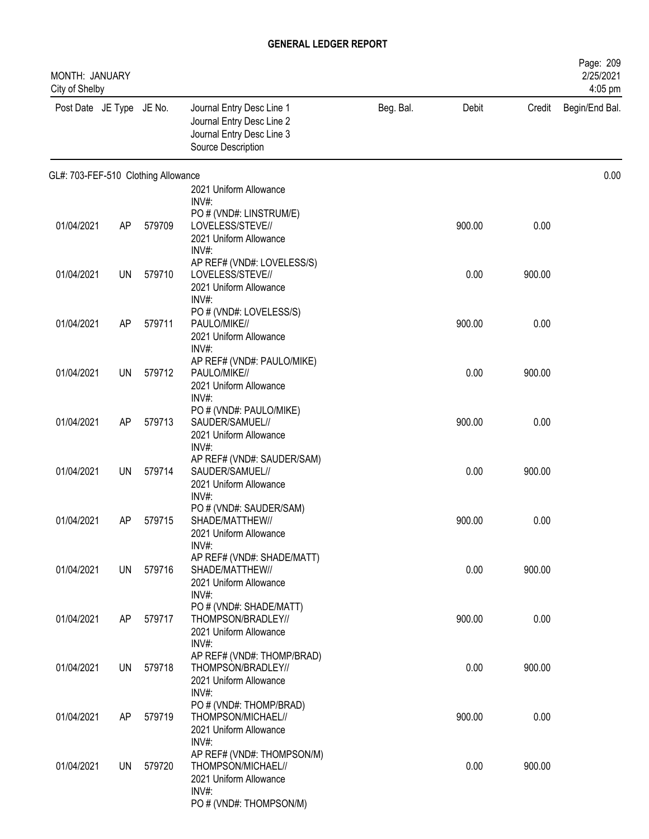| MONTH: JANUARY<br>City of Shelby    |           |        |                                                                                                           |           |        |        | Page: 209<br>2/25/2021<br>4:05 pm |
|-------------------------------------|-----------|--------|-----------------------------------------------------------------------------------------------------------|-----------|--------|--------|-----------------------------------|
| Post Date JE Type JE No.            |           |        | Journal Entry Desc Line 1<br>Journal Entry Desc Line 2<br>Journal Entry Desc Line 3<br>Source Description | Beg. Bal. | Debit  | Credit | Begin/End Bal.                    |
| GL#: 703-FEF-510 Clothing Allowance |           |        |                                                                                                           |           |        |        | 0.00                              |
|                                     |           |        | 2021 Uniform Allowance<br>$INV#$ :                                                                        |           |        |        |                                   |
| 01/04/2021                          | AP        | 579709 | PO # (VND#: LINSTRUM/E)<br>LOVELESS/STEVE//<br>2021 Uniform Allowance<br>INV#:                            |           | 900.00 | 0.00   |                                   |
| 01/04/2021                          | UN        | 579710 | AP REF# (VND#: LOVELESS/S)<br>LOVELESS/STEVE//<br>2021 Uniform Allowance                                  |           | 0.00   | 900.00 |                                   |
| 01/04/2021                          | AP        | 579711 | INV#:<br>PO # (VND#: LOVELESS/S)<br>PAULO/MIKE//<br>2021 Uniform Allowance                                |           | 900.00 | 0.00   |                                   |
| 01/04/2021                          | <b>UN</b> | 579712 | $INV#$ :<br>AP REF# (VND#: PAULO/MIKE)<br>PAULO/MIKE//<br>2021 Uniform Allowance                          |           | 0.00   | 900.00 |                                   |
| 01/04/2021                          | AP        | 579713 | $INV#$ :<br>PO # (VND#: PAULO/MIKE)<br>SAUDER/SAMUEL//<br>2021 Uniform Allowance                          |           | 900.00 | 0.00   |                                   |
| 01/04/2021                          | <b>UN</b> | 579714 | INV#:<br>AP REF# (VND#: SAUDER/SAM)<br>SAUDER/SAMUEL//<br>2021 Uniform Allowance                          |           | 0.00   | 900.00 |                                   |
| 01/04/2021                          | AP        | 579715 | INV#:<br>PO # (VND#: SAUDER/SAM)<br>SHADE/MATTHEW//<br>2021 Uniform Allowance                             |           | 900.00 | 0.00   |                                   |
| 01/04/2021                          | UN        | 579716 | INV#:<br>AP REF# (VND#: SHADE/MATT)<br>SHADE/MATTHEW//<br>2021 Uniform Allowance                          |           | 0.00   | 900.00 |                                   |
| 01/04/2021                          | AP        | 579717 | INV#:<br>PO # (VND#: SHADE/MATT)<br>THOMPSON/BRADLEY//<br>2021 Uniform Allowance                          |           | 900.00 | 0.00   |                                   |
| 01/04/2021                          | <b>UN</b> | 579718 | INV#:<br>AP REF# (VND#: THOMP/BRAD)<br>THOMPSON/BRADLEY//<br>2021 Uniform Allowance                       |           | 0.00   | 900.00 |                                   |
| 01/04/2021                          | AP        | 579719 | INV#:<br>PO # (VND#: THOMP/BRAD)<br>THOMPSON/MICHAEL//<br>2021 Uniform Allowance                          |           | 900.00 | 0.00   |                                   |
| 01/04/2021                          | UN        | 579720 | $INV#$ :<br>AP REF# (VND#: THOMPSON/M)<br>THOMPSON/MICHAEL//<br>2021 Uniform Allowance<br>$INV#$ :        |           | 0.00   | 900.00 |                                   |
|                                     |           |        | PO # (VND#: THOMPSON/M)                                                                                   |           |        |        |                                   |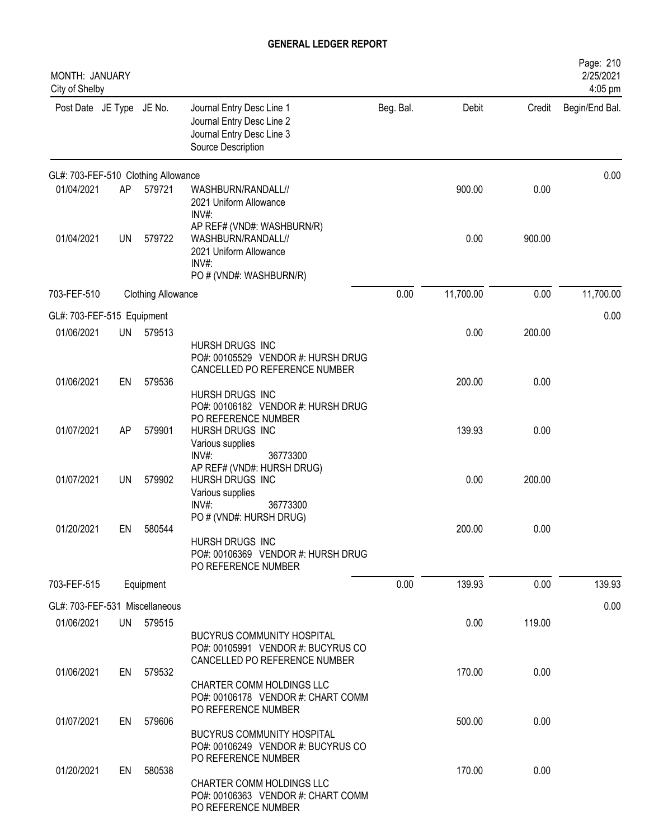| MONTH: JANUARY<br>City of Shelby    |    |                           |                                                                                                                |           |           |        | Page: 210<br>2/25/2021<br>4:05 pm |
|-------------------------------------|----|---------------------------|----------------------------------------------------------------------------------------------------------------|-----------|-----------|--------|-----------------------------------|
| Post Date JE Type JE No.            |    |                           | Journal Entry Desc Line 1<br>Journal Entry Desc Line 2<br>Journal Entry Desc Line 3<br>Source Description      | Beg. Bal. | Debit     | Credit | Begin/End Bal.                    |
| GL#: 703-FEF-510 Clothing Allowance |    |                           |                                                                                                                |           |           |        | 0.00                              |
| 01/04/2021                          | AP | 579721                    | WASHBURN/RANDALL//<br>2021 Uniform Allowance<br>INV#:                                                          |           | 900.00    | 0.00   |                                   |
| 01/04/2021                          | UN | 579722                    | AP REF# (VND#: WASHBURN/R)<br>WASHBURN/RANDALL//<br>2021 Uniform Allowance<br>INV#:<br>PO # (VND#: WASHBURN/R) |           | 0.00      | 900.00 |                                   |
| 703-FEF-510                         |    | <b>Clothing Allowance</b> |                                                                                                                | 0.00      | 11,700.00 | 0.00   | 11,700.00                         |
| GL#: 703-FEF-515 Equipment          |    |                           |                                                                                                                |           |           |        | 0.00                              |
| 01/06/2021                          | UN | 579513                    |                                                                                                                |           | 0.00      | 200.00 |                                   |
|                                     |    |                           | HURSH DRUGS INC<br>PO#: 00105529 VENDOR #: HURSH DRUG<br>CANCELLED PO REFERENCE NUMBER                         |           |           |        |                                   |
| 01/06/2021                          | EN | 579536                    |                                                                                                                |           | 200.00    | 0.00   |                                   |
|                                     |    |                           | HURSH DRUGS INC<br>PO#: 00106182 VENDOR #: HURSH DRUG<br>PO REFERENCE NUMBER                                   |           |           |        |                                   |
| 01/07/2021                          | AP | 579901                    | HURSH DRUGS INC<br>Various supplies                                                                            |           | 139.93    | 0.00   |                                   |
|                                     |    |                           | INV#:<br>36773300                                                                                              |           |           |        |                                   |
| 01/07/2021                          | UN | 579902                    | AP REF# (VND#: HURSH DRUG)<br>HURSH DRUGS INC<br>Various supplies                                              |           | 0.00      | 200.00 |                                   |
|                                     |    |                           | 36773300<br>INV#                                                                                               |           |           |        |                                   |
| 01/20/2021                          | EN | 580544                    | PO # (VND#: HURSH DRUG)                                                                                        |           | 200.00    | 0.00   |                                   |
|                                     |    |                           | HURSH DRUGS INC<br>PO#: 00106369 VENDOR #: HURSH DRUG<br>PO REFERENCE NUMBER                                   |           |           |        |                                   |
| 703-FEF-515                         |    | Equipment                 |                                                                                                                | 0.00      | 139.93    | 0.00   | 139.93                            |
| GL#: 703-FEF-531 Miscellaneous      |    |                           |                                                                                                                |           |           |        | 0.00                              |
| 01/06/2021                          |    | UN 579515                 |                                                                                                                |           | 0.00      | 119.00 |                                   |
|                                     |    |                           | <b>BUCYRUS COMMUNITY HOSPITAL</b><br>PO#: 00105991 VENDOR #: BUCYRUS CO<br>CANCELLED PO REFERENCE NUMBER       |           |           |        |                                   |
| 01/06/2021                          | EN | 579532                    | CHARTER COMM HOLDINGS LLC<br>PO#: 00106178 VENDOR #: CHART COMM                                                |           | 170.00    | 0.00   |                                   |
| 01/07/2021                          | EN | 579606                    | PO REFERENCE NUMBER                                                                                            |           | 500.00    | 0.00   |                                   |
|                                     |    |                           | <b>BUCYRUS COMMUNITY HOSPITAL</b><br>PO#: 00106249 VENDOR #: BUCYRUS CO<br>PO REFERENCE NUMBER                 |           |           |        |                                   |
| 01/20/2021                          | EN | 580538                    | CHARTER COMM HOLDINGS LLC<br>PO#: 00106363 VENDOR #: CHART COMM<br>PO REFERENCE NUMBER                         |           | 170.00    | 0.00   |                                   |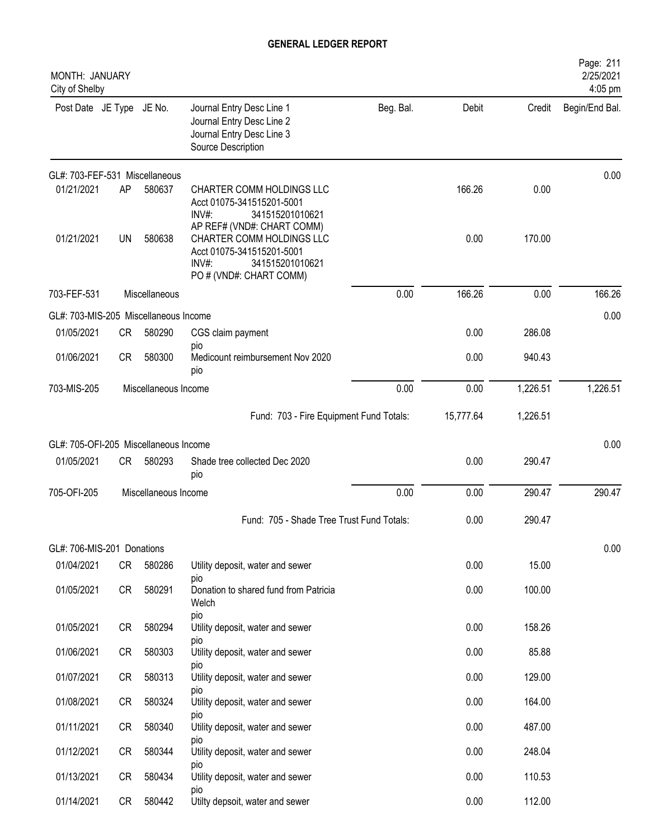| MONTH: JANUARY<br>City of Shelby      |    |                      |                                                                                                                  |           |           |          | Page: 211<br>2/25/2021<br>4:05 pm |
|---------------------------------------|----|----------------------|------------------------------------------------------------------------------------------------------------------|-----------|-----------|----------|-----------------------------------|
| Post Date JE Type JE No.              |    |                      | Journal Entry Desc Line 1<br>Journal Entry Desc Line 2<br>Journal Entry Desc Line 3<br>Source Description        | Beg. Bal. | Debit     | Credit   | Begin/End Bal.                    |
| GL#: 703-FEF-531 Miscellaneous        |    |                      |                                                                                                                  |           |           |          | 0.00                              |
| 01/21/2021                            | AP | 580637               | CHARTER COMM HOLDINGS LLC<br>Acct 01075-341515201-5001<br>341515201010621<br>INV#<br>AP REF# (VND#: CHART COMM)  |           | 166.26    | 0.00     |                                   |
| 01/21/2021                            | UN | 580638               | CHARTER COMM HOLDINGS LLC<br>Acct 01075-341515201-5001<br>$INV#$ :<br>341515201010621<br>PO # (VND#: CHART COMM) |           | 0.00      | 170.00   |                                   |
| 703-FEF-531                           |    | Miscellaneous        |                                                                                                                  | 0.00      | 166.26    | 0.00     | 166.26                            |
| GL#: 703-MIS-205 Miscellaneous Income |    |                      |                                                                                                                  |           |           |          | 0.00                              |
| 01/05/2021                            | CR | 580290               | CGS claim payment                                                                                                |           | 0.00      | 286.08   |                                   |
| 01/06/2021                            | CR | 580300               | pio<br>Medicount reimbursement Nov 2020<br>pio                                                                   |           | 0.00      | 940.43   |                                   |
| 703-MIS-205<br>Miscellaneous Income   |    |                      |                                                                                                                  | 0.00      | 0.00      | 1,226.51 | 1,226.51                          |
|                                       |    |                      | Fund: 703 - Fire Equipment Fund Totals:                                                                          |           | 15,777.64 | 1,226.51 |                                   |
| GL#: 705-OFI-205 Miscellaneous Income |    |                      |                                                                                                                  |           |           |          | 0.00                              |
| 01/05/2021                            | CR | 580293               | Shade tree collected Dec 2020<br>pio                                                                             |           | 0.00      | 290.47   |                                   |
| 705-OFI-205                           |    | Miscellaneous Income |                                                                                                                  | 0.00      | 0.00      | 290.47   | 290.47                            |
|                                       |    |                      | Fund: 705 - Shade Tree Trust Fund Totals:                                                                        |           | 0.00      | 290.47   |                                   |
| GL#: 706-MIS-201 Donations            |    |                      |                                                                                                                  |           |           |          | 0.00                              |
| 01/04/2021                            | CR | 580286               | Utility deposit, water and sewer                                                                                 |           | 0.00      | 15.00    |                                   |
| 01/05/2021                            | CR | 580291               | pio<br>Donation to shared fund from Patricia<br>Welch                                                            |           | 0.00      | 100.00   |                                   |
| 01/05/2021                            | CR | 580294               | pio<br>Utility deposit, water and sewer                                                                          |           | 0.00      | 158.26   |                                   |
| 01/06/2021                            | CR | 580303               | pio<br>Utility deposit, water and sewer                                                                          |           | 0.00      | 85.88    |                                   |
| 01/07/2021                            | CR | 580313               | pio<br>Utility deposit, water and sewer                                                                          |           | 0.00      | 129.00   |                                   |
| 01/08/2021                            | CR | 580324               | pio<br>Utility deposit, water and sewer                                                                          |           | 0.00      | 164.00   |                                   |
| 01/11/2021                            | CR | 580340               | pio<br>Utility deposit, water and sewer                                                                          |           | 0.00      | 487.00   |                                   |
| 01/12/2021                            | CR | 580344               | pio<br>Utility deposit, water and sewer                                                                          |           | 0.00      | 248.04   |                                   |
| 01/13/2021                            | CR | 580434               | pio<br>Utility deposit, water and sewer                                                                          |           | 0.00      | 110.53   |                                   |
| 01/14/2021                            | CR | 580442               | pio<br>Utilty depsoit, water and sewer                                                                           |           | 0.00      | 112.00   |                                   |
|                                       |    |                      |                                                                                                                  |           |           |          |                                   |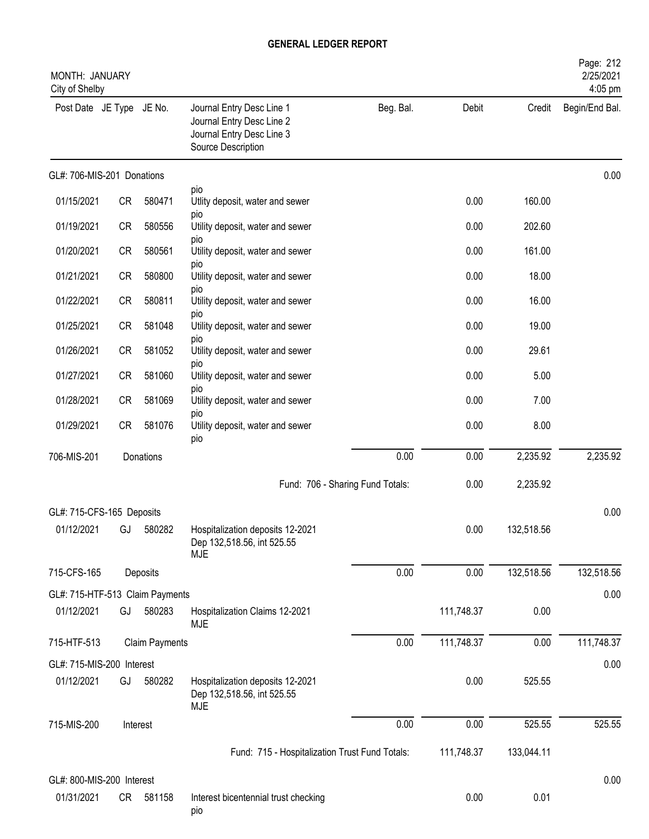| MONTH: JANUARY<br>City of Shelby |           |                |                                                                                                           |           |            |            | Page: 212<br>2/25/2021<br>4:05 pm |
|----------------------------------|-----------|----------------|-----------------------------------------------------------------------------------------------------------|-----------|------------|------------|-----------------------------------|
| Post Date JE Type JE No.         |           |                | Journal Entry Desc Line 1<br>Journal Entry Desc Line 2<br>Journal Entry Desc Line 3<br>Source Description | Beg. Bal. | Debit      | Credit     | Begin/End Bal.                    |
| GL#: 706-MIS-201 Donations       |           |                |                                                                                                           |           |            |            | 0.00                              |
| 01/15/2021                       | CR        | 580471         | pio<br>Utlity deposit, water and sewer                                                                    |           | 0.00       | 160.00     |                                   |
| 01/19/2021                       | <b>CR</b> | 580556         | pio<br>Utility deposit, water and sewer                                                                   |           | 0.00       | 202.60     |                                   |
| 01/20/2021                       | <b>CR</b> | 580561         | pio<br>Utility deposit, water and sewer                                                                   |           | 0.00       | 161.00     |                                   |
| 01/21/2021                       | <b>CR</b> | 580800         | <b>DIO</b><br>Utility deposit, water and sewer                                                            |           | 0.00       | 18.00      |                                   |
| 01/22/2021                       | CR        | 580811         | DIO<br>Utility deposit, water and sewer                                                                   |           | 0.00       | 16.00      |                                   |
| 01/25/2021                       | CR        | 581048         | pio<br>Utility deposit, water and sewer                                                                   |           | 0.00       | 19.00      |                                   |
| 01/26/2021                       | <b>CR</b> | 581052         | pio<br>Utility deposit, water and sewer                                                                   |           | 0.00       | 29.61      |                                   |
| 01/27/2021                       | <b>CR</b> | 581060         | pio<br>Utility deposit, water and sewer                                                                   |           | 0.00       | 5.00       |                                   |
| 01/28/2021                       | <b>CR</b> | 581069         | pio<br>Utility deposit, water and sewer                                                                   |           | 0.00       | 7.00       |                                   |
| 01/29/2021                       | <b>CR</b> | 581076         | pio<br>Utility deposit, water and sewer                                                                   |           | 0.00       | 8.00       |                                   |
| 706-MIS-201                      |           | Donations      | pio                                                                                                       | 0.00      | 0.00       | 2,235.92   | 2,235.92                          |
|                                  |           |                | Fund: 706 - Sharing Fund Totals:                                                                          |           | 0.00       | 2,235.92   |                                   |
|                                  |           |                |                                                                                                           |           |            |            |                                   |
| GL#: 715-CFS-165 Deposits        |           |                |                                                                                                           |           |            |            | 0.00                              |
| 01/12/2021                       | GJ        | 580282         | Hospitalization deposits 12-2021<br>Dep 132,518.56, int 525.55<br><b>MJE</b>                              |           | 0.00       | 132,518.56 |                                   |
| 715-CFS-165                      |           | Deposits       |                                                                                                           | 0.00      | 0.00       | 132,518.56 | 132,518.56                        |
| GL#: 715-HTF-513 Claim Payments  |           |                |                                                                                                           |           |            |            | 0.00                              |
| 01/12/2021                       | GJ        | 580283         | Hospitalization Claims 12-2021<br><b>MJE</b>                                                              |           | 111,748.37 | 0.00       |                                   |
| 715-HTF-513                      |           | Claim Payments |                                                                                                           | 0.00      | 111,748.37 | 0.00       | 111,748.37                        |
| GL#: 715-MIS-200 Interest        |           |                |                                                                                                           |           |            |            | 0.00                              |
| 01/12/2021                       | GJ        | 580282         | Hospitalization deposits 12-2021<br>Dep 132,518.56, int 525.55<br><b>MJE</b>                              |           | 0.00       | 525.55     |                                   |
| 715-MIS-200                      |           | Interest       |                                                                                                           | 0.00      | 0.00       | 525.55     | 525.55                            |
|                                  |           |                | Fund: 715 - Hospitalization Trust Fund Totals:                                                            |           | 111,748.37 | 133,044.11 |                                   |
| GL#: 800-MIS-200 Interest        |           |                |                                                                                                           |           |            |            | 0.00                              |
| 01/31/2021                       | CR —      | 581158         | Interest bicentennial trust checking<br>pio                                                               |           | 0.00       | 0.01       |                                   |